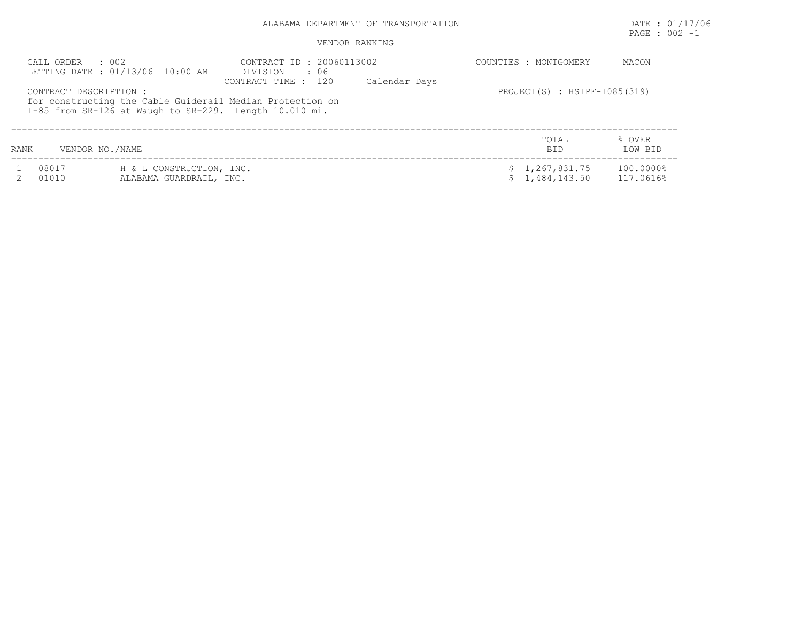## ALABAMA DEPARTMENT OF TRANSPORTATION **EXECUTE:** 01/17/06

# PAGE : 002 -1

#### VENDOR RANKING

| CALL ORDER<br>CONTRACT DESCRIPTION : | $\therefore$ 002<br>LETTING DATE : 01/13/06 10:00 AM<br>for constructing the Cable Guiderail Median Protection on<br>I-85 from SR-126 at Waugh to SR-229. Length 10.010 mi. | CONTRACT ID: 20060113002<br>DIVISION<br>. 06<br>CONTRACT TIME : 120 | Calendar Days | COUNTIES : MONTGOMERY<br>PROJECT $(S)$ : HSIPF-I085(319) | MACON                  |
|--------------------------------------|-----------------------------------------------------------------------------------------------------------------------------------------------------------------------------|---------------------------------------------------------------------|---------------|----------------------------------------------------------|------------------------|
| <b>RANK</b>                          | VENDOR NO./NAME                                                                                                                                                             |                                                                     |               | TOTAL<br><b>BID</b>                                      | % OVER<br>LOW BID      |
| 08017<br>01010                       | H & L CONSTRUCTION, INC.<br>ALABAMA GUARDRAIL, INC.                                                                                                                         |                                                                     |               | \$1,267,831.75<br>\$1,484,143.50                         | 100.0000%<br>117.0616% |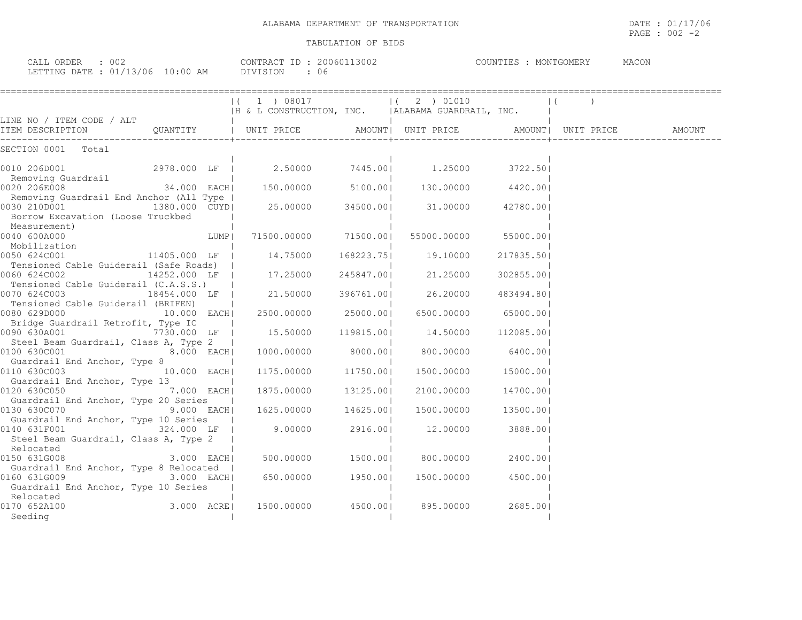| ALABAMA DEPARTMENT OF TRANSPORTATION | DATE<br>: 01/17/06   |
|--------------------------------------|----------------------|
|                                      | : 002<br>PAGE<br>$-$ |

| CALL ORDER : 002<br>LETTING DATE: 01/13/06 10:00 AM DIVISION : 06                                                                                                                                                                                                                                                                                                                                                                    |             |      | CONTRACT ID : 20060113002                                                                 |                                   |            | COUNTIES : MONTGOMERY MACON |        |
|--------------------------------------------------------------------------------------------------------------------------------------------------------------------------------------------------------------------------------------------------------------------------------------------------------------------------------------------------------------------------------------------------------------------------------------|-------------|------|-------------------------------------------------------------------------------------------|-----------------------------------|------------|-----------------------------|--------|
|                                                                                                                                                                                                                                                                                                                                                                                                                                      |             |      | $ (1) 08017$<br>$ (2) 01010$<br>$ H \& L \nconstrUCTION, INC.$<br>$ ALABAMA \nconstrURT.$ |                                   |            |                             |        |
| LINE NO / ITEM CODE / ALT                                                                                                                                                                                                                                                                                                                                                                                                            |             |      | QUANTITY   UNIT PRICE AMOUNT  UNIT PRICE AMOUNT  UNIT PRICE                               |                                   |            |                             | AMOUNT |
| SECTION 0001 Total                                                                                                                                                                                                                                                                                                                                                                                                                   |             |      |                                                                                           |                                   |            |                             |        |
| 0010 206D001<br>Removing Guardrail                                                                                                                                                                                                                                                                                                                                                                                                   |             |      | 2978.000 LF   2.50000 7445.00  1.25000                                                    |                                   | 3722.501   |                             |        |
| 0020 206E008                                                                                                                                                                                                                                                                                                                                                                                                                         |             |      | $34.000$ EACH $150.00000$ $5100.00$ $130.00000$ $4420.00$                                 |                                   |            |                             |        |
| Removing Guardrail End Anchor (All Type  <br>0030 210D001          1380.000 CUYD     25.00000    34500.00     31.00000    42780.00 <br>Borrow Excavation (Loose Truckbed                                                                                                                                                                                                                                                             |             |      |                                                                                           |                                   |            |                             |        |
| Measurement)<br>0040 600A000<br>Mobilization                                                                                                                                                                                                                                                                                                                                                                                         |             | LUMP |                                                                                           | 71500.00000 71500.00  55000.00000 | 55000.001  |                             |        |
| 0050 624C001<br>Tensioned Cable Guiderail (Safe Roads)                                                                                                                                                                                                                                                                                                                                                                               |             |      | 11405.000 LF   14.75000 168223.75  19.10000                                               |                                   | 217835.50  |                             |        |
| 0060 624C002<br>Tensioned Cable Guiderail (C.A.S.S.)                                                                                                                                                                                                                                                                                                                                                                                 |             |      | 14252.000 LF   17.25000 245847.00  21.25000                                               |                                   | 302855.001 |                             |        |
| 0070 624C003 18454.000 LF  <br>Tensioned Cable Guiderail (BRIFEN)                                                                                                                                                                                                                                                                                                                                                                    |             |      |                                                                                           | 21.50000 396761.00  26.20000      | 483494.80  |                             |        |
| 0080 629D000<br>Bridge Guardrail Retrofit, Type IC                                                                                                                                                                                                                                                                                                                                                                                   |             |      | $10.000$ EACH  2500.00000 25000.00                                                        | 6500.00000 65000.00               |            |                             |        |
| $0090$ 630A001 $7730.000$ LF   15.50000 119815.00  14.50000 112085.00 <br>Steel Beam Guardrail, Class A, Type 2                                                                                                                                                                                                                                                                                                                      |             |      |                                                                                           |                                   |            |                             |        |
| $\begin{bmatrix} . & . & . & . & . \\ 0.100 & 630 \text{ } \text{CO} & 0.0000 \end{bmatrix} \quad \begin{bmatrix} . & . & . & . \\ 0.000 & 0. & . & . \\ 0.000 & 0. & . & . \\ 0.000 & 0. & . & . \\ 0.000 & 0. & . & . \end{bmatrix} \quad \begin{bmatrix} . & . & . & . \\ 0. & . & . & . \\ 0. & . & . & . \\ 0. & . & . & . \\ 0. & . & . & . \\ 0. & . & . & . \\ 0. & . & . & . \end{bmatrix}$<br>Guardrail End Anchor, Type 8 |             |      |                                                                                           |                                   |            |                             |        |
| 0110 630C003<br>Guardrail End Anchor, Type 13                                                                                                                                                                                                                                                                                                                                                                                        | 10.000 EACH |      |                                                                                           | 1175.00000 11750.00  1500.00000   | 15000.001  |                             |        |
| $0120$ 630C050 $11$ 7.000 EACH 1875.00000 13125.00 2100.00000<br>Guardrail End Anchor, Type 20 Series                                                                                                                                                                                                                                                                                                                                |             |      |                                                                                           |                                   | 14700.001  |                             |        |
| 0130 630C070<br>Guardrail End Anchor, Type 10 Series                                                                                                                                                                                                                                                                                                                                                                                 |             |      | 9.000 EACH  1625.00000 14625.00  1500.00000 13500.00                                      |                                   |            |                             |        |
| $\begin{array}{cccccccccc} 0140 & 631 \text{F001} & & & & & 324.000 & \text{LF} & & & 9.00000 & & & 2916.00 & & & & 12.00000 & & & & 3888.00 & \end{array}$<br>Steel Beam Guardrail, Class A, Type 2                                                                                                                                                                                                                                 |             |      |                                                                                           |                                   |            |                             |        |
| Relocated<br>0150 631G008                                                                                                                                                                                                                                                                                                                                                                                                            |             |      | 3.000 EACH  500.00000 1500.00  800.00000                                                  |                                   | 2400.001   |                             |        |
| Guardrail End Anchor, Type 8 Relocated  <br>0160 631G009 and the state of the state of the state of the state of the state of the state of the state of th<br>Guardrail End Anchor, Type 10 Series                                                                                                                                                                                                                                   |             |      | 3.000 EACH  650.00000 1950.00  1500.00000                                                 |                                   | 4500.001   |                             |        |
| Relocated<br>0170 652A100<br>Seeding                                                                                                                                                                                                                                                                                                                                                                                                 |             |      | $3.000$ $ACRE$ 1500.00000 4500.000 895.00000 2685.00                                      |                                   |            |                             |        |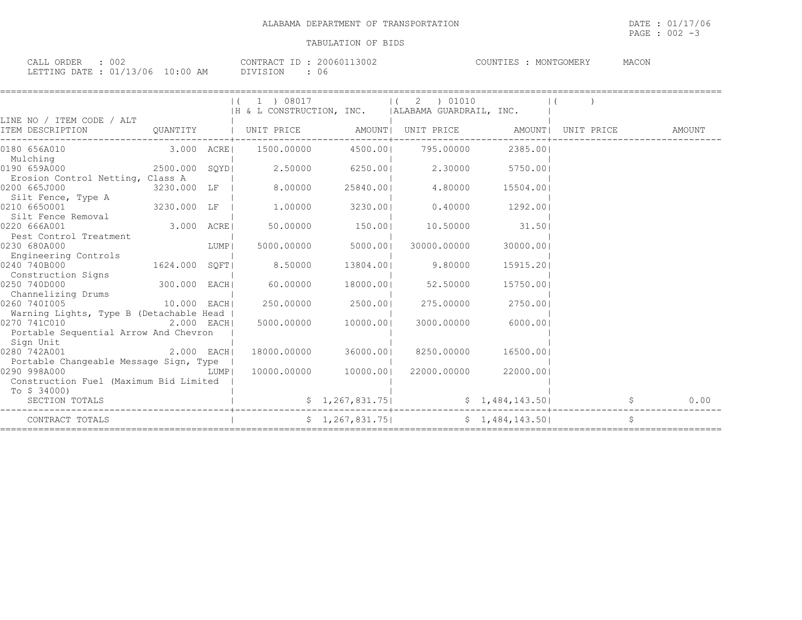PAGE : 002 -3

| 002<br>CALL ORDER                                                                                                                                   | 20060113002<br>CONTRACT ID : | MACON<br>COUNTIES<br>MONTGOMERY |
|-----------------------------------------------------------------------------------------------------------------------------------------------------|------------------------------|---------------------------------|
| LETTING DATE : 01/13/06 10:00 AM<br>the contract of the contract of the contract of the contract of the contract of the contract of the contract of | DIVISION<br>06               |                                 |

|                                                                                                                          |                | 1 ) 08017<br> H & L CONSTRUCTION, INC.   ALABAMA GUARDRAIL, INC. | $\overline{\phantom{a}}$ | 2 ) 01010                       |                       |        |
|--------------------------------------------------------------------------------------------------------------------------|----------------|------------------------------------------------------------------|--------------------------|---------------------------------|-----------------------|--------|
| LINE NO / ITEM CODE / ALT                                                                                                |                |                                                                  |                          |                                 |                       |        |
|                                                                                                                          |                |                                                                  |                          |                                 |                       | AMOUNT |
| 0180 656A010<br>Mulching                                                                                                 |                |                                                                  |                          | 4500.001 795.00000              | 2385.001              |        |
| 0190 659A000<br>Erosion Control Netting, Class A                                                                         | 2500.000 SOYDI |                                                                  |                          | 2.50000 6250.001 2.30000        | 5750.001              |        |
| 0200 665J000<br>Silt Fence, Type A                                                                                       | 3230.000 LF    | 8.00000                                                          | 25840.001                | 4.80000                         | 15504.00              |        |
| 0210 6650001                                                                                                             | 3230.000 LF    | $1.00000$ 3230.00                                                |                          | $0.40000$ 1292.00               |                       |        |
| Pest Control Treatment<br>3.000 ACRE<br>30 680A000<br>30 680A000<br>0220 666A001                                         |                | 50.00000                                                         | 150.00                   | 10.50000                        | 31.50                 |        |
| 0230 680A000<br>Engineering Controls                                                                                     |                | 5000.00000                                                       | 5000.001                 | 30000.00000                     | 30000.001             |        |
| 0240 740B000<br>1624.000 SQFT <br>Construction Signs                                                                     |                | 8.50000                                                          | 13804.00                 | 9.80000                         | 15915.201             |        |
| 300.000 EACH<br>0250 740D000<br>Channelizing Drums                                                                       |                | 60.00000                                                         | 18000.001                | 52.50000                        | 15750.001             |        |
| 10.000 EACH<br>0260 7401005<br>Warning Lights, Type B (Detachable Head                                                   |                | 250.00000                                                        | 2500.001                 | 275.00000                       | 2750.001              |        |
| $2.000$ EACH<br>0270 741C010<br>Portable Sequential Arrow And Chevron<br>Sign Unit                                       |                |                                                                  | 5000.00000 10000.001     | 3000.00000                      | 6000.001              |        |
| 0280 742A001<br>Portable Changeable Message Sign, Type                                                                   | $2.000$ EACH   |                                                                  | 18000.00000 36000.001    | 8250.00000                      | 16500.001             |        |
| 0290 998A000<br>$\begin{array}{c}\n\text{LUMP} \\ \end{array}$<br>Construction Fuel (Maximum Bid Limited<br>To \$ 34000) |                |                                                                  | 10000.00000 10000.00     |                                 | 22000.00000 22000.001 |        |
| SECTION TOTALS                                                                                                           |                |                                                                  |                          | $$1,267,831.75$ $$1,484,143.50$ |                       | 0.00   |
| CONTRACT TOTALS                                                                                                          |                |                                                                  |                          | $$1,267,831.75$ $$1,484,143.50$ |                       | \$     |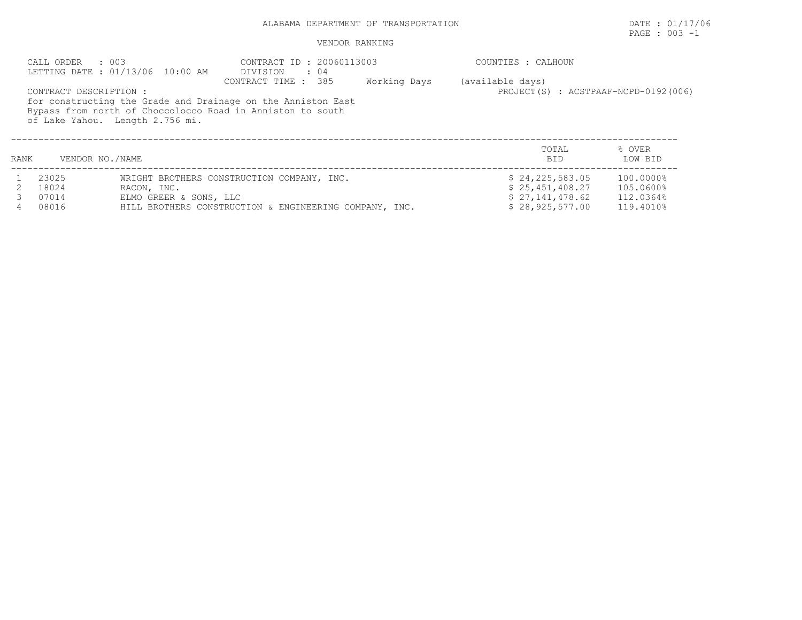# ALABAMA DEPARTMENT OF TRANSPORTATION **DATE** : 01/17/06

# PAGE : 003 -1

#### VENDOR RANKING

|      | CALL ORDER : 003       | LETTING DATE : 01/13/06 10:00 AM | CONTRACT ID: 20060113003<br>DIVISION<br>$\therefore$ 04                                                                                           |              | COUNTIES : CALHOUN                                       |                   |
|------|------------------------|----------------------------------|---------------------------------------------------------------------------------------------------------------------------------------------------|--------------|----------------------------------------------------------|-------------------|
|      | CONTRACT DESCRIPTION : | of Lake Yahou. Length 2.756 mi.  | CONTRACT TIME : 385<br>for constructing the Grade and Drainage on the Anniston East<br>Bypass from north of Choccolocco Road in Anniston to south | Working Days | (available days)<br>PROJECT(S) : ACSTPAAF-NCPD-0192(006) |                   |
| RANK | VENDOR NO./NAME        |                                  |                                                                                                                                                   |              | TOTAL<br><b>BID</b>                                      | % OVER<br>LOW BID |
|      | 23025                  |                                  | WRIGHT BROTHERS CONSTRUCTION COMPANY, INC.                                                                                                        |              | \$24,225,583.05                                          | 100.0000%         |
|      | 18024                  | RACON, INC.                      |                                                                                                                                                   |              | \$25,451,408.27                                          | 105.0600%         |
|      | 07014                  | ELMO GREER & SONS, LLC           |                                                                                                                                                   |              | \$27,141,478.62                                          | 112.0364%         |
|      | 08016                  |                                  | HILL BROTHERS CONSTRUCTION & ENGINEERING COMPANY, INC.                                                                                            |              | \$28,925,577.00                                          | 119.4010%         |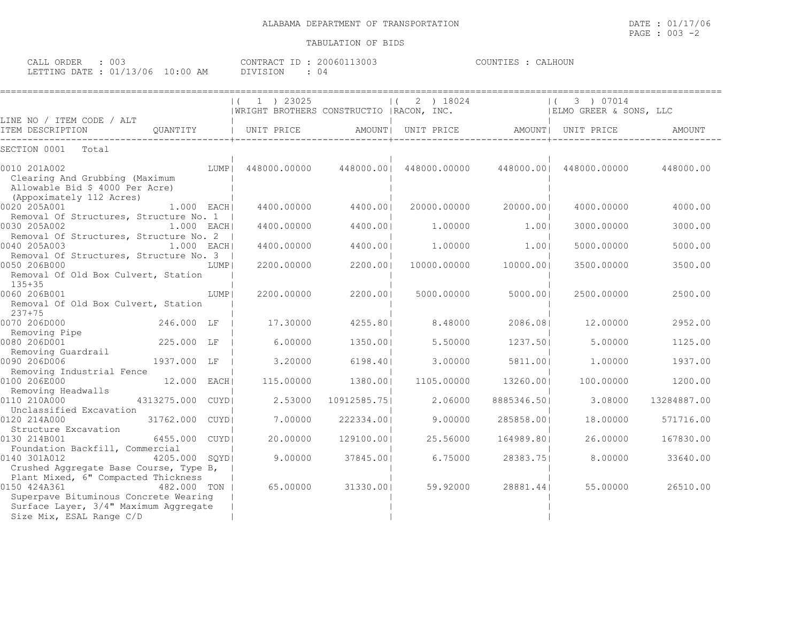| 003<br>ORDER<br>$\sim$ $\sim$ $\sim$ $\sim$<br>ىلىلAپ |                     | 13003<br>CONTRACT<br>$3006011$   | :ALHOUN<br>COUNTIES |
|-------------------------------------------------------|---------------------|----------------------------------|---------------------|
| 01/13/06<br>LETTING DATE :                            | $10 \cdot 00$<br>AΜ | "SION<br>דלדת<br>$\cup$ $\omega$ |                     |

|                                                                                                                                                                   |                 |             | 1 ) 23025<br>  WRIGHT BROTHERS CONSTRUCTIO   RACON, INC. |             | 2 ) 18024               |             | 3 ) 07014<br>$\vert$ (<br>  ELMO GREER & SONS, LLC |             |
|-------------------------------------------------------------------------------------------------------------------------------------------------------------------|-----------------|-------------|----------------------------------------------------------|-------------|-------------------------|-------------|----------------------------------------------------|-------------|
| LINE NO / ITEM CODE / ALT<br>ITEM DESCRIPTION                                                                                                                     | QUANTITY        |             | UNIT PRICE                                               |             | AMOUNT  UNIT PRICE      | AMOUNT      | UNIT PRICE                                         | AMOUNT      |
| SECTION 0001<br>Total                                                                                                                                             |                 |             |                                                          |             |                         |             |                                                    |             |
| 0010 201A002<br>Clearing And Grubbing (Maximum<br>Allowable Bid \$ 4000 Per Acre)<br>(Appoximately 112 Acres)                                                     |                 | LUMP        | 448000.00000                                             |             | 448000.00  448000.00000 |             | 448000.00  448000.00000                            | 448000.00   |
| 0020 205A001                                                                                                                                                      | 1.000 EACH      |             | 4400.00000                                               | 4400.001    | 20000.00000             | 20000.001   | 4000.00000                                         | 4000.00     |
| Removal Of Structures, Structure No. 1  <br>0030 205A002<br>Removal Of Structures, Structure No. 2                                                                | 1.000 EACHI     |             | 4400.00000                                               | 4400.001    | 1,00000                 | 1.001       | 3000.00000                                         | 3000.00     |
| 0040 205A003<br>Removal Of Structures, Structure No. 3                                                                                                            | $1.000$ EACHI   |             | 4400.00000                                               | 4400.001    | 1,00000                 | 1.001       | 5000.00000                                         | 5000.00     |
| 0050 206B000<br>Removal Of Old Box Culvert, Station<br>$135+35$                                                                                                   |                 | LUMP        | 2200.00000                                               | 2200.001    | 10000.00000             | 10000.001   | 3500.00000                                         | 3500.00     |
| 0060 206B001<br>Removal Of Old Box Culvert, Station<br>$237 + 75$                                                                                                 |                 | LUMP        | 2200.00000                                               | 2200.001    | 5000.00000              | 5000.001    | 2500.00000                                         | 2500.00     |
| 0070 206D000<br>Removing Pipe                                                                                                                                     | 246.000 LF      |             | 17.30000                                                 | 4255.801    | 8.48000                 | 2086.081    | 12,00000                                           | 2952.00     |
| 0080 206D001<br>Removing Guardrail                                                                                                                                | 225.000 LF      |             | 6.00000                                                  | 1350.001    | 5.50000                 | 1237.501    | 5.00000                                            | 1125.00     |
| 0090 206D006<br>Removing Industrial Fence                                                                                                                         | 1937.000 LF     |             | 3,20000                                                  | 6198.401    | 3,00000                 | 5811.001    | 1,00000                                            | 1937.00     |
| 0100 206E000<br>Removing Headwalls                                                                                                                                | 12.000          | EACH        | 115,00000                                                | 1380.001    | 1105.00000              | 13260.001   | 100,00000                                          | 1200.00     |
| 0110 210A000<br>Unclassified Excavation                                                                                                                           | 4313275.000     | <b>CUYD</b> | 2.53000                                                  | 10912585.75 | 2.06000                 | 8885346.501 | 3.08000                                            | 13284887.00 |
| 0120 214A000<br>Structure Excavation                                                                                                                              | 31762.000 CUYDI |             | 7.00000                                                  | 222334.001  | 9.00000                 | 285858.001  | 18,00000                                           | 571716.00   |
| 0130 214B001                                                                                                                                                      | 6455.000        | <b>CUYD</b> | 20,00000                                                 | 129100.001  | 25.56000                | 164989.801  | 26.00000                                           | 167830.00   |
| Foundation Backfill, Commercial<br>0140 301A012<br>Crushed Aggregate Base Course, Type B,                                                                         | 4205.000        | SOYD        | 9.00000                                                  | 37845.001   | 6.75000                 | 28383.751   | 8,00000                                            | 33640.00    |
| Plant Mixed, 6" Compacted Thickness<br>0150 424A361<br>Superpave Bituminous Concrete Wearing<br>Surface Layer, 3/4" Maximum Aggregate<br>Size Mix, ESAL Range C/D | 482,000 TON     |             | 65.00000                                                 | 31330.001   | 59.92000                | 28881.441   | 55.00000                                           | 26510.00    |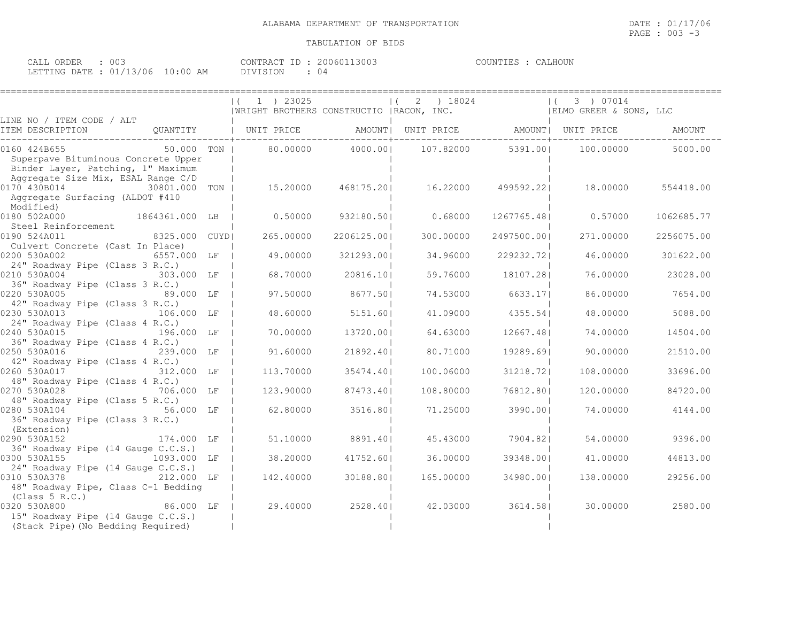| ORDER<br>CALL                    | 003 | CONTRACT ID     | 20060113003 | CALHOUN<br>COUNTIES |
|----------------------------------|-----|-----------------|-------------|---------------------|
| LETTING DATE : 01/13/06 10:00 AM |     | <b>DIVISION</b> | () 4        |                     |

|                                                               |                                                                                  |             |                                           | =============== |                        |               |
|---------------------------------------------------------------|----------------------------------------------------------------------------------|-------------|-------------------------------------------|-----------------|------------------------|---------------|
|                                                               | $1$ ) 23025                                                                      |             | 2 ) 18024                                 |                 | 3 ) 07014              |               |
|                                                               |                                                                                  |             | WRIGHT BROTHERS CONSTRUCTIO   RACON, INC. |                 | ELMO GREER & SONS, LLC |               |
| LINE NO / ITEM CODE / ALT                                     |                                                                                  |             |                                           |                 |                        |               |
| ITEM DESCRIPTION                                              | QUANTITY   UNIT PRICE          AMOUNT   UNIT PRICE           AMOUNT   UNIT PRICE |             |                                           |                 |                        | <b>AMOUNT</b> |
| 0160 424B655<br>50.000 TON                                    | 80.00000                                                                         | 4000.001    | 107.82000                                 | 5391.001        | 100.00000              | 5000.00       |
| Superpave Bituminous Concrete Upper                           |                                                                                  |             |                                           |                 |                        |               |
| Binder Layer, Patching, 1" Maximum                            |                                                                                  |             |                                           |                 |                        |               |
| Aggregate Size Mix, ESAL Range C/D                            |                                                                                  |             |                                           |                 |                        |               |
| 0170 430B014<br>30801.000 TON                                 | 15.20000                                                                         | 468175.201  | 16.22000                                  | 499592.221      | 18.00000               | 554418.00     |
| Aggregate Surfacing (ALDOT #410                               |                                                                                  |             |                                           |                 |                        |               |
| Modified)                                                     |                                                                                  |             |                                           |                 |                        |               |
| 0180 502A000<br>1864361.000 LB                                | 0.50000                                                                          | 932180.501  | 0.68000                                   | 1267765.481     | 0.57000                | 1062685.77    |
| Steel Reinforcement                                           |                                                                                  |             |                                           |                 |                        |               |
| 0190 524A011<br>8325.000 CUYD                                 | 265,00000                                                                        | 2206125.001 | 300,00000                                 | 2497500.001     | 271,00000              | 2256075.00    |
| Culvert Concrete (Cast In Place)                              |                                                                                  |             |                                           |                 |                        |               |
| 0200 530A002<br>6557.000 LF                                   | 49.00000                                                                         | 321293.001  | 34,96000                                  | 229232.721      | 46,00000               | 301622.00     |
| 24" Roadway Pipe (Class 3 R.C.)<br>0210 530A004<br>303.000 LF | 68.70000                                                                         | 20816.10    | 59.76000                                  | 18107.281       | 76,00000               | 23028.00      |
| 36" Roadway Pipe (Class 3 R.C.)                               |                                                                                  |             |                                           |                 |                        |               |
| 0220 530A005<br>89.000 LF                                     | 97.50000                                                                         | 8677.501    | 74.53000                                  | 6633.171        | 86.00000               | 7654.00       |
| 42" Roadway Pipe (Class 3 R.C.)                               |                                                                                  |             |                                           |                 |                        |               |
| 0230 530A013<br>106.000 LF                                    | 48.60000                                                                         | 5151.601    | 41.09000                                  | 4355.541        | 48,00000               | 5088.00       |
| 24" Roadway Pipe (Class 4 R.C.)                               |                                                                                  |             |                                           |                 |                        |               |
| 0240 530A015<br>196.000 LF                                    | 70,00000                                                                         | 13720.001   | 64.63000                                  | 12667.481       | 74,00000               | 14504.00      |
| 36" Roadway Pipe (Class 4 R.C.)                               |                                                                                  |             |                                           |                 |                        |               |
| 0250 530A016<br>239.000 LF                                    | 91,60000                                                                         | 21892.401   | 80.71000                                  | 19289.691       | 90.00000               | 21510.00      |
| 42" Roadway Pipe (Class 4 R.C.)                               |                                                                                  |             |                                           |                 |                        |               |
| 0260 530A017 312.000 LF                                       | 113,70000                                                                        | 35474.401   | 100.06000                                 | 31218.721       | 108,00000              | 33696.00      |
| 48" Roadway Pipe (Class 4 R.C.)                               |                                                                                  |             |                                           |                 |                        |               |
| 706.000 LF<br>0270 530A028                                    | 123.90000                                                                        | 87473.401   | 108,80000                                 | 76812.801       | 120,00000              | 84720.00      |
| 48" Roadway Pipe (Class 5 R.C.)                               |                                                                                  |             |                                           |                 |                        |               |
| 0280 530A104<br>56.000 LF                                     | 62,80000                                                                         | 3516.801    | 71.25000                                  | 3990.001        | 74.00000               | 4144.00       |
| 36" Roadway Pipe (Class 3 R.C.)                               |                                                                                  |             |                                           |                 |                        |               |
| (Extension)                                                   |                                                                                  |             |                                           |                 |                        |               |
| 0290 530A152<br>174.000 LF                                    | 51.10000                                                                         | 8891.401    | 45.43000                                  | 7904.821        | 54.00000               | 9396.00       |
| 36" Roadway Pipe (14 Gauge C.C.S.)                            |                                                                                  |             |                                           |                 |                        |               |
| 0300 530A155<br>1093.000 LF                                   | 38,20000                                                                         | 41752.601   | 36,00000                                  | 39348.001       | 41,00000               | 44813.00      |
| 24" Roadway Pipe (14 Gauge C.C.S.)<br>0310 530A378 212.000 LF | 142,40000                                                                        | 30188.801   | 165.00000                                 | 34980.001       | 138.00000              | 29256.00      |
| 48" Roadway Pipe, Class C-1 Bedding                           |                                                                                  |             |                                           |                 |                        |               |
| (Class 5 R.C.)                                                |                                                                                  |             |                                           |                 |                        |               |
| 86.000 LF<br>0320 530A800                                     | 29,40000                                                                         | 2528.401    | 42.03000                                  | 3614.581        | 30,00000               | 2580.00       |
| 15" Roadway Pipe (14 Gauge C.C.S.)                            |                                                                                  |             |                                           |                 |                        |               |
| (Stack Pipe) (No Bedding Required)                            |                                                                                  |             |                                           |                 |                        |               |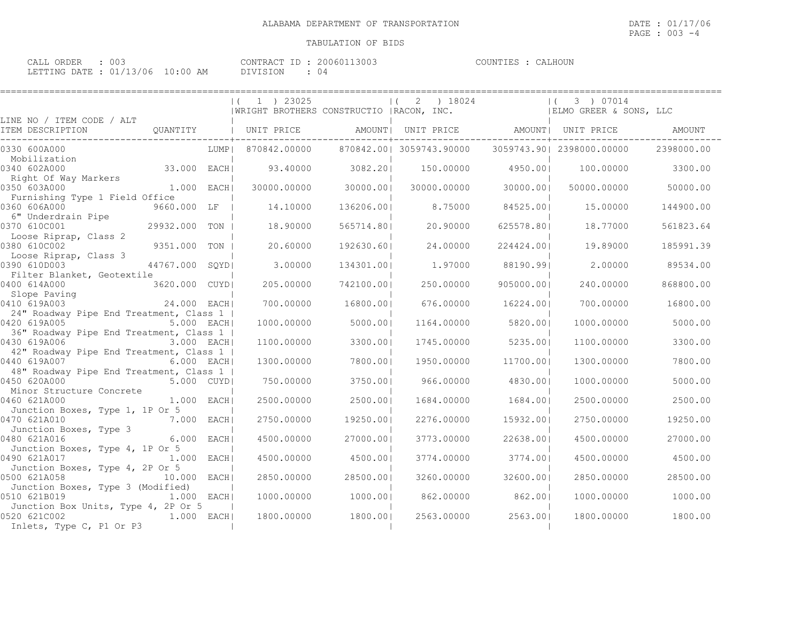| ORDER<br>CALL | ∩∩′<br>ししこ       |             | CONTRACT<br>TD. | 13003<br>200601 | COUNTIES<br>TER | CALHOUN |
|---------------|------------------|-------------|-----------------|-----------------|-----------------|---------|
| LETTING DATE  | $\cdot$ 01/13/06 | 10:00<br>AM | DIVISION        | () 4            |                 |         |

|                                                                          | $(1)$ 1 ) 23025 |            | $(2)$ 18024<br>  WRIGHT BROTHERS CONSTRUCTIO   RACON, INC. |            | 3 ) 07014<br>  ELMO GREER & SONS, LLC |            |
|--------------------------------------------------------------------------|-----------------|------------|------------------------------------------------------------|------------|---------------------------------------|------------|
| LINE NO / ITEM CODE / ALT                                                |                 |            |                                                            |            |                                       |            |
| ITEM DESCRIPTION                                                         |                 |            |                                                            |            |                                       |            |
| 0330 600A000<br>LUMP                                                     | 870842.00000    |            | 870842.00  3059743.90000                                   |            | 3059743.90  2398000.00000             | 2398000.00 |
| Mobilization<br>33.000 EACH<br>0340 602A000                              | 93.40000        | 3082.201   | 150.00000                                                  | 4950.001   | 100,00000                             | 3300.00    |
| Right Of Way Markers<br>0350 603A000<br>$1.000$ EACH                     | 30000.00000     | 30000.001  | 30000.00000                                                | 30000.001  | 50000.00000                           | 50000.00   |
| Furnishing Type 1 Field Office<br>0360 606A000<br>9660.000 LF            | 14.10000        | 136206.001 | 8.75000                                                    | 84525.001  | 15,00000                              | 144900.00  |
| 6" Underdrain Pipe<br>0370 610C001<br>29932.000 TON                      | 18.90000        | 565714.801 | 20.90000                                                   | 625578.80  | 18,77000                              | 561823.64  |
| Loose Riprap, Class 2<br>0380 610C002<br>9351.000 TON                    | 20,60000        | 192630.601 | 24.00000                                                   | 224424.001 | 19.89000                              | 185991.39  |
| Loose Riprap, Class 3<br>0390 610D003<br>44767.000 SOYDI                 | 3,00000         | 134301.001 | 1,97000                                                    | 88190.991  | 2,00000                               | 89534.00   |
| Filter Blanket, Geotextile                                               |                 |            |                                                            |            |                                       |            |
| 0400 614A000<br>3620.000 CUYDI<br>Slope Paving                           | 205.00000       | 742100.001 | 250.00000                                                  | 905000.001 | 240.00000                             | 868800.00  |
| 0410 619A003<br>24.000 EACHI<br>24" Roadway Pipe End Treatment, Class 1  | 700,00000       | 16800.001  | 676,00000                                                  | 16224.001  | 700,00000                             | 16800.00   |
| 0420 619A005<br>5.000 EACH <br>36" Roadway Pipe End Treatment, Class 1   | 1000.00000      | 5000.001   | 1164.00000                                                 | 5820.001   | 1000.00000                            | 5000.00    |
| 0430 619A006<br>3.000 EACHI<br>42" Roadway Pipe End Treatment, Class 1   | 1100,00000      | 3300.001   | 1745.00000                                                 | 5235.001   | 1100,00000                            | 3300.00    |
| 0440 619A007<br>6.000 EACH                                               | 1300.00000      | 7800.001   | 1950.00000                                                 | 11700.001  | 1300.00000                            | 7800.00    |
| 48" Roadway Pipe End Treatment, Class 1  <br>0450 620A000<br>5.000 CUYDI | 750.00000       | 3750.001   | 966,00000                                                  | 4830.001   | 1000.00000                            | 5000.00    |
| Minor Structure Concrete<br>0460 621A000<br>1.000 EACH                   | 2500.00000      | 2500.001   | 1684.00000                                                 | 1684.00    | 2500.00000                            | 2500.00    |
| Junction Boxes, Type 1, 1P Or 5<br>0470 621A010<br>7.000 EACH            | 2750.00000      | 19250.00   | 2276.00000                                                 | 15932.001  | 2750.00000                            | 19250.00   |
| Junction Boxes, Type 3<br>0480 621A016<br>6.000 EACHI                    | 4500.00000      | 27000.001  | 3773.00000                                                 | 22638.001  | 4500.00000                            | 27000.00   |
| Junction Boxes, Type 4, 1P Or 5<br>0490 621A017<br>$1.000$ EACH          | 4500.00000      | 4500.001   | 3774.00000                                                 | 3774.001   | 4500.00000                            | 4500.00    |
| Junction Boxes, Type 4, 2P Or 5<br>0500 621A058<br>10.000 EACH           | 2850.00000      | 28500.001  | 3260.00000                                                 | 32600.001  | 2850.00000                            | 28500.00   |
| Junction Boxes, Type 3 (Modified)                                        |                 |            |                                                            |            |                                       |            |
| 0510 621B019<br>1,000 EACH <br>Junction Box Units, Type 4, 2P Or 5       | 1000.00000      | 1000.00    | 862,00000                                                  | 862.001    | 1000.00000                            | 1000.00    |
| 0520 621C002<br>$1.000$ EACHI<br>Inlets, Type C, P1 Or P3                | 1800,00000      | 1800.001   | 2563.00000                                                 | 2563.001   | 1800,00000                            | 1800.00    |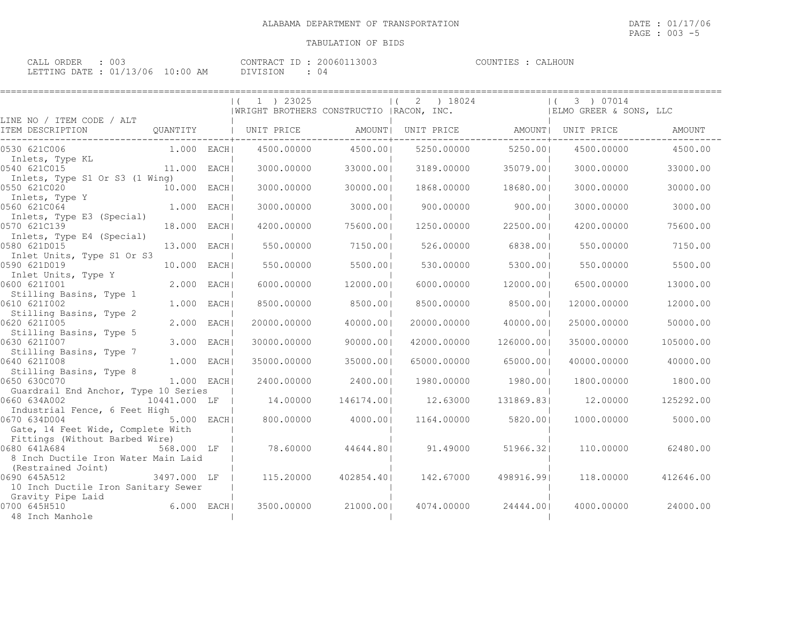| CALL ORDER : 003                 |  |          | CONTRACT ID: 20060113003 | COUNTIES : CALHOUN |
|----------------------------------|--|----------|--------------------------|--------------------|
| LETTING DATE : 01/13/06 10:00 AM |  | DIVISION |                          |                    |

|                                                                                     |               | $(1)$ 1 $)$ 23025<br>  WRIGHT BROTHERS CONSTRUCTIO   RACON, INC. |            | 2<br>) 18024<br>$\left  \right $ ( |            | 3 ) 07014<br>$\vert$ (<br>  ELMO GREER & SONS, LLC |           |
|-------------------------------------------------------------------------------------|---------------|------------------------------------------------------------------|------------|------------------------------------|------------|----------------------------------------------------|-----------|
| LINE NO / ITEM CODE / ALT<br>ITEM DESCRIPTION                                       | QUANTITY      | UNIT PRICE                                                       |            | AMOUNT  UNIT PRICE                 |            | AMOUNT  UNIT PRICE                                 | AMOUNT    |
| 0530 621C006                                                                        | $1.000$ EACH  | 4500.00000                                                       | 4500.00    | 5250.00000                         | 5250.00    | 4500.00000                                         | 4500.00   |
| Inlets, Type KL<br>0540 621C015                                                     | 11.000 EACH   | 3000.00000                                                       | 33000.001  | 3189.00000                         | 35079.001  | 3000.00000                                         | 33000.00  |
| Inlets, Type S1 Or S3 (1 Wing)<br>0550 621C020                                      | 10.000 EACH   | 3000,00000                                                       | 30000.001  | 1868.00000                         | 18680.001  | 3000.00000                                         | 30000.00  |
| Inlets, Type Y<br>0560 621C064                                                      | $1.000$ EACH  | 3000.00000                                                       | 3000.001   | 900.00000                          | 900.001    | 3000.00000                                         | 3000.00   |
| Inlets, Type E3 (Special)<br>0570 621C139                                           | 18.000 EACH   | 4200,00000                                                       | 75600.001  | 1250.00000                         | 22500.001  | 4200.00000                                         | 75600.00  |
| Inlets, Type E4 (Special)<br>0580 621D015                                           | 13.000 EACHI  | 550.00000                                                        | 7150.001   | 526.00000                          | 6838.001   | 550.00000                                          | 7150.00   |
| Inlet Units, Type S1 Or S3<br>0590 621D019                                          | 10.000 EACH   | 550.00000                                                        | 5500.001   | 530.00000                          | 5300.001   | 550.00000                                          | 5500.00   |
| Inlet Units, Type Y<br>0600 6211001                                                 | 2.000 EACH    | 6000,00000                                                       | 12000.00   | 6000.00000                         | 12000.001  | 6500,00000                                         | 13000.00  |
| Stilling Basins, Type 1                                                             |               |                                                                  | 8500.001   |                                    | 8500.001   |                                                    |           |
| 0610 6211002<br>Stilling Basins, Type 2                                             | $1.000$ EACHI | 8500.00000                                                       |            | 8500.00000                         |            | 12000.00000                                        | 12000.00  |
| 0620 621I005<br>Stilling Basins, Type 5                                             | 2.000 EACH    | 20000.00000                                                      | 40000.001  | 20000.00000                        | 40000.001  | 25000.00000                                        | 50000.00  |
| 0630 621I007<br>Stilling Basins, Type 7                                             | 3.000 EACH    | 30000.00000                                                      | 90000.001  | 42000.00000                        | 126000.001 | 35000.00000                                        | 105000.00 |
| 0640 621I008<br>Stilling Basins, Type 8                                             | 1.000 EACHI   | 35000.00000                                                      | 35000.001  | 65000.00000                        | 65000.001  | 40000.00000                                        | 40000.00  |
| 0650 630C070<br>Guardrail End Anchor, Type 10 Series                                | $1.000$ EACHI | 2400.00000                                                       | 2400.001   | 1980.00000                         | 1980.001   | 1800,00000                                         | 1800.00   |
| 0660 634A002<br>Industrial Fence, 6 Feet High                                       | 10441.000 LF  | 14,00000                                                         | 146174.001 | 12.63000                           | 131869.831 | 12,00000                                           | 125292.00 |
| 0670 634D004                                                                        | 5.000 EACH    | 800,00000                                                        | 4000.001   | 1164.00000                         | 5820.001   | 1000.00000                                         | 5000.00   |
| Gate, 14 Feet Wide, Complete With<br>Fittings (Without Barbed Wire)<br>0680 641A684 | 568.000 LF    | 78.60000                                                         | 44644.801  | 91.49000                           | 51966.321  | 110.00000                                          | 62480.00  |
| 8 Inch Ductile Iron Water Main Laid                                                 |               |                                                                  |            |                                    |            |                                                    |           |
| (Restrained Joint)<br>0690 645A512                                                  | 3497.000 LF   | 115,20000                                                        | 402854.401 | 142.67000                          | 498916.991 | 118,00000                                          | 412646.00 |
| 10 Inch Ductile Iron Sanitary Sewer<br>Gravity Pipe Laid                            |               |                                                                  |            |                                    |            |                                                    |           |
| 0700 645H510<br>48 Inch Manhole                                                     | 6.000 EACH    | 3500,00000                                                       | 21000.001  | 4074.00000                         | 24444.001  | 4000.00000                                         | 24000.00  |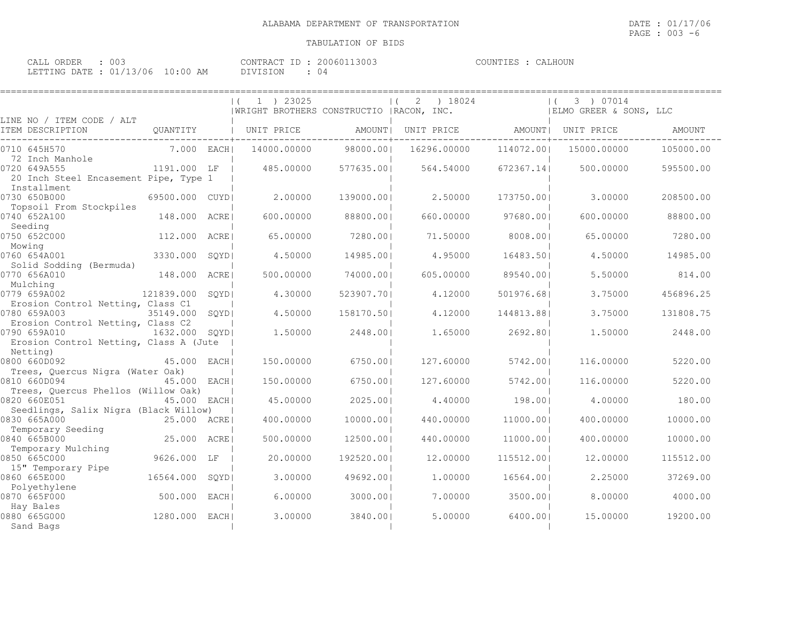| ∩∩′<br>$\sim$ $\sim$ $\sim$ $\sim$<br>ORDER<br>JALL<br>ししこ |             | CONTRACT        | 13003<br>200601 | `ALHOUN<br>COUNTIES |
|------------------------------------------------------------|-------------|-----------------|-----------------|---------------------|
| $01/13/06$ iv.<br>LETTING DATE .                           | LO:00<br>AM | <b>DIVISION</b> | ()              |                     |

|                                                                      |               | 1 ) 23025<br>  WRIGHT BROTHERS CONSTRUCTIO   RACON, INC. |             | 18024<br>2 |             | 3 ) 07014<br>  ELMO GREER & SONS, LLC |             |               |
|----------------------------------------------------------------------|---------------|----------------------------------------------------------|-------------|------------|-------------|---------------------------------------|-------------|---------------|
| LINE NO / ITEM CODE / ALT<br>ITEM DESCRIPTION                        | QUANTITY      |                                                          | UNIT PRICE  | AMOUNT     | UNIT PRICE  | AMOUNT                                | UNIT PRICE  | <b>AMOUNT</b> |
| 0710 645H570<br>72 Inch Manhole                                      | 7.000 EACH    |                                                          | 14000.00000 | 98000.001  | 16296.00000 | 114072.001                            | 15000.00000 | 105000.00     |
| 0720 649A555<br>20 Inch Steel Encasement Pipe, Type 1<br>Installment | 1191.000 LF   |                                                          | 485.00000   | 577635.001 | 564.54000   | 672367.141                            | 500.00000   | 595500.00     |
| 0730 650B000<br>Topsoil From Stockpiles                              | 69500.000     | CUYD                                                     | 2.00000     | 139000.001 | 2.50000     | 173750.001                            | 3,00000     | 208500.00     |
| 0740 652A100<br>Seeding                                              | 148.000       | ACRE                                                     | 600,00000   | 88800.001  | 660,00000   | 97680.001                             | 600,00000   | 88800.00      |
| 0750 652C000                                                         | 112,000       | ACRE                                                     | 65.00000    | 7280.001   | 71.50000    | 8008.001                              | 65.00000    | 7280.00       |
| Mowing<br>0760 654A001                                               | 3330.000      | SQYD                                                     | 4.50000     | 14985.001  | 4.95000     | 16483.501                             | 4.50000     | 14985.00      |
| Solid Sodding (Bermuda)<br>0770 656A010<br>Mulching                  | 148.000       | ACRE                                                     | 500.00000   | 74000.001  | 605.00000   | 89540.001                             | 5.50000     | 814.00        |
| 0779 659A002<br>Erosion Control Netting, Class C1                    | 121839.000    | SOYD                                                     | 4.30000     | 523907.701 | 4.12000     | 501976.681                            | 3.75000     | 456896.25     |
| 0780 659A003<br>Erosion Control Netting, Class C2                    | 35149.000     | SOYD                                                     | 4.50000     | 158170.501 | 4.12000     | 144813.881                            | 3.75000     | 131808.75     |
| 0790 659A010<br>Erosion Control Netting, Class A (Jute               | 1632.000 SOYD |                                                          | 1,50000     | 2448.001   | 1.65000     | 2692.801                              | 1,50000     | 2448.00       |
| Netting)<br>0800 660D092                                             | 45.000        | EACH                                                     | 150.00000   | 6750.001   | 127.60000   | 5742.001                              | 116.00000   | 5220.00       |
| Trees, Quercus Nigra (Water Oak)<br>0810 660D094                     | 45.000 EACH   |                                                          | 150.00000   | 6750.001   | 127.60000   | 5742.001                              | 116.00000   | 5220.00       |
| Trees, Quercus Phellos (Willow Oak)<br>0820 660E051                  | 45.000 EACH   |                                                          | 45.00000    | 2025.001   | 4.40000     | 198.001                               | 4,00000     | 180.00        |
| Seedlings, Salix Nigra (Black Willow)<br>0830 665A000                | 25.000 ACRE   |                                                          | 400.00000   | 10000.001  | 440.00000   | 11000.001                             | 400.00000   | 10000.00      |
| Temporary Seeding<br>0840 665B000                                    | 25.000 ACRE   |                                                          | 500.00000   | 12500.001  | 440.00000   | 11000.001                             | 400.00000   | 10000.00      |
| Temporary Mulching<br>0850 665C000                                   | 9626.000 LF   |                                                          | 20.00000    | 192520.001 | 12,00000    | 115512.001                            | 12.00000    | 115512.00     |
| 15" Temporary Pipe<br>0860 665E000                                   | 16564.000     | SOYD                                                     | 3.00000     | 49692.001  | 1,00000     | 16564.001                             | 2.25000     | 37269.00      |
| Polyethylene<br>0870 665F000                                         | 500.000       | EACH                                                     | 6.00000     | 3000.001   | 7.00000     | 3500.001                              | 8,00000     | 4000.00       |
| Hay Bales<br>0880 665G000<br>Sand Bags                               | 1280.000      | EACH                                                     | 3.00000     | 3840.001   | 5.00000     | 6400.001                              | 15.00000    | 19200.00      |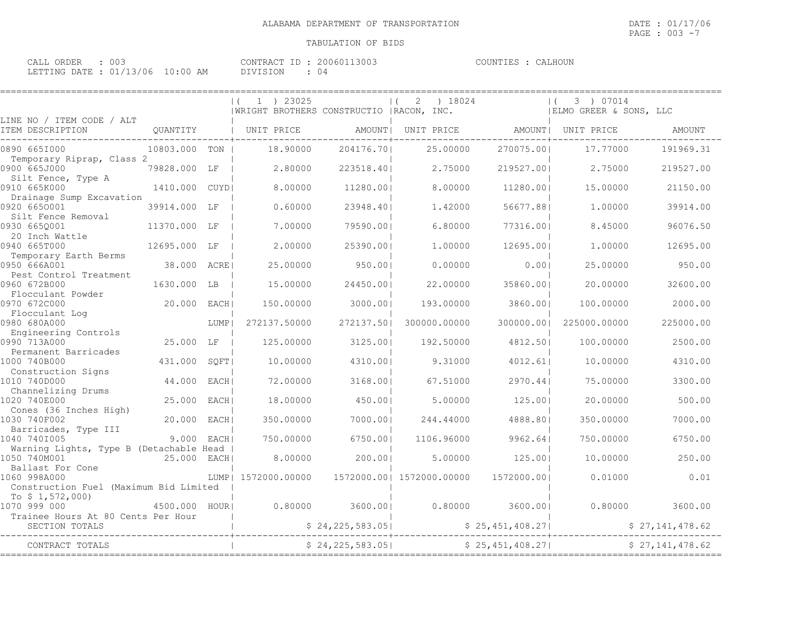| ∩∩′<br>$\sim$ $\sim$ $\sim$ $\sim$<br>ORDER<br>JALL<br>ししこ |             | CONTRACT        | 13003<br>200601 | `ALHOUN<br>COUNTIES |
|------------------------------------------------------------|-------------|-----------------|-----------------|---------------------|
| $01/13/06$ iv.<br>LETTING DATE .                           | LO:00<br>AM | <b>DIVISION</b> | ()              |                     |

|                                                            |                |        | 1 ) 23025<br>  WRIGHT BROTHERS CONSTRUCTIO   RACON, INC. |                   | ) 18024                   |                 | 3 ) 07014<br>  ELMO GREER & SONS, LLC |                 |
|------------------------------------------------------------|----------------|--------|----------------------------------------------------------|-------------------|---------------------------|-----------------|---------------------------------------|-----------------|
| LINE NO / ITEM CODE / ALT<br>ITEM DESCRIPTION              | QUANTITY       |        | UNIT PRICE                                               | AMOUNT            | UNIT PRICE                |                 | AMOUNT  UNIT PRICE                    | AMOUNT          |
| 0890 6651000                                               | 10803.000 TON  |        | 18,90000                                                 | 204176.70         | 25.00000                  | 270075.001      | 17.77000                              | 191969.31       |
| Temporary Riprap, Class 2<br>0900 665J000                  | 79828.000 LF   |        | 2.80000                                                  | 223518.40         | 2.75000                   | 219527.001      | 2.75000                               | 219527.00       |
| Silt Fence, Type A<br>0910 665K000                         | 1410.000       | CUYD   | 8,00000                                                  | 11280.001         | 8,00000                   | 11280.001       | 15,00000                              | 21150.00        |
| Drainage Sump Excavation<br>0920 6650001                   | 39914.000      | LF     | 0.60000                                                  | 23948.401         | 1,42000                   | 56677.881       | 1,00000                               | 39914.00        |
| Silt Fence Removal<br>0930 6650001                         | 11370.000 LF   |        | 7.00000                                                  | 79590.001         | 6.80000                   | 77316.001       | 8.45000                               | 96076.50        |
| 20 Inch Wattle<br>0940 665T000                             | 12695.000 LF   |        | 2,00000                                                  | 25390.001         | 1,00000                   | 12695.001       | 1,00000                               | 12695.00        |
| Temporary Earth Berms<br>0950 666A001                      | 38.000 ACRE    |        | 25.00000                                                 | 950.001           | 0.00000                   | 0.001           | 25,00000                              | 950.00          |
| Pest Control Treatment<br>0960 672B000                     | 1630.000 LB    |        | 15.00000                                                 | 24450.001         | 22.00000                  | 35860.001       | 20,00000                              | 32600.00        |
| Flocculant Powder<br>0970 672C000                          | 20.000 EACH    |        | 150.00000                                                | 3000.001          | 193.00000                 | 3860.001        | 100,00000                             | 2000.00         |
| Flocculant Log<br>0980 680A000                             |                | LUMP   | 272137.50000                                             | 272137.501        | 300000.00000              | 300000.001      | 225000.00000                          | 225000.00       |
| Engineering Controls<br>0990 713A000                       | 25.000 LF      |        | 125.00000                                                | 3125.001          | 192.50000                 | 4812.501        | 100,00000                             | 2500.00         |
| Permanent Barricades<br>1000 740B000                       | 431.000        | SOFT   | 10.00000                                                 | 4310.001          | 9.31000                   | 4012.61         | 10.00000                              | 4310.00         |
| Construction Signs<br>1010 740D000                         | 44.000         | EACH   | 72.00000                                                 | 3168.001          | 67.51000                  | 2970.441        | 75.00000                              | 3300.00         |
| Channelizing Drums<br>1020 740E000                         | 25.000         | EACH I | 18.00000                                                 | 450.001           | 5.00000                   | 125.001         | 20,00000                              | 500.00          |
| Cones (36 Inches High)<br>1030 740F002                     | 20.000 EACH    |        | 350.00000                                                | 7000.001          | 244.44000                 | 4888.801        | 350.00000                             | 7000.00         |
| Barricades, Type III<br>1040 7401005                       | $9.000$ EACHI  |        | 750.00000                                                | 6750.001          | 1106.96000                | 9962.64         | 750.00000                             | 6750.00         |
| Warning Lights, Type B (Detachable Head  <br>1050 740M001  | 25.000 EACH    |        | 8,00000                                                  | 200.001           | 5.00000                   | 125.001         | 10,00000                              | 250.00          |
| Ballast For Cone<br>1060 998A000                           |                |        | LUMP   1572000.00000                                     |                   | 1572000.00  1572000.00000 | 1572000.001     | 0.01000                               | 0.01            |
| Construction Fuel (Maximum Bid Limited<br>To $$1,572,000)$ |                |        |                                                          |                   |                           |                 |                                       |                 |
| 1070 999 000<br>Trainee Hours At 80 Cents Per Hour         | 4500.000 HOURI |        | 0.80000                                                  | 3600.001          | 0.80000                   | 3600.001        | 0.80000                               | 3600.00         |
| SECTION TOTALS                                             |                |        |                                                          | \$24, 225, 583.05 |                           | \$25,451,408.27 |                                       | \$27,141,478.62 |
| CONTRACT TOTALS                                            |                |        |                                                          | \$24, 225, 583.05 |                           | \$25,451,408.27 |                                       | \$27,141,478.62 |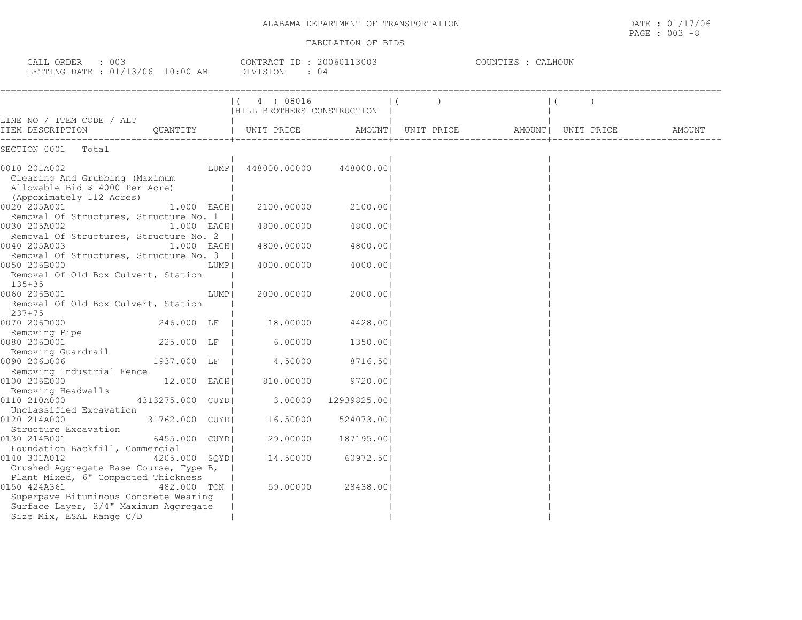$\texttt{PAGE}$  : 003 -8

| CALL ORDER : 003<br>LETTING DATE : 01/13/06 10:00 AM                                                                                                              |                   | CONTRACT ID: 20060113003<br>DIVISION<br>$\cdot$ 04 |                     | COUNTIES : CALHOUN |                                           |        |
|-------------------------------------------------------------------------------------------------------------------------------------------------------------------|-------------------|----------------------------------------------------|---------------------|--------------------|-------------------------------------------|--------|
|                                                                                                                                                                   |                   | 4) 08016<br>$\Box$<br> HILL BROTHERS CONSTRUCTION  |                     |                    |                                           |        |
| LINE NO / ITEM CODE / ALT<br>ITEM DESCRIPTION                                                                                                                     |                   | OUANTITY   UNIT PRICE                              |                     |                    | AMOUNT   UNIT PRICE   AMOUNT   UNIT PRICE | AMOUNT |
| SECTION 0001 Total                                                                                                                                                |                   |                                                    |                     |                    |                                           |        |
| 0010 201A002<br>Clearing And Grubbing (Maximum<br>Allowable Bid \$ 4000 Per Acre)<br>(Appoximately 112 Acres)                                                     | LUMPI             | 448000.00000 448000.001                            |                     |                    |                                           |        |
| 0020 205A001<br>Removal Of Structures, Structure No. 1                                                                                                            | $1.000$ EACH      | 2100.00000                                         | 2100.001            |                    |                                           |        |
| 0030 205A002<br>Removal Of Structures, Structure No. 2                                                                                                            | $1.000$ EACH      | 4800.00000                                         | 4800.001            |                    |                                           |        |
| 0040 205A003<br>Removal Of Structures, Structure No. 3                                                                                                            | $1.000$ EACH      | 4800.00000                                         | 4800.001            |                    |                                           |        |
| 0050 206B000<br>Removal Of Old Box Culvert, Station<br>135+35                                                                                                     | LUMP              | 4000.00000                                         | 4000.001            |                    |                                           |        |
| 0060 206B001<br>Removal Of Old Box Culvert, Station<br>$237+75$                                                                                                   | LUMP              | 2000.00000                                         | 2000.001            |                    |                                           |        |
| 0070 206D000<br>Removing Pipe                                                                                                                                     | 246.000 LF        | 18.00000                                           | 4428.00             |                    |                                           |        |
| 0080 206D001<br>Removing Guardrail                                                                                                                                | 225.000 LF        | 6.00000                                            | 1350.00             |                    |                                           |        |
| 0090 206D006<br>Removing Industrial Fence                                                                                                                         | 1937.000 LF       | 4.50000                                            | 8716.501            |                    |                                           |        |
| 0100 206E000<br>Removing Headwalls                                                                                                                                | 12.000 EACH       | 810.00000                                          | 9720.001            |                    |                                           |        |
| 0110 210A000<br>Unclassified Excavation                                                                                                                           | 4313275.000 CUYDI |                                                    | 3.00000 12939825.00 |                    |                                           |        |
| 0120 214A000<br>Structure Excavation                                                                                                                              | 31762.000 CUYDI   | 16.50000                                           | 524073.001          |                    |                                           |        |
| 0130 214B001<br>Foundation Backfill, Commercial                                                                                                                   | 6455.000 CUYDI    | 29.00000                                           | 187195.00           |                    |                                           |        |
| 0140 301A012<br>Crushed Aggregate Base Course, Type B,                                                                                                            | 4205.000 SOYDI    | 14.50000                                           | 60972.50            |                    |                                           |        |
| Plant Mixed, 6" Compacted Thickness<br>0150 424A361<br>Superpave Bituminous Concrete Wearing<br>Surface Layer, 3/4" Maximum Aggregate<br>Size Mix, ESAL Range C/D | 482.000 TON       | 59.00000                                           | 28438.001           |                    |                                           |        |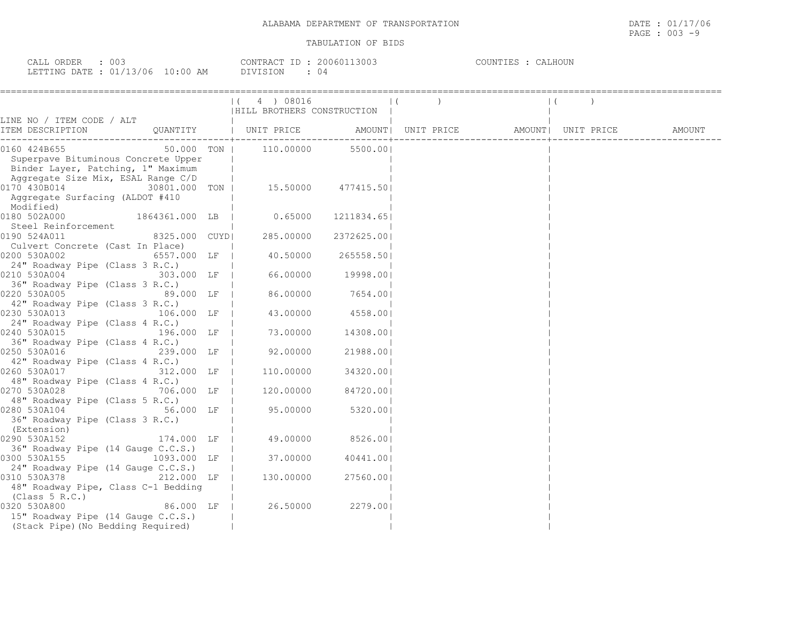| CALL ORDER : 003                 |            | CONTRACT ID: 20060113003 | COUNTIES : CALHOUN |
|----------------------------------|------------|--------------------------|--------------------|
| LETTING DATE : 01/13/06 10:00 AM | DIVISION . |                          |                    |

| ,===================                                                                                             | (4) 08016<br>HILL BROTHERS CONSTRUCTION |            |  |  |
|------------------------------------------------------------------------------------------------------------------|-----------------------------------------|------------|--|--|
| LINE NO / ITEM CODE / ALT                                                                                        |                                         |            |  |  |
|                                                                                                                  |                                         |            |  |  |
| $50.000$ TON   110.00000 5500.00<br>0160 424B655                                                                 |                                         |            |  |  |
| Superpave Bituminous Concrete Upper<br>Superpave Bituminous Concrete Upper<br>Binder Layer, Patching, 1" Maximum |                                         |            |  |  |
|                                                                                                                  |                                         |            |  |  |
| Aggregate Size Mix, ESAL Range C/D<br>0170 430B014<br>30801.000 TON   15.50000 477415.50                         |                                         |            |  |  |
| Aggregate Surfacing (ALDOT #410                                                                                  |                                         |            |  |  |
| Modified)                                                                                                        |                                         |            |  |  |
| 1864361.000 LB   0.65000<br>0180 502A000                                                                         |                                         | 1211834.65 |  |  |
| Steel Reinforcement                                                                                              |                                         |            |  |  |
| 8325.000 CUYD <br>0190 524A011                                                                                   | 285.00000                               | 2372625.00 |  |  |
| Culvert Concrete (Cast In Place)                                                                                 |                                         |            |  |  |
| 6557.000 LF  <br>0200 530A002                                                                                    | 40.50000                                | 265558.50  |  |  |
| 24" Roadway Pipe (Class 3 R.C.)                                                                                  |                                         |            |  |  |
| 0210 530A004                                                                                                     | $303.000$ LF $\vert$ 66.00000 19998.00  |            |  |  |
| 36" Roadway Pipe (Class 3 R.C.)                                                                                  |                                         |            |  |  |
| 89.000 LF  <br>0220 530A005                                                                                      | 86.00000                                | 7654.00    |  |  |
| 42" Roadway Pipe (Class 3 R.C.)                                                                                  |                                         |            |  |  |
| 0230 530A013 106.000 LF                                                                                          | 43.00000                                | 4558.001   |  |  |
| 24" Roadway Pipe (Class 4 R.C.)                                                                                  |                                         |            |  |  |
| 0240 530A015<br>196.000 LF                                                                                       | 73.00000                                | 14308.00   |  |  |
| 36" Roadway Pipe (Class 4 R.C.)                                                                                  |                                         |            |  |  |
| 0250 530A016                                                                                                     | 239.000 LF   92.00000                   | 21988.00   |  |  |
| 42" Roadway Pipe (Class 4 R.C.)                                                                                  | 110.00000                               | 34320.001  |  |  |
| 0260 530A017 312.000 LF  <br>48" Roadway Pipe (Class 4 R.C.)                                                     |                                         |            |  |  |
| 0270 530A028                                                                                                     | 706.000 LF   120.00000 84720.00         |            |  |  |
| 48" Roadway Pipe (Class 5 R.C.)                                                                                  |                                         |            |  |  |
| 0280 530A104 56.000 LF                                                                                           | 95.00000 5320.00                        |            |  |  |
| 36" Roadway Pipe (Class 3 R.C.)                                                                                  |                                         |            |  |  |
| (Extension)                                                                                                      |                                         |            |  |  |
| 0290 530A152<br>174.000 LF                                                                                       | 49.00000 8526.00                        |            |  |  |
| 36" Roadway Pipe (14 Gauge C.C.S.)                                                                               |                                         |            |  |  |
| 1093.000 LF   37.00000<br>0300 530A155                                                                           |                                         | 40441.00   |  |  |
| 24" Roadway Pipe (14 Gauge C.C.S.)                                                                               |                                         |            |  |  |
| 0310 530A378 212.000 LF                                                                                          | 130.00000                               | 27560.001  |  |  |
| 48" Roadway Pipe, Class C-1 Bedding                                                                              |                                         |            |  |  |
| (Class 5 R.C.)                                                                                                   |                                         |            |  |  |
| 0320 530A800                                                                                                     | 86.000 LF   26.50000                    | 2279.001   |  |  |
| 15" Roadway Pipe (14 Gauge C.C.S.)                                                                               |                                         |            |  |  |
| (Stack Pipe) (No Bedding Required)                                                                               |                                         |            |  |  |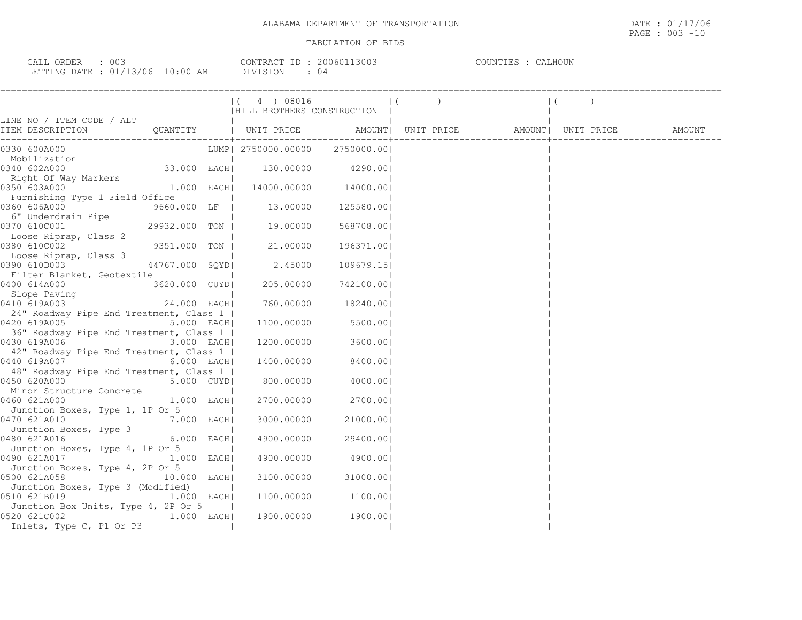CALL ORDER : 003 CONTRACT ID : 20060113003 COUNTIES : CALHOUN LETTING DATE : 01/13/06 10:00 AM DIVISION : 04

|                                                                                                                 |                | (4) 08016<br>HILL BROTHERS CONSTRUCTION |                     |  |  |  |
|-----------------------------------------------------------------------------------------------------------------|----------------|-----------------------------------------|---------------------|--|--|--|
| LINE NO / ITEM CODE / ALT                                                                                       |                |                                         |                     |  |  |  |
|                                                                                                                 |                |                                         |                     |  |  |  |
| 0330 600A000                                                                                                    |                | LUMP  2750000.00000 2750000.00          |                     |  |  |  |
| Mobilization<br>0340 602A000                                                                                    | 33.000 EACH    | $130.00000$ 4290.00                     |                     |  |  |  |
| Right Of Way Markers<br>0350 603A000                                                                            | $1.000$ EACH   | 14000.00000 14000.00                    |                     |  |  |  |
| Furnishing Type 1 Field Office<br>0360 606A000                                                                  | 9660.000 LF    | 13.00000                                | 125580.00           |  |  |  |
| 6" Underdrain Pipe<br>0370 610C001                                                                              | 29932.000 TON  | 19.00000                                | 568708.001          |  |  |  |
| Loose Riprap, Class 2<br>0380 610C002                                                                           | 9351.000 TON   | 21.00000                                | 196371.001          |  |  |  |
| Loose Riprap, Class 3<br>0390 610D003                                                                           | 44767.000 SQYD | 2.45000                                 | 109679.15           |  |  |  |
| Filter Blanket, Geotextile                                                                                      |                |                                         |                     |  |  |  |
| 0400 614A000<br>Slope Paving<br>0410 619A003                                                                    | 3620.000 CUYDI | 205,00000                               | 742100.00           |  |  |  |
| 0410 619A003<br>24" Roadway Pipe End Treatment, Class 1                                                         | 24.000 EACH    |                                         | 760.00000 18240.001 |  |  |  |
| 0420 619A005<br>36" Roadway Pipe End Treatment, Class 1                                                         | 5.000 EACH     | 1100.00000                              | 5500.001            |  |  |  |
| 0430 619A006<br>42" Roadway Pipe End Treatment, Class 1                                                         | 3.000 EACH     | 1200.00000                              | 3600.001            |  |  |  |
| 0440 619A007 300 310 320 330 340 350 360 370 380 390 391 392 393 394 395 396 397 398 398 398 398 398 398 398 39 | $6.000$ EACH   | 1400.00000                              | 8400.001            |  |  |  |
| 48" Roadway Pipe End Treatment, Class 1  <br>0450 620A000                                                       | 5.000 CUYD     | 800.00000                               | 4000.001            |  |  |  |
| Minor Structure Concrete<br>0460 621A000                                                                        | $1.000$ EACH   | 2700.00000                              | 2700.00             |  |  |  |
| Junction Boxes, Type 1, 1P Or 5<br>7.000 EACH<br>0470 621A010<br>Junction Boxes, Type 3                         |                | 3000.00000                              | 21000.001           |  |  |  |
| 0480 621A016<br>Junction Boxes, Type 4, 1P Or 5                                                                 | $6.000$ EACH   | 4900.00000                              | 29400.001           |  |  |  |
| 1.000 EACH<br>0490 621A017                                                                                      |                | 4900.00000                              | 4900.001            |  |  |  |
| Junction Boxes, Type 4, 2P Or 5<br>0500 621A058<br>10.000 EACH                                                  |                | 3100.00000                              | 31000.001           |  |  |  |
| Junction Boxes, Type 3 (Modified)<br>0510 621B019                                                               | 1.000 EACH     |                                         | 1100.00000 1100.00  |  |  |  |
| Junction Box Units, Type 4, 2P Or 5<br>0520 621C002                                                             | 1.000 EACH     | 1900.00000                              | 1900.001            |  |  |  |
| Inlets, Type C, P1 Or P3                                                                                        |                |                                         |                     |  |  |  |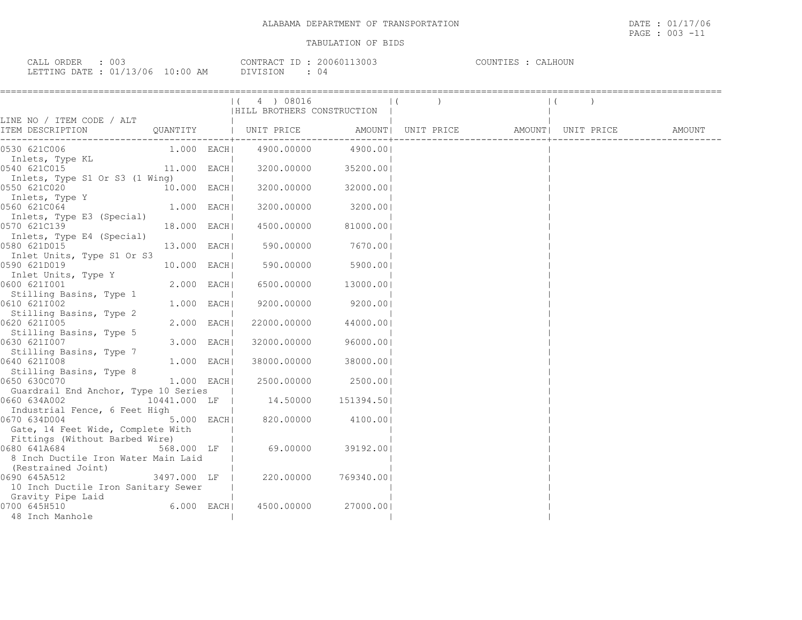| CALL ORDER                       |  |          | CONTRACT ID: 20060113003 | COUNTIES : CALHOUN |  |
|----------------------------------|--|----------|--------------------------|--------------------|--|
| LETTING DATE : 01/13/06 10:00 AM |  | DIVISION | 04                       |                    |  |

|                                      |               | 4 ) 08016<br>HILL BROTHERS CONSTRUCTION                     |            |  |  |        |  |
|--------------------------------------|---------------|-------------------------------------------------------------|------------|--|--|--------|--|
| LINE NO / ITEM CODE / ALT            |               |                                                             |            |  |  |        |  |
| ITEM DESCRIPTION                     |               | QUANTITY   UNIT PRICE AMOUNT  UNIT PRICE AMOUNT  UNIT PRICE |            |  |  | AMOUNT |  |
|                                      |               |                                                             |            |  |  |        |  |
| 0530 621C006                         |               | 1.000 EACH  4900.00000                                      | 4900.001   |  |  |        |  |
| Inlets, Type KL                      |               |                                                             |            |  |  |        |  |
| 0540 621C015                         | 11.000 EACH   | 3200.00000                                                  | 35200.001  |  |  |        |  |
| Inlets, Type S1 Or S3 (1 Wing)       |               |                                                             |            |  |  |        |  |
| 0550 621C020                         | 10.000 EACH   | 3200.00000                                                  | 32000.001  |  |  |        |  |
| Inlets, Type Y                       |               |                                                             |            |  |  |        |  |
| 0560 621C064                         | $1.000$ EACH  | 3200.00000                                                  | 3200.001   |  |  |        |  |
| Inlets, Type E3 (Special)            |               |                                                             |            |  |  |        |  |
| 0570 621C139                         | 18.000 EACH   | 4500.00000                                                  | 81000.001  |  |  |        |  |
| Inlets, Type E4 (Special)            |               |                                                             |            |  |  |        |  |
| 0580 621D015                         | 13.000 EACH   | 590.00000 7670.00                                           |            |  |  |        |  |
| Inlet Units, Type S1 Or S3           |               |                                                             |            |  |  |        |  |
| 0590 621D019                         | 10.000 EACH   | 590.00000                                                   | 5900.00    |  |  |        |  |
| Inlet Units, Type Y                  |               |                                                             |            |  |  |        |  |
| 0600 6211001                         | 2.000 EACH    | 6500.00000                                                  | 13000.001  |  |  |        |  |
| Stilling Basins, Type 1              |               |                                                             |            |  |  |        |  |
| 0610 6211002                         | $1.000$ EACH  | 9200.00000                                                  | 9200.001   |  |  |        |  |
| Stilling Basins, Type 2              |               |                                                             |            |  |  |        |  |
| 0620 621I005                         | $2.000$ EACH  | 22000.00000                                                 | 44000.001  |  |  |        |  |
| Stilling Basins, Type 5              |               |                                                             |            |  |  |        |  |
| 0630 621I007                         | 3.000 EACH    | 32000.00000                                                 | 96000.001  |  |  |        |  |
| Stilling Basins, Type 7              |               |                                                             |            |  |  |        |  |
| 0640 621I008                         | 1.000 EACH    | 38000.00000                                                 | 38000.001  |  |  |        |  |
| Stilling Basins, Type 8              |               |                                                             |            |  |  |        |  |
| 0650 630C070                         | $1.000$ EACHI | 2500.00000                                                  | 2500.001   |  |  |        |  |
| Guardrail End Anchor, Type 10 Series |               |                                                             |            |  |  |        |  |
| 0660 634A002                         | 10441.000 LF  | 14.50000  151394.50                                         |            |  |  |        |  |
| Industrial Fence, 6 Feet High        |               |                                                             |            |  |  |        |  |
| 0670 634D004                         | 5.000 EACH    | 820.00000                                                   | 4100.00    |  |  |        |  |
| Gate, 14 Feet Wide, Complete With    |               |                                                             |            |  |  |        |  |
| Fittings (Without Barbed Wire)       |               |                                                             |            |  |  |        |  |
| 0680 641A684                         | 568.000 LF    | 69.00000                                                    | 39192.001  |  |  |        |  |
| 8 Inch Ductile Iron Water Main Laid  |               |                                                             |            |  |  |        |  |
| (Restrained Joint)                   |               |                                                             |            |  |  |        |  |
| 0690 645A512                         | 3497.000 LF   | 220.00000                                                   | 769340.001 |  |  |        |  |
| 10 Inch Ductile Iron Sanitary Sewer  |               |                                                             |            |  |  |        |  |
| Gravity Pipe Laid                    |               |                                                             |            |  |  |        |  |
| 0700 645H510                         | $6.000$ EACH  | 4500.00000                                                  | 27000.001  |  |  |        |  |
| 48 Inch Manhole                      |               |                                                             |            |  |  |        |  |
|                                      |               |                                                             |            |  |  |        |  |

UN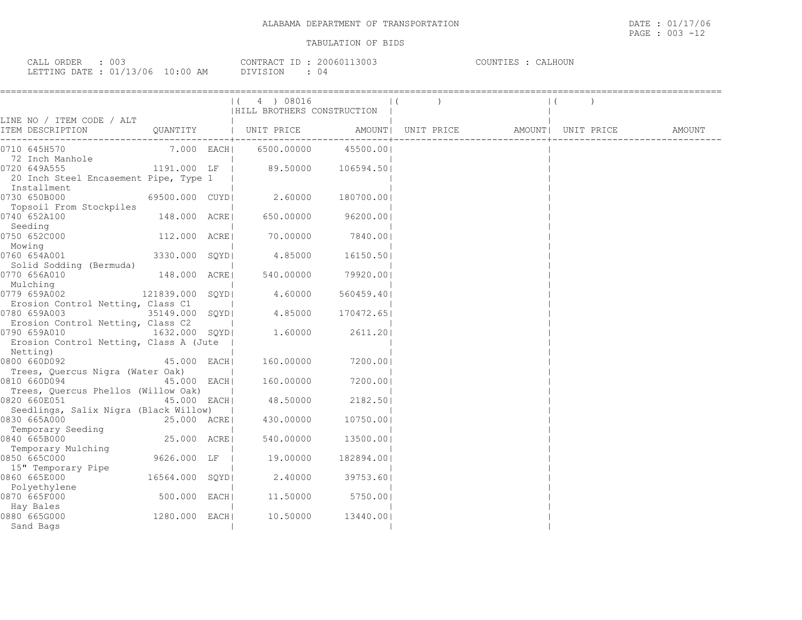| CALL ORDER : 003                 |          | CONTRACT ID: 20060113003 | COUNTIES : CALHOUN |
|----------------------------------|----------|--------------------------|--------------------|
| LETTING DATE : 01/13/06 10:00 AM | DIVISION |                          |                    |

|                                                                                         | ;======================= | (4) 08016<br>  HILL BROTHERS CONSTRUCTION |                     |  |                                                    |  |  |
|-----------------------------------------------------------------------------------------|--------------------------|-------------------------------------------|---------------------|--|----------------------------------------------------|--|--|
| LINE NO / ITEM CODE / ALT<br>ITEM DESCRIPTION                                           |                          | QUANTITY   UNIT PRICE                     |                     |  | AMOUNT   UNIT PRICE   AMOUNT   UNIT PRICE   AMOUNT |  |  |
| 0710 645H570                                                                            |                          | 7.000 EACH  6500.00000                    | 45500.001           |  |                                                    |  |  |
| 72 Inch Manhole<br>0720 649A555<br>20 Inch Steel Encasement Pipe, Type 1<br>Installment | 1191.000 LF              | 89.50000 106594.50                        |                     |  |                                                    |  |  |
| 0730 650B000<br>Topsoil From Stockpiles                                                 | 69500.000 CUYDI          | 2.60000                                   | 180700.001          |  |                                                    |  |  |
| 0740 652A100                                                                            | 148.000 ACRE             | 650.00000                                 | 96200.001           |  |                                                    |  |  |
| Seeding<br>0750 652C000                                                                 | 112.000 ACRE             | 70.00000                                  | 7840.00             |  |                                                    |  |  |
| Mowing<br>0760 654A001                                                                  | 3330.000 SQYD            | 4.85000                                   | 16150.50            |  |                                                    |  |  |
| Solid Sodding (Bermuda)<br>0770 656A010                                                 | 148.000 ACRE             |                                           | 540.00000 79920.001 |  |                                                    |  |  |
| Mulching<br>121839.000 SQYD<br>0779 659A002<br>Erosion Control Netting, Class C1        |                          | 4.60000                                   | 560459.401          |  |                                                    |  |  |
| 0780 659A003<br>Erosion Control Netting, Class C2                                       | 35149.000 SQYDI          | 4.85000                                   | 170472.651          |  |                                                    |  |  |
| 0790 659A010<br>Erosion Control Netting, Class A (Jute )<br>Netting)                    | 1632.000 SOYDI           | 1.60000                                   | 2611.201            |  |                                                    |  |  |
| 0800 660D092                                                                            | 45.000 EACH              | 160.00000                                 | 7200.001            |  |                                                    |  |  |
| Trees, Quercus Nigra (Water Oak)<br>0810 660D094<br>Trees, Quercus Phellos (Willow Oak) | 45.000 EACH              | 160.00000                                 | 7200.001            |  |                                                    |  |  |
| 0820 660E051<br>Seedlings, Salix Nigra (Black Willow)                                   | 45.000 EACH              | 48.50000                                  | 2182.501            |  |                                                    |  |  |
| 0830 665A000<br>Temporary Seeding                                                       | 25.000 ACRE              | 430.00000                                 | 10750.001           |  |                                                    |  |  |
| 0840 665B000                                                                            | 25.000 ACRE              | 540.00000                                 | 13500.001           |  |                                                    |  |  |
| Temporary Mulching<br>0850 665C000                                                      | 9626.000 LF              | 19.00000                                  | 182894.001          |  |                                                    |  |  |
| 15" Temporary Pipe<br>0860 665E000                                                      | 16564.000 SQYD           | 2.40000                                   | 39753.601           |  |                                                    |  |  |
| Polyethylene<br>0870 665F000                                                            | 500.000 EACH             | 11.50000                                  | 5750.00             |  |                                                    |  |  |
| Hay Bales<br>0880 665G000<br>Sand Bags                                                  | 1280.000 EACH            |                                           | 10.50000 13440.001  |  |                                                    |  |  |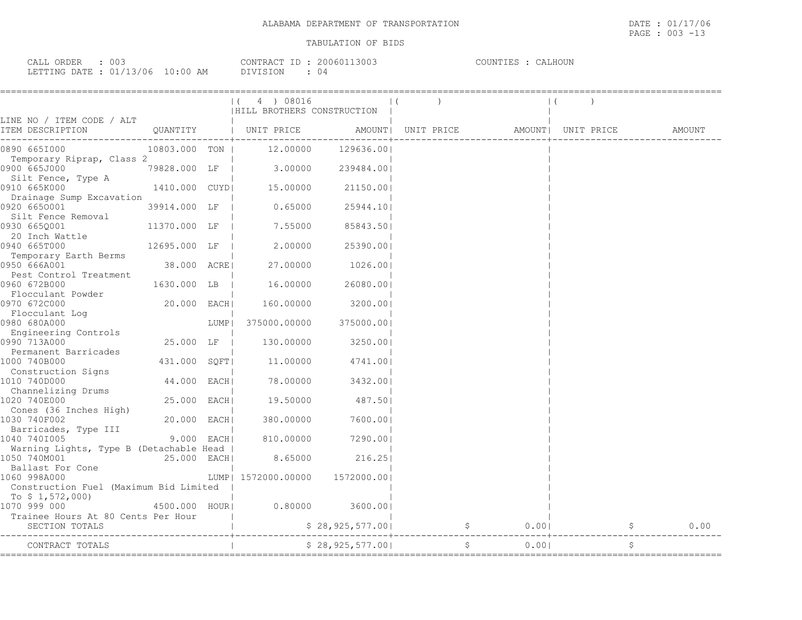| 003<br>ORDER<br>$\sim$ $\sim$ $\sim$ $\sim$<br>لىلطا | <b>CONTRAL</b>                       | -- | 3003<br>UUNU | COUNTIES<br>:ALHOUN<br>. TES. |
|------------------------------------------------------|--------------------------------------|----|--------------|-------------------------------|
| $\cap$ 1<br>LETTING DATE<br>Uh<br>∸∽                 | DIVISION<br>AΜ<br>$\cdot$ 0 6<br>. U |    | U 4          |                               |

|                                                                      |               |      | (4) 08016<br>HILL BROTHERS CONSTRUCTION |                     |                    |                              |                    |    |        |
|----------------------------------------------------------------------|---------------|------|-----------------------------------------|---------------------|--------------------|------------------------------|--------------------|----|--------|
| LINE NO / ITEM CODE / ALT<br>ITEM DESCRIPTION                        |               |      | QUANTITY   UNIT PRICE                   |                     | AMOUNT  UNIT PRICE |                              | AMOUNT  UNIT PRICE |    | AMOUNT |
| 0890 6651000                                                         | 10803.000 TON |      |                                         | 12.00000 129636.00  |                    |                              |                    |    |        |
| Temporary Riprap, Class 2<br>0900 665J000                            | 79828.000 LF  |      |                                         | 3.00000 239484.00   |                    |                              |                    |    |        |
| Silt Fence, Type A<br>0910 665K000                                   |               |      | 1410.000 CUYD  15.00000 21150.00        |                     |                    |                              |                    |    |        |
| Drainage Sump Excavation<br>0920 6650001                             | 39914.000 LF  |      | 0.65000                                 | 25944.10            |                    |                              |                    |    |        |
| Silt Fence Removal<br>0930 665Q001                                   | 11370.000 LF  |      | 7.55000                                 | 85843.501           |                    |                              |                    |    |        |
| 20 Inch Wattle<br>0940 665T000                                       | 12695.000 LF  |      | 2.00000                                 | 25390.001           |                    |                              |                    |    |        |
| Temporary Earth Berms<br>0950 666A001                                | 38.000 ACREI  |      |                                         | 27.00000 1026.00    |                    |                              |                    |    |        |
| Pest Control Treatment<br>0960 672B000                               | 1630.000 LB   |      | 16.00000                                | 26080.00            |                    |                              |                    |    |        |
| Flocculant Powder<br>0970 672C000                                    | 20.000 EACH   |      | 160.00000                               | 3200.00             |                    |                              |                    |    |        |
| Flocculant Log                                                       |               | LUMP | 375000.00000                            | 375000.00           |                    |                              |                    |    |        |
| COCO COURDUU<br>Engineering Controls<br>0990 7123000<br>0990 713A000 | 25.000 LF     |      | 130.00000                               | 3250.00             |                    |                              |                    |    |        |
| Permanent Barricades<br>1000 740B000                                 | 431.000 SQFT  |      |                                         | 11.00000 4741.00    |                    |                              |                    |    |        |
| Construction Signs<br>1010 740D000                                   | 44.000 EACH   |      |                                         | 78.00000 3432.00    |                    |                              |                    |    |        |
| Channelizing Drums<br>1020 740E000                                   | 25.000 EACH   |      | 19.50000                                | 487.501             |                    |                              |                    |    |        |
| Cones (36 Inches High)<br>1030 740F002                               | 20.000 EACH   |      |                                         | 380.00000 7600.00   |                    |                              |                    |    |        |
| Barricades, Type III<br>1040 7401005                                 | $9.000$ EACH  |      |                                         | 810.00000 7290.00   |                    |                              |                    |    |        |
| Warning Lights, Type B (Detachable Head  <br>1050 740M001            | 25.000 EACH   |      |                                         | 8.65000 216.25      |                    |                              |                    |    |        |
| Ballast For Cone<br>Case control                                     |               |      | LUMP  1572000.00000  1572000.00         |                     |                    |                              |                    |    |        |
| Construction Fuel (Maximum Bid Limited<br>To \$ 1,572,000)           |               |      |                                         |                     |                    |                              |                    |    |        |
| 1070 999 000<br>Trainee Hours At 80 Cents Per Hour                   | 4500.000 HOUR |      |                                         | $0.80000$ 3600.00   |                    |                              |                    |    |        |
| SECTION TOTALS                                                       |               |      |                                         | $$ 28,925,577.00  $ |                    | $0.00$  <br>$\mathfrak{S}$   |                    |    | 0.00   |
| CONTRACT TOTALS                                                      |               |      |                                         | \$28,925,577.00     |                    | $\ddot{\mathsf{S}}$<br>0.001 |                    | \$ |        |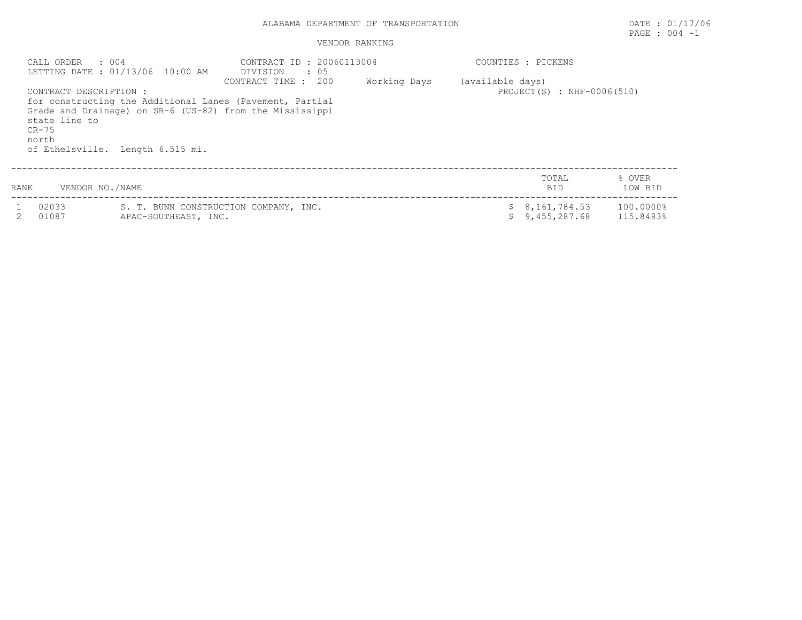# ALABAMA DEPARTMENT OF TRANSPORTATION **DATE** : 01/17/06

#### VENDOR RANKING

| CALL ORDER : 004<br>state line to<br>$CR-75$<br>north | LETTING DATE: 01/13/06 10:00 AM<br>CONTRACT DESCRIPTION :<br>for constructing the Additional Lanes (Pavement, Partial<br>Grade and Drainage) on SR-6 (US-82) from the Mississippi<br>of Ethelsville. Length 6.515 mi. | CONTRACT ID: 20060113004<br>DIVISION<br>. . 05<br>200<br>CONTRACT TIME : | Working Days | (available days) | COUNTIES : PICKENS<br>PROJECT $(S)$ : NHF-0006(510) |                        |
|-------------------------------------------------------|-----------------------------------------------------------------------------------------------------------------------------------------------------------------------------------------------------------------------|--------------------------------------------------------------------------|--------------|------------------|-----------------------------------------------------|------------------------|
| RANK                                                  | VENDOR NO./NAME                                                                                                                                                                                                       |                                                                          |              |                  | TOTAL<br><b>BID</b>                                 | % OVER<br>LOW BID      |
| 02033<br>01087                                        | APAC-SOUTHEAST, INC.                                                                                                                                                                                                  | S. T. BUNN CONSTRUCTION COMPANY, INC.                                    |              |                  | \$8,161,784.53<br>9,455,287.68                      | 100.0000%<br>115.8483% |

PAGE : 004 -1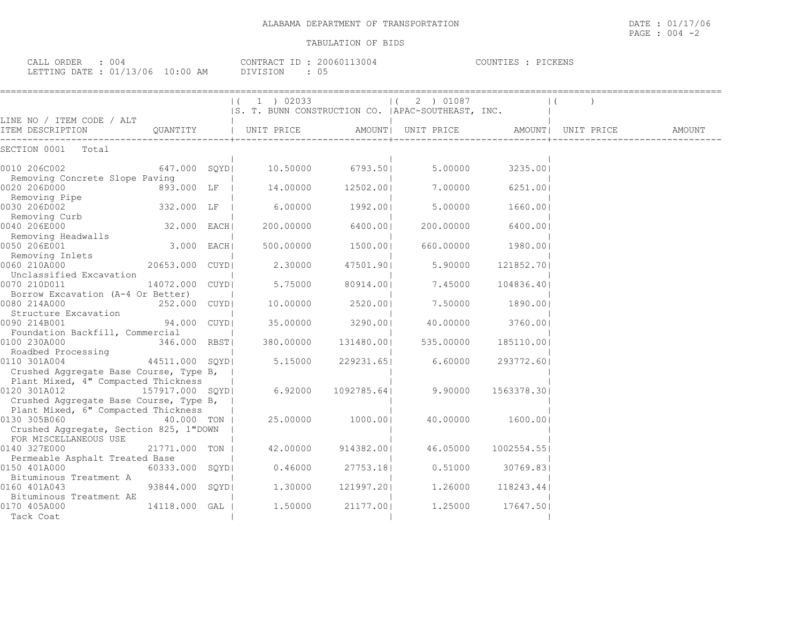| CALL ORDER<br>: 004              | CONTRACT ID: 20060113004 | COUNTIES : PICKENS |  |
|----------------------------------|--------------------------|--------------------|--|
| LETTING DATE : 01/13/06 10:00 AM | DIVISION                 |                    |  |

| 1 ) 02033 |                                                                                                                                                                                                                                                                                    | 2 ) 01087 |                                                                                                                                                                                                                                                  |                                                               |                                                                                                                                                                                                                                         |
|-----------|------------------------------------------------------------------------------------------------------------------------------------------------------------------------------------------------------------------------------------------------------------------------------------|-----------|--------------------------------------------------------------------------------------------------------------------------------------------------------------------------------------------------------------------------------------------------|---------------------------------------------------------------|-----------------------------------------------------------------------------------------------------------------------------------------------------------------------------------------------------------------------------------------|
|           |                                                                                                                                                                                                                                                                                    |           |                                                                                                                                                                                                                                                  |                                                               |                                                                                                                                                                                                                                         |
|           |                                                                                                                                                                                                                                                                                    |           |                                                                                                                                                                                                                                                  |                                                               | AMOUNT                                                                                                                                                                                                                                  |
|           |                                                                                                                                                                                                                                                                                    |           |                                                                                                                                                                                                                                                  |                                                               |                                                                                                                                                                                                                                         |
|           |                                                                                                                                                                                                                                                                                    |           |                                                                                                                                                                                                                                                  |                                                               |                                                                                                                                                                                                                                         |
| 14.00000  |                                                                                                                                                                                                                                                                                    | 7.00000   |                                                                                                                                                                                                                                                  |                                                               |                                                                                                                                                                                                                                         |
| 6.00000   |                                                                                                                                                                                                                                                                                    | 5,00000   |                                                                                                                                                                                                                                                  |                                                               |                                                                                                                                                                                                                                         |
| 200.00000 |                                                                                                                                                                                                                                                                                    | 200,00000 |                                                                                                                                                                                                                                                  |                                                               |                                                                                                                                                                                                                                         |
| 500.00000 |                                                                                                                                                                                                                                                                                    | 660.00000 |                                                                                                                                                                                                                                                  |                                                               |                                                                                                                                                                                                                                         |
| 2.30000   |                                                                                                                                                                                                                                                                                    | 5.90000   |                                                                                                                                                                                                                                                  |                                                               |                                                                                                                                                                                                                                         |
| 5.75000   |                                                                                                                                                                                                                                                                                    | 7.45000   |                                                                                                                                                                                                                                                  |                                                               |                                                                                                                                                                                                                                         |
|           |                                                                                                                                                                                                                                                                                    | 7.50000   | 1890.001                                                                                                                                                                                                                                         |                                                               |                                                                                                                                                                                                                                         |
| 35.00000  |                                                                                                                                                                                                                                                                                    | 40.00000  |                                                                                                                                                                                                                                                  |                                                               |                                                                                                                                                                                                                                         |
| 380.00000 |                                                                                                                                                                                                                                                                                    | 535.00000 |                                                                                                                                                                                                                                                  |                                                               |                                                                                                                                                                                                                                         |
| 5.15000   |                                                                                                                                                                                                                                                                                    | 6.60000   | 293772.601                                                                                                                                                                                                                                       |                                                               |                                                                                                                                                                                                                                         |
|           |                                                                                                                                                                                                                                                                                    |           |                                                                                                                                                                                                                                                  |                                                               |                                                                                                                                                                                                                                         |
|           |                                                                                                                                                                                                                                                                                    |           |                                                                                                                                                                                                                                                  |                                                               |                                                                                                                                                                                                                                         |
| 25.00000  |                                                                                                                                                                                                                                                                                    | 40.00000  |                                                                                                                                                                                                                                                  |                                                               |                                                                                                                                                                                                                                         |
|           |                                                                                                                                                                                                                                                                                    |           |                                                                                                                                                                                                                                                  |                                                               |                                                                                                                                                                                                                                         |
| 42.00000  |                                                                                                                                                                                                                                                                                    | 46.05000  | 1002554.55                                                                                                                                                                                                                                       |                                                               |                                                                                                                                                                                                                                         |
| 0.46000   |                                                                                                                                                                                                                                                                                    | 0.51000   |                                                                                                                                                                                                                                                  |                                                               |                                                                                                                                                                                                                                         |
| 1,30000   |                                                                                                                                                                                                                                                                                    | 1,26000   |                                                                                                                                                                                                                                                  |                                                               |                                                                                                                                                                                                                                         |
| 1,50000   |                                                                                                                                                                                                                                                                                    | 1,25000   |                                                                                                                                                                                                                                                  |                                                               |                                                                                                                                                                                                                                         |
|           | 647.000 SOYDI 10.50000<br>893.000 LF  <br>332.000 LF  <br>32.000 EACH <br>$3.000$ EACH<br>20653.000 CUYDI<br>14072.000 CUYDI<br>252.000 CUYDI<br>94.000 CUYDI<br>346.000 RBST<br>44511.000 SOYDI<br>0120 301A012 157917.000 SQYD <br>6.92000<br>60333.000 SOYDI<br>93844.000 SQYDI | 10.00000  | $\vert$ (<br>6793.501<br>12502.001<br>1992.001<br>6400.001<br>1500.001<br>47501.901<br>80914.001<br>2520.001<br>3290.001<br>131480.00 <br>229231.651<br>1092785.641<br>9.90000<br>1000.001<br>914382.001<br>27753.181<br>121997.20 <br>21177.001 | S. T. BUNN CONSTRUCTION CO.   APAC-SOUTHEAST, INC.<br>5.00000 | UNIT PRICE   AMOUNT  UNIT PRICE   AMOUNT  UNIT PRICE<br>3235.001<br>6251.001<br>1660.001<br>6400.001<br>1980.001<br>121852.701<br>104836.401<br>3760.00<br>185110.00<br>1563378.301<br>1600.001<br>30769.831<br>118243.441<br>17647.501 |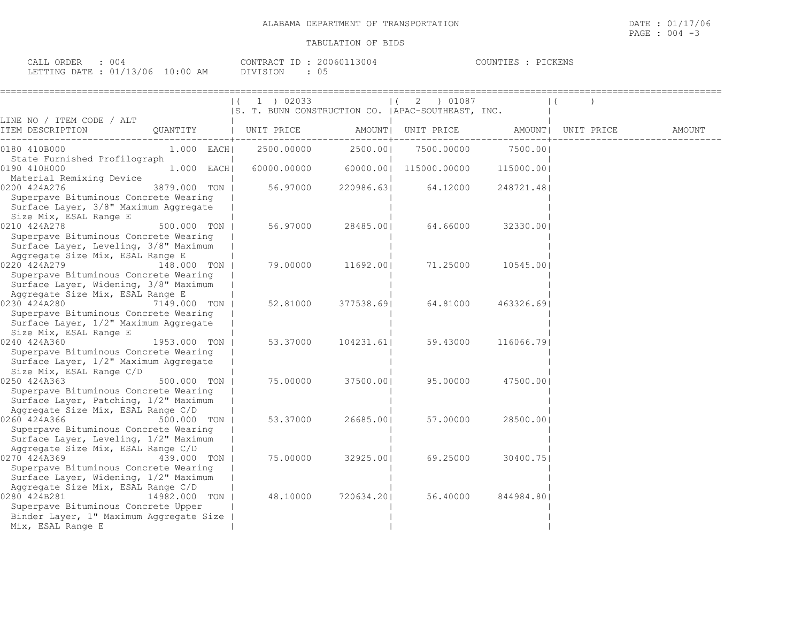| 004<br>CALL ORDER                |          | CONTRACT ID: 20060113004 | PICKENS<br>COUNTIES : |
|----------------------------------|----------|--------------------------|-----------------------|
| LETTING DATE : 01/13/06 10:00 AM | DIVISION | 05                       |                       |

|                                                                                                                                                                        |               | 1 ) 02033<br> S. T. BUNN CONSTRUCTION CO.  APAC-SOUTHEAST, INC. |            | 2 ) 01087          |            |                    |        |
|------------------------------------------------------------------------------------------------------------------------------------------------------------------------|---------------|-----------------------------------------------------------------|------------|--------------------|------------|--------------------|--------|
| LINE NO / ITEM CODE / ALT<br>ITEM DESCRIPTION                                                                                                                          | QUANTITY      | UNIT PRICE                                                      |            | AMOUNT  UNIT PRICE |            | AMOUNT  UNIT PRICE | AMOUNT |
| 0180 410B000                                                                                                                                                           | $1.000$ EACH  | 2500.00000                                                      | 2500.001   | 7500.00000         | 7500.001   |                    |        |
| State Furnished Profilograph<br>0190 410H000                                                                                                                           | $1.000$ EACH  | 60000.00000                                                     | 60000.001  | 115000.00000       | 115000.001 |                    |        |
| Material Remixing Device<br>0200 424A276<br>Superpave Bituminous Concrete Wearing<br>Surface Layer, 3/8" Maximum Aggregate                                             | 3879.000 TON  | 56.97000                                                        | 220986.631 | 64.12000           | 248721.481 |                    |        |
| Size Mix, ESAL Range E<br>0210 424A278<br>Superpave Bituminous Concrete Wearing<br>Surface Layer, Leveling, 3/8" Maximum                                               | 500.000 TON   | 56.97000                                                        | 28485.001  | 64.66000           | 32330.001  |                    |        |
| Aggregate Size Mix, ESAL Range E<br>0220 424A279<br>Superpave Bituminous Concrete Wearing<br>Surface Layer, Widening, 3/8" Maximum<br>Aggregate Size Mix, ESAL Range E | 148.000 TON   | 79.00000                                                        | 11692.001  | 71.25000           | 10545.001  |                    |        |
| 0230 424A280<br>Superpave Bituminous Concrete Wearing<br>Surface Layer, 1/2" Maximum Aggregate<br>Size Mix, ESAL Range E                                               | 7149.000 TON  | 52.81000                                                        | 377538.691 | 64.81000           | 463326.691 |                    |        |
| 0240 424A360<br>Superpave Bituminous Concrete Wearing<br>Surface Layer, 1/2" Maximum Aggregate<br>Size Mix, ESAL Range C/D                                             | 1953.000 TON  | 53.37000                                                        | 104231.61  | 59.43000           | 116066.791 |                    |        |
| 0250 424A363<br>Superpave Bituminous Concrete Wearing<br>Surface Layer, Patching, 1/2" Maximum<br>Aggregate Size Mix, ESAL Range C/D                                   | 500.000 TON   | 75.00000                                                        | 37500.001  | 95.00000           | 47500.001  |                    |        |
| 0260 424A366<br>Superpave Bituminous Concrete Wearing<br>Surface Layer, Leveling, 1/2" Maximum                                                                         | 500.000 TON   | 53.37000                                                        | 26685.001  | 57.00000           | 28500.001  |                    |        |
| Aggregate Size Mix, ESAL Range C/D<br>0270 424A369<br>Superpave Bituminous Concrete Wearing<br>Surface Layer, Widening, 1/2" Maximum                                   | 439.000 TON   | 75.00000                                                        | 32925.00   | 69.25000           | 30400.751  |                    |        |
| Aggregate Size Mix, ESAL Range C/D<br>0280 424B281<br>Superpave Bituminous Concrete Upper<br>Binder Layer, 1" Maximum Aggregate Size<br>Mix, ESAL Range E              | 14982.000 TON | 48.10000                                                        | 720634.201 | 56.40000           | 844984.801 |                    |        |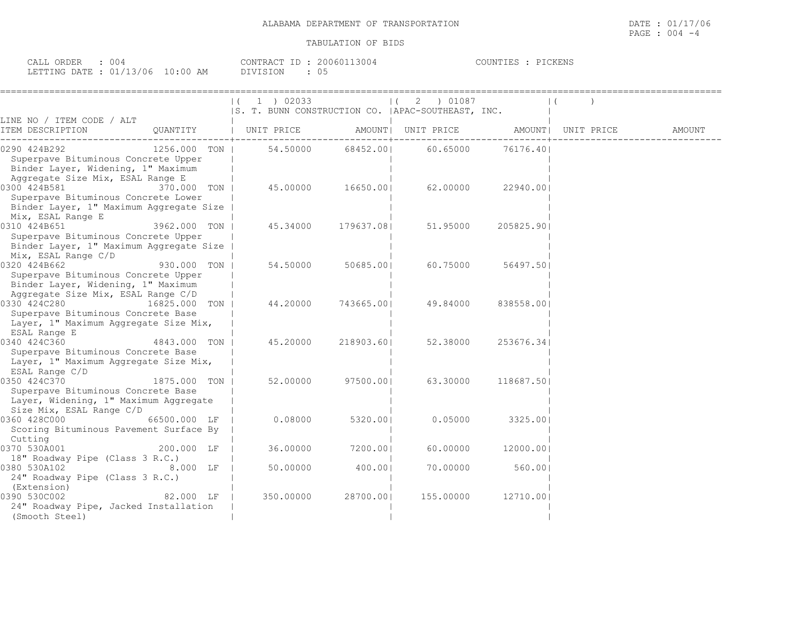| ORDER<br>$\sim$ $\sim$ $\sim$ $\sim$<br>004<br>CALL |                        | CONTRACT<br>$ -$ | 200601<br>.3004 | PICKENS<br>UNTIES - |
|-----------------------------------------------------|------------------------|------------------|-----------------|---------------------|
| LETTING<br><b>DATE</b><br>___                       | 01/13/06<br>$10:00$ AM |                  | ັບ              |                     |

|                                                                                                                                                  |                    | 1 ) 02033<br> S. T. BUNN CONSTRUCTION CO.   APAC-SOUTHEAST, INC. |                   | $(2)$ 01087        |            |                    |        |
|--------------------------------------------------------------------------------------------------------------------------------------------------|--------------------|------------------------------------------------------------------|-------------------|--------------------|------------|--------------------|--------|
| LINE NO / ITEM CODE / ALT<br>ITEM DESCRIPTION<br>QUANTITY                                                                                        |                    | UNIT PRICE                                                       |                   | AMOUNT  UNIT PRICE |            | AMOUNT  UNIT PRICE | AMOUNT |
| 1256.000 TON  <br>0290 424B292<br>Superpave Bituminous Concrete Upper<br>Binder Layer, Widening, 1" Maximum<br>Aggregate Size Mix, ESAL Range E  |                    | 54.50000                                                         | 68452.001         | 60.65000           | 76176.401  |                    |        |
| 0300 424B581<br>370.000 TON  <br>Superpave Bituminous Concrete Lower<br>Binder Layer, 1" Maximum Aggregate Size<br>Mix, ESAL Range E             |                    |                                                                  | 45.00000 16650.00 | 62.00000           | 22940.001  |                    |        |
| 0310 424B651<br>3962.000 TON  <br>Superpave Bituminous Concrete Upper<br>Binder Layer, 1" Maximum Aggregate Size<br>Mix, ESAL Range C/D          |                    | 45.34000                                                         | 179637.081        | 51.95000           | 205825.90  |                    |        |
| 0320 424B662<br>930.000 TON  <br>Superpave Bituminous Concrete Upper<br>Binder Layer, Widening, 1" Maximum<br>Aggregate Size Mix, ESAL Range C/D |                    | 54.50000                                                         | 50685.00          | 60.75000           | 56497.501  |                    |        |
| 0330 424C280<br>16825.000 TON  <br>Superpave Bituminous Concrete Base<br>Layer, 1" Maximum Aggregate Size Mix,<br>ESAL Range E                   |                    | 44.20000                                                         | 743665.00         | 49.84000           | 838558.001 |                    |        |
| 0340 424C360<br>4843.000 TON  <br>Superpave Bituminous Concrete Base<br>Layer, 1" Maximum Aggregate Size Mix,<br>ESAL Range C/D                  |                    | 45.20000                                                         | 218903.601        | 52.38000           | 253676.341 |                    |        |
| 0350 424C370<br>1875.000 TON  <br>Superpave Bituminous Concrete Base<br>Layer, Widening, 1" Maximum Aggregate<br>Size Mix, ESAL Range C/D        |                    | 52.00000                                                         | 97500.001         | 63.30000           | 118687.501 |                    |        |
| 0360 428C000<br>66500.000 LF<br>Scoring Bituminous Pavement Surface By<br>Cutting                                                                |                    | 0.08000                                                          | 5320.001          | 0.05000            | 3325.001   |                    |        |
| 0370 530A001<br>200.000 LF<br>18" Roadway Pipe (Class 3 R.C.)                                                                                    |                    | 36.00000                                                         | 7200.001          | 60.00000           | 12000.00   |                    |        |
| 0380 530A102<br>24" Roadway Pipe (Class 3 R.C.)<br>(Extension)                                                                                   | $8.000$ LF $\vert$ | 50.00000                                                         | 400.001           | 70.00000           | 560.001    |                    |        |
| 0390 530C002<br>24" Roadway Pipe, Jacked Installation<br>(Smooth Steel)                                                                          | 82.000 LF          | 350.00000                                                        | 28700.001         | 155.00000          | 12710.00   |                    |        |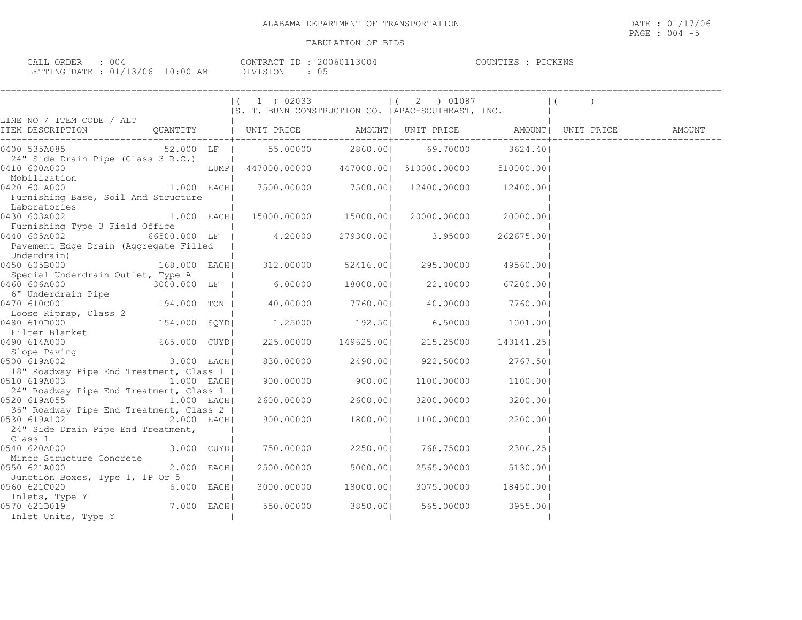| CALL ORDER : 004                 |  |          | CONTRACT ID: 20060113004 | COUNTIES : PICKENS |  |
|----------------------------------|--|----------|--------------------------|--------------------|--|
| LETTING DATE : 01/13/06 10:00 AM |  | DIVISION |                          |                    |  |

|                                                                                                                                                                                                                                      |                | $(1)$ 1 $)$ 02033<br> S. T. BUNN CONSTRUCTION CO.  APAC-SOUTHEAST, INC. |                        | 1(2) 01087                                      |                        |        |
|--------------------------------------------------------------------------------------------------------------------------------------------------------------------------------------------------------------------------------------|----------------|-------------------------------------------------------------------------|------------------------|-------------------------------------------------|------------------------|--------|
| LINE NO / ITEM CODE / ALT                                                                                                                                                                                                            |                |                                                                         |                        |                                                 |                        |        |
| TEM DESCRIPTION ( ) QUANTITY   UNIT PRICE AMOUNT  UNIT PRICE AMOUNT  UNIT PRICE                                                                                                                                                      |                |                                                                         |                        |                                                 |                        | AMOUNT |
| 0400 535A085                                                                                                                                                                                                                         |                | 52.000 LF   55.00000 2860.00  69.70000                                  |                        |                                                 | 3624.401               |        |
| 24" Side Drain Pipe (Class 3 R.C.)                                                                                                                                                                                                   |                |                                                                         |                        |                                                 |                        |        |
| 0410 600A000                                                                                                                                                                                                                         |                | LUMP  447000.00000  447000.00  510000.00000  510000.00                  |                        |                                                 |                        |        |
| 410 600A000<br>Mobilization                                                                                                                                                                                                          |                |                                                                         |                        |                                                 |                        |        |
| $1.000$ EACH<br>0420 601A000                                                                                                                                                                                                         |                |                                                                         |                        | $7500.00000$ $7500.00$ $12400.00000$ $12400.00$ |                        |        |
| Furnishing Base, Soil And Structure                                                                                                                                                                                                  |                |                                                                         |                        |                                                 |                        |        |
| Laboratories                                                                                                                                                                                                                         |                |                                                                         |                        |                                                 |                        |        |
| $0430$ 603A002 $1.000$ EACH 15000.00000 15000.000 20000.0000 20000.000                                                                                                                                                               |                |                                                                         |                        |                                                 |                        |        |
| Furnishing Type 3 Field Office                                                                                                                                                                                                       |                |                                                                         |                        |                                                 |                        |        |
|                                                                                                                                                                                                                                      |                |                                                                         |                        |                                                 | 262675.001             |        |
| Pavement Edge Drain (Aggregate Filled                                                                                                                                                                                                |                |                                                                         |                        |                                                 |                        |        |
| Underdrain)                                                                                                                                                                                                                          |                |                                                                         |                        |                                                 |                        |        |
| Underdrain)<br>  168.000 049560.00 AACH 312.00000 52416.00 295.00000 49560.00 49560.00 A                                                                                                                                             |                |                                                                         |                        |                                                 |                        |        |
| Special Underdrain Outlet, Type A                                                                                                                                                                                                    |                |                                                                         |                        |                                                 |                        |        |
| 0460 606A000 3000.000 LF                                                                                                                                                                                                             |                |                                                                         |                        | $6.00000$ $18000.001$ $22.40000$                | 67200.001              |        |
| 6" Underdrain Pipe                                                                                                                                                                                                                   |                |                                                                         |                        |                                                 |                        |        |
| 0470 610C001                                                                                                                                                                                                                         |                | 194.000 TON   40.00000 7760.00  40.00000 7760.00                        |                        |                                                 |                        |        |
| Loose Riprap, Class 2                                                                                                                                                                                                                |                |                                                                         |                        |                                                 |                        |        |
| 0480 610D000                                                                                                                                                                                                                         |                | 154.000 SQYD  1.25000 192.50  6.50000                                   |                        |                                                 | 1001.00                |        |
| Filter Blanket                                                                                                                                                                                                                       |                |                                                                         |                        |                                                 |                        |        |
| 0490 614A000                                                                                                                                                                                                                         | 665.000 CUYD   | 225.00000 149625.00                                                     |                        | 215.25000                                       | 143141.251             |        |
| Slope Paving                                                                                                                                                                                                                         |                |                                                                         |                        |                                                 |                        |        |
| 0500 619A002                                                                                                                                                                                                                         | 3.000 EACH     | 830.00000 2490.00                                                       |                        | 922.50000 2767.50                               |                        |        |
| 18" Roadway Pipe End Treatment, Class 1                                                                                                                                                                                              |                |                                                                         |                        |                                                 |                        |        |
| 0510 619A003 1.000 EACH                                                                                                                                                                                                              |                | 900.00000 900.00                                                        |                        |                                                 | 1100.00000 1100.00     |        |
| 24" Roadway Pipe End Treatment, Class 1                                                                                                                                                                                              |                |                                                                         |                        |                                                 |                        |        |
| 0520 619A055 1.000 EACH                                                                                                                                                                                                              |                |                                                                         | $2600.00000$ $2600.00$ |                                                 | $3200.00000$ $3200.00$ |        |
| 36" Roadway Pipe End Treatment, Class 2                                                                                                                                                                                              |                |                                                                         |                        |                                                 |                        |        |
| 0530 619A102                                                                                                                                                                                                                         | 2.000 EACH     | $900.00000$ 1800.00                                                     |                        |                                                 | 1100.00000 2200.00     |        |
| 24" Side Drain Pipe End Treatment,                                                                                                                                                                                                   |                |                                                                         |                        |                                                 |                        |        |
| Class 1                                                                                                                                                                                                                              |                |                                                                         |                        |                                                 |                        |        |
| 0540 620A000                                                                                                                                                                                                                         | $3.000$ $CUYD$ | 750.00000                                                               | 2250.001               | 768.75000 2306.25                               |                        |        |
| Minor Structure Concrete                                                                                                                                                                                                             |                |                                                                         |                        |                                                 |                        |        |
| 0550 621A000                                                                                                                                                                                                                         | 2.000 EACH     | 2500.00000 5000.00                                                      |                        |                                                 | 2565.00000 5130.00     |        |
| Junction Boxes, Type 1, 1P Or 5                                                                                                                                                                                                      |                |                                                                         |                        |                                                 |                        |        |
| 0560 621C020<br>$6.000$ EACH                                                                                                                                                                                                         |                | 3000.00000 18000.00                                                     |                        | 3075.00000 18450.001                            |                        |        |
| 1999 - The Contract of Terms of Terms of the Contract of Terms of Terms of Terms of Terms of Terms of Terms of<br>1997 - Terms of Terms of Terms of Terms of Terms of Terms of Terms of Terms of Terms of Terms of Terms of Ter<br>1 |                |                                                                         |                        |                                                 |                        |        |
|                                                                                                                                                                                                                                      |                | 550.00000 3850.00                                                       |                        | 565.00000 3955.00                               |                        |        |
| Inlet Units, Type Y                                                                                                                                                                                                                  |                |                                                                         |                        |                                                 |                        |        |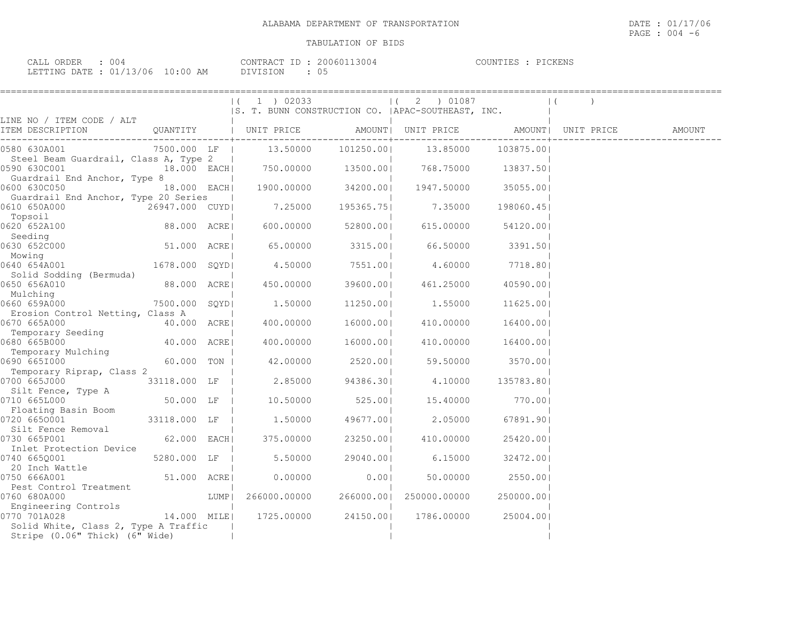| ORDER<br>CALL (      | OO.      |                     | CONTRACT   | 13004<br>200601 | COUNTIES | PICKENS |  |
|----------------------|----------|---------------------|------------|-----------------|----------|---------|--|
| <b>TETTING DATE </b> | 01/13/06 | $10 \cdot 00$<br>ΆM | $\sqrt{ }$ |                 |          |         |  |

|                                                                        |                |      | $ (1)$ 02033<br>S. T. BUNN CONSTRUCTION CO.   APAC-SOUTHEAST, INC. |                  | $(2)$ 01087        |            | $\vert$ (          |        |
|------------------------------------------------------------------------|----------------|------|--------------------------------------------------------------------|------------------|--------------------|------------|--------------------|--------|
| LINE NO / ITEM CODE / ALT                                              |                |      |                                                                    |                  |                    |            |                    |        |
| ITEM DESCRIPTION                                                       |                |      | QUANTITY   UNIT PRICE                                              |                  | AMOUNT  UNIT PRICE |            | AMOUNT  UNIT PRICE | AMOUNT |
| 0580 630A001                                                           |                |      | 7500.000 LF   13.50000                                             | 101250.001       | 13.85000           | 103875.001 |                    |        |
| Steel Beam Guardrail, Class A, Type 2<br>0590 630C001                  |                |      | 18.000 EACH 750.00000 13500.00 768.75000 13837.50                  |                  |                    |            |                    |        |
| Guardrail End Anchor, Type 8<br>0600 630C050                           | 18.000 EACH    |      | 1900.00000                                                         | 34200.001        | 1947.50000         | 35055.001  |                    |        |
| Guardrail End Anchor, Type 20 Series<br>0610 650A000<br>Topsoil        | 26947.000 CUYD |      | 7.25000                                                            | 195365.75        | 7.35000            | 198060.451 |                    |        |
| 0620 652A100<br>Seeding                                                | 88.000 ACREI   |      | 600.00000                                                          | 52800.00         | 615.00000          | 54120.001  |                    |        |
| 0630 652C000<br>Mowing                                                 | 51.000 ACRE    |      | 65.00000                                                           | 3315.00          | 66.50000           | 3391.50    |                    |        |
| 0640 654A001<br>Solid Sodding (Bermuda)                                | 1678.000 SQYD  |      | 4.50000                                                            | 7551.001         | 4.60000            | 7718.801   |                    |        |
| 0650 656A010<br>Mulching                                               | 88.000 ACRE    |      | 450.00000                                                          | 39600.00         | 461.25000          | 40590.001  |                    |        |
| 0660 659A000                                                           | 7500.000 SOYDI |      | 1,50000                                                            | 11250.001        | 1.55000            | 11625.001  |                    |        |
| Erosion Control Netting, Class A<br>0670 665A000                       | 40.000 ACRE    |      | 400.00000                                                          | 16000.00         | 410.00000          | 16400.001  |                    |        |
| Temporary Seeding<br>0680 665B000                                      | 40.000 ACREI   |      | 400.00000                                                          | 16000.001        | 410.00000          | 16400.001  |                    |        |
| Temporary Mulching<br>0690 665I000                                     | 60.000 TON     |      | 42.00000                                                           | 2520.00          | 59.50000           | 3570.001   |                    |        |
| Temporary Riprap, Class 2<br>0700 665J000                              | 33118.000 LF   |      | 2.85000                                                            | 94386.301        | 4.10000            | 135783.801 |                    |        |
| Silt Fence, Type A<br>0710 665L000                                     | 50.000 LF      |      |                                                                    | 10.50000 525.001 | 15.40000           | 770.00     |                    |        |
| Floating Basin Boom<br>0720 6650001                                    | 33118.000 LF   |      | 1.50000                                                            | 49677.001        | 2.05000            | 67891.901  |                    |        |
| Silt Fence Removal<br>0730 665P001                                     | 62.000 EACH    |      | 375.00000                                                          | 23250.00         | 410.00000          | 25420.001  |                    |        |
| Inlet Protection Device<br>0740 6650001                                | 5280.000 LF    |      | 5.50000                                                            | 29040.001        | 6.15000            | 32472.001  |                    |        |
| 20 Inch Wattle<br>0750 666A001                                         | 51.000 ACRE    |      | 0.00000                                                            | 0.001            | 50.00000           | 2550.001   |                    |        |
| Pest Control Treatment<br>0760 680A000                                 |                | LUMP | 266000.00000                                                       | 266000.00        | 250000.00000       | 250000.001 |                    |        |
| Engineering Controls<br>0770 701A028                                   |                |      |                                                                    |                  | 1786.00000         | 25004.001  |                    |        |
| Solid White, Class 2, Type A Traffic<br>Stripe (0.06" Thick) (6" Wide) |                |      |                                                                    |                  |                    |            |                    |        |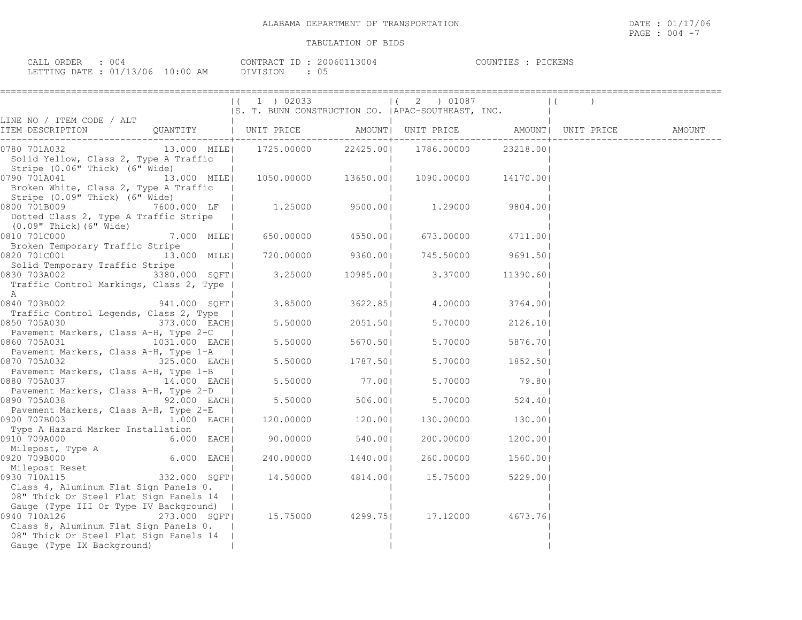| ORDER<br>004<br>CALL                 |                              | TD<br>CONTRACT<br>"RAUL | 3004<br>200601 | PICKENS<br>COUNTIES |
|--------------------------------------|------------------------------|-------------------------|----------------|---------------------|
| $\mu$ $\sim$ 01/12<br>LETTING DATE : | 13/06<br>$10 \cdot 00$<br>AM | <b>DIVISION</b>         | US             |                     |

|                                                                                                                                                                                                                       |                                          | $(1)$ 02033<br>S. T. BUNN CONSTRUCTION CO.   APAC-SOUTHEAST, INC.         |                     | $(2)$ 01087 |                   | $\vert$ ( |  |
|-----------------------------------------------------------------------------------------------------------------------------------------------------------------------------------------------------------------------|------------------------------------------|---------------------------------------------------------------------------|---------------------|-------------|-------------------|-----------|--|
| LINE NO / ITEM CODE / ALT<br>ITEM DESCRIPTION                                                                                                                                                                         |                                          | <b>Contractor</b>                                                         |                     |             |                   |           |  |
| 0780 701A032<br>Solid Yellow, Class 2, Type A Traffic                                                                                                                                                                 |                                          | 13.000 MILE  1725.00000 22425.00  1786.00000 23218.00 <br>and the control |                     |             |                   |           |  |
| Stripe (0.06" Thick) (6" Wide)<br>0790 701A041<br>Broken White, Class 2, Type A Traffic                                                                                                                               |                                          | $13.000$ MILE $ $ 1050.00000 13650.00 1090.00000                          |                     |             | 14170.001         |           |  |
| Stripe (0.09" Thick) (6" Wide)<br>$\begin{bmatrix} 0800 & 701\text{B}009 \end{bmatrix}$ 1.29000 $\begin{bmatrix} 7600.000 & \text{LF} \end{bmatrix}$ 1.25000 9500.00<br>Dotted Class 2, Type A Traffic Stripe         |                                          |                                                                           |                     |             | 9804.001          |           |  |
| (0.09" Thick) (6" Wide)<br>0810 701C000                                                                                                                                                                               | 7.000 MILE                               | $650.00000$ 4550.00                                                       |                     |             | 673.00000 4711.00 |           |  |
| Broken Temporary Traffic Stripe<br>0820 701C001<br>Solid Temporary Traffic Stripe                                                                                                                                     | 13.000 MILE<br>and the state of the pro- | 720.00000 9360.00                                                         |                     | 745.50000   | 9691.501          |           |  |
| 0830 703A002 3380.000 SQFT<br>Traffic Control Markings, Class 2, Type  <br>A                                                                                                                                          |                                          | 3.25000                                                                   | 10985.00            | 3.37000     | 11390.601         |           |  |
| 0840 703B002 941.000 SQFT                                                                                                                                                                                             |                                          |                                                                           | 3.85000 3622.85     | 4.00000     | 3764.001          |           |  |
| Traffic Control Legends, Class 2, Type  <br>0850 705A030                                                                                                                                                              | 373.000 EACH                             |                                                                           | $5.50000$ 2051.50   | 5.70000     | 2126.10           |           |  |
| Pavement Markers, Class A-H, Type 2-C  <br>0860 705A031                                                                                                                                                               | 1031.000 EACH                            |                                                                           | $5.50000$ $5670.50$ | 5.70000     | 5876.701          |           |  |
| Pavement Markers, Class A-H, Type 1-A  <br>0870 705A032 325.000 EACH                                                                                                                                                  |                                          |                                                                           | $5.50000$ 1787.50   |             | 5.70000 1852.50   |           |  |
| Pavement Markers, Class A-H, Type 1-B  <br>0880 705A037 14.000 EACH                                                                                                                                                   |                                          |                                                                           | 5.50000 77.00       | 5.70000     | 79.80             |           |  |
| Pavement Markers, Class A-H, Type 2-D  <br>0890 705A038                                                                                                                                                               | $92.000$ EACH                            |                                                                           | 5.50000 506.00      | 5.70000     | 524.401           |           |  |
| Pavement Markers, Class A-H, Type 2-E  <br>0900 707B003                                                                                                                                                               | 1.000 EACH                               |                                                                           | 120.00000 120.00    |             | 130.00000 130.00  |           |  |
| Type A Hazard Marker Installation<br>0910 709A000                                                                                                                                                                     | 6.000 EACH                               | 90.00000 540.00                                                           |                     | 200.00000   | 1200.001          |           |  |
| Milepost, Type A<br>0920 709B000                                                                                                                                                                                      | <br>  6.000 EACH                         |                                                                           | 240.00000 1440.00   | 260.00000   | 1560.001          |           |  |
| Nilepost Reset<br>a <sub>30</sub> 710 2115 332.000 SQFT<br>0930 710A115<br>Class 4, Aluminum Flat Sign Panels 0.                                                                                                      |                                          |                                                                           | 14.50000 4814.00    | 15.75000    | 5229.00           |           |  |
| 08" Thick Or Steel Flat Sign Panels 14  <br>Gauge (Type III Or Type IV Background)  <br>0940 710A126<br>Class 8, Aluminum Flat Sign Panels 0.<br>08" Thick Or Steel Flat Sign Panels 14<br>Gauge (Type IX Background) | 273.000 SQFT                             |                                                                           | 15.75000 4299.75    | 17.12000    | 4673.761          |           |  |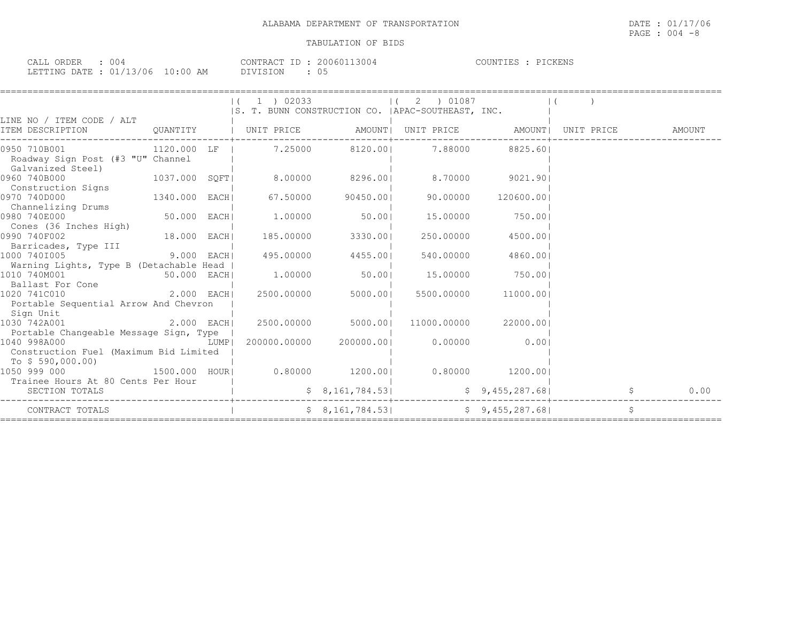| 00<br>ORDER<br>$\sim$ $\sim$ $\sim$ $\sim$<br>ـ بالبلايات |                                         | 200601<br>$ -$<br>CONTRACT<br>.3004 | PICKENS<br>COUNTIES |
|-----------------------------------------------------------|-----------------------------------------|-------------------------------------|---------------------|
| /13/06<br>n 1<br>LETTING DATE<br>∸∽                       | 1 N • N N<br>AM<br>$\ddot{\phantom{1}}$ | DIVISION<br>υs                      |                     |

| LINE NO / ITEM CODE / ALT                                                                        |                        |  | $(1)$ 02033                    |                 | 2 ) 01087<br>$\Box$<br> S. T. BUNN CONSTRUCTION CO.  APAC-SOUTHEAST, INC. |                 |      |
|--------------------------------------------------------------------------------------------------|------------------------|--|--------------------------------|-----------------|---------------------------------------------------------------------------|-----------------|------|
| ITEM DESCRIPTION                                                                                 |                        |  |                                |                 | QUANTITY   UNIT PRICE AMOUNT  UNIT PRICE AMOUNT  UNIT PRICE AMOUNT        |                 |      |
| 0950 710B001<br>Roadway Sign Post (#3 "U" Channel<br>Galvanized Steel)                           |                        |  |                                |                 | 1120.000 LF   7.25000 8120.00  7.88000 8825.60                            |                 |      |
| 0960 740B000<br>Construction Signs                                                               |                        |  |                                |                 | 1037.000 SQFT  8.00000 8296.00  8.70000 9021.90                           |                 |      |
| 1340.000 EACHI<br>0970 740D000<br>Channelizing Drums                                             |                        |  | 67.50000                       | 90450.001       | 90.00000                                                                  | 120600.001      |      |
| 0980 740E000<br>Cones (36 Inches High)                                                           | 50.000 EACH            |  | 1.00000 50.001                 |                 | 15.00000                                                                  | 750.001         |      |
| 0990 740F002<br>Barricades, Type III                                                             | 18.000 EACH            |  | 185.00000                      | 3330.001        | 250.00000                                                                 | 4500.001        |      |
| $9.000$ EACH<br>1000 7401005<br>Warning Lights, Type B (Detachable Head                          |                        |  | 495.00000 4455.00              |                 | 540.00000                                                                 | 4860.001        |      |
| 1010 740M001<br>Ballast For Cone                                                                 | 50.000 EACH            |  |                                | $1.00000$ 50.00 | 15.00000                                                                  | 750.00          |      |
| 2.000 EACH<br>1020 741C010<br>Portable Sequential Arrow And Chevron                              |                        |  | 2500.00000                     | 5000.001        | 5500.00000                                                                | 11000.001       |      |
| Sign Unit<br>1030 742A001                                                                        |                        |  | 2.000 EACH  2500.00000 5000.00 |                 | 11000.00000                                                               | 22000.001       |      |
| Portable Changeable Message Sign, Type<br>1040 998A000<br>Construction Fuel (Maximum Bid Limited | <b>EXECUTE:</b> LUMP I |  | 200000.00000 200000.001        |                 | 0.00000                                                                   | 0.001           |      |
| To $$590,000.00)$<br>1050 999 000<br>Trainee Hours At 80 Cents Per Hour                          |                        |  |                                |                 | $1500.000$ HOUR  0.80000 $1200.00$   0.80000 $1200.00$                    |                 |      |
| SECTION TOTALS                                                                                   |                        |  |                                | \$8,161,784.53] |                                                                           | \$9,455,287.68] | 0.00 |
| CONTRACT TOTALS                                                                                  |                        |  |                                |                 | $$8,161,784.53$ $$9,455,287.68$                                           |                 | \$   |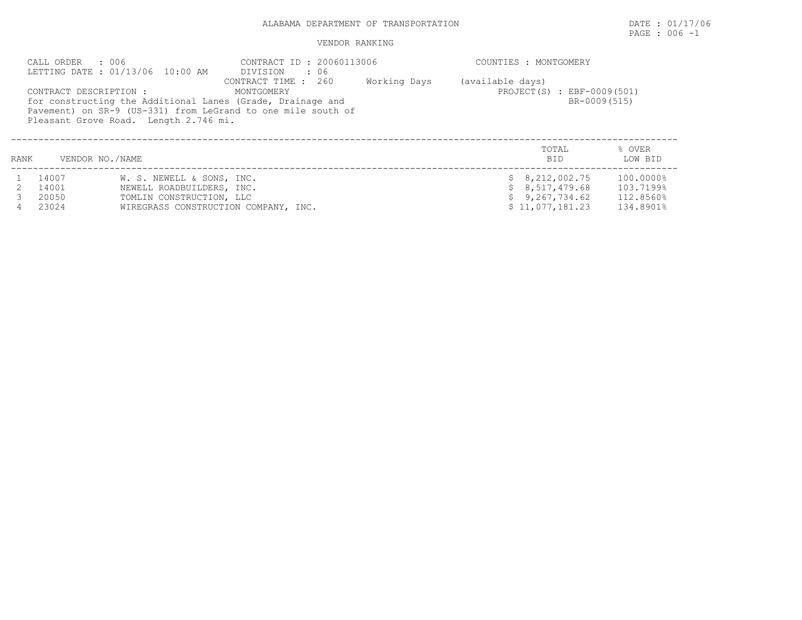### ALABAMA DEPARTMENT OF TRANSPORTATION DATE : 01/17/06

# PAGE : 006 -1

## VENDOR RANKING

|      | : 006<br>CALL ORDER                                                                                                                                                                                                                                                    | LETTING DATE: 01/13/06 10:00 AM | CONTRACT ID: 20060113006             | COUNTIES : MONTGOMERY |  |                              |                                            |  |  |
|------|------------------------------------------------------------------------------------------------------------------------------------------------------------------------------------------------------------------------------------------------------------------------|---------------------------------|--------------------------------------|-----------------------|--|------------------------------|--------------------------------------------|--|--|
|      | CONTRACT TIME : 260<br>Working Days<br>(available days)<br>CONTRACT DESCRIPTION :<br>MONTGOMERY<br>for constructing the Additional Lanes (Grade, Drainage and<br>Pavement) on SR-9 (US-331) from LeGrand to one mile south of<br>Pleasant Grove Road. Length 2.746 mi. |                                 |                                      |                       |  |                              | PROJECT(S) : EBF-0009(501)<br>BR-0009(515) |  |  |
| RANK | VENDOR NO./NAME                                                                                                                                                                                                                                                        |                                 |                                      |                       |  | TOTAL<br><b>BID</b>          | % OVER<br>LOW BID                          |  |  |
|      | 14007                                                                                                                                                                                                                                                                  | W. S. NEWELL & SONS, INC.       |                                      |                       |  | \$8,212,002.75               | 100.0000%                                  |  |  |
|      | 14001                                                                                                                                                                                                                                                                  | NEWELL ROADBUILDERS, INC.       |                                      |                       |  | \$8,517,479.68               | 103.7199%                                  |  |  |
|      | 20050                                                                                                                                                                                                                                                                  | TOMLIN CONSTRUCTION, LLC        |                                      |                       |  | \$9,267,734.62               | 112.8560%                                  |  |  |
|      | 23024                                                                                                                                                                                                                                                                  |                                 | WIREGRASS CONSTRUCTION COMPANY, INC. |                       |  | $$11,077,181.23$ $134.8901\$ |                                            |  |  |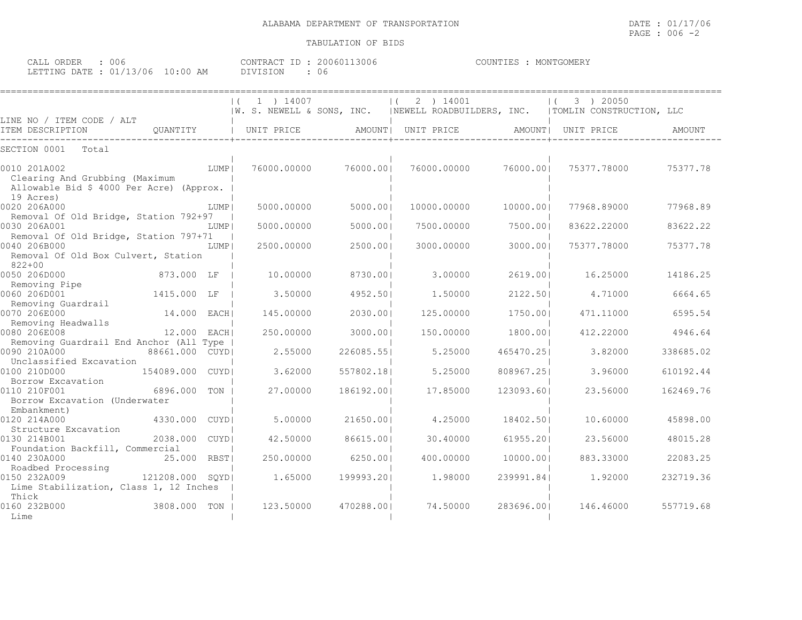| CALL ORDER : 006                 |  | CONTRACT ID: 20060113006 | COUNTIES : MONTGOMERY |
|----------------------------------|--|--------------------------|-----------------------|
| LETTING DATE : 01/13/06 10:00 AM |  | DIVISION : 06            |                       |

|                                                                                                        |                  |      | 1 ) 14007<br>$\vert$ ( |            | 2 ) 14001<br>$\vert$ (                                                           |            | 3 ) 20050<br>$\left  \right $ |           |
|--------------------------------------------------------------------------------------------------------|------------------|------|------------------------|------------|----------------------------------------------------------------------------------|------------|-------------------------------|-----------|
|                                                                                                        |                  |      |                        |            | W. S. NEWELL & SONS, INC.   NEWELL ROADBUILDERS, INC.   TOMLIN CONSTRUCTION, LLC |            |                               |           |
| LINE NO / ITEM CODE / ALT<br>ITEM DESCRIPTION                                                          | QUANTITY         |      | UNIT PRICE             |            | AMOUNT   UNIT PRICE                                                              | AMOUNT     | UNIT PRICE                    | AMOUNT    |
| SECTION 0001<br>Total                                                                                  |                  |      |                        |            |                                                                                  |            |                               |           |
| 0010 201A002<br>Clearing And Grubbing (Maximum<br>Allowable Bid \$ 4000 Per Acre) (Approx.             |                  | LUMP | 76000.00000            | 76000.001  | 76000.00000                                                                      | 76000.001  | 75377.78000                   | 75377.78  |
| 19 Acres)<br>0020 206A000                                                                              |                  | LUMP | 5000.00000             | 5000.001   | 10000.00000                                                                      | 10000.001  | 77968.89000                   | 77968.89  |
| Removal Of Old Bridge, Station 792+97<br>0030 206A001                                                  |                  | LUMP | 5000.00000             | 5000.001   | 7500.00000                                                                       | 7500.001   | 83622.22000                   | 83622.22  |
| Removal Of Old Bridge, Station 797+71<br>0040 206B000<br>Removal Of Old Box Culvert, Station<br>822+00 |                  | LUMP | 2500.00000             | 2500.001   | 3000.00000                                                                       | 3000.001   | 75377.78000                   | 75377.78  |
| 0050 206D000                                                                                           | 873.000 LF       |      | 10.00000               | 8730.001   | 3.00000                                                                          | 2619.001   | 16.25000                      | 14186.25  |
| Removing Pipe<br>0060 206D001                                                                          | 1415.000 LF      |      | 3.50000                | 4952.501   | 1,50000                                                                          | 2122.501   | 4.71000                       | 6664.65   |
| Removing Guardrail<br>0070 206E000                                                                     | 14.000 EACH      |      | 145.00000              | 2030.001   | 125.00000                                                                        | 1750.001   | 471.11000                     | 6595.54   |
| Removing Headwalls<br>0080 206E008<br>Removing Guardrail End Anchor (All Type                          | 12.000 EACH      |      | 250.00000              | 3000.001   | 150.00000                                                                        | 1800.001   | 412.22000                     | 4946.64   |
| 0090 210A000<br>Unclassified Excavation                                                                | 88661,000 CUYDI  |      | 2.55000                | 226085.551 | 5.25000                                                                          | 465470.251 | 3.82000                       | 338685.02 |
| 0100 210D000<br>Borrow Excavation                                                                      | 154089.000 CUYDI |      | 3.62000                | 557802.181 | 5.25000                                                                          | 808967.251 | 3.96000                       | 610192.44 |
| 0110 210F001<br>Borrow Excavation (Underwater<br>Embankment)                                           | 6896.000         | TON  | 27.00000               | 186192.001 | 17.85000                                                                         | 123093.601 | 23.56000                      | 162469.76 |
| 0120 214A000<br>Structure Excavation                                                                   | 4330.000 CUYDI   |      | 5,00000                | 21650.001  | 4.25000                                                                          | 18402.501  | 10.60000                      | 45898.00  |
| 0130 214B001<br>Foundation Backfill, Commercial                                                        | 2038.000 CUYDI   |      | 42.50000               | 86615.001  | 30.40000                                                                         | 61955.201  | 23.56000                      | 48015.28  |
| 0140 230A000<br>Roadbed Processing                                                                     | 25.000           | RBST | 250.00000              | 6250.001   | 400,00000                                                                        | 10000.001  | 883.33000                     | 22083.25  |
| 0150 232A009<br>Lime Stabilization, Class 1, 12 Inches                                                 | 121208.000 SOYDI |      | 1.65000                | 199993.201 | 1.98000                                                                          | 239991.841 | 1,92000                       | 232719.36 |
| Thick<br>0160 232B000<br>Lime                                                                          | 3808.000         | TON  | 123.50000              | 470288.001 | 74.50000                                                                         | 283696.001 | 146.46000                     | 557719.68 |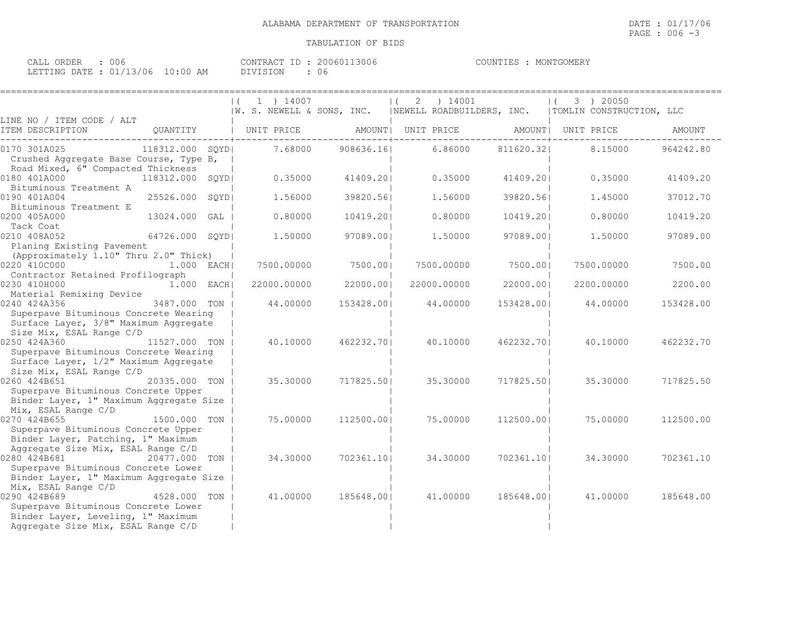| 006<br>CALL ORDER               | CONTRACT ID: 20060113006 |      | COUNTIES : MONTGOMERY |
|---------------------------------|--------------------------|------|-----------------------|
| LETTING DATE: 01/13/06 10:00 AM | DIVISION                 | : 06 |                       |

|                                                                |                 | 1) 14007<br>$\vert$ (                                                            |            | 2 | ) 14001     |            | 3 ) 20050  |           |
|----------------------------------------------------------------|-----------------|----------------------------------------------------------------------------------|------------|---|-------------|------------|------------|-----------|
|                                                                |                 | W. S. NEWELL & SONS, INC.   NEWELL ROADBUILDERS, INC.   TOMLIN CONSTRUCTION, LLC |            |   |             |            |            |           |
| LINE NO / ITEM CODE / ALT                                      |                 |                                                                                  |            |   |             |            |            |           |
| ITEM DESCRIPTION                                               |                 | QUANTITY   UNIT PRICE         AMOUNT  UNIT PRICE           AMOUNT  UNIT PRICE    |            |   |             |            |            | AMOUNT    |
| 0170 301A025                                                   | 118312.000 SQYD | 7.68000                                                                          | 908636.16  |   | 6.86000     | 811620.32  | 8.15000    | 964242.80 |
| Crushed Aggregate Base Course, Type B,                         |                 |                                                                                  |            |   |             |            |            |           |
| Road Mixed, 6" Compacted Thickness                             |                 |                                                                                  |            |   |             |            |            |           |
| 0180 401A000                                                   | 118312.000 SQYD | 0.35000                                                                          | 41409.201  |   | 0.35000     | 41409.201  | 0.35000    | 41409.20  |
| Bituminous Treatment A                                         |                 |                                                                                  |            |   |             |            |            |           |
| 0190 401A004                                                   | 25526.000 SOYDI | 1,56000                                                                          | 39820.561  |   | 1.56000     | 39820.561  | 1,45000    | 37012.70  |
| Bituminous Treatment E                                         |                 |                                                                                  |            |   |             |            |            |           |
| 0200 405A000                                                   | 13024.000 GAL   | 0.80000                                                                          | 10419.201  |   | 0.80000     | 10419.201  | 0.80000    | 10419.20  |
| Tack Coat                                                      |                 |                                                                                  |            |   |             |            |            |           |
| 0210 408A052                                                   | 64726.000 SQYD  | 1,50000                                                                          | 97089.001  |   | 1,50000     | 97089.00   | 1,50000    | 97089.00  |
| Planing Existing Pavement                                      |                 |                                                                                  |            |   |             |            |            |           |
| (Approximately 1.10" Thru 2.0" Thick)                          |                 |                                                                                  |            |   |             |            |            |           |
| 0220 410C000                                                   | $1.000$ EACH    | 7500.00000                                                                       | 7500.001   |   | 7500.00000  | 7500.001   | 7500,00000 | 7500.00   |
| Contractor Retained Profilograph                               |                 |                                                                                  |            |   |             |            |            |           |
| 0230 410H000                                                   | 1.000 EACH      | 22000.00000                                                                      | 22000.001  |   | 22000.00000 | 22000.001  | 2200.00000 | 2200.00   |
| Material Remixing Device                                       |                 |                                                                                  |            |   |             |            |            |           |
| 0240 424A356                                                   | 3487.000 TON I  | 44,00000                                                                         | 153428.001 |   | 44.00000    | 153428.001 | 44.00000   | 153428.00 |
| Superpave Bituminous Concrete Wearing                          |                 |                                                                                  |            |   |             |            |            |           |
| Surface Layer, 3/8" Maximum Aggregate                          |                 |                                                                                  |            |   |             |            |            |           |
| Size Mix, ESAL Range C/D                                       |                 |                                                                                  |            |   |             |            |            |           |
| 0250 424A360                                                   | 11527.000 TON   | 40.10000                                                                         | 462232.701 |   | 40.10000    | 462232.701 | 40.10000   | 462232.70 |
| Superpave Bituminous Concrete Wearing                          |                 |                                                                                  |            |   |             |            |            |           |
| Surface Layer, 1/2" Maximum Aggregate                          |                 |                                                                                  |            |   |             |            |            |           |
| Size Mix, ESAL Range C/D                                       |                 |                                                                                  |            |   |             |            |            |           |
| 0260 424B651                                                   | 20335.000 TON   | 35.30000                                                                         | 717825.501 |   | 35.30000    | 717825.501 | 35.30000   | 717825.50 |
| Superpave Bituminous Concrete Upper                            |                 |                                                                                  |            |   |             |            |            |           |
| Binder Layer, 1" Maximum Aggregate Size<br>Mix, ESAL Range C/D |                 |                                                                                  |            |   |             |            |            |           |
| 0270 424B655                                                   | 1500.000 TON    | 75.00000                                                                         | 112500.001 |   | 75.00000    | 112500.001 | 75.00000   | 112500.00 |
| Superpave Bituminous Concrete Upper                            |                 |                                                                                  |            |   |             |            |            |           |
| Binder Layer, Patching, 1" Maximum                             |                 |                                                                                  |            |   |             |            |            |           |
| Aggregate Size Mix, ESAL Range C/D                             |                 |                                                                                  |            |   |             |            |            |           |
| 0280 424B681                                                   | 20477.000 TON   | 34.30000                                                                         | 702361.10  |   | 34.30000    | 702361.10  | 34.30000   | 702361.10 |
| Superpave Bituminous Concrete Lower                            |                 |                                                                                  |            |   |             |            |            |           |
| Binder Layer, 1" Maximum Aggregate Size                        |                 |                                                                                  |            |   |             |            |            |           |
| Mix, ESAL Range C/D                                            |                 |                                                                                  |            |   |             |            |            |           |
| 0290 424B689                                                   | 4528.000 TON    | 41.00000                                                                         | 185648.001 |   | 41.00000    | 185648.001 | 41,00000   | 185648.00 |
| Superpave Bituminous Concrete Lower                            |                 |                                                                                  |            |   |             |            |            |           |
| Binder Layer, Leveling, 1" Maximum                             |                 |                                                                                  |            |   |             |            |            |           |
| Aggregate Size Mix, ESAL Range C/D                             |                 |                                                                                  |            |   |             |            |            |           |
|                                                                |                 |                                                                                  |            |   |             |            |            |           |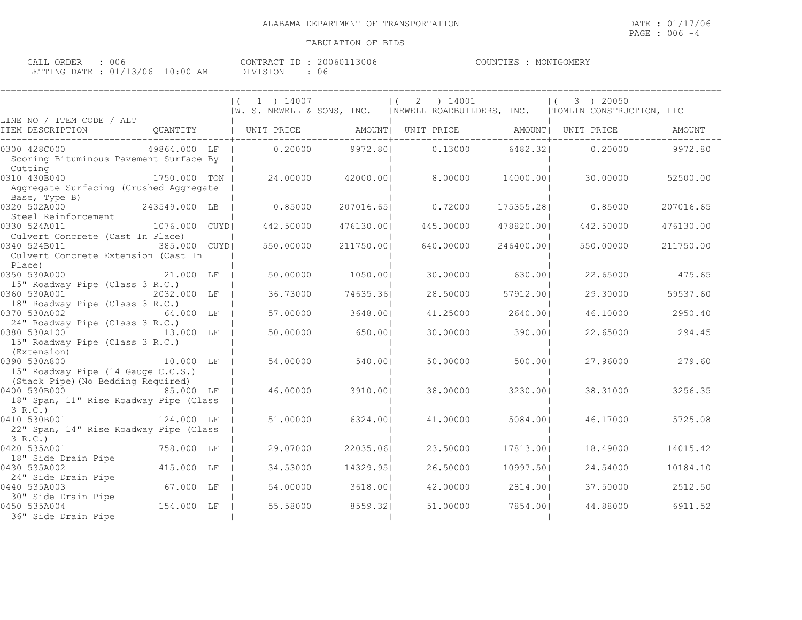CALL ORDER : 006 CONTRACT ID : 20060113006 COUNTIES : MONTGOMERY LETTING DATE : 01/13/06 10:00 AM DIVISION : 06

|                                                                                                       | $(1)$ 1 $14007$ |            | (2) 14001 |            | 3 ) 20050<br>$\vert$ (                                                           |           |
|-------------------------------------------------------------------------------------------------------|-----------------|------------|-----------|------------|----------------------------------------------------------------------------------|-----------|
| LINE NO / ITEM CODE / ALT                                                                             |                 |            |           |            | W. S. NEWELL & SONS, INC.   NEWELL ROADBUILDERS, INC.   TOMLIN CONSTRUCTION, LLC |           |
| QUANTITY   UNIT PRICE     AMOUNT  UNIT PRICE     AMOUNT  UNIT PRICE<br>ITEM DESCRIPTION               |                 |            |           |            |                                                                                  | AMOUNT    |
| 0300 428C000<br>49864.000 LF  <br>Scoring Bituminous Pavement Surface By<br>Cutting                   | 0.20000         | 9972.801   | 0.13000   | 6482.321   | 0.20000                                                                          | 9972.80   |
| 0310 430B040<br>1750.000 TON I<br>Aggregate Surfacing (Crushed Aggregate<br>Base, Type B)             | 24.00000        | 42000.001  | 8.00000   | 14000.001  | 30.00000                                                                         | 52500.00  |
| 243549.000 LB<br>0320 502A000<br>Steel Reinforcement                                                  | 0.85000         | 207016.651 | 0.72000   | 175355.281 | 0.85000                                                                          | 207016.65 |
| 0330 524A011<br>1076.000 CUYDI<br>Culvert Concrete (Cast In Place)                                    | 442.50000       | 476130.001 | 445.00000 | 478820.001 | 442.50000                                                                        | 476130.00 |
| 0340 524B011<br>385,000 CUYDI<br>Culvert Concrete Extension (Cast In<br>Place)                        | 550,00000       | 211750.001 | 640,00000 | 246400.001 | 550,00000                                                                        | 211750.00 |
| 0350 530A000<br>21.000 LF<br>15" Roadway Pipe (Class 3 R.C.)                                          | 50.00000        | 1050.001   | 30,00000  | 630.001    | 22.65000                                                                         | 475.65    |
| 0360 530A001<br>2032.000 LF<br>18" Roadway Pipe (Class 3 R.C.)                                        | 36.73000        | 74635.361  | 28.50000  | 57912.001  | 29.30000                                                                         | 59537.60  |
| 0370 530A002<br>64.000 LF<br>24" Roadway Pipe (Class 3 R.C.)                                          | 57.00000        | 3648.001   | 41,25000  | 2640.001   | 46.10000                                                                         | 2950.40   |
| 0380 530A100 13.000 LF<br>15" Roadway Pipe (Class 3 R.C.)<br>(Extension)                              | 50.00000        | 650.001    | 30,00000  | 390.001    | 22.65000                                                                         | 294.45    |
| 10.000 LF<br>0390 530A800<br>15" Roadway Pipe (14 Gauge C.C.S.)<br>(Stack Pipe) (No Bedding Required) | 54,00000        | 540.001    | 50.00000  | 500.00     | 27.96000                                                                         | 279.60    |
| 0400 530B000 85.000 LF<br>18" Span, 11" Rise Roadway Pipe (Class<br>3 R.C.                            | 46.00000        | 3910.001   | 38,00000  | 3230.001   | 38.31000                                                                         | 3256.35   |
| 124.000 LF<br>0410 530B001<br>22" Span, 14" Rise Roadway Pipe (Class<br>3 R.C.                        | 51,00000        | 6324.001   | 41,00000  | 5084.001   | 46.17000                                                                         | 5725.08   |
| 758.000 LF<br>0420 535A001<br>18" Side Drain Pipe                                                     | 29.07000        | 22035.061  | 23.50000  | 17813.001  | 18,49000                                                                         | 14015.42  |
| 415.000 LF<br>0430 535A002<br>24" Side Drain Pipe                                                     | 34.53000        | 14329.951  | 26.50000  | 10997.501  | 24.54000                                                                         | 10184.10  |
| 67.000 LF<br>0440 535A003<br>30" Side Drain Pipe                                                      | 54,00000        | 3618.001   | 42.00000  | 2814.00    | 37.50000                                                                         | 2512.50   |
| 154.000 LF<br>0450 535A004<br>36" Side Drain Pipe                                                     | 55.58000        | 8559.321   | 51,00000  | 7854.001   | 44.88000                                                                         | 6911.52   |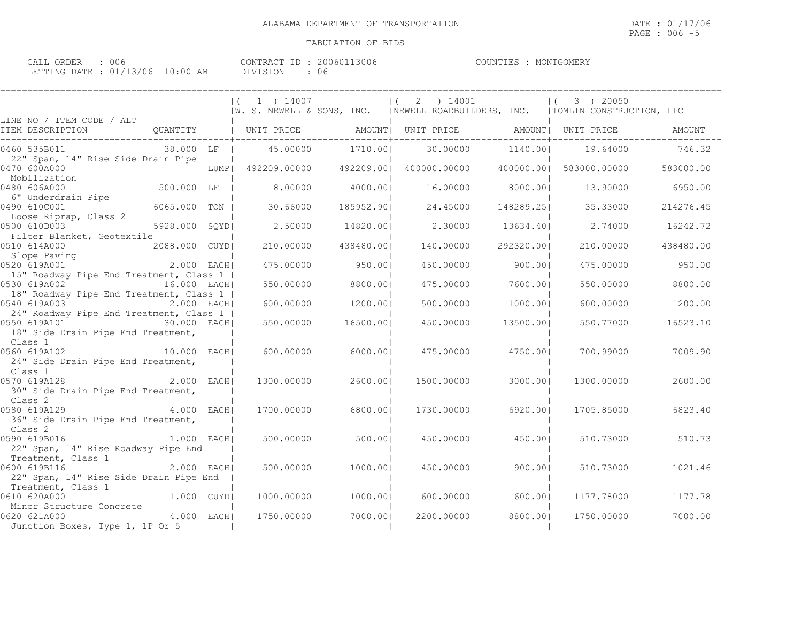| ORDER<br>$\sim$ $\sim$ $\sim$ $\sim$<br>ـ بلايلانك | UU6                              | 200601<br>.3006<br>CONTRACT ID | MONTGOMERY<br>COUNTIES |
|----------------------------------------------------|----------------------------------|--------------------------------|------------------------|
|                                                    | LETTING DATE : 01/13/06 10:00 AM | DIVISION<br>U 6                |                        |

| ------------------                                                                         |                  |                  |                                                                                                  |                  |                                   |           |
|--------------------------------------------------------------------------------------------|------------------|------------------|--------------------------------------------------------------------------------------------------|------------------|-----------------------------------|-----------|
|                                                                                            | $(1)$ 1 $14007$  |                  | $(2)$ 14001<br> W. S. NEWELL & SONS, INC.   NEWELL ROADBUILDERS, INC.   TOMLIN CONSTRUCTION, LLC |                  | 3 ) 20050<br>$\left  \right $     |           |
| LINE NO / ITEM CODE / ALT                                                                  |                  |                  |                                                                                                  |                  |                                   |           |
| ITEM DESCRIPTION                                                                           |                  |                  |                                                                                                  |                  |                                   | AMOUNT    |
| 38.000 LF  <br>0460 535B011                                                                | 45.00000 1710.00 |                  |                                                                                                  | 30.00000 1140.00 | 19.64000                          | 746.32    |
| 22" Span, 14" Rise Side Drain Pipe<br>0470 600A000                                         |                  |                  | LUMP  492209.00000  492209.00  400000.00000                                                      |                  | 400000.001 583000.00000 583000.00 |           |
| !4 LUMP <br> <br>  500.000 LF 500<br>Mobilization<br>0480 606A000                          |                  | 8.00000 4000.001 |                                                                                                  | 16.00000 8000.00 | 13.90000                          | 6950.00   |
| 6" Underdrain Pipe<br>0490 610C001<br>6065.000 TON                                         | 30.66000         | 185952.901       | 24.45000                                                                                         | 148289.251       | 35.33000                          | 214276.45 |
| Loose Riprap, Class 2<br>0500 610D003<br>5928.000 SQYD                                     | 2.50000          | 14820.001        | 2.30000                                                                                          | 13634.401        | 2.74000                           | 16242.72  |
| Filter Blanket, Geotextile<br>0510 614A000<br>2088.000 CUYDI                               | 210.00000        | 438480.001       | 140.00000                                                                                        | 292320.00        | 210,00000                         | 438480.00 |
| Slope Paving<br>$2.000$ EACHI<br>0520 619A001                                              | 475.00000        | 950.001          | 450.00000                                                                                        | 900.001          | 475.00000                         | 950.00    |
| 15" Roadway Pipe End Treatment, Class 1  <br>16.000 EACHI<br>0530 619A002                  | 550.00000        | 8800.001         | 475.00000                                                                                        | 7600.001         | 550.00000                         | 8800.00   |
| 18" Roadway Pipe End Treatment, Class 1  <br>2.000 EACH<br>0540 619A003                    | 600.00000        | 1200.001         | 500.00000                                                                                        | 1000.001         | 600,00000                         | 1200.00   |
| 24" Roadway Pipe End Treatment, Class 1  <br>0550 619A101 1 30.000 EACH                    | 550.00000        | 16500.001        | 450.00000                                                                                        | 13500.001        | 550.77000                         | 16523.10  |
| 18" Side Drain Pipe End Treatment,<br>Class 1                                              |                  |                  |                                                                                                  |                  |                                   |           |
| $10.000$ EACH<br>0560 619A102<br>24" Side Drain Pipe End Treatment,                        | 600.00000        | 6000.001         | 475.00000                                                                                        | 4750.001         | 700.99000                         | 7009.90   |
| Class 1<br>2.000 EACHI<br>0570 619A128                                                     | 1300.00000       | 2600.00          | 1500.00000                                                                                       | 3000.001         | 1300.00000                        | 2600.00   |
| 30" Side Drain Pipe End Treatment,<br>Class 2                                              |                  |                  |                                                                                                  |                  |                                   |           |
| $4.000$ EACH<br>0580 619A129<br>36" Side Drain Pipe End Treatment,                         | 1700,00000       | 6800.001         | 1730,00000                                                                                       | 6920.001         | 1705.85000                        | 6823.40   |
| Class 2<br>0590 619B016                                                                    |                  |                  |                                                                                                  |                  |                                   |           |
| 1.000 EACHI<br>22" Span, 14" Rise Roadway Pipe End                                         | 500.00000        | 500.00           | 450.00000                                                                                        | 450.001          | 510.73000                         | 510.73    |
| Treatment, Class 1<br>2.000 EACH<br>0600 619B116<br>22" Span, 14" Rise Side Drain Pipe End | 500,00000        | 1000.001         | 450.00000                                                                                        | 900.001          | 510.73000                         | 1021.46   |
| Treatment, Class 1<br>1.000 CUYD<br>0610 620A000                                           | 1000.00000       | 1000.001         | 600.00000                                                                                        | 600.001          | 1177.78000                        | 1177.78   |
| Minor Structure Concrete<br>$4.000$ EACHI<br>0620 621A000                                  | 1750.00000       | 7000.001         | 2200,00000                                                                                       | 8800.001         | 1750.00000                        | 7000.00   |
| Junction Boxes, Type 1, 1P Or 5                                                            |                  |                  |                                                                                                  |                  |                                   |           |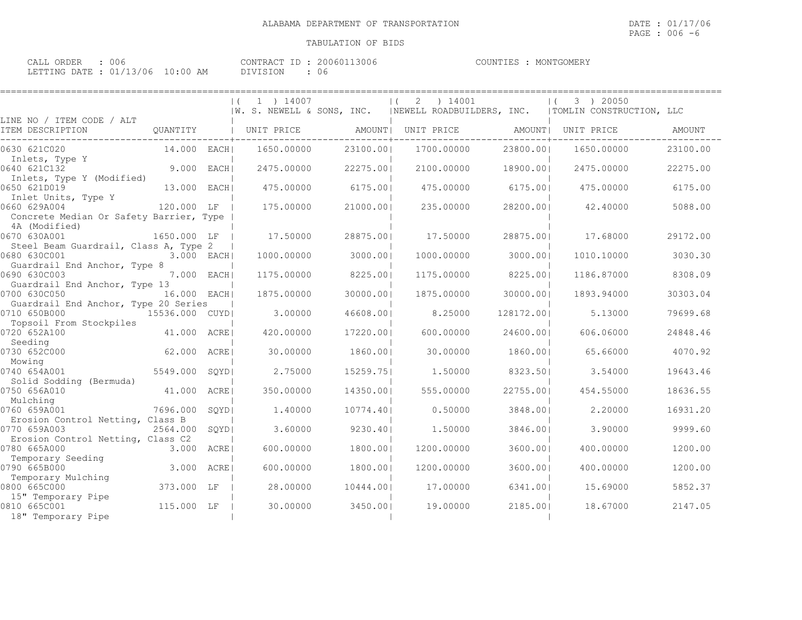| CALL ORDER : 006 |                                 | CONTRACT ID: 20060113006 | COUNTIES : MONTGOMERY |
|------------------|---------------------------------|--------------------------|-----------------------|
|                  | LETTING DATE: 01/13/06 10:00 AM | DIVISION                 |                       |

|                                                      |                 |       | 1 ) 14007                 |           | ) 14001<br>2               |            | 3 ) 20050                |          |
|------------------------------------------------------|-----------------|-------|---------------------------|-----------|----------------------------|------------|--------------------------|----------|
|                                                      |                 |       | W. S. NEWELL & SONS, INC. |           | INEWELL ROADBUILDERS, INC. |            | TOMLIN CONSTRUCTION, LLC |          |
| LINE NO / ITEM CODE / ALT                            |                 |       |                           |           |                            |            |                          |          |
| ITEM DESCRIPTION                                     | QUANTITY        |       | UNIT PRICE                |           | AMOUNT  UNIT PRICE         |            | AMOUNT  UNIT PRICE       | AMOUNT   |
| 0630 621C020                                         | 14.000 EACHI    |       | 1650.00000                | 23100.001 | 1700.00000                 | 23800.001  | 1650.00000               | 23100.00 |
| Inlets, Type Y<br>0640 621C132                       | 9.000 EACH      |       | 2475,00000                | 22275.001 | 2100.00000                 | 18900.001  | 2475.00000               | 22275.00 |
| Inlets, Type Y (Modified)                            |                 |       |                           |           |                            |            |                          |          |
| 0650 621D019                                         | 13.000 EACH     |       | 475.00000                 | 6175.001  | 475.00000                  | 6175.00    | 475.00000                | 6175.00  |
| Inlet Units, Type Y<br>0660 629A004                  | 120.000 LF      |       | 175,00000                 | 21000.001 | 235.00000                  | 28200.001  | 42,40000                 | 5088.00  |
| Concrete Median Or Safety Barrier, Type              |                 |       |                           |           |                            |            |                          |          |
| 4A (Modified)                                        |                 |       |                           |           |                            |            |                          |          |
| 0670 630A001                                         | 1650.000 LF     |       | 17.50000                  | 28875.001 | 17.50000                   | 28875.001  | 17.68000                 | 29172.00 |
| Steel Beam Guardrail, Class A, Type 2                |                 |       |                           |           |                            |            |                          |          |
| 0680 630C001                                         | 3.000 EACH      |       | 1000.00000                | 3000.001  | 1000.00000                 | 3000.001   | 1010,10000               | 3030.30  |
| Guardrail End Anchor, Type 8<br>0690 630C003         | 7.000 EACH      |       | 1175.00000                | 8225.001  | 1175.00000                 | 8225.001   | 1186.87000               | 8308.09  |
| Guardrail End Anchor, Type 13                        |                 |       |                           |           |                            |            |                          |          |
| 0700 630C050                                         | 16.000 EACH     |       | 1875,00000                | 30000.001 | 1875.00000                 | 30000.001  | 1893.94000               | 30303.04 |
| Guardrail End Anchor, Type 20 Series<br>0710 650B000 | 15536.000 CUYDI |       | 3,00000                   | 46608.001 | 8.25000                    | 128172.001 | 5.13000                  | 79699.68 |
| Topsoil From Stockpiles                              |                 |       |                           |           |                            |            |                          |          |
| 0720 652A100                                         | 41.000 ACRE     |       | 420,00000                 | 17220.001 | 600,00000                  | 24600.001  | 606.06000                | 24848.46 |
| Seeding                                              |                 |       |                           |           |                            |            |                          |          |
| 0730 652C000<br>Mowing                               | 62.000 ACREI    |       | 30,00000                  | 1860.001  | 30,00000                   | 1860.001   | 65.66000                 | 4070.92  |
| 0740 654A001                                         | 5549.000 SQYD   |       | 2.75000                   | 15259.751 | 1,50000                    | 8323.501   | 3.54000                  | 19643.46 |
| Solid Sodding (Bermuda)                              |                 |       |                           |           |                            |            |                          |          |
| 0750 656A010                                         | 41.000 ACRE     |       | 350.00000                 | 14350.001 | 555.00000                  | 22755.001  | 454.55000                | 18636.55 |
| Mulching<br>0760 659A001                             | 7696.000        | SOYDI | 1,40000                   | 10774.401 | 0.50000                    | 3848.001   | 2,20000                  | 16931.20 |
| Erosion Control Netting, Class B                     |                 |       |                           |           |                            |            |                          |          |
| 0770 659A003                                         | 2564.000        | SQYDI | 3.60000                   | 9230.401  | 1,50000                    | 3846.001   | 3.90000                  | 9999.60  |
| Erosion Control Netting, Class C2                    |                 |       |                           |           |                            |            |                          |          |
| 0780 665A000                                         | 3.000 ACRE      |       | 600.00000                 | 1800.001  | 1200.00000                 | 3600.001   | 400.00000                | 1200.00  |
| Temporary Seeding<br>0790 665B000                    | 3.000           | ACRE  | 600.00000                 | 1800.001  | 1200.00000                 | 3600.001   | 400.00000                | 1200.00  |
| Temporary Mulching                                   |                 |       |                           |           |                            |            |                          |          |
| 0800 665C000                                         | 373.000 LF      |       | 28,00000                  | 10444.001 | 17,00000                   | 6341.001   | 15.69000                 | 5852.37  |
| 15" Temporary Pipe                                   |                 |       |                           |           |                            |            |                          |          |
| 0810 665C001                                         | 115.000 LF      |       | 30.00000                  | 3450.001  | 19.00000                   | 2185.001   | 18,67000                 | 2147.05  |
| 18" Temporary Pipe                                   |                 |       |                           |           |                            |            |                          |          |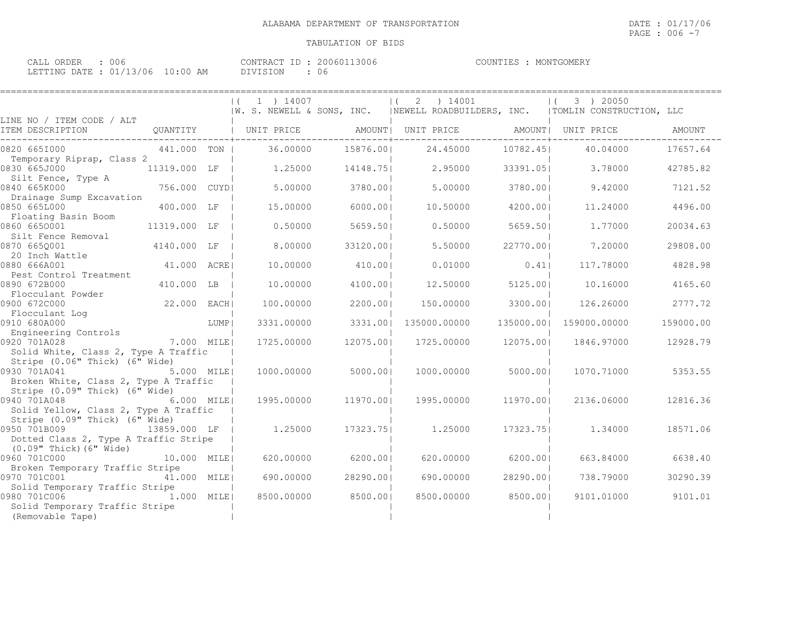| ORDER<br>CALL |  | 006                             | CONTRACT ID |  | 200601<br>13006 | COUNTIES | MONTGOMERY |
|---------------|--|---------------------------------|-------------|--|-----------------|----------|------------|
|               |  | LETTING DATE: 01/13/06 10:00 AM | DIVISION    |  | U 6             |          |            |

|                                                                         |               |      | 1 ) 14007<br>IW. S. NEWELL & SONS, INC. |           | ) 14001<br>2<br>$\vert$ (             |            | 3 ) 20050<br>$\vert$ (<br> NEWELL ROADBUILDERS, INC.   TOMLIN CONSTRUCTION, LLC |           |
|-------------------------------------------------------------------------|---------------|------|-----------------------------------------|-----------|---------------------------------------|------------|---------------------------------------------------------------------------------|-----------|
| LINE NO / ITEM CODE / ALT<br>ITEM DESCRIPTION                           | QUANTITY      |      | UNIT PRICE                              |           | AMOUNT  UNIT PRICE AMOUNT  UNIT PRICE |            |                                                                                 | AMOUNT    |
| 0820 6651000                                                            | 441.000 TON I |      | 36.00000                                | 15876.001 | 24.45000                              | 10782.451  | 40.04000                                                                        | 17657.64  |
| Temporary Riprap, Class 2<br>0830 665J000                               | 11319.000 LF  |      | 1,25000                                 | 14148.751 | 2.95000                               | 33391.051  | 3.78000                                                                         | 42785.82  |
| Silt Fence, Type A<br>0840 665K000                                      | 756.000 CUYDI |      | 5.00000                                 | 3780.001  | 5,00000                               | 3780.001   | 9.42000                                                                         | 7121.52   |
| Drainage Sump Excavation<br>0850 665L000                                | 400.000 LF    |      | 15,00000                                | 6000.001  | 10.50000                              | 4200.001   | 11,24000                                                                        | 4496.00   |
| Floating Basin Boom<br>0860 6650001                                     | 11319.000 LF  |      | 0.50000                                 | 5659.501  | 0.50000                               | 5659.50    | 1,77000                                                                         | 20034.63  |
| Silt Fence Removal<br>0870 665Q001                                      | 4140.000 LF   |      | 8,00000                                 | 33120.001 | 5.50000                               | 22770.001  | 7.20000                                                                         | 29808.00  |
| 20 Inch Wattle<br>0880 666A001                                          | 41.000 ACRE   |      | 10.00000                                | 410.001   | 0.01000                               | 0.41       | 117.78000                                                                       | 4828.98   |
| Pest Control Treatment<br>0890 672B000                                  | 410.000 LB    |      | 10.00000                                | 4100.001  | 12,50000                              | 5125.001   | 10.16000                                                                        | 4165.60   |
| Flocculant Powder<br>0900 672C000                                       | 22.000 EACH   |      | 100,00000                               | 2200.001  | 150.00000                             | 3300.001   | 126.26000                                                                       | 2777.72   |
| Flocculant Log<br>0910 680A000                                          |               | LUMP | 3331.00000                              | 3331.001  | 135000.00000                          | 135000.001 | 159000.00000                                                                    | 159000.00 |
| Engineering Controls<br>0920 701A028                                    | 7.000 MILE!   |      | 1725.00000                              | 12075.001 | 1725.00000                            | 12075.001  | 1846.97000                                                                      | 12928.79  |
| Solid White, Class 2, Type A Traffic<br>Stripe (0.06" Thick) (6" Wide)  |               |      |                                         |           |                                       |            |                                                                                 |           |
| 0930 701A041<br>Broken White, Class 2, Type A Traffic                   | 5.000 MILE!   |      | 1000.00000                              | 5000.001  | 1000.00000                            | 5000.001   | 1070.71000                                                                      | 5353.55   |
| Stripe (0.09" Thick) (6" Wide)<br>0940 701A048                          | 6.000 MILEI   |      | 1995.00000                              | 11970.001 | 1995.00000                            | 11970.001  | 2136.06000                                                                      | 12816.36  |
| Solid Yellow, Class 2, Type A Traffic<br>Stripe (0.09" Thick) (6" Wide) |               |      |                                         |           |                                       |            |                                                                                 |           |
| 0950 701B009<br>Dotted Class 2, Type A Traffic Stripe                   | 13859.000 LF  |      | 1,25000                                 | 17323.751 | 1,25000                               | 17323.751  | 1,34000                                                                         | 18571.06  |
| $(0.09"$ Thick) $(6"$ Wide)<br>0960 701C000                             | 10.000 MILE   |      | 620.00000                               | 6200.001  | 620.00000                             | 6200.001   | 663.84000                                                                       | 6638.40   |
| Broken Temporary Traffic Stripe<br>0970 701C001                         | 41.000 MILEI  |      | 690.00000                               | 28290.001 | 690.00000                             | 28290.001  | 738.79000                                                                       | 30290.39  |
| Solid Temporary Traffic Stripe<br>0980 701C006                          | 1.000 MILE    |      | 8500.00000                              | 8500.001  | 8500.00000                            | 8500.001   | 9101.01000                                                                      | 9101.01   |
| Solid Temporary Traffic Stripe<br>(Removable Tape)                      |               |      |                                         |           |                                       |            |                                                                                 |           |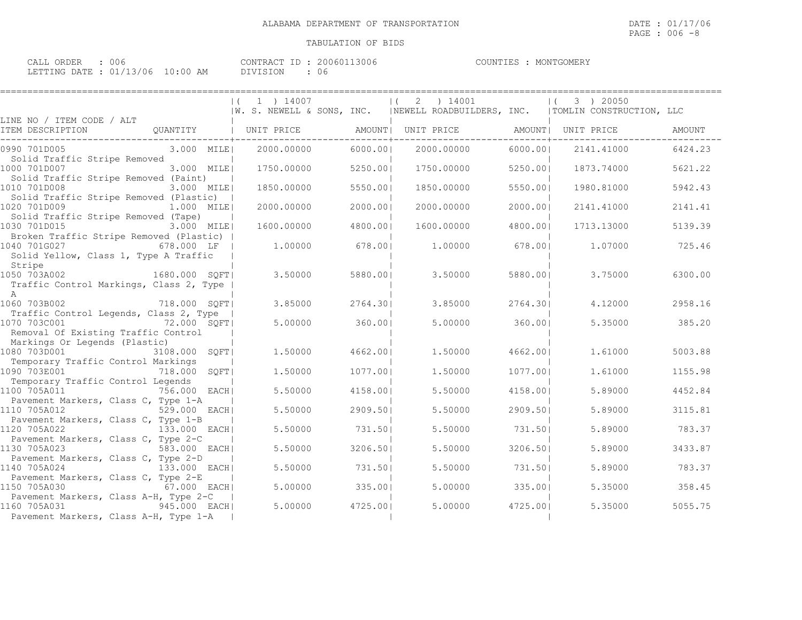| COMMDXCH.ID. 200001 |  |  |
|---------------------|--|--|

CALL ORDER : 006 CONTRACT ID : 20060113006 COUNTIES : MONTGOMERY LETTING DATE : 01/13/06 10:00 AM DIVISION : 06

|                                                                                                                | 1 ) 14007<br>IW. S. NEWELL & SONS, INC. |          | 14001<br>2<br>$\vert$ (<br> NEWELL ROADBUILDERS, INC.   TOMLIN CONSTRUCTION, LLC |          | 3 ) 20050<br>$\vert$ ( |         |
|----------------------------------------------------------------------------------------------------------------|-----------------------------------------|----------|----------------------------------------------------------------------------------|----------|------------------------|---------|
| LINE NO / ITEM CODE / ALT<br>QUANTITY<br>ITEM DESCRIPTION                                                      | UNIT PRICE                              |          | AMOUNT  UNIT PRICE AMOUNT  UNIT PRICE                                            |          |                        | AMOUNT  |
| 3.000 MILE<br>0990 701D005                                                                                     | 2000.00000                              | 6000.001 | 2000.00000                                                                       | 6000.001 | 2141.41000             | 6424.23 |
| Solid Traffic Stripe Removed<br>1000 701D007<br>3.000 MILE<br>Solid Traffic Stripe Removed (Paint)             | 1750.00000                              | 5250.001 | 1750.00000                                                                       | 5250.001 | 1873.74000             | 5621.22 |
| 1010 701D008<br>3.000 MILEI<br>Solid Traffic Stripe Removed (Plastic)                                          | 1850.00000                              | 5550.001 | 1850.00000                                                                       | 5550.001 | 1980.81000             | 5942.43 |
| 1020 701D009<br>1.000 MILE <br>Solid Traffic Stripe Removed (Tape)                                             | 2000.00000                              | 2000.001 | 2000.00000                                                                       | 2000.001 | 2141.41000             | 2141.41 |
| 1030 701D015<br>3.000 MILE!<br>Broken Traffic Stripe Removed (Plastic)                                         | 1600,00000                              | 4800.001 | 1600.00000                                                                       | 4800.001 | 1713.13000             | 5139.39 |
| 1040 701G027<br>678.000 LF<br>Solid Yellow, Class 1, Type A Traffic                                            | 1,00000                                 | 678.001  | 1,00000                                                                          | 678.001  | 1,07000                | 725.46  |
| Stripe<br>1050 703A002<br>1680.000 SOFT <br>Traffic Control Markings, Class 2, Type                            | 3.50000                                 | 5880.001 | 3.50000                                                                          | 5880.001 | 3.75000                | 6300.00 |
| $\overline{A}$<br>718.000 SQFT<br>1060 703B002                                                                 | 3.85000                                 | 2764.301 | 3.85000                                                                          | 2764.301 | 4.12000                | 2958.16 |
| Traffic Control Legends, Class 2, Type<br>1070 703C001<br>72.000 SQFT<br>Removal Of Existing Traffic Control   | 5.00000                                 | 360.001  | 5.00000                                                                          | 360.001  | 5.35000                | 385.20  |
| Markings Or Legends (Plastic)<br>1080 703D001<br>3108.000 SQFT <br>Temporary Traffic Control Markings          | 1,50000                                 | 4662.001 | 1,50000                                                                          | 4662.001 | 1,61000                | 5003.88 |
| 1090 703E001<br>718.000 SOFT <br>Temporary Traffic Control Legends                                             | 1,50000                                 | 1077.001 | 1,50000                                                                          | 1077.001 | 1,61000                | 1155.98 |
| 1100 705A011<br>756.000 EACH <br>Pavement Markers, Class C, Type 1-A                                           | 5.50000                                 | 4158.001 | 5.50000                                                                          | 4158.001 | 5.89000                | 4452.84 |
| 529.000 EACHI<br>1110 705A012<br>Pavement Markers, Class C, Type 1-B                                           | 5.50000                                 | 2909.501 | 5.50000                                                                          | 2909.501 | 5.89000                | 3115.81 |
| 1120 705A022<br>133.000 EACH <br>Pavement Markers, Class C, Type 2-C                                           | 5.50000                                 | 731.501  | 5.50000                                                                          | 731.501  | 5.89000                | 783.37  |
| 1130 705A023<br>583.000 EACH                                                                                   | 5.50000                                 | 3206.501 | 5.50000                                                                          | 3206.501 | 5.89000                | 3433.87 |
| Pavement Markers, Class C, Type 2-D<br>1140 705A024<br>133.000 EACH <br>Pavement Markers, Class C, Type 2-E    | 5.50000                                 | 731.501  | 5.50000                                                                          | 731.501  | 5.89000                | 783.37  |
| 1150 705A030<br>67.000 EACH                                                                                    | 5.00000                                 | 335.001  | 5.00000                                                                          | 335.001  | 5.35000                | 358.45  |
| Pavement Markers, Class A-H, Type 2-C<br>1160 705A031<br>945.000 EACH<br>Pavement Markers, Class A-H, Type 1-A | 5.00000                                 | 4725.001 | 5.00000                                                                          | 4725.001 | 5.35000                | 5055.75 |
|                                                                                                                |                                         |          |                                                                                  |          |                        |         |

PAGE : 006 -8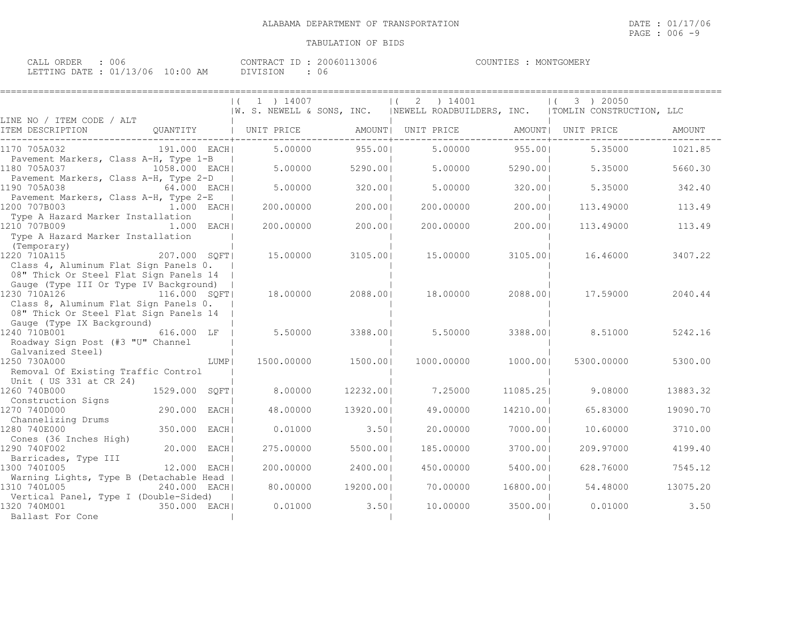| ORDER<br>CALL                   | 006 | CONTRACT ID : 2 | 20060113006 | COUNTIES | MONTGOMERY |
|---------------------------------|-----|-----------------|-------------|----------|------------|
| LETTING DATE: 01/13/06 10:00 AM |     | DIVISION        | U6          |          |            |

|                                                                                 |               |      | (1 1) 14007 |           | 2<br>$\left  \right $ | ) 14001            |           | 3 ) 20050<br>$\left  \right $<br>  W. S. NEWELL & SONS, INC.   NEWELL ROADBUILDERS, INC.   TOMLIN CONSTRUCTION, LLC |          |
|---------------------------------------------------------------------------------|---------------|------|-------------|-----------|-----------------------|--------------------|-----------|---------------------------------------------------------------------------------------------------------------------|----------|
| LINE NO / ITEM CODE / ALT                                                       |               |      |             |           |                       |                    |           |                                                                                                                     |          |
| ITEM DESCRIPTION                                                                | QUANTITY      |      | UNIT PRICE  |           |                       | AMOUNT  UNIT PRICE |           | AMOUNT  UNIT PRICE                                                                                                  | AMOUNT   |
| 1170 705A032                                                                    | 191.000 EACH  |      | 5,00000     | 955.001   |                       | 5,00000            | 955.001   | 5.35000                                                                                                             | 1021.85  |
| Pavement Markers, Class A-H, Type 1-B<br>1180 705A037                           | 1058.000 EACH |      | 5,00000     | 5290.001  |                       | 5.00000            | 5290.001  | 5.35000                                                                                                             | 5660.30  |
| Pavement Markers, Class A-H, Type 2-D<br>1190 705A038                           | 64.000 EACH   |      | 5.00000     | 320.001   |                       | 5.00000            | 320.001   | 5.35000                                                                                                             | 342.40   |
| Pavement Markers, Class A-H, Type 2-E<br>1200 707B003                           | $1.000$ EACHI |      | 200,00000   | 200.001   |                       | 200,00000          | 200.001   | 113,49000                                                                                                           | 113.49   |
| Type A Hazard Marker Installation<br>1210 707B009                               | $1.000$ EACH  |      | 200,00000   | 200.001   |                       | 200.00000          | 200.001   | 113.49000                                                                                                           | 113.49   |
| Type A Hazard Marker Installation<br>(Temporary)                                |               |      |             |           |                       |                    |           |                                                                                                                     |          |
| 1220 710A115                                                                    | 207.000 SQFT  |      | 15.00000    | 3105.00   |                       | 15,00000           | 3105.001  | 16.46000                                                                                                            | 3407.22  |
| Class 4, Aluminum Flat Sign Panels 0.<br>08" Thick Or Steel Flat Sign Panels 14 |               |      |             |           |                       |                    |           |                                                                                                                     |          |
| Gauge (Type III Or Type IV Background)<br>1230 710A126                          | 116.000 SQFT  |      | 18,00000    | 2088.001  |                       | 18,00000           | 2088.001  | 17.59000                                                                                                            | 2040.44  |
| Class 8, Aluminum Flat Sign Panels 0.<br>08" Thick Or Steel Flat Sign Panels 14 |               |      |             |           |                       |                    |           |                                                                                                                     |          |
| Gauge (Type IX Background)                                                      |               |      |             |           |                       |                    |           |                                                                                                                     |          |
| 1240 710B001<br>616.000 LF<br>Roadway Sign Post (#3 "U" Channel                 |               |      | 5.50000     | 3388.001  |                       | 5.50000            | 3388.001  | 8.51000                                                                                                             | 5242.16  |
| Galvanized Steel)                                                               |               |      |             |           |                       |                    |           |                                                                                                                     |          |
| 1250 730A000                                                                    |               | LUMP | 1500.00000  | 1500.001  |                       | 1000,00000         | 1000.00   | 5300,00000                                                                                                          | 5300.00  |
| Removal Of Existing Traffic Control<br>Unit ( US 331 at CR 24)                  |               |      |             |           |                       |                    |           |                                                                                                                     |          |
| 1260 740B000                                                                    | 1529.000 SOFT |      | 8,00000     | 12232.001 |                       | 7.25000            | 11085.251 | 9.08000                                                                                                             | 13883.32 |
| Construction Signs<br>1270 740D000                                              | 290.000 EACHI |      | 48,00000    | 13920.001 |                       | 49.00000           | 14210.001 | 65.83000                                                                                                            | 19090.70 |
| Channelizing Drums                                                              |               |      |             |           |                       |                    |           |                                                                                                                     |          |
| 1280 740E000                                                                    | 350.000 EACH  |      | 0.01000     | 3.501     |                       | 20.00000           | 7000.001  | 10.60000                                                                                                            | 3710.00  |
| Cones (36 Inches High)                                                          |               |      |             |           |                       |                    |           |                                                                                                                     |          |
| 1290 740F002<br>Barricades, Type III                                            | 20.000 EACH   |      | 275.00000   | 5500.00   |                       | 185.00000          | 3700.001  | 209.97000                                                                                                           | 4199.40  |
| 1300 7401005                                                                    | 12.000 EACHI  |      | 200,00000   | 2400.001  |                       | 450.00000          | 5400.001  | 628.76000                                                                                                           | 7545.12  |
| Warning Lights, Type B (Detachable Head<br>1310 740L005                         | 240.000 EACHI |      | 80,00000    | 19200.00  |                       | 70,00000           | 16800.00  | 54.48000                                                                                                            | 13075.20 |
| Vertical Panel, Type I (Double-Sided)                                           |               |      |             |           |                       |                    |           |                                                                                                                     |          |
| 1320 740M001                                                                    | 350.000 EACH  |      | 0.01000     | 3.501     |                       | 10.00000           | 3500.00   | 0.01000                                                                                                             | 3.50     |
| Ballast For Cone                                                                |               |      |             |           |                       |                    |           |                                                                                                                     |          |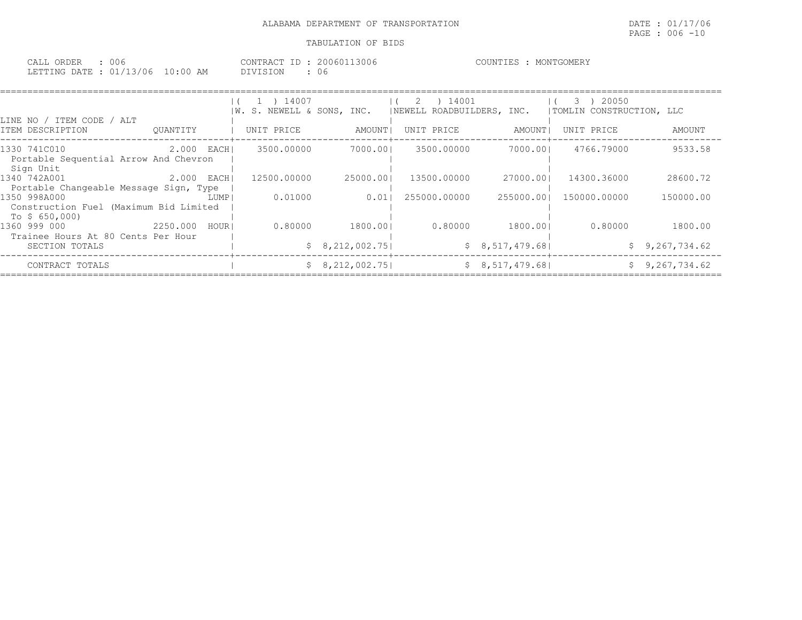| CALL ORDER : 006                 | CONTRACT ID: 20060113006 | COUNTIES : MONTGOMERY |
|----------------------------------|--------------------------|-----------------------|
| LETTING DATE : 01/13/06 10:00 AM | DIVISION                 |                       |

| LINE NO / ITEM CODE / ALT                                               |          |       | 1 ) 14007<br>IW. S. NEWELL & SONS, INC. |                 | 14001<br>-2<br>NEWELL ROADBUILDERS, INC. |                | 20050<br>З.<br>TOMLIN CONSTRUCTION, LLC |                |
|-------------------------------------------------------------------------|----------|-------|-----------------------------------------|-----------------|------------------------------------------|----------------|-----------------------------------------|----------------|
| ITEM DESCRIPTION                                                        | OUANTITY |       | UNIT PRICE                              | AMOUNT          | UNIT PRICE                               | AMOUNT I       | UNIT PRICE                              | AMOUNT         |
| 1330 741C010<br>Portable Sequential Arrow And Chevron<br>Sign Unit      | 2.000    | EACHI | 3500.00000                              | 7000.001        | 3500.00000                               | 7000.001       | 4766.79000                              | 9533.58        |
| 1340 742A001<br>Portable Changeable Message Sign, Type                  | 2.000    | EACHI | 12500.00000                             | 25000.001       | 13500.00000                              | 27000.001      | 14300.36000                             | 28600.72       |
| 1350 998A000<br>Construction Fuel (Maximum Bid Limited<br>To $$650,000$ |          | LUMP  | 0.01000                                 | 0.011           | 255000.00000                             | 255000.001     | 150000.00000                            | 150000.00      |
| 1360 999 000<br>Trainee Hours At 80 Cents Per Hour                      | 2250.000 | HOUR  | 0.80000                                 | 1800.001        | 0.80000                                  | 1800.001       | 0.80000                                 | 1800.00        |
| SECTION TOTALS                                                          |          |       |                                         | \$8,212,002.75] |                                          | \$8,517,479.68 |                                         | \$9,267,734.62 |
| CONTRACT TOTALS                                                         |          |       |                                         | \$8,212,002.75] |                                          | \$8,517,479.68 |                                         | \$9,267,734.62 |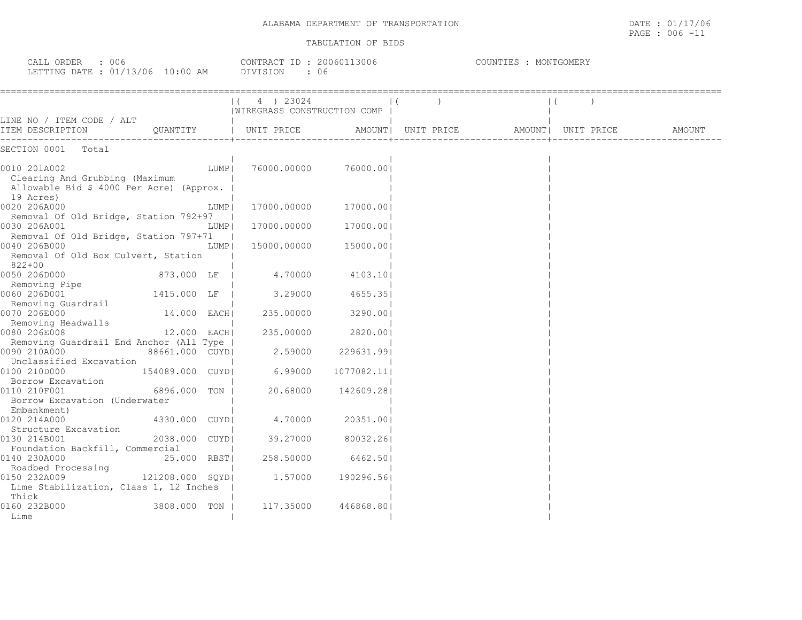CALL ORDER : 006 CONTRACT ID : 20060113006 COUNTIES : MONTGOMERY

| LETTING DATE : 01/13/06 10:00 AM<br>: 06<br>DIVISION                                                    |                |                                           |            |                    |  |                    |        |  |
|---------------------------------------------------------------------------------------------------------|----------------|-------------------------------------------|------------|--------------------|--|--------------------|--------|--|
|                                                                                                         |                | 4 ) 23024<br> WIREGRASS CONSTRUCTION COMP |            |                    |  |                    |        |  |
| LINE NO / ITEM CODE / ALT<br>QUANTITY   UNIT PRICE<br>ITEM DESCRIPTION                                  |                |                                           |            | AMOUNT  UNIT PRICE |  | AMOUNT  UNIT PRICE | AMOUNT |  |
| SECTION 0001 Total                                                                                      |                |                                           |            |                    |  |                    |        |  |
| 0010 201A002<br>Clearing And Grubbing (Maximum<br>Allowable Bid \$ 4000 Per Acre) (Approx.<br>19 Acres) | LUMP           | 76000.00000                               | 76000.001  |                    |  |                    |        |  |
| 0020 206A000<br>Removal Of Old Bridge, Station 792+97                                                   | LUMP           | 17000.00000 17000.00                      |            |                    |  |                    |        |  |
| 0030 206A001<br>Removal Of Old Bridge, Station 797+71                                                   | LUMP           | $17000.00000$ $17000.00$                  |            |                    |  |                    |        |  |
| 0040 206B000<br>Removal Of Old Box Culvert, Station<br>822+00                                           | LUMP           | 15000.00000 15000.00                      |            |                    |  |                    |        |  |
| 0050 206D000<br>873.000 LF  <br>Removing Pipe                                                           |                | 4.70000                                   | 4103.101   |                    |  |                    |        |  |
| 0060 206D001                                                                                            |                | 1415.000 LF   3.29000                     | 4655.351   |                    |  |                    |        |  |
| Removing Guardrail<br>0070 206E000<br>Removing Headwalls                                                | 14.000 EACH    | 235.00000                                 | 3290.00    |                    |  |                    |        |  |
| 0080 206E008<br>Removing Guardrail End Anchor (All Type                                                 | 12.000 EACH    | 235.00000                                 | 2820.00    |                    |  |                    |        |  |
| 0090 210A000<br>Unclassified Excavation                                                                 |                | $88661.000$ CUYD  2.59000 229631.99       |            |                    |  |                    |        |  |
| 154089.000 CUYDI<br>0100 210D000<br>Borrow Excavation                                                   |                | 6.99000                                   | 1077082.11 |                    |  |                    |        |  |
| 0110 210F001<br>Borrow Excavation (Underwater                                                           | 6896.000 TON   | 20.68000                                  | 142609.281 |                    |  |                    |        |  |
| Embankment)<br>0120 214A000                                                                             | 4330.000 CUYDI | 4.70000 20351.00                          |            |                    |  |                    |        |  |
| Structure Excavation<br>0130 214B001                                                                    | 2038.000 CUYDI | 39.27000                                  | 80032.261  |                    |  |                    |        |  |
| Foundation Backfill, Commercial<br>0140 230A000<br>25.000 RBST                                          |                | 258.50000                                 | 6462.501   |                    |  |                    |        |  |
| Roadbed Processing<br>0150 232A009<br>Lime Stabilization, Class 1, 12 Inches                            |                | 121208.000 SQYD  1.57000                  | 190296.561 |                    |  |                    |        |  |
| Thick<br>0160 232B000<br>3808.000 TON  <br>Lime                                                         |                | 117.35000                                 | 446868.801 |                    |  |                    |        |  |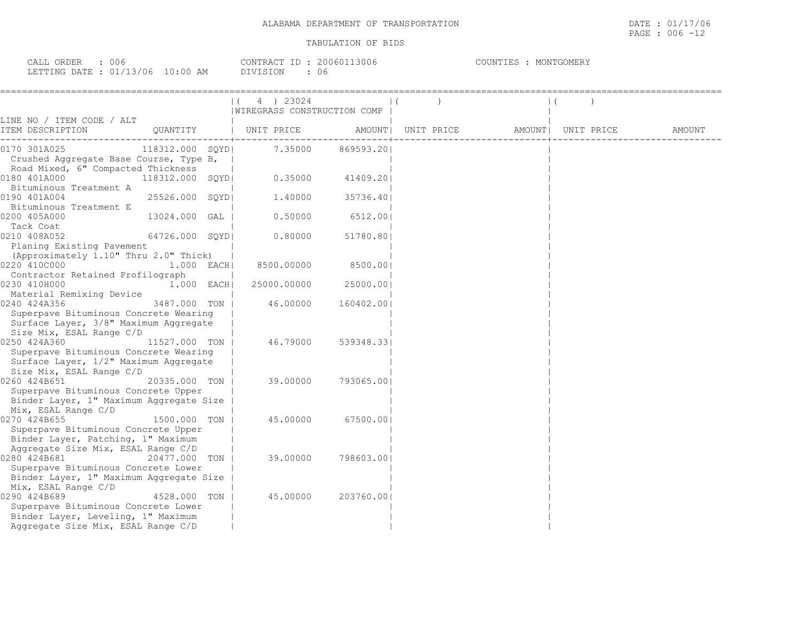| $\sim$ $\sim$ $\sim$<br>ORDER<br>$\bigcap \pi$ $\tau$ $\tau$<br>СALL<br>UU6 |            | <b>Contract Contract</b><br>CONTRACT<br>$\Box$ | ! 3006<br>.2006017 | COUNTIES<br>MONTGOMERY |
|-----------------------------------------------------------------------------|------------|------------------------------------------------|--------------------|------------------------|
| : 01/13/06<br>LETTING DATE                                                  | $10:00$ AM | - 51                                           | U U                |                        |

|                                         |                  |  | 4 ) 23024                   |                    |  |                    |  |        |
|-----------------------------------------|------------------|--|-----------------------------|--------------------|--|--------------------|--|--------|
|                                         |                  |  | WIREGRASS CONSTRUCTION COMP |                    |  |                    |  |        |
| LINE NO / ITEM CODE / ALT               |                  |  |                             |                    |  |                    |  |        |
| ITEM DESCRIPTION                        | QUANTITY         |  | UNIT PRICE                  | AMOUNT  UNIT PRICE |  | AMOUNT  UNIT PRICE |  | AMOUNT |
| 0170 301A025                            | 118312.000 SOYDI |  | 7.35000                     | 869593.201         |  |                    |  |        |
| Crushed Aqqreqate Base Course, Type B,  |                  |  |                             |                    |  |                    |  |        |
| Road Mixed, 6" Compacted Thickness      |                  |  |                             |                    |  |                    |  |        |
| 0180 401A000                            | 118312.000 SQYD  |  | 0.35000                     | 41409.201          |  |                    |  |        |
| Bituminous Treatment A                  |                  |  |                             |                    |  |                    |  |        |
| 0190 401A004                            | 25526.000 SQYD   |  | 1,40000                     | 35736.401          |  |                    |  |        |
| Bituminous Treatment E                  |                  |  |                             |                    |  |                    |  |        |
| 0200 405A000                            | 13024.000 GAL    |  | 0.50000                     | 6512.00            |  |                    |  |        |
| Tack Coat                               |                  |  |                             |                    |  |                    |  |        |
| 0210 408A052                            | 64726.000 SOYDI  |  | 0.80000                     | 51780.801          |  |                    |  |        |
| Planing Existing Pavement               |                  |  |                             |                    |  |                    |  |        |
| (Approximately 1.10" Thru 2.0" Thick)   |                  |  |                             |                    |  |                    |  |        |
| 0220 410C000                            | $1.000$ EACH     |  | 8500.00000                  | 8500.001           |  |                    |  |        |
| Contractor Retained Profilograph        |                  |  |                             |                    |  |                    |  |        |
| 0230 410H000                            | $1.000$ EACH     |  | 25000.00000                 | 25000.001          |  |                    |  |        |
| Material Remixing Device                |                  |  |                             |                    |  |                    |  |        |
| 0240 424A356                            | 3487.000 TON     |  | 46.00000                    | 160402.00          |  |                    |  |        |
| Superpave Bituminous Concrete Wearing   |                  |  |                             |                    |  |                    |  |        |
| Surface Layer, 3/8" Maximum Aggregate   |                  |  |                             |                    |  |                    |  |        |
| Size Mix, ESAL Range C/D                |                  |  |                             |                    |  |                    |  |        |
| 0250 424A360                            | 11527.000 TON    |  | 46.79000                    | 539348.331         |  |                    |  |        |
| Superpave Bituminous Concrete Wearing   |                  |  |                             |                    |  |                    |  |        |
| Surface Layer, 1/2" Maximum Aggregate   |                  |  |                             |                    |  |                    |  |        |
| Size Mix, ESAL Range C/D                |                  |  |                             |                    |  |                    |  |        |
| 0260 424B651                            | 20335.000 TON    |  | 39.00000                    | 793065.001         |  |                    |  |        |
| Superpave Bituminous Concrete Upper     |                  |  |                             |                    |  |                    |  |        |
| Binder Layer, 1" Maximum Aggregate Size |                  |  |                             |                    |  |                    |  |        |
| Mix, ESAL Range C/D<br>0270 424B655     | 1500.000 TON I   |  | 45.00000                    | 67500.001          |  |                    |  |        |
| Superpave Bituminous Concrete Upper     |                  |  |                             |                    |  |                    |  |        |
| Binder Layer, Patching, 1" Maximum      |                  |  |                             |                    |  |                    |  |        |
| Aggregate Size Mix, ESAL Range C/D      |                  |  |                             |                    |  |                    |  |        |
| 0280 424B681                            | 20477.000 TON    |  | 39.00000                    | 798603.001         |  |                    |  |        |
| Superpave Bituminous Concrete Lower     |                  |  |                             |                    |  |                    |  |        |
| Binder Layer, 1" Maximum Aggregate Size |                  |  |                             |                    |  |                    |  |        |
| Mix, ESAL Range C/D                     |                  |  |                             |                    |  |                    |  |        |
| 0290 424B689                            | 4528.000 TON     |  | 45.00000                    | 203760.001         |  |                    |  |        |
| Superpave Bituminous Concrete Lower     |                  |  |                             |                    |  |                    |  |        |
| Binder Layer, Leveling, 1" Maximum      |                  |  |                             |                    |  |                    |  |        |
| Aggregate Size Mix, ESAL Range C/D      |                  |  |                             |                    |  |                    |  |        |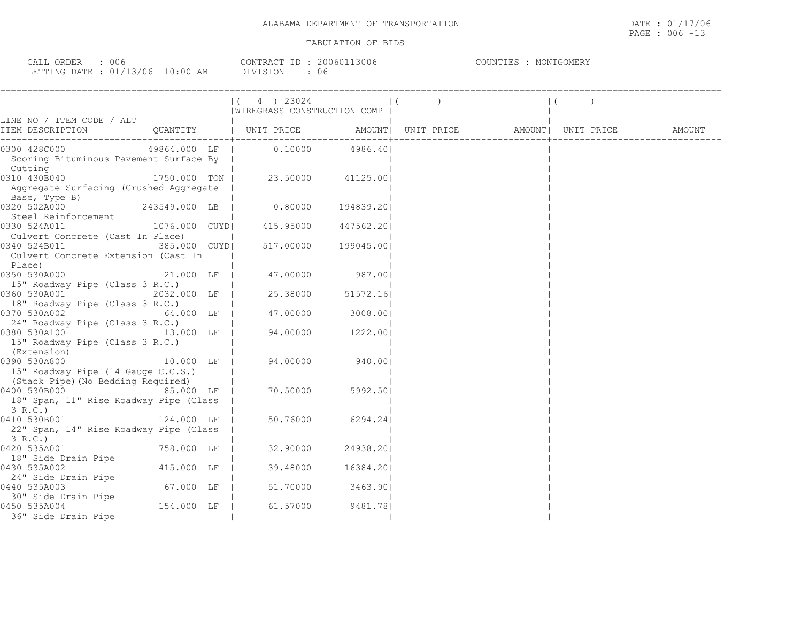| 006<br>CALL ORDER                |          | CONTRACT ID: 20060113006 | COUNTIES<br>MONTGOMERY |
|----------------------------------|----------|--------------------------|------------------------|
| LETTING DATE : 01/13/06 10:00 AM | DIVISION | 06                       |                        |

|                                                                                        | 4 ) 23024<br>$\vert$ (      |                   |  |  |
|----------------------------------------------------------------------------------------|-----------------------------|-------------------|--|--|
|                                                                                        | WIREGRASS CONSTRUCTION COMP |                   |  |  |
| LINE NO / ITEM CODE / ALT                                                              |                             |                   |  |  |
| QUANTITY   UNIT PRICE AMOUNT  UNIT PRICE AMOUNT  UNIT PRICE AMOUNT<br>ITEM DESCRIPTION |                             |                   |  |  |
| 49864.000 LF   0.10000<br>0300 428C000                                                 |                             | 4986.401          |  |  |
| Scoring Bituminous Pavement Surface By                                                 |                             |                   |  |  |
| Scoring<br>Cutting                                                                     |                             |                   |  |  |
| 0310 430B040<br>1750.000 TON H                                                         |                             | 23.50000 41125.00 |  |  |
| Aggregate Surfacing (Crushed Aggregate                                                 |                             |                   |  |  |
| Base, Type B)                                                                          |                             |                   |  |  |
| 243549.000 LB  <br>0320 502A000                                                        | $0.80000$ 194839.201        |                   |  |  |
| Steel Reinforcement                                                                    |                             |                   |  |  |
| 1076.000 CUYDI<br>0330 524A011                                                         | 415.95000 447562.20         |                   |  |  |
| Culvert Concrete (Cast In Place)                                                       |                             |                   |  |  |
| 0340 524B011<br>385.000 CUYDI                                                          | 517.00000 199045.00         |                   |  |  |
| Culvert Concrete Extension (Cast In                                                    |                             |                   |  |  |
| Place)                                                                                 |                             |                   |  |  |
| 0350 530A000<br>21.000 LF                                                              | 47.00000                    | 987.00            |  |  |
| 15" Roadway Pipe (Class 3 R.C.)                                                        |                             |                   |  |  |
| 0360 530A001<br>2032.000 LF                                                            | 25.38000                    | 51572.16          |  |  |
| 18" Roadway Pipe (Class 3 R.C.)                                                        |                             |                   |  |  |
| 64.000 LF   47.00000<br>0370 530A002                                                   |                             | 3008.001          |  |  |
| 24" Roadway Pipe (Class 3 R.C.)                                                        |                             |                   |  |  |
| 0380 530A100 13.000 LF                                                                 | 94.00000                    | 1222.00           |  |  |
| 15" Roadway Pipe (Class 3 R.C.)                                                        |                             |                   |  |  |
| (Extension)                                                                            |                             |                   |  |  |
| 0390 530A800<br>10.000 LF                                                              | 94.00000                    | 940.001           |  |  |
| 15" Roadway Pipe (14 Gauge C.C.S.)                                                     |                             |                   |  |  |
| (Stack Pipe) (No Bedding Required)<br>0400 530B000 85.000 LF                           | 70.50000                    | 5992.501          |  |  |
| 18" Span, 11" Rise Roadway Pipe (Class                                                 |                             |                   |  |  |
| 3 R.C.                                                                                 |                             |                   |  |  |
| 124.000 LF<br>0410 530B001                                                             | 50.76000                    | 6294.24           |  |  |
| 22" Span, 14" Rise Roadway Pipe (Class                                                 |                             |                   |  |  |
| 3 R.C.)                                                                                |                             |                   |  |  |
| 0420 535A001<br>758.000 LF                                                             | 32.90000                    | 24938.201         |  |  |
| 18" Side Drain Pipe                                                                    |                             |                   |  |  |
| 415.000 LF  <br>0430 535A002                                                           | 39.48000                    | 16384.201         |  |  |
| 24" Side Drain Pipe                                                                    |                             |                   |  |  |
| 67.000 LF  <br>0440 535A003                                                            | 51.70000                    | 3463.901          |  |  |
| 30" Side Drain Pipe                                                                    |                             |                   |  |  |
| 154.000 LF  <br>0450 535A004                                                           | 61.57000                    | 9481.781          |  |  |
| 36" Side Drain Pipe                                                                    |                             |                   |  |  |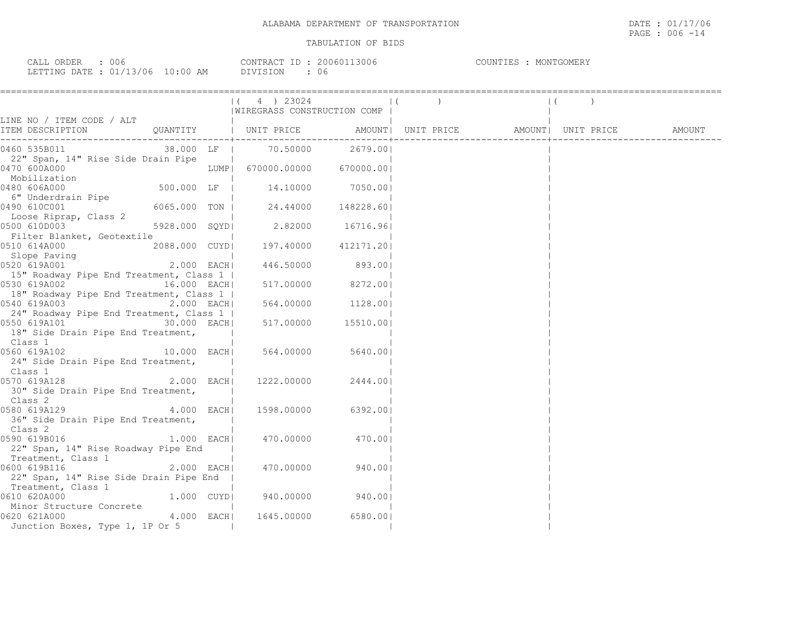| ORDER<br>CAT.T<br>006<br>----        |             | ՐΛΝͲ℞ϪՐͲ | 13006<br>20060 | COUNTIES<br>MONTGOMERY |
|--------------------------------------|-------------|----------|----------------|------------------------|
| : 01/13/06<br>LETTING<br><b>DATE</b> | 10:00<br>ΆM | VISION:  | U 6            |                        |

|                                                                                                      |              | (4) 23024<br>  WIREGRASS CONSTRUCTION COMP                                                        |        | $\begin{pmatrix} 1 & 1 \\ 1 & 1 \end{pmatrix}$ | $\vert$ ( |  |
|------------------------------------------------------------------------------------------------------|--------------|---------------------------------------------------------------------------------------------------|--------|------------------------------------------------|-----------|--|
|                                                                                                      |              |                                                                                                   |        |                                                |           |  |
|                                                                                                      |              |                                                                                                   |        |                                                |           |  |
| 38.000 LF   70.50000 2679.00 <br>0460 535B011<br>22" Span, 14" Rise Side Drain Pipe                  |              |                                                                                                   |        |                                                |           |  |
| 0470 600A000                                                                                         |              | LUMP  670000.00000 670000.00 <br>  LUMP  670000.0000 670000.00<br>  500.000 LF   14.10000 7050.00 |        |                                                |           |  |
| Mobilization<br>480 606A000<br>0480 606A000<br>6" Underdrain Pipe                                    |              |                                                                                                   |        |                                                |           |  |
| 0490 610C001                                                                                         |              | 6065.000 TON   24.44000 148228.60                                                                 |        |                                                |           |  |
| 0490 6100001<br>Loose Riprap, Class 2<br>5928.000 SQYD<br>0500 610D003<br>Filter Blanket, Geotextile |              | 2.82000 16716.96                                                                                  |        |                                                |           |  |
| 2088.000 CUYD  197.40000 412171.20 <br>0510 614A000<br>Slope Paving                                  |              |                                                                                                   |        |                                                |           |  |
| 0520 619A001 2.000 EACH<br>15" Roadway Pipe End Treatment, Class 1                                   |              | 446.50000                                                                                         | 893.00 |                                                |           |  |
| 0530 619A002 16.000 EACH<br>18" Roadway Pipe End Treatment, Class 1                                  |              | $517.00000$ 8272.00                                                                               |        |                                                |           |  |
| 0540 619A003 1128.00 2.000 EACH 564.00000 1128.00<br>24" Roadway Pipe End Treatment, Class 1         |              |                                                                                                   |        |                                                |           |  |
| 18" Side Drain Pipe End Treatment,<br>Class 1                                                        |              |                                                                                                   |        |                                                |           |  |
| $10.000$ EACH<br>0560 619A102<br>24" Side Drain Pipe End Treatment,<br>Class 1                       |              | 564.00000 5640.00                                                                                 |        |                                                |           |  |
| 0570 619A128<br>30" Side Drain Pipe End Treatment,<br>Class 2                                        | 2.000 EACH   | 1222.00000 2444.001                                                                               |        |                                                |           |  |
| 4.000 EACH<br>0580 619A129<br>36" Side Drain Pipe End Treatment,<br>Class 2                          |              | 1598.00000 6392.00                                                                                |        |                                                |           |  |
| 0590 619B016<br>22" Span, 14" Rise Roadway Pipe End<br>Treatment, Class 1                            | $1.000$ EACH | 470.00000 470.00                                                                                  |        |                                                |           |  |
| 0600 619B116<br>22" Span, 14" Rise Side Drain Pipe End  <br>Treatment, Class 1                       | $2.000$ EACH | 470.00000 940.00                                                                                  |        |                                                |           |  |
| <br> 1.000 CUYD<br>0610 620A000<br>Minor Structure Concrete                                          |              | 940.00000 940.00                                                                                  |        |                                                |           |  |
| 0620 621A000<br>Junction Boxes, Type 1, 1P Or 5                                                      | 4.000 EACHI  | 1645.00000 6580.00                                                                                |        |                                                |           |  |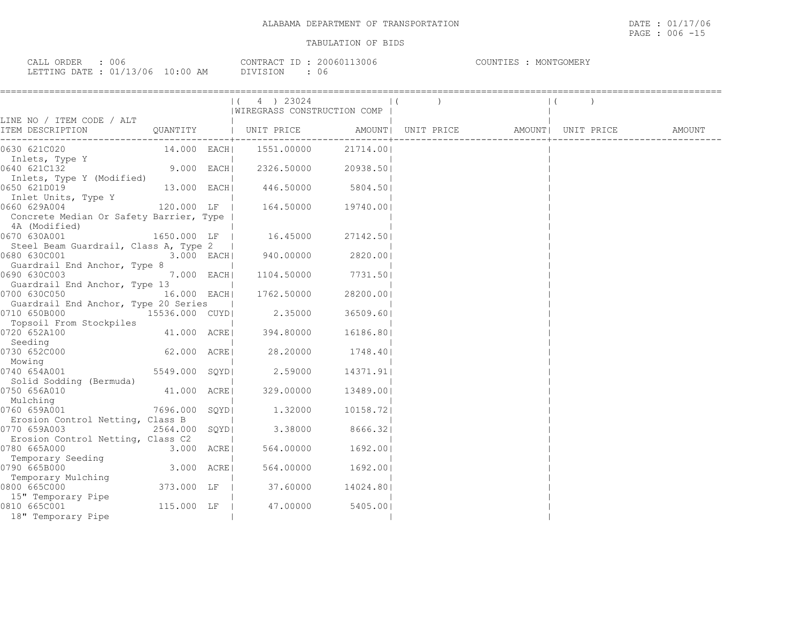| 006<br>ORDER<br>CALL             | 13006<br>200601<br>CONTRACT<br>- I D | COUNTIES<br>MONTGOMERY |
|----------------------------------|--------------------------------------|------------------------|
| LETTING DATE : 01/13/06 10:00 AM | DIVISION<br>U6                       |                        |

|                                                                                |                | $(4)$ 23024<br> WIREGRASS CONSTRUCTION COMP |           |  |                                                    |  |
|--------------------------------------------------------------------------------|----------------|---------------------------------------------|-----------|--|----------------------------------------------------|--|
| LINE NO / ITEM CODE / ALT                                                      |                |                                             |           |  |                                                    |  |
| ITEM DESCRIPTION                                                               | QUANTITY       | UNIT PRICE                                  |           |  | AMOUNT   UNIT PRICE   AMOUNT   UNIT PRICE   AMOUNT |  |
| 0630 621C020                                                                   | 14.000 EACHI   | 1551.00000                                  | 21714.00  |  |                                                    |  |
| Inlets, Type Y<br>0640 621C132                                                 | 9.000 EACH     | 2326.50000                                  | 20938.50  |  |                                                    |  |
| Inlets, Type Y (Modified)<br>0650 621D019                                      | 13.000 EACH    | 446.50000                                   | 5804.50   |  |                                                    |  |
| Inlet Units, Type Y<br>0660 629A004<br>Concrete Median Or Safety Barrier, Type | 120.000 LF     | 164.50000                                   | 19740.001 |  |                                                    |  |
| 4A (Modified)<br>0670 630A001                                                  | 1650.000 LF    | 16.45000                                    | 27142.501 |  |                                                    |  |
| Steel Beam Guardrail, Class A, Type 2<br>0680 630C001                          | $3.000$ EACH   | 940.00000                                   | 2820.001  |  |                                                    |  |
| Guardrail End Anchor, Type 8<br>0690 630C003                                   | 7.000 EACH     | 1104.50000                                  | 7731.501  |  |                                                    |  |
| Guardrail End Anchor, Type 13<br>0700 630C050                                  | 16.000 EACH    | 1762.50000                                  | 28200.00  |  |                                                    |  |
| Guardrail End Anchor, Type 20 Series<br>0710 650B000                           | 15536.000 CUYD | 2.35000                                     | 36509.60  |  |                                                    |  |
| Topsoil From Stockpiles<br>0720 652A100                                        | 41.000 ACREI   | 394.80000                                   | 16186.80  |  |                                                    |  |
| Seeding<br>0730 652C000                                                        | 62.000 ACRE    | 28,20000                                    | 1748.401  |  |                                                    |  |
| Mowing<br>0740 654A001<br>Solid Sodding (Bermuda)                              | 5549.000 SOYDI | 2.59000                                     | 14371.91  |  |                                                    |  |
| 0750 656A010<br>Mulching                                                       | 41.000 ACRE    | 329.00000                                   | 13489.00  |  |                                                    |  |
| 0760 659A001<br>Erosion Control Netting, Class B                               | 7696.000 SQYD  | 1.32000                                     | 10158.72  |  |                                                    |  |
| 0770 659A003<br>Erosion Control Netting, Class C2                              | 2564.000 SQYD  | 3.38000                                     | 8666.321  |  |                                                    |  |
| 0780 665A000<br>Temporary Seeding                                              | 3.000 ACRE     | 564.00000                                   | 1692.00   |  |                                                    |  |
| 0790 665B000                                                                   | 3.000 ACRE     | 564.00000                                   | 1692.00   |  |                                                    |  |
| Temporary Mulching<br>0800 665C000<br>15" Temporary Pipe                       | 373.000 LF     | 37.60000                                    | 14024.80  |  |                                                    |  |
| 0810 665C001<br>18" Temporary Pipe                                             | 115.000 LF     | 47.00000                                    | 5405.001  |  |                                                    |  |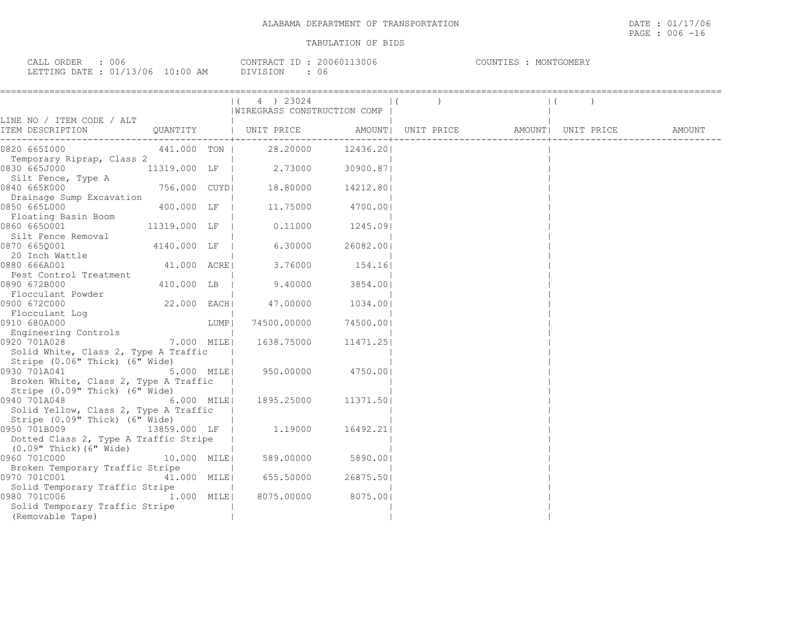| $\sim$ $\sim$ $\sim$ $\sim$ $\sim$<br>$\sim$ $\sim$ $\sim$ $\sim$<br>JRDER<br>UUb<br>----                                                                                                 |                                               | --<br>7 O N T ET | いいい | $-1 - 1 - 1$<br>T INI<br>IVI ( |
|-------------------------------------------------------------------------------------------------------------------------------------------------------------------------------------------|-----------------------------------------------|------------------|-----|--------------------------------|
| מות החהה:<br>$\sim$ $\sim$ $\sim$ $\sim$<br>N<br>$\overline{1}$<br>U C<br>the contract of the contract of the contract of the contract of the contract of the contract of the contract of | AΜ<br>$\cdots$<br>$\cdot$ . $\cdot$ . $\cdot$ | $-2 - 2$         | U 6 |                                |

|                                                                         |               |      | $(4)$ 23024<br>WIREGRASS CONSTRUCTION COMP |                   |                                                                                                                           | $\left  \right $ |  |
|-------------------------------------------------------------------------|---------------|------|--------------------------------------------|-------------------|---------------------------------------------------------------------------------------------------------------------------|------------------|--|
| LINE NO / ITEM CODE / ALT<br>ITEM DESCRIPTION                           |               |      |                                            |                   | QUANTITY   UNIT PRICE                 AMOUNT    UNIT PRICE                  AMOUNT    UNIT PRICE                   AMOUNT |                  |  |
| 0820 6651000                                                            | 441.000 TON   |      |                                            | 28.20000 12436.20 |                                                                                                                           |                  |  |
| Temporary Riprap, Class 2<br>0830 665J000                               | 11319.000 LF  |      | 2.73000                                    | 30900.871         |                                                                                                                           |                  |  |
| Silt Fence, Type A<br>0840 665K000                                      | 756.000 CUYDI |      | 18.80000                                   | 14212.801         |                                                                                                                           |                  |  |
| Drainage Sump Excavation<br>0850 665L000                                | 400.000 LF    |      | 11.75000                                   | 4700.00           |                                                                                                                           |                  |  |
| Floating Basin Boom<br>0860 6650001<br>Silt Fence Removal               | 11319.000 LF  |      | 0.11000                                    | 1245.091          |                                                                                                                           |                  |  |
| 0870 6650001<br>20 Inch Wattle                                          | 4140.000 LF   |      | 6.30000                                    | 26082.001         |                                                                                                                           |                  |  |
| 0880 666A001<br>Pest Control Treatment                                  | 41.000 ACREI  |      | 3.76000                                    | 154.16            |                                                                                                                           |                  |  |
| 0890 672B000<br>Flocculant Powder                                       | 410.000 LB    |      | 9.40000                                    | 3854.00           |                                                                                                                           |                  |  |
| 0900 672C000<br>Flocculant Loq                                          | 22.000 EACH   |      | 47.00000                                   | 1034.001          |                                                                                                                           |                  |  |
| 0910 680A000<br>Engineering Controls                                    |               | LUMP | 74500.00000                                | 74500.00          |                                                                                                                           |                  |  |
| 0920 701A028<br>Solid White, Class 2, Type A Traffic                    | 7.000 MILE    |      | 1638.75000                                 | 11471.25          |                                                                                                                           |                  |  |
| Stripe (0.06" Thick) (6" Wide)<br>0930 701A041                          |               |      | 950.00000                                  | 4750.00           |                                                                                                                           |                  |  |
| Broken White, Class 2, Type A Traffic<br>Stripe (0.09" Thick) (6" Wide) | 5.000 MILE    |      |                                            |                   |                                                                                                                           |                  |  |
| 0940 701A048<br>Solid Yellow, Class 2, Type A Traffic                   | 6.000 MILE    |      | 1895.25000                                 | 11371.50          |                                                                                                                           |                  |  |
| Stripe (0.09" Thick) (6" Wide)<br>0950 701B009                          | 13859.000 LF  |      | 1.19000                                    | 16492.21          |                                                                                                                           |                  |  |
| Dotted Class 2, Type A Traffic Stripe<br>(0.09" Thick) (6" Wide)        |               |      |                                            |                   |                                                                                                                           |                  |  |
| 0960 701C000<br>Broken Temporary Traffic Stripe                         | 10.000 MILE   |      | 589.00000                                  | 5890.00           |                                                                                                                           |                  |  |
| 0970 701C001<br>Solid Temporary Traffic Stripe                          | 41.000 MILE   |      | 655.50000                                  | 26875.501         |                                                                                                                           |                  |  |
| 0980 701C006<br>Solid Temporary Traffic Stripe<br>(Removable Tape)      | 1.000 MILE    |      | 8075.00000                                 | 8075.001          |                                                                                                                           |                  |  |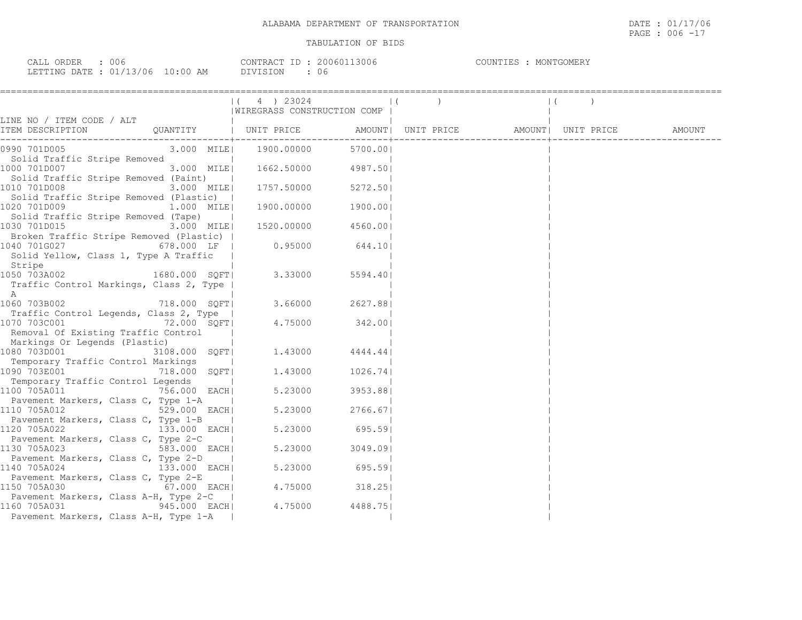| ORDER<br>CALL<br>J () (;                          | 13006<br>200601<br>CONTRACT | COUNTIES<br>MONTGOMERY |
|---------------------------------------------------|-----------------------------|------------------------|
| LETTING DATE : $01/13/06$<br>10:00<br>AM<br>_____ | ntvistoni<br>U 6            |                        |

|                                                                                                                                                                            | $(4)$ 23024<br>WIREGRASS CONSTRUCTION COMP |          |  | $\vert$ ( |  |
|----------------------------------------------------------------------------------------------------------------------------------------------------------------------------|--------------------------------------------|----------|--|-----------|--|
| LINE NO / ITEM CODE / ALT<br>QUANTITY   UNIT PRICE                 AMOUNT    UNIT PRICE                   AMOUNT    UNIT PRICE                  AMOUNT<br>ITEM DESCRIPTION |                                            |          |  |           |  |
| 0990 701D005                                                                                                                                                               | 3.000 MILE  1900.00000                     | 5700.001 |  |           |  |
| Solid Traffic Stripe Removed<br>1000 701D007<br>3.000 MILE <br>Solid Traffic Stripe Removed (Paint)                                                                        | $1662.50000$ 4987.50                       |          |  |           |  |
| 1010 701D008<br>3.000 MILE                                                                                                                                                 | 1757.50000 5272.50                         |          |  |           |  |
| Solid Traffic Stripe Removed (Plastic)  <br>1020 701D009<br>$1.000$ MILE<br>Solid Traffic Stripe Removed (Tape)                                                            | 1900.00000                                 | 1900.00  |  |           |  |
| 1030 701D015<br>3.000 MILE <br>Broken Traffic Stripe Removed (Plastic)                                                                                                     | 1520.00000 4560.00                         |          |  |           |  |
| 678.000 LF<br>1040 701G027<br>Solid Yellow, Class 1, Type A Traffic<br>Stripe                                                                                              | $0.95000$ 644.10                           |          |  |           |  |
| 1050 703A002<br>1680.000 SOFT <br>Traffic Control Markings, Class 2, Type  <br>A                                                                                           | 3.33000                                    | 5594.401 |  |           |  |
| 718.000 SQFT<br>1060 703B002                                                                                                                                               | 3.66000 2627.88                            |          |  |           |  |
| Traffic Control Legends, Class 2, Type  <br>72.000 SQFT<br>1070 703C001<br>Removal Of Existing Traffic Control<br>Markings Or Legends (Plastic)                            | 4.75000                                    | 342.001  |  |           |  |
| 1080 703D001<br>3108.000 SQFT <br>Temporary Traffic Control Markings                                                                                                       | $1.43000$ $4444.44$                        |          |  |           |  |
| 1090 703E001<br>718.000 SQFT <br>Temporary Traffic Control Legends                                                                                                         | 1,43000                                    | 1026.741 |  |           |  |
| 1100 705A011<br>756.000 EACH<br>Pavement Markers, Class C, Type 1-A                                                                                                        | 5.23000                                    | 3953.881 |  |           |  |
| 1110 705A012<br>529.000 EACH <br>Pavement Markers, Class C, Type 1-B                                                                                                       | 5.23000                                    | 2766.67  |  |           |  |
| 133.000 EACH<br>1120 705A022<br>Pavement Markers, Class C, Type 2-C                                                                                                        | 5.23000                                    | 695.59   |  |           |  |
| $583.000$ EACH<br>1130 705A023<br>Pavement Markers, Class C, Type 2-D                                                                                                      | 5.23000                                    | 3049.091 |  |           |  |
| 1140 705A024<br>133.000 EACH <br>Pavement Markers, Class C, Type 2-E                                                                                                       | 5.23000                                    | 695.59   |  |           |  |
| 67.000 EACH<br>1150 705A030<br>Pavement Markers, Class A-H, Type 2-C                                                                                                       | 4.75000                                    | 318.25   |  |           |  |
| 945.000 EACH<br>1160 705A031<br>Pavement Markers, Class A-H, Type 1-A                                                                                                      | 4.75000                                    | 4488.751 |  |           |  |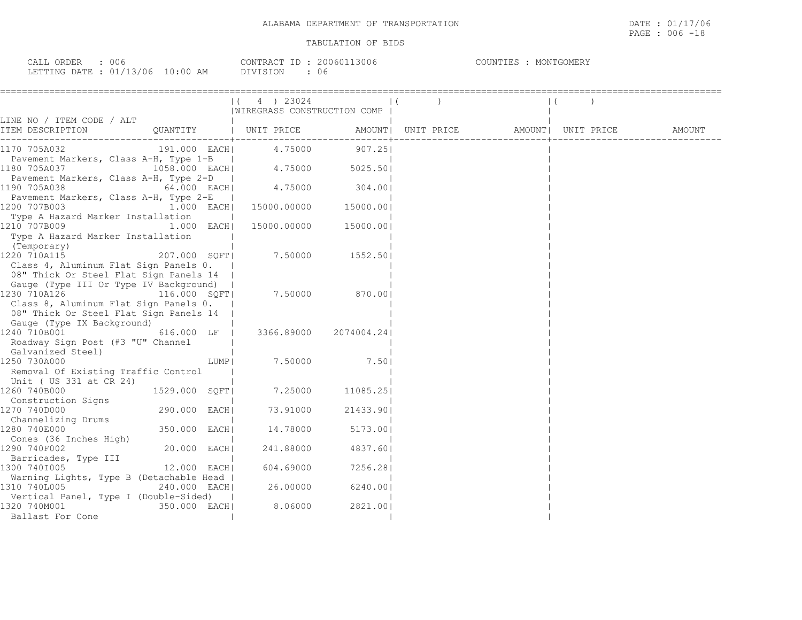| 006<br>ORDER<br>CALL                                   | 3006<br>200601<br>CONTRACT | COUNTIES<br>MONTGOMERY |
|--------------------------------------------------------|----------------------------|------------------------|
| : 01/13/06<br>LO:00<br>AM<br>DATE.<br>LETTING<br>_____ | DIVISION<br>U6             |                        |

|                                                                                                                                         |                                            | $(4)$ 23024<br>WIREGRASS CONSTRUCTION COMP |             |                                       | $\mathbf{1}$ |        |
|-----------------------------------------------------------------------------------------------------------------------------------------|--------------------------------------------|--------------------------------------------|-------------|---------------------------------------|--------------|--------|
| LINE NO / ITEM CODE / ALT<br>ITEM DESCRIPTION CUANTITY   UNIT PRICE                                                                     |                                            |                                            |             | AMOUNT  UNIT PRICE AMOUNT  UNIT PRICE |              | AMOUNT |
| 1170 705A032<br>191.000 EACH                                                                                                            |                                            | 4.75000                                    | 907.25      |                                       |              |        |
| Pavement Markers, Class A-H, Type 1-B  <br>1180 705A037                                                                                 |                                            | $1058.000$ EACH $4.75000$                  | 5025.50     |                                       |              |        |
| Pavement Markers, Class A-H, Type 2-D<br>1190 705A038<br>64.000 EACH                                                                    | <b>Contract Contract Contract Contract</b> | 4.75000                                    | 304.001     |                                       |              |        |
| Pavement Markers, Class A-H, Type 2-E<br>1200 707B003<br>$1.000$ EACH                                                                   | $\sim$                                     | 15000.00000                                | 15000.00    |                                       |              |        |
| Type A Hazard Marker Installation<br>1210 707B009<br>$1.000$ EACH<br>Type A Hazard Marker Installation<br>(Temporary)                   |                                            | 15000.00000                                | 15000.001   |                                       |              |        |
| 1220 710A115<br>207.000 SQFT <br>Class 4, Aluminum Flat Sign Panels 0.<br>08" Thick Or Steel Flat Sign Panels 14                        |                                            | 7.50000                                    | 1552.501    |                                       |              |        |
| Gauge (Type III Or Type IV Background)<br>1230 710A126<br>116.000 SQFT <br>Class 8, Aluminum Flat Sign Panels 0.                        |                                            | 7.50000                                    | 870.00      |                                       |              |        |
| 08" Thick Or Steel Flat Sign Panels 14<br>Gauge (Type IX Background)<br>1240 710B001<br>616.000 LF<br>Roadway Sign Post (#3 "U" Channel |                                            | 3366.89000                                 | 2074004.241 |                                       |              |        |
| Galvanized Steel)<br>1250 730A000<br>Removal Of Existing Traffic Control                                                                | LUMP                                       | 7.50000                                    | 7.501       |                                       |              |        |
| Unit ( US 331 at CR 24)<br>1529.000 SQFT <br>1260 740B000                                                                               |                                            | 7.25000                                    | 11085.251   |                                       |              |        |
| Construction Signs<br>290.000 EACH <br>1270 740D000                                                                                     |                                            | 73.91000                                   | 21433.901   |                                       |              |        |
| Channelizing Drums<br>350.000 EACH <br>1280 740E000                                                                                     |                                            | 14.78000                                   | 5173.001    |                                       |              |        |
| Cones (36 Inches High)<br>20.000 EACH <br>1290 740F002<br>Barricades, Type III                                                          |                                            | 241.88000                                  | 4837.601    |                                       |              |        |
| 12.000 EACH <br>1300 7401005<br>Warning Lights, Type B (Detachable Head                                                                 |                                            | 604.69000                                  | 7256.281    |                                       |              |        |
| 1310 740L005<br>240.000 EACH                                                                                                            |                                            | 26.00000                                   | 6240.001    |                                       |              |        |
| Vertical Panel, Type I (Double-Sided)<br>1320 740M001<br>350.000 EACH <br>Ballast For Cone                                              |                                            | 8.06000                                    | 2821.001    |                                       |              |        |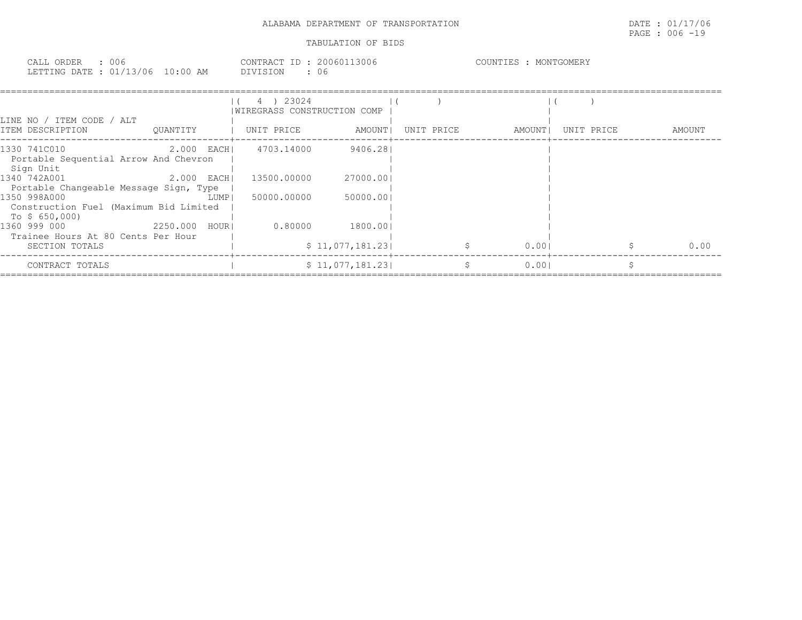PAGE : 006 -19

| 006<br>$\cap$ $\cap$ $\cap$ $\cap$<br>$\sim$ $\sim$ $\sim$<br>$\Delta$ 1.<br>UNDEL<br>للتلتاب | CONTRACT.<br>20060<br>.3UU 6<br>$\overline{111111}$ | GOMERY<br>MONTEL |
|-----------------------------------------------------------------------------------------------|-----------------------------------------------------|------------------|
| 106<br>DATE.<br>.FTTING<br>$\sim$<br>AΜ<br>:00<br>TRIJING<br>-----                            | $\tau \wedge$<br>. <del>.</del><br>U6<br>ナエキノピ      |                  |

| LINE NO / ITEM CODE / ALT<br>ITEM DESCRIPTION                                                    | OUANTITY                 | 4 ) 23024<br>WIREGRASS CONSTRUCTION COMP<br>  UNIT PRICE | AMOUNT                      | UNIT PRICE | AMOUNT | UNIT PRICE | AMOUNT |
|--------------------------------------------------------------------------------------------------|--------------------------|----------------------------------------------------------|-----------------------------|------------|--------|------------|--------|
| 1330 741C010<br>Portable Sequential Arrow And Chevron<br>Sign Unit<br>1340 742A001               | 2.000 EACH<br>2.000 EACH | 4703.14000<br>13500.00000                                | 9406.281<br>27000.001       |            |        |            |        |
| Portable Changeable Message Sign, Type<br>1350 998A000<br>Construction Fuel (Maximum Bid Limited | LUMP                     | 50000.00000                                              | 50000.00                    |            |        |            |        |
| To \$ 650,000)<br>1360 999 000<br>Trainee Hours At 80 Cents Per Hour<br>SECTION TOTALS           | 2250.000 HOURI           | 0.80000                                                  | 1800.001<br>\$11,077,181.23 | \$         | 0.001  |            | 0.00   |
| CONTRACT TOTALS                                                                                  |                          |                                                          | \$11,077,181.23             | S.         | 0.001  |            |        |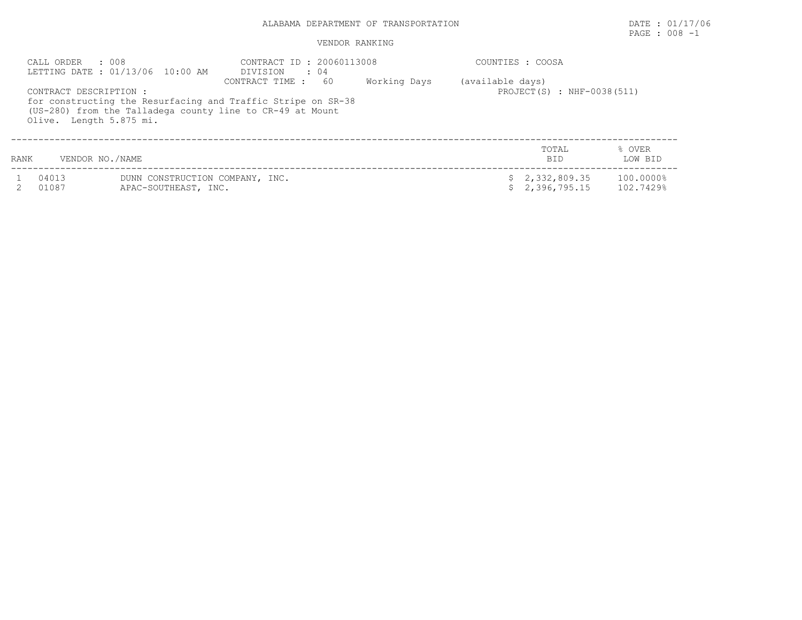# ALABAMA DEPARTMENT OF TRANSPORTATION **EXECUTE:** 01/17/06

# PAGE : 008 -1

| CALL ORDER : 008<br>LETTING DATE : 01/13/06 10:00 AM |                                                                                                                                                                                | DIVISION : 04          | CONTRACT ID: 20060113008 |                  |                                | COUNTIES : COOSA       |  |  |  |
|------------------------------------------------------|--------------------------------------------------------------------------------------------------------------------------------------------------------------------------------|------------------------|--------------------------|------------------|--------------------------------|------------------------|--|--|--|
|                                                      | CONTRACT DESCRIPTION :<br>for constructing the Resurfacing and Traffic Stripe on SR-38<br>(US-280) from the Talladega county line to CR-49 at Mount<br>Olive. Length 5.875 mi. | -60<br>CONTRACT TIME : | Working Days             | (available days) | PROJECT $(S)$ : NHF-0038(511)  |                        |  |  |  |
| <b>RANK</b>                                          | VENDOR NO./NAME                                                                                                                                                                |                        |                          |                  | TOTAL<br><b>BID</b>            | % OVER<br>LOW BID      |  |  |  |
| 04013<br>01087                                       | DUNN CONSTRUCTION COMPANY, INC.<br>APAC-SOUTHEAST, INC.                                                                                                                        |                        |                          |                  | \$2,332,809.35<br>2,396,795.15 | 100.0000%<br>102.7429% |  |  |  |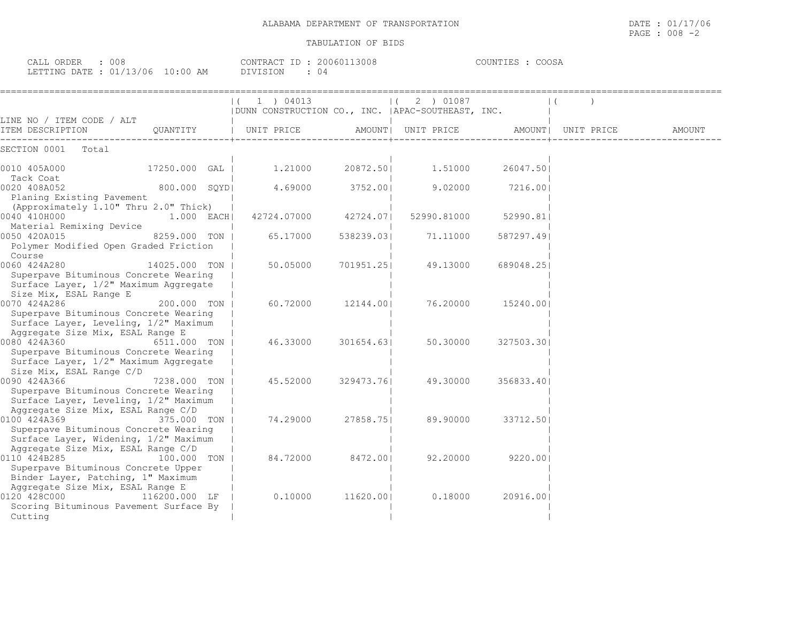| CALL ORDER                       | 008 |          | CONTRACT ID: 20060113008 | COUNTIES : COOSA |
|----------------------------------|-----|----------|--------------------------|------------------|
| LETTING DATE : 01/13/06 10:00 AM |     | DIVISION |                          |                  |

|                                                                                |               | ( 1 ) 04013                                        |            | $(2)$ 01087        |            |                    |        |
|--------------------------------------------------------------------------------|---------------|----------------------------------------------------|------------|--------------------|------------|--------------------|--------|
| LINE NO / ITEM CODE / ALT                                                      |               | DUNN CONSTRUCTION CO., INC.   APAC-SOUTHEAST, INC. |            |                    |            |                    |        |
| ITEM DESCRIPTION                                                               | OUANTITY      | UNIT PRICE                                         |            | AMOUNT  UNIT PRICE |            | AMOUNT  UNIT PRICE | AMOUNT |
| SECTION 0001<br>Total                                                          |               |                                                    |            |                    |            |                    |        |
| 0010 405A000                                                                   | 17250.000 GAL | 1.21000                                            | 20872.50   | 1.51000            | 26047.501  |                    |        |
| Tack Coat<br>0020 408A052                                                      | 800.000 SQYD  | 4.69000                                            | 3752.001   | 9.02000            | 7216.001   |                    |        |
| Planing Existing Pavement<br>(Approximately 1.10" Thru 2.0" Thick)             |               |                                                    |            |                    |            |                    |        |
| 0040 410H000<br>Material Remixing Device                                       | 1.000 EACH    | 42724.07000                                        | 42724.071  | 52990.81000        | 52990.81   |                    |        |
| 0050 420A015<br>Polymer Modified Open Graded Friction                          | 8259.000 TON  | 65.17000                                           | 538239.03  | 71.11000           | 587297.491 |                    |        |
| Course                                                                         |               |                                                    |            |                    |            |                    |        |
| 0060 424A280<br>Superpave Bituminous Concrete Wearing                          | 14025.000 TON | 50.05000                                           | 701951.25  | 49.13000           | 689048.25  |                    |        |
| Surface Layer, 1/2" Maximum Aggregate<br>Size Mix, ESAL Range E                |               |                                                    |            |                    |            |                    |        |
| 0070 424A286<br>Superpave Bituminous Concrete Wearing                          | 200.000 TON   | 60.72000                                           | 12144.001  | 76.20000           | 15240.00   |                    |        |
| Surface Layer, Leveling, 1/2" Maximum<br>Aggregate Size Mix, ESAL Range E      |               |                                                    |            |                    |            |                    |        |
| 0080 424A360                                                                   | 6511,000 TON  | 46.33000                                           | 301654.631 | 50.30000           | 327503.301 |                    |        |
| Superpave Bituminous Concrete Wearing<br>Surface Layer, 1/2" Maximum Aggregate |               |                                                    |            |                    |            |                    |        |
| Size Mix, ESAL Range C/D<br>0090 424A366                                       | 7238.000 TON  | 45.52000                                           | 329473.761 | 49.30000           | 356833.40  |                    |        |
| Superpave Bituminous Concrete Wearing<br>Surface Layer, Leveling, 1/2" Maximum |               |                                                    |            |                    |            |                    |        |
| Aggregate Size Mix, ESAL Range C/D<br>0100 424A369                             | 375.000 TON   | 74.29000                                           | 27858.751  | 89.90000           | 33712.501  |                    |        |
| Superpave Bituminous Concrete Wearing<br>Surface Layer, Widening, 1/2" Maximum |               |                                                    |            |                    |            |                    |        |
| Aggregate Size Mix, ESAL Range C/D                                             |               |                                                    |            |                    |            |                    |        |
| 0110 424B285<br>Superpave Bituminous Concrete Upper                            | 100.000 TON   | 84.72000                                           | 8472.001   | 92,20000           | 9220.001   |                    |        |
| Binder Layer, Patching, 1" Maximum<br>Aggregate Size Mix, ESAL Range E         |               |                                                    |            |                    |            |                    |        |
| 0120 428C000<br>Scoring Bituminous Pavement Surface By                         | 116200.000 LF | 0.10000                                            | 11620.00   | 0.18000            | 20916.00   |                    |        |
| Cutting                                                                        |               |                                                    |            |                    |            |                    |        |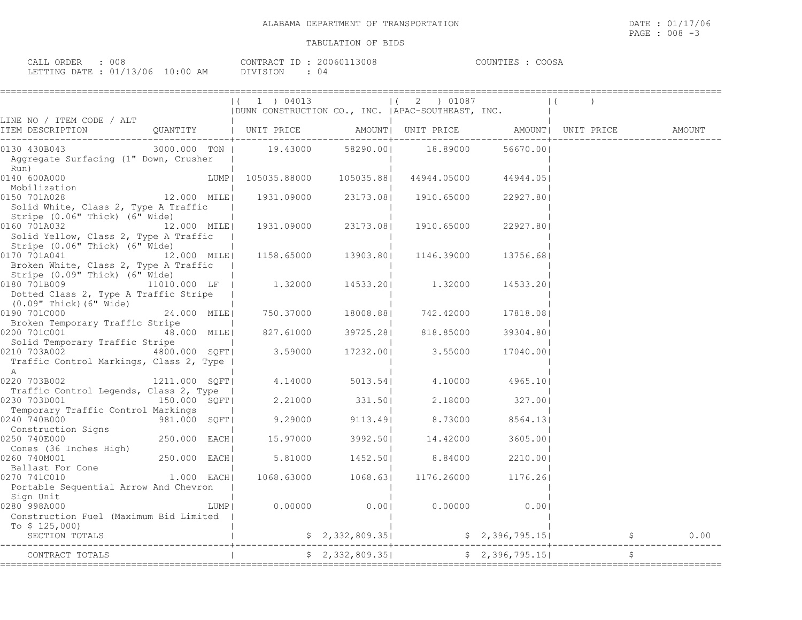| 908.<br>ORDER<br>CALL ( |             | 20060113008<br>CONTRACT<br>TD : | COOSA<br>COUNTIF^ |
|-------------------------|-------------|---------------------------------|-------------------|
| LETTING DATE: 01/13/06  | 10:00<br>AM | DIVISION                        |                   |

| LINE NO / ITEM CODE / ALT<br>TTEM DECOLIDEION                                                                                                                   |             |                          | (1) 04013               |                     | $(2)$ 01087<br>  DUNN CONSTRUCTION CO., INC.   APAC-SOUTHEAST, INC.                                                                            |                 |                          |  |
|-----------------------------------------------------------------------------------------------------------------------------------------------------------------|-------------|--------------------------|-------------------------|---------------------|------------------------------------------------------------------------------------------------------------------------------------------------|-----------------|--------------------------|--|
| ITEM DESCRIPTION                                                                                                                                                |             |                          |                         |                     |                                                                                                                                                |                 |                          |  |
| 0130 430B043<br>Aggregate Surfacing (1" Down, Crusher                                                                                                           |             |                          |                         |                     | 3000.000 TON   19.43000 58290.00  18.89000                                                                                                     | 56670.001       |                          |  |
| Run)<br>0140 600A000                                                                                                                                            |             |                          |                         |                     | LUMP  105035.88000  105035.88   44944.05000  44944.05                                                                                          |                 |                          |  |
| Mobilization<br>150 701A028 12.000 MILE<br>0150 701A028<br>Solid White, Class 2, Type A Traffic                                                                 |             |                          |                         |                     | 1931.09000 23173.08  1910.65000 22927.80                                                                                                       |                 |                          |  |
| Stripe (0.06" Thick) (6" Wide)<br>0160 701A032<br>Solid Yellow, Class 2, Type A Traffic                                                                         | 12.000 MILE |                          |                         | 1931.09000 23173.08 | 1910.65000 22927.80                                                                                                                            |                 |                          |  |
| Stripe (0.06" Thick) (6" Wide)<br>$[0170 701A041$ 12.000 MILE 1158.65000 13903.80 1146.39000<br>Broken White, Class 2, Type A Traffic                           |             | <b>Contract Contract</b> |                         |                     |                                                                                                                                                | 13756.68        |                          |  |
| Stripe (0.09" Thick) (6" Wide)<br>$0180 701B009$ 11010.000 LF   1.32000 14533.20   1.32000<br>Dotted Class 2, Type A Traffic Stripe                             |             |                          |                         |                     |                                                                                                                                                | 14533.201       |                          |  |
| (0.09" Thick) (6" Wide)<br>0190 701C000<br>Broken Temporary Traffic Stripe                                                                                      |             |                          |                         |                     | 24.000 MILE  750.37000 18008.88  742.42000                                                                                                     | 17818.081       |                          |  |
| Solid Temporary Traffic Stripe                                                                                                                                  |             | the control of the con-  |                         |                     |                                                                                                                                                | 39304.801       |                          |  |
| 0210 703A002<br>Traffic Control Markings, Class 2, Type  <br>A                                                                                                  |             |                          | $4800.000$ SQFT 3.59000 |                     | 17232.00  3.55000 17040.00                                                                                                                     |                 |                          |  |
| 0220 703B002<br>Traffic Control Legends, Class 2, Type                                                                                                          |             |                          |                         |                     | 1211.000 $SQFT$ 4.14000 5013.54 4.10000 4965.10                                                                                                |                 |                          |  |
| 0230 703D001<br>Temporary Traffic Control Markings                                                                                                              |             |                          |                         |                     | $\frac{150.000}{2}$ $\frac{1}{2}$ $\frac{1}{2}$ $\frac{2.21000}{2.21000}$ $\frac{331.50}{2}$ $\frac{2.18000}{2.18000}$ $\frac{327.00}{2.1800}$ |                 |                          |  |
| 240 740B000<br>Construction Signs<br>250 740E000<br>Construction Signs<br>250.000 EACH<br>Cones (36 Inches High)<br>260 740M001<br>250.000 EACH<br>0240 740B000 |             |                          |                         |                     | $9.29000$ $9113.49$ 8.73000                                                                                                                    | 8564.131        |                          |  |
| 0250 740E000                                                                                                                                                    |             |                          |                         |                     | 15.97000 3992.50 14.42000                                                                                                                      | 3605.001        |                          |  |
| 0260 740M001                                                                                                                                                    |             |                          |                         | $5.81000$ $1452.50$ |                                                                                                                                                | 8.84000 2210.00 |                          |  |
| Pollast For Cone<br>270 7410010 1.000 EACH<br>0270 741C010<br>Portable Sequential Arrow And Chevron<br>Sign Unit                                                |             |                          |                         |                     | 1068.63000 1068.63 1176.26000 1176.26                                                                                                          |                 |                          |  |
| 0280 998A000<br>Construction Fuel (Maximum Bid Limited                                                                                                          |             | LUMP                     |                         |                     | $0.00000$ $0.00$ $0.0000$ $0.00000$ $0.001$                                                                                                    |                 |                          |  |
| To $$125,000$<br>SECTION TOTALS                                                                                                                                 |             |                          |                         |                     |                                                                                                                                                |                 | $$2,396,795.15$ $$6,000$ |  |
| CONTRACT TOTALS                                                                                                                                                 |             |                          |                         |                     |                                                                                                                                                | \$2,396,795.15  |                          |  |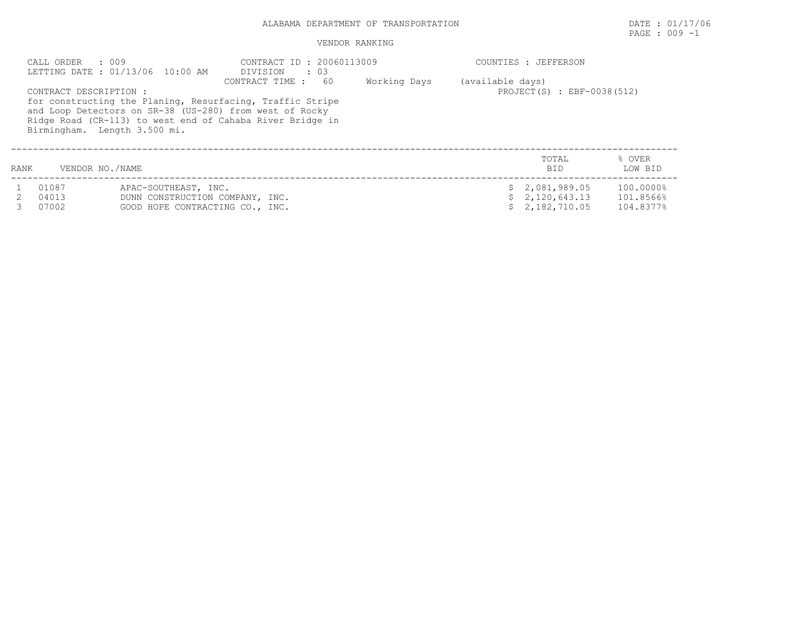## ALABAMA DEPARTMENT OF TRANSPORTATION DATE : 01/17/06

# PAGE : 009 -1

|      | .009<br>CALL ORDER<br>LETTING DATE: 01/13/06 10:00 AM  |                                                                                            | CONTRACT ID: 20060113009<br>DIVISION<br>$\cdot\quad03$                                                                                                                                                      | COUNTIES : JEFFERSON |                                                |                                                  |                                     |  |
|------|--------------------------------------------------------|--------------------------------------------------------------------------------------------|-------------------------------------------------------------------------------------------------------------------------------------------------------------------------------------------------------------|----------------------|------------------------------------------------|--------------------------------------------------|-------------------------------------|--|
|      | CONTRACT DESCRIPTION :<br>Birmingham. Length 3.500 mi. |                                                                                            | -60<br>CONTRACT TIME :<br>for constructing the Planing, Resurfacing, Traffic Stripe<br>and Loop Detectors on SR-38 (US-280) from west of Rocky<br>Ridge Road (CR-113) to west end of Cahaba River Bridge in | Working Days         | (available days)<br>PROJECT(S) : EBF-0038(512) |                                                  |                                     |  |
| RANK | VENDOR NO./NAME                                        |                                                                                            |                                                                                                                                                                                                             |                      |                                                | TOTAL<br><b>BID</b>                              | % OVER<br>LOW BID                   |  |
|      | 01087<br>04013<br>07002                                | APAC-SOUTHEAST, INC.<br>DUNN CONSTRUCTION COMPANY, INC.<br>GOOD HOPE CONTRACTING CO., INC. |                                                                                                                                                                                                             |                      |                                                | \$2,081,989.05<br>\$2,120,643.13<br>2,182,710.05 | 100.0000%<br>101.8566%<br>104.8377% |  |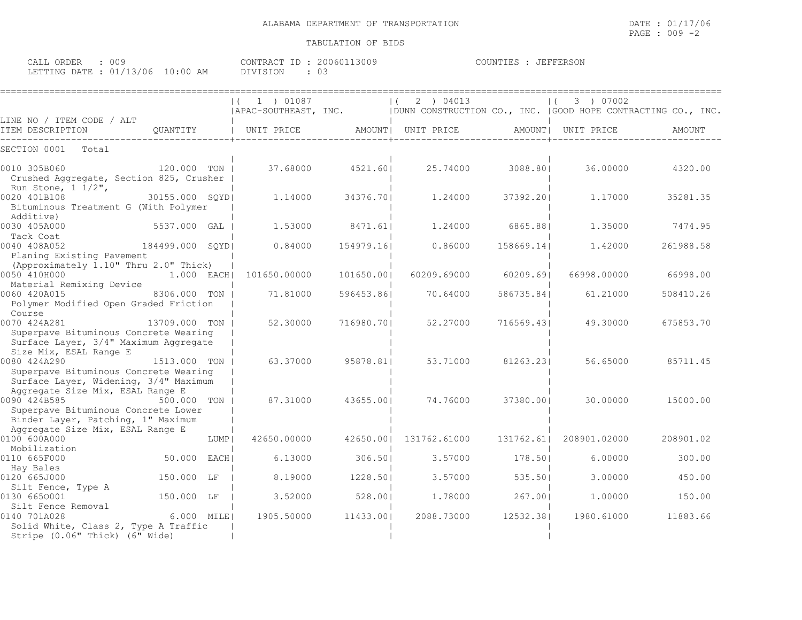| 009<br>CALL ORDER                | CONTRACT ID: 20060113009 | COUNTIES : JEFFERSON |
|----------------------------------|--------------------------|----------------------|
| LETTING DATE : 01/13/06 10:00 AM | DIVISION                 |                      |

|                                                                                                                               |                  |      | $(1)$ 01087<br>  APAC-SOUTHEAST, INC. |            | 2 ) 04013<br>  DUNN CONSTRUCTION CO., INC.   GOOD HOPE CONTRACTING CO., INC. |            | 3 ) 07002          |           |
|-------------------------------------------------------------------------------------------------------------------------------|------------------|------|---------------------------------------|------------|------------------------------------------------------------------------------|------------|--------------------|-----------|
| LINE NO / ITEM CODE / ALT<br>ITEM DESCRIPTION                                                                                 | QUANTITY         |      | UNIT PRICE                            |            | AMOUNT   UNIT PRICE                                                          |            | AMOUNT  UNIT PRICE | AMOUNT    |
| SECTION 0001<br>Total                                                                                                         |                  |      |                                       |            |                                                                              |            |                    |           |
| 0010 305B060<br>Crushed Aggregate, Section 825, Crusher<br>Run Stone, $1 \frac{1}{2}$ ,                                       | 120.000 TON      |      | 37.68000                              | 4521.60    | 25.74000                                                                     | 3088.801   | 36.00000           | 4320.00   |
| 0020 401B108<br>Bituminous Treatment G (With Polymer<br>Additive)                                                             | 30155.000 SOYDI  |      | 1,14000                               | 34376.701  | 1,24000                                                                      | 37392.201  | 1,17000            | 35281.35  |
| 0030 405A000<br>Tack Coat                                                                                                     | 5537.000 GAL     |      | 1,53000                               | 8471.611   | 1,24000                                                                      | 6865.881   | 1,35000            | 7474.95   |
| 0040 408A052<br>Planing Existing Pavement                                                                                     | 184499.000 SOYDI |      | 0.84000                               | 154979.161 | 0.86000                                                                      | 158669.141 | 1,42000            | 261988.58 |
| (Approximately 1.10" Thru 2.0" Thick)<br>0050 410H000<br>Material Remixing Device                                             | $1.000$ EACH     |      | 101650.00000                          | 101650.001 | 60209.69000                                                                  | 60209.691  | 66998.00000        | 66998.00  |
| 0060 420A015<br>Polymer Modified Open Graded Friction                                                                         | 8306.000 TON     |      | 71.81000                              | 596453.861 | 70.64000                                                                     | 586735.841 | 61,21000           | 508410.26 |
| Course<br>0070 424A281<br>Superpave Bituminous Concrete Wearing<br>Surface Layer, 3/4" Maximum Aggregate                      | 13709.000 TON    |      | 52.30000                              | 716980.701 | 52.27000                                                                     | 716569.431 | 49.30000           | 675853.70 |
| Size Mix, ESAL Range E<br>0080 424A290<br>Superpave Bituminous Concrete Wearing<br>Surface Layer, Widening, 3/4" Maximum      | 1513.000 TON I   |      | 63.37000                              | 95878.811  | 53.71000                                                                     | 81263.231  | 56.65000           | 85711.45  |
| Aggregate Size Mix, ESAL Range E<br>0090 424B585<br>Superpave Bituminous Concrete Lower<br>Binder Layer, Patching, 1" Maximum | 500.000 TON      |      | 87.31000                              | 43655.001  | 74.76000                                                                     | 37380.001  | 30,00000           | 15000.00  |
| Aggregate Size Mix, ESAL Range E<br>0100 600A000<br>Mobilization                                                              |                  | LUMP | 42650.00000                           |            | 42650.00  131762.61000                                                       | 131762.61  | 208901.02000       | 208901.02 |
| 0110 665F000<br>Hay Bales                                                                                                     | 50.000 EACH      |      | 6.13000                               | 306.50     | 3.57000                                                                      | 178.501    | 6.00000            | 300.00    |
| 0120 665J000<br>Silt Fence, Type A                                                                                            | 150.000 LF       |      | 8.19000                               | 1228.501   | 3.57000                                                                      | 535.501    | 3,00000            | 450.00    |
| 0130 6650001                                                                                                                  | 150.000 LF       |      | 3.52000                               | 528.001    | 1,78000                                                                      | 267.001    | 1,00000            | 150.00    |
| Silt Fence Removal<br>0140 701A028<br>Solid White, Class 2, Type A Traffic<br>Stripe (0.06" Thick) (6" Wide)                  | 6.000 MILE       |      | 1905.50000                            | 11433.001  | 2088.73000                                                                   | 12532.381  | 1980.61000         | 11883.66  |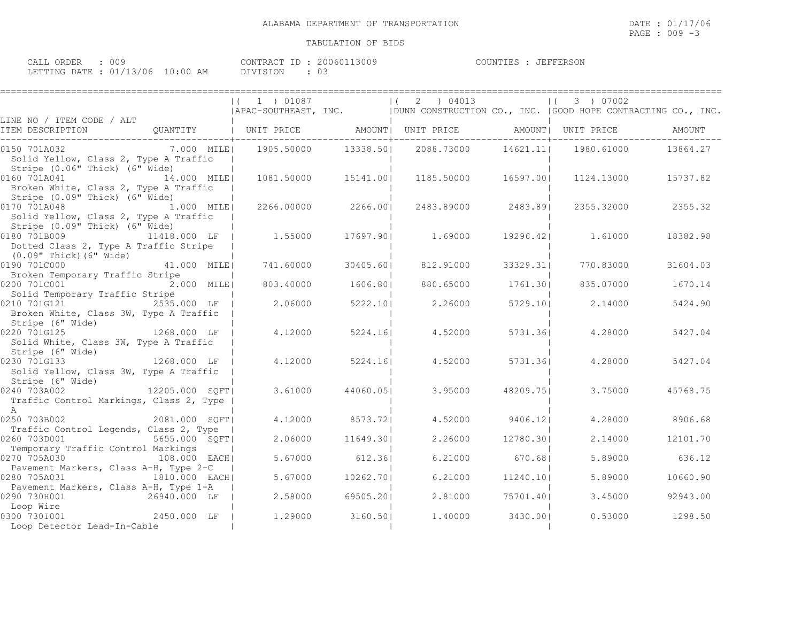====================================================================================================================================

| ORDER<br>CALL           | 009         | 20060113009<br>CONTRACT<br>ID : | <b>JEFFERSON</b><br>COUNTIES |
|-------------------------|-------------|---------------------------------|------------------------------|
| LETTING DATE : 01/13/06 | 10:00<br>AM | <b>DIVISION</b>                 |                              |

|                                                                                                    |               |                                                                           |                     | $(1)$ 01087 $(2)$ 04013 $(3)$ 07002<br>APAC-SOUTHEAST, INC.   DUNN CONSTRUCTION CO., INC.   GOOD HOPE CONTRACTING CO., INC. |                    |                   |          |
|----------------------------------------------------------------------------------------------------|---------------|---------------------------------------------------------------------------|---------------------|-----------------------------------------------------------------------------------------------------------------------------|--------------------|-------------------|----------|
| LINE NO / ITEM CODE / ALT                                                                          |               |                                                                           |                     |                                                                                                                             |                    |                   | AMOUNT   |
| 0150 701A032<br>Solid Yellow, Class 2, Type A Traffic                                              |               | 7.000 MILE  1905.50000 13338.50  2088.73000 14621.11  1980.61000 13864.27 |                     |                                                                                                                             |                    |                   |          |
| Stripe (0.06" Thick) (6" Wide)<br>0160 701A041 14.000 MILE                                         |               |                                                                           | 1081.50000 15141.00 | 1185.50000                                                                                                                  | 16597.001          | 1124.13000        | 15737.82 |
| Broken White, Class 2, Type A Traffic<br>Stripe (0.09" Thick) (6" Wide)                            |               |                                                                           |                     |                                                                                                                             |                    |                   |          |
| 0170 701A048 1.000 MILE<br>Solid Yellow, Class 2, Type A Traffic<br>Stripe (0.09" Thick) (6" Wide) |               |                                                                           | 2266.00000 2266.00  |                                                                                                                             | 2483.89000 2483.89 | 2355.32000        | 2355.32  |
| 0180 701B009 11418.000 LF  <br>Dotted Class 2, Type A Traffic Stripe                               |               | 1.55000                                                                   |                     | 17697.901 1.69000                                                                                                           |                    | 19296.42  1.61000 | 18382.98 |
| (0.09" Thick) (6" Wide)<br>0190 701C000                                                            | 41.000 MILEI  | 741.60000                                                                 | 30405.601           | 812.91000                                                                                                                   | 33329.311          | 770.83000         | 31604.03 |
| Broken Temporary Traffic Stripe<br>0200 701C001<br>Solid Temporary Traffic Stripe                  | 2.000 MILE    | 803.40000                                                                 | 1606.801            | 880.65000                                                                                                                   | 1761.301           | 835.07000         | 1670.14  |
| 0210 701G121 2535.000 LF  <br>Broken White, Class 3W, Type A Traffic                               |               | 2.06000                                                                   | 5222.10             | 2.26000                                                                                                                     | 5729.101           | 2.14000           | 5424.90  |
|                                                                                                    |               | 4.12000                                                                   | 5224.16             | 4.52000                                                                                                                     | 5731.361           | 4.28000           | 5427.04  |
| Solid White, Class 3W, Type A Traffic<br>Stripe (6" Wide)                                          |               |                                                                           |                     |                                                                                                                             |                    |                   |          |
| 0230 701G133 1268.000 LF  <br>Solid Yellow, Class 3W, Type A Traffic  <br>Stripe (6" Wide)         |               | 4.12000                                                                   | 5224.161            | 4.52000                                                                                                                     | 5731.361           | 4.28000           | 5427.04  |
| $0240 703A002$ $12205.000$ SQFT<br>Traffic Control Markings, Class 2, Type                         |               | 3.61000                                                                   | 44060.051           | 3.95000                                                                                                                     | 48209.751          | 3.75000           | 45768.75 |
| A<br>0250 703B002                                                                                  | 2081.000 SQFT | 4.12000                                                                   | 8573.721            | 4.52000                                                                                                                     | 9406.121           | 4.28000           | 8906.68  |
| Traffic Control Legends, Class 2, Type<br>0260 703D001<br>Temporary Traffic Control Markings       | 5655.000 SQFT | 2.06000                                                                   | 11649.301           | 2.26000                                                                                                                     | 12780.301          | 2.14000           | 12101.70 |
| 0270 705A030<br>Pavement Markers, Class A-H, Type 2-C                                              | 108.000 EACH  | 5.67000                                                                   | 612.361             | 6.21000                                                                                                                     | 670.681            | 5.89000           | 636.12   |
| 0280 705A031<br>Pavement Markers, Class A-H, Type 1-A                                              | 1810.000 EACH | 5.67000                                                                   | 10262.701           | 6.21000                                                                                                                     | 11240.10           | 5.89000           | 10660.90 |
| 0290 730H001<br>Loop Wire                                                                          | 26940.000 LF  | 2.58000                                                                   | 69505.201           | 2.81000                                                                                                                     | 75701.401          | 3.45000           | 92943.00 |
| 0300 730I001<br>Loop Detector Lead-In-Cable                                                        | 2450.000 LF   | 1,29000                                                                   | 3160.501            |                                                                                                                             | 1.40000 3430.00    | 0.53000           | 1298.50  |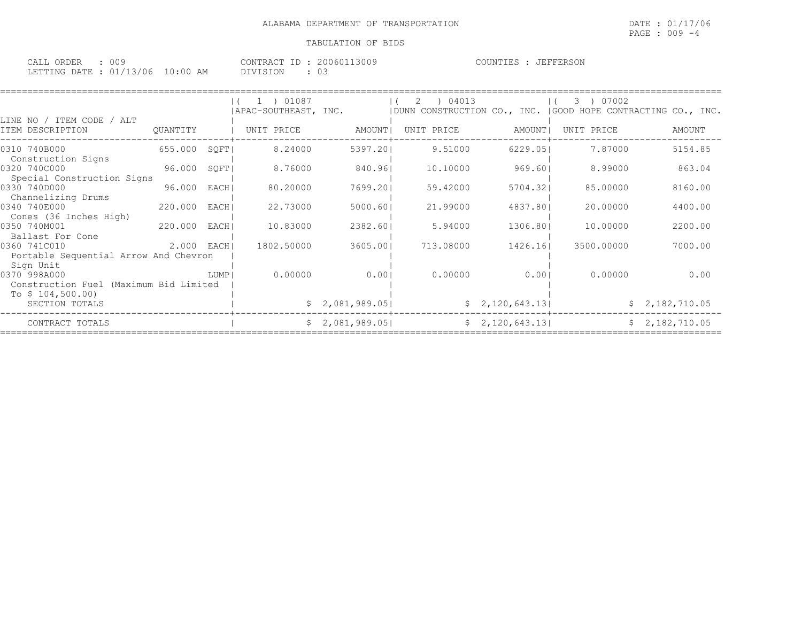| ORDER<br>CALL<br>ΟOS                                                         |             | 200601.<br>13009<br>CONTRACT<br>$T$ D | JEFFERSON<br>COUNTIES |
|------------------------------------------------------------------------------|-------------|---------------------------------------|-----------------------|
| 13/06<br>$\alpha$ $\alpha$ $\alpha$ $\alpha$ $\beta$<br>LETTING DATE<br>י ⊥י | 10:00<br>AM | DIVISION<br>$\backsim$                |                       |

| LINE NO / ITEM CODE / ALT                                   |              |        | $(1)$ 1 $)$ 01087<br>  APAC-SOUTHEAST, INC. |                 | 2 ) 04013<br>$\vert$ ( |                | 3 ) 07002<br>  DUNN CONSTRUCTION CO., INC.   GOOD HOPE CONTRACTING CO., INC. |                |
|-------------------------------------------------------------|--------------|--------|---------------------------------------------|-----------------|------------------------|----------------|------------------------------------------------------------------------------|----------------|
| ITEM DESCRIPTION                                            | QUANTITY     |        | UNIT PRICE                                  | AMOUNT          | UNIT PRICE             | AMOUNT         | UNIT PRICE                                                                   | AMOUNT         |
| 0310 740B000<br>Construction Signs                          | 655.000      | SOFT   | 8.24000                                     | 5397.201        | 9.51000                | 6229.051       | 7.87000                                                                      | 5154.85        |
| 0320 740C000<br>Special Construction Signs                  | 96.000       | SOFT   | 8.76000                                     | 840.961         | 10,10000               | 969.601        | 8.99000                                                                      | 863.04         |
| 0330 740D000<br>Channelizing Drums                          | 96.000       | EACHI  | 80,20000                                    | 7699.201        | 59.42000               | 5704.321       | 85,00000                                                                     | 8160.00        |
| 0340 740E000                                                | 220.000      | EACH   | 22.73000                                    | 5000.601        | 21,99000               | 4837.801       | 20,00000                                                                     | 4400.00        |
| Cones (36 Inches High)<br>0350 740M001<br>Ballast For Cone  | 220.000      | EACH   | 10.83000                                    | 2382.601        | 5.94000                | 1306.801       | 10,00000                                                                     | 2200.00        |
| 0360 741C010<br>Portable Sequential Arrow And Chevron       | $2.000$ EACH |        | 1802.50000                                  | 3605.001        | 713.08000              | 1426.161       | 3500.00000                                                                   | 7000.00        |
| Sign Unit<br>0370 998A000                                   |              | LUMP I | 0.00000                                     | 0.001           | 0.00000                | 0.001          | 0.00000                                                                      | 0.00           |
| Construction Fuel (Maximum Bid Limited<br>To $$104,500.00)$ |              |        |                                             |                 |                        |                |                                                                              |                |
| SECTION TOTALS                                              |              |        |                                             | \$2,081,989.05] |                        | \$2,120,643.13 |                                                                              | \$2,182,710.05 |
| CONTRACT TOTALS                                             |              |        |                                             | \$2,081,989.05] |                        | \$2,120,643.13 |                                                                              | \$2,182,710.05 |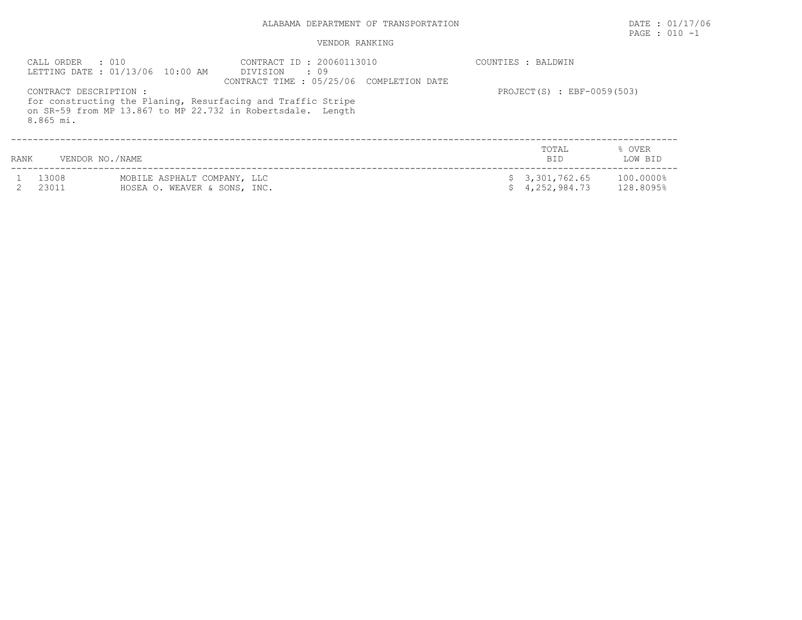# ALABAMA DEPARTMENT OF TRANSPORTATION DATE : 01/17/06

# PAGE : 010 -1

| CALL ORDER<br>8.865 mi. | $\cdot$ 010<br>LETTING DATE: 01/13/06 10:00 AM<br>CONTRACT DESCRIPTION : | CONTRACT ID: 20060113010<br>DIVISION : 09<br>CONTRACT TIME: 05/25/06 COMPLETION DATE<br>for constructing the Planing, Resurfacing and Traffic Stripe<br>on SR-59 from MP 13.867 to MP 22.732 in Robertsdale. Length | COUNTIES : BALDWIN<br>PROJECT $(S)$ : EBF-0059(503) |                        |
|-------------------------|--------------------------------------------------------------------------|---------------------------------------------------------------------------------------------------------------------------------------------------------------------------------------------------------------------|-----------------------------------------------------|------------------------|
| RANK                    | VENDOR NO./NAME                                                          |                                                                                                                                                                                                                     | TOTAL<br><b>BID</b>                                 | % OVER<br>LOW BID      |
| 13008<br>23011          | MOBILE ASPHALT COMPANY, LLC<br>HOSEA O. WEAVER & SONS, INC.              |                                                                                                                                                                                                                     | \$3,301,762.65<br>4,252,984.73                      | 100.0000%<br>128.8095% |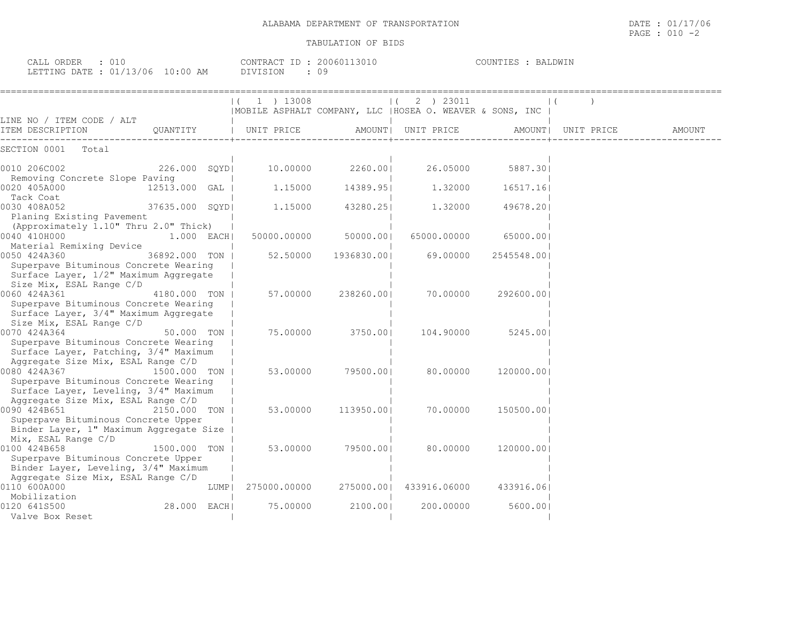| : 010<br>CALL ORDER<br>LETTING DATE : 01/13/06 10:00 AM                        |                |      | CONTRACT ID: 20060113010<br>DIVISION | : 09       |                                                                                     | COUNTIES : BALDWIN |            |        |
|--------------------------------------------------------------------------------|----------------|------|--------------------------------------|------------|-------------------------------------------------------------------------------------|--------------------|------------|--------|
|                                                                                |                |      | $(1)$ 1 $)$ 13008                    |            | 2 ) 23011<br>$\vert$ (<br> MOBILE ASPHALT COMPANY, LLC  HOSEA O. WEAVER & SONS, INC |                    |            |        |
| LINE NO / ITEM CODE / ALT<br>ITEM DESCRIPTION                                  | QUANTITY       |      | UNIT PRICE                           |            | AMOUNT  UNIT PRICE                                                                  | AMOUNT             | UNIT PRICE | AMOUNT |
| SECTION 0001<br>Total                                                          |                |      |                                      |            |                                                                                     |                    |            |        |
| 0010 206C002                                                                   | 226.000 SQYD   |      | 10.00000                             | 2260.001   | 26.05000                                                                            | 5887.301           |            |        |
| Removing Concrete Slope Paving<br>0020 405A000                                 | 12513.000 GAL  |      | 1,15000                              | 14389.951  | 1,32000                                                                             | 16517.16           |            |        |
| Tack Coat<br>0030 408A052                                                      | 37635.000 SQYD |      | 1,15000                              | 43280.251  | 1,32000                                                                             | 49678.201          |            |        |
| Planing Existing Pavement<br>(Approximately 1.10" Thru 2.0" Thick)             |                |      |                                      |            |                                                                                     |                    |            |        |
| 0040 410H000<br>Material Remixing Device                                       | $1.000$ EACH   |      | 50000.00000                          | 50000.001  | 65000.00000                                                                         | 65000.001          |            |        |
| 0050 424A360                                                                   | 36892.000 TON  |      | 52.50000                             | 1936830.00 | 69.00000                                                                            | 2545548.00         |            |        |
| Superpave Bituminous Concrete Wearing<br>Surface Layer, 1/2" Maximum Aggregate |                |      |                                      |            |                                                                                     |                    |            |        |
| Size Mix, ESAL Range C/D<br>0060 424A361                                       | 4180.000 TON   |      | 57.00000                             | 238260.001 | 70.00000                                                                            | 292600.001         |            |        |
| Superpave Bituminous Concrete Wearing<br>Surface Layer, 3/4" Maximum Aggregate |                |      |                                      |            |                                                                                     |                    |            |        |
| Size Mix, ESAL Range C/D                                                       |                |      |                                      |            |                                                                                     |                    |            |        |
| 0070 424A364<br>Superpave Bituminous Concrete Wearing                          | 50.000 TON     |      | 75.00000                             | 3750.001   | 104.90000                                                                           | 5245.001           |            |        |
| Surface Layer, Patching, 3/4" Maximum                                          |                |      |                                      |            |                                                                                     |                    |            |        |
| Aggregate Size Mix, ESAL Range C/D                                             |                |      |                                      |            |                                                                                     |                    |            |        |
| 0080 424A367                                                                   | 1500.000 TON   |      | 53.00000                             | 79500.001  | 80.00000                                                                            | 120000.001         |            |        |
| Superpave Bituminous Concrete Wearing<br>Surface Layer, Leveling, 3/4" Maximum |                |      |                                      |            |                                                                                     |                    |            |        |
| Aggregate Size Mix, ESAL Range C/D                                             |                |      |                                      |            |                                                                                     |                    |            |        |
| 0090 424B651                                                                   | 2150.000 TON   |      | 53,00000                             | 113950.001 | 70.00000                                                                            | 150500.00          |            |        |
| Superpave Bituminous Concrete Upper                                            |                |      |                                      |            |                                                                                     |                    |            |        |
| Binder Layer, 1" Maximum Aggregate Size                                        |                |      |                                      |            |                                                                                     |                    |            |        |
| Mix, ESAL Range C/D<br>0100 424B658                                            | 1500.000 TON   |      | 53.00000                             | 79500.001  | 80.00000                                                                            | 120000.001         |            |        |
| Superpave Bituminous Concrete Upper                                            |                |      |                                      |            |                                                                                     |                    |            |        |
| Binder Layer, Leveling, 3/4" Maximum                                           |                |      |                                      |            |                                                                                     |                    |            |        |
| Aggregate Size Mix, ESAL Range C/D                                             |                |      |                                      |            |                                                                                     |                    |            |        |
| 0110 600A000                                                                   |                | LUMP | 275000.00000                         | 275000.001 | 433916.06000                                                                        | 433916.061         |            |        |
| Mobilization                                                                   |                |      |                                      |            |                                                                                     |                    |            |        |
| 0120 641S500                                                                   | 28.000 EACH    |      | 75.00000                             | 2100.001   | 200.00000                                                                           | 5600.001           |            |        |
| Valve Box Reset                                                                |                |      |                                      |            |                                                                                     |                    |            |        |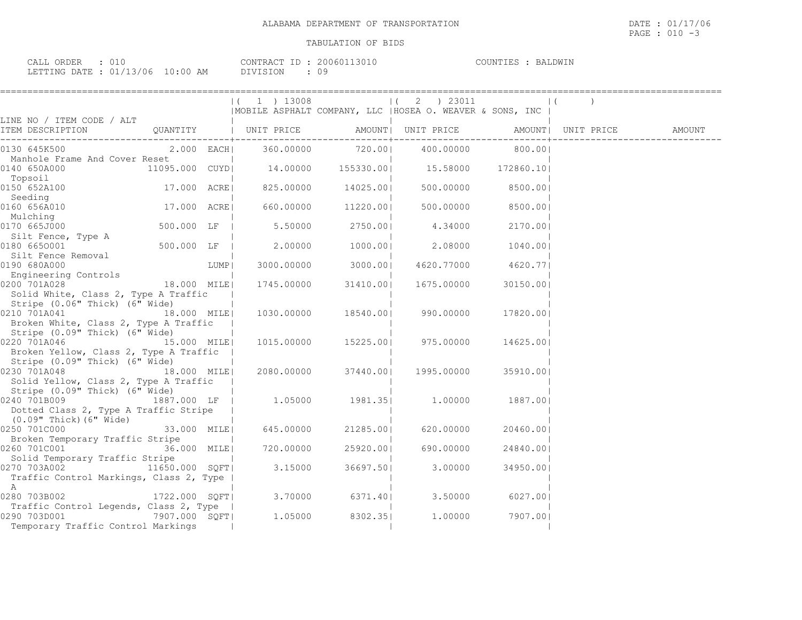| ORDER<br>CALL<br>◡⊥◟ |                      | CONTRACT ID | 200601<br>1.3U I U | BALDWIN<br>COUNTIES |
|----------------------|----------------------|-------------|--------------------|---------------------|
| LETTING DATE         | r: 01/13/06 10:00 AM | DIVISION    | ΩC                 |                     |

|                                                                                                                                                        |             |      | $(1)$ 1 $)$ 13008               |           | $(2)$ 23011                                               |                    | $\vert$ ( |        |
|--------------------------------------------------------------------------------------------------------------------------------------------------------|-------------|------|---------------------------------|-----------|-----------------------------------------------------------|--------------------|-----------|--------|
| LINE NO / ITEM CODE / ALT                                                                                                                              |             |      |                                 |           | MOBILE ASPHALT COMPANY, LLC   HOSEA O. WEAVER & SONS, INC |                    |           |        |
| ITEM DESCRIPTION CUANTITY   UNIT PRICE AMOUNT  UNIT PRICE AMOUNT  UNIT PRICE                                                                           |             |      |                                 |           |                                                           |                    |           | AMOUNT |
| 0130 645K500                                                                                                                                           |             |      |                                 |           | 2.000 EACH  360.00000 720.00  400.00000 800.00            |                    |           |        |
| Manhole Frame And Cover Reset<br>11095.000 CUYD <br>0140 650A000                                                                                       |             |      |                                 |           | 14.00000  155330.00   15.58000  172860.10                 |                    |           |        |
| Topsoil<br>0150 652A100                                                                                                                                |             |      | 17.000 ACRE  825.00000 14025.00 |           | 500.00000                                                 | 8500.001           |           |        |
| Seeding<br>0160 656A010                                                                                                                                | 17.000 ACRE |      | 660.00000 11220.00              |           |                                                           | 500.00000 8500.001 |           |        |
| Mulching<br>0170 665J000                                                                                                                               | 500.000 LF  |      |                                 |           | 5.50000 2750.00 4.34000                                   | 2170.001           |           |        |
| Silt Fence, Type A<br>0180 6650001                                                                                                                     | 500.000 LF  |      | 2.00000 1000.00                 |           | 2.08000                                                   | 1040.00            |           |        |
| Silt Fence Removal<br>0190 680A000                                                                                                                     |             | LUMP |                                 |           | $3000.00000$ $3000.00$ $4620.77000$ $4620.77$             |                    |           |        |
| Engineering Controls<br>2000 7014028 18.000 MILE<br>0200 701A028<br>Solid White, Class 2, Type A Traffic                                               |             |      | 1745.00000                      |           | 31410.00  1675.00000                                      | 30150.001          |           |        |
| Stripe (0.06" Thick) (6" Wide)<br>0210 701A041 18.000 MILE<br>Broken White, Class 2, Type A Traffic                                                    |             |      |                                 |           | 1030.00000 18540.00  990.00000                            | 17820.001          |           |        |
| Stripe (0.09" Thick) (6" Wide)<br>0220 701A046 15.000 MILE<br>Broken Yellow, Class 2, Type A Traffic                                                   |             |      |                                 |           | 1015.00000  15225.00   975.00000                          | 14625.00           |           |        |
| Stripe (0.09" Thick) (6" Wide)<br>$[0230 \t 701A048$ $[18.000 \t 11E]$ $[2080.00000$ $37440.00$ $[1995.00000$<br>Solid Yellow, Class 2, Type A Traffic |             |      |                                 |           |                                                           | 35910.00           |           |        |
| Stripe (0.09" Thick) (6" Wide)<br>0240 701B009 1887.000 LF   1.05000 1981.35  1.00000 1887.00 <br>Dotted Class 2, Type A Traffic Stripe                |             |      |                                 |           |                                                           |                    |           |        |
| (0.09" Thick) (6" Wide)<br>0250 701C000                                                                                                                | 33.000 MILE |      | 645.00000                       | 21285.001 | 620.00000                                                 | 20460.001          |           |        |
| Broken Temporary Traffic Stripe<br>0260 701C001                                                                                                        | 36.000 MILE |      | 720.00000                       | 25920.001 | 690.00000                                                 | 24840.00           |           |        |
| Solid Temporary Traffic Stripe<br>0270 703A002 11650.000 SQFT<br>Traffic Control Markings, Class 2, Type                                               |             |      | 3.15000                         |           | 36697.50 3.00000                                          | 34950.001          |           |        |
| A<br>0280 703B002 1722.000 SQFT  3.70000 6371.40  3.50000                                                                                              |             |      |                                 |           |                                                           | 6027.001           |           |        |
| Traffic Control Legends, Class 2, Type  <br>0290 703D001 7907.000 SQFT<br>Temporary Traffic Control Markings                                           |             |      |                                 |           | 1.05000 8302.35 1.00000 7907.00                           |                    |           |        |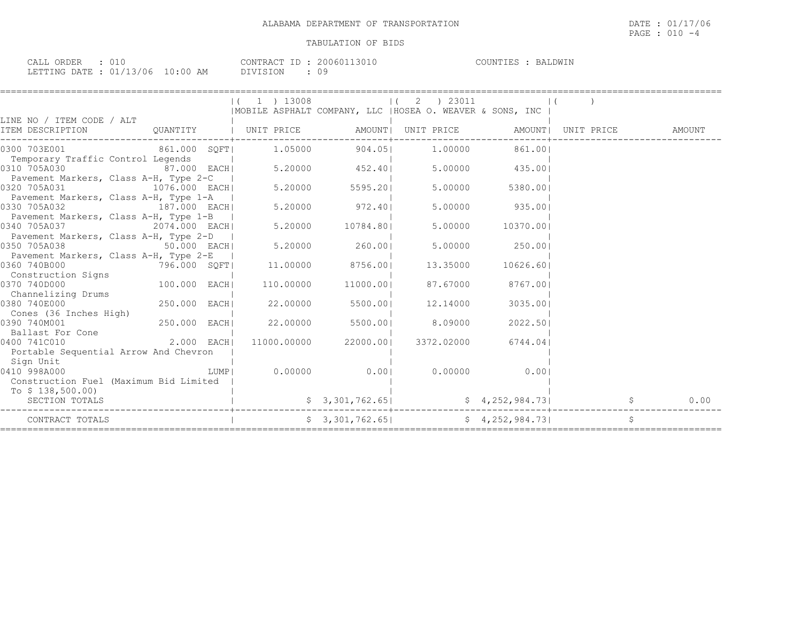| ORDER<br>CALL (              |                     | $ -$<br>CONTRACT | 200601<br>$\prec$ ( ) i ( | COUNTIES<br>RAI.DWIN |
|------------------------------|---------------------|------------------|---------------------------|----------------------|
| : 01/13/06<br>LETTING DATE · | $10 \cdot 00$<br>AM | ר ⊃־<br>1 A Z H  |                           |                      |

|                                                                                                                         |                                                                                          |                | $(1)$ 13008 (2) 23011<br>  MOBILE ASPHALT COMPANY, LLC   HOSEA O. WEAVER & SONS, INC |                 |      |
|-------------------------------------------------------------------------------------------------------------------------|------------------------------------------------------------------------------------------|----------------|--------------------------------------------------------------------------------------|-----------------|------|
| LINE NO / ITEM CODE / ALT<br>ITEM DESCRIPTION CUANTITY   UNIT PRICE AMOUNT  UNIT PRICE AMOUNT  UNIT PRICE               |                                                                                          |                |                                                                                      |                 |      |
| 861.000 SQFT                                                                                                            |                                                                                          | 1.05000 904.05 |                                                                                      | 1.00000 861.001 |      |
| Temporary Traffic Control Legends<br>1  <br>  ffic Control Legends  <br>  87.000 EACH  5.20000   452.40<br>0310 705A030 |                                                                                          |                |                                                                                      | 5.00000 435.00  |      |
| Pavement Markers, Class A-H, Type 2-C  <br>0320 705A031                                                                 | - <b>H,</b> туре 2-с      <br>1076.000    EACH              5.20000              5595.20 |                | 5.00000                                                                              | 5380.001        |      |
| Pavement Markers, Class A-H, Type 1-A  <br>0330 705A032                                                                 |                                                                                          |                |                                                                                      | 5.00000 935.00  |      |
| Pavement Markers, Class A-H, Type 1-B  <br>340 705A037 2074.000 EACH  5.20000 10784.80 <br>0340 705A037                 |                                                                                          |                | 5.00000                                                                              | 10370.001       |      |
| Pavement Markers, Class A-H, Type 2-D  <br>0350 705A038<br>$50.000$ EACH                                                | $5.20000$ 260.00                                                                         |                |                                                                                      | 5.00000 250.001 |      |
| Pavement Markers, Class A-H, Type 2-E<br>0360 740B000<br>796.000 SQFT  11.00000 8756.00                                 |                                                                                          |                | 13.35000                                                                             | 10626.601       |      |
| Construction Signs<br>100.000 EACH<br>0370 740D000                                                                      | 110.00000 11000.00                                                                       |                | 87.67000                                                                             | 8767.001        |      |
| Channelizing Drums<br>250.000 EACH <br>0380 740E000                                                                     | 22.00000                                                                                 | 5500.001       | 12.14000                                                                             | 3035.001        |      |
| Cones (36 Inches High)<br>250.000 EACH<br>0390 740M001                                                                  | 22.00000                                                                                 | 5500.001       | 8.09000                                                                              | 2022.501        |      |
| Ballast For Cone<br>$2.000$ EACH<br>0400 741C010                                                                        |                                                                                          |                | 11000.00000 22000.00  3372.02000 6744.04                                             |                 |      |
| Portable Sequential Arrow And Chevron                                                                                   |                                                                                          |                |                                                                                      |                 |      |
| Sign Unit<br>0410 998A000<br>Construction Fuel (Maximum Bid Limited                                                     |                                                                                          |                |                                                                                      |                 |      |
| To $$138,500.00)$<br>SECTION TOTALS                                                                                     |                                                                                          |                | $$3,301,762.65$ $$4,252,984.73$                                                      |                 | 0.00 |
| CONTRACT TOTALS                                                                                                         |                                                                                          |                | $\frac{1}{2}$ 3, 301, 762.65                                                         |                 | \$   |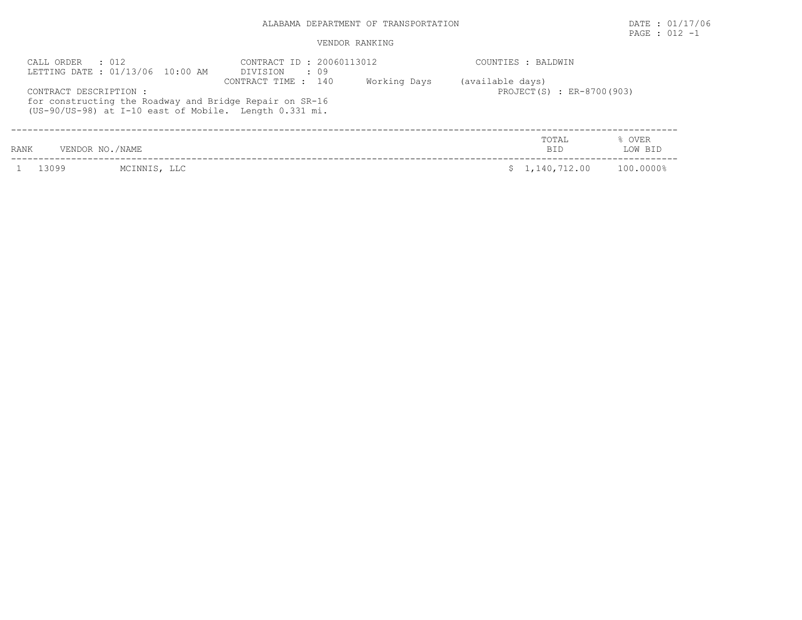# ALABAMA DEPARTMENT OF TRANSPORTATION **EXECUTE:** 01/17/06

PAGE : 012 -1

| CALL ORDER : 012<br>LETTING DATE : 01/13/06 10:00 AM |                                                                                                                   |                     | CONTRACT ID: 20060113012<br>DIVISION : 09 |                  |                           |                   |
|------------------------------------------------------|-------------------------------------------------------------------------------------------------------------------|---------------------|-------------------------------------------|------------------|---------------------------|-------------------|
| CONTRACT DESCRIPTION :                               | for constructing the Roadway and Bridge Repair on SR-16<br>(US-90/US-98) at I-10 east of Mobile. Length 0.331 mi. | CONTRACT TIME : 140 | Working Days                              | (available days) | PROJECT(S) : ER-8700(903) |                   |
| <b>RANK</b>                                          | VENDOR NO./NAME                                                                                                   |                     |                                           |                  | TOTAL<br><b>BID</b>       | % OVER<br>LOW BID |
| 13099                                                | MCINNIS, LLC                                                                                                      |                     |                                           |                  | \$1,140,712.00            | 100.0000%         |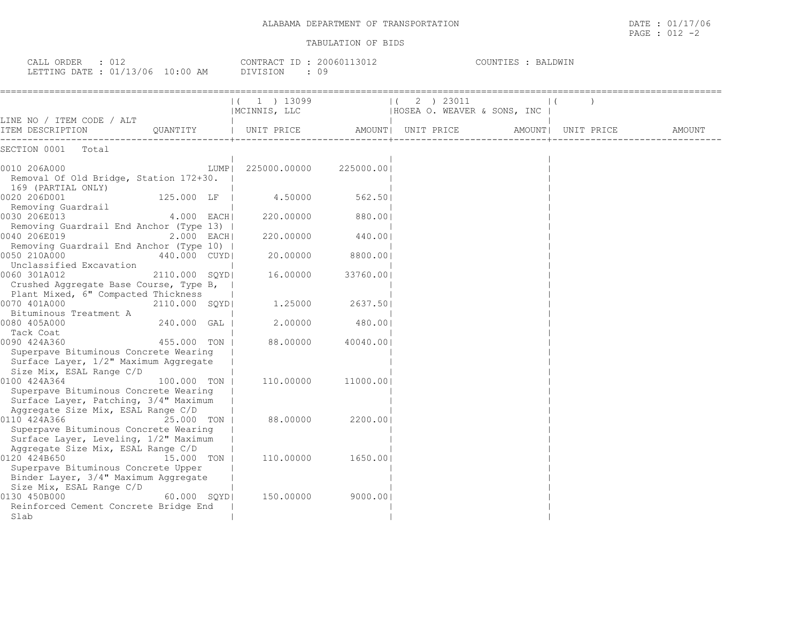| ALABAMA DEPARTMENT OF | 17/06                                                                                                           |
|-----------------------|-----------------------------------------------------------------------------------------------------------------|
| TRANSPORTATION        | DATE                                                                                                            |
|                       | the contract of the contract of the contract of the contract of the contract of the contract of the contract of |
|                       | PAGE<br>$\sim$ 1 $\sim$<br>◡∸▵                                                                                  |

| CALL ORDER<br>: 012<br>LETTING DATE : 01/13/06 10:00 AM                                                                              |               |      | CONTRACT ID : 20060113012<br>DIVISION<br>: 09 |            |                                                       | COUNTIES : BALDWIN |                    |        |
|--------------------------------------------------------------------------------------------------------------------------------------|---------------|------|-----------------------------------------------|------------|-------------------------------------------------------|--------------------|--------------------|--------|
|                                                                                                                                      |               |      | 1 ) 13099<br> MCINNIS, LLC                    |            | 2 ) 23011<br>$\vert$ (<br>HOSEA O. WEAVER & SONS, INC |                    |                    |        |
| LINE NO / ITEM CODE / ALT<br>ITEM DESCRIPTION                                                                                        | OUANTITY      |      | UNIT PRICE                                    |            | AMOUNT  UNIT PRICE                                    |                    | AMOUNT  UNIT PRICE | AMOUNT |
| SECTION 0001 Total                                                                                                                   |               |      |                                               |            |                                                       |                    |                    |        |
| 0010 206A000<br>Removal Of Old Bridge, Station 172+30.<br>169 (PARTIAL ONLY)                                                         |               | LUMP | 225000.00000                                  | 225000.001 |                                                       |                    |                    |        |
| 0020 206D001<br>Removing Guardrail                                                                                                   | 125.000 LF    |      | 4.50000                                       | 562.501    |                                                       |                    |                    |        |
| 0030 206E013<br>Removing Guardrail End Anchor (Type 13)                                                                              | 4.000 EACH    |      | 220.00000                                     | 880.001    |                                                       |                    |                    |        |
| 0040 206E019<br>Removing Guardrail End Anchor (Type 10)                                                                              | $2.000$ EACH  |      | 220,00000                                     | 440.001    |                                                       |                    |                    |        |
| 0050 210A000<br>Unclassified Excavation                                                                                              | 440.000 CUYDI |      | 20,00000                                      | 8800.001   |                                                       |                    |                    |        |
| 0060 301A012<br>Crushed Aggregate Base Course, Type B,<br>Plant Mixed, 6" Compacted Thickness                                        | 2110.000 SQYD |      | 16.00000                                      | 33760.001  |                                                       |                    |                    |        |
| 0070 401A000<br>Bituminous Treatment A                                                                                               | 2110.000 SQYD |      | 1,25000                                       | 2637.501   |                                                       |                    |                    |        |
| 0080 405A000<br>Tack Coat                                                                                                            | 240.000 GAL   |      | 2,00000                                       | 480.001    |                                                       |                    |                    |        |
| 0090 424A360<br>Superpave Bituminous Concrete Wearing<br>Surface Layer, 1/2" Maximum Aggregate<br>Size Mix, ESAL Range C/D           | 455.000 TON   |      | 88.00000                                      | 40040.001  |                                                       |                    |                    |        |
| 0100 424A364<br>Superpave Bituminous Concrete Wearing<br>Surface Layer, Patching, 3/4" Maximum<br>Aggregate Size Mix, ESAL Range C/D | 100.000 TON   |      | 110,00000                                     | 11000.001  |                                                       |                    |                    |        |
| 0110 424A366<br>Superpave Bituminous Concrete Wearing<br>Surface Layer, Leveling, 1/2" Maximum<br>Aggregate Size Mix, ESAL Range C/D | 25,000 TON I  |      | 88.00000                                      | 2200.001   |                                                       |                    |                    |        |
| 0120 424B650<br>Superpave Bituminous Concrete Upper<br>Binder Layer, 3/4" Maximum Aggregate<br>Size Mix, ESAL Range C/D              | 15.000 TON    |      | 110.00000                                     | 1650.00    |                                                       |                    |                    |        |
| 0130 450B000<br>Reinforced Cement Concrete Bridge End<br>Slab                                                                        | 60.000 SOYDI  |      | 150.00000                                     | 9000.001   |                                                       |                    |                    |        |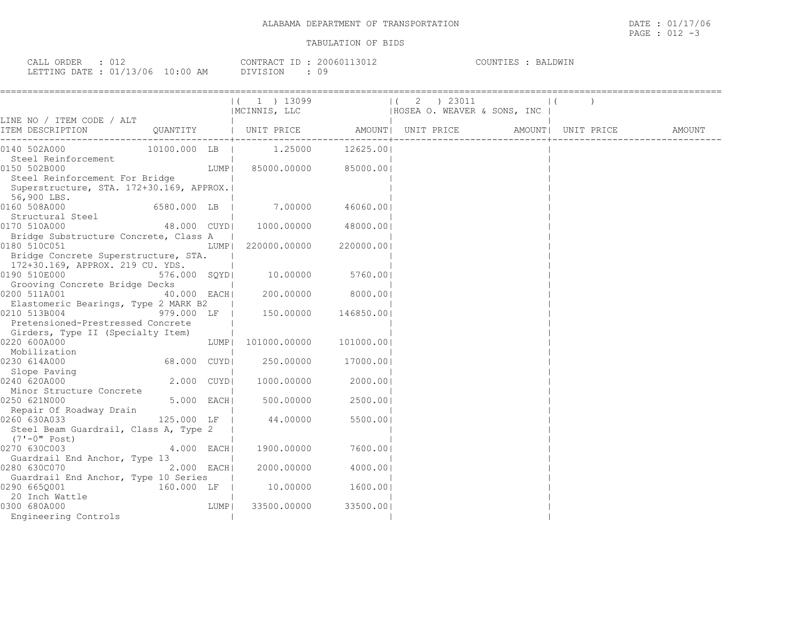| CALL ORDER : 012                |  |          | CONTRACT ID: 20060113012 | COUNTIES : BALDWIN |  |
|---------------------------------|--|----------|--------------------------|--------------------|--|
| LETTING DATE: 01/13/06 10:00 AM |  | DIVISION |                          |                    |  |

|                                                                                                                                                                                                                                                                                                                     |              |       |                                  |           | ( 1 ) 13099                   ( 2 ) 23011                        <br> MCINNIS, LLC                    HOSEA O. WEAVER & SONS, INC |  |        |
|---------------------------------------------------------------------------------------------------------------------------------------------------------------------------------------------------------------------------------------------------------------------------------------------------------------------|--------------|-------|----------------------------------|-----------|-----------------------------------------------------------------------------------------------------------------------------------|--|--------|
| LINE NO / ITEM CODE / ALT                                                                                                                                                                                                                                                                                           |              |       |                                  |           |                                                                                                                                   |  |        |
| ITEM DESCRIPTION                                                                                                                                                                                                                                                                                                    |              |       |                                  |           |                                                                                                                                   |  | AMOUNT |
| 0140 502A000 10100.000 LB   1.25000 12625.00                                                                                                                                                                                                                                                                        |              |       |                                  |           |                                                                                                                                   |  |        |
| Steel Reinforcement                                                                                                                                                                                                                                                                                                 |              |       |                                  |           |                                                                                                                                   |  |        |
| 0150 502B000                                                                                                                                                                                                                                                                                                        |              | LUMP  | 85000.00000 85000.00             |           |                                                                                                                                   |  |        |
| Steel Reinforcement For Bridge                                                                                                                                                                                                                                                                                      |              |       |                                  |           |                                                                                                                                   |  |        |
| Superstructure, STA. 172+30.169, APPROX.                                                                                                                                                                                                                                                                            |              |       |                                  |           |                                                                                                                                   |  |        |
| 56,900 LBS.                                                                                                                                                                                                                                                                                                         |              |       |                                  |           |                                                                                                                                   |  |        |
| 0160 508A000                                                                                                                                                                                                                                                                                                        |              |       | 6580.000 LB   7.00000 46060.00   |           |                                                                                                                                   |  |        |
| Structural Steel                                                                                                                                                                                                                                                                                                    |              |       | 48.000 CUYD  1000.00000 48000.00 |           |                                                                                                                                   |  |        |
| 0170 510A000<br>Bridge Substructure Concrete, Class A                                                                                                                                                                                                                                                               |              |       |                                  |           |                                                                                                                                   |  |        |
| 0180 510C051                                                                                                                                                                                                                                                                                                        |              | LUMPI | 220000.00000 220000.00           |           |                                                                                                                                   |  |        |
| Bridge Concrete Superstructure, STA.                                                                                                                                                                                                                                                                                |              |       |                                  |           |                                                                                                                                   |  |        |
| 172+30.169, APPROX. 219 CU. YDS.                                                                                                                                                                                                                                                                                    |              |       |                                  |           |                                                                                                                                   |  |        |
| 0190 510E000                                                                                                                                                                                                                                                                                                        | 576.000 SQYD |       | 10.00000 5760.00                 |           |                                                                                                                                   |  |        |
| Grooving Concrete Bridge Decks                                                                                                                                                                                                                                                                                      |              |       |                                  |           |                                                                                                                                   |  |        |
| 0200 511A001                                                                                                                                                                                                                                                                                                        | 40.000 EACH  |       | $200.00000$ 8000.00              |           |                                                                                                                                   |  |        |
| Elastomeric Bearings, Type 2 MARK B2                                                                                                                                                                                                                                                                                |              |       |                                  |           |                                                                                                                                   |  |        |
| 0210 513B004                                                                                                                                                                                                                                                                                                        | 979.000 LF   |       | 150.00000 146850.00              |           |                                                                                                                                   |  |        |
| Pretensioned-Prestressed Concrete                                                                                                                                                                                                                                                                                   |              |       |                                  |           |                                                                                                                                   |  |        |
| Girders, Type II (Specialty Item)                                                                                                                                                                                                                                                                                   |              |       |                                  |           |                                                                                                                                   |  |        |
| 0220 600A000                                                                                                                                                                                                                                                                                                        |              |       |                                  |           |                                                                                                                                   |  |        |
| $\frac{1}{4}$ $\frac{1}{2}$ $\frac{1}{2}$ $\frac{1}{2}$ $\frac{1}{2}$ $\frac{1}{2}$ $\frac{1}{2}$ $\frac{1}{2}$ $\frac{1}{2}$ $\frac{1}{2}$ $\frac{1}{2}$ $\frac{1}{2}$ $\frac{1}{2}$ $\frac{1}{2}$ $\frac{1}{2}$ $\frac{1}{2}$ $\frac{1}{2}$ $\frac{1}{2}$ $\frac{1}{2}$ $\frac{1}{2}$ $\frac{1}{2}$ $\frac{1}{2}$ |              |       |                                  |           |                                                                                                                                   |  |        |
| 0230 614A000                                                                                                                                                                                                                                                                                                        | 68.000 CUYD  |       | 250.00000 17000.00               |           |                                                                                                                                   |  |        |
| Slope Paving<br>240 620A000 2.000 CUYD<br>0240 620A000                                                                                                                                                                                                                                                              |              |       | 1000.00000 2000.001              |           |                                                                                                                                   |  |        |
| Minor Structure Concrete                                                                                                                                                                                                                                                                                            |              |       |                                  |           |                                                                                                                                   |  |        |
| 0250 621N000                                                                                                                                                                                                                                                                                                        | 5.000 EACH   |       | 500.00000                        | 2500.001  |                                                                                                                                   |  |        |
| Repair Of Roadway Drain                                                                                                                                                                                                                                                                                             |              |       |                                  |           |                                                                                                                                   |  |        |
| 0260 630A033                                                                                                                                                                                                                                                                                                        |              |       | 125.000 LF   44.00000            | 5500.001  |                                                                                                                                   |  |        |
| Steel Beam Guardrail, Class A, Type 2                                                                                                                                                                                                                                                                               |              |       |                                  |           |                                                                                                                                   |  |        |
| (7'-0" Post)                                                                                                                                                                                                                                                                                                        |              |       |                                  |           |                                                                                                                                   |  |        |
| 0270 630C003                                                                                                                                                                                                                                                                                                        | $4.000$ EACH |       | 1900.00000                       | 7600.001  |                                                                                                                                   |  |        |
| Guardrail End Anchor, Type 13                                                                                                                                                                                                                                                                                       |              |       |                                  |           |                                                                                                                                   |  |        |
| 0280 630C070                                                                                                                                                                                                                                                                                                        | $2.000$ EACH |       | $2000.00000$ 4000.00             |           |                                                                                                                                   |  |        |
| Guardrail End Anchor, Type 10 Series                                                                                                                                                                                                                                                                                |              |       |                                  |           |                                                                                                                                   |  |        |
| 0290 665Q001                                                                                                                                                                                                                                                                                                        |              |       | 160.000 LF   10.00000            | 1600.00   |                                                                                                                                   |  |        |
| 20 Inch Wattle<br>0300 680A000                                                                                                                                                                                                                                                                                      |              | LUMP  | 33500.00000                      | 33500.001 |                                                                                                                                   |  |        |
| 300 680A000<br>Engineering Controls                                                                                                                                                                                                                                                                                 |              |       |                                  |           |                                                                                                                                   |  |        |
|                                                                                                                                                                                                                                                                                                                     |              |       |                                  |           |                                                                                                                                   |  |        |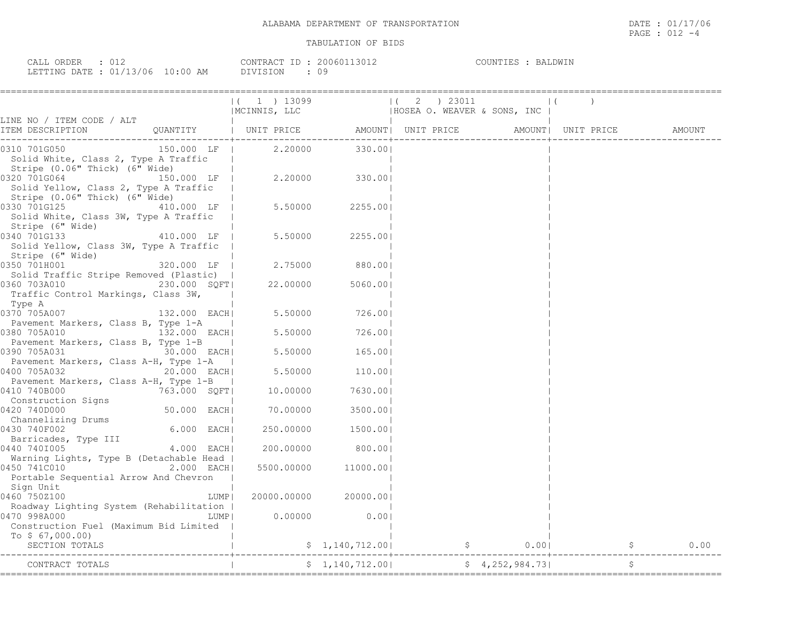| CALL<br>ORDER                    |  | CONTRACT ID     | 20060113012 | COUNTIES<br>:TE2 | BALDWIN |
|----------------------------------|--|-----------------|-------------|------------------|---------|
| LETTING DATE : 01/13/06 10:00 AM |  | <b>DIVISION</b> | υ.          |                  |         |

|                                                                                                                           |                 | (1) 13099                                                   |                     | $(2)$ 23011  |                 |                      |
|---------------------------------------------------------------------------------------------------------------------------|-----------------|-------------------------------------------------------------|---------------------|--------------|-----------------|----------------------|
| LINE NO / ITEM CODE / ALT                                                                                                 |                 |                                                             |                     |              |                 |                      |
| ITEM DESCRIPTION                                                                                                          |                 | QUANTITY   UNIT PRICE AMOUNT  UNIT PRICE AMOUNT  UNIT PRICE |                     |              |                 | AMOUNT               |
| 0310 701G050<br>Solid White, Class 2, Type A Traffic                                                                      | 150.000 LF      |                                                             | 2.20000 330.00      |              |                 |                      |
| Stripe (0.06" Thick) (6" Wide)<br>0320 701G064<br>Solid Yellow, Class 2, Type A Traffic<br>Stripe (0.06" Thick) (6" Wide) | 150.000 LF      |                                                             |                     |              |                 |                      |
| 0330 701G125<br>Solid White, Class 3W, Type A Traffic                                                                     | 410.000 LF      | 5.50000                                                     | 2255.001            |              |                 |                      |
| Stripe (6" Wide)<br>0340 701G133<br>Solid Yellow, Class 3W, Type A Traffic                                                | 410.000 LF      | 5.50000                                                     | 2255.001            |              |                 |                      |
| Stripe (6" Wide)<br>320.000 LF   2.75000<br>320.000 LF   2.75000<br>0350 701H001                                          |                 |                                                             | 880.001             |              |                 |                      |
| 0360 703A010<br>Traffic Control Markings, Class 3W,<br>Type A                                                             | 230.000 SQFT    | 22.00000                                                    | 5060.00             |              |                 |                      |
| 0370 705A007<br>Pavement Markers, Class B, Type 1-A                                                                       | 132.000 EACH    | 5.50000                                                     | 726.001             |              |                 |                      |
| 0380 705A010                                                                                                              | 132.000 EACH    |                                                             | 5.50000 726.00      |              |                 |                      |
| Pavement Markers, Class B, Type 1-B<br>0390 705A031                                                                       | 30.000 EACH     | 5.50000                                                     | 165.00              |              |                 |                      |
| Pavement Markers, Class A-H, Type 1-A  <br>0400 705A032                                                                   | 20.000 EACH     |                                                             | 5.50000 110.00      |              |                 |                      |
| Pavement Markers, Class A-H, Type 1-B<br>0410 740B000                                                                     | 763.000 SQFT    | 10.00000                                                    | 7630.001            |              |                 |                      |
| Construction Signs<br>0420 740D000                                                                                        | $50.000$ $EACH$ | 70.00000                                                    | 3500.001            |              |                 |                      |
| Channelizing Drums<br>0430 740F002                                                                                        | 6.000 EACH      | 250.00000                                                   | 1500.00             |              |                 |                      |
| Barricades, Type III<br>0440 7401005                                                                                      | 4.000 EACH      |                                                             | 200.00000 800.00    |              |                 |                      |
| Warning Lights, Type B (Detachable Head  <br>0450 741C010<br>Portable Sequential Arrow And Chevron                        | $2.000$ EACH    |                                                             | 5500.00000 11000.00 |              |                 |                      |
| Sign Unit<br>0460 750Z100                                                                                                 |                 | LUMP  <br>20000.00000                                       | 20000.001           |              |                 |                      |
| Roadway Lighting System (Rehabilitation  <br>0470 998A000<br>Construction Fuel (Maximum Bid Limited                       |                 | 0.00000<br>LUMP                                             | 0.001               |              |                 |                      |
| To $$67,000.00)$<br>SECTION TOTALS                                                                                        |                 |                                                             | \$1,140,712.00      | $\mathsf{S}$ | 0.001           | $\mathsf{S}$<br>0.00 |
| CONTRACT TOTALS                                                                                                           |                 |                                                             | \$1,140,712.00]     |              | \$4,252,984.73] | \$                   |
|                                                                                                                           |                 |                                                             |                     |              |                 |                      |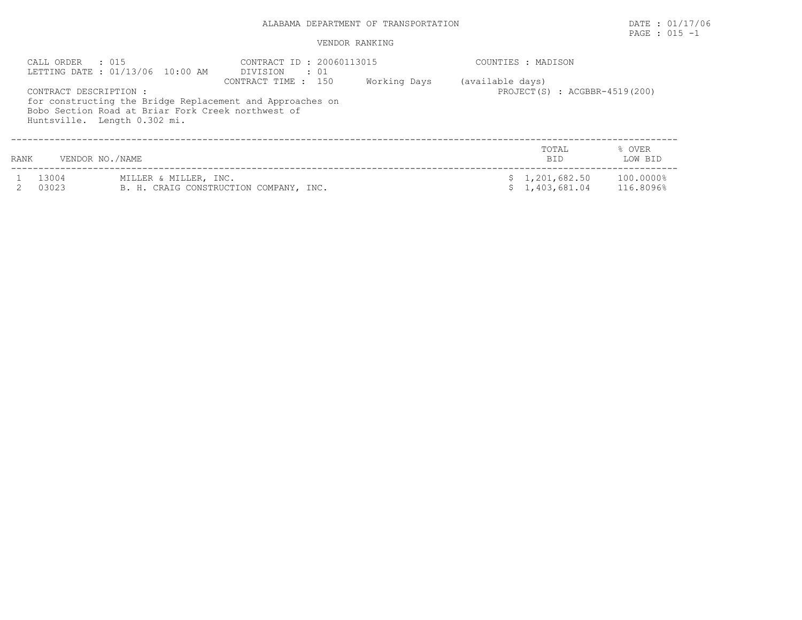# ALABAMA DEPARTMENT OF TRANSPORTATION DATE : 01/17/06

# PAGE : 015 -1

|      | CALL ORDER<br>. 015                                    | LETTING DATE: 01/13/06 10:00 AM                    | CONTRACT ID: 20060113015<br>DIVISION<br>$\cdot$ 01                               |              |                  | COUNTIES : MADISON               |                        |  |  |  |
|------|--------------------------------------------------------|----------------------------------------------------|----------------------------------------------------------------------------------|--------------|------------------|----------------------------------|------------------------|--|--|--|
|      | CONTRACT DESCRIPTION :<br>Huntsville. Length 0.302 mi. | Bobo Section Road at Briar Fork Creek northwest of | CONTRACT TIME : 150<br>for constructing the Bridge Replacement and Approaches on | Working Days | (available days) | PROJECT $(S)$ : ACGBBR-4519(200) |                        |  |  |  |
| RANK | VENDOR NO./NAME                                        |                                                    |                                                                                  |              |                  | TOTAL<br><b>BID</b>              | % OVER<br>LOW BID      |  |  |  |
|      | 13004<br>03023                                         | MILLER & MILLER, INC.                              | B. H. CRAIG CONSTRUCTION COMPANY, INC.                                           |              |                  | \$1,201,682.50<br>\$1,403,681.04 | 100.0000%<br>116.8096% |  |  |  |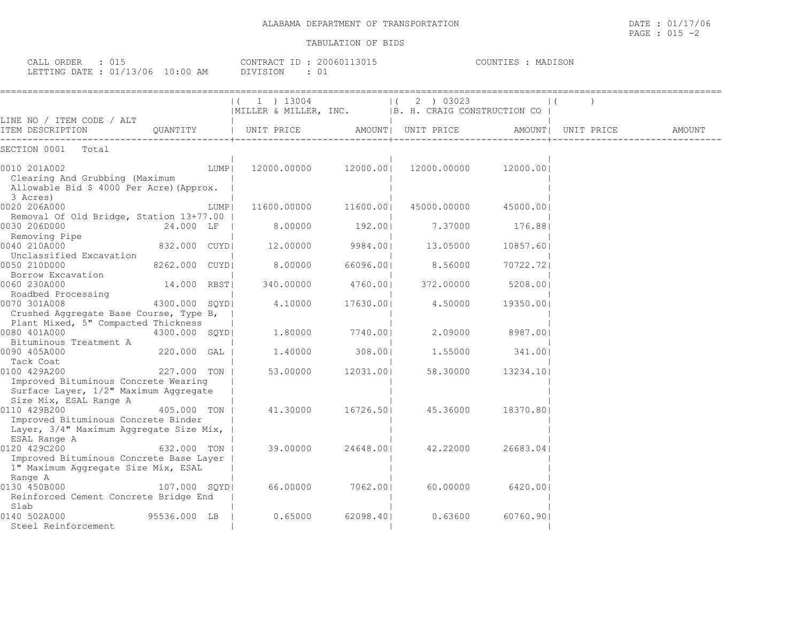CALL ORDER : 015 CONTRACT ID : 20060113015 COUNTIES : MADISON

| ALABAMA DEPARTMENT OF | DATE<br>$\sim$ $\sim$<br>TRANSPORTATION<br>UI,<br>the contract of the contract of the contract of the contract of the contract of the contract of the contract of | 17/06                    |
|-----------------------|-------------------------------------------------------------------------------------------------------------------------------------------------------------------|--------------------------|
|                       | $\sim$ $\sim$ $\sim$<br>PAGE<br>ــا ∪                                                                                                                             | $\overline{\phantom{0}}$ |

| LETTING DATE : 01/13/06 10:00 AM                                                                                        |                |      | DIVISION<br>: 01                                                 |           |                                 |           |                    |        |
|-------------------------------------------------------------------------------------------------------------------------|----------------|------|------------------------------------------------------------------|-----------|---------------------------------|-----------|--------------------|--------|
|                                                                                                                         |                |      | 1 ) 13004<br> MILLER & MILLER, INC.  B. H. CRAIG CONSTRUCTION CO |           | 2 ) 03023<br>$\left  \right $ ( |           |                    |        |
| LINE NO / ITEM CODE / ALT<br>ITEM DESCRIPTION                                                                           | OUANTITY       |      | UNIT PRICE                                                       |           | AMOUNT  UNIT PRICE              |           | AMOUNT  UNIT PRICE | AMOUNT |
| SECTION 0001 Total                                                                                                      |                |      |                                                                  |           |                                 |           |                    |        |
| 0010 201A002<br>Clearing And Grubbing (Maximum<br>Allowable Bid \$ 4000 Per Acre) (Approx.<br>3 Acres)                  |                | LUMP | 12000.00000                                                      | 12000.001 | 12000.00000                     | 12000.001 |                    |        |
| 0020 206A000<br>Removal Of Old Bridge, Station 13+77.00                                                                 |                | LUMP | 11600.00000                                                      | 11600.001 | 45000.00000                     | 45000.001 |                    |        |
| 0030 206D000<br>Removing Pipe                                                                                           | 24.000 LF      |      | 8,00000                                                          | 192.001   | 7.37000                         | 176.881   |                    |        |
| 0040 210A000<br>Unclassified Excavation                                                                                 | 832.000 CUYDI  |      | 12.00000                                                         | 9984.001  | 13.05000                        | 10857.601 |                    |        |
| 0050 210D000<br>Borrow Excavation                                                                                       | 8262.000 CUYDI |      | 8.00000                                                          | 66096.001 | 8.56000                         | 70722.721 |                    |        |
| 0060 230A000<br>Roadbed Processing                                                                                      | 14.000 RBST    |      | 340,00000                                                        | 4760.001  | 372,00000                       | 5208.001  |                    |        |
| 0070 301A008<br>Crushed Aqqreqate Base Course, Type B,  <br>Plant Mixed, 5" Compacted Thickness                         | 4300.000 SOYDI |      | 4.10000                                                          | 17630.001 | 4.50000                         | 19350.001 |                    |        |
| 0080 401A000<br>Bituminous Treatment A                                                                                  | 4300.000 SOYDI |      | 1,80000                                                          | 7740.001  | 2,09000                         | 8987.001  |                    |        |
| 0090 405A000<br>Tack Coat                                                                                               | 220.000 GAL I  |      | 1,40000                                                          | 308,001   | 1,55000                         | 341,001   |                    |        |
| 0100 429A200<br>Improved Bituminous Concrete Wearing<br>Surface Layer, 1/2" Maximum Aggregate<br>Size Mix, ESAL Range A | 227.000 TON I  |      | 53.00000                                                         | 12031.001 | 58.30000                        | 13234.101 |                    |        |
| 0110 429B200<br>Improved Bituminous Concrete Binder<br>Layer, 3/4" Maximum Aggregate Size Mix,<br>ESAL Range A          | 405.000 TON    |      | 41,30000                                                         | 16726.501 | 45.36000                        | 18370.801 |                    |        |
| 0120 429C200<br>Improved Bituminous Concrete Base Layer<br>1" Maximum Aggregate Size Mix, ESAL<br>Range A               | 632.000 TON    |      | 39.00000                                                         | 24648.001 | 42.22000                        | 26683.041 |                    |        |
| 0130 450B000<br>Reinforced Cement Concrete Bridge End<br>Slab                                                           | 107.000 SOYDI  |      | 66.00000                                                         | 7062.001  | 60.00000                        | 6420.001  |                    |        |
| 0140 502A000<br>Steel Reinforcement                                                                                     | 95536.000 LB   |      | 0.65000                                                          | 62098.401 | 0.63600                         | 60760.901 |                    |        |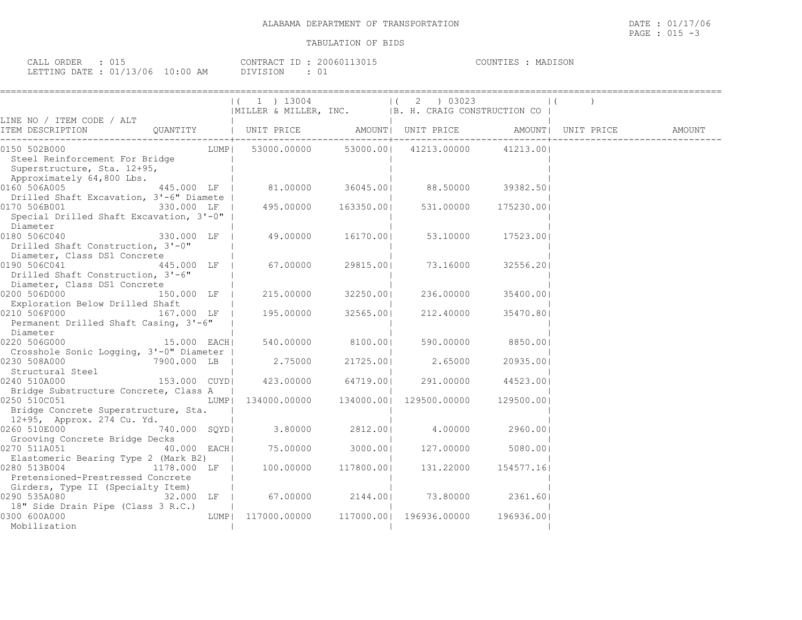| ORDER<br>≂A⊥⊥<br>◡∸◡    |            | 20060113015<br>CONTRACT ID | MADISON<br>COUNTIES |
|-------------------------|------------|----------------------------|---------------------|
| LETTING DATE : 01/13/06 | $10:00$ AM | DIVISION<br>ν.             |                     |

|                                                                                                                                                                                                                  |              | $(1)$ 1 $13004$<br> MILLER & MILLER, INC.   B. H. CRAIG CONSTRUCTION CO |                   | $ (2)$ 03023                       |            | $\left  \right $   |        |
|------------------------------------------------------------------------------------------------------------------------------------------------------------------------------------------------------------------|--------------|-------------------------------------------------------------------------|-------------------|------------------------------------|------------|--------------------|--------|
| LINE NO / ITEM CODE / ALT                                                                                                                                                                                        |              |                                                                         |                   |                                    |            |                    |        |
|                                                                                                                                                                                                                  |              |                                                                         |                   |                                    |            | AMOUNT  UNIT PRICE | AMOUNT |
| 0150 502B000<br>Steel Reinforcement For Bridge<br>Superstructure, Sta. 12+95,<br>Approximately 64,800 Lbs.                                                                                                       |              | LUMP  53000.00000 53000.00  41213.00000                                 |                   |                                    | 41213.00   |                    |        |
| $\begin{array}{cccccccccccc} \texttt{0160} & 506 \texttt{A005} & & & & 445.000 & \texttt{LF} & & & 81.00000 & & & 36045.00 & & & 88.50000 & & & 39382.50 \end{array}$<br>Drilled Shaft Excavation, 3'-6" Diamete |              |                                                                         |                   |                                    |            |                    |        |
| $[0170 506B001$ 330.000 LF   495.00000 163350.00 <br>Special Drilled Shaft Excavation, 3'-0"  <br>Diameter                                                                                                       |              |                                                                         |                   | 531.00000                          | 175230.00  |                    |        |
| 0180 506C040 330.000 LF<br>Drilled Shaft Construction, 3'-0"<br>Diameter, Class DS1 Concrete                                                                                                                     |              | 49.00000 16170.00  53.10000                                             |                   |                                    | 17523.001  |                    |        |
| 0190 506C041<br>Drilled Shaft Construction, 3'-6"<br>Diameter, Class DS1 Concrete                                                                                                                                | 445.000 LF   | 67.00000                                                                | 29815.001         | 73.16000                           | 32556.201  |                    |        |
| 0200 506D000<br>Exploration Below Drilled Shaft                                                                                                                                                                  |              | 150.000 LF   215.00000                                                  | 32250.001         | 236.00000                          | 35400.001  |                    |        |
| 0210 506F000<br>167.000 LF  <br>Permanent Drilled Shaft Casing, 3'-6"<br>Diameter                                                                                                                                |              | 195.00000                                                               | 32565.00          | 212.40000                          | 35470.801  |                    |        |
| Crosshole Sonic Logging, 3'-0" Diameter                                                                                                                                                                          |              |                                                                         | 540.00000 8100.00 | 590.00000                          | 8850.001   |                    |        |
| 7900.000 LB<br>0230 508A000<br>Structural Steel                                                                                                                                                                  |              | 2.75000                                                                 | 21725.001         | 2.65000                            | 20935.001  |                    |        |
| 0240 510A000<br>Bridge Substructure Concrete, Class A                                                                                                                                                            |              | 153.000 CUYD  423.00000 64719.00  291.00000                             |                   |                                    | 44523.001  |                    |        |
| 0250 510C051<br>Bridge Concrete Superstructure, Sta.                                                                                                                                                             |              | LUMP  134000.00000 134000.00  129500.00000                              |                   |                                    | 129500.001 |                    |        |
| 12+95, Approx. 274 Cu. Yd.                                                                                                                                                                                       | 740.000 SQYD |                                                                         |                   |                                    |            |                    |        |
| Grooving Concrete Bridge Decks<br>0270 511A051                                                                                                                                                                   | 40.000 EACH  | 75.00000 3000.00                                                        |                   | 127.00000                          | 5080.001   |                    |        |
| Elastomeric Bearing Type 2 (Mark B2)<br>0280 513B004<br>1178.000 LF  <br>Pretensioned-Prestressed Concrete                                                                                                       |              | 100.00000 117800.00                                                     |                   | 131.22000                          | 154577.161 |                    |        |
| Girders, Type II (Specialty Item)<br>0290 535A080                                                                                                                                                                | 32.000 LF    |                                                                         |                   | 67.00000 2144.00  73.80000 2361.60 |            |                    |        |
| 18" Side Drain Pipe (Class 3 R.C.)<br>0300 600A000<br>Mobilization                                                                                                                                               |              | LUMP  117000.00000 117000.00  196936.00000 196936.00                    |                   |                                    |            |                    |        |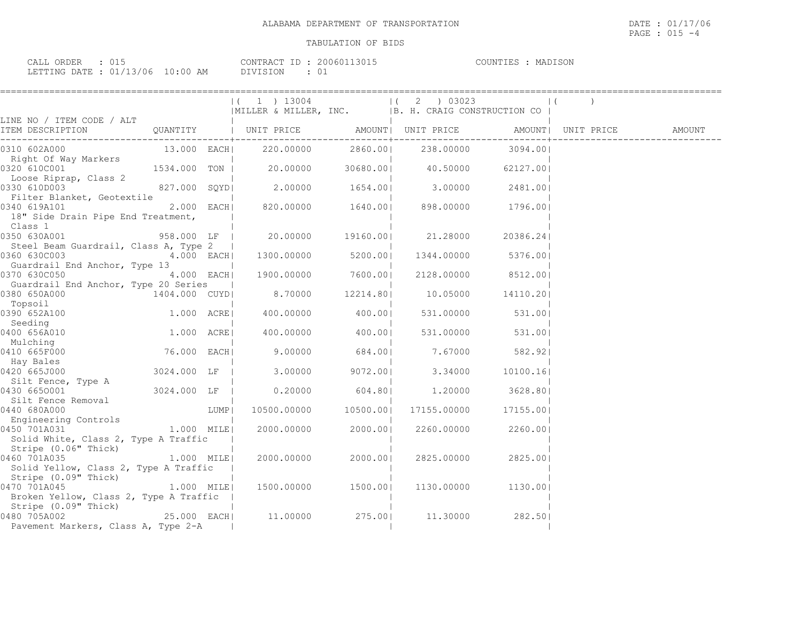| CALL ORDER                       |          | CONTRACT ID: 20060113015 | MADISON<br>COUNTIES |
|----------------------------------|----------|--------------------------|---------------------|
| LETTING DATE : 01/13/06 10:00 AM | DIVISION |                          |                     |

|                                                                                  |               |      |                                                                    | =================== |                      | =================  |  |        |
|----------------------------------------------------------------------------------|---------------|------|--------------------------------------------------------------------|---------------------|----------------------|--------------------|--|--------|
|                                                                                  |               |      | $1$ ) 13004<br> MILLER & MILLER, INC.  B. H. CRAIG CONSTRUCTION CO |                     | $(2)$ 03023          |                    |  |        |
| LINE NO / ITEM CODE / ALT                                                        |               |      |                                                                    |                     |                      |                    |  |        |
| ITEM DESCRIPTION                                                                 |               |      |                                                                    |                     |                      |                    |  | AMOUNT |
| 0310 602A000                                                                     |               |      | 13.000 EACH 220.00000 2860.00 238.00000 3094.00                    |                     |                      |                    |  |        |
| Right Of Way Markers<br>0320 610C001                                             | 1534.000 TON  |      | $20.00000$ $30680.00$ $40.50000$                                   |                     |                      | 62127.001          |  |        |
| Loose Riprap, Class 2<br>0330 610D003                                            |               |      | 827.000 SQYD  2.00000 1654.00  3.00000                             |                     |                      | 2481.001           |  |        |
| Filter Blanket, Geotextile<br>0340 619A101<br>18" Side Drain Pipe End Treatment, | 2.000 EACH    |      | 820.00000  1640.00  898.00000                                      |                     |                      | 1796.001           |  |        |
| Class 1<br>0350 630A001                                                          | 958.000 LF    |      |                                                                    | 20.00000 19160.00   | 21.28000             | 20386.241          |  |        |
| Steel Beam Guardrail, Class A, Type 2  <br>0360 630C003                          | 4.000 EACH    |      | 1300.00000 5200.00                                                 |                     | 1344.00000           | 5376.001           |  |        |
| Guardrail End Anchor, Type 13                                                    |               |      |                                                                    |                     |                      |                    |  |        |
| 0370 630C050<br>Guardrail End Anchor, Type 20 Series                             | 4.000 EACH    |      | 1900.00000 7600.00                                                 |                     |                      | 2128.00000 8512.00 |  |        |
| 0380 650A000<br>Topsoil                                                          | 1404.000 CUYD |      | 8.70000                                                            |                     | 12214.80    10.05000 | 14110.201          |  |        |
| 0390 652A100<br>Seeding                                                          | 1.000 ACRE    |      | 400.00000                                                          | 400.00              | 531.00000            | 531.00             |  |        |
| 0400 656A010<br>Mulching                                                         | 1.000 ACRE    |      |                                                                    | 400.00000 400.00    | 531.00000            | 531.001            |  |        |
| 0410 665F000<br>Hay Bales                                                        | 76.000 EACH   |      | 9.00000                                                            | 684.001             | 7.67000              | 582.921            |  |        |
| 0420 665J000<br>Silt Fence, Type A                                               | 3024.000 LF   |      | 3.00000                                                            | 9072.00             | 3.34000              | 10100.161          |  |        |
| 0430 6650001<br>Silt Fence Removal                                               | 3024.000 LF   |      |                                                                    | $0.20000$ 604.801   |                      | 1.20000 3628.801   |  |        |
| 0440 680A000<br>Engineering Controls                                             |               | LUMP | 10500.00000 10500.00                                               |                     | 17155.00000          | 17155.001          |  |        |
| 0450 701A031<br>Solid White, Class 2, Type A Traffic                             | 1.000 MILEI   |      | 2000.00000 2000.001                                                |                     | 2260.00000           | 2260.001           |  |        |
| Stripe (0.06" Thick)<br>0460 701A035<br>Solid Yellow, Class 2, Type A Traffic    | 1.000 MILE    |      | 2000.00000                                                         | 2000.001            | 2825.00000           | 2825.001           |  |        |
| Stripe (0.09" Thick)<br>0470 701A045<br>Broken Yellow, Class 2, Type A Traffic   | $1.000$ MILE  |      | 1500.00000 1500.00                                                 |                     | 1130.00000           | 1130.00            |  |        |
| Stripe (0.09" Thick)<br>0480 705A002<br>Pavement Markers, Class A, Type 2-A      | 25.000 EACH   |      | 11.00000 275.00                                                    |                     | 11,30000             | 282.50             |  |        |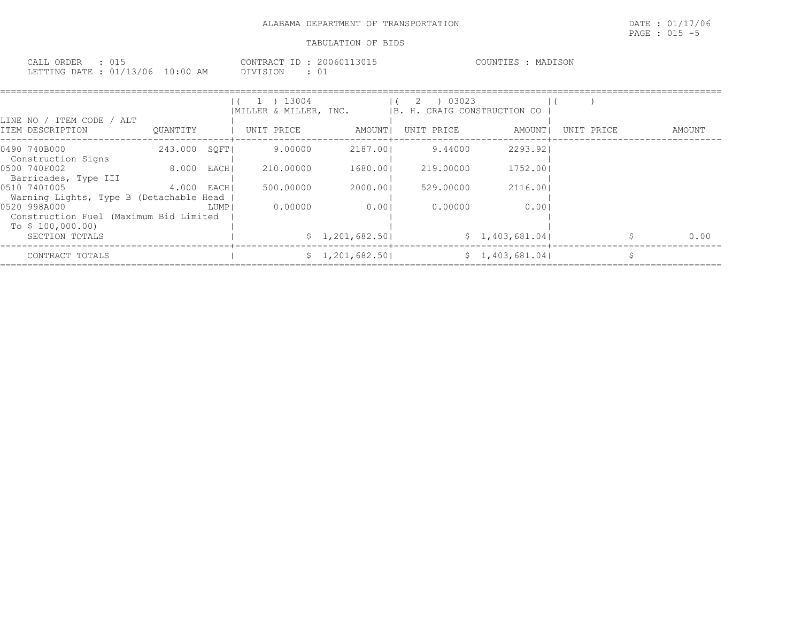| CALL ORDER                       |          | CONTRACT ID: 20060113015 | COUNTIES :<br>MADISON |
|----------------------------------|----------|--------------------------|-----------------------|
| LETTING DATE : 01/13/06 10:00 AM | DIVISION |                          |                       |

| LINE NO / ITEM CODE / ALT<br>ITEM DESCRIPTION                               | OUANTITY     |      | $(1)$ 1 $13004$<br>MILLER & MILLER, INC.<br>UNIT PRICE | AMOUNT          | 2 ) 03023<br> B. H. CRAIG CONSTRUCTION CO<br>UNIT PRICE | AMOUNT         | UNIT PRICE | AMOUNT |
|-----------------------------------------------------------------------------|--------------|------|--------------------------------------------------------|-----------------|---------------------------------------------------------|----------------|------------|--------|
|                                                                             |              |      |                                                        |                 |                                                         |                |            |        |
| 0490 740B000<br>Construction Signs                                          | 243.000 SOFT |      | 9.00000                                                | 2187.001        | 9.44000                                                 | 2293.921       |            |        |
| 0500 740F002<br>Barricades, Type III                                        | 8.000        | EACH | 210,00000                                              | 1680.001        | 219.00000                                               | 1752.001       |            |        |
| 0510 7401005<br>Warning Lights, Type B (Detachable Head                     | 4.000        | EACH | 500,00000                                              | 2000.001        | 529.00000                                               | 2116.001       |            |        |
| 0520 998A000<br>Construction Fuel (Maximum Bid Limited<br>To $$100,000.00)$ |              | LUMP | 0.00000                                                | 0.001           | 0.00000                                                 | 0.001          |            |        |
| SECTION TOTALS                                                              |              |      |                                                        | \$1,201,682.50] |                                                         | \$1,403,681.04 |            | 0.00   |
| CONTRACT TOTALS                                                             |              |      |                                                        | \$1,201,682.50  |                                                         | \$1,403,681.04 |            |        |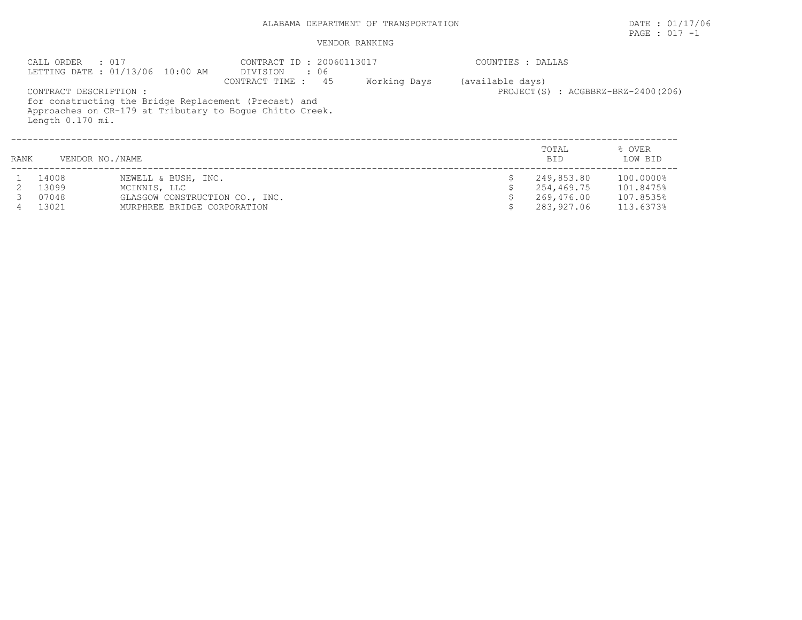# ALABAMA DEPARTMENT OF TRANSPORTATION **EXECUTE:** 01/17/06

# PAGE : 017 -1

| CALL ORDER : 017<br>LETTING DATE : 01/13/06 10:00 AM |                                            | CONTRACT ID: 20060113017<br>DIVISION : 06 |                                                                                                                                            |              | COUNTIES : DALLAS |                     |                                    |  |
|------------------------------------------------------|--------------------------------------------|-------------------------------------------|--------------------------------------------------------------------------------------------------------------------------------------------|--------------|-------------------|---------------------|------------------------------------|--|
|                                                      | CONTRACT DESCRIPTION :<br>Length 0.170 mi. |                                           | 45<br>CONTRACT TIME :<br>for constructing the Bridge Replacement (Precast) and<br>Approaches on CR-179 at Tributary to Boque Chitto Creek. | Working Days | (available days)  |                     | PROJECT(S) : ACGBBRZ-BRZ-2400(206) |  |
| RANK                                                 | VENDOR NO./NAME                            |                                           |                                                                                                                                            |              |                   | TOTAL<br><b>BID</b> | % OVER<br>LOW BID                  |  |
|                                                      | 14008                                      | NEWELL & BUSH, INC.                       |                                                                                                                                            |              |                   | 249,853.80          | 100.0000%                          |  |
|                                                      | 13099                                      | MCINNIS, LLC                              |                                                                                                                                            |              |                   | 254,469.75          | 101.8475%                          |  |
|                                                      | 07048                                      | GLASGOW CONSTRUCTION CO., INC.            |                                                                                                                                            |              |                   | 269,476.00          | 107.8535%                          |  |
|                                                      | 13021                                      | MURPHREE BRIDGE CORPORATION               |                                                                                                                                            | 283,927.06   | 113.6373%         |                     |                                    |  |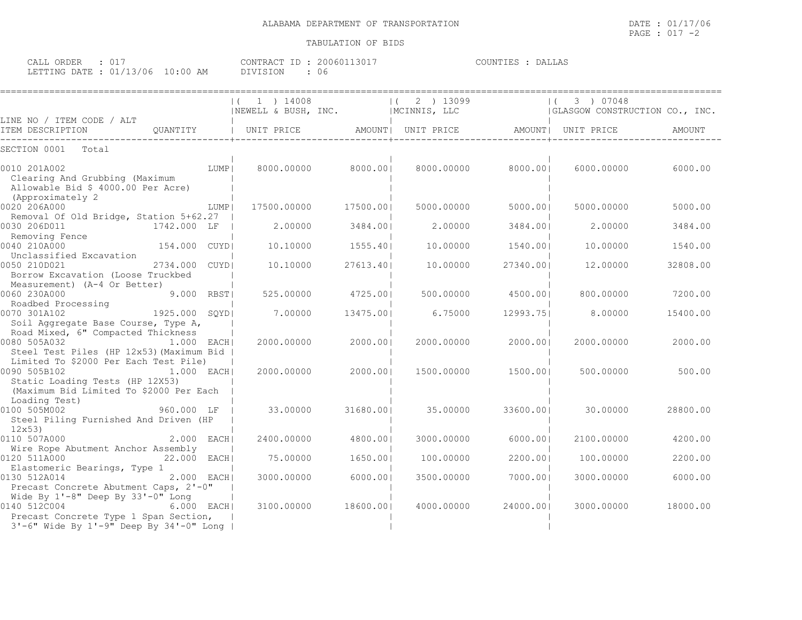| CALL ORDER : 017 |                                 | CONTRACT ID: 20060113017 | COUNTIES : DALLAS |
|------------------|---------------------------------|--------------------------|-------------------|
|                  | LETTING DATE: 01/13/06 10:00 AM | DIVISION : 06            |                   |

|                                                                                                                                       |                | 1 ) 14008<br> NEWELL & BUSH, INC.                    |                    | $(2)$ 13099<br>MCINNIS, LLC |           | 3) 07048<br>$\left  \right $<br> GLASGOW CONSTRUCTION CO., INC. |          |
|---------------------------------------------------------------------------------------------------------------------------------------|----------------|------------------------------------------------------|--------------------|-----------------------------|-----------|-----------------------------------------------------------------|----------|
| LINE NO / ITEM CODE / ALT<br>ITEM DESCRIPTION                                                                                         | QUANTITY       | UNIT PRICE   AMOUNT  UNIT PRICE   AMOUNT  UNIT PRICE |                    |                             |           |                                                                 | AMOUNT   |
| SECTION 0001<br>Total                                                                                                                 |                |                                                      |                    |                             |           |                                                                 |          |
| 0010 201A002<br>Clearing And Grubbing (Maximum<br>Allowable Bid \$ 4000.00 Per Acre)<br>(Approximately 2)                             | LUMP           |                                                      | 8000.00000 8000.00 | 8000.00000                  | 8000.001  | 6000.00000                                                      | 6000.00  |
| 0020 206A000                                                                                                                          | LUMP           | 17500.00000                                          | 17500.001          | 5000.00000                  | 5000.001  | 5000.00000                                                      | 5000.00  |
| Removal Of Old Bridge, Station 5+62.27<br>0030 206D011<br>Removing Fence                                                              | 1742.000 LF    | 2,00000                                              | 3484.001           | 2,00000                     | 3484.001  | 2,00000                                                         | 3484.00  |
| 0040 210A000<br>Unclassified Excavation                                                                                               | 154.000 CUYDI  | 10,10000                                             | 1555.401           | 10,00000                    | 1540.001  | 10.00000                                                        | 1540.00  |
| 0050 210D021<br>Borrow Excavation (Loose Truckbed                                                                                     | 2734.000 CUYDI | 10,10000                                             | 27613.401          | 10,00000                    | 27340.001 | 12,00000                                                        | 32808.00 |
| Measurement) (A-4 Or Better)<br>0060 230A000<br>Roadbed Processing                                                                    | 9.000 RBST     | 525,00000                                            | 4725.001           | 500.00000                   | 4500.001  | 800,00000                                                       | 7200.00  |
| $1925.000$ SQYD<br>0070 301A102<br>Soil Aggregate Base Course, Type A,                                                                |                | 7.00000                                              | 13475.00           | 6.75000                     | 12993.75  | 8,00000                                                         | 15400.00 |
| Road Mixed, 6" Compacted Thickness<br>0080 505A032<br>$1.000$ EACH<br>Steel Test Piles (HP 12x53) (Maximum Bid                        |                | 2000.00000                                           | 2000.001           | 2000.00000                  | 2000.001  | 2000.00000                                                      | 2000.00  |
| Limited To \$2000 Per Each Test Pile)<br>0090 505B102<br>Static Loading Tests (HP 12X53)<br>(Maximum Bid Limited To \$2000 Per Each   | $1.000$ EACH   | 2000.00000                                           | 2000.001           | 1500.00000                  | 1500.001  | 500.00000                                                       | 500.00   |
| Loading Test)<br>960.000 LF<br>0100 505M002<br>Steel Piling Furnished And Driven (HP<br>12x53                                         |                | 33.00000                                             | 31680.001          | 35.00000                    | 33600.001 | 30.00000                                                        | 28800.00 |
| 0110 507A000                                                                                                                          | 2.000 EACH     | 2400.00000                                           | 4800.001           | 3000.00000                  | 6000.001  | 2100,00000                                                      | 4200.00  |
| Wire Rope Abutment Anchor Assembly<br>0120 511A000<br>Elastomeric Bearings, Type 1                                                    | 22.000 EACH    | 75,00000                                             | 1650.001           | 100.00000                   | 2200.001  | 100,00000                                                       | 2200.00  |
| 0130 512A014<br>Precast Concrete Abutment Caps, 2'-0"                                                                                 | 2.000 EACH     | 3000.00000                                           | 6000.00            | 3500.00000                  | 7000.00   | 3000.00000                                                      | 6000.00  |
| Wide By 1'-8" Deep By 33'-0" Long<br>0140 512C004<br>Precast Concrete Type 1 Span Section,<br>3'-6" Wide By 1'-9" Deep By 34'-0" Long | 6.000 EACH     | 3100.00000                                           | 18600.001          | 4000.00000                  | 24000.001 | 3000.00000                                                      | 18000.00 |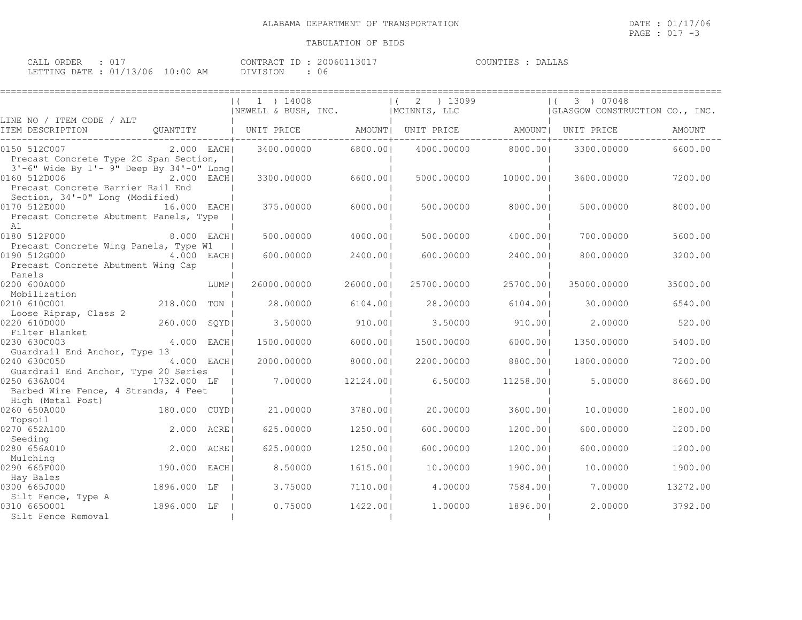====================================================================================================================================

## TABULATION OF BIDS

| CALL ORDER                       |  | CONTRACT ID: 20060113017 |    | COUNTIES : DALLAS |
|----------------------------------|--|--------------------------|----|-------------------|
| LETTING DATE : 01/13/06 10:00 AM |  | DIVISION                 | 06 |                   |

|                                                                                                        |              | $(1)$ 1 $14008$<br>INEWELL & BUSH, INC.                                                                    |           | $(2)$ 13099<br>MCINNIS, LLC |           | $(3)$ 07048<br>GLASGOW CONSTRUCTION CO., INC. |          |
|--------------------------------------------------------------------------------------------------------|--------------|------------------------------------------------------------------------------------------------------------|-----------|-----------------------------|-----------|-----------------------------------------------|----------|
| LINE NO / ITEM CODE / ALT<br>ITEM DESCRIPTION                                                          |              | QUANTITY   UNIT PRICE   AMOUNT  UNIT PRICE   AMOUNT  UNIT PRICE                                            |           |                             |           |                                               | AMOUNT   |
| 0150 512C007<br>Precast Concrete Type 2C Span Section,                                                 |              | 2.000   EACH        3400.00000            6800.00         4000.00000            8000.00         3300.00000 |           |                             |           |                                               | 6600.00  |
| 3'-6" Wide By 1'- 9" Deep By 34'-0" Long <br>0160 512D006<br>Precast Concrete Barrier Rail End         | 2.000 EACH   | 3300.00000                                                                                                 | 6600.001  | 5000.00000                  | 10000.001 | 3600.00000                                    | 7200.00  |
| Section, 34'-0" Long (Modified)<br>0170 512E000<br>Precast Concrete Abutment Panels, Type<br>A1        | 16.000 EACH  | 375.00000                                                                                                  | 6000.001  | 500.00000                   | 8000.001  | 500.00000                                     | 8000.00  |
| 0180 512F000 8.000 EACH                                                                                |              | 500,00000                                                                                                  | 4000.001  | 500.00000                   | 4000.001  | 700,00000                                     | 5600.00  |
| Precast Concrete Wing Panels, Type W1<br>0190 512G000 4.000 EACH<br>Precast Concrete Abutment Wing Cap |              | 600,00000                                                                                                  | 2400.001  | 600,00000                   | 2400.001  | 800,00000                                     | 3200.00  |
| Panels<br>0200 600A000                                                                                 | <b>LUMP</b>  | 26000.00000                                                                                                | 26000.001 | 25700.00000                 | 25700.001 | 35000.00000                                   | 35000.00 |
| Mobilization                                                                                           |              |                                                                                                            |           |                             |           |                                               |          |
| 0210 610C001                                                                                           | 218.000 TON  | 28.00000                                                                                                   | 6104.001  | 28,00000                    | 6104.001  | 30.00000                                      | 6540.00  |
| Loose Riprap, Class 2<br>0220 610D000                                                                  | 260.000 SQYD | 3.50000                                                                                                    | 910.001   | 3.50000                     | 910.001   | 2,00000                                       | 520.00   |
| Filter Blanket<br>0230 630C003                                                                         | 4.000 EACH   | 1500.00000                                                                                                 | 6000.001  | 1500.00000                  | 6000.001  | 1350.00000                                    | 5400.00  |
| Guardrail End Anchor, Type 13<br>0240 630C050<br>Guardrail End Anchor, Type 20 Series                  | 4.000 EACH   | 2000.00000                                                                                                 | 8000.001  | 2200,00000                  | 8800.00   | 1800.00000                                    | 7200.00  |
| 0250 636A004 1732.000 LF  <br>Barbed Wire Fence, 4 Strands, 4 Feet                                     |              | 7.00000                                                                                                    | 12124.001 | 6.50000                     | 11258.001 | 5,00000                                       | 8660.00  |
| High (Metal Post)                                                                                      |              |                                                                                                            |           |                             |           |                                               |          |
| 0260 650A000                                                                                           | 180.000 CUYD | 21,00000                                                                                                   | 3780.001  | 20,00000                    | 3600.001  | 10.00000                                      | 1800.00  |
| Topsoil<br>0270 652A100<br>Seeding                                                                     | 2.000 ACRE   | 625,00000                                                                                                  | 1250.001  | 600,00000                   | 1200.001  | 600,00000                                     | 1200.00  |
| 0280 656A010<br>Mulching                                                                               | 2.000 ACRE   | 625.00000                                                                                                  | 1250.001  | 600.00000                   | 1200.001  | 600,00000                                     | 1200.00  |
| 0290 665F000<br>Hay Bales                                                                              | 190.000 EACH | 8.50000                                                                                                    | 1615.001  | 10,00000                    | 1900.001  | 10,00000                                      | 1900.00  |
| 0300 665J000<br>Silt Fence, Type A                                                                     | 1896.000 LF  | 3.75000                                                                                                    | 7110.00   | 4.00000                     | 7584.001  | 7.00000                                       | 13272.00 |
| 0310 6650001<br>Silt Fence Removal                                                                     | 1896.000 LF  | 0.75000                                                                                                    | 1422.001  | 1,00000                     | 1896.001  | 2,00000                                       | 3792.00  |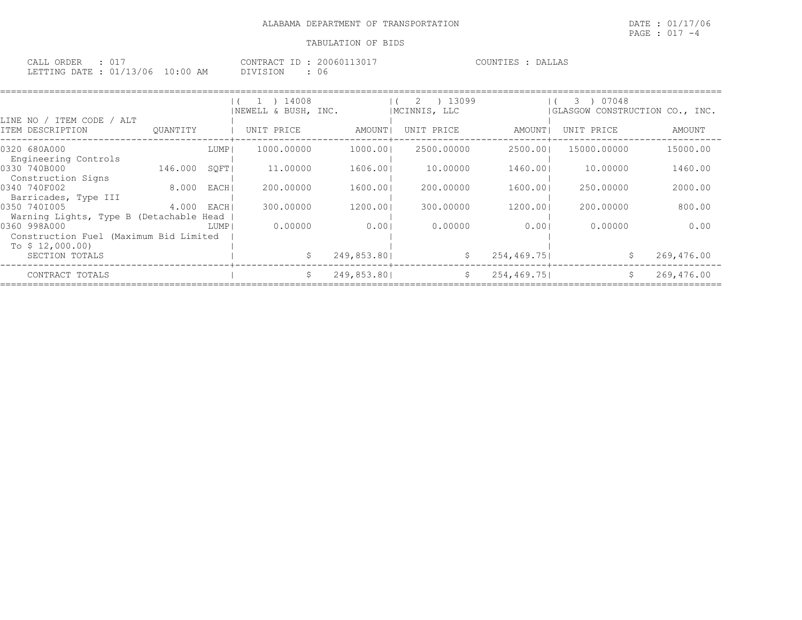| CALL ORDER : 017                 |  |          | CONTRACT ID: 20060113017 | COUNTIES : DALLAS |  |
|----------------------------------|--|----------|--------------------------|-------------------|--|
| LETTING DATE : 01/13/06 10:00 AM |  | DIVISION |                          |                   |  |

| LINE NO / ITEM CODE / ALT                                                  |          |        | 14008<br>INEWELL & BUSH, INC. |             | ) 13099<br>2<br>IMCINNIS, LLC |             | 07048<br>3)<br>(GLASGOW CONSTRUCTION CO., INC. |            |
|----------------------------------------------------------------------------|----------|--------|-------------------------------|-------------|-------------------------------|-------------|------------------------------------------------|------------|
| ITEM DESCRIPTION                                                           | OUANTITY |        | UNIT PRICE                    | AMOUNT      | UNIT PRICE                    | AMOUNT      | UNIT PRICE                                     | AMOUNT     |
| 0320 680A000<br>Engineering Controls                                       |          | LUMP   | 1000.00000                    | 1000.001    | 2500.00000                    | 2500.001    | 15000.00000                                    | 15000.00   |
| 0330 740B000<br>Construction Signs                                         | 146.000  | SOFTI  | 11,00000                      | 1606.001    | 10.00000                      | 1460.001    | 10.00000                                       | 1460.00    |
| 0340 740F002<br>Barricades, Type III                                       | 8.000    | EACH   | 200,00000                     | 1600.001    | 200,00000                     | 1600.001    | 250.00000                                      | 2000.00    |
| 0350 7401005<br>Warning Lights, Type B (Detachable Head                    | 4.000    | EACH   | 300.00000                     | 1200.001    | 300.00000                     | 1200.001    | 200,00000                                      | 800.00     |
| 0360 998A000<br>Construction Fuel (Maximum Bid Limited<br>To $$12,000.00)$ |          | LUMP I | 0.00000                       | 0.001       | 0.00000                       | 0.001       | 0.00000                                        | 0.00       |
| SECTION TOTALS                                                             |          |        |                               | 249,853.801 | S.                            | 254, 469.75 | S                                              | 269,476.00 |
| CONTRACT TOTALS                                                            |          |        | S.                            | 249,853.801 | S.                            | 254, 469.75 | Ŝ.                                             | 269,476.00 |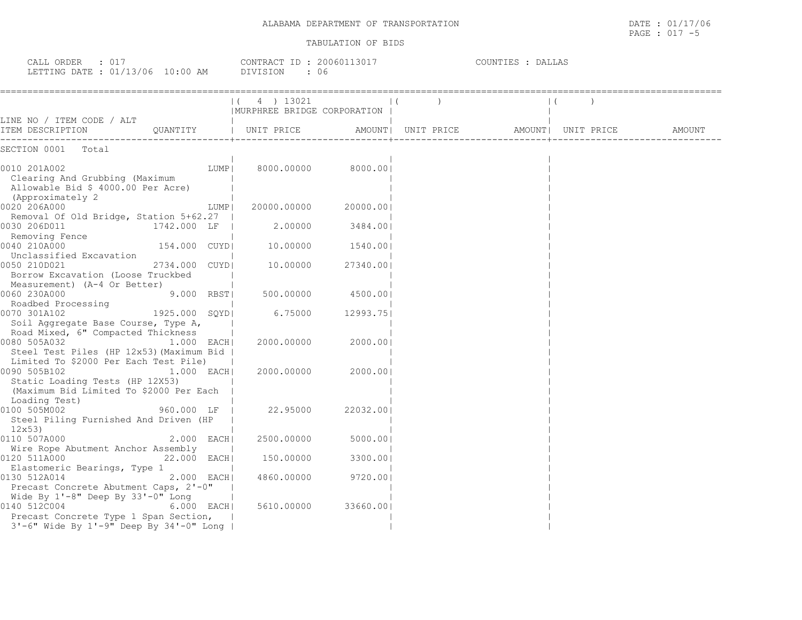PAGE : 017 -5

| CALL ORDER : 017<br>LETTING DATE : 01/13/06 10:00 AM | CONTRACT ID: 20060113017<br>DIVISION : 06 | COUNTIES : DALLAS |  |
|------------------------------------------------------|-------------------------------------------|-------------------|--|
|                                                      | $(4)$ 13021                               |                   |  |

| LINE NO / ITEM CODE / ALT                                                                                       |                        | MURPHREE BRIDGE CORPORATION |                   |                                       |  |        |
|-----------------------------------------------------------------------------------------------------------------|------------------------|-----------------------------|-------------------|---------------------------------------|--|--------|
| ITEM DESCRIPTION QUANTITY   UNIT PRICE                                                                          |                        |                             |                   | AMOUNT  UNIT PRICE AMOUNT  UNIT PRICE |  | AMOUNT |
| SECTION 0001 Total                                                                                              |                        |                             |                   |                                       |  |        |
| 0010 201A002<br>Clearing And Grubbing (Maximum<br>Allowable Bid \$ 4000.00 Per Acre)<br>(Approximately 2        | LUMP                   | 8000.00000 8000.00          |                   |                                       |  |        |
| 0020 206A000                                                                                                    | LUMP                   | 20000.00000                 | 20000.00          |                                       |  |        |
| Removal Of Old Bridge, Station 5+62.27  <br>0030 206D011                                                        | 1742.000 LF            | $2.00000$ 3484.00           |                   |                                       |  |        |
| Removing Fence<br>0040 210A000<br>0040 210A000<br>Unclassified Excavation                                       | 154.000 CUYDI          | 10.00000                    | 1540.001          |                                       |  |        |
| 0050 210D021<br>Borrow Excavation (Loose Truckbed<br>Measurement) (A-4 Or Better)                               | 2734.000 CUYDI         | 10.00000                    | 27340.00          |                                       |  |        |
| 0060 230A000                                                                                                    | 9.000 RBSTI            |                             | 500.00000 4500.00 |                                       |  |        |
| Roadbed Processing<br>0070 301A102<br>Soil Aggregate Base Course, Type A,<br>Road Mixed, 6" Compacted Thickness | SSING<br>1925.000 SQYD | 6.75000                     | 12993.751         |                                       |  |        |
| 0080 505A032<br>Steel Test Piles (HP 12x53) (Maximum Bid  <br>Limited To \$2000 Per Each Test Pile)             | 1.000 EACH             | 2000.00000                  | 2000.001          |                                       |  |        |
| 0090 505B102<br>Static Loading Tests (HP 12X53)<br>(Maximum Bid Limited To \$2000 Per Each<br>Loading Test)     | 1.000 EACH             | 2000.00000                  | 2000.001          |                                       |  |        |
| 0100 505M002<br>Steel Piling Furnished And Driven (HP<br>12x53                                                  | 960.000 LF             | 22.95000                    | 22032.001         |                                       |  |        |
| 0110 507A000<br>Wire Rope Abutment Anchor Assembly                                                              | 2.000 EACH             | 2500.00000                  | 5000.00           |                                       |  |        |
| 0120 511A000<br>Elastomeric Bearings, Type 1                                                                    | 22.000 EACH            | 150.00000                   | 3300.001          |                                       |  |        |
| 0130 512A014<br>Precast Concrete Abutment Caps, 2'-0"<br>Wide By 1'-8" Deep By 33'-0" Long                      | 2.000 EACH             | 4860.00000                  | 9720.001          |                                       |  |        |
| 0140 512C004<br>Precast Concrete Type 1 Span Section,<br>3'-6" Wide By 1'-9" Deep By 34'-0" Long                | $6.000$ EACH           | 5610.00000                  | 33660.001         |                                       |  |        |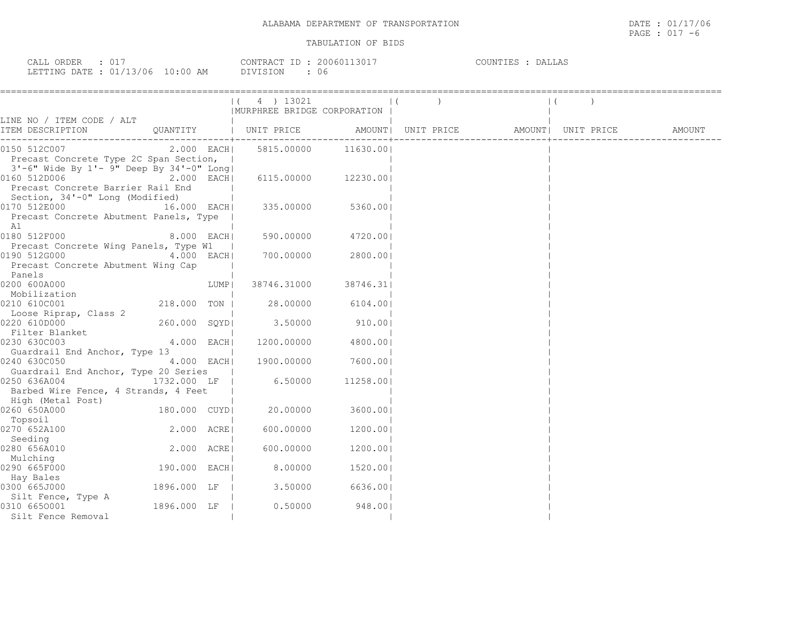| CALL ORDER : 017                 |          | CONTRACT ID: 20060113017 | COUNTIES : DALLAS |
|----------------------------------|----------|--------------------------|-------------------|
| LETTING DATE : 01/13/06 10:00 AM | DIVISION |                          |                   |

|                                                                                                       |              |           | (4) 13021<br>  MURPHREE BRIDGE CORPORATION |                      |                                                    |  |  |
|-------------------------------------------------------------------------------------------------------|--------------|-----------|--------------------------------------------|----------------------|----------------------------------------------------|--|--|
| LINE NO / ITEM CODE / ALT                                                                             |              |           |                                            |                      |                                                    |  |  |
| ITEM DESCRIPTION                                                                                      |              |           | QUANTITY   UNIT PRICE                      |                      | AMOUNT   UNIT PRICE   AMOUNT   UNIT PRICE   AMOUNT |  |  |
| 0150 512C007<br>Precast Concrete Type 2C Span Section,                                                | $2.000$ EACH |           |                                            | 5815,00000 11630,001 |                                                    |  |  |
| $3'-6''$ Wide By $1'-9''$ Deep By $34'-0''$ Long<br>0160 512D006<br>Precast Concrete Barrier Rail End | $2.000$ EACH |           | 6115.00000 12230.00                        |                      |                                                    |  |  |
| Section, 34'-0" Long (Modified)<br>0170 512E000<br>Precast Concrete Abutment Panels, Type<br>A1       | 16.000 EACH  |           | 335.00000                                  | 5360.00              |                                                    |  |  |
| 0180 512F000                                                                                          | 8.000 EACHI  |           |                                            | 590.00000 4720.00    |                                                    |  |  |
| Precast Concrete Wing Panels, Type W1<br>0190 512G000<br>Precast Concrete Abutment Wing Cap           | 4.000 EACH   | $\sim$ 1. | 700.00000                                  | 2800.00              |                                                    |  |  |
| Panels<br>0200 600A000                                                                                |              | LUMP      | 38746.31000                                | 38746.31             |                                                    |  |  |
| Mobilization<br>0210 610C001<br>Loose Riprap, Class 2                                                 | 218.000 TON  |           | 28.00000                                   | 6104.001             |                                                    |  |  |
| 0220 610D000                                                                                          | 260.000 SQYD |           | 3.50000                                    | 910.00               |                                                    |  |  |
| Filter Blanket<br>0230 630C003                                                                        | 4.000 EACH   |           | 1200.00000                                 | 4800.00              |                                                    |  |  |
| Guardrail End Anchor, Type 13<br>0240 630C050<br>Guardrail End Anchor, Type 20 Series                 | $4.000$ EACH |           |                                            | 1900.00000 7600.001  |                                                    |  |  |
| 0250 636A004<br>Barbed Wire Fence, 4 Strands, 4 Feet<br>High (Metal Post)                             | 1732.000 LF  |           | 6.50000                                    | 11258.001            |                                                    |  |  |
| 0260 650A000<br>Topsoil                                                                               | 180.000 CUYD |           | 20.00000                                   | 3600.00              |                                                    |  |  |
| 0270 652A100                                                                                          | 2.000 ACRE   |           | 600.00000                                  | 1200.001             |                                                    |  |  |
| Seeding<br>0280 656A010                                                                               | 2.000 ACRE   |           | 600.00000                                  | 1200.00              |                                                    |  |  |
| Mulching<br>0290 665F000<br>Hay Bales                                                                 | 190.000 EACH |           | 8.00000                                    | 1520.001             |                                                    |  |  |
| 0300 665J000                                                                                          | 1896.000 LF  |           | 3.50000                                    | 6636.001             |                                                    |  |  |
| Silt Fence, Type A<br>0310 6650001<br>Silt Fence Removal                                              | 1896.000 LF  |           | 0.50000                                    | 948.00               |                                                    |  |  |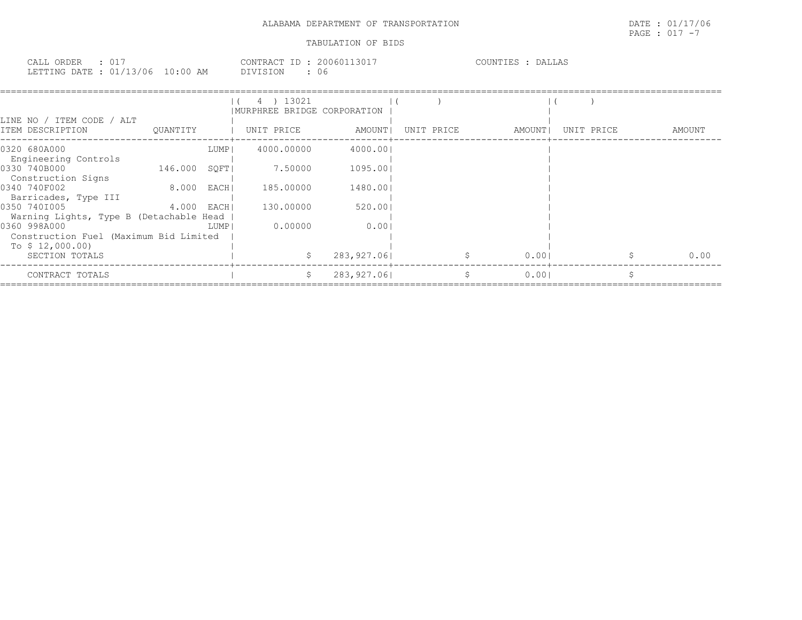| CALL ORDER                 |            | . 20060113017<br>CONTRACT ID : | COUNTIES<br><b>DALLAS</b> |
|----------------------------|------------|--------------------------------|---------------------------|
| : 01/13/06<br>LETTING DATE | $10:00$ AM | 06<br>DIVISION                 |                           |

|                                         |              |      | 13021<br>4)                  |             |            |             |            |        |
|-----------------------------------------|--------------|------|------------------------------|-------------|------------|-------------|------------|--------|
|                                         |              |      | IMURPHREE BRIDGE CORPORATION |             |            |             |            |        |
| LINE NO / ITEM CODE / ALT               |              |      |                              |             |            |             |            |        |
| ITEM DESCRIPTION                        | OUANTITY     |      | UNIT PRICE                   | AMOUNT      | UNIT PRICE | AMOUNT      | UNIT PRICE | AMOUNT |
| 0320 680A000                            |              | LUMP | 4000.00000                   | 4000.001    |            |             |            |        |
| Engineering Controls                    |              |      |                              |             |            |             |            |        |
| 0330 740B000                            | 146.000 SOFT |      | 7.50000                      | 1095.00     |            |             |            |        |
| Construction Signs                      |              |      |                              |             |            |             |            |        |
| 0340 740F002                            | 8.000 EACH   |      | 185.00000                    | 1480.00     |            |             |            |        |
| Barricades, Type III                    |              |      |                              |             |            |             |            |        |
| 0350 7401005                            | 4.000 EACHI  |      | 130.00000                    | 520.001     |            |             |            |        |
| Warning Lights, Type B (Detachable Head |              |      |                              |             |            |             |            |        |
| 0360 998A000                            |              | LUMP | 0.00000                      | 0.00        |            |             |            |        |
| Construction Fuel (Maximum Bid Limited  |              |      |                              |             |            |             |            |        |
| To $$12,000.00)$                        |              |      |                              |             |            |             |            |        |
| SECTION TOTALS                          |              |      |                              | 283,927.061 |            | 0.001       |            | 0.00   |
| CONTRACT TOTALS                         |              |      | S.                           | 283,927.061 |            | S.<br>0.001 |            |        |
|                                         |              |      |                              |             |            |             |            |        |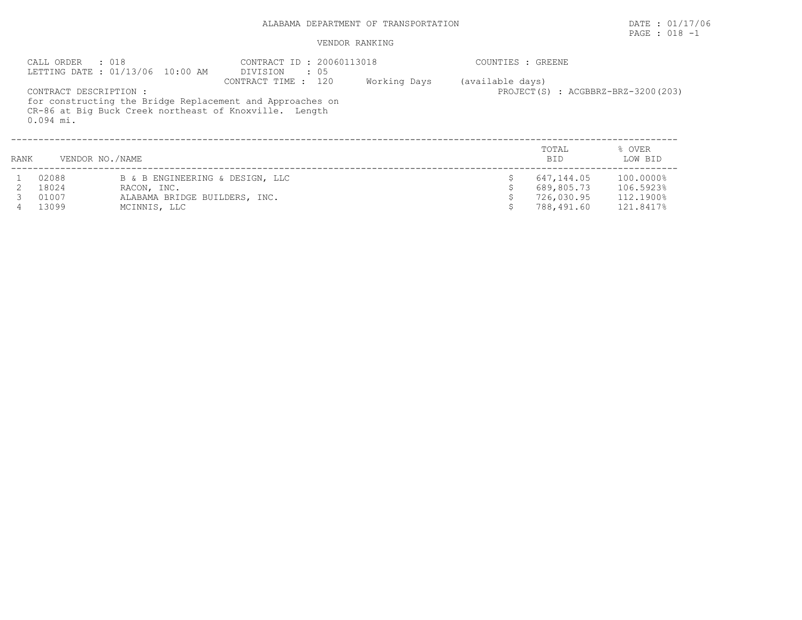# ALABAMA DEPARTMENT OF TRANSPORTATION DATE : 01/17/06

# PAGE : 018 -1

| CALL ORDER : 018<br>LETTING DATE : 01/13/06 10:00 AM |                                       | CONTRACT ID: 20060113018<br>DIVISION : 05 |                                                                                                                                            | COUNTIES : GREENE |                  |                     |                                    |  |  |
|------------------------------------------------------|---------------------------------------|-------------------------------------------|--------------------------------------------------------------------------------------------------------------------------------------------|-------------------|------------------|---------------------|------------------------------------|--|--|
|                                                      | CONTRACT DESCRIPTION :<br>$0.094$ mi. |                                           | CONTRACT TIME : 120<br>for constructing the Bridge Replacement and Approaches on<br>CR-86 at Big Buck Creek northeast of Knoxville. Length | Working Days      | (available days) |                     | PROJECT(S) : ACGBBRZ-BRZ-3200(203) |  |  |
| RANK                                                 | VENDOR NO./NAME                       |                                           |                                                                                                                                            |                   |                  | TOTAL<br><b>BID</b> | % OVER<br>LOW BID                  |  |  |
|                                                      | 02088                                 | B & B ENGINEERING & DESIGN, LLC           |                                                                                                                                            |                   |                  | 647,144.05          | 100.0000%                          |  |  |
|                                                      | 18024                                 | RACON, INC.                               |                                                                                                                                            |                   |                  | 689,805.73          | 106.5923%                          |  |  |
|                                                      | 01007                                 | ALABAMA BRIDGE BUILDERS, INC.             |                                                                                                                                            |                   |                  | 726,030.95          | 112.1900%                          |  |  |
|                                                      | 13099                                 | MCINNIS, LLC                              |                                                                                                                                            |                   |                  | 788,491.60          | 121.8417%                          |  |  |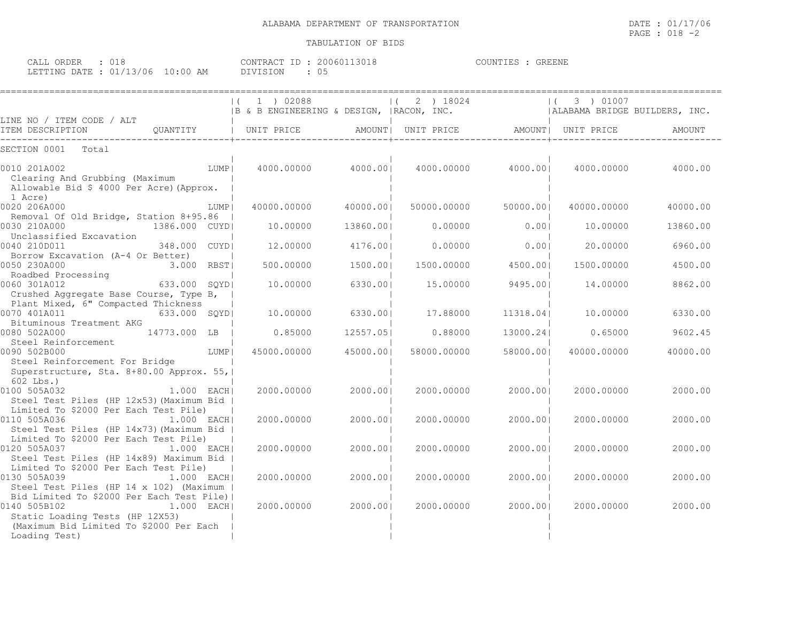| CALL ORDER : 018                 |  |          | CONTRACT ID: 20060113018 | COUNTIES : GREENE |  |
|----------------------------------|--|----------|--------------------------|-------------------|--|
| LETTING DATE : 01/13/06 10:00 AM |  | DIVISION |                          |                   |  |

|                                                                            |               | 1 ) 02088                                                                                                                                                                                                                                             |           | $(2)$ 18024 |                                                | 3 ) 01007   |                               |
|----------------------------------------------------------------------------|---------------|-------------------------------------------------------------------------------------------------------------------------------------------------------------------------------------------------------------------------------------------------------|-----------|-------------|------------------------------------------------|-------------|-------------------------------|
| LINE NO / ITEM CODE / ALT                                                  |               | $\begin{array}{ccc}   & 1 \\   & 2 \end{array}$ denotes the set of the set of the set of the set of the set of the set of the set of the set of the set of the set of the set of the set of the set of the set of the set of the set of the set of th |           |             |                                                |             | ALABAMA BRIDGE BUILDERS, INC. |
| ITEM DESCRIPTION                                                           |               | QUANTITY   UNIT PRICE                                                                                                                                                                                                                                 |           |             | AMOUNT   UNIT PRICE   AMOUNT   UNIT PRICE      |             | AMOUNT                        |
| Total<br>SECTION 0001                                                      |               |                                                                                                                                                                                                                                                       |           |             |                                                |             |                               |
| 0010 201A002                                                               | $LUMP \mid$   |                                                                                                                                                                                                                                                       |           |             | $4000.00000$ $4000.00$ $4000.00000$ $4000.001$ |             | 4000.00000 4000.00            |
| Clearing And Grubbing (Maximum<br>Allowable Bid \$ 4000 Per Acre) (Approx. |               |                                                                                                                                                                                                                                                       |           |             |                                                |             |                               |
| 1 Acre)                                                                    |               |                                                                                                                                                                                                                                                       |           |             |                                                |             |                               |
| 0020 206A000                                                               | LUMP I        | 40000.00000                                                                                                                                                                                                                                           | 40000.001 | 50000.00000 | 50000.001                                      | 40000.00000 | 40000.00                      |
| Removal Of Old Bridge, Station 8+95.86                                     |               |                                                                                                                                                                                                                                                       |           |             |                                                |             |                               |
| 0030 210A000<br>1386.000 CUYD                                              |               | 10.00000                                                                                                                                                                                                                                              | 13860.001 |             | 0.00000<br>0.001                               | 10,00000    | 13860.00                      |
| Unclassified Excavation                                                    |               |                                                                                                                                                                                                                                                       |           |             |                                                |             |                               |
| 0040 210D011                                                               | 348,000 CUYDI | 12,00000                                                                                                                                                                                                                                              | 4176.001  | 0.00000     | 0.001                                          | 20.00000    | 6960.00                       |
| Borrow Excavation (A-4 Or Better)                                          |               |                                                                                                                                                                                                                                                       |           |             |                                                |             |                               |
| 0050 230A000                                                               | 3.000 RBST    | 500.00000                                                                                                                                                                                                                                             | 1500.001  | 1500.00000  | 4500.00                                        | 1500.00000  | 4500.00                       |
| Roadbed Processing                                                         |               |                                                                                                                                                                                                                                                       |           |             |                                                |             |                               |
| $633.000$ SQYD<br>0060 301A012                                             |               | 10,00000                                                                                                                                                                                                                                              | 6330.001  | 15.00000    | 9495.00                                        | 14.00000    | 8862.00                       |
| Crushed Aggregate Base Course, Type B,                                     |               |                                                                                                                                                                                                                                                       |           |             |                                                |             |                               |
| Plant Mixed, 6" Compacted Thickness                                        |               |                                                                                                                                                                                                                                                       |           |             |                                                |             |                               |
| 0070 401A011                                                               | 633.000 SOYDI | 10.00000                                                                                                                                                                                                                                              | 6330.001  | 17.88000    | 11318.04                                       | 10.00000    | 6330.00                       |
| Bituminous Treatment AKG                                                   |               |                                                                                                                                                                                                                                                       |           |             |                                                |             |                               |
| 0080 502A000<br>14773.000 LB                                               |               | 0.85000                                                                                                                                                                                                                                               | 12557.05  | 0.88000     | 13000.24                                       | 0.65000     | 9602.45                       |
| Steel Reinforcement                                                        |               |                                                                                                                                                                                                                                                       |           |             |                                                |             |                               |
| 0090 502B000                                                               | LUMP          | 45000.00000                                                                                                                                                                                                                                           | 45000.001 | 58000.00000 | 58000.001                                      | 40000.00000 | 40000.00                      |
| Steel Reinforcement For Bridge                                             |               |                                                                                                                                                                                                                                                       |           |             |                                                |             |                               |
| Superstructure, Sta. 8+80.00 Approx. 55,                                   |               |                                                                                                                                                                                                                                                       |           |             |                                                |             |                               |
| $602$ Lbs.)<br>0100 505A032                                                | 1.000 EACH    | 2000.00000                                                                                                                                                                                                                                            | 2000.001  | 2000.00000  | 2000.001                                       | 2000.00000  | 2000.00                       |
| Steel Test Piles (HP 12x53) (Maximum Bid                                   |               |                                                                                                                                                                                                                                                       |           |             |                                                |             |                               |
| Limited To \$2000 Per Each Test Pile)                                      |               |                                                                                                                                                                                                                                                       |           |             |                                                |             |                               |
| 0110 505A036                                                               | $1.000$ EACH  | 2000.00000                                                                                                                                                                                                                                            | 2000.001  | 2000.00000  | 2000.001                                       | 2000.00000  | 2000.00                       |
| Steel Test Piles (HP 14x73) (Maximum Bid                                   |               |                                                                                                                                                                                                                                                       |           |             |                                                |             |                               |
| Limited To \$2000 Per Each Test Pile)                                      |               |                                                                                                                                                                                                                                                       |           |             |                                                |             |                               |
| 0120 505A037                                                               | $1.000$ EACHI | 2000.00000                                                                                                                                                                                                                                            | 2000.00   | 2000.00000  | 2000.001                                       | 2000.00000  | 2000.00                       |
| Steel Test Piles (HP 14x89) Maximum Bid                                    |               |                                                                                                                                                                                                                                                       |           |             |                                                |             |                               |
| Limited To \$2000 Per Each Test Pile)                                      |               |                                                                                                                                                                                                                                                       |           |             |                                                |             |                               |
| 0130 505A039<br>1.000 EACH                                                 |               | 2000.00000                                                                                                                                                                                                                                            | 2000.001  | 2000.00000  | 2000.001                                       | 2000.00000  | 2000.00                       |
| Steel Test Piles (HP 14 x 102) (Maximum                                    |               |                                                                                                                                                                                                                                                       |           |             |                                                |             |                               |
| Bid Limited To \$2000 Per Each Test Pile)                                  |               |                                                                                                                                                                                                                                                       |           |             |                                                |             |                               |
| 0140 505B102                                                               | $1.000$ EACHI | 2000.00000                                                                                                                                                                                                                                            | 2000.001  | 2000.00000  | 2000.001                                       | 2000.00000  | 2000.00                       |
| Static Loading Tests (HP 12X53)                                            |               |                                                                                                                                                                                                                                                       |           |             |                                                |             |                               |
| (Maximum Bid Limited To \$2000 Per Each                                    |               |                                                                                                                                                                                                                                                       |           |             |                                                |             |                               |
| Loading Test)                                                              |               |                                                                                                                                                                                                                                                       |           |             |                                                |             |                               |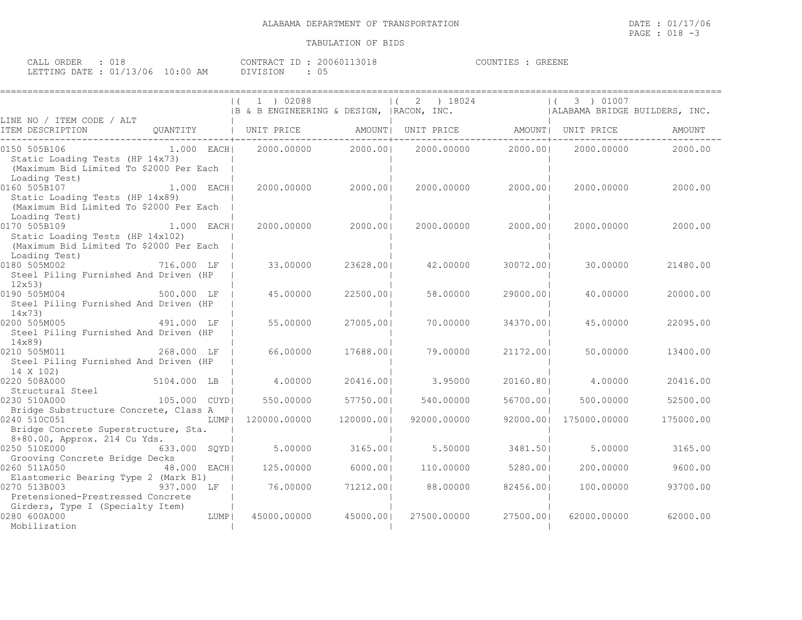| CALL ORDER : 018                 |           | CONTRACT ID: 20060113018 | COUNTIES : GREENE |  |
|----------------------------------|-----------|--------------------------|-------------------|--|
| LETTING DATE : 01/13/06 10:00 AM | DIVISION. |                          |                   |  |

|                                                                                                                                              |                       |      | $\vert$ ( | 1 ) 02088<br> B & B ENGINEERING & DESIGN,  RACON, INC. |            | $\left  \right $ | 2 ) 18024   |                                       | $\left  \right $ | 3 ) 01007    | ALABAMA BRIDGE BUILDERS, INC. |           |
|----------------------------------------------------------------------------------------------------------------------------------------------|-----------------------|------|-----------|--------------------------------------------------------|------------|------------------|-------------|---------------------------------------|------------------|--------------|-------------------------------|-----------|
| LINE NO / ITEM CODE / ALT<br>ITEM DESCRIPTION                                                                                                | QUANTITY   UNIT PRICE |      |           |                                                        |            |                  |             | AMOUNT  UNIT PRICE AMOUNT  UNIT PRICE |                  |              |                               | AMOUNT    |
| 0150 505B106<br>$1.000$ EACH<br>Static Loading Tests (HP 14x73)<br>(Maximum Bid Limited To \$2000 Per Each                                   |                       |      |           | 2000.00000                                             | 2000.001   |                  | 2000.00000  | 2000.001                              |                  | 2000.00000   |                               | 2000.00   |
| Loading Test)<br>0160 505B107<br>$1.000$ EACH<br>Static Loading Tests (HP 14x89)<br>(Maximum Bid Limited To \$2000 Per Each<br>Loading Test) |                       |      |           | 2000,00000                                             | 2000.001   |                  | 2000.00000  | 2000.001                              |                  | 2000.00000   |                               | 2000.00   |
| 0170 505B109<br>Static Loading Tests (HP 14x102)<br>(Maximum Bid Limited To \$2000 Per Each<br>Loading Test)                                 | $1.000$ EACHI         |      |           | 2000.00000                                             | 2000.001   |                  | 2000.00000  | 2000.001                              |                  | 2000.00000   |                               | 2000.00   |
| 0180 505M002<br>Steel Piling Furnished And Driven (HP<br>12x53                                                                               | 716.000 LF            |      |           | 33,00000                                               | 23628.001  |                  | 42.00000    | 30072.001                             |                  | 30,00000     |                               | 21480.00  |
| 0190 505M004<br>Steel Piling Furnished And Driven (HP<br>14x73                                                                               | 500.000 LF            |      |           | 45.00000                                               | 22500.001  |                  | 58.00000    | 29000.001                             |                  | 40.00000     |                               | 20000.00  |
| 0200 505M005<br>Steel Piling Furnished And Driven (HP<br>14x89                                                                               | 491,000 LF            |      |           | 55.00000                                               | 27005.001  |                  | 70,00000    | 34370.001                             |                  | 45.00000     |                               | 22095.00  |
| 268.000 LF<br>0210 505M011<br>Steel Piling Furnished And Driven (HP<br>14 X 102)                                                             |                       |      |           | 66,00000                                               | 17688.001  |                  | 79.00000    | 21172.001                             |                  | 50,00000     |                               | 13400.00  |
| 0220 508A000<br>Structural Steel                                                                                                             | 5104.000 LB           |      |           | 4.00000                                                | 20416.001  |                  | 3.95000     | 20160.801                             |                  | 4,00000      |                               | 20416.00  |
| 0230 510A000<br>Bridge Substructure Concrete, Class A                                                                                        | 105.000 CUYDI         |      |           | 550.00000                                              | 57750.001  |                  | 540.00000   | 56700.001                             |                  | 500.00000    |                               | 52500.00  |
| 0240 510C051<br>Bridge Concrete Superstructure, Sta.<br>8+80.00, Approx. 214 Cu Yds.                                                         |                       | LUMP |           | 120000.00000                                           | 120000.001 |                  | 92000.00000 | 92000.001                             |                  | 175000.00000 |                               | 175000.00 |
| 0250 510E000<br>Grooving Concrete Bridge Decks                                                                                               | 633.000 SOYDI         |      |           | 5.00000                                                | 3165.001   |                  | 5.50000     | 3481.501                              |                  | 5,00000      |                               | 3165.00   |
| 0260 511A050<br>Elastomeric Bearing Type 2 (Mark B1)                                                                                         | 48.000 EACH           |      |           | 125.00000                                              | 6000.001   |                  | 110.00000   | 5280.001                              |                  | 200,00000    |                               | 9600.00   |
| 0270 513B003<br>Pretensioned-Prestressed Concrete<br>Girders, Type I (Specialty Item)                                                        | 937.000 LF            |      |           | 76.00000                                               | 71212.001  |                  | 88.00000    | 82456.00                              |                  | 100,00000    |                               | 93700.00  |
| 0280 600A000<br>Mobilization                                                                                                                 |                       | LUMP |           | 45000.00000                                            | 45000.001  |                  | 27500.00000 | 27500.001                             |                  | 62000.00000  |                               | 62000.00  |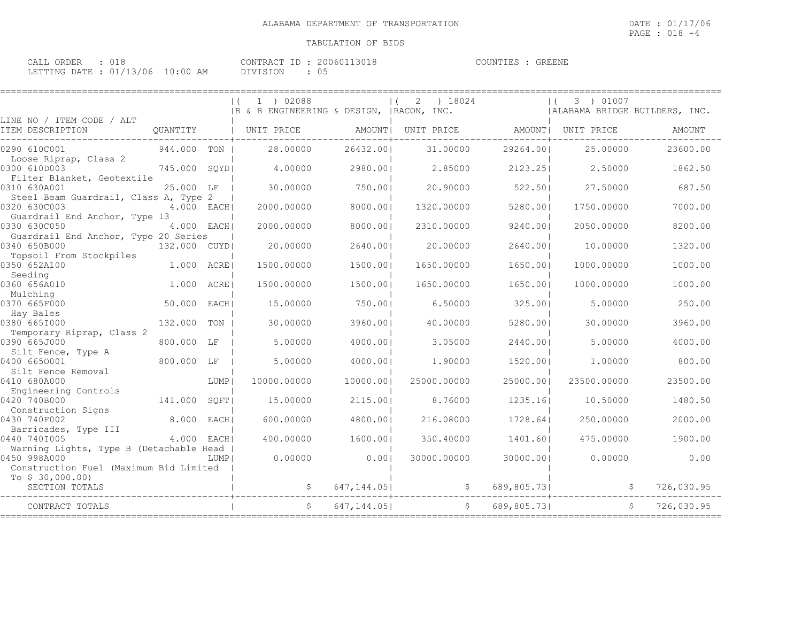| CALL ORDER : 018                 |               | CONTRACT ID: 20060113018 | COUNTIES : GREENE |  |
|----------------------------------|---------------|--------------------------|-------------------|--|
| LETTING DATE : 01/13/06 10:00 AM | DIVISION : 05 |                          |                   |  |

|                                                            |               |        | 1 ) 02088<br>$\left  \right $             |             | ) 18024<br>2<br>$\vert$ (             |             | 3 ) 01007                     |            |
|------------------------------------------------------------|---------------|--------|-------------------------------------------|-------------|---------------------------------------|-------------|-------------------------------|------------|
| LINE NO / ITEM CODE / ALT                                  |               |        | IB & B ENGINEERING & DESIGN, IRACON, INC. |             |                                       |             | ALABAMA BRIDGE BUILDERS, INC. |            |
| ITEM DESCRIPTION                                           |               |        | OUANTITY   UNIT PRICE                     |             | AMOUNT  UNIT PRICE AMOUNT  UNIT PRICE |             |                               | AMOUNT     |
| 0290 610C001                                               | 944,000 TON I |        | 28.00000                                  | 26432.001   | 31,00000                              | 29264.001   | 25.00000                      | 23600.00   |
| Loose Riprap, Class 2<br>0300 610D003                      | 745.000 SOYDI |        | 4,00000                                   | 2980.001    | 2.85000                               | 2123.251    | 2.50000                       | 1862.50    |
| Filter Blanket, Geotextile<br>0310 630A001                 | 25.000 LF     |        | 30.00000                                  | 750.001     | 20.90000                              | 522.501     | 27.50000                      | 687.50     |
| Steel Beam Guardrail, Class A, Type 2<br>0320 630C003      | 4.000 EACH    |        | 2000.00000                                | 8000.001    | 1320,00000                            | 5280.001    | 1750.00000                    | 7000.00    |
| Guardrail End Anchor, Type 13<br>0330 630C050              | 4.000 EACH    |        | 2000.00000                                | 8000.001    | 2310.00000                            | 9240.001    | 2050.00000                    | 8200.00    |
| Guardrail End Anchor, Type 20 Series                       |               |        |                                           |             |                                       |             |                               |            |
| 0340 650B000<br>Topsoil From Stockpiles                    | 132,000 CUYDI |        | 20,00000                                  | 2640.001    | 20,00000                              | 2640.001    | 10,00000                      | 1320.00    |
| 0350 652A100<br>Seeding                                    | 1.000 ACREI   |        | 1500.00000                                | 1500.001    | 1650.00000                            | 1650.001    | 1000.00000                    | 1000.00    |
| 0360 656A010<br>Mulching                                   | 1,000         | ACRE   | 1500.00000                                | 1500.001    | 1650.00000                            | 1650.001    | 1000.00000                    | 1000.00    |
| 0370 665F000                                               | 50.000        | EACH I | 15,00000                                  | 750.001     | 6.50000                               | 325.001     | 5,00000                       | 250.00     |
| Hay Bales<br>0380 6651000                                  | 132,000       | TON    | 30,00000                                  | 3960.001    | 40.00000                              | 5280.001    | 30,00000                      | 3960.00    |
| Temporary Riprap, Class 2<br>0390 665J000                  | 800.000       | LF     | 5,00000                                   | 4000.001    | 3.05000                               | 2440.001    | 5,00000                       | 4000.00    |
| Silt Fence, Type A<br>0400 6650001                         | 800.000 LF    |        | 5.00000                                   | 4000.001    | 1,90000                               | 1520.001    | 1,00000                       | 800.00     |
| Silt Fence Removal<br>0410 680A000                         |               | LUMP   | 10000.00000                               | 10000.001   | 25000.00000                           | 25000.001   | 23500.00000                   | 23500.00   |
| Engineering Controls                                       | 141.000       |        | 15,00000                                  | 2115.001    | 8.76000                               | 1235.161    | 10,50000                      | 1480.50    |
| 0420 740B000<br>Construction Signs                         |               | SOFT   |                                           |             |                                       |             |                               |            |
| 0430 740F002<br>Barricades, Type III                       | 8.000         | EACH I | 600,00000                                 | 4800.001    | 216.08000                             | 1728.641    | 250.00000                     | 2000.00    |
| 0440 7401005<br>Warning Lights, Type B (Detachable Head    | $4.000$ EACHI |        | 400,00000                                 | 1600.001    | 350.40000                             | 1401.601    | 475.00000                     | 1900.00    |
| 0450 998A000                                               |               | LUMP   | 0.00000                                   | 0.001       | 30000.00000                           | 30000.001   | 0.00000                       | 0.00       |
| Construction Fuel (Maximum Bid Limited<br>To $$30,000.00)$ |               |        |                                           |             |                                       |             |                               |            |
| SECTION TOTALS                                             |               |        |                                           | 647, 144.05 | S,                                    | 689,805.73  | -S                            | 726,030.95 |
| CONTRACT TOTALS                                            |               |        |                                           | 647, 144.05 | \$                                    | 689,805.731 |                               | 726,030.95 |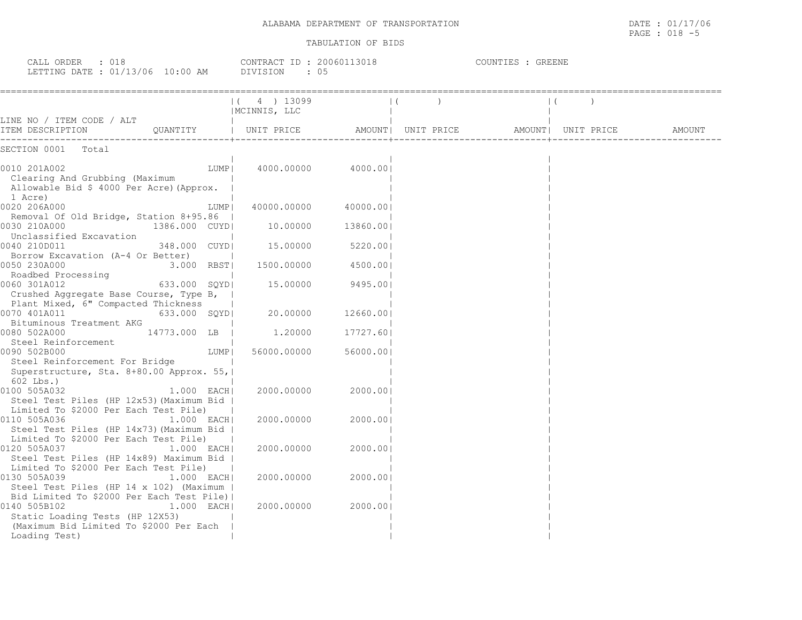CALL ORDER : 018 CONTRACT ID : 20060113018 COUNTIES : GREENE LETTING DATE : 01/13/06 10:00 AM DIVISION : 05

|                                                                                                                                                                            | 4 ) 13099<br> MCINNIS, LLC |           |                    |                     |        |
|----------------------------------------------------------------------------------------------------------------------------------------------------------------------------|----------------------------|-----------|--------------------|---------------------|--------|
| LINE NO / ITEM CODE / ALT                                                                                                                                                  |                            |           |                    |                     |        |
| ITEM DESCRIPTION<br>OUANTITY                                                                                                                                               | UNIT PRICE                 |           | AMOUNT  UNIT PRICE | AMOUNT   UNIT PRICE | AMOUNT |
| -------------<br>SECTION 0001<br>Total                                                                                                                                     |                            |           |                    |                     |        |
| 0010 201A002<br>LUMP  <br>Clearing And Grubbing (Maximum<br>Allowable Bid \$ 4000 Per Acre) (Approx.                                                                       | 4000.00000                 | 4000.001  |                    |                     |        |
| 1 Acre)<br>0020 206A000<br>LUMP                                                                                                                                            | 40000.00000                | 40000.001 |                    |                     |        |
| Removal Of Old Bridge, Station 8+95.86  <br>0030 210A000<br>1386.000 CUYD <br>Unclassified Excavation                                                                      | 10.00000                   | 13860.00  |                    |                     |        |
| 0040 210D011<br>348.000 CUYDI<br>Borrow Excavation (A-4 Or Better)                                                                                                         | 15.00000                   | 5220.001  |                    |                     |        |
| 0050 230A000<br>3.000 RBST<br>Roadbed Processing                                                                                                                           | 1500.00000                 | 4500.001  |                    |                     |        |
| 0060 301A012<br>633.000 SOYDI<br>Crushed Aggregate Base Course, Type B,                                                                                                    | 15.00000                   | 9495.001  |                    |                     |        |
| Plant Mixed, 6" Compacted Thickness<br>0070 401A011<br>633.000 SQYD <br>Bituminous Treatment AKG                                                                           | 20,00000                   | 12660.00  |                    |                     |        |
| 0080 502A000<br>14773.000 LB  <br>Steel Reinforcement                                                                                                                      | 1.20000                    | 17727.60  |                    |                     |        |
| 0090 502B000<br>LUMP  <br>Steel Reinforcement For Bridge                                                                                                                   | 56000.00000                | 56000.001 |                    |                     |        |
| Superstructure, Sta. 8+80.00 Approx. 55,<br>$602$ Lbs.)                                                                                                                    |                            |           |                    |                     |        |
| 0100 505A032<br>$1.000$ EACH<br>Steel Test Piles (HP 12x53) (Maximum Bid<br>Limited To \$2000 Per Each Test Pile)                                                          | 2000,00000                 | 2000.001  |                    |                     |        |
| 0110 505A036<br>$1.000$ EACH<br>Steel Test Piles (HP 14x73) (Maximum Bid<br>Limited To \$2000 Per Each Test Pile)                                                          | 2000.00000                 | 2000.001  |                    |                     |        |
| 0120 505A037<br>$1.000$ EACH<br>Steel Test Piles (HP 14x89) Maximum Bid  <br>Limited To \$2000 Per Each Test Pile)                                                         | 2000.00000                 | 2000.001  |                    |                     |        |
| 0130 505A039<br>$1.000$ EACH<br>Steel Test Piles (HP 14 x 102) (Maximum                                                                                                    | 2000.00000                 | 2000.001  |                    |                     |        |
| Bid Limited To \$2000 Per Each Test Pile)  <br>0140 505B102<br>$1.000$ EACH<br>Static Loading Tests (HP 12X53)<br>(Maximum Bid Limited To \$2000 Per Each<br>Loading Test) | 2000.00000                 | 2000.00   |                    |                     |        |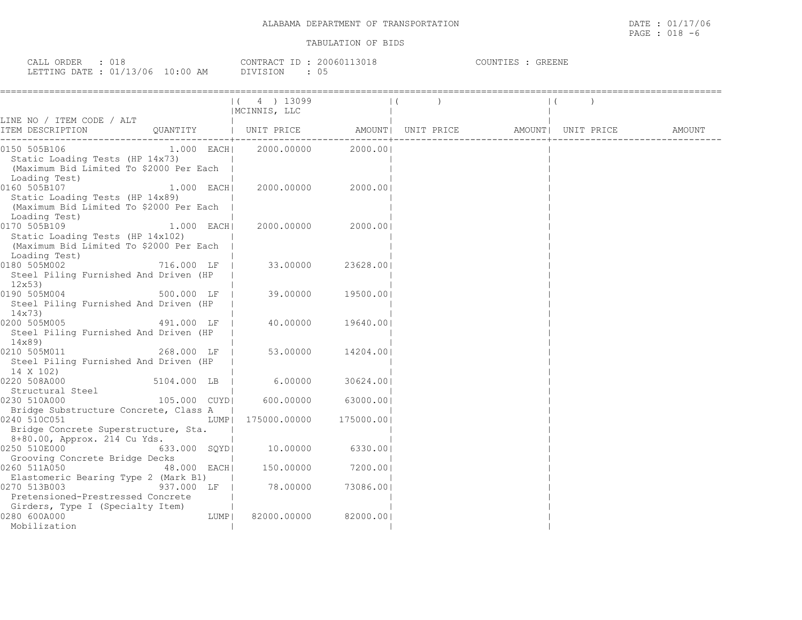| CALL ORDER : 018                 |          | CONTRACT ID: 20060113018 | COUNTIES : GREENE |
|----------------------------------|----------|--------------------------|-------------------|
| LETTING DATE : 01/13/06 10:00 AM | DIVISION |                          |                   |

|                                                                                                                               |              |        | $(4)$ 13099<br>  MCINNIS, LLC                                                |                    |  |  |  |
|-------------------------------------------------------------------------------------------------------------------------------|--------------|--------|------------------------------------------------------------------------------|--------------------|--|--|--|
| LINE NO / ITEM CODE / ALT                                                                                                     |              |        |                                                                              |                    |  |  |  |
| ITEM DESCRIPTION                                                                                                              |              |        | QUANTITY   UNIT PRICE     AMOUNT  UNIT PRICE     AMOUNT  UNIT PRICE   AMOUNT |                    |  |  |  |
| 0150 505B106<br>Static Loading Tests (HP 14x73)<br>(Maximum Bid Limited To \$2000 Per Each<br>Loading Test)                   | $1.000$ EACH |        | 2000.00000 2000.001                                                          |                    |  |  |  |
| 0160 505B107<br>Static Loading Tests (HP 14x89)<br>(Maximum Bid Limited To \$2000 Per Each<br>Loading Test)                   | 1.000 EACH   |        | 2000.00000                                                                   | 2000.001           |  |  |  |
| 0170 505B109<br>Static Loading Tests (HP 14x102)<br>(Maximum Bid Limited To \$2000 Per Each<br>Loading Test)                  | $1.000$ EACH |        | 2000.00000                                                                   | 2000.001           |  |  |  |
| 0180 505M002<br>Steel Piling Furnished And Driven (HP<br>12x53                                                                | 716.000 LF   |        | 33.00000                                                                     | 23628.001          |  |  |  |
| $500.000$ LF  <br>0190 505M004<br>Steel Piling Furnished And Driven (HP<br>14x73)                                             |              |        |                                                                              | 39.00000 19500.001 |  |  |  |
| 0200 505M005<br>Steel Piling Furnished And Driven (HP<br>14x89)                                                               | 491.000 LF   |        | 40.00000                                                                     | 19640.00           |  |  |  |
| 268.000 LF  <br>0210 505M011<br>Steel Piling Furnished And Driven (HP<br>14 X 102)                                            |              |        | 53.00000                                                                     | 14204.00           |  |  |  |
| 0220 508A000                                                                                                                  | 5104.000 LB  |        | 6.00000                                                                      | 30624.00           |  |  |  |
| Structural Steel<br>230 510A000 105.000 CUYD  600.00000<br>0230 510A000                                                       |              |        |                                                                              | 63000.001          |  |  |  |
| Bridge Substructure Concrete, Class A<br>0240 510C051<br>Bridge Concrete Superstructure, Sta.<br>8+80.00, Approx. 214 Cu Yds. |              |        | LUMP  175000.00000                                                           | 175000.00          |  |  |  |
| 0250 510E000                                                                                                                  | 633.000 SQYD |        | 10.00000 6330.00                                                             |                    |  |  |  |
| Grooving Concrete Bridge Decks<br>0260 511A050<br>Elastomeric Bearing Type 2 (Mark B1)                                        | 48.000 EACH  |        | 150.00000                                                                    | 7200.00            |  |  |  |
| 0270 513B003<br>Pretensioned-Prestressed Concrete<br>Girders, Type I (Specialty Item)                                         | 937.000 LF   |        | 78.00000                                                                     | 73086.00           |  |  |  |
| 0280 600A000<br>Mobilization                                                                                                  |              | LUMP I | 82000.00000                                                                  | 82000.00           |  |  |  |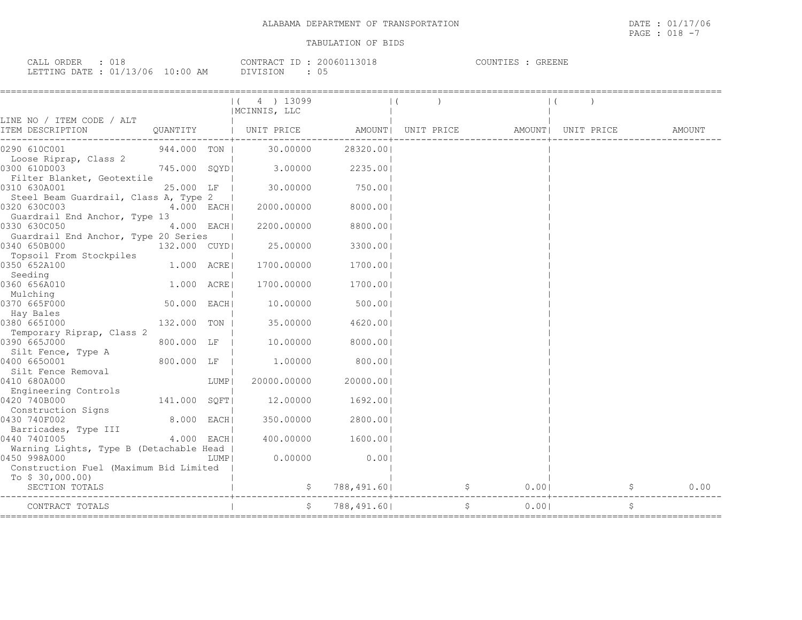| CALL ORDER : 018 |                                  |          | CONTRACT ID: 20060113018 | COUNTIES : GREENE |  |
|------------------|----------------------------------|----------|--------------------------|-------------------|--|
|                  | LETTING DATE : 01/13/06 10:00 AM | DIVISION | : 05                     |                   |  |

|                                                       |              |      | $(4)$ 13099<br>  MCINNIS, LLC                                      |                 |  |        |  |      |
|-------------------------------------------------------|--------------|------|--------------------------------------------------------------------|-----------------|--|--------|--|------|
| LINE NO / ITEM CODE / ALT<br>ITEM DESCRIPTION         |              |      | QUANTITY   UNIT PRICE AMOUNT  UNIT PRICE AMOUNT  UNIT PRICE AMOUNT |                 |  |        |  |      |
| 0290 610C001                                          | 944.000 TON  |      | 30.00000                                                           | 28320.00        |  |        |  |      |
| Loose Riprap, Class 2<br>0300 610D003                 |              |      | 3.00000                                                            | 2235.00         |  |        |  |      |
| Filter Blanket, Geotextile                            | 745.000 SQYD |      |                                                                    |                 |  |        |  |      |
| 0310 630A001                                          | 25.000 LF    |      |                                                                    | 30.00000 750.00 |  |        |  |      |
| Steel Beam Guardrail, Class A, Type 2<br>0320 630C003 | $4.000$ EACH |      | 2000.00000                                                         | 8000.00         |  |        |  |      |
| Guardrail End Anchor, Type 13                         |              |      |                                                                    |                 |  |        |  |      |
| 0330 630C050                                          | $4.000$ EACH |      | 2200.00000                                                         | 8800.001        |  |        |  |      |
| Guardrail End Anchor, Type 20 Series                  |              |      |                                                                    |                 |  |        |  |      |
| 0340 650B000                                          | 132.000 CUYD |      | 25.00000                                                           | 3300.00         |  |        |  |      |
| Topsoil From Stockpiles<br>0350 652A100               | 1.000 ACRE   |      | 1700.00000                                                         | 1700.00         |  |        |  |      |
| Seeding                                               |              |      |                                                                    |                 |  |        |  |      |
| 0360 656A010                                          | 1.000 ACRE   |      | 1700.00000                                                         | 1700.001        |  |        |  |      |
| Mulching<br>0370 665F000                              | 50.000 EACH  |      |                                                                    | 10.00000 500.00 |  |        |  |      |
| Hay Bales                                             |              |      |                                                                    |                 |  |        |  |      |
| 0380 665I000                                          | 132.000 TON  |      | 35.00000                                                           | 4620.00         |  |        |  |      |
| Temporary Riprap, Class 2                             |              |      |                                                                    |                 |  |        |  |      |
| 0390 665J000<br>Silt Fence, Type A                    | 800.000 LF   |      | 10.00000                                                           | 8000.00         |  |        |  |      |
| 0400 6650001                                          | 800.000 LF   |      | 1.00000                                                            | 800.00          |  |        |  |      |
| Silt Fence Removal                                    |              |      |                                                                    |                 |  |        |  |      |
| 0410 680A000                                          |              | LUMP | 20000.00000                                                        | 20000.001       |  |        |  |      |
| Engineering Controls                                  |              |      |                                                                    |                 |  |        |  |      |
| 0420 740B000<br>Construction Signs                    | 141.000 SOFT |      | 12,00000                                                           | 1692.00         |  |        |  |      |
| 0430 740F002                                          | $8.000$ EACH |      | 350.00000                                                          | 2800.00         |  |        |  |      |
| Barricades, Type III                                  |              |      |                                                                    |                 |  |        |  |      |
| 0440 7401005                                          | 4.000 EACH   |      | 400.00000                                                          | 1600.001        |  |        |  |      |
| Warning Lights, Type B (Detachable Head               |              |      |                                                                    |                 |  |        |  |      |
| 0450 998A000                                          |              | LUMP | 0.00000                                                            | 0.001           |  |        |  |      |
| Construction Fuel (Maximum Bid Limited                |              |      |                                                                    |                 |  |        |  |      |
| To $$30,000.00)$<br>SECTION TOTALS                    |              |      |                                                                    | 788,491.60      |  | $0.00$ |  | 0.00 |
| CONTRACT TOTALS                                       |              |      |                                                                    | 788,491.601     |  | 0.001  |  | \$   |
|                                                       |              |      |                                                                    |                 |  |        |  |      |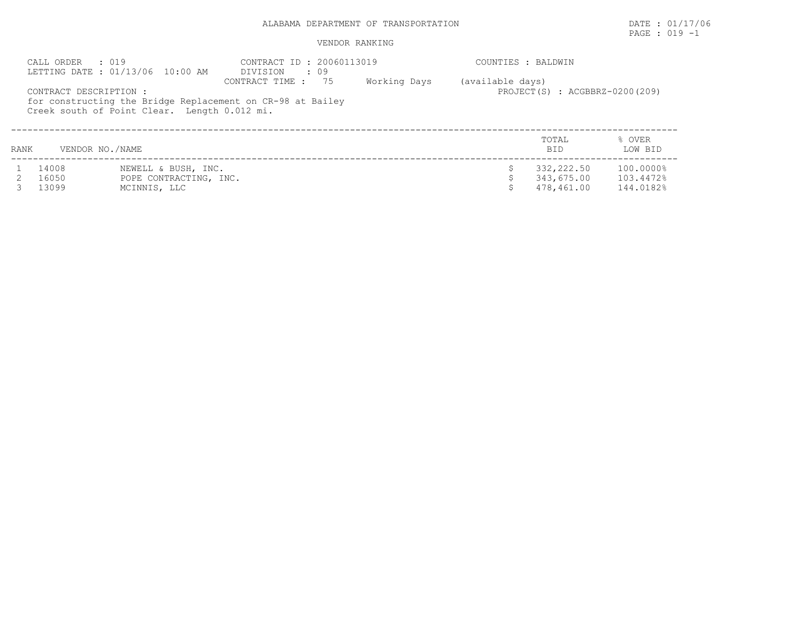PAGE : 019 -1

|      | CALL ORDER : 019       | LETTING DATE : 01/13/06 10:00 AM             | CONTRACT ID: 20060113019<br>DIVISION<br>$\cdot$ 09                                  |              | COUNTIES : BALDWIN |                                    |                   |
|------|------------------------|----------------------------------------------|-------------------------------------------------------------------------------------|--------------|--------------------|------------------------------------|-------------------|
|      | CONTRACT DESCRIPTION : | Creek south of Point Clear. Length 0.012 mi. | 75<br>CONTRACT TIME :<br>for constructing the Bridge Replacement on CR-98 at Bailey | Working Days | (available days)   | $PROJECT(S)$ : $ACGBBRZ-0200(209)$ |                   |
| RANK | VENDOR NO./NAME        |                                              |                                                                                     |              |                    | TOTAL<br><b>BID</b>                | % OVER<br>LOW BID |
|      | 14008                  | NEWELL & BUSH, INC.                          |                                                                                     |              |                    | 332,222.50                         | 100.0000%         |
|      | 16050                  | POPE CONTRACTING, INC.                       |                                                                                     |              |                    | 343,675.00                         | 103.4472%         |
|      | 13099                  | MCINNIS, LLC                                 |                                                                                     |              |                    | 478,461.00                         | 144.0182%         |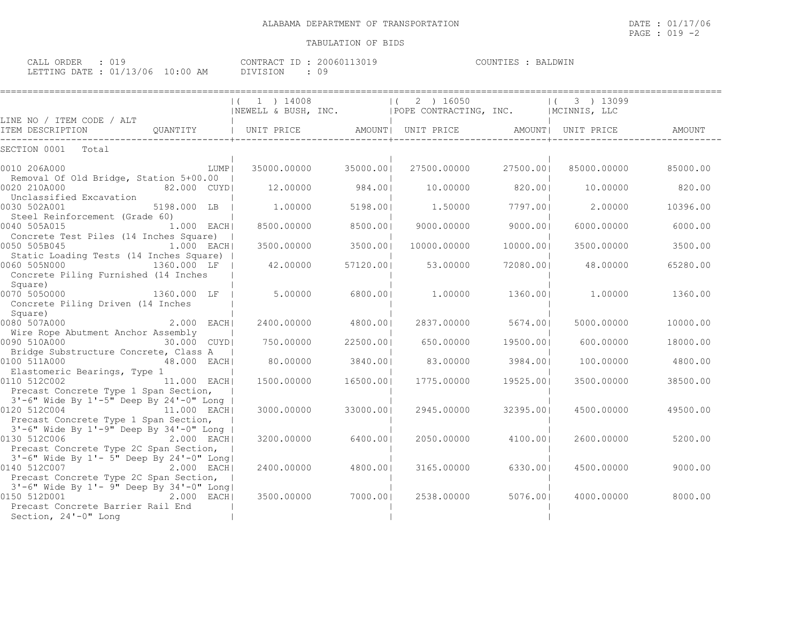| ORDER<br>CALL        |          |                       | $ -$<br>CONTRACT  | ີ 1 3 ∩ 1 9<br>200601 | COUNTIES | BALDWIN |
|----------------------|----------|-----------------------|-------------------|-----------------------|----------|---------|
| LETTING DATE<br>ستظم | 01/13/06 | $10 \cdot 00$ .<br>ΑM | T ON<br>$\lambda$ |                       |          |         |

|                                                                                                                                                                                    | $(1)$ 1 $14008$<br>NEWELL & BUSH, INC.   POPE CONTRACTING, INC.   NCINNIS, LLC |           | $ (2)$ 16050 |           | 3 ) 13099<br>$\Box$ |          |
|------------------------------------------------------------------------------------------------------------------------------------------------------------------------------------|--------------------------------------------------------------------------------|-----------|--------------|-----------|---------------------|----------|
| LINE NO / ITEM CODE / ALT                                                                                                                                                          |                                                                                |           |              |           |                     |          |
| ITEM DESCRIPTION                                                                                                                                                                   |                                                                                |           |              |           |                     | AMOUNT   |
| SECTION 0001<br>Total                                                                                                                                                              |                                                                                |           |              |           |                     |          |
| 0010 206A000<br>LUMP                                                                                                                                                               | 35000.00000                                                                    | 35000.00  | 27500.00000  | 27500.00  | 85000.00000         | 85000.00 |
| Removal Of Old Bridge, Station 5+00.00  <br>0020 210A000<br>82.000 CUYD                                                                                                            | 12,00000                                                                       | 984.00    | 10,00000     | 820.001   | 10,00000            | 820.00   |
| Unclassified Excavation<br>0030 502A001<br>5198.000 LB                                                                                                                             | 1,00000                                                                        | 5198.001  | 1,50000      | 7797.001  | 2,00000             | 10396.00 |
| Steel Reinforcement (Grade 60)<br>$1.000$ EACH<br>0040 505A015                                                                                                                     | 8500.00000                                                                     | 8500.00   | 9000.00000   | 9000.001  | 6000.00000          | 6000.00  |
| Concrete Test Piles (14 Inches Square)  <br>0050 505B045<br>$1.000$ EACHI                                                                                                          | 3500.00000                                                                     | 3500.001  | 10000.00000  | 10000.001 | 3500.00000          | 3500.00  |
| Static Loading Tests (14 Inches Square)  <br>0060 505N000<br>1360.000 LF  <br>Concrete Piling Furnished (14 Inches                                                                 | 42.00000                                                                       | 57120.001 | 53.00000     | 72080.001 | 48.00000            | 65280.00 |
| Square)<br>0070 5050000<br>1360.000 LF  <br>Concrete Piling Driven (14 Inches                                                                                                      | 5,00000                                                                        | 6800.001  | 1.00000      | 1360.001  | 1,00000             | 1360.00  |
| Square)<br>2.000 EACH<br>0080 507A000                                                                                                                                              | 2400.00000                                                                     | 4800.001  | 2837.00000   | 5674.001  | 5000.00000          | 10000.00 |
| Wire Rope Abutment Anchor Assembly<br>0090 510A000<br>30.000 CUYDI                                                                                                                 | 750.00000                                                                      | 22500.00  | 650.00000    | 19500.001 | 600,00000           | 18000.00 |
| Bridge Substructure Concrete, Class A<br>0100 511A000<br>48.000 EACH                                                                                                               | 80.00000                                                                       | 3840.001  | 83.00000     | 3984.001  | 100.00000           | 4800.00  |
| Elastomeric Bearings, Type 1<br>0110 512C002<br>11.000 EACH<br>Precast Concrete Type 1 Span Section,                                                                               | 1500.00000                                                                     | 16500.001 | 1775.00000   | 19525.001 | 3500,00000          | 38500.00 |
| 3'-6" Wide By 1'-5" Deep By 24'-0" Long  <br>0120 512C004 11.000 EACH<br>Precast Concrete Type 1 Span Section,                                                                     | 3000.00000                                                                     | 33000.001 | 2945.00000   | 32395.001 | 4500.00000          | 49500.00 |
| 3'-6" Wide By 1'-9" Deep By 34'-0" Long  <br>0130 512C006<br>2.000 EACH                                                                                                            | 3200,00000                                                                     | 6400.001  | 2050.00000   | 4100.001  | 2600,00000          | 5200.00  |
| Precast Concrete Type 2C Span Section,<br>3'-6" Wide By 1'- 5" Deep By 24'-0" Long <br>0140 512C007<br>2.000 EACH                                                                  | 2400.00000                                                                     | 4800.001  | 3165.00000   | 6330.001  | 4500.00000          | 9000.00  |
| Precast Concrete Type 2C Span Section,<br>3'-6" Wide By 1'- 9" Deep By 34'-0" Long <br>0150 512D001 2.000 EACH<br>0150 512D001<br>2.000 EACH <br>Precast Concrete Barrier Rail End | 3500.00000                                                                     | 7000.001  | 2538.00000   | 5076.001  | 4000.00000          | 8000.00  |
| Section, 24'-0" Long                                                                                                                                                               |                                                                                |           |              |           |                     |          |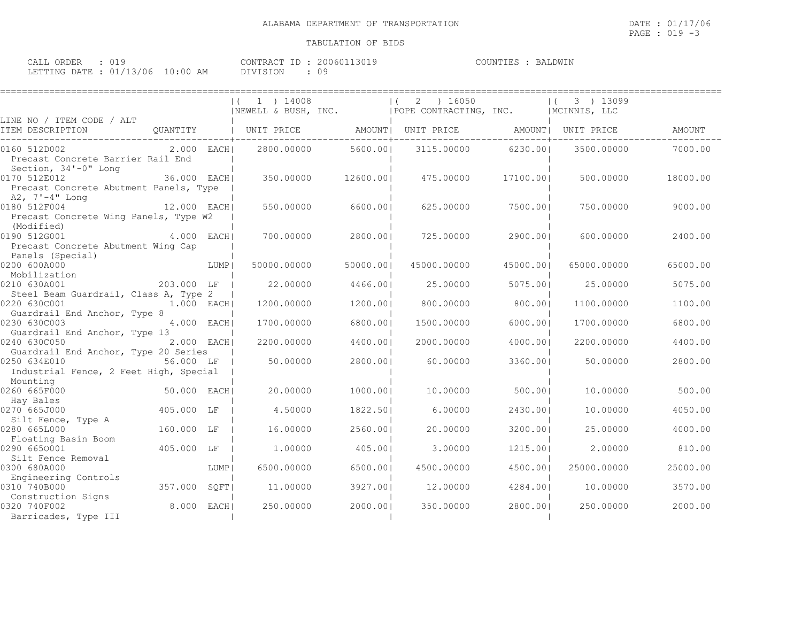====================================================================================================================================

| CALL<br>ORDER             |             | CONTRACT ID | 20060113019 | BALDWIN<br>COUNTIES |
|---------------------------|-------------|-------------|-------------|---------------------|
| LETTING DATE : $01/13/06$ | 10:00<br>AM | DIVISION    | ◡ -         |                     |

|                                                                           |              |      | $(1)$ 1 $14008$<br>INEWELL & BUSH, INC. |           | 2 ) 16050<br>$\vert$ (<br>POPE CONTRACTING, INC. |           | 3 ) 13099<br>  MCINNIS, LLC |          |
|---------------------------------------------------------------------------|--------------|------|-----------------------------------------|-----------|--------------------------------------------------|-----------|-----------------------------|----------|
| LINE NO / ITEM CODE / ALT<br>ITEM DESCRIPTION                             |              |      |                                         |           | QUANTITY   UNIT PRICE AMOUNT  UNIT PRICE         |           | AMOUNT  UNIT PRICE          | AMOUNT   |
| 0160 512D002<br>Precast Concrete Barrier Rail End<br>Section, 34'-0" Long |              |      | 2.000 EACH 2800.00000                   | 5600.001  | 3115.00000                                       | 6230.001  | 3500.00000                  | 7000.00  |
| 0170 512E012<br>Precast Concrete Abutment Panels, Type<br>A2, 7'-4" Long  | 36.000 EACH  |      | 350.00000                               | 12600.001 | 475.00000                                        | 17100.001 | 500,00000                   | 18000.00 |
| 0180 512F004<br>Precast Concrete Wing Panels, Type W2<br>(Modified)       | 12.000 EACHI |      | 550.00000                               | 6600.001  | 625.00000                                        | 7500.001  | 750,00000                   | 9000.00  |
| 0190 512G001<br>Precast Concrete Abutment Wing Cap<br>Panels (Special)    | 4.000 EACH   |      | 700,00000                               | 2800.001  | 725.00000                                        | 2900.001  | 600.00000                   | 2400.00  |
| 0200 600A000<br>Mobilization                                              |              | LUMP | 50000.00000                             | 50000.001 | 45000.00000                                      | 45000.001 | 65000.00000                 | 65000.00 |
| 0210 630A001<br>Steel Beam Guardrail, Class A, Type 2                     | 203.000 LF   |      | 22,00000                                | 4466.001  | 25,00000                                         | 5075.001  | 25,00000                    | 5075.00  |
| 0220 630C001<br>Guardrail End Anchor, Type 8                              | 1.000 EACH   |      | 1200.00000                              | 1200.001  | 800.00000                                        | 800.001   | 1100.00000                  | 1100.00  |
| 0230 630C003<br>Guardrail End Anchor, Type 13                             | 4.000 EACH   |      | 1700.00000                              | 6800.001  | 1500.00000                                       | 6000.001  | 1700.00000                  | 6800.00  |
| 0240 630C050<br>Guardrail End Anchor, Type 20 Series                      | 2.000 EACHI  |      | 2200.00000                              | 4400.001  | 2000.00000                                       | 4000.001  | 2200,00000                  | 4400.00  |
| 0250 634E010<br>Industrial Fence, 2 Feet High, Special<br>Mounting        | 56.000 LF    |      | 50.00000                                | 2800.001  | 60,00000                                         | 3360.001  | 50,00000                    | 2800.00  |
| 0260 665F000<br>Hay Bales                                                 | 50.000 EACH  |      | 20,00000                                | 1000.001  | 10,00000                                         | 500.00    | 10,00000                    | 500.00   |
| 0270 665J000<br>Silt Fence, Type A                                        | 405.000 LF   |      | 4.50000                                 | 1822.501  | 6,00000                                          | 2430.001  | 10,00000                    | 4050.00  |
| 0280 665L000<br>Floating Basin Boom                                       | 160.000 LF   |      | 16,00000                                | 2560.001  | 20,00000                                         | 3200.001  | 25,00000                    | 4000.00  |
| 0290 6650001<br>Silt Fence Removal                                        | 405.000 LF   |      | 1,00000                                 | 405.001   | 3,00000                                          | 1215.001  | 2,00000                     | 810.00   |
| 0300 680A000<br>Engineering Controls                                      |              | LUMP | 6500,00000                              | 6500.001  | 4500.00000                                       | 4500.001  | 25000.00000                 | 25000.00 |
| 0310 740B000<br>Construction Signs                                        | 357.000 SQFT |      | 11,00000                                | 3927.001  | 12,00000                                         | 4284.001  | 10.00000                    | 3570.00  |
| 0320 740F002<br>Barricades, Type III                                      | 8.000 EACH   |      | 250.00000                               | 2000.001  | 350.00000                                        | 2800.001  | 250.00000                   | 2000.00  |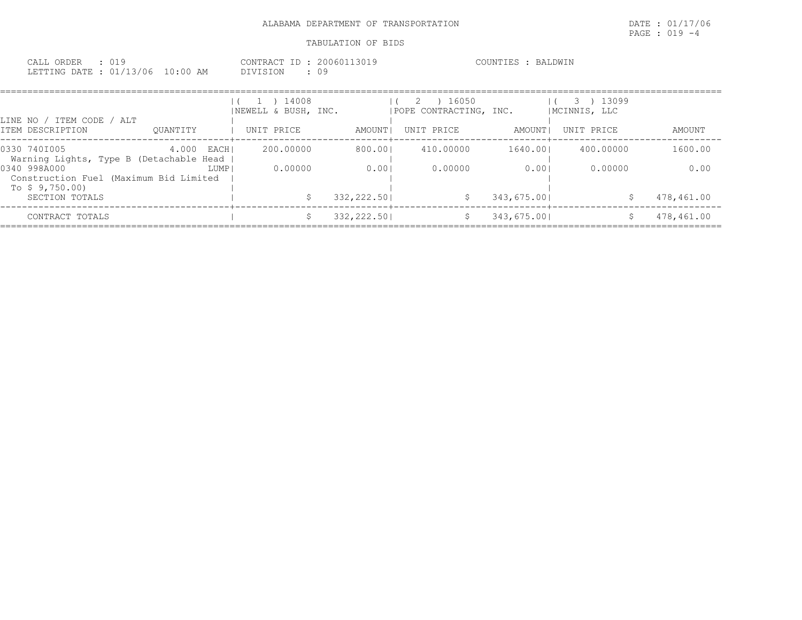| ORDER<br>w<br>$\Delta$<br>.<br>---- |             | CONTRACT<br>$ -$<br>200601 | <b>TMTN</b> .<br>RД<br>OUN<br>. H. Y |
|-------------------------------------|-------------|----------------------------|--------------------------------------|
| 01/13/06<br>ETTING DATE             | 10:00<br>AΜ | <b>DIVISION</b><br>◡ -     |                                      |

| LINE NO / ITEM CODE / ALT                                                |               | ) 14008<br>$\mathbf{1}$<br>NEWELL & BUSH, INC. |            | ) 16050<br>2<br>IPOPE CONTRACTING, INC. |                                       | 3 ) 13099<br>  MCINNIS, LLC |            |
|--------------------------------------------------------------------------|---------------|------------------------------------------------|------------|-----------------------------------------|---------------------------------------|-----------------------------|------------|
| ITEM DESCRIPTION                                                         | OUANTITY      | UNIT PRICE                                     | AMOUNT I   | UNIT PRICE                              | AMOUNT I                              | UNIT PRICE                  | AMOUNT     |
| 0330 7401005<br>Warning Lights, Type B (Detachable Head                  | 4.000<br>EACH | 200,00000                                      | 800.001    | 410,00000                               | 1640.001                              | 400,00000                   | 1600.00    |
| 0340 998A000<br>Construction Fuel (Maximum Bid Limited<br>To \$9,750.00) | LUMP          | 0.00000                                        | 0.001      | 0.00000                                 | 0.001                                 | 0.00000                     | 0.00       |
| SECTION TOTALS                                                           |               |                                                | 332,222.50 | S.                                      | 343,675.001<br>-----------+---------- |                             | 478,461.00 |
| CONTRACT TOTALS                                                          |               |                                                | 332,222.50 |                                         | 343,675.001                           |                             | 478,461.00 |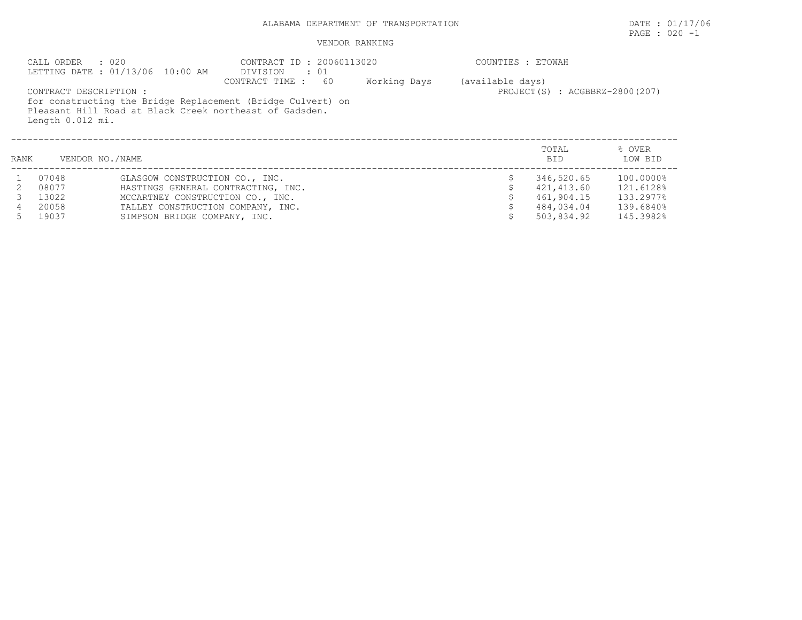# PAGE : 020 -1

# VENDOR RANKING

|      | $\cdot$ 020<br>CALL ORDER                  | LETTING DATE: 01/13/06 10:00 AM    | CONTRACT ID: 20060113020<br>DIVISION<br>. . 01                                                                                                  |              | COUNTIES : ETOWAH |                                |                   |
|------|--------------------------------------------|------------------------------------|-------------------------------------------------------------------------------------------------------------------------------------------------|--------------|-------------------|--------------------------------|-------------------|
|      | CONTRACT DESCRIPTION :<br>Length 0.012 mi. |                                    | 60<br>CONTRACT TIME :<br>for constructing the Bridge Replacement (Bridge Culvert) on<br>Pleasant Hill Road at Black Creek northeast of Gadsden. | Working Days | (available days)  | PROJECT(S) : ACGBBRZ-2800(207) |                   |
| RANK | VENDOR NO./NAME                            |                                    |                                                                                                                                                 |              |                   | TOTAL<br>BID.                  | % OVER<br>LOW BID |
|      | 07048                                      | GLASGOW CONSTRUCTION CO., INC.     |                                                                                                                                                 |              |                   | 346,520.65                     | 100.0000%         |
|      | 08077                                      | HASTINGS GENERAL CONTRACTING, INC. |                                                                                                                                                 |              |                   | 421,413.60                     | 121.6128%         |
|      | 13022                                      | MCCARTNEY CONSTRUCTION CO., INC.   |                                                                                                                                                 |              |                   | 461,904.15                     | 133.2977%         |

 4 20058 TALLEY CONSTRUCTION COMPANY, INC. \$ 484,034.04 139.6840% 5 19037 SIMPSON BRIDGE COMPANY, INC. \$ 503,834.92 145.3982%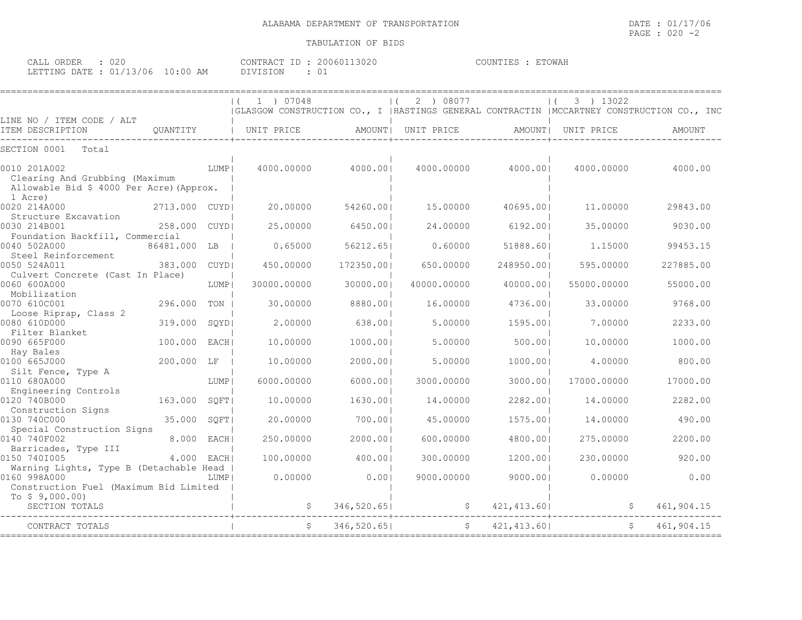| ORDER<br>CALL (        | 02C |          | CONTRACT ID | 20060113020 | ETOWAF<br>COUNTIES |
|------------------------|-----|----------|-------------|-------------|--------------------|
| LETTING DATE: 01/13/06 |     | 10:00 AM |             |             |                    |

|                                                                                                       |                |        | 1 ) 07048<br>(GLASGOW CONSTRUCTION CO., I   HASTINGS GENERAL CONTRACTIN   MCCARTNEY CONSTRUCTION CO., INC |             | 2 ) 08077   |              | 3 ) 13022   |            |
|-------------------------------------------------------------------------------------------------------|----------------|--------|-----------------------------------------------------------------------------------------------------------|-------------|-------------|--------------|-------------|------------|
| LINE NO / ITEM CODE / ALT<br>ITEM DESCRIPTION                                                         | QUANTITY       |        | UNIT PRICE                                                                                                | AMOUNT      | UNIT PRICE  | AMOUNT       | UNIT PRICE  | AMOUNT     |
| Total<br>SECTION 0001                                                                                 |                |        |                                                                                                           |             |             |              |             |            |
| 0010 201A002<br>Clearing And Grubbing (Maximum<br>Allowable Bid \$ 4000 Per Acre) (Approx.<br>1 Acre) |                | LUMP   | 4000.00000                                                                                                | 4000.001    | 4000.00000  | 4000.001     | 4000.00000  | 4000.00    |
| 0020 214A000<br>Structure Excavation                                                                  | 2713.000 CUYDI |        | 20,00000                                                                                                  | 54260.001   | 15,00000    | 40695.001    | 11,00000    | 29843.00   |
| 0030 214B001<br>Foundation Backfill, Commercial                                                       | 258.000        | CUYD   | 25.00000                                                                                                  | 6450.001    | 24,00000    | 6192.001     | 35.00000    | 9030.00    |
| 0040 502A000<br>Steel Reinforcement                                                                   | 86481.000      | LB     | 0.65000                                                                                                   | 56212.651   | 0.60000     | 51888.601    | 1.15000     | 99453.15   |
| 0050 524A011<br>Culvert Concrete (Cast In Place)                                                      | 383.000        | CUYD   | 450.00000                                                                                                 | 172350.00   | 650.00000   | 248950.001   | 595.00000   | 227885.00  |
| 0060 600A000<br>Mobilization                                                                          |                | LUMP   | 30000.00000                                                                                               | 30000.00    | 40000.00000 | 40000.001    | 55000.00000 | 55000.00   |
| 0070 610C001<br>Loose Riprap, Class 2                                                                 | 296.000        | TON    | 30.00000                                                                                                  | 8880.001    | 16.00000    | 4736.001     | 33.00000    | 9768.00    |
| 0080 610D000<br>Filter Blanket                                                                        | 319.000        | SQYD   | 2,00000                                                                                                   | 638.001     | 5.00000     | 1595.001     | 7.00000     | 2233.00    |
| 0090 665F000<br>Hay Bales                                                                             | 100.000        | EACH   | 10.00000                                                                                                  | 1000.001    | 5.00000     | 500.00       | 10.00000    | 1000.00    |
| 0100 665J000<br>Silt Fence, Type A                                                                    | 200.000 LF     |        | 10.00000                                                                                                  | 2000.00     | 5.00000     | 1000.001     | 4.00000     | 800.00     |
| 0110 680A000<br>Engineering Controls                                                                  |                | LUMP   | 6000.00000                                                                                                | 6000.001    | 3000.00000  | 3000.00      | 17000.00000 | 17000.00   |
| 0120 740B000<br>Construction Signs                                                                    | 163.000        | SOFT   | 10.00000                                                                                                  | 1630.001    | 14.00000    | 2282.001     | 14,00000    | 2282.00    |
| 0130 740C000<br>Special Construction Signs                                                            | 35.000         | SQFT   | 20.00000                                                                                                  | 700.001     | 45.00000    | 1575.001     | 14.00000    | 490.00     |
| 0140 740F002<br>Barricades, Type III                                                                  | 8,000          | EACH   | 250.00000                                                                                                 | 2000.001    | 600.00000   | 4800.001     | 275.00000   | 2200.00    |
| 0150 7401005<br>Warning Lights, Type B (Detachable Head                                               | 4.000          | EACH I | 100.00000                                                                                                 | 400.00      | 300.00000   | 1200.001     | 230.00000   | 920.00     |
| 0160 998A000<br>Construction Fuel (Maximum Bid Limited<br>To $$9,000.00)$                             |                | LUMP   | 0.00000                                                                                                   | 0.001       | 9000.00000  | 9000.001     | 0.00000     | 0.00       |
| SECTION TOTALS                                                                                        |                |        |                                                                                                           | 346,520.65  | \$.         | 421, 413.60  |             | 461,904.15 |
| CONTRACT TOTALS                                                                                       |                |        |                                                                                                           | 346,520.651 | \$          | 421, 413.601 |             | 461,904.15 |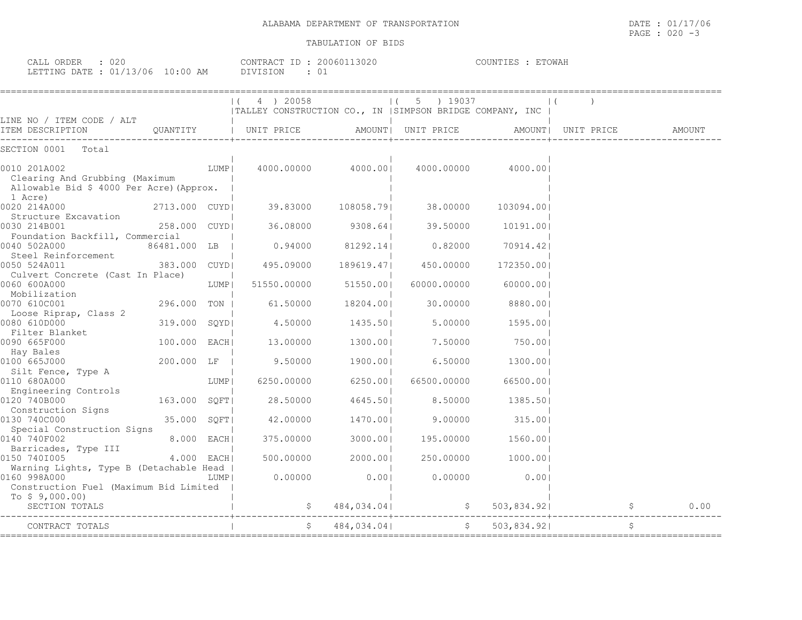| 020<br>ORDER<br>اللطات               |         | CONTRACT | 3020<br>200601 | ETOWAL<br><b>IINT TE</b> |
|--------------------------------------|---------|----------|----------------|--------------------------|
| LETTING.<br>ロュアロ<br>3/06<br>$\cdots$ | ΆM<br>, | DIVISION | ◡∸             |                          |

|                                                                                            |                |      | $ (4)$ 20058<br> TALLEY CONSTRUCTION CO., IN  SIMPSON BRIDGE COMPANY, INC |                   | $(5)$ 19037                                   |                                                               |                    |        |
|--------------------------------------------------------------------------------------------|----------------|------|---------------------------------------------------------------------------|-------------------|-----------------------------------------------|---------------------------------------------------------------|--------------------|--------|
| LINE NO / ITEM CODE / ALT<br>ITEM DESCRIPTION                                              | OUANTITY       |      | UNIT PRICE                                                                |                   | AMOUNT  UNIT PRICE                            |                                                               | AMOUNT  UNIT PRICE | AMOUNT |
| SECTION 0001<br>Total                                                                      |                |      |                                                                           |                   |                                               |                                                               |                    |        |
| 0010 201A002<br>Clearing And Grubbing (Maximum<br>Allowable Bid \$ 4000 Per Acre) (Approx. |                | LUMP |                                                                           |                   | 4000.00000 4000.00 4000.00000 4000.00 4000.00 |                                                               |                    |        |
| 1 Acre)<br>0020 214A000<br>Structure Excavation                                            | 2713.000 CUYDI |      | 39.83000                                                                  | 108058.791        | 38.00000                                      | 103094.001                                                    |                    |        |
| 0030 214B001<br>Foundation Backfill, Commercial                                            | 258.000 CUYD   |      | 36.08000                                                                  | 9308.641          | 39.50000                                      | 10191.001                                                     |                    |        |
| 0040 502A000<br>Steel Reinforcement                                                        | 86481.000 LB   |      | 0.94000                                                                   | 81292.14          | 0.82000                                       | 70914.421                                                     |                    |        |
| 0050 524A011<br>Culvert Concrete (Cast In Place)                                           | 383.000 CUYDI  |      | 495.09000                                                                 | 189619.471        | 450.00000                                     | 172350.001                                                    |                    |        |
| 0060 600A000<br>Mobilization                                                               |                | LUMP | 51550.00000                                                               | 51550.001         | 60000.00000                                   | 60000.001                                                     |                    |        |
| 0070 610C001<br>Loose Riprap, Class 2                                                      | 296.000 TON    |      | 61.50000                                                                  | 18204.001         | 30.00000                                      | 8880.001                                                      |                    |        |
| 0080 610D000<br>Filter Blanket                                                             | 319.000 SQYD   |      | 4.50000                                                                   | 1435.501          | 5.00000                                       | 1595.00                                                       |                    |        |
| 0090 665F000<br>Hay Bales                                                                  | 100.000 EACH   |      | 13.00000                                                                  | 1300.001          | 7.50000                                       | 750.001                                                       |                    |        |
| 200.000 LF<br>0100 665J000<br>Silt Fence, Type A                                           |                |      | 9.50000                                                                   | 1900.001          | 6.50000                                       | 1300.00                                                       |                    |        |
| 0110 680A000<br>Engineering Controls                                                       |                | LUMP | 6250.00000                                                                | 6250.001          | 66500.00000                                   | 66500.001                                                     |                    |        |
| 0120 740B000<br>Construction Signs                                                         | 163.000 SQFT   |      | 28.50000                                                                  | 4645.501          | 8.50000                                       | 1385.501                                                      |                    |        |
| 0130 740C000<br>Special Construction Signs                                                 | 35.000 SQFT    |      | 42.00000                                                                  | 1470.001          | 9.00000                                       | 315.00                                                        |                    |        |
| 0140 740F002<br>Barricades, Type III                                                       | 8.000 EACH     |      | 375.00000                                                                 | 3000.00           | 195.00000                                     | 1560.001                                                      |                    |        |
| 0150 7401005<br>Warning Lights, Type B (Detachable Head                                    | 4.000 EACHI    |      |                                                                           | 500.00000 2000.00 | 250.00000                                     | 1000.001                                                      |                    |        |
| 0160 998A000<br>Construction Fuel (Maximum Bid Limited<br>To $$9,000.00)$                  |                | LUMP | 0.00000                                                                   | 0.00              | 0.00000                                       | 0.001                                                         |                    |        |
| SECTION TOTALS                                                                             |                |      |                                                                           | 484,034.04        |                                               | 503,834.92                                                    |                    | 0.00   |
| CONTRACT TOTALS                                                                            |                |      |                                                                           | 484,034.04        |                                               | $\begin{array}{cc} \xi & \quad \  \end{array}$<br>503, 834.92 |                    |        |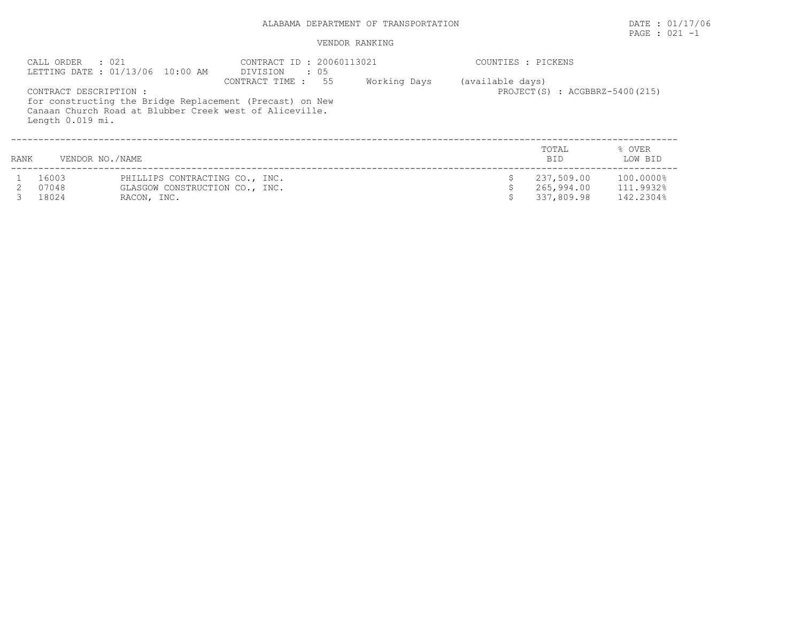|      | CALL ORDER<br>. 021<br>CONTRACT DESCRIPTION : | LETTING DATE: 01/13/06 10:00 AM                                  | CONTRACT ID: 20060113021<br>DIVISION<br>$\cdot$ 05<br>CONTRACT TIME :<br>55<br>for constructing the Bridge Replacement (Precast) on New<br>Canaan Church Road at Blubber Creek west of Aliceville. | Working Days | COUNTIES : PICKENS<br>(available days) | PROJECT(S) : ACGBBRZ-5400(215) |                        |
|------|-----------------------------------------------|------------------------------------------------------------------|----------------------------------------------------------------------------------------------------------------------------------------------------------------------------------------------------|--------------|----------------------------------------|--------------------------------|------------------------|
| RANK | Length 0.019 mi.<br>VENDOR NO./NAME           |                                                                  |                                                                                                                                                                                                    |              |                                        | TOTAL<br><b>BID</b>            | % OVER<br>LOW BID      |
|      | 16003<br>07048                                | PHILLIPS CONTRACTING CO., INC.<br>GLASGOW CONSTRUCTION CO., INC. |                                                                                                                                                                                                    |              |                                        | 237,509.00<br>265,994.00       | 100.0000%<br>111.9932% |
|      | 18024                                         | RACON, INC.                                                      |                                                                                                                                                                                                    |              |                                        | 337,809.98                     | 142.2304%              |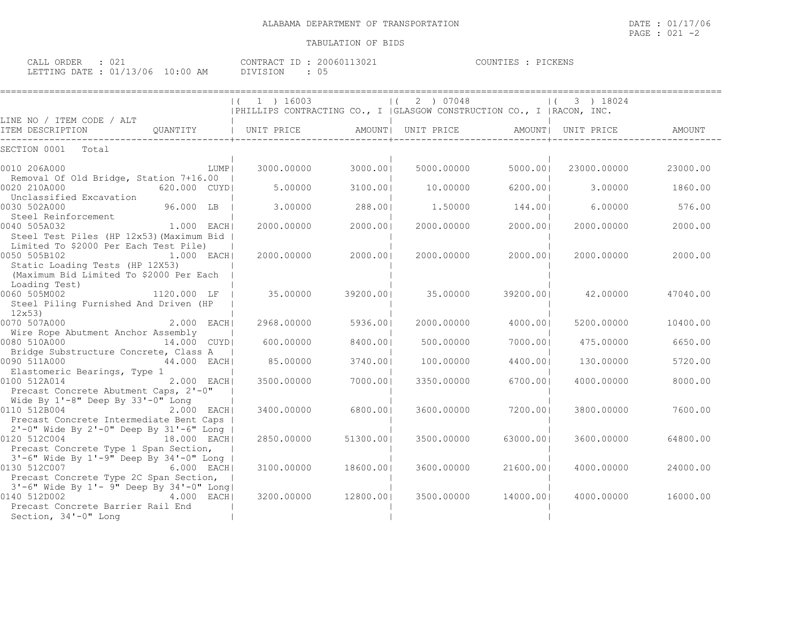| CALL ORDER                       | UZ. | CONTRACT ID: 20060113021 |  | COUNTIES : PICKENS |  |
|----------------------------------|-----|--------------------------|--|--------------------|--|
| LETTING DATE : 01/13/06 10:00 AM |     | DIVISION                 |  |                    |  |

|                                                                                                                                       | 1 ) 16003                                                               |           | 2 ) 07048  |           | 3 ) 18024   |          |
|---------------------------------------------------------------------------------------------------------------------------------------|-------------------------------------------------------------------------|-----------|------------|-----------|-------------|----------|
|                                                                                                                                       | PHILLIPS CONTRACTING CO., I   GLASGOW CONSTRUCTION CO., I   RACON, INC. |           |            |           |             |          |
| LINE NO / ITEM CODE / ALT<br>ITEM DESCRIPTION                                                                                         | QUANTITY   UNIT PRICE   AMOUNT  UNIT PRICE   AMOUNT  UNIT PRICE         |           |            |           |             | AMOUNT   |
| SECTION 0001 Total                                                                                                                    |                                                                         |           |            |           |             |          |
| LUMP  <br>0010 206A000<br>Removal Of Old Bridge, Station 7+16.00                                                                      | 3000.00000                                                              | 3000.001  | 5000.00000 | 5000.001  | 23000.00000 | 23000.00 |
| 0020 210A000<br>620.000 CUYDI<br>Unclassified Excavation                                                                              | 5.00000                                                                 | 3100.001  | 10.00000   | 6200.001  | 3.00000     | 1860.00  |
| 96.000 LB<br>0030 502A000<br>Steel Reinforcement                                                                                      | 3,00000                                                                 | 288.001   | 1,50000    | 144.001   | 6.00000     | 576.00   |
| 0040 505A032<br>1.000 EACHI<br>Steel Test Piles (HP 12x53) (Maximum Bid                                                               | 2000.00000                                                              | 2000.001  | 2000.00000 | 2000.00   | 2000.00000  | 2000.00  |
| Limited To \$2000 Per Each Test Pile)<br>0050 505B102<br>$1.000$ EACH<br>Static Loading Tests (HP 12X53)                              | 2000.00000                                                              | 2000.001  | 2000.00000 | 2000.001  | 2000.00000  | 2000.00  |
| (Maximum Bid Limited To \$2000 Per Each<br>Loading Test)                                                                              |                                                                         |           |            |           |             |          |
| 0060 505M002<br>1120.000 LF  <br>Steel Piling Furnished And Driven (HP<br>12x53                                                       | 35,00000                                                                | 39200.001 | 35.00000   | 39200.001 | 42.00000    | 47040.00 |
| 0070 507A000<br><b>2.000 EACHI</b>                                                                                                    | 2968.00000                                                              | 5936.001  | 2000.00000 | 4000.001  | 5200.00000  | 10400.00 |
| Wire Rope Abutment Anchor Assembly<br>0080 510A000<br>14.000 CUYD                                                                     | 600,00000                                                               | 8400.001  | 500,00000  | 7000.001  | 475.00000   | 6650.00  |
| Bridge Substructure Concrete, Class A<br>0090 511A000<br>44.000 EACHI                                                                 | 85.00000                                                                | 3740.001  | 100,00000  | 4400.001  | 130,00000   | 5720.00  |
| Elastomeric Bearings, Type 1                                                                                                          |                                                                         |           |            |           |             |          |
| and the state of the state of<br>0100 512A014<br>2.000 EACHI<br>Precast Concrete Abutment Caps, 2'-0"                                 | 3500.00000                                                              | 7000.001  | 3350.00000 | 6700.001  | 4000.00000  | 8000.00  |
| Wide By 1'-8" Deep By 33'-0" Long<br>0110 512B004<br>2.000 EACH                                                                       | 3400.00000                                                              | 6800.001  | 3600.00000 | 7200.001  | 3800.00000  | 7600.00  |
| Precast Concrete Intermediate Bent Caps  <br>2'-0" Wide By 2'-0" Deep By 31'-6" Long  <br>$18.000$ EACH                               |                                                                         |           |            |           |             |          |
| 0120 512C004<br>Precast Concrete Type 1 Span Section,                                                                                 | 2850.00000                                                              | 51300.001 | 3500.00000 | 63000.001 | 3600,00000  | 64800.00 |
| 3'-6" Wide By 1'-9" Deep By 34'-0" Long  <br>0130 512C007<br>6.000 EACHI<br>Precast Concrete Type 2C Span Section,                    | 3100.00000                                                              | 18600.001 | 3600,00000 | 21600.001 | 4000,00000  | 24000.00 |
| 3'-6" Wide By 1'- 9" Deep By 34'-0" Long <br>0140 512D002<br>4.000 EACH <br>Precast Concrete Barrier Rail End<br>Section, 34'-0" Long | 3200.00000                                                              | 12800.001 | 3500.00000 | 14000.001 | 4000.00000  | 16000.00 |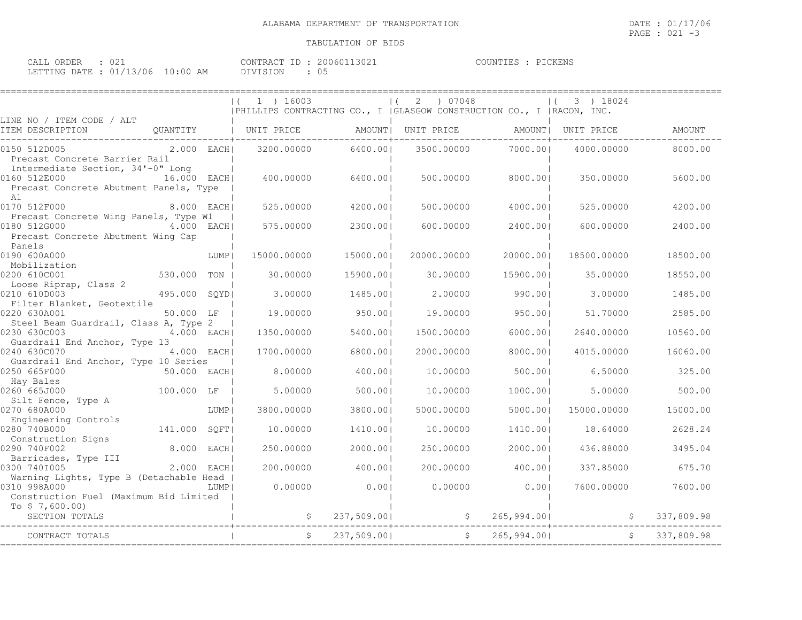| CALL ORDER : 021                 |  |          | CONTRACT ID: 20060113021 | COUNTIES : PICKENS |  |
|----------------------------------|--|----------|--------------------------|--------------------|--|
| LETTING DATE : 01/13/06 10:00 AM |  | DIVISION |                          |                    |  |

|                                                                                                                      |        | 1 ) 16003   |             | 07048       | PHILLIPS CONTRACTING CO., I   GLASGOW CONSTRUCTION CO., I   RACON, INC. | 3 ) 18024           |               |
|----------------------------------------------------------------------------------------------------------------------|--------|-------------|-------------|-------------|-------------------------------------------------------------------------|---------------------|---------------|
| LINE NO / ITEM CODE / ALT<br>ITEM DESCRIPTION<br>OUANTITY                                                            |        | UNIT PRICE  | AMOUNT      | UNIT PRICE  |                                                                         | AMOUNT   UNIT PRICE | <b>AMOUNT</b> |
| 2.000 EACHI<br>0150 512D005<br>Precast Concrete Barrier Rail                                                         |        | 3200,00000  | 6400.001    | 3500.00000  | 7000.001                                                                | 4000.00000          | 8000.00       |
| Intermediate Section, 34'-0" Long<br>0160 512E000<br>16.000 EACH <br>Precast Concrete Abutment Panels, Type          |        | 400.00000   | 6400.001    | 500.00000   | 8000.001                                                                | 350.00000           | 5600.00       |
| A1<br>0170 512F000<br>8.000 EACHI                                                                                    |        | 525.00000   | 4200.001    | 500.00000   | 4000.001                                                                | 525.00000           | 4200.00       |
| Precast Concrete Wing Panels, Type W1<br>0180 512G000<br>4.000 EACH <br>Precast Concrete Abutment Wing Cap<br>Panels |        | 575.00000   | 2300.001    | 600.00000   | 2400.001                                                                | 600,00000           | 2400.00       |
| 0190 600A000                                                                                                         | LUMP   | 15000.00000 | 15000.001   | 20000.00000 | 20000.001                                                               | 18500.00000         | 18500.00      |
| Mobilization<br>0200 610C001<br>530.000<br>Loose Riprap, Class 2                                                     | TON    | 30,00000    | 15900.001   | 30.00000    | 15900.001                                                               | 35,00000            | 18550.00      |
| 0210 610D003<br>495.000<br>Filter Blanket, Geotextile                                                                | SOYDI  | 3.00000     | 1485.00     | 2,00000     | 990.001                                                                 | 3.00000             | 1485.00       |
| 0220 630A001<br>50.000 LF<br>Steel Beam Guardrail, Class A, Type 2                                                   |        | 19,00000    | 950.001     | 19,00000    | 950.001                                                                 | 51.70000            | 2585.00       |
| 0230 630C003<br>4.000 EACHI<br>Guardrail End Anchor, Type 13                                                         |        | 1350.00000  | 5400.001    | 1500.00000  | 6000.001                                                                | 2640.00000          | 10560.00      |
| 0240 630C070<br>4.000 EACH <br>Guardrail End Anchor, Type 10 Series                                                  |        | 1700.00000  | 6800.001    | 2000.00000  | 8000.001                                                                | 4015.00000          | 16060.00      |
| 0250 665F000<br>50.000 EACH <br>Hay Bales                                                                            |        | 8,00000     | 400.001     | 10.00000    | 500.001                                                                 | 6.50000             | 325.00        |
| 0260 665J000<br>100.000 LF                                                                                           |        | 5.00000     | 500.001     | 10,00000    | 1000.001                                                                | 5.00000             | 500.00        |
| Silt Fence, Type A<br>0270 680A000                                                                                   | LUMP   | 3800.00000  | 3800.001    | 5000.00000  | 5000.001                                                                | 15000.00000         | 15000.00      |
| Engineering Controls<br>0280 740B000<br>141,000                                                                      | SQFT   | 10,00000    | 1410.00     | 10.00000    | 1410.001                                                                | 18.64000            | 2628.24       |
| Construction Signs<br>0290 740F002<br>8,000                                                                          | EACH I | 250.00000   | 2000.001    | 250.00000   | 2000.001                                                                | 436.88000           | 3495.04       |
| Barricades, Type III<br>0300 7401005<br>2.000                                                                        | EACH I | 200,00000   | 400.001     | 200,00000   | 400.001                                                                 | 337.85000           | 675.70        |
| Warning Lights, Type B (Detachable Head<br>0310 998A000<br>Construction Fuel (Maximum Bid Limited                    | LUMP   | 0.00000     | 0.001       | 0.00000     | 0.001                                                                   | 7600,00000          | 7600.00       |
| To $$7,600.00)$<br>SECTION TOTALS                                                                                    |        | S.          | 237,509.00  |             | 265,994.00<br>\$                                                        |                     | 337,809.98    |
| CONTRACT TOTALS                                                                                                      |        |             | 237,509.001 |             | 265,994.001                                                             |                     | 337,809.98    |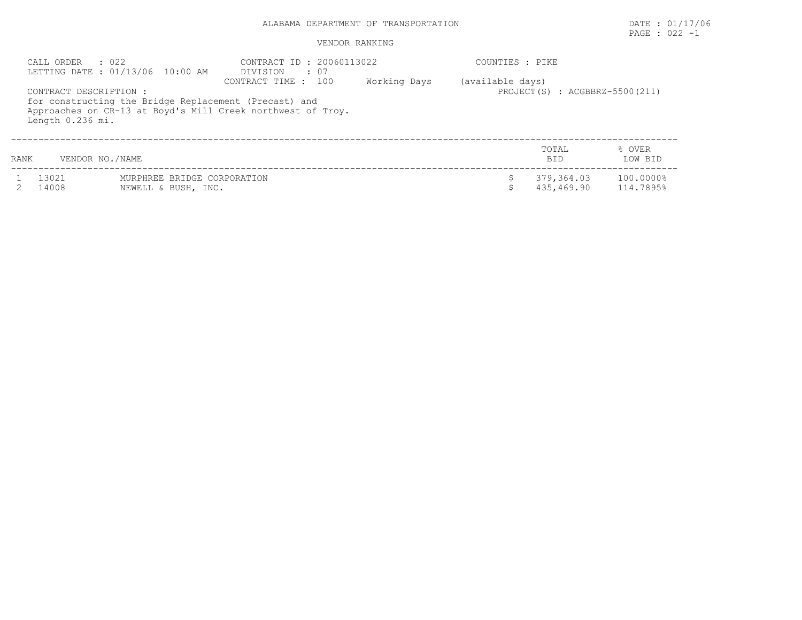# PAGE : 022 -1

|      | $\cdot$ 022<br>CALL ORDER                  | LETTING DATE: 01/13/06 10:00 AM                    | CONTRACT ID: 20060113022<br>DIVISION<br>: 07                                                                                                |              | COUNTIES : PIKE  |                                      |                        |
|------|--------------------------------------------|----------------------------------------------------|---------------------------------------------------------------------------------------------------------------------------------------------|--------------|------------------|--------------------------------------|------------------------|
|      | CONTRACT DESCRIPTION :<br>Length 0.236 mi. |                                                    | CONTRACT TIME : 100<br>for constructing the Bridge Replacement (Precast) and<br>Approaches on CR-13 at Boyd's Mill Creek northwest of Troy. | Working Days | (available days) | PROJECT $(S)$ : ACGBBRZ-5500 $(211)$ |                        |
| RANK | VENDOR NO./NAME                            |                                                    |                                                                                                                                             |              |                  | TOTAL<br>BID.                        | % OVER<br>LOW BID      |
|      | 13021<br>14008                             | MURPHREE BRIDGE CORPORATION<br>NEWELL & BUSH, INC. |                                                                                                                                             |              |                  | 379,364.03<br>435,469.90             | 100.0000%<br>114.7895% |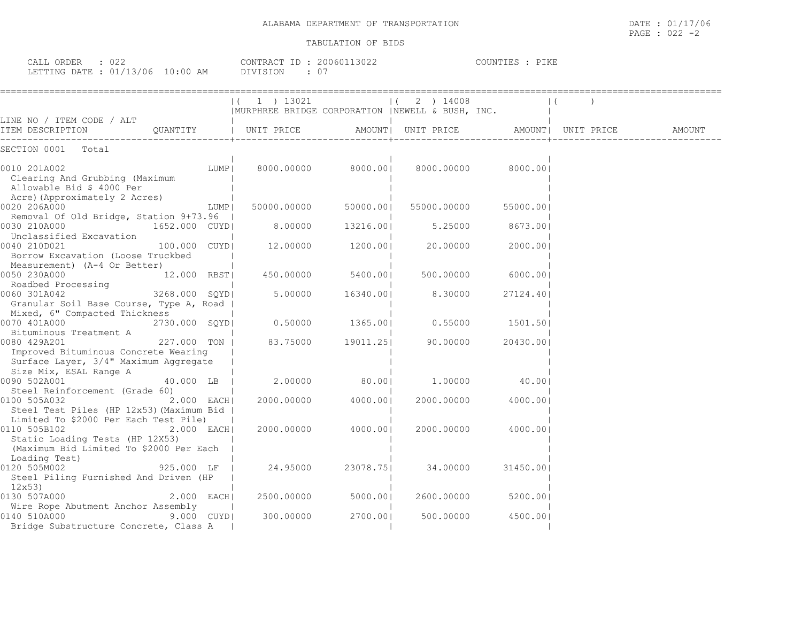| CALL ORDER<br>: 022              | CONTRACT ID: 20060113022 | COUNTIES : PIKE |
|----------------------------------|--------------------------|-----------------|
| LETTING DATE : 01/13/06 10:00 AM | DIVISION                 |                 |

|                                                             |              | $ (1)$ 13021                                     |                     | 2 ) 14008<br>$\mathbf{1}$              |           | $\vert$ (          |        |
|-------------------------------------------------------------|--------------|--------------------------------------------------|---------------------|----------------------------------------|-----------|--------------------|--------|
|                                                             |              | MURPHREE BRIDGE CORPORATION  NEWELL & BUSH, INC. |                     |                                        |           |                    |        |
| LINE NO / ITEM CODE / ALT                                   |              | UNIT PRICE                                       |                     | AMOUNT  UNIT PRICE                     |           | AMOUNT  UNIT PRICE | AMOUNT |
| ITEM DESCRIPTION QUANTITY                                   |              |                                                  |                     |                                        |           |                    |        |
| SECTION 0001<br>Total                                       |              |                                                  |                     |                                        |           |                    |        |
| 0010 201A002                                                | LUMP         |                                                  |                     | 8000.00000 8000.00  8000.00000 8000.00 |           |                    |        |
| Clearing And Grubbing (Maximum<br>Allowable Bid \$ 4000 Per |              |                                                  |                     |                                        |           |                    |        |
| Acre) (Approximately 2 Acres)<br>0020 206A000               | LUMP         | 50000.00000                                      | 50000.001           | 55000.00000                            | 55000.001 |                    |        |
| Removal Of Old Bridge, Station 9+73.96                      |              |                                                  |                     |                                        |           |                    |        |
| 0030 210A000<br>1652.000 CUYDI                              |              | 8.00000                                          | 13216.001           | 5.25000                                | 8673.001  |                    |        |
| Unclassified Excavation                                     |              |                                                  |                     |                                        |           |                    |        |
| 0040 210D021<br>100.000 CUYD                                |              | 12,00000                                         | 1200.001            | 20.00000                               | 2000.001  |                    |        |
| Borrow Excavation (Loose Truckbed                           |              |                                                  |                     |                                        |           |                    |        |
| Measurement) (A-4 Or Better)                                |              |                                                  |                     |                                        |           |                    |        |
| 0050 230A000<br>12.000 RBST                                 |              |                                                  | 450.00000 5400.00   | 500.00000                              | 6000.001  |                    |        |
| Roadbed Processing<br>3268.000 SQYD<br>0060 301A042         |              | 5.00000                                          | 16340.001           | 8.30000                                | 27124.401 |                    |        |
| Granular Soil Base Course, Type A, Road                     |              |                                                  |                     |                                        |           |                    |        |
| Mixed, 6" Compacted Thickness                               |              |                                                  |                     |                                        |           |                    |        |
| 0070 401A000<br>2730.000 SOYDI                              |              |                                                  |                     | $0.50000$ 1365.00  0.55000             | 1501.501  |                    |        |
| Bituminous Treatment A                                      |              |                                                  |                     |                                        |           |                    |        |
| 227.000 TON  <br>0080 429A201                               |              |                                                  | 83.75000 19011.25   | 90.00000                               | 20430.001 |                    |        |
| Improved Bituminous Concrete Wearing                        |              |                                                  |                     |                                        |           |                    |        |
| Surface Layer, 3/4" Maximum Aggregate                       |              |                                                  |                     |                                        |           |                    |        |
| Size Mix, ESAL Range A                                      |              |                                                  |                     |                                        |           |                    |        |
| 40.000 LB  <br>0090 502A001                                 |              |                                                  | 2.00000 80.001      | 1.00000                                | 40.00     |                    |        |
| Steel Reinforcement (Grade 60)                              |              |                                                  |                     |                                        |           |                    |        |
| 0100 505A032<br>Steel Test Piles (HP 12x53) (Maximum Bid    | $2.000$ EACH |                                                  | 2000.00000 4000.001 | 2000.00000                             | 4000.001  |                    |        |
| Limited To \$2000 Per Each Test Pile)                       |              |                                                  |                     |                                        |           |                    |        |
| 0110 505B102                                                | 2.000 EACH   | 2000.00000                                       | 4000.00             | 2000.00000                             | 4000.001  |                    |        |
| Static Loading Tests (HP 12X53)                             |              |                                                  |                     |                                        |           |                    |        |
| (Maximum Bid Limited To \$2000 Per Each                     |              |                                                  |                     |                                        |           |                    |        |
| Loading Test)                                               |              |                                                  |                     |                                        |           |                    |        |
| 0120 505M002<br>925.000 LF                                  |              | 24.95000                                         | 23078.751           | 34.00000                               | 31450.001 |                    |        |
| Steel Piling Furnished And Driven (HP                       |              |                                                  |                     |                                        |           |                    |        |
| 12x53)                                                      |              |                                                  |                     |                                        |           |                    |        |
| 0130 507A000                                                | $2.000$ EACH |                                                  | 2500.00000 5000.00  | 2600.00000                             | 5200.001  |                    |        |
| Wire Rope Abutment Anchor Assembly<br>0140 510A000          | 9.000 CUYD   | 300.00000                                        | 2700.001            | 500.00000                              | 4500.001  |                    |        |
| Bridge Substructure Concrete, Class A                       |              |                                                  |                     |                                        |           |                    |        |
|                                                             |              |                                                  |                     |                                        |           |                    |        |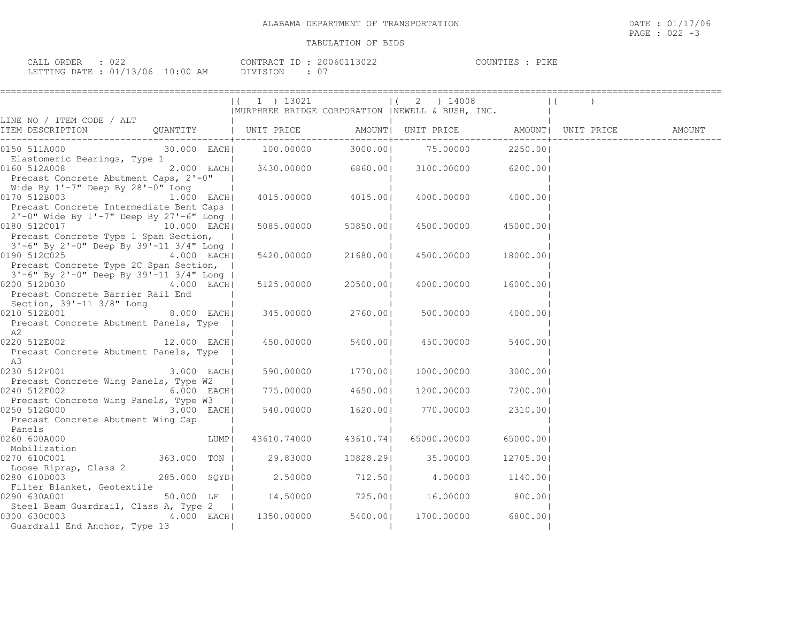| CALL ORDER                       |  |          | CONTRACT ID: 20060113022 | PIKE<br>COUNTIES : |
|----------------------------------|--|----------|--------------------------|--------------------|
| LETTING DATE : 01/13/06 10:00 AM |  | DIVISION |                          |                    |

|                                                                                                                |              |      | ( 1 ) 13021                                       |                      | 2 ) 14008          |                     |                    |        |
|----------------------------------------------------------------------------------------------------------------|--------------|------|---------------------------------------------------|----------------------|--------------------|---------------------|--------------------|--------|
|                                                                                                                |              |      | MURPHREE BRIDGE CORPORATION   NEWELL & BUSH, INC. |                      |                    |                     |                    |        |
| LINE NO / ITEM CODE / ALT                                                                                      |              |      |                                                   |                      |                    |                     |                    |        |
| ITEM DESCRIPTION QUANTITY   UNIT PRICE                                                                         |              |      |                                                   |                      | AMOUNT  UNIT PRICE |                     | AMOUNT  UNIT PRICE | AMOUNT |
| 0150 511A000 and the state of the state of the state of the state of the state of the state of the state of th |              |      | 30.000 EACH  100.00000                            | 3000.001             | 75.00000           | 2250.001            |                    |        |
| Elastomeric Bearings, Type 1                                                                                   |              |      |                                                   |                      |                    |                     |                    |        |
| 0160 512A008                                                                                                   | 2.000 EACH   |      | $3430.00000$ 6860.00                              |                      | 3100.00000 6200.00 |                     |                    |        |
| Precast Concrete Abutment Caps, 2'-0"                                                                          |              |      |                                                   |                      |                    |                     |                    |        |
| Wide By 1'-7" Deep By 28'-0" Long                                                                              |              |      |                                                   |                      |                    |                     |                    |        |
| 0170 512B003 1.000 EACH                                                                                        |              |      |                                                   | 4015.00000 4015.00   |                    | 4000.00000 4000.001 |                    |        |
| Precast Concrete Intermediate Bent Caps                                                                        |              |      |                                                   |                      |                    |                     |                    |        |
| 2'-0" Wide By 1'-7" Deep By 27'-6" Long                                                                        |              |      |                                                   |                      |                    |                     |                    |        |
| 0180 512C017                                                                                                   | 10.000 EACH  |      |                                                   | 5085.00000 50850.00  | 4500.00000         | 45000.001           |                    |        |
| Precast Concrete Type 1 Span Section,                                                                          |              |      |                                                   |                      |                    |                     |                    |        |
| 3'-6" By 2'-0" Deep By 39'-11 3/4" Long                                                                        |              |      |                                                   |                      |                    |                     |                    |        |
| 0190 512C025 4.000 EACH                                                                                        |              |      | 5420.00000                                        | 21680.001            | 4500.00000         | 18000.001           |                    |        |
| Precast Concrete Type 2C Span Section,                                                                         |              |      |                                                   |                      |                    |                     |                    |        |
| 3'-6" By 2'-0" Deep By 39'-11 3/4" Long  <br>0200 512D030                                                      |              |      |                                                   |                      |                    |                     |                    |        |
| Precast Concrete Barrier Rail End                                                                              | 4.000 EACH   |      | 5125.00000                                        | 20500.001            | 4000.00000         | 16000.001           |                    |        |
| Section, 39'-11 3/8" Long                                                                                      |              |      |                                                   |                      |                    |                     |                    |        |
| 0210 512E001 8.000 EACH                                                                                        |              |      | 345.00000                                         | 2760.001             |                    | 500.00000 4000.00   |                    |        |
| Precast Concrete Abutment Panels, Type                                                                         |              |      |                                                   |                      |                    |                     |                    |        |
| A2                                                                                                             |              |      |                                                   |                      |                    |                     |                    |        |
| 12.000 EACH<br>0220 512E002                                                                                    |              |      | 450.00000                                         | 5400.001             | 450.00000          | 5400.00             |                    |        |
| Precast Concrete Abutment Panels, Type                                                                         |              |      |                                                   |                      |                    |                     |                    |        |
| A3.                                                                                                            |              |      |                                                   |                      |                    |                     |                    |        |
| 0230 512F001                                                                                                   | 3.000 EACH   |      |                                                   | 590.00000 1770.00    | 1000.00000         | 3000.001            |                    |        |
| Precast Concrete Wing Panels, Type W2                                                                          |              |      |                                                   |                      |                    |                     |                    |        |
| 0240 512F002                                                                                                   | $6.000$ EACH |      | 775.00000 4650.00                                 |                      |                    | 1200.00000 7200.00  |                    |        |
| Precast Concrete Wing Panels, Type W3                                                                          |              |      |                                                   |                      |                    |                     |                    |        |
| 0250 512G000                                                                                                   | 3.000 EACH   |      |                                                   | 540.00000 1620.00    | 770.00000          | 2310.001            |                    |        |
| Precast Concrete Abutment Wing Cap                                                                             |              |      |                                                   |                      |                    |                     |                    |        |
| Panels                                                                                                         |              |      |                                                   |                      |                    |                     |                    |        |
| 0260 600A000                                                                                                   |              | LUMP |                                                   | 43610.74000 43610.74 | 65000.00000        | 65000.001           |                    |        |
| Mobilization                                                                                                   |              |      |                                                   |                      |                    |                     |                    |        |
| 0270 610C001                                                                                                   | 363.000 TON  |      | 29.83000 10828.29                                 |                      | 35.00000           | 12705.001           |                    |        |
| Loose Riprap, Class 2                                                                                          |              |      |                                                   |                      |                    |                     |                    |        |
| 0280 610D003                                                                                                   | 285.000 SQYD |      | 2.50000                                           | 712.50               |                    | 4.00000 1140.00     |                    |        |
| Filter Blanket, Geotextile<br>0290 630A001                                                                     | 50.000 LF    |      | 14.50000 725.00                                   |                      |                    | 16.00000 800.00     |                    |        |
| Steel Beam Guardrail, Class A, Type 2                                                                          |              |      |                                                   |                      |                    |                     |                    |        |
| 0300 630C003                                                                                                   |              |      | 4.000 EACH 1350.00000 5400.00                     |                      | 1700.00000         | 6800.001            |                    |        |
| Guardrail End Anchor, Type 13                                                                                  |              |      |                                                   |                      |                    |                     |                    |        |
|                                                                                                                |              |      |                                                   |                      |                    |                     |                    |        |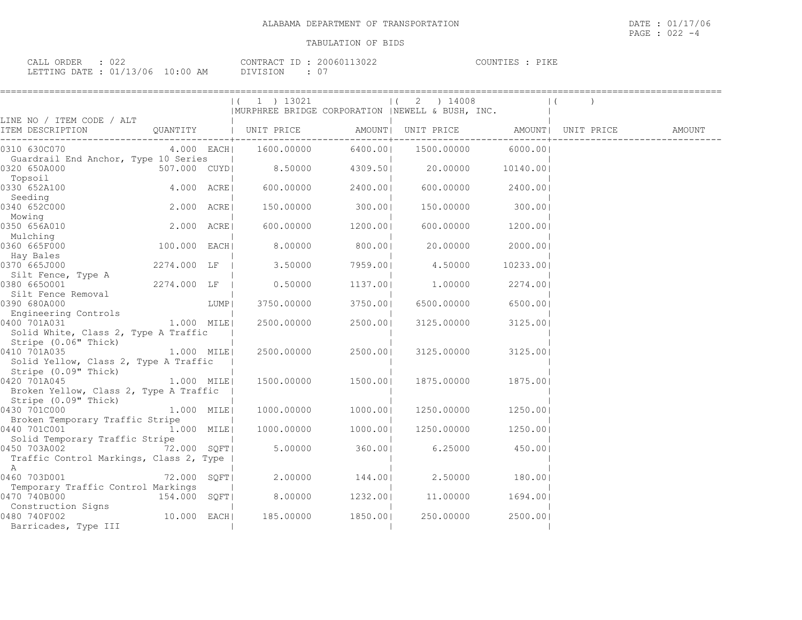| CALL ORDER : 022 |                                  | CONTRACT ID: 20060113022 | COUNTIES : PIKE |
|------------------|----------------------------------|--------------------------|-----------------|
|                  | LETTING DATE : 01/13/06 10:00 AM | DIVISION : 07            |                 |

|                                                                                |                |      | (1) 13021                                         |                | $ (2)$ ) 14008                                                                |                    | $\vert$ ( |  |
|--------------------------------------------------------------------------------|----------------|------|---------------------------------------------------|----------------|-------------------------------------------------------------------------------|--------------------|-----------|--|
|                                                                                |                |      | MURPHREE BRIDGE CORPORATION   NEWELL & BUSH, INC. |                |                                                                               |                    |           |  |
| LINE NO / ITEM CODE / ALT                                                      |                |      |                                                   |                | AMOUNT   UNIT PRICE   AMOUNT   UNIT PRICE   AMOUNT<br>---------+------------- |                    |           |  |
| 0310 630C070<br>Guardrail End Anchor, Type 10 Series                           |                |      | 4.000 EACH  1600.00000                            |                | 6400.00  1500.00000 6000.00                                                   |                    |           |  |
| 507.000 CUYD<br>0320 650A000<br>Topsoil                                        |                |      |                                                   |                | $8.50000$ $4309.50$ $20.00000$ $10140.00$                                     |                    |           |  |
| 0330 652A100<br>Seeding                                                        | 4.000 ACRE     |      | 600.00000                                         | 2400.00        | 600.00000                                                                     | 2400.00            |           |  |
| 0340 652C000<br>Mowing                                                         | $2.000$ $ACRE$ |      | 150.00000                                         | 300.001        | 150.00000                                                                     | 300.00             |           |  |
| 0350 656A010<br>Mulching                                                       | 2.000 ACRE     |      | 600.00000                                         | 1200.001       | 600.00000                                                                     | 1200.001           |           |  |
| 0360 665F000<br>Hay Bales                                                      | 100.000 EACH   |      | 8.00000                                           | 800.001        | 20.00000                                                                      | 2000.001           |           |  |
| 0370 665J000<br>Silt Fence, Type A                                             | 2274.000 LF    |      | 3.50000                                           | 7959.001       | 4.50000                                                                       | 10233.00           |           |  |
| 0380 6650001<br>Silt Fence Removal                                             | 2274.000 LF    |      | 0.50000                                           | 1137.001       | 1.00000                                                                       | 2274.001           |           |  |
| 0390 680A000<br>Engineering Controls                                           |                | LUMP | 3750.00000                                        | 3750.001       | 6500.00000                                                                    | 6500.001           |           |  |
| 0400 701A031<br>Solid White, Class 2, Type A Traffic<br>Stripe (0.06" Thick)   | 1,000 MILE     |      | 2500.00000                                        | 2500.00        | 3125.00000                                                                    | 3125.00            |           |  |
| 0410 701A035<br>Solid Yellow, Class 2, Type A Traffic<br>Stripe (0.09" Thick)  | $1.000$ MILE   |      | 2500.00000                                        | 2500.00        | 3125.00000                                                                    | 3125.00            |           |  |
| 0420 701A045<br>Broken Yellow, Class 2, Type A Traffic<br>Stripe (0.09" Thick) | 1.000 MILE     |      | 1500.00000                                        | 1500.001       | 1875.00000                                                                    | 1875.001           |           |  |
| 0430 701C000<br>1.000 MILE<br>Broken Temporary Traffic Stripe                  |                |      | 1000.00000                                        | 1000.001       | 1250.00000                                                                    | 1250.001           |           |  |
| 0440 701C001 1.000 MILE<br>Solid Temporary Traffic Stripe                      |                |      | 1000.00000 1000.00                                |                |                                                                               | 1250.00000 1250.00 |           |  |
| 0450 703A002<br>Traffic Control Markings, Class 2, Type  <br>A                 | 72.000 SOFT    |      |                                                   | 5.00000 360.00 | 6.25000                                                                       | 450.001            |           |  |
| 0460 703D001<br>Temporary Traffic Control Markings                             | 72.000 SQFT    |      | 2.00000                                           | 144.00         | 2.50000                                                                       | 180.00             |           |  |
| 0470 740B000<br>Construction Signs                                             | 154.000 SQFT   |      | 8.00000 1232.00                                   |                | 11.00000                                                                      | 1694.001           |           |  |
| 0480 740F002<br>Barricades, Type III                                           | 10.000 EACH    |      | 185.00000 1850.00                                 |                | 250.00000                                                                     | 2500.00            |           |  |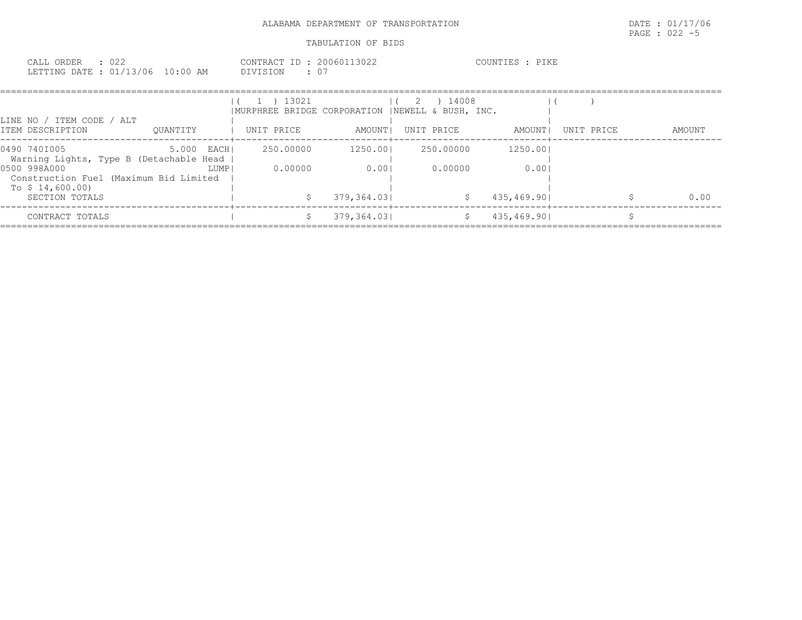| CALL ORDER : 022                 |          | CONTRACT ID: 20060113022 | COUNTIES : PIKE |  |
|----------------------------------|----------|--------------------------|-----------------|--|
| LETTING DATE : 01/13/06 10:00 AM | DIVISION |                          |                 |  |

|                                                         |             |        | 1 ) 13021<br> MURPHREE BRIDGE CORPORATION  NEWELL & BUSH, INC. |             | $(2)$ 14008 |             |            |        |
|---------------------------------------------------------|-------------|--------|----------------------------------------------------------------|-------------|-------------|-------------|------------|--------|
| LINE NO / ITEM CODE / ALT<br>ITEM DESCRIPTION           | OUANTITY    |        | UNIT PRICE                                                     | AMOUNT I    | UNIT PRICE  | AMOUNT I    | UNIT PRICE | AMOUNT |
| 0490 7401005<br>Warning Lights, Type B (Detachable Head | 5.000 EACHI |        | 250.00000                                                      | 1250.001    | 250.00000   | 1250.001    |            |        |
| 0500 998A000<br>Construction Fuel (Maximum Bid Limited  |             | LUMP I | 0.00000                                                        | 0.001       | 0.00000     | 0.001       |            |        |
| To $$14,600.00)$<br>SECTION TOTALS                      |             |        |                                                                | 379,364.031 | - \$        | 435,469.901 |            | 0.00   |
| CONTRACT TOTALS                                         |             |        |                                                                | 379,364.031 |             | 435,469.901 |            |        |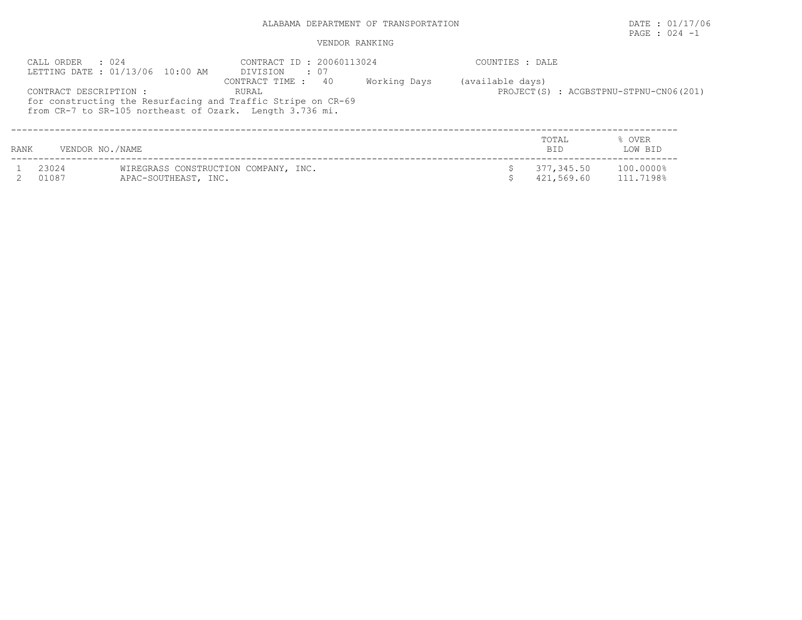# PAGE : 024 -1

| CALL ORDER : 024<br>LETTING DATE : 01/13/06 10:00 AM                                                                     | CONTRACT ID: 20060113024<br>DIVISION : 07 |              | COUNTIES : DALE  |                                        |
|--------------------------------------------------------------------------------------------------------------------------|-------------------------------------------|--------------|------------------|----------------------------------------|
| CONTRACT DESCRIPTION:                                                                                                    | CONTRACT TIME : 40<br>RURAL               | Working Days | (available days) | PROJECT(S) : ACGBSTPNU-STPNU-CN06(201) |
| for constructing the Resurfacing and Traffic Stripe on CR-69<br>from CR-7 to SR-105 northeast of Ozark. Length 3.736 mi. |                                           |              |                  |                                        |
|                                                                                                                          |                                           |              | TOTAL            | OVER                                   |

| RANK |                | VENDOR NO./NAME                                              | <b>BT</b>                | LOW BID                |
|------|----------------|--------------------------------------------------------------|--------------------------|------------------------|
|      | 23024<br>01087 | WIREGRASS CONSTRUCTION COMPANY, INC.<br>APAC-SOUTHEAST, INC. | 377,345.50<br>421,569.60 | 100.0000%<br>111.7198% |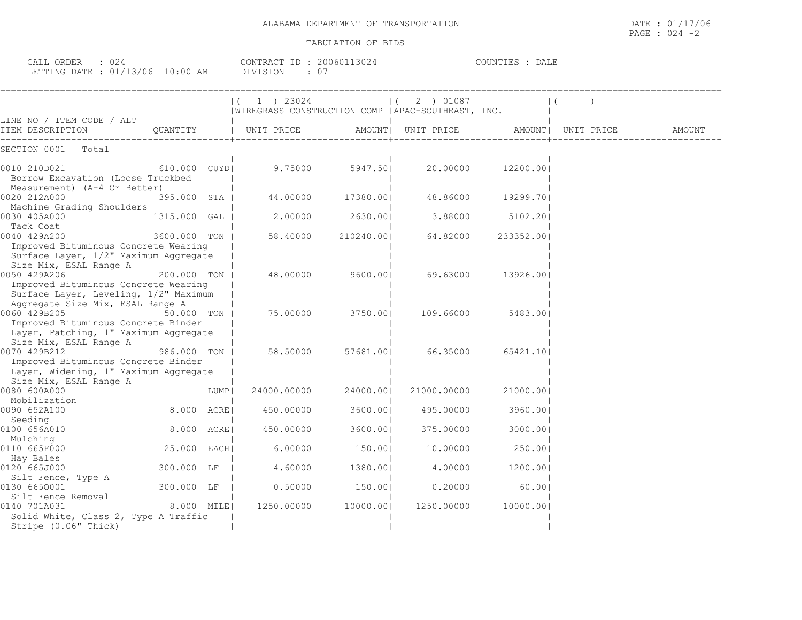| ORDER<br>- ALL -<br>◡∠                                    |                  | --<br><b>CONTRA</b> | 1611<br>3 I J Z 4 | ----<br>COUNTIES<br>DALL<br>. P. C |
|-----------------------------------------------------------|------------------|---------------------|-------------------|------------------------------------|
| $\cap$ 1<br>LETTING DATE<br>13/06<br>NG<br>\ <i>J</i> _ L | $\cdot$ nn<br>ΆM |                     |                   |                                    |

|                                                                                                                                                                  |              |      | 1 ) 23024<br> WIREGRASS CONSTRUCTION COMP   APAC-SOUTHEAST, INC. |           | 2 ) 01087<br>$\mathbf{1}$ |            | $\vert$ (          |        |
|------------------------------------------------------------------------------------------------------------------------------------------------------------------|--------------|------|------------------------------------------------------------------|-----------|---------------------------|------------|--------------------|--------|
| LINE NO / ITEM CODE / ALT                                                                                                                                        |              |      |                                                                  |           |                           |            |                    |        |
| ITEM DESCRIPTION                                                                                                                                                 | QUANTITY     |      | UNIT PRICE                                                       |           | AMOUNT  UNIT PRICE        |            | AMOUNT  UNIT PRICE | AMOUNT |
| SECTION 0001<br>Total                                                                                                                                            |              |      |                                                                  |           |                           |            |                    |        |
| 0010 210D021<br>Borrow Excavation (Loose Truckbed<br>Measurement) (A-4 Or Better)                                                                                | 610.000 CUYD |      | 9.75000                                                          | 5947.501  | 20.00000                  | 12200.001  |                    |        |
| 0020 212A000<br>Machine Grading Shoulders                                                                                                                        | 395.000 STA  |      | 44.00000                                                         | 17380.00  | 48.86000                  | 19299.701  |                    |        |
| 0030 405A000<br>Tack Coat                                                                                                                                        | 1315.000     | GAL  | 2.00000                                                          | 2630.001  | 3.88000                   | 5102.201   |                    |        |
| 0040 429A200<br>Improved Bituminous Concrete Wearing                                                                                                             | 3600.000 TON |      | 58.40000                                                         | 210240.00 | 64.82000                  | 233352.001 |                    |        |
| Surface Layer, 1/2" Maximum Aggregate<br>Size Mix, ESAL Range A<br>0050 429A206<br>Improved Bituminous Concrete Wearing<br>Surface Layer, Leveling, 1/2" Maximum | 200.000 TON  |      | 48.00000                                                         | 9600.00   | 69.63000                  | 13926.001  |                    |        |
| Aggregate Size Mix, ESAL Range A<br>0060 429B205<br>Improved Bituminous Concrete Binder<br>Layer, Patching, 1" Maximum Aggregate                                 | 50.000 TON   |      | 75.00000                                                         | 3750.001  | 109.66000                 | 5483.001   |                    |        |
| Size Mix, ESAL Range A<br>0070 429B212<br>Improved Bituminous Concrete Binder<br>Layer, Widening, 1" Maximum Aggregate                                           | 986.000 TON  |      | 58.50000                                                         | 57681.001 | 66.35000                  | 65421.10   |                    |        |
| Size Mix, ESAL Range A<br>0080 600A000                                                                                                                           |              | LUMP | 24000.00000                                                      | 24000.001 | 21000.00000               | 21000.00   |                    |        |
| Mobilization<br>0090 652A100                                                                                                                                     | 8.000 ACRE   |      | 450.00000                                                        | 3600.00   | 495.00000                 | 3960.001   |                    |        |
| Seeding<br>0100 656A010                                                                                                                                          | 8.000 ACRE   |      | 450.00000                                                        | 3600.001  | 375.00000                 | 3000.001   |                    |        |
| Mulching<br>0110 665F000                                                                                                                                         | 25.000 EACH  |      | 6.00000                                                          | 150.001   | 10.00000                  | 250.001    |                    |        |
| Hay Bales<br>0120 665J000<br>Silt Fence, Type A                                                                                                                  | 300.000 LF   |      | 4.60000                                                          | 1380.00   | 4,00000                   | 1200.001   |                    |        |
| 0130 6650001<br>Silt Fence Removal                                                                                                                               | 300.000 LF   |      | 0.50000                                                          | 150.00    | 0.20000                   | 60.00      |                    |        |
| 0140 701A031<br>Solid White, Class 2, Type A Traffic<br>Stripe (0.06" Thick)                                                                                     | 8.000 MILE   |      | 1250.00000                                                       | 10000.001 | 1250.00000                | 10000.001  |                    |        |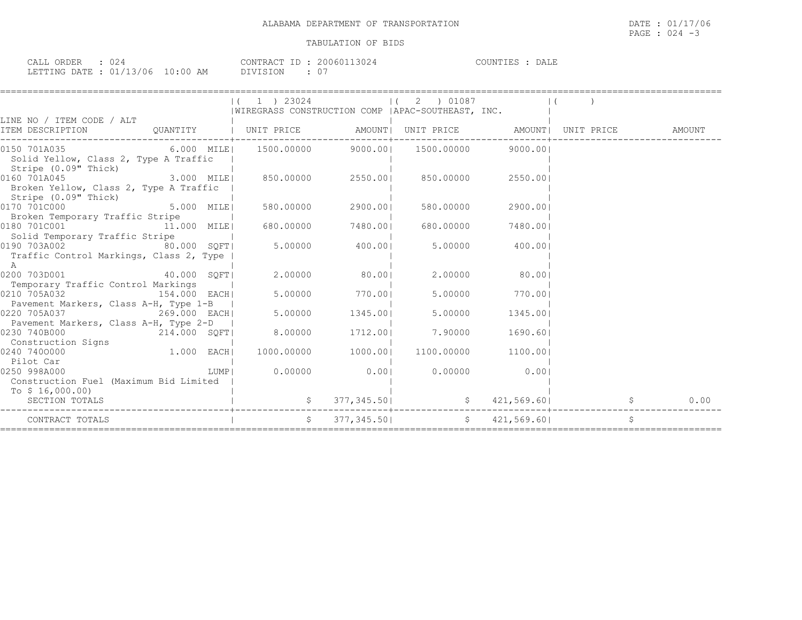| CALL ORDER : 024                 |               | CONTRACT ID: 20060113024 | COUNTIES : DALE |
|----------------------------------|---------------|--------------------------|-----------------|
| LETTING DATE : 01/13/06 10:00 AM | DIVISION : 07 |                          |                 |

|                                                                                                                                                                                                                                                                                                         |  | $(1)$ 23024<br> WIREGRASS CONSTRUCTION COMP   APAC-SOUTHEAST, INC.                                    | $(2)$ 01087                                                                                           |            |           |                    |    |      |
|---------------------------------------------------------------------------------------------------------------------------------------------------------------------------------------------------------------------------------------------------------------------------------------------------------|--|-------------------------------------------------------------------------------------------------------|-------------------------------------------------------------------------------------------------------|------------|-----------|--------------------|----|------|
| LINE NO / ITEM CODE / ALT<br>ITEM DESCRIPTION 6 QUANTITY   UNIT PRICE AMOUNT  UNIT PRICE AMOUNT  UNIT PRICE AMOUNT  UNIT PRICE                                                                                                                                                                          |  |                                                                                                       |                                                                                                       |            |           |                    |    |      |
| $6.000$ MILE  1500.00000 9000.00  1500.00000 9000.00 <br>0150 701A035<br>Solid Yellow, Class 2, Type A Traffic<br>Stripe (0.09" Thick)                                                                                                                                                                  |  |                                                                                                       |                                                                                                       |            |           |                    |    |      |
| 0160 701A045<br>Broken Yellow, Class 2, Type A Traffic  <br>Stripe (0.09" Thick)                                                                                                                                                                                                                        |  |                                                                                                       |                                                                                                       |            |           |                    |    |      |
| 0170 701C000<br>Broken Temporary Traffic Stripe                                                                                                                                                                                                                                                         |  | $5.000$ MILE 1 580.00000 2900.001                                                                     |                                                                                                       |            | 580.00000 | 2900.001           |    |      |
| $\begin{bmatrix} 1.000 & 1.000 & 0.000 & 0.000 & 0.000 & 0.000 & 0.000 & 0.000 & 0.000 & 0.000 & 0.000 & 0.000 & 0.000 & 0.000 & 0.000 & 0.000 & 0.000 & 0.000 & 0.000 & 0.000 & 0.000 & 0.000 & 0.000 & 0.000 & 0.000 & 0.000 & 0.000 & 0.000 & 0.000 & 0.000 & 0.0$<br>Solid Temporary Traffic Stripe |  |                                                                                                       |                                                                                                       |            |           | 680.00000 7480.001 |    |      |
| 0190 703A002 80.000 SQFT<br>Traffic Control Markings, Class 2, Type  <br>A                                                                                                                                                                                                                              |  | 5.00000                                                                                               | 400.00                                                                                                | 5.00000    |           | 400.001            |    |      |
| 0200 703D001 40.000 SQFT<br>Temporary Traffic Control Markings                                                                                                                                                                                                                                          |  |                                                                                                       | 2.00000 80.001                                                                                        | 2.00000    |           | 80.001             |    |      |
| 0210 705A032<br>154.000 EACHI<br>Pavement Markers, Class A-H, Type 1-B                                                                                                                                                                                                                                  |  |                                                                                                       | 5.00000 770.001                                                                                       | 5.00000    |           | 770.00             |    |      |
| 269.000 EACH<br>0220 705A037<br>Pavement Markers, Class A-H, Type 2-D                                                                                                                                                                                                                                   |  | 5.00000                                                                                               | 1345.001                                                                                              | 5.00000    |           | 1345.001           |    |      |
| 0230 740B000<br>214.000 SQFT<br>Construction Signs                                                                                                                                                                                                                                                      |  | 8.00000                                                                                               | 1712.001                                                                                              | 7.90000    |           | 1690.601           |    |      |
| $1.000$ EACH<br>0240 7400000<br>Pilot Car                                                                                                                                                                                                                                                               |  | 1000.00000 1000.001                                                                                   |                                                                                                       | 1100.00000 |           | 1100.001           |    |      |
| 0250 998A000<br>Construction Fuel (Maximum Bid Limited<br>To $$16,000.00)$                                                                                                                                                                                                                              |  | LUMP   0.00000 0.00 0.0000 0.0000 0.00                                                                |                                                                                                       |            |           |                    |    |      |
| SECTION TOTALS                                                                                                                                                                                                                                                                                          |  | $\begin{bmatrix} 5 & 377 & 345 & 50 \end{bmatrix}$ $\begin{bmatrix} 5 & 421 & 569 & 60 \end{bmatrix}$ |                                                                                                       |            |           |                    |    | 0.00 |
| CONTRACT TOTALS                                                                                                                                                                                                                                                                                         |  |                                                                                                       | $\begin{array}{cccc} \xi & 377,345.50 \end{array}$ $\begin{array}{cccc} \xi & 421,569.60 \end{array}$ |            |           |                    | \$ |      |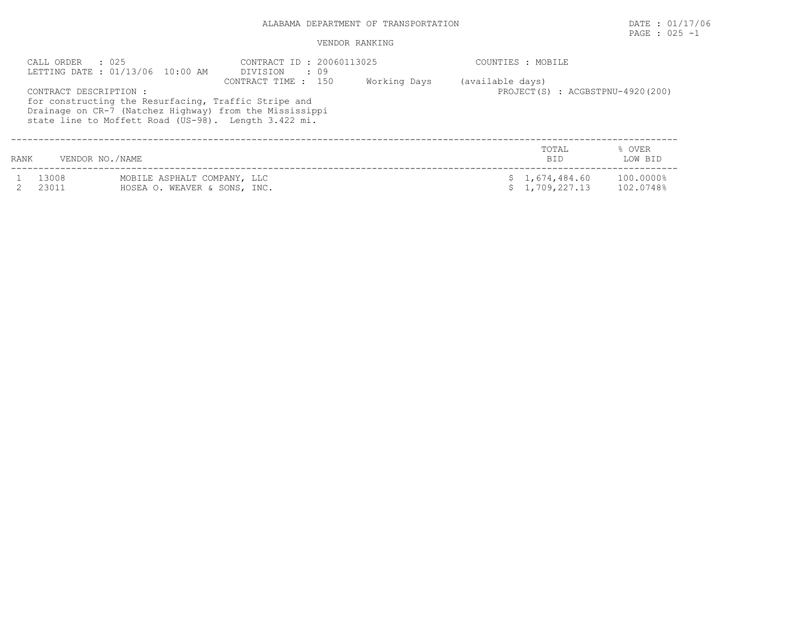# PAGE : 025 -1

| CALL ORDER             | : 025<br>LETTING DATE: 01/13/06 10:00 AM                                                                                                                                | CONTRACT ID: 20060113025<br>DIVISION<br>. 09 |              | COUNTIES : MOBILE                                    |                        |
|------------------------|-------------------------------------------------------------------------------------------------------------------------------------------------------------------------|----------------------------------------------|--------------|------------------------------------------------------|------------------------|
| CONTRACT DESCRIPTION : | for constructing the Resurfacing, Traffic Stripe and<br>Drainage on CR-7 (Natchez Highway) from the Mississippi<br>state line to Moffett Road (US-98). Length 3.422 mi. | CONTRACT TIME : 150                          | Working Days | (available days)<br>PROJECT(S) : ACGBSTPNU-4920(200) |                        |
| <b>RANK</b>            | VENDOR NO./NAME                                                                                                                                                         |                                              |              | TOTAL<br><b>BID</b>                                  | % OVER<br>LOW BID      |
| 13008<br>23011         | MOBILE ASPHALT COMPANY, LLC<br>HOSEA O. WEAVER & SONS, INC.                                                                                                             |                                              |              | \$1,674,484.60<br>1,709,227.13                       | 100.0000%<br>102.0748% |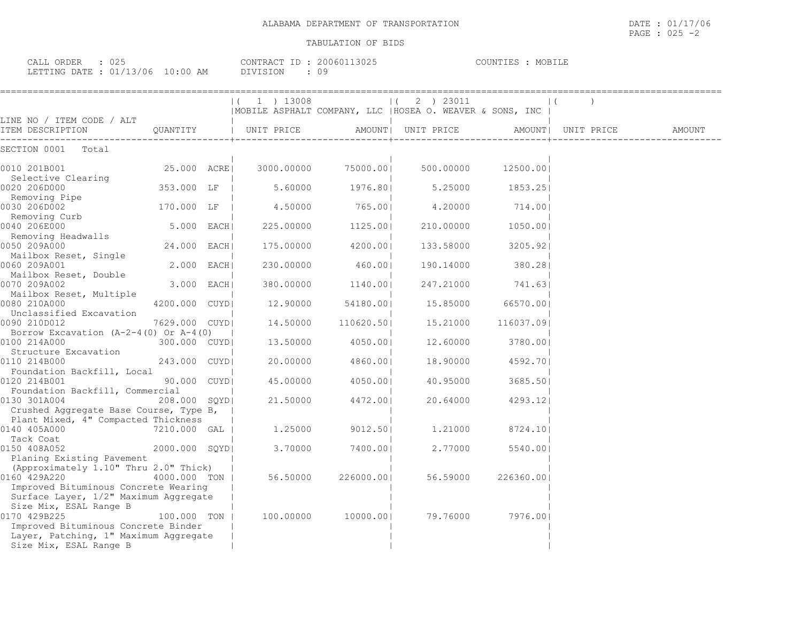| $\cap$ $\cap$ $\cap$<br>$\bigcap$<br>----<br>- بلايلطات<br>JRDER<br>しムコ |                    | CONTRAL.<br>$-1$<br>200601<br>$\begin{array}{c} \begin{array}{c} \end{array} & \end{array}$ | <b>NINTIFS</b><br>کا دا د<br>P. 3 |
|-------------------------------------------------------------------------|--------------------|---------------------------------------------------------------------------------------------|-----------------------------------|
| `/06<br>LETTING DATE<br>$\bigcap$ 1<br>- - -<br>∸∸                      | $1 \cdot 00$<br>AΜ | DIVIST<br>$\cdots$                                                                          |                                   |

|                                                                                                        |                | ( 1 ) 13008           |                     | 1(2) 23011                                                |            |                     |        |
|--------------------------------------------------------------------------------------------------------|----------------|-----------------------|---------------------|-----------------------------------------------------------|------------|---------------------|--------|
| LINE NO / ITEM CODE / ALT                                                                              |                |                       |                     | MOBILE ASPHALT COMPANY, LLC   HOSEA O. WEAVER & SONS, INC |            |                     |        |
| ITEM DESCRIPTION                                                                                       |                | QUANTITY   UNIT PRICE |                     | AMOUNT  UNIT PRICE                                        |            | AMOUNT   UNIT PRICE | AMOUNT |
| SECTION 0001 Total                                                                                     |                |                       |                     |                                                           |            |                     |        |
| 0010 201B001                                                                                           | 25.000 ACREI   | 3000.00000            | 75000.001           | 500.00000                                                 | 12500.001  |                     |        |
| Selective Clearing<br>0020 206D000                                                                     | 353.000 LF     | 5.60000               | 1976.80             | 5.25000                                                   | 1853.25    |                     |        |
| Removing Pipe<br>0030 206D002                                                                          | 170.000 LF     | 4.50000               | 765.001             | 4,20000                                                   | 714.001    |                     |        |
| Removing Curb<br>040 206E000<br>0040 206E000                                                           | 5.000 EACH     | 225.00000             | 1125.001            | 210.00000                                                 | 1050.001   |                     |        |
| Removing Headwalls<br>0050 209A000                                                                     | 24.000 EACH    | 175.00000             | 4200.001            | 133.58000                                                 | 3205.921   |                     |        |
| Mailbox Reset, Single<br>0060 209A001                                                                  | 2.000 EACH     | 230.00000             | 460.001             | 190.14000                                                 | 380.28     |                     |        |
| Mailbox Reset, Double<br>0070 209A002                                                                  | 3.000 EACH     | 380,00000             | 1140.001            | 247.21000                                                 | 741.631    |                     |        |
| Mailbox Reset, Multiple<br>0080 210A000                                                                | 4200.000 CUYDI | 12.90000              | 54180.001           | 15.85000                                                  | 66570.001  |                     |        |
| Unclassified Excavation<br>0090 210D012                                                                | 7629.000 CUYDI | 14.50000              | 110620.501          | 15,21000                                                  | 116037.091 |                     |        |
| Borrow Excavation $(A-2-4(0)$ Or $A-4(0)$<br>0100 214A000                                              | 300.000 CUYDI  | 13.50000              | 4050.001            | 12.60000                                                  | 3780.001   |                     |        |
| Structure Excavation<br>0110 214B000                                                                   | 243.000 CUYDI  | 20.00000              | 4860.001            | 18,90000                                                  | 4592.701   |                     |        |
| Foundation Backfill, Local<br>0120 214B001                                                             | 90.000 CUYDI   | 45.00000              | 4050.001            | 40.95000                                                  | 3685.501   |                     |        |
| Foundation Backfill, Commercial<br>0130 301A004                                                        | 208.000 SOYDI  | 21.50000              | 4472.001            | 20.64000                                                  | 4293.121   |                     |        |
| Crushed Aggregate Base Course, Type B,<br>Plant Mixed, 4" Compacted Thickness                          |                |                       |                     |                                                           |            |                     |        |
| 0140 405A000                                                                                           | 7210.000 GAL   | 1,25000               | 9012.501            | 1,21000                                                   | 8724.101   |                     |        |
| Tack Coat<br>0150 408A052                                                                              | 2000.000 SOYDI | 3.70000               | 7400.001            | 2.77000                                                   | 5540.001   |                     |        |
| Planing Existing Pavement<br>(Approximately 1.10" Thru 2.0" Thick)                                     |                |                       |                     |                                                           |            |                     |        |
| 0160 429A220<br>Improved Bituminous Concrete Wearing                                                   | 4000.000 TON   | 56.50000              | 226000.001          | 56.59000                                                  | 226360.001 |                     |        |
| Surface Layer, 1/2" Maximum Aggregate<br>Size Mix, ESAL Range B                                        |                |                       |                     |                                                           |            |                     |        |
| 0170 429B225                                                                                           | 100.000 TON 1  |                       | 100.00000 10000.001 | 79.76000                                                  | 7976.001   |                     |        |
| Improved Bituminous Concrete Binder<br>Layer, Patching, 1" Maximum Aggregate<br>Size Mix, ESAL Range B |                |                       |                     |                                                           |            |                     |        |
|                                                                                                        |                |                       |                     |                                                           |            |                     |        |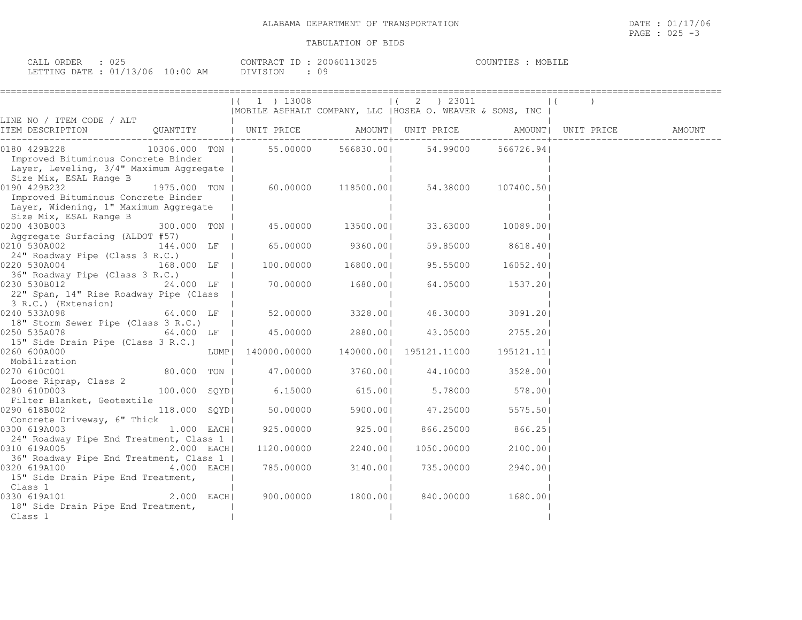| CALL ORDER : 025                 |  |          | CONTRACT ID: 20060113025 | COUNTIES : MOBILE |  |
|----------------------------------|--|----------|--------------------------|-------------------|--|
| LETTING DATE : 01/13/06 10:00 AM |  | DIVISION |                          |                   |  |

|                                                                                                                                                                                                                                                                                                                                                  |                                 | $(1)$ 1 3008 |                    | $(2)$ 23011                                               |                   | $\vert$ ( |  |
|--------------------------------------------------------------------------------------------------------------------------------------------------------------------------------------------------------------------------------------------------------------------------------------------------------------------------------------------------|---------------------------------|--------------|--------------------|-----------------------------------------------------------|-------------------|-----------|--|
|                                                                                                                                                                                                                                                                                                                                                  |                                 |              |                    | MOBILE ASPHALT COMPANY, LLC   HOSEA O. WEAVER & SONS, INC |                   |           |  |
|                                                                                                                                                                                                                                                                                                                                                  |                                 |              |                    |                                                           |                   |           |  |
|                                                                                                                                                                                                                                                                                                                                                  |                                 |              |                    |                                                           |                   |           |  |
| 0180 429B228 10306.000 TON   55.00000 566830.00  54.99000 566726.94                                                                                                                                                                                                                                                                              |                                 |              |                    |                                                           |                   |           |  |
| Improved Bituminous Concrete Binder<br>Layer, Leveling, 3/4" Maximum Aggregate                                                                                                                                                                                                                                                                   |                                 |              |                    |                                                           |                   |           |  |
| Size Mix, ESAL Range B                                                                                                                                                                                                                                                                                                                           |                                 |              |                    |                                                           |                   |           |  |
| $1975.000$ TON   60.00000 118500.00  54.38000 107400.50 <br>0190 429B232                                                                                                                                                                                                                                                                         |                                 |              |                    |                                                           |                   |           |  |
| Improved Bituminous Concrete Binder<br>Layer, Widening, 1" Maximum Aggregate                                                                                                                                                                                                                                                                     |                                 |              |                    |                                                           |                   |           |  |
| Size Mix, ESAL Range B                                                                                                                                                                                                                                                                                                                           |                                 |              |                    |                                                           |                   |           |  |
| $300.000$ TON   45.00000 13500.00  33.63000 10089.00 <br>0200 430B003                                                                                                                                                                                                                                                                            |                                 |              |                    |                                                           |                   |           |  |
| Aggregate Surfacing (ALDOT #57)                                                                                                                                                                                                                                                                                                                  |                                 |              |                    |                                                           |                   |           |  |
| 0210 530A002                                                                                                                                                                                                                                                                                                                                     |                                 |              |                    | $144.000$ LF   65.00000 9360.00   59.85000 8618.40        |                   |           |  |
| 24" Roadway Pipe (Class 3 R.C.)                                                                                                                                                                                                                                                                                                                  |                                 |              |                    |                                                           |                   |           |  |
| $0220$ 530A004 $\overline{168.000}$ LF $\overline{1}$ 100.00000 16800.00                                                                                                                                                                                                                                                                         |                                 |              |                    |                                                           | 16052.401         |           |  |
| 36" Roadway Pipe (Class 3 R.C.)                                                                                                                                                                                                                                                                                                                  |                                 |              |                    |                                                           |                   |           |  |
|                                                                                                                                                                                                                                                                                                                                                  |                                 |              |                    |                                                           |                   |           |  |
| 22" Span, 14" Rise Roadway Pipe (Class                                                                                                                                                                                                                                                                                                           |                                 |              |                    |                                                           |                   |           |  |
| 3 R.C.) (Extension)<br>0240 533A098<br>0240 533A098<br>0240 52.00000 - 1                                                                                                                                                                                                                                                                         |                                 |              |                    |                                                           |                   |           |  |
| 0240 533A098                                                                                                                                                                                                                                                                                                                                     |                                 |              |                    |                                                           | 48.30000 3091.201 |           |  |
| 18" Storm Sewer Pipe (Class 3 R.C.)                                                                                                                                                                                                                                                                                                              |                                 |              |                    |                                                           |                   |           |  |
|                                                                                                                                                                                                                                                                                                                                                  |                                 |              |                    |                                                           |                   |           |  |
| 15" Side Drain Pipe (Class 3 R.C.)                                                                                                                                                                                                                                                                                                               |                                 |              |                    |                                                           |                   |           |  |
| 0260 600A000                                                                                                                                                                                                                                                                                                                                     |                                 |              |                    |                                                           |                   |           |  |
|                                                                                                                                                                                                                                                                                                                                                  |                                 |              |                    |                                                           |                   |           |  |
| 0270 610C001                                                                                                                                                                                                                                                                                                                                     |                                 |              |                    | 80.000 TON   47.00000 3760.00   44.10000 3528.00          |                   |           |  |
| Loose Riprap, Class 2                                                                                                                                                                                                                                                                                                                            |                                 |              |                    |                                                           |                   |           |  |
| $\frac{20000 \text{ ft} \cdot \text{pt}}{5.78000}$ $\frac{20000 \text{ ft} \cdot \text{pt}}{100.000 \text{ s} \cdot \text{pt}}$ 6.15000 615.00 5.78000 578.00                                                                                                                                                                                    |                                 |              |                    |                                                           |                   |           |  |
| Filter Blanket, Geotextile Theory<br>ا بال 1110er Blanket, Geotexcile<br>  118.000 SQYD  50.00000 5900.00  47.25000 5575.50 5990                                                                                                                                                                                                                 |                                 |              |                    |                                                           |                   |           |  |
|                                                                                                                                                                                                                                                                                                                                                  |                                 |              |                    |                                                           |                   |           |  |
| Concrete Driveway, 6" Thick                                                                                                                                                                                                                                                                                                                      | the contract of the contract of |              |                    | 1.000 EACH 925.00000 925.00 866.25000 866.25              |                   |           |  |
| 0300 619A003                                                                                                                                                                                                                                                                                                                                     |                                 |              |                    |                                                           |                   |           |  |
| 24" Roadway Pipe End Treatment, Class 1  <br>0310 619A005 2.000 EACH                                                                                                                                                                                                                                                                             |                                 |              | 1120.00000 2240.00 | 1050.00000                                                | 2100.001          |           |  |
| 36" Roadway Pipe End Treatment, Class 1                                                                                                                                                                                                                                                                                                          |                                 |              |                    |                                                           |                   |           |  |
| $\begin{array}{ccccccc}\n 0320 & 619A100 & & & & & & 1\n\end{array}$ $\begin{array}{ccccccc}\n 1.62 & 0.000 & & & & & \\ 0.320 & 619A100 & & & & & \\ 0.000 & 0.000 & & & & & \\ 0.000 & 0.000 & & & & & \\ 0.000 & 0.000 & & & & & \\ 0.000 & 0.000 & & & & & \\ 0.000 & 0.000 & & & & & \\ 0.000 & 0.000 & & & & & \\ 0.000 & 0.000 & & & & &$ |                                 |              |                    |                                                           | 2940.00           |           |  |
| 15" Side Drain Pipe End Treatment,                                                                                                                                                                                                                                                                                                               |                                 |              |                    |                                                           |                   |           |  |
| Class 1                                                                                                                                                                                                                                                                                                                                          |                                 |              |                    |                                                           |                   |           |  |
| 0330 619A101                                                                                                                                                                                                                                                                                                                                     |                                 |              |                    |                                                           |                   |           |  |
| 18" Side Drain Pipe End Treatment,                                                                                                                                                                                                                                                                                                               |                                 |              |                    |                                                           |                   |           |  |
| Class 1                                                                                                                                                                                                                                                                                                                                          |                                 |              |                    |                                                           |                   |           |  |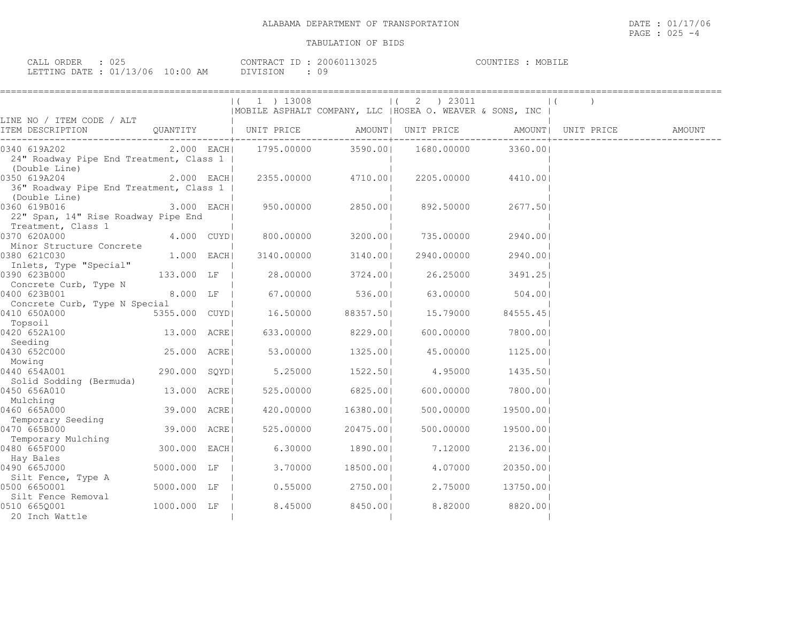| CALL ORDER : 025                 |  |          | CONTRACT ID: 20060113025 | COUNTIES : MOBILE |  |
|----------------------------------|--|----------|--------------------------|-------------------|--|
| LETTING DATE : 01/13/06 10:00 AM |  | DIVISION |                          |                   |  |

|                                                                            |               | 1 ) 13008                       |                     | 2 ) 23011                                                 |           |                            |
|----------------------------------------------------------------------------|---------------|---------------------------------|---------------------|-----------------------------------------------------------|-----------|----------------------------|
|                                                                            |               |                                 |                     | MOBILE ASPHALT COMPANY, LLC   HOSEA O. WEAVER & SONS, INC |           |                            |
| LINE NO / ITEM CODE / ALT<br>ITEM DESCRIPTION QUANTITY   UNIT PRICE        |               |                                 |                     | AMOUNT   UNIT PRICE                                       |           | AMOUNT   UNIT PRICE AMOUNT |
| 0340 619A202<br>24" Roadway Pipe End Treatment, Class 1  <br>(Double Line) |               | $2.000$ EACH 1795.00000 3590.00 |                     | 1680.00000                                                | 3360.001  |                            |
| 0350 619A204<br>36" Roadway Pipe End Treatment, Class 1  <br>(Double Line) | $2.000$ EACH  |                                 | 2355.00000 4710.001 | 2205.00000                                                | 4410.001  |                            |
| 0360 619B016<br>22" Span, 14" Rise Roadway Pipe End                        | 3.000 EACH    | 950.00000                       | 2850.001            | 892.50000                                                 | 2677.501  |                            |
| Treatment, Class 1<br>0370 620A000<br>Minor Structure Concrete             | 4.000 CUYDI   | 800.00000                       | 3200.001            | 735.00000                                                 | 2940.001  |                            |
| 0380 621C030<br>Inlets, Type "Special"                                     | $1.000$ EACHI | 3140.00000                      | 3140.001            | 2940.00000                                                | 2940.001  |                            |
| 0390 623B000<br>Concrete Curb, Type N                                      | 133.000 LF    | 28.00000                        | 3724.00             | 26.25000                                                  | 3491.25   |                            |
| 0400 623B001<br>Concrete Curb, Type N Special                              | 8.000 LF      |                                 | 67.00000 536.00     | 63.00000                                                  | 504.001   |                            |
| 0410 650A000<br>Topsoil                                                    | 5355.000 CUYD | 16.50000                        | 88357.501           | 15.79000                                                  | 84555.451 |                            |
| 0420 652A100<br>Seeding                                                    | 13.000 ACRE   | 633.00000                       | 8229.00             | 600.00000                                                 | 7800.001  |                            |
| 0430 652C000<br>Mowing                                                     | 25.000 ACREI  | 53.00000                        | 1325.00             | 45.00000                                                  | 1125.001  |                            |
| 0440 654A001<br>Solid Sodding (Bermuda)                                    | 290.000 SQYD  | 5.25000                         | 1522.50             | 4.95000                                                   | 1435.501  |                            |
| 0450 656A010<br>Mulching                                                   | 13.000 ACREI  | 525.00000                       | 6825.001            | 600,00000                                                 | 7800.001  |                            |
| 0460 665A000                                                               | 39.000 ACRE   | 420.00000                       | 16380.001           | 500.00000                                                 | 19500.001 |                            |
| Temporary Seeding<br>0470 665B000                                          | 39.000 ACRE   | 525.00000                       | 20475.001           | 500.00000                                                 | 19500.001 |                            |
| Temporary Mulching<br>0480 665F000                                         | 300.000 EACH  | 6.30000                         | 1890.001            | 7.12000                                                   | 2136.001  |                            |
| Hay Bales<br>0490 665J000                                                  | 5000.000 LF   | 3.70000                         | 18500.001           | 4.07000                                                   | 20350.001 |                            |
| Silt Fence, Type A<br>0500 6650001                                         | 5000.000 LF   | 0.55000                         | 2750.001            | 2.75000                                                   | 13750.001 |                            |
| Silt Fence Removal<br>0510 6650001<br>20 Inch Wattle                       | 1000.000 LF   | 8.45000                         | 8450.001            | 8.82000                                                   | 8820.001  |                            |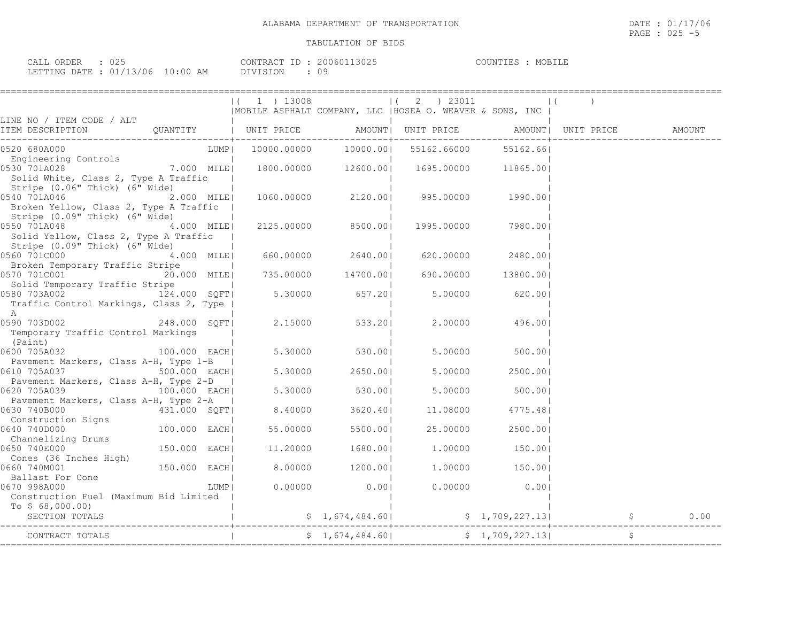| CALL ORDER : 025                 | CONTRACT ID: 20060113025 | COUNTIES : MOBILE |
|----------------------------------|--------------------------|-------------------|
| LETTING DATE : 01/13/06 10:00 AM | DIVISION                 |                   |

|                                                                                                                                          |                |          | $ (1)$ 13008<br>  MOBILE ASPHALT COMPANY, LLC   HOSEA O. WEAVER & SONS, INC |                      | $(2)$ 23011                                |                |  |        |
|------------------------------------------------------------------------------------------------------------------------------------------|----------------|----------|-----------------------------------------------------------------------------|----------------------|--------------------------------------------|----------------|--|--------|
| LINE NO / ITEM CODE / ALT<br>ITEM DESCRIPTION                                                                                            |                |          | QUANTITY   UNIT PRICE AMOUNT  UNIT PRICE AMOUNT  UNIT PRICE                 |                      | ----------+---------------                 |                |  | AMOUNT |
| 0520 680A000                                                                                                                             |                | LUMP     |                                                                             | 10000.00000 10000.00 | 55162.66000                                | 55162.661      |  |        |
| Engineering Controls<br>530 701A028 7.000 MILE<br>0530 701A028<br>Solid White, Class 2, Type A Traffic<br>Stripe (0.06" Thick) (6" Wide) |                |          |                                                                             |                      | 1800.00000  12600.00  1695.00000  11865.00 |                |  |        |
| 0540 701A046<br>Broken Yellow, Class 2, Type A Traffic  <br>Stripe (0.09" Thick) (6" Wide)                                               | 2.000 MILE     |          |                                                                             |                      | 1060.00000 2120.00  995.00000 1990.00      |                |  |        |
| 0550 701A048<br>Solid Yellow, Class 2, Type A Traffic<br>Stripe (0.09" Thick) (6" Wide)                                                  | 4.000 MILE     |          |                                                                             | 2125.00000 8500.001  | 1995.00000                                 | 7980.001       |  |        |
| 0560 701C000<br>Broken Temporary Traffic Stripe                                                                                          | 4.000 MILE     |          |                                                                             | 660.00000 2640.00    | 620.00000                                  | 2480.001       |  |        |
| 20.000 MILE<br>0570 701C001<br>Solid Temporary Traffic Stripe                                                                            |                |          |                                                                             | 735.00000 14700.00   | 690.00000                                  | 13800.00       |  |        |
| 0580 703A002<br>Traffic Control Markings, Class 2, Type  <br>A                                                                           | 124.000 SQFT   |          |                                                                             | $5.30000$ 657.20     | 5.00000                                    | 620.001        |  |        |
| 0590 703D002 248.000 SQFT<br>Temporary Traffic Control Markings<br>(Paint)                                                               |                |          |                                                                             | 2.15000 533.20       | 2.00000                                    | 496.001        |  |        |
| 0600 705A032<br>Pavement Markers, Class A-H, Type 1-B                                                                                    | 100.000 EACH   |          | 5.30000                                                                     | 530.001              | 5.00000                                    | 500.00         |  |        |
| 0610 705A037<br>500.000 EACH<br>Pavement Markers, Class A-H, Type 2-D                                                                    |                |          | 5.30000                                                                     | 2650.00              | 5.00000                                    | 2500.001       |  |        |
| 0620 705A039                                                                                                                             | 100.000 EACH   |          |                                                                             | 5.30000 530.00       | 5.00000                                    | 500.00         |  |        |
| Pavement Markers, Class A-H, Type 2-A<br>0630 740B000<br>431.000 SQFT                                                                    |                | $\sim$ 1 | 8.40000                                                                     | 3620.401             | 11.08000                                   | 4775.481       |  |        |
| Construction Signs<br>0640 740D000                                                                                                       | $100.000$ EACH |          | 55.00000                                                                    | 5500.001             | 25.00000                                   | 2500.001       |  |        |
| Channelizing Drums<br>0650 740E000                                                                                                       | 150.000 EACH   |          |                                                                             | 11.20000 1680.00     |                                            | 1.00000 150.00 |  |        |
| Cones (36 Inches High)<br>0660 740M001                                                                                                   | 150.000 EACH   |          |                                                                             | 8.00000 1200.00      |                                            | 1.00000 150.00 |  |        |
| Ballast For Cone<br>0670 998A000<br>Construction Fuel (Maximum Bid Limited  <br>To $$68,000.00)$                                         |                | LUMP     | 0.00000                                                                     | $0.00$               | 0.00000                                    | 0.00           |  |        |
|                                                                                                                                          |                |          |                                                                             |                      |                                            |                |  | 0.00   |
|                                                                                                                                          |                |          |                                                                             |                      |                                            |                |  |        |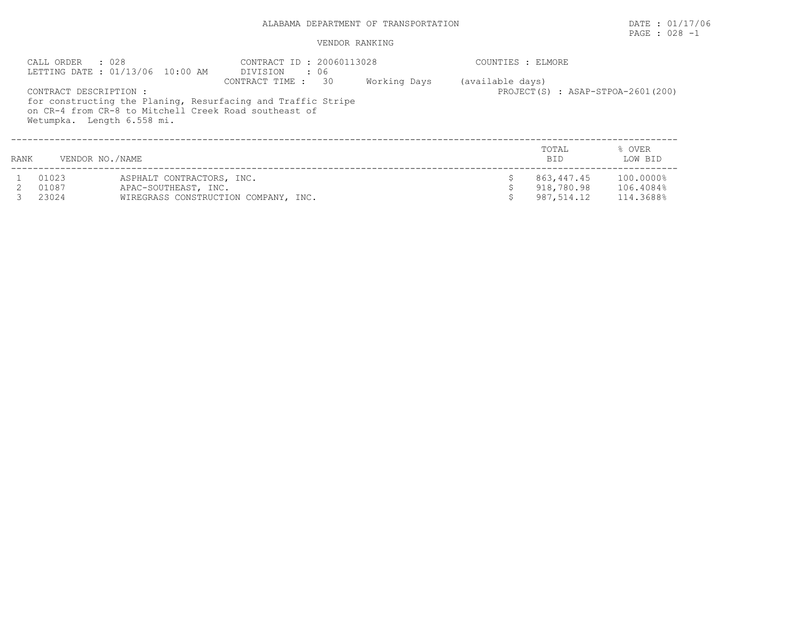# PAGE : 028 -1

|      | CALL ORDER<br>: 028                                  | LETTING DATE: 01/13/06 10:00 AM                       | CONTRACT ID: 20060113028<br>DIVISION : 06                                                          |              | COUNTIES : ELMORE |                                      |                   |
|------|------------------------------------------------------|-------------------------------------------------------|----------------------------------------------------------------------------------------------------|--------------|-------------------|--------------------------------------|-------------------|
|      | CONTRACT DESCRIPTION :<br>Wetumpka. Length 6.558 mi. | on CR-4 from CR-8 to Mitchell Creek Road southeast of | $\overline{30}$<br>CONTRACT TIME :<br>for constructing the Planing, Resurfacing and Traffic Stripe | Working Days | (available days)  | PROJECT $(S)$ : ASAP-STPOA-2601(200) |                   |
| RANK | VENDOR NO./NAME                                      |                                                       |                                                                                                    |              |                   | TOTAL<br><b>BID</b>                  | % OVER<br>LOW BID |
|      | 01023                                                | ASPHALT CONTRACTORS, INC.                             |                                                                                                    |              |                   | 863,447.45                           | 100.0000%         |
|      | 01087                                                | APAC-SOUTHEAST, INC.                                  |                                                                                                    |              |                   | 918,780.98                           | 106.4084%         |
|      | 23024                                                |                                                       | WIREGRASS CONSTRUCTION COMPANY, INC.                                                               |              |                   | 987,514.12                           | 114.3688%         |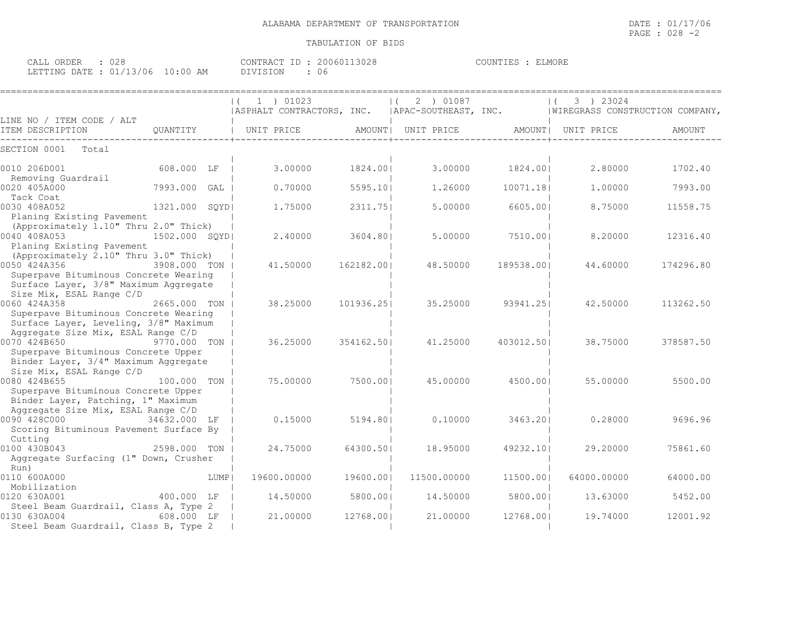| CALL ORDER                       | .028 |                 | CONTRACT ID : 20060113028 | COUNTIES | MORE<br>HU. |
|----------------------------------|------|-----------------|---------------------------|----------|-------------|
| LETTING DATE : 01/13/06 10:00 AM |      | <b>DIVISION</b> | 06                        |          |             |

|                                                   |                |      | 1 ) 01023<br>  ASPHALT CONTRACTORS, INC. |            | 2 ) 01087<br>  APAC-SOUTHEAST, INC. |            | 3 ) 23024<br>  WIREGRASS CONSTRUCTION COMPANY, |           |
|---------------------------------------------------|----------------|------|------------------------------------------|------------|-------------------------------------|------------|------------------------------------------------|-----------|
| LINE NO / ITEM CODE / ALT<br>ITEM DESCRIPTION     | OUANTITY       |      | UNIT PRICE                               |            | AMOUNT  UNIT PRICE                  |            | AMOUNT  UNIT PRICE                             | AMOUNT    |
| SECTION 0001<br>Total                             |                |      |                                          |            |                                     |            |                                                |           |
|                                                   |                |      |                                          |            |                                     |            |                                                |           |
| 0010 206D001                                      | 608.000 LF     |      | 3.00000                                  | 1824.001   | 3.00000                             | 1824.001   | 2,80000                                        | 1702.40   |
| Removing Guardrail<br>0020 405A000                | 7993.000 GAL   |      | 0.70000                                  | 5595.101   | 1,26000                             | 10071.18   | 1,00000                                        | 7993.00   |
| Tack Coat                                         |                |      |                                          |            |                                     |            |                                                |           |
| 0030 408A052                                      | 1321.000 SOYDI |      | 1,75000                                  | 2311.751   | 5.00000                             | 6605.001   | 8.75000                                        | 11558.75  |
| Planing Existing Pavement                         |                |      |                                          |            |                                     |            |                                                |           |
| (Approximately 1.10" Thru 2.0" Thick)             |                |      |                                          |            |                                     |            |                                                |           |
| 0040 408A053                                      | 1502.000 SQYDI |      | 2.40000                                  | 3604.80    | 5.00000                             | 7510.001   | 8,20000                                        | 12316.40  |
| Planing Existing Pavement                         |                |      |                                          |            |                                     |            |                                                |           |
| (Approximately 2.10" Thru 3.0" Thick)             |                |      |                                          |            |                                     |            |                                                |           |
| 0050 424A356                                      | 3908.000 TON   |      | 41.50000                                 | 162182.001 | 48.50000                            | 189538.001 | 44.60000                                       | 174296.80 |
| Superpave Bituminous Concrete Wearing             |                |      |                                          |            |                                     |            |                                                |           |
| Surface Layer, 3/8" Maximum Aggregate             |                |      |                                          |            |                                     |            |                                                |           |
| Size Mix, ESAL Range C/D<br>0060 424A358          | 2665.000 TON   |      | 38,25000                                 | 101936.251 | 35.25000                            | 93941.251  | 42.50000                                       | 113262.50 |
| Superpave Bituminous Concrete Wearing             |                |      |                                          |            |                                     |            |                                                |           |
| Surface Layer, Leveling, 3/8" Maximum             |                |      |                                          |            |                                     |            |                                                |           |
| Aggregate Size Mix, ESAL Range C/D                |                |      |                                          |            |                                     |            |                                                |           |
| 0070 424B650                                      | 9770.000 TON   |      | 36.25000                                 | 354162.50  | 41,25000                            | 403012.501 | 38.75000                                       | 378587.50 |
| Superpave Bituminous Concrete Upper               |                |      |                                          |            |                                     |            |                                                |           |
| Binder Layer, 3/4" Maximum Aggregate              |                |      |                                          |            |                                     |            |                                                |           |
| Size Mix, ESAL Range C/D                          |                |      |                                          |            |                                     |            |                                                |           |
| 0080 424B655                                      | 100.000 TON    |      | 75.00000                                 | 7500.001   | 45.00000                            | 4500.001   | 55.00000                                       | 5500.00   |
| Superpave Bituminous Concrete Upper               |                |      |                                          |            |                                     |            |                                                |           |
| Binder Layer, Patching, 1" Maximum                |                |      |                                          |            |                                     |            |                                                |           |
| Aggregate Size Mix, ESAL Range C/D                |                |      |                                          |            |                                     |            |                                                |           |
| 0090 428C000                                      | 34632.000 LF   |      | 0.15000                                  | 5194.801   | 0.10000                             | 3463.201   | 0.28000                                        | 9696.96   |
| Scoring Bituminous Pavement Surface By<br>Cutting |                |      |                                          |            |                                     |            |                                                |           |
| 0100 430B043                                      | 2598.000 TON   |      | 24.75000                                 | 64300.501  | 18.95000                            | 49232.10   | 29,20000                                       | 75861.60  |
| Aggregate Surfacing (1" Down, Crusher             |                |      |                                          |            |                                     |            |                                                |           |
| Run)                                              |                |      |                                          |            |                                     |            |                                                |           |
| 0110 600A000                                      |                | LUMP | 19600.00000                              | 19600.001  | 11500.00000                         | 11500.001  | 64000.00000                                    | 64000.00  |
| Mobilization                                      |                |      |                                          |            |                                     |            |                                                |           |
| 0120 630A001                                      | 400.000 LF     |      | 14.50000                                 | 5800.001   | 14.50000                            | 5800.00    | 13.63000                                       | 5452.00   |
| Steel Beam Guardrail, Class A, Type 2             |                |      |                                          |            |                                     |            |                                                |           |
| 0130 630A004                                      | 608.000 LF     |      | 21,00000                                 | 12768.001  | 21,00000                            | 12768.001  | 19.74000                                       | 12001.92  |
| Steel Beam Guardrail, Class B, Type 2             |                |      |                                          |            |                                     |            |                                                |           |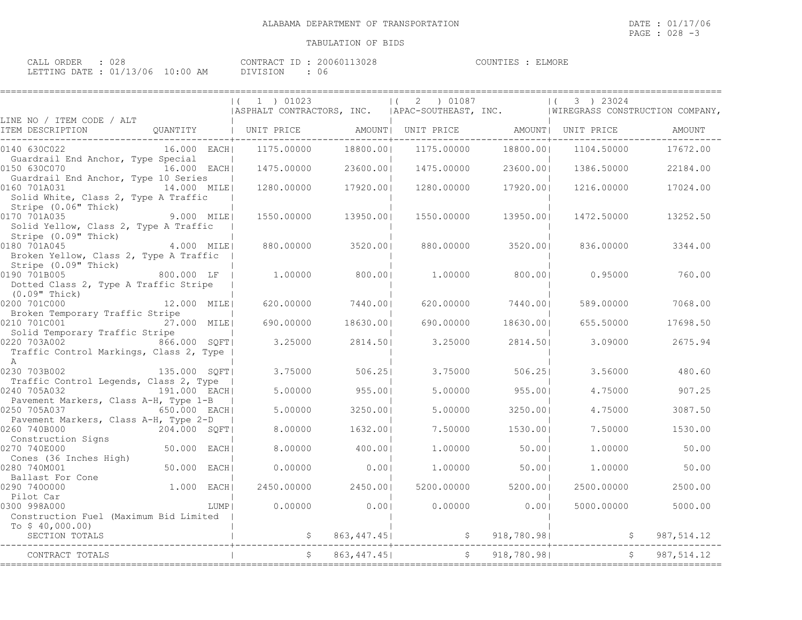====================================================================================================================================

| CALL ORDER                       |  |          | CONTRACT ID: 20060113028 | COUNTIES : | ELMORE |
|----------------------------------|--|----------|--------------------------|------------|--------|
| LETTING DATE : 01/13/06 10:00 AM |  | DIVISION | 06                       |            |        |

| LINE NO / ITEM CODE / ALT<br>AMOUNT<br>--------------------------------------<br>18800.00 <br>16.000 EACH <br>1175.00000<br>1175.00000<br>18800.001<br>17672.00<br>1104.50000<br>Guardrail End Anchor, Type Special<br>16.000 EACH <br>1475.00000<br>23600.001<br>1475.00000<br>23600.001<br>1386.50000<br>22184.00<br>Guardrail End Anchor, Type 10 Series<br>14.000 MILE<br>17920.00 <br>1280,00000<br>17920.001<br>1280.00000<br>1216.00000<br>17024.00<br>Solid White, Class 2, Type A Traffic<br>Stripe (0.06" Thick)<br>9.000 MILE <br>1550.00000<br>13950.001<br>1550.00000<br>13950.001<br>1472.50000<br>13252.50<br>Solid Yellow, Class 2, Type A Traffic<br>Stripe (0.09" Thick)<br>4.000 MILEI<br>880,00000<br>3520.001<br>880,00000<br>3520.001<br>836.00000<br>3344.00<br>Broken Yellow, Class 2, Type A Traffic<br>Stripe (0.09" Thick)<br>0190 701B005 800.000 LF<br>1,00000<br>800.001<br>1,00000<br>800.001<br>0.95000<br>760.00<br>Dotted Class 2, Type A Traffic Stripe<br>(0.09" Thick)<br>12.000 MILE<br>7440.001<br>7440.001<br>7068.00<br>620,00000<br>620,00000<br>589,00000<br>Broken Temporary Traffic Stripe<br>18630.00 <br>27.000 MILE<br>690,00000<br>690,00000<br>18630.001<br>655.50000<br>17698.50<br>Solid Temporary Traffic Stripe<br>866.000 SQFT <br>3.25000<br>2675.94<br>2814.501<br>3.25000<br>2814.501<br>3.09000<br>Traffic Control Markings, Class 2, Type  <br>A<br>135.000 SQFT <br>3.75000<br>506.251<br>3.75000<br>480.60<br>506.251<br>3.56000<br>Traffic Control Legends, Class 2, Type<br>191.000 EACH <br>5,00000<br>955.001<br>5.00000<br>955.001<br>4.75000<br>907.25<br>Pavement Markers, Class A-H, Type 1-B<br>650.000 EACH<br>5.00000<br>3250.001<br>5.00000<br>3250.001<br>4.75000<br>3087.50<br>Pavement Markers, Class A-H, Type 2-D<br>204.000 SQFT <br>8,00000<br>1632.001<br>7.50000<br>1530.001<br>7.50000<br>1530.00<br>50.000 EACH <br>8,00000<br>400.001<br>50.00<br>1,00000<br>50.001<br>1,00000<br>Cones (36 Inches High)<br>50.000 EACH <br>0.00000<br>0.001<br>1,00000<br>50.001<br>1,00000<br>50.00<br>Ballast For Cone<br>1.000 EACH <br>2450.001<br>5200.001<br>2450.00000<br>5200.00000<br>2500.00000<br>2500.00<br>Pilot Car<br>0.00000<br>0.001<br>0.00000<br>0.00<br>5000.00<br>LUMP I<br>5000,00000<br>Construction Fuel (Maximum Bid Limited  <br>To $$40,000.00)$<br>SECTION TOTALS<br>\$863, 447.45]<br>987,514.12<br>CONTRACT TOTALS |                                    |  | $(1)$ 01023<br>  ASPHALT CONTRACTORS, INC.   APAC-SOUTHEAST, INC.   WIREGRASS CONSTRUCTION COMPANY, | $(2)$ 01087 $(3)$ 23024 |  |  |
|-------------------------------------------------------------------------------------------------------------------------------------------------------------------------------------------------------------------------------------------------------------------------------------------------------------------------------------------------------------------------------------------------------------------------------------------------------------------------------------------------------------------------------------------------------------------------------------------------------------------------------------------------------------------------------------------------------------------------------------------------------------------------------------------------------------------------------------------------------------------------------------------------------------------------------------------------------------------------------------------------------------------------------------------------------------------------------------------------------------------------------------------------------------------------------------------------------------------------------------------------------------------------------------------------------------------------------------------------------------------------------------------------------------------------------------------------------------------------------------------------------------------------------------------------------------------------------------------------------------------------------------------------------------------------------------------------------------------------------------------------------------------------------------------------------------------------------------------------------------------------------------------------------------------------------------------------------------------------------------------------------------------------------------------------------------------------------------------------------------------------------------------------------------------------------------------------------------------------------------------------------------------------------------------------------------------------------------------------------------------------------------------------------------------------|------------------------------------|--|-----------------------------------------------------------------------------------------------------|-------------------------|--|--|
|                                                                                                                                                                                                                                                                                                                                                                                                                                                                                                                                                                                                                                                                                                                                                                                                                                                                                                                                                                                                                                                                                                                                                                                                                                                                                                                                                                                                                                                                                                                                                                                                                                                                                                                                                                                                                                                                                                                                                                                                                                                                                                                                                                                                                                                                                                                                                                                                                         |                                    |  |                                                                                                     |                         |  |  |
|                                                                                                                                                                                                                                                                                                                                                                                                                                                                                                                                                                                                                                                                                                                                                                                                                                                                                                                                                                                                                                                                                                                                                                                                                                                                                                                                                                                                                                                                                                                                                                                                                                                                                                                                                                                                                                                                                                                                                                                                                                                                                                                                                                                                                                                                                                                                                                                                                         | 0140 630C022                       |  |                                                                                                     |                         |  |  |
|                                                                                                                                                                                                                                                                                                                                                                                                                                                                                                                                                                                                                                                                                                                                                                                                                                                                                                                                                                                                                                                                                                                                                                                                                                                                                                                                                                                                                                                                                                                                                                                                                                                                                                                                                                                                                                                                                                                                                                                                                                                                                                                                                                                                                                                                                                                                                                                                                         | 0150 630C070                       |  |                                                                                                     |                         |  |  |
|                                                                                                                                                                                                                                                                                                                                                                                                                                                                                                                                                                                                                                                                                                                                                                                                                                                                                                                                                                                                                                                                                                                                                                                                                                                                                                                                                                                                                                                                                                                                                                                                                                                                                                                                                                                                                                                                                                                                                                                                                                                                                                                                                                                                                                                                                                                                                                                                                         | 0160 701A031                       |  |                                                                                                     |                         |  |  |
|                                                                                                                                                                                                                                                                                                                                                                                                                                                                                                                                                                                                                                                                                                                                                                                                                                                                                                                                                                                                                                                                                                                                                                                                                                                                                                                                                                                                                                                                                                                                                                                                                                                                                                                                                                                                                                                                                                                                                                                                                                                                                                                                                                                                                                                                                                                                                                                                                         | 0170 701A035                       |  |                                                                                                     |                         |  |  |
|                                                                                                                                                                                                                                                                                                                                                                                                                                                                                                                                                                                                                                                                                                                                                                                                                                                                                                                                                                                                                                                                                                                                                                                                                                                                                                                                                                                                                                                                                                                                                                                                                                                                                                                                                                                                                                                                                                                                                                                                                                                                                                                                                                                                                                                                                                                                                                                                                         | 0180 701A045                       |  |                                                                                                     |                         |  |  |
|                                                                                                                                                                                                                                                                                                                                                                                                                                                                                                                                                                                                                                                                                                                                                                                                                                                                                                                                                                                                                                                                                                                                                                                                                                                                                                                                                                                                                                                                                                                                                                                                                                                                                                                                                                                                                                                                                                                                                                                                                                                                                                                                                                                                                                                                                                                                                                                                                         |                                    |  |                                                                                                     |                         |  |  |
|                                                                                                                                                                                                                                                                                                                                                                                                                                                                                                                                                                                                                                                                                                                                                                                                                                                                                                                                                                                                                                                                                                                                                                                                                                                                                                                                                                                                                                                                                                                                                                                                                                                                                                                                                                                                                                                                                                                                                                                                                                                                                                                                                                                                                                                                                                                                                                                                                         | 0200 701C000                       |  |                                                                                                     |                         |  |  |
|                                                                                                                                                                                                                                                                                                                                                                                                                                                                                                                                                                                                                                                                                                                                                                                                                                                                                                                                                                                                                                                                                                                                                                                                                                                                                                                                                                                                                                                                                                                                                                                                                                                                                                                                                                                                                                                                                                                                                                                                                                                                                                                                                                                                                                                                                                                                                                                                                         | 0210 701C001                       |  |                                                                                                     |                         |  |  |
|                                                                                                                                                                                                                                                                                                                                                                                                                                                                                                                                                                                                                                                                                                                                                                                                                                                                                                                                                                                                                                                                                                                                                                                                                                                                                                                                                                                                                                                                                                                                                                                                                                                                                                                                                                                                                                                                                                                                                                                                                                                                                                                                                                                                                                                                                                                                                                                                                         | 0220 703A002                       |  |                                                                                                     |                         |  |  |
|                                                                                                                                                                                                                                                                                                                                                                                                                                                                                                                                                                                                                                                                                                                                                                                                                                                                                                                                                                                                                                                                                                                                                                                                                                                                                                                                                                                                                                                                                                                                                                                                                                                                                                                                                                                                                                                                                                                                                                                                                                                                                                                                                                                                                                                                                                                                                                                                                         | 0230 703B002                       |  |                                                                                                     |                         |  |  |
|                                                                                                                                                                                                                                                                                                                                                                                                                                                                                                                                                                                                                                                                                                                                                                                                                                                                                                                                                                                                                                                                                                                                                                                                                                                                                                                                                                                                                                                                                                                                                                                                                                                                                                                                                                                                                                                                                                                                                                                                                                                                                                                                                                                                                                                                                                                                                                                                                         | 0240 705A032                       |  |                                                                                                     |                         |  |  |
|                                                                                                                                                                                                                                                                                                                                                                                                                                                                                                                                                                                                                                                                                                                                                                                                                                                                                                                                                                                                                                                                                                                                                                                                                                                                                                                                                                                                                                                                                                                                                                                                                                                                                                                                                                                                                                                                                                                                                                                                                                                                                                                                                                                                                                                                                                                                                                                                                         | 0250 705A037                       |  |                                                                                                     |                         |  |  |
|                                                                                                                                                                                                                                                                                                                                                                                                                                                                                                                                                                                                                                                                                                                                                                                                                                                                                                                                                                                                                                                                                                                                                                                                                                                                                                                                                                                                                                                                                                                                                                                                                                                                                                                                                                                                                                                                                                                                                                                                                                                                                                                                                                                                                                                                                                                                                                                                                         | 0260 740B000                       |  |                                                                                                     |                         |  |  |
|                                                                                                                                                                                                                                                                                                                                                                                                                                                                                                                                                                                                                                                                                                                                                                                                                                                                                                                                                                                                                                                                                                                                                                                                                                                                                                                                                                                                                                                                                                                                                                                                                                                                                                                                                                                                                                                                                                                                                                                                                                                                                                                                                                                                                                                                                                                                                                                                                         | Construction Signs<br>0270 740E000 |  |                                                                                                     |                         |  |  |
|                                                                                                                                                                                                                                                                                                                                                                                                                                                                                                                                                                                                                                                                                                                                                                                                                                                                                                                                                                                                                                                                                                                                                                                                                                                                                                                                                                                                                                                                                                                                                                                                                                                                                                                                                                                                                                                                                                                                                                                                                                                                                                                                                                                                                                                                                                                                                                                                                         | 0280 740M001                       |  |                                                                                                     |                         |  |  |
|                                                                                                                                                                                                                                                                                                                                                                                                                                                                                                                                                                                                                                                                                                                                                                                                                                                                                                                                                                                                                                                                                                                                                                                                                                                                                                                                                                                                                                                                                                                                                                                                                                                                                                                                                                                                                                                                                                                                                                                                                                                                                                                                                                                                                                                                                                                                                                                                                         | 0290 7400000                       |  |                                                                                                     |                         |  |  |
|                                                                                                                                                                                                                                                                                                                                                                                                                                                                                                                                                                                                                                                                                                                                                                                                                                                                                                                                                                                                                                                                                                                                                                                                                                                                                                                                                                                                                                                                                                                                                                                                                                                                                                                                                                                                                                                                                                                                                                                                                                                                                                                                                                                                                                                                                                                                                                                                                         | 0300 998A000                       |  |                                                                                                     |                         |  |  |
|                                                                                                                                                                                                                                                                                                                                                                                                                                                                                                                                                                                                                                                                                                                                                                                                                                                                                                                                                                                                                                                                                                                                                                                                                                                                                                                                                                                                                                                                                                                                                                                                                                                                                                                                                                                                                                                                                                                                                                                                                                                                                                                                                                                                                                                                                                                                                                                                                         |                                    |  |                                                                                                     |                         |  |  |
|                                                                                                                                                                                                                                                                                                                                                                                                                                                                                                                                                                                                                                                                                                                                                                                                                                                                                                                                                                                                                                                                                                                                                                                                                                                                                                                                                                                                                                                                                                                                                                                                                                                                                                                                                                                                                                                                                                                                                                                                                                                                                                                                                                                                                                                                                                                                                                                                                         |                                    |  |                                                                                                     |                         |  |  |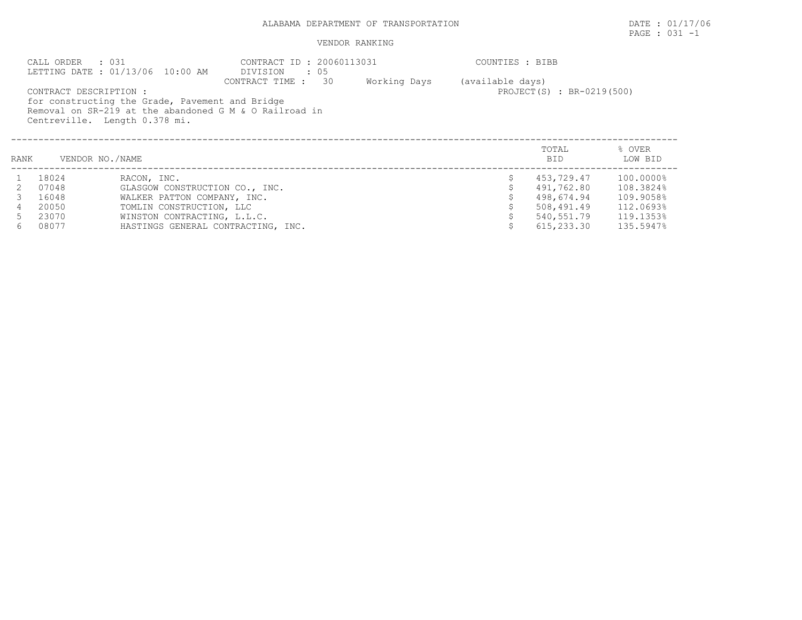# PAGE : 031 -1

| . 031<br>CALL ORDER<br>LETTING DATE: 01/13/06 10:00 AM |                        |                                                 | CONTRACT ID: 20060113031<br>DIVISION<br>$\cdot$ 05     | COUNTIES : BIBB |                  |                           |                   |  |  |
|--------------------------------------------------------|------------------------|-------------------------------------------------|--------------------------------------------------------|-----------------|------------------|---------------------------|-------------------|--|--|
|                                                        |                        |                                                 | 30<br>CONTRACT TIME :                                  | Working Days    | (available days) |                           |                   |  |  |
|                                                        | CONTRACT DESCRIPTION : | for constructing the Grade, Pavement and Bridge |                                                        |                 |                  | PROJECT(S) : BR-0219(500) |                   |  |  |
|                                                        |                        |                                                 | Removal on SR-219 at the abandoned G M & O Railroad in |                 |                  |                           |                   |  |  |
|                                                        |                        | Centreville. Length 0.378 mi.                   |                                                        |                 |                  |                           |                   |  |  |
|                                                        |                        |                                                 |                                                        |                 |                  |                           |                   |  |  |
|                                                        |                        |                                                 |                                                        |                 |                  |                           |                   |  |  |
| RANK                                                   | VENDOR NO./NAME        |                                                 |                                                        |                 |                  | TOTAL<br><b>BID</b>       | % OVER<br>LOW BID |  |  |
|                                                        |                        |                                                 |                                                        |                 |                  |                           |                   |  |  |
|                                                        | 18024                  | RACON, INC.                                     |                                                        |                 |                  | 453,729.47                | 100.0000%         |  |  |
| 2.                                                     | 07048                  | GLASGOW CONSTRUCTION CO., INC.                  |                                                        |                 |                  | 491,762.80                | 108.3824%         |  |  |
|                                                        | 16048                  | WALKER PATTON COMPANY, INC.                     |                                                        |                 |                  | 498,674.94                | 109.9058%         |  |  |
|                                                        | 20050                  | TOMLIN CONSTRUCTION, LLC                        |                                                        |                 |                  | 508,491.49                | 112.0693%         |  |  |
|                                                        | 23070                  | WINSTON CONTRACTING, L.L.C.                     |                                                        |                 |                  | 540,551.79                | 119.1353%         |  |  |
| 6                                                      | 08077                  | HASTINGS GENERAL CONTRACTING, INC.              |                                                        |                 |                  | 615,233.30                | 135.5947%         |  |  |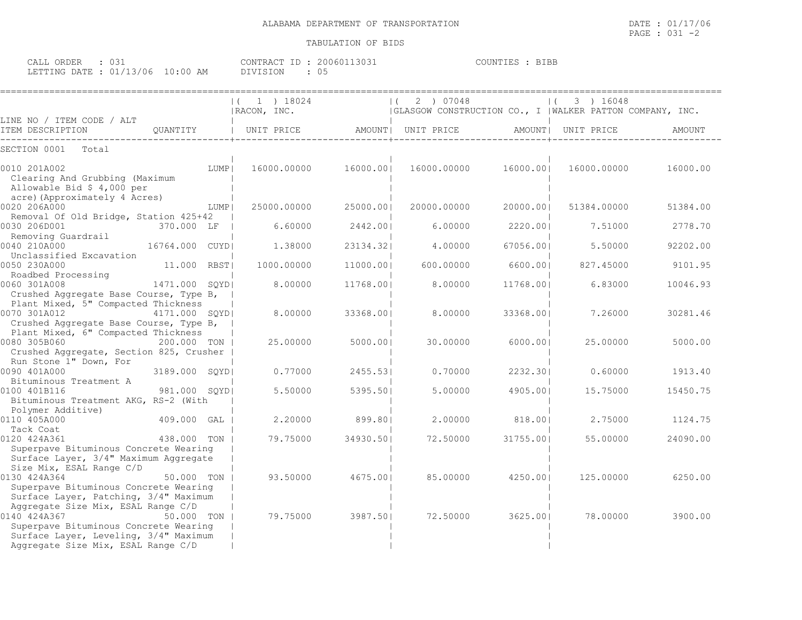| CALL ORDER                       | ◡◡⊥ | CONTRACT ID: 20060113031 | <b>BIBB</b><br>COUNTIES : |
|----------------------------------|-----|--------------------------|---------------------------|
| LETTING DATE : 01/13/06 10:00 AM |     | DIVISION                 |                           |

|                                                                                                                                                                            |                | $(1)$ 1 $18024$<br>  RACON, INC. |           | 2 ) 07048<br> GLASGOW CONSTRUCTION CO., I  WALKER PATTON COMPANY, INC. |           | 3 ) 16048          |          |
|----------------------------------------------------------------------------------------------------------------------------------------------------------------------------|----------------|----------------------------------|-----------|------------------------------------------------------------------------|-----------|--------------------|----------|
| LINE NO / ITEM CODE / ALT<br>ITEM DESCRIPTION<br>OUANTITY                                                                                                                  |                | UNIT PRICE                       |           | AMOUNT  UNIT PRICE                                                     |           | AMOUNT  UNIT PRICE | AMOUNT   |
| SECTION 0001<br>Total                                                                                                                                                      |                |                                  |           |                                                                        |           |                    |          |
| 0010 201A002<br>Clearing And Grubbing (Maximum<br>Allowable Bid \$ 4,000 per                                                                                               | LUMP           | 16000.00000                      | 16000.001 | 16000.00000                                                            | 16000.001 | 16000.00000        | 16000.00 |
| acre) (Approximately 4 Acres)<br>0020 206A000                                                                                                                              | LUMP           | 25000.00000                      | 25000.001 | 20000.00000                                                            | 20000.001 | 51384.00000        | 51384.00 |
| Removal Of Old Bridge, Station 425+42<br>0030 206D001<br>370.000 LF<br>Removing Guardrail                                                                                  |                | 6.60000                          | 2442.001  | 6.00000                                                                | 2220.001  | 7.51000            | 2778.70  |
| 0040 210A000<br>16764.000 CUYDI<br>Unclassified Excavation                                                                                                                 |                | 1,38000                          | 23134.321 | 4,00000                                                                | 67056.001 | 5.50000            | 92202.00 |
| 0050 230A000<br>11.000<br>Roadbed Processing                                                                                                                               | RBST           | 1000.00000                       | 11000.00  | 600.00000                                                              | 6600.00   | 827.45000          | 9101.95  |
| 0060 301A008<br>Crushed Aggregate Base Course, Type B,                                                                                                                     | 1471.000 SOYDI | 8,00000                          | 11768.001 | 8,00000                                                                | 11768.001 | 6.83000            | 10046.93 |
| Plant Mixed, 5" Compacted Thickness<br>0070 301A012<br>Crushed Aggregate Base Course, Type B,                                                                              | 4171.000 SQYD  | 8.00000                          | 33368.001 | 8.00000                                                                | 33368.00  | 7.26000            | 30281.46 |
| Plant Mixed, 6" Compacted Thickness<br>0080 305B060<br>Crushed Aggregate, Section 825, Crusher                                                                             | 200.000 TON    | 25,00000                         | 5000.001  | 30,00000                                                               | 6000.001  | 25.00000           | 5000.00  |
| Run Stone 1" Down, For<br>0090 401A000<br>Bituminous Treatment A                                                                                                           | 3189.000 SQYD  | 0.77000                          | 2455.53   | 0.70000                                                                | 2232.301  | 0.60000            | 1913.40  |
| 0100 401B116<br>Bituminous Treatment AKG, RS-2 (With<br>Polymer Additive)                                                                                                  | 981.000 SQYD   | 5.50000                          | 5395.501  | 5.00000                                                                | 4905.001  | 15.75000           | 15450.75 |
| 0110 405A000<br>Tack Coat                                                                                                                                                  | 409.000 GAL    | 2,20000                          | 899.801   | 2,00000                                                                | 818,001   | 2.75000            | 1124.75  |
| 0120 424A361<br>Superpave Bituminous Concrete Wearing<br>Surface Layer, 3/4" Maximum Aggregate                                                                             | 438.000 TON    | 79.75000                         | 34930.501 | 72.50000                                                               | 31755.001 | 55.00000           | 24090.00 |
| Size Mix, ESAL Range C/D<br>0130 424A364<br>Superpave Bituminous Concrete Wearing<br>Surface Layer, Patching, 3/4" Maximum                                                 | 50.000 TON     | 93.50000                         | 4675.001  | 85.00000                                                               | 4250.001  | 125.00000          | 6250.00  |
| Aggregate Size Mix, ESAL Range C/D<br>0140 424A367<br>Superpave Bituminous Concrete Wearing<br>Surface Layer, Leveling, 3/4" Maximum<br>Aggregate Size Mix, ESAL Range C/D | 50.000 TON     | 79.75000                         | 3987.501  | 72.50000                                                               | 3625.00   | 78.00000           | 3900.00  |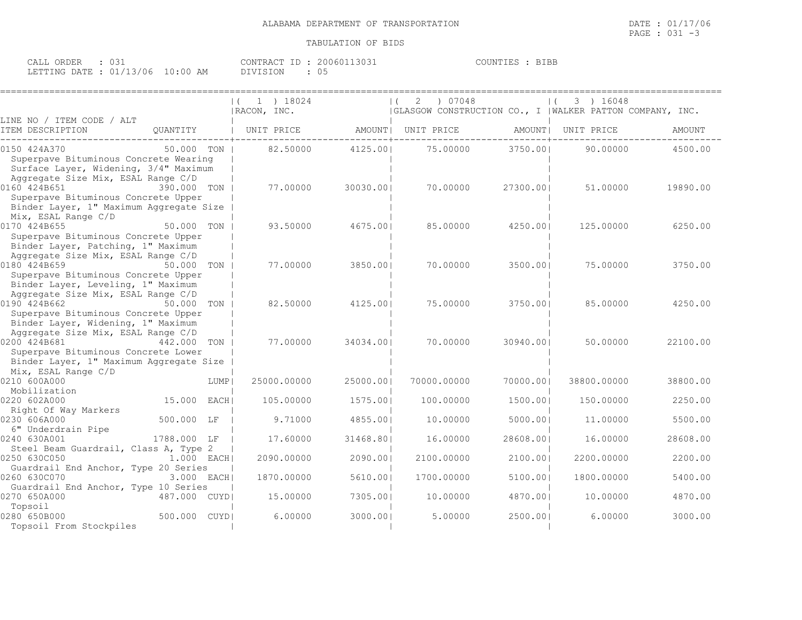| CALL ORDER |                                  |          | CONTRACT ID: 20060113031 | COUNTIES : BIBE |
|------------|----------------------------------|----------|--------------------------|-----------------|
|            | LETTING DATE : 01/13/06 10:00 AM | DIVISION |                          |                 |

|                                                                                                                                      |               |      | 1 ) 18024<br>  RACON, INC. |           | 07048<br>2<br> GLASGOW CONSTRUCTION CO., I  WALKER PATTON COMPANY, INC. |           | 3 ) 16048<br>$\left  \right $ |          |
|--------------------------------------------------------------------------------------------------------------------------------------|---------------|------|----------------------------|-----------|-------------------------------------------------------------------------|-----------|-------------------------------|----------|
| LINE NO / ITEM CODE / ALT<br>ITEM DESCRIPTION                                                                                        | OUANTITY      |      | UNIT PRICE                 | AMOUNT    | UNIT PRICE                                                              |           | AMOUNT   UNIT PRICE           | AMOUNT   |
| 0150 424A370<br>Superpave Bituminous Concrete Wearing<br>Surface Layer, Widening, 3/4" Maximum<br>Aggregate Size Mix, ESAL Range C/D | 50.000 TON    |      | 82.50000                   | 4125.001  | 75.00000                                                                | 3750.00   | 90.00000                      | 4500.00  |
| 0160 424B651<br>Superpave Bituminous Concrete Upper<br>Binder Layer, 1" Maximum Aggregate Size<br>Mix, ESAL Range C/D                | 390.000 TON   |      | 77.00000                   | 30030.001 | 70.00000                                                                | 27300.001 | 51,00000                      | 19890.00 |
| 0170 424B655<br>Superpave Bituminous Concrete Upper<br>Binder Layer, Patching, 1" Maximum<br>Aggregate Size Mix, ESAL Range C/D      | 50.000 TON    |      | 93.50000                   | 4675.001  | 85.00000                                                                | 4250.001  | 125.00000                     | 6250.00  |
| 0180 424B659<br>Superpave Bituminous Concrete Upper<br>Binder Layer, Leveling, 1" Maximum<br>Aggregate Size Mix, ESAL Range C/D      | 50.000        | TON  | 77.00000                   | 3850.001  | 70.00000                                                                | 3500.001  | 75.00000                      | 3750.00  |
| 0190 424B662<br>Superpave Bituminous Concrete Upper<br>Binder Layer, Widening, 1" Maximum<br>Aggregate Size Mix, ESAL Range C/D      | 50.000 TON    |      | 82.50000                   | 4125.001  | 75.00000                                                                | 3750.001  | 85,00000                      | 4250.00  |
| 0200 424B681<br>Superpave Bituminous Concrete Lower<br>Binder Layer, 1" Maximum Aggregate Size<br>Mix, ESAL Range C/D                | 442.000       | TON  | 77.00000                   | 34034.001 | 70,00000                                                                | 30940.001 | 50,00000                      | 22100.00 |
| 0210 600A000<br>Mobilization                                                                                                         |               | LUMP | 25000.00000                | 25000.001 | 70000.00000                                                             | 70000.001 | 38800.00000                   | 38800.00 |
| 0220 602A000<br>Right Of Way Markers                                                                                                 | 15.000        | EACH | 105.00000                  | 1575.001  | 100.00000                                                               | 1500.001  | 150.00000                     | 2250.00  |
| 0230 606A000<br>6" Underdrain Pipe                                                                                                   | 500.000 LF    |      | 9.71000                    | 4855.001  | 10.00000                                                                | 5000.001  | 11,00000                      | 5500.00  |
| 0240 630A001<br>Steel Beam Guardrail, Class A, Type 2                                                                                | 1788.000 LF   |      | 17.60000                   | 31468.801 | 16.00000                                                                | 28608.001 | 16.00000                      | 28608.00 |
| 0250 630C050<br>Guardrail End Anchor, Type 20 Series                                                                                 | $1.000$ EACH  |      | 2090.00000                 | 2090.001  | 2100.00000                                                              | 2100.001  | 2200.00000                    | 2200.00  |
| 0260 630C070<br>Guardrail End Anchor, Type 10 Series                                                                                 | 3.000 EACH    |      | 1870.00000                 | 5610.001  | 1700.00000                                                              | 5100.001  | 1800.00000                    | 5400.00  |
| 0270 650A000<br>Topsoil                                                                                                              | 487.000 CUYDI |      | 15.00000                   | 7305.001  | 10.00000                                                                | 4870.001  | 10.00000                      | 4870.00  |
| 0280 650B000<br>Topsoil From Stockpiles                                                                                              | 500.000 CUYDI |      | 6.00000                    | 3000.001  | 5.00000                                                                 | 2500.001  | 6.00000                       | 3000.00  |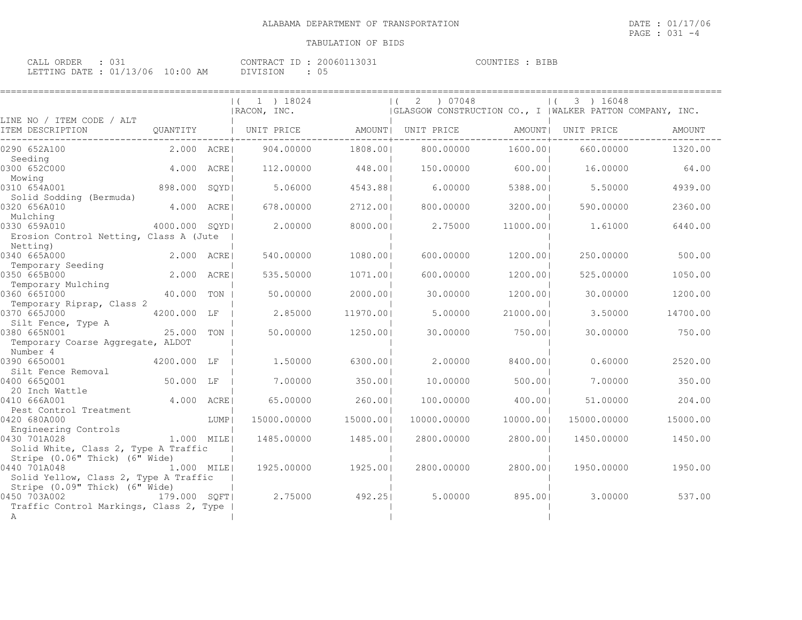| CALL ORDER                      |  | CONTRACT ID: 20060113031 | COUNTIES : BIBE |
|---------------------------------|--|--------------------------|-----------------|
| LETTING DATE: 01/13/06 10:00 AM |  | DIVISION                 |                 |

|                                                                                           |                |      | 1 ) 18024<br>$\left  \right $<br>  RACON, INC. |          | 07048<br>2<br>(GLASGOW CONSTRUCTION CO., I   WALKER PATTON COMPANY, INC. |           | 3 ) 16048   |               |
|-------------------------------------------------------------------------------------------|----------------|------|------------------------------------------------|----------|--------------------------------------------------------------------------|-----------|-------------|---------------|
| LINE NO / ITEM CODE / ALT<br>ITEM DESCRIPTION                                             | QUANTITY       |      | UNIT PRICE                                     | AMOUNT   | UNIT PRICE                                                               | AMOUNT    | UNIT PRICE  | <b>AMOUNT</b> |
| 0290 652A100                                                                              | 2.000 ACRE     |      | 904,00000                                      | 1808.001 | 800.00000                                                                | 1600.001  | 660.00000   | 1320.00       |
| Seeding<br>0300 652C000                                                                   | 4.000          | ACRE | 112,00000                                      | 448.00   | 150.00000                                                                | 600.00    | 16.00000    | 64.00         |
| Mowing<br>0310 654A001                                                                    | 898.000        | SQYD | 5.06000                                        | 4543.881 | 6.00000                                                                  | 5388.001  | 5.50000     | 4939.00       |
| Solid Sodding (Bermuda)<br>0320 656A010<br>Mulching                                       | 4,000          | ACRE | 678.00000                                      | 2712.001 | 800.00000                                                                | 3200.001  | 590.00000   | 2360.00       |
| 0330 659A010<br>Erosion Control Netting, Class A (Jute                                    | 4000.000 SOYDI |      | 2.00000                                        | 8000.00  | 2.75000                                                                  | 11000.001 | 1,61000     | 6440.00       |
| Netting)                                                                                  |                |      |                                                |          |                                                                          |           |             |               |
| 0340 665A000                                                                              | 2,000          | ACRE | 540.00000                                      | 1080.001 | 600.00000                                                                | 1200.001  | 250.00000   | 500.00        |
| Temporary Seeding<br>0350 665B000                                                         | 2.000          | ACRE | 535.50000                                      | 1071.001 | 600.00000                                                                | 1200.001  | 525.00000   | 1050.00       |
| Temporary Mulching<br>0360 6651000                                                        | 40.000         | TON  | 50.00000                                       | 2000.00  | 30.00000                                                                 | 1200.001  | 30.00000    | 1200.00       |
| Temporary Riprap, Class 2<br>0370 665J000                                                 | 4200.000 LF    |      | 2.85000                                        | 11970.00 | 5.00000                                                                  | 21000.001 | 3.50000     | 14700.00      |
| Silt Fence, Type A<br>0380 665N001<br>Temporary Coarse Aggregate, ALDOT                   | 25.000         | TON  | 50.00000                                       | 1250.001 | 30.00000                                                                 | 750.001   | 30.00000    | 750.00        |
| Number 4                                                                                  |                |      |                                                |          |                                                                          |           |             |               |
| 0390 6650001<br>Silt Fence Removal                                                        | 4200.000 LF    |      | 1,50000                                        | 6300.00  | 2,00000                                                                  | 8400.001  | 0.60000     | 2520.00       |
| 0400 6650001<br>20 Inch Wattle                                                            | 50.000 LF      |      | 7.00000                                        | 350.00   | 10.00000                                                                 | 500.00    | 7.00000     | 350.00        |
| 0410 666A001<br>Pest Control Treatment                                                    | 4.000 ACRE     |      | 65.00000                                       | 260.001  | 100.00000                                                                | 400.001   | 51.00000    | 204.00        |
| 0420 680A000<br>Engineering Controls                                                      |                | LUMP | 15000.00000                                    | 15000.00 | 10000.00000                                                              | 10000.001 | 15000.00000 | 15000.00      |
| 0430 701A028<br>1.000 MILE <br>Solid White, Class 2, Type A Traffic                       |                |      | 1485.00000                                     | 1485.001 | 2800.00000                                                               | 2800.001  | 1450.00000  | 1450.00       |
| Stripe (0.06" Thick) (6" Wide)<br>0440 701A048<br>Solid Yellow, Class 2, Type A Traffic   | 1.000 MILE     |      | 1925.00000                                     | 1925.001 | 2800.00000                                                               | 2800.001  | 1950.00000  | 1950.00       |
| Stripe (0.09" Thick) (6" Wide)<br>0450 703A002<br>Traffic Control Markings, Class 2, Type | 179.000 SQFT   |      | 2.75000                                        | 492.251  | 5.00000                                                                  | 895.001   | 3.00000     | 537.00        |
| A                                                                                         |                |      |                                                |          |                                                                          |           |             |               |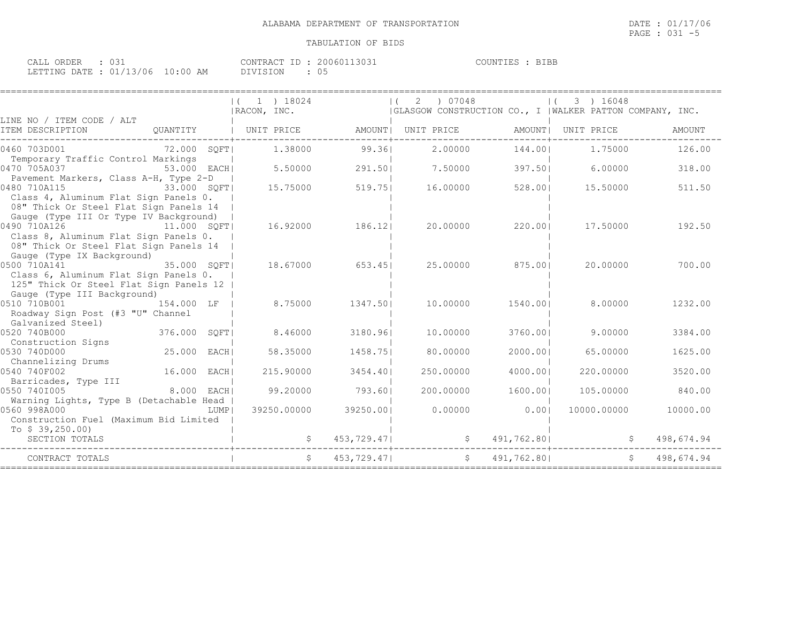| CALL ORDER                       |  |          | CONTRACT ID: 20060113031 | COUNTIES : BIBE |
|----------------------------------|--|----------|--------------------------|-----------------|
| LETTING DATE : 01/13/06 10:00 AM |  | DIVISION |                          |                 |

|                                                                                                                                                           |                       |      | (1 1) 18024<br>RACON, INC. |             | 2<br>$\left  \right $ ( | 07048       |             |                    | 3 ) 16048   | GLASGOW CONSTRUCTION CO., I   WALKER PATTON COMPANY, INC. |  |
|-----------------------------------------------------------------------------------------------------------------------------------------------------------|-----------------------|------|----------------------------|-------------|-------------------------|-------------|-------------|--------------------|-------------|-----------------------------------------------------------|--|
| LINE NO / ITEM CODE / ALT<br>ITEM DESCRIPTION                                                                                                             | OUANTITY   UNIT PRICE |      |                            | AMOUNT      | UNIT PRICE              |             |             | AMOUNT  UNIT PRICE |             | <b>AMOUNT</b>                                             |  |
| 0460 703D001<br>Temporary Traffic Control Markings                                                                                                        | 72.000 SQFT           |      | 1,38000                    | 99.361      |                         | 2,00000     | 144.001     |                    | 1,75000     | 126.00                                                    |  |
| 0470 705A037<br>Pavement Markers, Class A-H, Type 2-D                                                                                                     | 53.000 EACH           |      | 5.50000                    | 291.501     |                         | 7.50000     | 397.501     |                    | 6.00000     | 318.00                                                    |  |
| 0480 710A115<br>33.000 SQFT<br>Class 4, Aluminum Flat Sign Panels 0.<br>08" Thick Or Steel Flat Sign Panels 14                                            |                       |      | 15.75000                   | 519.751     |                         | 16.00000    | 528.001     |                    | 15.50000    | 511.50                                                    |  |
| Gauge (Type III Or Type IV Background)<br>0490 710A126<br>11.000 SOFTI<br>Class 8, Aluminum Flat Sign Panels 0.<br>08" Thick Or Steel Flat Sign Panels 14 |                       |      | 16.92000                   | 186.121     |                         | 20,00000    | 220.001     |                    | 17.50000    | 192.50                                                    |  |
| Gauge (Type IX Background)<br>0500 710A141<br>Class 6, Aluminum Flat Sign Panels 0.<br>125" Thick Or Steel Flat Sign Panels 12                            | 35.000 SQFT           |      | 18.67000                   | 653.45      |                         | 25.00000    | 875.001     |                    | 20.00000    | 700.00                                                    |  |
| Gauge (Type III Background)<br>0510 710B001<br>154.000 LF<br>Roadway Sign Post (#3 "U" Channel<br>Galvanized Steel)                                       |                       |      | 8.75000                    | 1347.501    |                         | 10,00000    | 1540.001    |                    | 8.00000     | 1232.00                                                   |  |
| 0520 740B000<br>Construction Signs                                                                                                                        | 376.000 SQFT          |      | 8.46000                    | 3180.961    |                         | 10,00000    | 3760.001    |                    | 9.00000     | 3384.00                                                   |  |
| 0530 740D000<br>Channelizing Drums                                                                                                                        | 25.000 EACH           |      | 58.35000                   | 1458.751    |                         | 80.00000    | 2000.001    |                    | 65.00000    | 1625.00                                                   |  |
| 0540 740F002<br>Barricades, Type III                                                                                                                      | 16.000 EACH           |      | 215.90000                  | 3454.401    |                         | 250.00000   | 4000.001    |                    | 220,00000   | 3520.00                                                   |  |
| 0550 7401005<br>Warning Lights, Type B (Detachable Head                                                                                                   | 8.000 EACH            |      | 99.20000                   | 793.601     |                         | 200,00000   | 1600.001    |                    | 105,00000   | 840.00                                                    |  |
| 0560 998A000<br>Construction Fuel (Maximum Bid Limited                                                                                                    |                       | LUMP | 39250.00000                | 39250.001   |                         | 0.00000     | 0.001       |                    | 10000.00000 | 10000.00                                                  |  |
| To $$39,250.00$<br>SECTION TOTALS                                                                                                                         |                       |      |                            | 453,729.47  |                         |             | 491,762.80  |                    |             | 498,674.94                                                |  |
| CONTRACT TOTALS                                                                                                                                           |                       |      | $\mathsf{S}$               | 453,729.471 |                         | $S$ and $S$ | 491,762.801 |                    |             | $S$ and $S$<br>498,674.94                                 |  |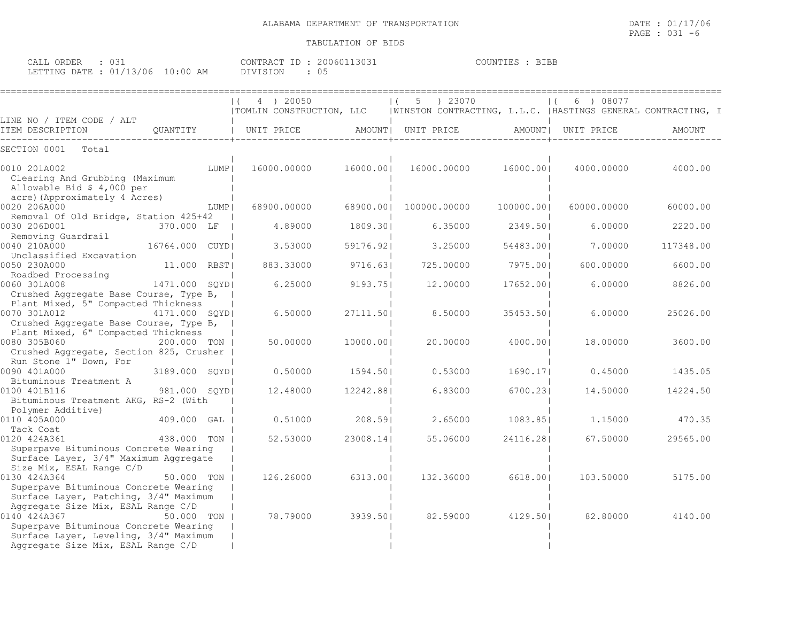| CALL ORDER : 031                |  |          | CONTRACT ID: 20060113031 | COUNTIES : BIBB |  |
|---------------------------------|--|----------|--------------------------|-----------------|--|
| LETTING DATE: 01/13/06 10:00 AM |  | DIVISION |                          |                 |  |

|                                                                                                                                                                            |                | 4 ) 20050<br>TOMLIN CONSTRUCTION, LLC |           | 5 ) 23070           |           | 6 ) 08077<br>$\vert$ (<br> WINSTON CONTRACTING, L.L.C.  HASTINGS GENERAL CONTRACTING, I |           |
|----------------------------------------------------------------------------------------------------------------------------------------------------------------------------|----------------|---------------------------------------|-----------|---------------------|-----------|-----------------------------------------------------------------------------------------|-----------|
| LINE NO / ITEM CODE / ALT<br>ITEM DESCRIPTION                                                                                                                              | OUANTITY       | UNIT PRICE                            |           | AMOUNT   UNIT PRICE |           | AMOUNT  UNIT PRICE                                                                      | AMOUNT    |
| SECTION 0001<br>Total                                                                                                                                                      |                |                                       |           |                     |           |                                                                                         |           |
| 0010 201A002<br>Clearing And Grubbing (Maximum<br>Allowable Bid \$ 4,000 per                                                                                               | LUMP           | 16000.00000                           | 16000.00  | 16000.00000         | 16000.00  | 4000.00000                                                                              | 4000.00   |
| acre) (Approximately 4 Acres)<br>0020 206A000                                                                                                                              | LUMP           | 68900.00000                           | 68900.001 | 100000.00000        | 100000.00 | 60000.00000                                                                             | 60000.00  |
| Removal Of Old Bridge, Station 425+42<br>0030 206D001<br>Removing Guardrail                                                                                                | 370.000 LF     | 4.89000                               | 1809.301  | 6.35000             | 2349.501  | 6.00000                                                                                 | 2220.00   |
| 0040 210A000<br>Unclassified Excavation                                                                                                                                    | 16764.000 CUYD | 3.53000                               | 59176.921 | 3.25000             | 54483.001 | 7.00000                                                                                 | 117348.00 |
| 0050 230A000<br>Roadbed Processing                                                                                                                                         | 11,000 RBST    | 883.33000                             | 9716.631  | 725.00000           | 7975.001  | 600,00000                                                                               | 6600.00   |
| 0060 301A008<br>Crushed Aggregate Base Course, Type B,                                                                                                                     | 1471.000 SOYDI | 6.25000                               | 9193.751  | 12,00000            | 17652.001 | 6.00000                                                                                 | 8826.00   |
| Plant Mixed, 5" Compacted Thickness<br>0070 301A012<br>Crushed Aggregate Base Course, Type B,                                                                              | 4171.000 SOYDI | 6.50000                               | 27111.501 | 8.50000             | 35453.501 | 6,00000                                                                                 | 25026.00  |
| Plant Mixed, 6" Compacted Thickness<br>0080 305B060<br>Crushed Aggregate, Section 825, Crusher                                                                             | 200.000 TON    | 50.00000                              | 10000.001 | 20.00000            | 4000.001  | 18,00000                                                                                | 3600.00   |
| Run Stone 1" Down, For<br>0090 401A000<br>Bituminous Treatment A                                                                                                           | 3189.000 SQYD  | 0.50000                               | 1594.501  | 0.53000             | 1690.171  | 0.45000                                                                                 | 1435.05   |
| 0100 401B116<br>Bituminous Treatment AKG, RS-2 (With<br>Polymer Additive)                                                                                                  | 981.000 SOYDI  | 12,48000                              | 12242.881 | 6.83000             | 6700.231  | 14.50000                                                                                | 14224.50  |
| 0110 405A000<br>Tack Coat                                                                                                                                                  | 409.000 GAL    | 0.51000                               | 208.591   | 2.65000             | 1083.851  | 1,15000                                                                                 | 470.35    |
| 0120 424A361<br>Superpave Bituminous Concrete Wearing<br>Surface Layer, 3/4" Maximum Aggregate                                                                             | 438.000 TON    | 52.53000                              | 23008.14  | 55.06000            | 24116.281 | 67.50000                                                                                | 29565.00  |
| Size Mix, ESAL Range C/D<br>0130 424A364<br>Superpave Bituminous Concrete Wearing<br>Surface Layer, Patching, 3/4" Maximum                                                 | 50.000 TON     | 126.26000                             | 6313.00   | 132.36000           | 6618.001  | 103.50000                                                                               | 5175.00   |
| Aggregate Size Mix, ESAL Range C/D<br>0140 424A367<br>Superpave Bituminous Concrete Wearing<br>Surface Layer, Leveling, 3/4" Maximum<br>Aggregate Size Mix, ESAL Range C/D | 50.000 TON     | 78.79000                              | 3939.501  | 82.59000            | 4129.501  | 82.80000                                                                                | 4140.00   |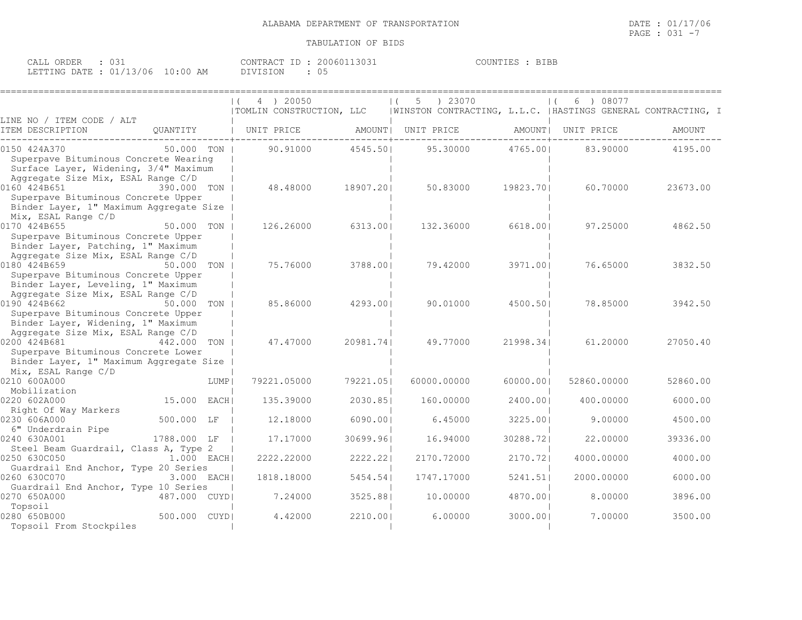| CALL ORDER                      |  |          | CONTRACT ID: 20060113031 | COUNTIES : BIBE |
|---------------------------------|--|----------|--------------------------|-----------------|
| LETTING DATE: 01/13/06 10:00 AM |  | DIVISION |                          |                 |

|                                                                                                                                      |               |      | 4 ) 20050<br>  TOMLIN CONSTRUCTION, LLC |           | 5                  | ) 23070 |           |                     | 08077       | WINSTON CONTRACTING, L.L.C.  HASTINGS GENERAL CONTRACTING, I |  |
|--------------------------------------------------------------------------------------------------------------------------------------|---------------|------|-----------------------------------------|-----------|--------------------|---------|-----------|---------------------|-------------|--------------------------------------------------------------|--|
| LINE NO / ITEM CODE / ALT<br>ITEM DESCRIPTION                                                                                        | OUANTITY      |      | UNIT PRICE                              |           | AMOUNT  UNIT PRICE |         |           | AMOUNT   UNIT PRICE |             | AMOUNT                                                       |  |
| 0150 424A370<br>Superpave Bituminous Concrete Wearing<br>Surface Layer, Widening, 3/4" Maximum<br>Aggregate Size Mix, ESAL Range C/D | 50.000 TON 1  |      | 90.91000                                | 4545.501  | 95.30000           |         | 4765.001  |                     | 83.90000    | 4195.00                                                      |  |
| 0160 424B651<br>Superpave Bituminous Concrete Upper<br>Binder Layer, 1" Maximum Aggregate Size<br>Mix, ESAL Range C/D                | 390.000 TON I |      | 48.48000                                | 18907.201 | 50.83000           |         | 19823.701 |                     | 60.70000    | 23673.00                                                     |  |
| 0170 424B655<br>Superpave Bituminous Concrete Upper<br>Binder Layer, Patching, 1" Maximum<br>Aggregate Size Mix, ESAL Range C/D      | 50.000 TON    |      | 126.26000                               | 6313.001  | 132.36000          |         | 6618.001  |                     | 97.25000    | 4862.50                                                      |  |
| 0180 424B659<br>Superpave Bituminous Concrete Upper<br>Binder Layer, Leveling, 1" Maximum<br>Aggregate Size Mix, ESAL Range C/D      | 50.000 TON I  |      | 75.76000                                | 3788.001  | 79.42000           |         | 3971.001  |                     | 76.65000    | 3832.50                                                      |  |
| 0190 424B662<br>Superpave Bituminous Concrete Upper<br>Binder Layer, Widening, 1" Maximum<br>Aggregate Size Mix, ESAL Range C/D      | 50.000        | TON  | 85.86000                                | 4293.001  | 90.01000           |         | 4500.501  |                     | 78.85000    | 3942.50                                                      |  |
| 0200 424B681<br>Superpave Bituminous Concrete Lower<br>Binder Layer, 1" Maximum Aggregate Size<br>Mix, ESAL Range C/D                | 442.000 TON   |      | 47.47000                                | 20981.741 | 49.77000           |         | 21998.341 |                     | 61,20000    | 27050.40                                                     |  |
| 0210 600A000<br>Mobilization                                                                                                         |               | LUMP | 79221.05000                             | 79221.051 | 60000.00000        |         | 60000.001 |                     | 52860.00000 | 52860.00                                                     |  |
| 0220 602A000<br>Right Of Way Markers                                                                                                 | 15.000 EACH   |      | 135.39000                               | 2030.851  | 160.00000          |         | 2400.001  |                     | 400,00000   | 6000.00                                                      |  |
| 0230 606A000<br>6" Underdrain Pipe                                                                                                   | 500.000 LF    |      | 12,18000                                | 6090.001  | 6.45000            |         | 3225.001  |                     | 9,00000     | 4500.00                                                      |  |
| 0240 630A001<br>Steel Beam Guardrail, Class A, Type 2                                                                                | 1788.000 LF   |      | 17.17000                                | 30699.961 | 16.94000           |         | 30288.721 |                     | 22,00000    | 39336.00                                                     |  |
| 0250 630C050<br>Guardrail End Anchor, Type 20 Series                                                                                 | $1.000$ EACHI |      | 2222.22000                              | 2222.221  | 2170.72000         |         | 2170.721  |                     | 4000.00000  | 4000.00                                                      |  |
| 0260 630C070<br>Guardrail End Anchor, Type 10 Series                                                                                 | 3.000 EACH    |      | 1818.18000                              | 5454.54   | 1747.17000         |         | 5241.51   |                     | 2000.00000  | 6000.00                                                      |  |
| 0270 650A000<br>Topsoil                                                                                                              | 487.000 CUYD  |      | 7.24000                                 | 3525.881  | 10.00000           |         | 4870.001  |                     | 8,00000     | 3896.00                                                      |  |
| 0280 650B000<br>Topsoil From Stockpiles                                                                                              | 500.000 CUYDI |      | 4.42000                                 | 2210.001  | 6.00000            |         | 3000.001  |                     | 7.00000     | 3500.00                                                      |  |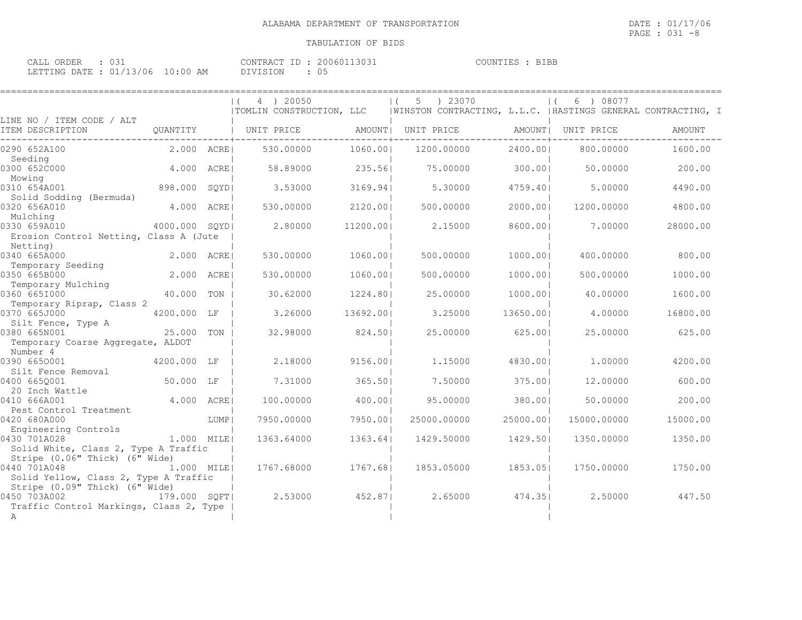**BIBB** 

| CALL ORDER |                                  | CONTRACT ID: 20060113031 | COUNTIES : BIBE |
|------------|----------------------------------|--------------------------|-----------------|
|            | LETTING DATE : 01/13/06 10:00 AM | DIVISION                 |                 |

|                                                      |                |      | 4 ) 20050                |           | ) 23070<br>5                                                 |           | 08077<br>6  |          |
|------------------------------------------------------|----------------|------|--------------------------|-----------|--------------------------------------------------------------|-----------|-------------|----------|
| LINE NO / ITEM CODE / ALT                            |                |      | TOMLIN CONSTRUCTION, LLC |           | WINSTON CONTRACTING, L.L.C.  HASTINGS GENERAL CONTRACTING, I |           |             |          |
| ITEM DESCRIPTION                                     | QUANTITY       |      | UNIT PRICE               | AMOUNT    | UNIT PRICE                                                   | AMOUNT    | UNIT PRICE  | AMOUNT   |
| 0290 652A100                                         | 2.000 ACRE     |      | 530.00000                | 1060.001  | 1200.00000                                                   | 2400.00   | 800.00000   | 1600.00  |
| Seeding<br>0300 652C000                              | 4.000          | ACRE | 58.89000                 | 235.561   | 75.00000                                                     | 300.00    | 50.00000    | 200.00   |
| Mowing<br>0310 654A001                               | 898.000        | SQYD | 3.53000                  | 3169.94   | 5.30000                                                      | 4759.401  | 5,00000     | 4490.00  |
| Solid Sodding (Bermuda)<br>0320 656A010              | 4.000          | ACRE | 530.00000                | 2120.001  | 500.00000                                                    | 2000.001  | 1200.00000  | 4800.00  |
| Mulching<br>0330 659A010                             | 4000.000 SOYDI |      | 2.80000                  | 11200.001 | 2.15000                                                      | 8600.001  | 7.00000     | 28000.00 |
| Erosion Control Netting, Class A (Jute<br>Netting)   |                |      |                          |           |                                                              |           |             |          |
| 0340 665A000                                         | 2,000          | ACRE | 530.00000                | 1060.001  | 500.00000                                                    | 1000.001  | 400.00000   | 800.00   |
| Temporary Seeding<br>0350 665B000                    | 2,000          | ACRE | 530.00000                | 1060.001  | 500.00000                                                    | 1000.001  | 500.00000   | 1000.00  |
| Temporary Mulching                                   |                |      |                          |           |                                                              |           |             |          |
| 0360 6651000                                         | 40.000         | TON  | 30.62000                 | 1224.801  | 25.00000                                                     | 1000.001  | 40.00000    | 1600.00  |
| Temporary Riprap, Class 2<br>0370 665J000            | 4200.000 LF    |      | 3.26000                  | 13692.001 | 3.25000                                                      | 13650.001 | 4,00000     | 16800.00 |
| Silt Fence, Type A<br>0380 665N001                   | 25.000         | TON  | 32,98000                 | 824.501   | 25.00000                                                     | 625.001   | 25.00000    | 625.00   |
| Temporary Coarse Aggregate, ALDOT<br>Number 4        |                |      |                          |           |                                                              |           |             |          |
| 0390 6650001                                         | 4200.000 LF    |      | 2.18000                  | 9156.001  | 1,15000                                                      | 4830.001  | 1,00000     | 4200.00  |
| Silt Fence Removal                                   |                |      |                          |           |                                                              |           |             |          |
| 0400 6650001<br>20 Inch Wattle                       | 50.000 LF      |      | 7.31000                  | 365.501   | 7.50000                                                      | 375.001   | 12,00000    | 600.00   |
| 0410 666A001                                         | 4.000          | ACRE | 100.00000                | 400.001   | 95.00000                                                     | 380.001   | 50.00000    | 200.00   |
| Pest Control Treatment                               |                |      |                          |           |                                                              |           |             |          |
| 0420 680A000                                         |                | LUMP | 7950.00000               | 7950.001  | 25000.00000                                                  | 25000.00  | 15000.00000 | 15000.00 |
| Engineering Controls                                 |                |      |                          |           |                                                              |           |             |          |
| 0430 701A028<br>Solid White, Class 2, Type A Traffic | 1.000 MILE     |      | 1363.64000               | 1363.641  | 1429.50000                                                   | 1429.501  | 1350.00000  | 1350.00  |
| Stripe (0.06" Thick) (6" Wide)                       |                |      |                          |           |                                                              |           |             |          |
| 0440 701A048                                         | 1,000 MILEI    |      | 1767.68000               | 1767.68   | 1853.05000                                                   | 1853.051  | 1750.00000  | 1750.00  |
| Solid Yellow, Class 2, Type A Traffic                |                |      |                          |           |                                                              |           |             |          |
| Stripe (0.09" Thick) (6" Wide)<br>0450 703A002       | 179.000 SQFT   |      | 2.53000                  | 452.871   | 2.65000                                                      | 474.351   | 2.50000     | 447.50   |
| Traffic Control Markings, Class 2, Type              |                |      |                          |           |                                                              |           |             |          |
| A                                                    |                |      |                          |           |                                                              |           |             |          |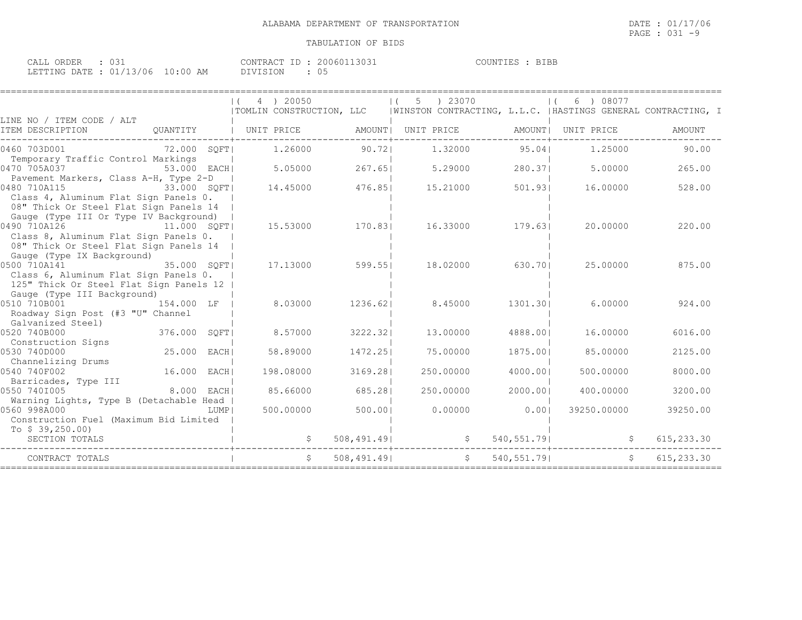| CALL ORDER                      |  |          | CONTRACT ID: 20060113031 | COUNTIES : BIBE |
|---------------------------------|--|----------|--------------------------|-----------------|
| LETTING DATE: 01/13/06 10:00 AM |  | DIVISION |                          |                 |

|                                                                                                                                                           | 4 ) 20050<br>$\left  \right $<br>  TOMLIN CONSTRUCTION, LLC   WINSTON CONTRACTING, L.L.C.   HASTINGS GENERAL CONTRACTING, I |             | 5 ) 23070<br>$\left  \right $ |             | 6 ) 08077       |            |
|-----------------------------------------------------------------------------------------------------------------------------------------------------------|-----------------------------------------------------------------------------------------------------------------------------|-------------|-------------------------------|-------------|-----------------|------------|
| LINE NO / ITEM CODE / ALT<br>ITEM DESCRIPTION                                                                                                             | QUANTITY   UNIT PRICE AMOUNT  UNIT PRICE AMOUNT  UNIT PRICE                                                                 |             |                               |             |                 | AMOUNT     |
| 0460 703D001<br>72.000 SQFT <br>Temporary Traffic Control Markings                                                                                        | 1.26000 90.721                                                                                                              |             | 1.32000 95.041                |             | 1.25000         | 90.00      |
| 0470 705A037<br>53.000 EACHI                                                                                                                              |                                                                                                                             |             | 5.05000 267.65 5.29000        |             | 280.371 5.00000 | 265.00     |
| Pavement Markers, Class A-H, Type 2-D<br>0480 710A115<br>33.000 SOFT<br>Class 4, Aluminum Flat Sign Panels 0.<br>08" Thick Or Steel Flat Sign Panels 14   | 14.45000 476.85                                                                                                             |             | 15.21000                      | 501.931     | 16.00000        | 528.00     |
| Gauge (Type III Or Type IV Background)<br>0490 710A126<br>11.000 SOFT <br>Class 8, Aluminum Flat Sign Panels 0.<br>08" Thick Or Steel Flat Sign Panels 14 | 15.53000 170.83                                                                                                             |             | 16.33000 179.63               |             | 20.00000        | 220.00     |
| Gauge (Type IX Background)<br>0500 710A141 35.000 SQFT<br>Class 6, Aluminum Flat Sign Panels 0.<br>125" Thick Or Steel Flat Sign Panels 12                | 17.13000                                                                                                                    | 599.55      | 18.02000                      | 630.701     | 25.00000        | 875.00     |
| Gauge (Type III Background)<br>0510 710B001 154.000 LF  <br>Roadway Sign Post (#3 "U" Channel<br>Galvanized Steel)                                        | 8.03000                                                                                                                     |             | 1236.62  8.45000              | 1301.301    | 6.00000         | 924.00     |
| $376.000$ $SQFT$<br>0520 740B000                                                                                                                          | 8.57000                                                                                                                     | 3222.321    | 13,00000                      | 4888.001    | 16.00000        | 6016.00    |
| Construction Signs<br>25.000 EACH<br>0530 740D000<br>Channelizing Drums                                                                                   | 58.89000                                                                                                                    | 1472.251    | 75,00000                      | 1875.001    | 85.00000        | 2125.00    |
| 16.000 EACH <br>0540 740F002<br>Barricades, Type III                                                                                                      | 198.08000                                                                                                                   | 3169.281    | 250,00000                     | 4000.001    | 500,00000       | 8000.00    |
| $8.000$ EACH<br>0550 7401005                                                                                                                              | 85.66000                                                                                                                    | 685.281     | 250.00000                     | 2000.001    | 400.00000       | 3200.00    |
| Warning Lights, Type B (Detachable Head  <br>0560 998A000<br>LUMP  <br>Construction Fuel (Maximum Bid Limited                                             | 500.00000                                                                                                                   | 500.001     | 0.00000                       | 0.001       | 39250.00000     | 39250.00   |
| To $$39,250.00$<br>SECTION TOTALS                                                                                                                         |                                                                                                                             |             | 508,491.49                    |             | 540, 551. 79    | 615,233.30 |
| CONTRACT TOTALS                                                                                                                                           |                                                                                                                             | 508,491.491 |                               | 540, 551.79 |                 | 615,233.30 |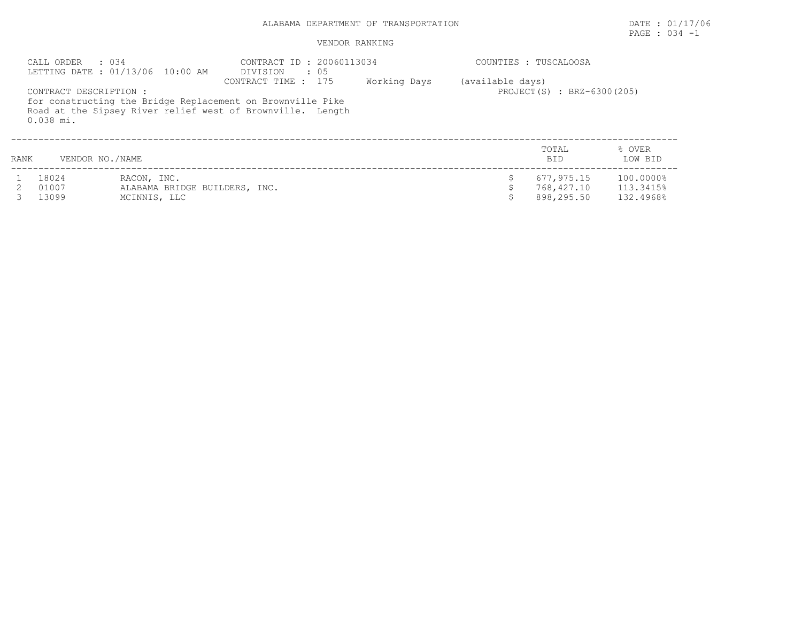## ALABAMA DEPARTMENT OF TRANSPORTATION DATE : 01/17/06

# PAGE : 034 -1

### VENDOR RANKING

|      | CALL ORDER : 034                      | LETTING DATE: 01/13/06 10:00 AM                              | CONTRACT ID: 20060113034<br>DIVISION<br>: 05                                                                                                    |              |                  | COUNTIES : TUSCALOOSA                  |                                     |
|------|---------------------------------------|--------------------------------------------------------------|-------------------------------------------------------------------------------------------------------------------------------------------------|--------------|------------------|----------------------------------------|-------------------------------------|
|      | CONTRACT DESCRIPTION :<br>$0.038$ mi. |                                                              | CONTRACT TIME : 175<br>for constructing the Bridge Replacement on Brownville Pike<br>Road at the Sipsey River relief west of Brownville. Length | Working Days | (available days) | PROJECT(S) : BRZ-6300(205)             |                                     |
| RANK | VENDOR NO./NAME                       |                                                              |                                                                                                                                                 |              |                  | TOTAL<br><b>BID</b>                    | % OVER<br>LOW BID                   |
|      | 18024<br>01007<br>13099               | RACON, INC.<br>ALABAMA BRIDGE BUILDERS, INC.<br>MCINNIS, LLC |                                                                                                                                                 |              |                  | 677,975.15<br>768,427.10<br>898,295.50 | 100.0000%<br>113.3415%<br>132.4968% |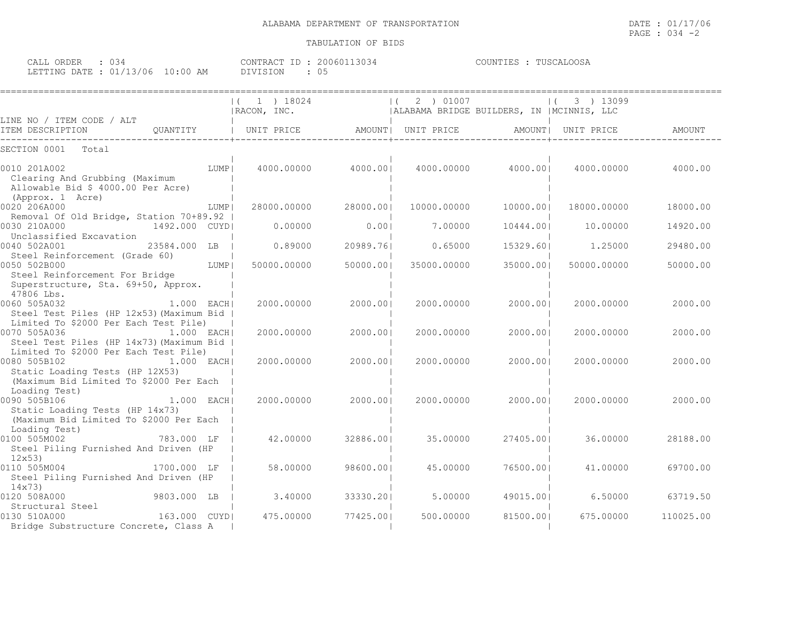CALL ORDER : 034 CONTRACT ID : 20060113034 COUNTIES : TUSCALOOSA LETTING DATE : 01/13/06 10:00 AM DIVISION : 05

|                                                                                                                             | $(1)$ 18024<br>RACON, INC. |           | 2 ) 01007<br>$\vert$ (<br>  ALABAMA BRIDGE BUILDERS, IN   MCINNIS, LLC |                    | 3 ) 13099   |           |
|-----------------------------------------------------------------------------------------------------------------------------|----------------------------|-----------|------------------------------------------------------------------------|--------------------|-------------|-----------|
| LINE NO / ITEM CODE / ALT                                                                                                   |                            |           |                                                                        |                    |             |           |
| ITEM DESCRIPTION                                                                                                            |                            |           |                                                                        |                    |             | AMOUNT    |
| SECTION 0001<br>Total                                                                                                       |                            |           |                                                                        |                    |             |           |
| 0010 201A002<br>LUMP  <br>Clearing And Grubbing (Maximum<br>Allowable Bid \$ 4000.00 Per Acre)<br>(Approx. 1 Acre)          | 4000.00000 4000.001        |           |                                                                        | 4000.00000 4000.00 | 4000.00000  | 4000.00   |
| 0020 206A000<br>LUMP                                                                                                        | 28000.00000                | 28000.001 | 10000.00000                                                            | 10000.001          | 18000.00000 | 18000.00  |
| Removal Of Old Bridge, Station 70+89.92  <br>0030 210A000<br>1492.000 CUYDI<br>Unclassified Excavation                      | 0.00000                    | 0.001     | 7.00000                                                                | 10444.001          | 10,00000    | 14920.00  |
| 0040 502A001<br>23584.000 LB  <br>Steel Reinforcement (Grade 60)                                                            | 0.89000                    | 20989.761 | 0.65000                                                                | 15329.601          | 1,25000     | 29480.00  |
| 0050 502B000<br>LUMP  <br>Steel Reinforcement For Bridge<br>Superstructure, Sta. 69+50, Approx.<br>47806 Lbs.               | 50000.00000                | 50000.001 | 35000.00000                                                            | 35000.001          | 50000.00000 | 50000.00  |
| $1.000$ EACH<br>0060 505A032<br>Steel Test Piles (HP 12x53) (Maximum Bid  <br>Limited To \$2000 Per Each Test Pile)         | 2000.00000                 | 2000.001  | 2000.00000                                                             | 2000.001           | 2000.00000  | 2000.00   |
| 0070 505A036<br>1.000 EACHI<br>Steel Test Piles (HP 14x73) (Maximum Bid  <br>Limited To \$2000 Per Each Test Pile)          | 2000.00000                 | 2000.001  | 2000.00000                                                             | 2000.001           | 2000.00000  | 2000.00   |
| 0080 505B102<br>1.000 EACH<br>Static Loading Tests (HP 12X53)<br>(Maximum Bid Limited To \$2000 Per Each<br>Loading Test)   | 2000.00000                 | 2000.001  | 2000.00000                                                             | 2000.001           | 2000.00000  | 2000.00   |
| $1.000$ EACH<br>0090 505B106<br>Static Loading Tests (HP 14x73)<br>(Maximum Bid Limited To \$2000 Per Each<br>Loading Test) | 2000.00000                 | 2000.001  | 2000.00000                                                             | 2000.001           | 2000.00000  | 2000.00   |
| 0100 505M002<br>783.000 LF<br>Steel Piling Furnished And Driven (HP<br>12x53                                                | 42.00000                   | 32886.001 | 35.00000                                                               | 27405.001          | 36.00000    | 28188.00  |
| 0110 505M004<br>1700.000 LF<br>Steel Piling Furnished And Driven (HP<br>14x73                                               | 58.00000                   | 98600.001 | 45.00000                                                               | 76500.001          | 41,00000    | 69700.00  |
| 0120 508A000<br>9803.000 LB                                                                                                 | 3.40000                    | 33330.201 | 5,00000                                                                | 49015.001          | 6.50000     | 63719.50  |
| Structural Steel<br>163.000 CUYDI<br>0130 510A000<br>Bridge Substructure Concrete, Class A                                  | 475.00000                  | 77425.001 | 500,00000                                                              | 81500.001          | 675.00000   | 110025.00 |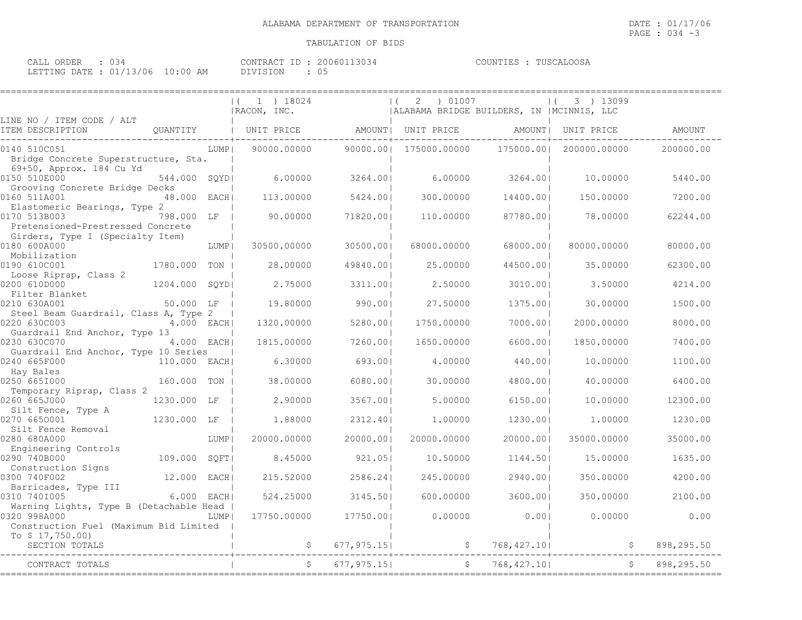====================================================================================================================================

| CALL ORDER<br>4 ك ل             | CONTRACT ID : 2 | 20060113034 | : TUSCALOOSA<br>COUNTIES : |
|---------------------------------|-----------------|-------------|----------------------------|
| LETTING DATE: 01/13/06 10:00 AM | DIVISION        | υ÷          |                            |

|                                                                       |                |        | $(1)$ 19024<br>IRACON, INC.                      |             | 2 ) 01007<br>$\vert$ (<br>  ALABAMA BRIDGE BUILDERS, IN   MCINNIS, LLC |             | $ (3)$ ) 13099 |            |
|-----------------------------------------------------------------------|----------------|--------|--------------------------------------------------|-------------|------------------------------------------------------------------------|-------------|----------------|------------|
| LINE NO / ITEM CODE / ALT<br>ITEM DESCRIPTION                         | QUANTITY       |        | UNIT PRICE AMOUNT  UNIT PRICE AMOUNT  UNIT PRICE |             |                                                                        |             |                | AMOUNT     |
| 0140 510C051                                                          |                | LUMP   | 90000.00000                                      | 90000.001   | 175000.00000                                                           | 175000.00   | 200000.00000   | 200000.00  |
| Bridge Concrete Superstructure, Sta.                                  |                |        |                                                  |             |                                                                        |             |                |            |
| 69+50, Approx. 184 Cu Yd<br>0150 510E000                              | 544.000 SOYDI  |        | 6,00000                                          | 3264.001    | 6.00000                                                                | 3264.00     | 10,00000       | 5440.00    |
| Grooving Concrete Bridge Decks                                        |                |        |                                                  |             |                                                                        |             |                |            |
| 0160 511A001                                                          | 48.000 EACH    |        | 113,00000                                        | 5424.001    | 300.00000                                                              | 14400.001   | 150.00000      | 7200.00    |
| Elastomeric Bearings, Type 2                                          |                |        |                                                  |             |                                                                        |             |                |            |
| 0170 513B003                                                          | 798.000 LF     |        | 90.00000                                         | 71820.001   | 110.00000                                                              | 87780.001   | 78.00000       | 62244.00   |
| Pretensioned-Prestressed Concrete<br>Girders, Type I (Specialty Item) |                |        |                                                  |             |                                                                        |             |                |            |
| 0180 600A000                                                          |                | LUMP   | 30500.00000                                      | 30500.001   | 68000.00000                                                            | 68000.001   | 80000.00000    | 80000.00   |
| Mobilization                                                          |                |        |                                                  |             |                                                                        |             |                |            |
| 0190 610C001                                                          | 1780.000 TON   |        | 28.00000                                         | 49840.001   | 25.00000                                                               | 44500.001   | 35.00000       | 62300.00   |
| Loose Riprap, Class 2                                                 |                |        |                                                  |             |                                                                        |             |                |            |
| 0200 610D000                                                          | 1204.000 SOYDI |        | 2.75000                                          | 3311.001    | 2.50000                                                                | 3010.001    | 3.50000        | 4214.00    |
| Filter Blanket<br>0210 630A001                                        | 50.000 LF      |        | 19.80000                                         | 990.001     | 27.50000                                                               | 1375.001    | 30.00000       | 1500.00    |
| Steel Beam Guardrail, Class A, Type 2                                 |                |        |                                                  |             |                                                                        |             |                |            |
| 0220 630C003                                                          | 4.000 EACH     |        | 1320.00000                                       | 5280.001    | 1750.00000                                                             | 7000.001    | 2000.00000     | 8000.00    |
| Guardrail End Anchor, Type 13                                         |                |        |                                                  |             |                                                                        |             |                |            |
| 0230 630C070                                                          | 4.000 EACH     |        | 1815.00000                                       | 7260.001    | 1650.00000                                                             | 6600.00     | 1850.00000     | 7400.00    |
| Guardrail End Anchor, Type 10 Series                                  |                |        |                                                  |             |                                                                        |             |                |            |
| 0240 665F000                                                          | 110.000 EACH   |        | 6.30000                                          | 693.001     | 4,00000                                                                | 440.001     | 10.00000       | 1100.00    |
| Hay Bales<br>0250 6651000                                             | 160.000 TON    |        | 38.00000                                         | 6080.001    | 30.00000                                                               | 4800.001    | 40.00000       | 6400.00    |
| Temporary Riprap, Class 2                                             |                |        |                                                  |             |                                                                        |             |                |            |
| 0260 665J000                                                          | 1230.000 LF    |        | 2.90000                                          | 3567.001    | 5,00000                                                                | 6150.001    | 10.00000       | 12300.00   |
| Silt Fence, Type A                                                    |                |        |                                                  |             |                                                                        |             |                |            |
| 0270 6650001                                                          | 1230.000 LF    |        | 1,88000                                          | 2312.40     | 1,00000                                                                | 1230.001    | 1,00000        | 1230.00    |
| Silt Fence Removal                                                    |                |        |                                                  |             |                                                                        |             |                |            |
| 0280 680A000<br>Engineering Controls                                  |                | LUMP   | 20000.00000                                      | 20000.00    | 20000.00000                                                            | 20000.00    | 35000.00000    | 35000.00   |
| 0290 740B000                                                          | 109.000        | SOFT   | 8.45000                                          | 921.051     | 10.50000                                                               | 1144.501    | 15.00000       | 1635.00    |
| Construction Signs                                                    |                |        |                                                  |             |                                                                        |             |                |            |
| 0300 740F002                                                          | 12.000 EACHI   |        | 215.52000                                        | 2586.241    | 245.00000                                                              | 2940.001    | 350.00000      | 4200.00    |
| Barricades, Type III                                                  |                |        |                                                  |             |                                                                        |             |                |            |
| 0310 7401005                                                          | 6.000 EACH     |        | 524.25000                                        | 3145.501    | 600.00000                                                              | 3600.001    | 350.00000      | 2100.00    |
| Warning Lights, Type B (Detachable Head<br>0320 998A000               |                | LUMP I | 17750.00000                                      | 17750.00    | 0.00000                                                                | 0.00        | 0.00000        | 0.00       |
| Construction Fuel (Maximum Bid Limited                                |                |        |                                                  |             |                                                                        |             |                |            |
| To $$17,750.00$                                                       |                |        |                                                  |             |                                                                        |             |                |            |
| SECTION TOTALS                                                        |                |        | \$                                               | 677, 975.15 | $\mathfrak{S}$                                                         | 768,427.10  |                | 898,295.50 |
| CONTRACT TOTALS                                                       |                |        |                                                  | 677, 975.15 | $\mathsf{S}$                                                           | 768, 427.10 |                | 898,295.50 |
|                                                                       |                |        |                                                  |             |                                                                        |             |                |            |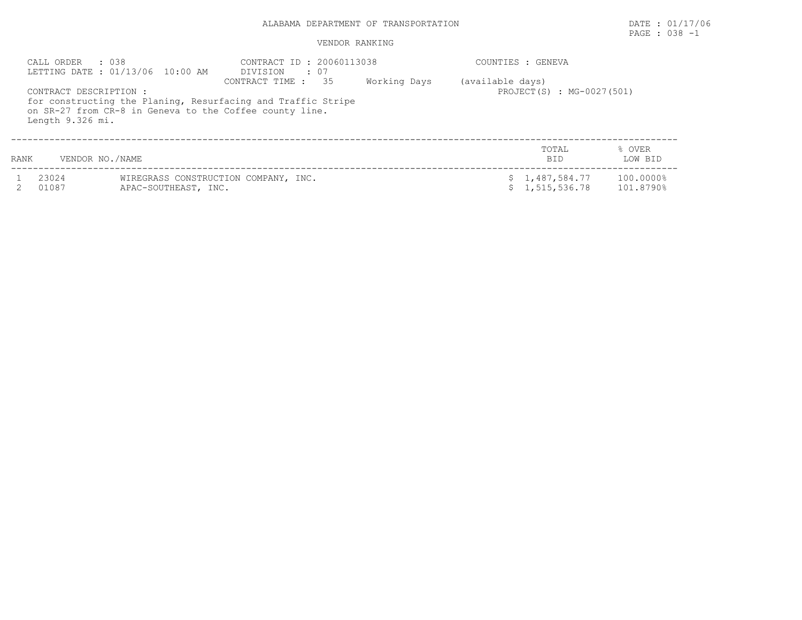## ALABAMA DEPARTMENT OF TRANSPORTATION DATE : 01/17/06

# PAGE : 038 -1

#### VENDOR RANKING

|      | $\therefore$ 0.38<br>CALL ORDER            | LETTING DATE : 01/13/06 10:00 AM | CONTRACT ID: 20060113038<br>DIVISION<br>$\cdot$ 07                                                                                               |              |                  | COUNTIES : GENEVA                |                        |
|------|--------------------------------------------|----------------------------------|--------------------------------------------------------------------------------------------------------------------------------------------------|--------------|------------------|----------------------------------|------------------------|
|      | CONTRACT DESCRIPTION :<br>Length 9.326 mi. |                                  | 35<br>CONTRACT TIME :<br>for constructing the Planing, Resurfacing and Traffic Stripe<br>on SR-27 from CR-8 in Geneva to the Coffee county line. | Working Days | (available days) | PROJECT(S) : MG-0027(501)        |                        |
| RANK | VENDOR NO./NAME                            |                                  |                                                                                                                                                  |              |                  | TOTAL<br>BID.                    | % OVER<br>LOW BID      |
|      | 23024<br>01087                             | APAC-SOUTHEAST, INC.             | WIREGRASS CONSTRUCTION COMPANY, INC.                                                                                                             |              |                  | \$1,487,584.77<br>\$1,515,536.78 | 100.0000%<br>101.8790% |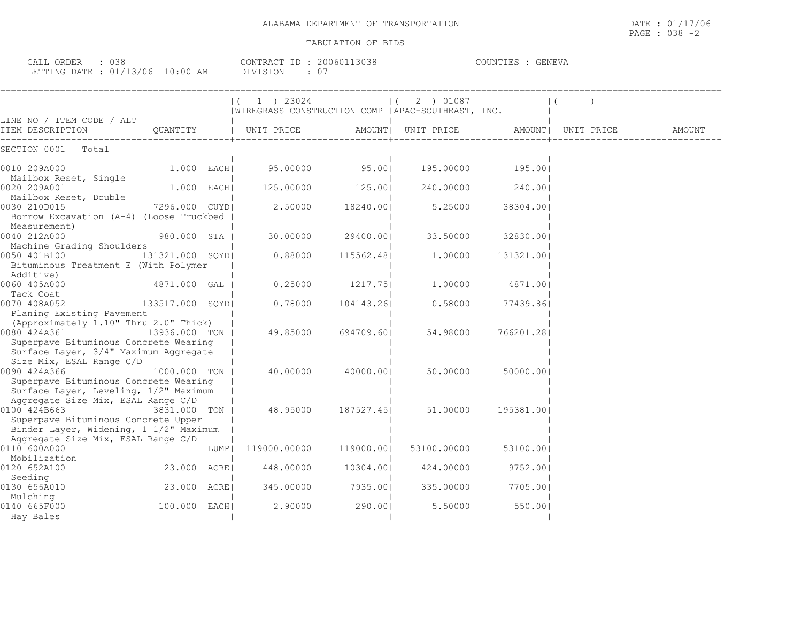| CALL ORDER : 038                | CONTRACT ID : 20060113038 | COUNTIES : GENEVA |
|---------------------------------|---------------------------|-------------------|
| LETTING DATE: 01/13/06 10:00 AM | DIVISION                  |                   |

|                                                                                                                                            |                 |      | $(1)$ 23024                                        |            | $(2)$ 01087 |            | $\mathbf{1}$       |        |
|--------------------------------------------------------------------------------------------------------------------------------------------|-----------------|------|----------------------------------------------------|------------|-------------|------------|--------------------|--------|
| LINE NO / ITEM CODE / ALT                                                                                                                  |                 |      | WIREGRASS CONSTRUCTION COMP   APAC-SOUTHEAST, INC. |            |             |            |                    |        |
| ITEM DESCRIPTION                                                                                                                           | QUANTITY        |      | UNIT PRICE AMOUNT  UNIT PRICE                      |            |             |            | AMOUNT  UNIT PRICE | AMOUNT |
| SECTION 0001<br>Total                                                                                                                      |                 |      |                                                    |            |             |            |                    |        |
| 0010 209A000                                                                                                                               | $1.000$ EACH    |      | 95.00000                                           | 95.001     | 195.00000   | 195.001    |                    |        |
| Mailbox Reset, Single<br>0020 209A001                                                                                                      | $1.000$ EACH    |      | 125.00000                                          | 125.001    | 240.00000   | 240.001    |                    |        |
| Mailbox Reset, Double<br>0030 210D015<br>Borrow Excavation (A-4) (Loose Truckbed                                                           | 7296.000 CUYD   |      | 2,50000                                            | 18240.001  | 5.25000     | 38304.001  |                    |        |
| Measurement)<br>0040 212A000<br>Machine Grading Shoulders                                                                                  | 980.000 STA     |      | 30.00000                                           | 29400.001  | 33.50000    | 32830.001  |                    |        |
| 0050 401B100<br>Bituminous Treatment E (With Polymer<br>Additive)                                                                          | 131321.000 SQYD |      | 0.88000                                            | 115562.48  | 1,00000     | 131321.00  |                    |        |
| 0060 405A000<br>Tack Coat                                                                                                                  | 4871.000 GAL    |      | 0.25000                                            | 1217.751   | 1,00000     | 4871.001   |                    |        |
| 0070 408A052                                                                                                                               | 133517.000 SQYD |      | 0.78000                                            | 104143.26  | 0.58000     | 77439.861  |                    |        |
| Planing Existing Pavement<br>(Approximately 1.10" Thru 2.0" Thick)                                                                         |                 |      |                                                    |            |             |            |                    |        |
| 0080 424A361 13936.000 TON  <br>Superpave Bituminous Concrete Wearing<br>Surface Layer, 3/4" Maximum Aggregate<br>Size Mix, ESAL Range C/D |                 |      | 49.85000                                           | 694709.601 | 54.98000    | 766201.281 |                    |        |
| 0090 424A366<br>Superpave Bituminous Concrete Wearing<br>Surface Layer, Leveling, 1/2" Maximum                                             | 1000.000 TON    |      | 40.00000                                           | 40000.001  | 50.00000    | 50000.001  |                    |        |
| Aggregate Size Mix, ESAL Range C/D<br>0100 424B663<br>Superpave Bituminous Concrete Upper                                                  | 3831,000 TON    |      | 48.95000                                           | 187527.451 | 51.00000    | 195381.001 |                    |        |
| Binder Layer, Widening, 1 1/2" Maximum<br>Aggregate Size Mix, ESAL Range C/D                                                               |                 |      |                                                    |            |             |            |                    |        |
| 0110 600A000<br>Mobilization                                                                                                               |                 | LUMP | 119000.00000                                       | 119000.001 | 53100.00000 | 53100.001  |                    |        |
| 0120 652A100                                                                                                                               | 23.000 ACREI    |      | 448.00000                                          | 10304.001  | 424.00000   | 9752.00    |                    |        |
| Seeding<br>0130 656A010<br>Mulching                                                                                                        | 23.000 ACRE     |      | 345.00000                                          | 7935.00    | 335.00000   | 7705.001   |                    |        |
| 0140 665F000<br>Hay Bales                                                                                                                  | 100.000 EACH    |      | 2,90000                                            | 290.001    | 5.50000     | 550.001    |                    |        |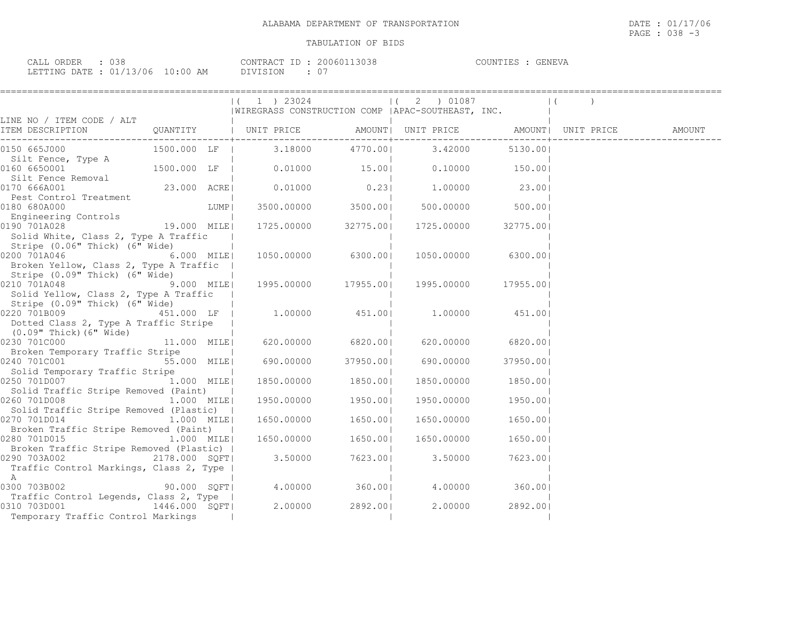GENEVA

| CALL ORDER : 038                 |          | CONTRACT ID: 20060113038 | COUNTIES : GENEVA |  |
|----------------------------------|----------|--------------------------|-------------------|--|
| LETTING DATE : 01/13/06 10:00 AM | DIVISION | : 07                     |                   |  |

|                                                                                                                                                                                                 |              |      | $(1)$ 23024<br> WIREGRASS CONSTRUCTION COMP   APAC-SOUTHEAST, INC.              | $(2)$ 01087                                     |                      | $\vert$ ( |  |
|-------------------------------------------------------------------------------------------------------------------------------------------------------------------------------------------------|--------------|------|---------------------------------------------------------------------------------|-------------------------------------------------|----------------------|-----------|--|
| LINE NO / ITEM CODE / ALT                                                                                                                                                                       |              |      |                                                                                 |                                                 |                      |           |  |
|                                                                                                                                                                                                 |              |      |                                                                                 |                                                 |                      |           |  |
| 0150 665J000<br>Silt Fence, Type A                                                                                                                                                              |              |      | 1500.000 LF   3.18000 4770.00  3.42000 5130.00                                  |                                                 |                      |           |  |
| 0160 6650001                                                                                                                                                                                    | 1500.000 LF  |      | $0.01000$ $15.00$ $0.10000$ $150.00$                                            |                                                 |                      |           |  |
| 0170 666A001                                                                                                                                                                                    |              |      |                                                                                 |                                                 |                      |           |  |
| 0180 680A000                                                                                                                                                                                    |              | LUMP | 3500.00000 3500.00                                                              |                                                 | $500.00000$ $500.00$ |           |  |
| Engineering Controls<br>0190 701A028<br>Solid White, Class 2, Type A Traffic                                                                                                                    | 19.000 MILE  |      |                                                                                 | 1725.00000 32775.00 1725.00000 32775.00         |                      |           |  |
| Stripe (0.06" Thick) (6" Wide)<br>0200 701A046 6.000 MILE<br>Broken Yellow, Class 2, Type A Traffic  <br>Stripe (0.09" Thick) (6" Wide)                                                         |              |      |                                                                                 | 1050.00000 6300.00 1050.00000 6300.00           |                      |           |  |
| $9.000$ MILE<br>0210 701A048<br>Solid Yellow, Class 2, Type A Traffic                                                                                                                           |              |      |                                                                                 | 1995.00000 17955.00  1995.00000 17955.00        |                      |           |  |
| Stripe (0.09" Thick) (6" Wide)<br>$0220$ 701B009 $451.000$ LF   1.00000 $451.00$   1.00000 $451.00$  <br>Dotted Class 2, Type A Traffic Stripe  <br>(0.09" Thick)(6" Wide)                      |              |      |                                                                                 |                                                 |                      |           |  |
| 0230 701C000                                                                                                                                                                                    |              |      | $11.000$ MILE 620.00000 6820.00                                                 |                                                 | 620.00000 6820.00    |           |  |
| Broken Temporary Traffic Stripe<br>0240 701C001<br>Solid Temporary Traffic Stripe                                                                                                               |              |      | $\frac{1}{2}$ 11.11111 - $\frac{1}{2}$ 55.000 MILE 690.00000 37950.00 690.00000 |                                                 | 37950.001            |           |  |
| 0250 701D007 <sup>-</sup> 1.000 MILE<br>Solid Traffic Stripe Removed (Paint)                                                                                                                    |              |      | 1850.00000 1850.00                                                              | 1850.00000 1850.00                              |                      |           |  |
| 0260 701D008<br>Solid Traffic Stripe Removed (Plastic)                                                                                                                                          | $1.000$ MILE |      |                                                                                 | $1950.00000$ $1950.000$ $1950.00000$ $1950.000$ |                      |           |  |
| 0270 701D014<br>1.000 MILE                                                                                                                                                                      |              |      | 1650.00000 1650.00                                                              | 1650.00000 1650.00                              |                      |           |  |
| Broken Traffic Stripe Removed (Paint)  <br>1.000 MILE<br>0280 701D015                                                                                                                           |              |      | 1650.00000 1650.00                                                              | 1650.00000                                      | 1650.001             |           |  |
| Broken Traffic Stripe Removed (Plastic)  <br>Traffic Control Markings, Class 2, Type  <br>A                                                                                                     |              |      |                                                                                 |                                                 |                      |           |  |
| 0300 703B002  90.000 SQFT  4.00000  360.00  4.00000  360.00                                                                                                                                     |              |      |                                                                                 |                                                 |                      |           |  |
| Traffic Control Legends, Class 2, Type  <br>$\frac{1}{1446.000}$ $\frac{1}{1446.000}$ $\frac{1}{1446.000}$ $\frac{1}{1446.000}$ $\frac{2.00000}{2892.00}$<br>Temporary Traffic Control Markings |              |      |                                                                                 | $2.00000$ 2892.00                               |                      |           |  |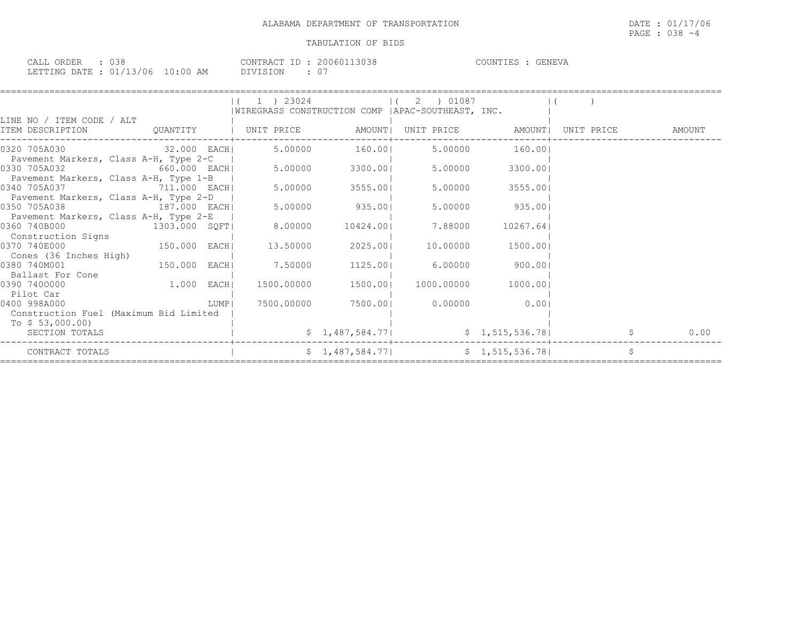| CALL ORDER : 038 |                                  |          | CONTRACT ID : 20060113038 | COUNTIES : GENEVA |  |
|------------------|----------------------------------|----------|---------------------------|-------------------|--|
|                  | LETTING DATE : 01/13/06 10:00 AM | DIVISION |                           |                   |  |

|                                        |                                  | $1$ ) 23024        |                  | 2 ) 01087                                          |                   |            |        |
|----------------------------------------|----------------------------------|--------------------|------------------|----------------------------------------------------|-------------------|------------|--------|
|                                        |                                  |                    |                  | WIREGRASS CONSTRUCTION COMP   APAC-SOUTHEAST, INC. |                   |            |        |
| LINE NO / ITEM CODE / ALT              |                                  |                    |                  |                                                    |                   |            |        |
| ITEM DESCRIPTION                       | QUANTITY   UNIT PRICE     AMOUNT |                    |                  |                                                    | UNIT PRICE AMOUNT | UNIT PRICE | AMOUNT |
|                                        |                                  |                    |                  |                                                    |                   |            |        |
| 0320 705A030                           | 32.000 EACH                      |                    |                  | 5.00000 160.001 5.00000                            | 160.001           |            |        |
| Pavement Markers, Class A-H, Type 2-C  |                                  |                    |                  |                                                    |                   |            |        |
| 0330 705A032                           | 660.000 EACH                     | 5.00000            | 3300.001         | 5.00000                                            | 3300.001          |            |        |
| Pavement Markers, Class A-H, Type 1-B  |                                  |                    |                  |                                                    |                   |            |        |
| 0340 705A037                           | 711.000 EACH                     | 5.00000            | $3555.00$        | 5.00000                                            | 3555.001          |            |        |
| Pavement Markers, Class A-H, Type 2-D  |                                  |                    |                  |                                                    |                   |            |        |
| 0350 705A038 187.000 EACH              |                                  | 5.00000            | 935.00           | 5.00000                                            | 935.001           |            |        |
| Pavement Markers, Class A-H, Type 2-E  |                                  |                    |                  |                                                    |                   |            |        |
| 0360 740B000                           | 1303.000 SQFT                    |                    | 8.00000 10424.00 | 7.88000                                            | 10267.641         |            |        |
| Construction Signs                     |                                  |                    |                  |                                                    |                   |            |        |
| 0370 740E000                           | <sup>150.000</sup> EACH          | 13.50000           | 2025.00          | 10.00000                                           | 1500.001          |            |        |
| Cones (36 Inches High)                 |                                  |                    |                  |                                                    |                   |            |        |
| 0380 740M001                           | 150.000 EACH                     | 7.50000            |                  | 1125.00 6.00000                                    | 900.001           |            |        |
| Ballast For Cone                       |                                  |                    |                  |                                                    |                   |            |        |
| 0390 7400000                           | $1.000$ EACH                     |                    |                  | 1500.00000  1500.00  1000.00000                    | 1000.001          |            |        |
| Pilot Car                              |                                  |                    |                  |                                                    |                   |            |        |
| 0400 998A000                           |                                  | 7500.00000<br>LUMP |                  | 7500.001 0.00000                                   | 0.001             |            |        |
| Construction Fuel (Maximum Bid Limited |                                  |                    |                  |                                                    |                   |            |        |
| To $$53,000.00)$                       |                                  |                    |                  |                                                    |                   |            |        |
| SECTION TOTALS                         |                                  |                    | \$1,487,584.77]  |                                                    | \$1,515,536.78    |            | 0.00   |
| CONTRACT TOTALS                        |                                  |                    | \$1,487,584.77   |                                                    | \$1,515,536.78    | \$         |        |
|                                        |                                  |                    |                  |                                                    |                   |            |        |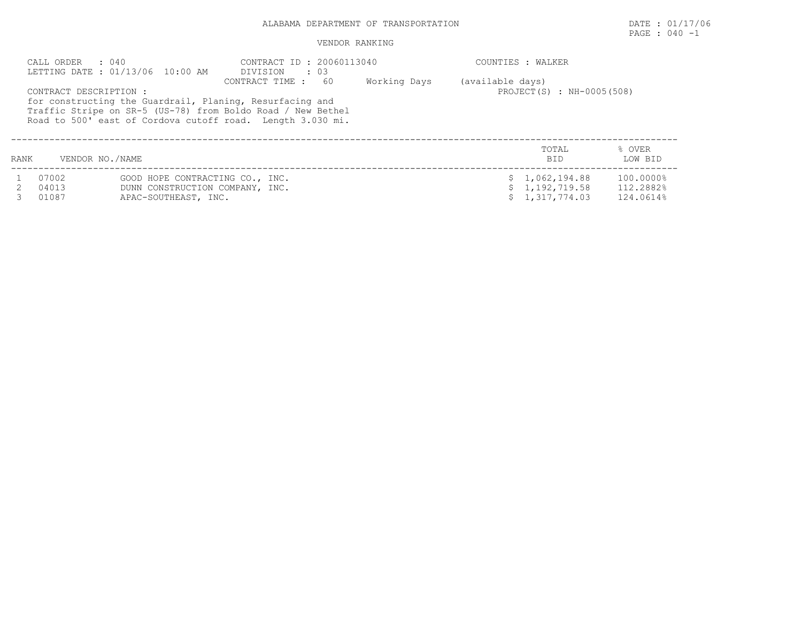## ALABAMA DEPARTMENT OF TRANSPORTATION **EXECUTE:** 01/17/06

#### VENDOR RANKING

|      | CALL ORDER : 040       | LETTING DATE: 01/13/06 10:00 AM | CONTRACT ID: 20060113040<br>DIVISION<br>$\cdot$ 03                                                                                                                                                             |              |                  | COUNTIES : WALKER         |                   |
|------|------------------------|---------------------------------|----------------------------------------------------------------------------------------------------------------------------------------------------------------------------------------------------------------|--------------|------------------|---------------------------|-------------------|
|      | CONTRACT DESCRIPTION : |                                 | 60<br>CONTRACT TIME :<br>for constructing the Guardrail, Planing, Resurfacing and<br>Traffic Stripe on SR-5 (US-78) from Boldo Road / New Bethel<br>Road to 500' east of Cordova cutoff road. Length 3.030 mi. | Working Days | (available days) | PROJECT(S) : NH-0005(508) |                   |
| RANK | VENDOR NO./NAME        |                                 |                                                                                                                                                                                                                |              |                  | TOTAL<br><b>BID</b>       | % OVER<br>LOW BID |
|      | 07002                  | GOOD HOPE CONTRACTING CO., INC. |                                                                                                                                                                                                                |              |                  | \$1,062,194.88            | 100.0000%         |
|      | 04013                  | DUNN CONSTRUCTION COMPANY, INC. |                                                                                                                                                                                                                |              |                  | \$1,192,719.58            | 112.2882%         |
|      | 01087                  | APAC-SOUTHEAST, INC.            |                                                                                                                                                                                                                |              |                  | \$1,317,774.03            | 124.0614%         |

PAGE : 040 -1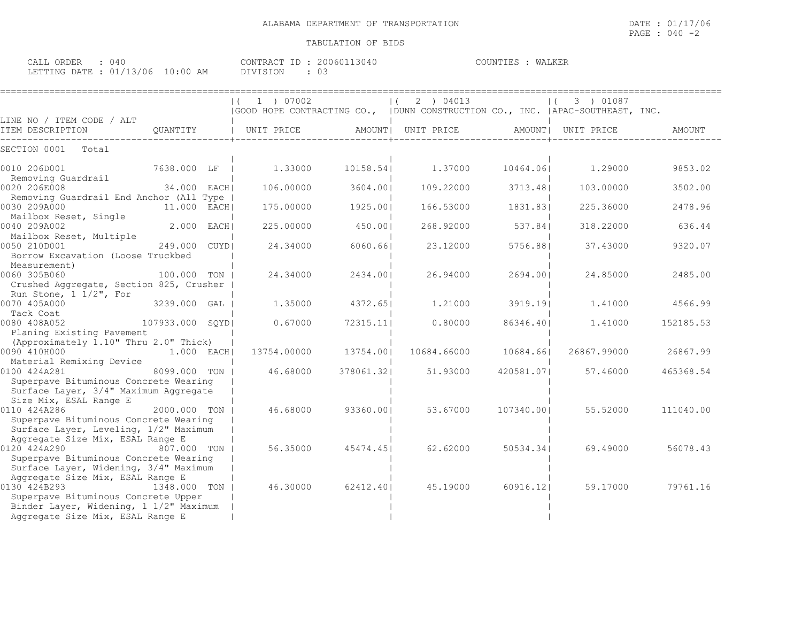| CALL ORDER : 040                 |  |          | CONTRACT ID : 20060113040 | COUNTIES : WALKER |  |
|----------------------------------|--|----------|---------------------------|-------------------|--|
| LETTING DATE : 01/13/06 10:00 AM |  | DIVISION |                           |                   |  |

|                                                                                                                                   |               | 1 ) 07002<br>$\vert$ ( |           | (2) 04013                                                                       |            | 3) 01087<br>$\vert$ ( |           |
|-----------------------------------------------------------------------------------------------------------------------------------|---------------|------------------------|-----------|---------------------------------------------------------------------------------|------------|-----------------------|-----------|
|                                                                                                                                   |               |                        |           | GOOD HOPE CONTRACTING CO.,   DUNN CONSTRUCTION CO., INC.   APAC-SOUTHEAST, INC. |            |                       |           |
| LINE NO / ITEM CODE / ALT                                                                                                         |               |                        |           |                                                                                 |            |                       |           |
| ITEM DESCRIPTION                                                                                                                  | QUANTITY      | UNIT PRICE             |           | AMOUNT  UNIT PRICE                                                              |            | AMOUNT  UNIT PRICE    | AMOUNT    |
| SECTION 0001<br>Total                                                                                                             |               |                        |           |                                                                                 |            |                       |           |
| 0010 206D001<br>7638.000 LF  <br>Removing Guardrail                                                                               |               | 1,33000                | 10158.541 | 1.37000                                                                         | 10464.061  | 1,29000               | 9853.02   |
| 0020 206E008                                                                                                                      | 34.000 EACH   | 106,00000              | 3604.00   | 109.22000                                                                       | 3713.481   | 103,00000             | 3502.00   |
| Removing Guardrail End Anchor (All Type  <br>0030 209A000                                                                         | 11.000 EACH   | 175.00000              | 1925.001  | 166.53000                                                                       | 1831.831   | 225.36000             | 2478.96   |
| Mailbox Reset, Single<br>0040 209A002                                                                                             | 2.000 EACH    | 225.00000              | 450.001   | 268.92000                                                                       | 537.84     | 318.22000             | 636.44    |
| Mailbox Reset, Multiple<br>0050 210D001<br>Borrow Excavation (Loose Truckbed                                                      | 249.000 CUYDI | 24.34000               | 6060.661  | 23.12000                                                                        | 5756.881   | 37.43000              | 9320.07   |
| Measurement)<br>0060 305B060                                                                                                      | 100.000 TON 1 | 24.34000               | 2434.001  | 26.94000                                                                        | 2694.001   | 24.85000              | 2485.00   |
| Crushed Aggregate, Section 825, Crusher<br>Run Stone, 1 1/2", For                                                                 |               |                        |           |                                                                                 |            |                       |           |
| 0070 405A000<br>Tack Coat                                                                                                         | 3239.000 GAL  | 1,35000                | 4372.651  | 1,21000                                                                         | 3919.191   | 1.41000               | 4566.99   |
| 107933.000 SQYD<br>0080 408A052                                                                                                   |               | 0.67000                | 72315.11  | 0.80000                                                                         | 86346.401  | 1,41000               | 152185.53 |
| Planing Existing Pavement<br>(Approximately 1.10" Thru 2.0" Thick)                                                                |               |                        |           |                                                                                 |            |                       |           |
| 0090 410H000                                                                                                                      | $1.000$ EACH  | 13754.00000            | 13754.001 | 10684.66000                                                                     | 10684.661  | 26867.99000           | 26867.99  |
| Material Remixing Device<br>0100 424A281                                                                                          | 8099.000 TON  | 46.68000               | 378061.32 | 51.93000                                                                        | 420581.07  | 57.46000              | 465368.54 |
| Superpave Bituminous Concrete Wearing<br>Surface Layer, 3/4" Maximum Aggregate                                                    |               |                        |           |                                                                                 |            |                       |           |
| Size Mix, ESAL Range E<br>0110 424A286                                                                                            | 2000.000 TON  | 46.68000               | 93360.001 | 53.67000                                                                        | 107340.001 | 55.52000              | 111040.00 |
| Superpave Bituminous Concrete Wearing<br>Surface Layer, Leveling, 1/2" Maximum<br>Aggregate Size Mix, ESAL Range E                |               |                        |           |                                                                                 |            |                       |           |
| 0120 424A290<br>807.000 TON<br>Superpave Bituminous Concrete Wearing                                                              |               | 56.35000               | 45474.451 | 62.62000                                                                        | 50534.34   | 69.49000              | 56078.43  |
| Surface Layer, Widening, 3/4" Maximum<br>Aggregate Size Mix, ESAL Range E                                                         |               |                        |           |                                                                                 |            |                       |           |
| 0130 424B293<br>Superpave Bituminous Concrete Upper<br>Binder Layer, Widening, 1 1/2" Maximum<br>Aggregate Size Mix, ESAL Range E | 1348.000 TON  | 46.30000               | 62412.40  | 45.19000                                                                        | 60916.121  | 59.17000              | 79761.16  |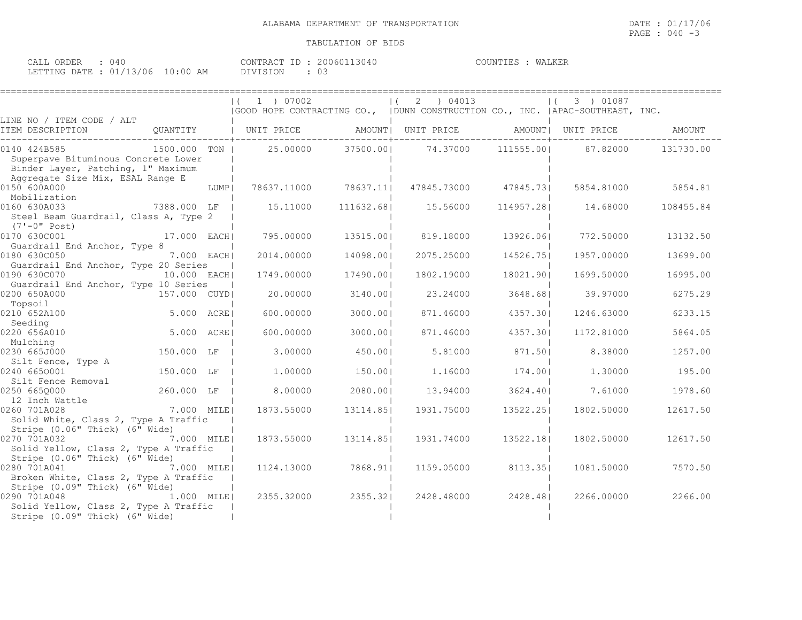| CALL ORDER : 040                 |          | CONTRACT ID: 20060113040 | COUNTIES : WALKER |  |
|----------------------------------|----------|--------------------------|-------------------|--|
| LETTING DATE : 01/13/06 10:00 AM | DIVISION | $\therefore$ 03          |                   |  |

|                                                                                                                               |                           |      | $(1)$ 1 $)$ 07002 |            | (2) 04013<br>(GOOD HOPE CONTRACTING CO., (DUNN CONSTRUCTION CO., INC. (APAC-SOUTHEAST, INC. |            | $(3)$ 01087 |           |
|-------------------------------------------------------------------------------------------------------------------------------|---------------------------|------|-------------------|------------|---------------------------------------------------------------------------------------------|------------|-------------|-----------|
| LINE NO / ITEM CODE / ALT<br>ITEM DESCRIPTION                                                                                 |                           |      |                   |            | QUANTITY   UNIT PRICE AMOUNT  UNIT PRICE AMOUNT  UNIT PRICE                                 |            |             | AMOUNT    |
| 0140 424B585<br>Superpave Bituminous Concrete Lower<br>Binder Layer, Patching, 1" Maximum<br>Aggregate Size Mix, ESAL Range E | 1500.000 TON I            |      | 25.00000          | 37500.001  | 74.37000                                                                                    | 111555.001 | 87.82000    | 131730.00 |
| 0150 600A000<br>Mobilization                                                                                                  |                           | LUMP | 78637.11000       | 78637.11   | 47845.73000                                                                                 | 47845.731  | 5854.81000  | 5854.81   |
| 0160 630A033<br>Steel Beam Guardrail, Class A, Type 2<br>(7'-0" Post)                                                         | 7388.000 LF               |      | 15.11000          | 111632.681 | 15.56000                                                                                    | 114957.281 | 14.68000    | 108455.84 |
| 0170 630C001<br>Guardrail End Anchor, Type 8                                                                                  | 17.000 EACH               |      | 795.00000         | 13515.001  | 819.18000                                                                                   | 13926.061  | 772.50000   | 13132.50  |
| 0180 630C050<br>Guardrail End Anchor, Type 20 Series                                                                          | 7.000 EACH                |      | 2014.00000        | 14098.001  | 2075.25000                                                                                  | 14526.751  | 1957.00000  | 13699.00  |
| 0190 630C070<br>Guardrail End Anchor, Type 10 Series                                                                          | 10.000 EACH               |      | 1749.00000        | 17490.001  | 1802.19000                                                                                  | 18021.901  | 1699.50000  | 16995.00  |
| 0200 650A000<br>Topsoil                                                                                                       | 157.000 CUYD              |      | 20,00000          | 3140.001   | 23,24000                                                                                    | 3648.681   | 39.97000    | 6275.29   |
| 0210 652A100<br>Seeding                                                                                                       | $5.000 \quad \text{ACRE}$ |      | 600,00000         | 3000.001   | 871.46000                                                                                   | 4357.301   | 1246.63000  | 6233.15   |
| 0220 656A010<br>Mulching                                                                                                      | <br> 5.000 ACRE           |      | 600,00000         | 3000.001   | 871.46000                                                                                   | 4357.30    | 1172.81000  | 5864.05   |
| 0230 665J000                                                                                                                  | 150.000 LF                |      | 3,00000           | 450.001    | 5.81000                                                                                     | 871.501    | 8.38000     | 1257.00   |
| Silt Fence, Type A<br>0240 6650001                                                                                            | 150.000 LF                |      | 1,00000           | 150.001    | 1.16000                                                                                     | 174.001    | 1,30000     | 195.00    |
| Silt Fence Removal<br>0250 6650000<br>12 Inch Wattle                                                                          | 260.000 LF                |      | 8.00000           | 2080.001   | 13.94000                                                                                    | 3624.401   | 7.61000     | 1978.60   |
| 0260 701A028<br>Solid White, Class 2, Type A Traffic<br>Stripe $(0.06"$ Thick) $(6"$ Wide)                                    | 7.000 MILE                |      | 1873.55000        | 13114.851  | 1931.75000                                                                                  | 13522.251  | 1802.50000  | 12617.50  |
| 0270 701A032<br>Solid Yellow, Class 2, Type A Traffic<br>Stripe (0.06" Thick) (6" Wide)                                       | 7.000 MILEI               |      | 1873.55000        | 13114.851  | 1931.74000                                                                                  | 13522.181  | 1802.50000  | 12617.50  |
| 0280 701A041<br>Broken White, Class 2, Type A Traffic<br>Stripe (0.09" Thick) (6" Wide)                                       | 7.000 MILEI               |      | 1124.13000        | 7868.911   | 1159.05000                                                                                  | 8113.35    | 1081.50000  | 7570.50   |
| 0290 701A048<br>Solid Yellow, Class 2, Type A Traffic<br>Stripe (0.09" Thick) (6" Wide)                                       | 1.000 MILE                |      | 2355.32000        | 2355.321   | 2428.48000                                                                                  | 2428.481   | 2266.00000  | 2266.00   |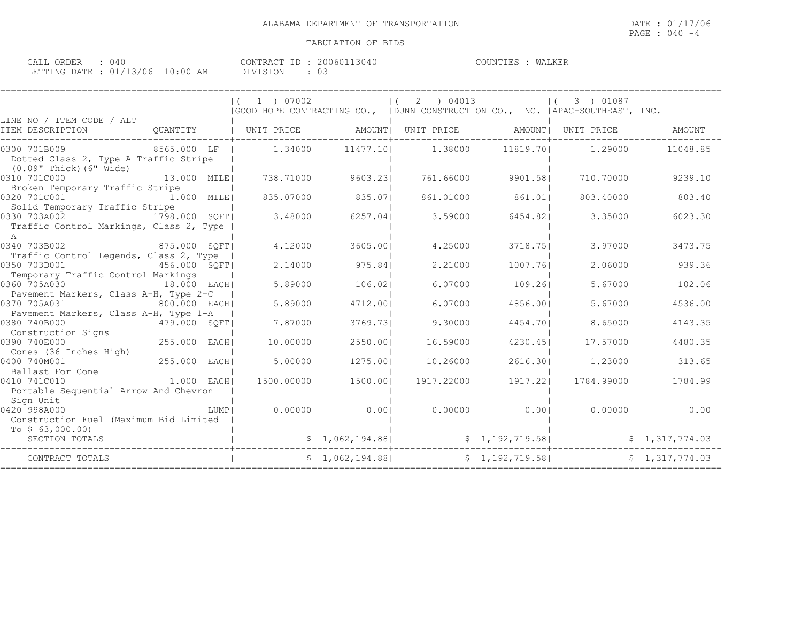| CALL ORDER : 040                 |          | CONTRACT ID: 20060113040 | COUNTIES : WALKER |  |
|----------------------------------|----------|--------------------------|-------------------|--|
| LETTING DATE : 01/13/06 10:00 AM | DIVISION | $\therefore$ 03          |                   |  |

|                                                                                              |              |      | 1 ) 07002  |                | (2) 04013                             |                | 3) 01087<br> GOOD HOPE CONTRACTING CO.,   DUNN CONSTRUCTION CO., INC.   APAC-SOUTHEAST, INC. |                |
|----------------------------------------------------------------------------------------------|--------------|------|------------|----------------|---------------------------------------|----------------|----------------------------------------------------------------------------------------------|----------------|
| LINE NO / ITEM CODE / ALT<br>ITEM DESCRIPTION                                                |              |      |            |                |                                       |                |                                                                                              | AMOUNT         |
| 0300 701B009<br>Dotted Class 2, Type A Traffic Stripe<br>(0.09" Thick) (6" Wide)             |              |      |            |                |                                       |                | 8565.000 LF   1.34000 11477.10 1.38000 11819.70 1.29000                                      | 11048.85       |
| 0310 701C000<br>Broken Temporary Traffic Stripe                                              | 13.000 MILE  |      |            |                | 738.71000 9603.231 761.66000 9901.581 |                | 710.70000                                                                                    | 9239.10        |
| 0320 701C001<br>Solid Temporary Traffic Stripe                                               | 1.000 MILE   |      | 835.07000  | 835.071        | 861.01000                             | 861.011        | 803.40000                                                                                    | 803.40         |
| 0330 703A002<br>1798.000 SQFT<br>Traffic Control Markings, Class 2, Type  <br>$\overline{A}$ |              |      | 3.48000    |                | 6257.041 3.59000                      |                | 6454.82 3.35000                                                                              | 6023.30        |
| 0340 703B002 875.000 SQFT<br>Traffic Control Legends, Class 2, Type                          |              |      | 4.12000    | 3605.001       | 4.25000                               | 3718.751       | 3.97000                                                                                      | 3473.75        |
| 0350 703D001<br>456.000 SQFT<br>Temporary Traffic Control Markings                           |              |      | 2.14000    | 975.841        | 2.21000                               | 1007.761       | 2.06000                                                                                      | 939.36         |
| 0360 705A030<br>18.000 EACH<br>Pavement Markers, Class A-H, Type 2-C                         |              |      | 5.89000    | 106.021        | 6.07000                               | 109.261        | 5.67000                                                                                      | 102.06         |
| 0370 705A031<br>800.000 EACH<br>Pavement Markers, Class A-H, Type 1-A                        |              |      | 5.89000    | 4712.001       | 6.07000                               | 4856.001       | 5.67000                                                                                      | 4536.00        |
| 0380 740B000<br>0380 740B000<br>  Construction Signs<br>  Construction Signs                 |              |      | 7.87000    | 3769.731       | 9.30000                               | 4454.701       | 8.65000                                                                                      | 4143.35        |
| $255.000$ EACH<br>0390 740E000<br>Cones (36 Inches High)                                     |              |      | 10,00000   | 2550.001       | 16.59000                              | 4230.451       | 17.57000                                                                                     | 4480.35        |
| 0400 740M001<br>Ballast For Cone                                                             | 255.000 EACH |      | 5.00000    | 1275.001       | 10.26000                              |                | 2616.30 1.23000                                                                              | 313.65         |
| 0410 741C010<br>Portable Sequential Arrow And Chevron                                        | $1.000$ EACH |      | 1500.00000 | 1500.001       | 1917.22000                            | 1917.221       | 1784.99000                                                                                   | 1784.99        |
| Sign Unit<br>0420 998A000<br>Construction Fuel (Maximum Bid Limited                          |              | LUMP |            |                |                                       |                | $0.00000$ $0.001$ $0.00000$ $0.001$ $0.00000$ $0.00000$ $0.00$                               |                |
| To $$63,000.00)$<br>SECTION TOTALS                                                           |              |      |            |                |                                       |                | $$1,062,194.88$<br>$$1,062,194.88$<br>$$1,192,719.58$<br>$$1,317,774.03$<br>$$1,317,774.03$  |                |
| CONTRACT TOTALS                                                                              |              |      |            | \$1,062,194.88 |                                       | \$1,192,719.58 |                                                                                              | \$1,317,774.03 |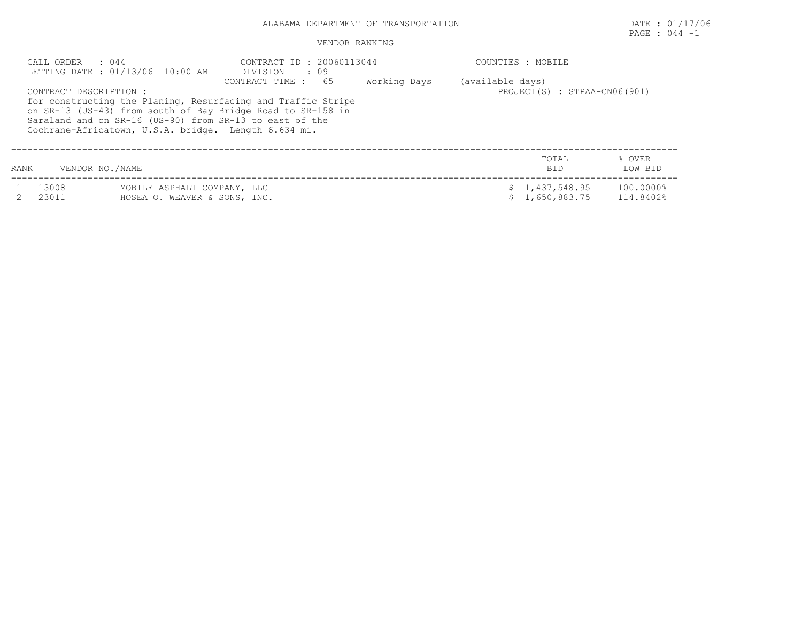## ALABAMA DEPARTMENT OF TRANSPORTATION DATE : 01/17/06

# PAGE : 044 -1

#### VENDOR RANKING

|      | CALL ORDER : 044       | LETTING DATE : 01/13/06 10:00 AM                                                                                                                                                                                                               | CONTRACT ID : 20060113044<br>DIVISION : 09       |  |  | COUNTIES : MOBILE                |                        |
|------|------------------------|------------------------------------------------------------------------------------------------------------------------------------------------------------------------------------------------------------------------------------------------|--------------------------------------------------|--|--|----------------------------------|------------------------|
|      | CONTRACT DESCRIPTION : | for constructing the Planing, Resurfacing and Traffic Stripe<br>on SR-13 (US-43) from south of Bay Bridge Road to SR-158 in<br>Saraland and on SR-16 (US-90) from SR-13 to east of the<br>Cochrane-Africatown, U.S.A. bridge. Length 6.634 mi. | (available days)<br>PROJECT(S) : STPAA-CN06(901) |  |  |                                  |                        |
| RANK | VENDOR NO./NAME        |                                                                                                                                                                                                                                                |                                                  |  |  | TOTAL<br><b>BID</b>              | % OVER<br>LOW BID      |
|      | 13008<br>23011         | MOBILE ASPHALT COMPANY, LLC<br>HOSEA O. WEAVER & SONS, INC.                                                                                                                                                                                    |                                                  |  |  | \$1,437,548.95<br>\$1,650,883.75 | 100.0000%<br>114.8402% |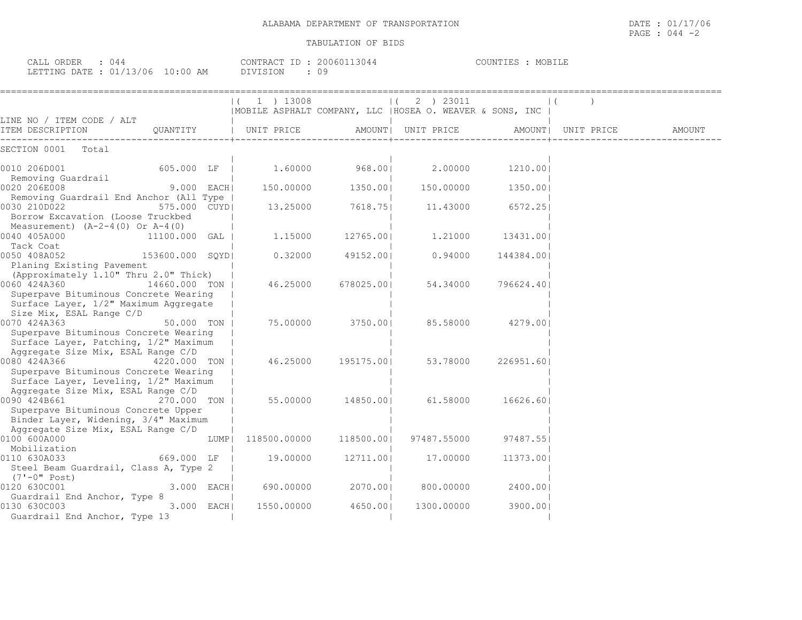CALL ORDER : 044 CONTRACT ID : 20060113044 COUNTIES : MOBILE LETTING DATE : 01/13/06 10:00 AM DIVISION : 09

|                                                                                                                |              |      | $1$ ) 13008                  |                    | 2 ) 23011                                                 |                    |  |
|----------------------------------------------------------------------------------------------------------------|--------------|------|------------------------------|--------------------|-----------------------------------------------------------|--------------------|--|
| LINE NO / ITEM CODE / ALT                                                                                      |              |      |                              |                    | MOBILE ASPHALT COMPANY, LLC   HOSEA O. WEAVER & SONS, INC |                    |  |
| <br>  TEM DESCRIPTION       QUANTITY       UNIT PRICE     AMOUNT  UNIT PRICE     AMOUNT  UNIT PRICE     AMOUNT |              |      |                              |                    |                                                           |                    |  |
| SECTION 0001 Total                                                                                             |              |      |                              |                    |                                                           |                    |  |
| 0010 206D001                                                                                                   |              |      |                              |                    | 605.000 LF   1.60000 968.00   2.00000 1210.00             |                    |  |
| Removing Guardrail<br>0020 206E008                                                                             |              |      | 9.000 EACH 150.00000 1350.00 |                    |                                                           | 150.00000 1350.001 |  |
| Removing Guardrail End Anchor (All Type  <br>0030 210D022<br>575.000 CUYDI                                     |              |      |                              | 13.25000 7618.75   |                                                           | 11.43000 6572.25   |  |
| Borrow Excavation (Loose Truckbed<br>Measurement) $(A-2-4(0)$ Or $A-4(0)$                                      |              |      |                              |                    |                                                           |                    |  |
| 0040 405A000<br>11100.000 GAL                                                                                  |              |      | 1.15000                      | 12765.001          | 1,21000                                                   | 13431.001          |  |
| Tack Coat<br>$ 0050 408A052$ 153600.000 SQYD                                                                   |              |      |                              | $0.32000$ 49152.00 | 0.94000                                                   | 144384.00          |  |
| Planing Existing Pavement<br>(Approximately 1.10" Thru 2.0" Thick)                                             |              |      |                              |                    |                                                           |                    |  |
| 0060 424A360<br>14660.000 TON I                                                                                |              |      |                              | 46.25000 678025.00 | 54.34000                                                  | 796624.401         |  |
| Superpave Bituminous Concrete Wearing<br>Surface Layer, 1/2" Maximum Aggregate<br>Size Mix, ESAL Range C/D     |              |      |                              |                    |                                                           |                    |  |
| 0070 424A363                                                                                                   | 50.000 TON L |      | 75.00000                     |                    | 3750.00  85.58000 4279.00                                 |                    |  |
| Superpave Bituminous Concrete Wearing<br>Surface Layer, Patching, 1/2" Maximum                                 |              |      |                              |                    |                                                           |                    |  |
| Aggregate Size Mix, ESAL Range C/D<br>0080 424A366                                                             | 4220,000 TON |      |                              | 46.25000 195175.00 | 53.78000                                                  | 226951.60          |  |
| Superpave Bituminous Concrete Wearing<br>Surface Layer, Leveling, 1/2" Maximum                                 |              |      |                              |                    |                                                           |                    |  |
| Aggregate Size Mix, ESAL Range C/D                                                                             |              |      |                              |                    |                                                           |                    |  |
| 0090 424B661<br>270.000 TON I<br>Superpave Bituminous Concrete Upper<br>Binder Layer, Widening, 3/4" Maximum   |              |      |                              |                    | 55.00000 14850.00  61.58000                               | 16626.601          |  |
| Aggregate Size Mix, ESAL Range C/D                                                                             |              |      |                              |                    |                                                           |                    |  |
| 0100 600A000<br>Mobilization                                                                                   |              | LUMP | 118500.00000                 |                    | 118500.00  97487.55000                                    | 97487.551          |  |
| 0110 630A033 and the set of the set of the set of the set of the set of the set of the set of the set of the s | 669.000 LF   |      | 19.00000                     | 12711.00           | 17.00000                                                  | 11373.00           |  |
| Steel Beam Guardrail, Class A, Type 2<br>(7'-0" Post)                                                          |              |      |                              |                    |                                                           |                    |  |
| 0120 630C001                                                                                                   | 3.000 EACH   |      | 690.00000                    | 2070.001           | 800.00000                                                 | 2400.001           |  |
| Guardrail End Anchor, Type 8<br>0130 630C003<br>Guardrail End Anchor, Type 13                                  | 3.000 EACH   |      | 1550.00000                   | 4650.00            | 1300.00000                                                | 3900.00            |  |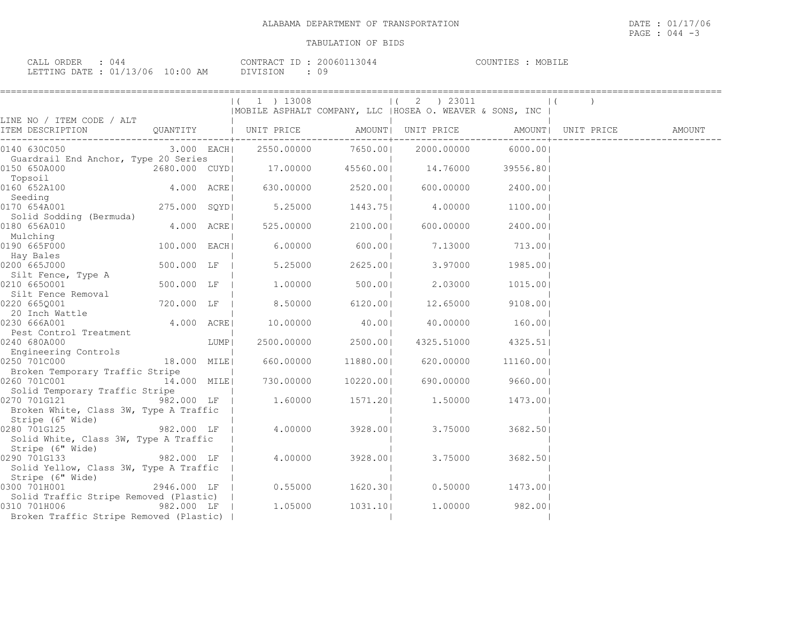| CALL ORDER : 044                 |  |          | CONTRACT ID: 20060113044 | COUNTIES : MOBILE |  |
|----------------------------------|--|----------|--------------------------|-------------------|--|
| LETTING DATE : 01/13/06 10:00 AM |  | DIVISION |                          |                   |  |

|                                                                                                                                                                                                                                                                                                                                                                                       |              |                  | $(1)$ 1 $)$ 13008             |                    | $(2)$ 23011                                               |                    | $\perp$ ( |  |
|---------------------------------------------------------------------------------------------------------------------------------------------------------------------------------------------------------------------------------------------------------------------------------------------------------------------------------------------------------------------------------------|--------------|------------------|-------------------------------|--------------------|-----------------------------------------------------------|--------------------|-----------|--|
|                                                                                                                                                                                                                                                                                                                                                                                       |              |                  |                               |                    | MOBILE ASPHALT COMPANY, LLC   HOSEA O. WEAVER & SONS, INC |                    |           |  |
| LINE NO / ITEM CODE / ALT                                                                                                                                                                                                                                                                                                                                                             |              |                  |                               |                    |                                                           |                    |           |  |
| 0140 630C050                                                                                                                                                                                                                                                                                                                                                                          |              |                  |                               |                    | $3.000$ EACH  2550.00000 7650.00  2000.00000 6000.00      |                    |           |  |
| Guardrail End Anchor, Type 20 Series<br>$\begin{array}{cccccccc} \texttt{14.76000} & \texttt{14.76000} & \texttt{29556.80} & \texttt{2680.000} & \texttt{CUTD} & \texttt{2680.000} & \texttt{2680.000} & \texttt{2680.000} & \texttt{2680.000} & \texttt{2680.000} & \texttt{2680.000} & \texttt{2680.000} & \texttt{2680.000} & \texttt{2680.000} & \texttt{2680.000} & \texttt{268$ |              | and the contract |                               |                    |                                                           |                    |           |  |
| Topsoil<br>0160 652A100                                                                                                                                                                                                                                                                                                                                                               |              |                  | 4.000 ACRE  630.00000 2520.00 |                    | 600.00000                                                 | 2400.001           |           |  |
| Seeding<br>0170 654A001                                                                                                                                                                                                                                                                                                                                                               | 275.000 SQYD |                  | 5.25000                       | 1443.75            | 4.00000                                                   | 1100.00            |           |  |
| Solid Sodding (Bermuda)<br>0180 656A010                                                                                                                                                                                                                                                                                                                                               | 4.000 ACRE   |                  | 525.00000                     | 2100.001           | 600.00000                                                 | 2400.001           |           |  |
| Mulching<br>0190 665F000                                                                                                                                                                                                                                                                                                                                                              | 100.000 EACH |                  |                               | $6.00000$ 600.00   | 7.13000 713.00                                            |                    |           |  |
| Hay Bales<br>0200 665J000                                                                                                                                                                                                                                                                                                                                                             |              |                  | 500.000 LF   5.25000          | 2625.001           | 3.97000                                                   | 1985.001           |           |  |
| Silt Fence, Type A<br>0210 6650001                                                                                                                                                                                                                                                                                                                                                    |              |                  | 500.000 LF   1.00000          | 500.00             | 2.03000                                                   | 1015.001           |           |  |
| Silt Fence Removal<br>0220 6650001                                                                                                                                                                                                                                                                                                                                                    | 720.000 LF   |                  | 8.50000 6120.00               |                    | 12.65000                                                  | 9108.001           |           |  |
| 20 Inch Wattle<br>230 666A001<br>0230 666A001                                                                                                                                                                                                                                                                                                                                         | 4.000 ACRE   |                  | 10.00000                      | 40.00              | 40.00000 160.00                                           |                    |           |  |
| Pest Control Treatment<br>0240 680A000                                                                                                                                                                                                                                                                                                                                                |              | LUMP             | 2500.00000                    | 2500.001           | 4325.51000 4325.51                                        |                    |           |  |
| Engineering Controls<br>0250 701C000                                                                                                                                                                                                                                                                                                                                                  | 18.000 MILE  |                  |                               | 660.00000 11880.00 | 620.00000                                                 | 11160.001          |           |  |
| Broken Temporary Traffic Stripe<br>14.000 MILE<br>0260 701C001                                                                                                                                                                                                                                                                                                                        |              |                  | 730.00000                     |                    | 10220.00  690.00000                                       | 9660.001           |           |  |
| Solid Temporary Traffic Stripe<br>0270 701G121 982.000 LF                                                                                                                                                                                                                                                                                                                             |              |                  |                               |                    | 1.60000 1571.20 1.50000 1473.00                           |                    |           |  |
| Broken White, Class 3W, Type A Traffic                                                                                                                                                                                                                                                                                                                                                |              |                  |                               |                    |                                                           |                    |           |  |
| Stripe (6" Wide)<br>282.000 LF  <br>282.000 LF  <br>0280 701G125<br>Solid White, Class 3W, Type A Traffic                                                                                                                                                                                                                                                                             |              |                  | 4.00000                       | 3928.001           | 3.75000                                                   | 3682.501           |           |  |
| Stripe (6" Wide)<br>0290 701G133 982.000 LF                                                                                                                                                                                                                                                                                                                                           |              |                  |                               |                    |                                                           |                    |           |  |
| Solid Yellow, Class 3W, Type A Traffic  <br>Stripe (6" Wide)                                                                                                                                                                                                                                                                                                                          |              |                  | 4.00000                       | 3928.001           | 3.75000                                                   | 3682.501           |           |  |
| 0300 701H001<br>Solid Traffic Stripe Removed (Plastic)                                                                                                                                                                                                                                                                                                                                |              |                  | 2946.000 LF   0.55000 1620.30 |                    |                                                           | $0.50000$ 1473.001 |           |  |
| 0310 701H006<br>Broken Traffic Stripe Removed (Plastic)                                                                                                                                                                                                                                                                                                                               |              |                  |                               |                    | $982.000$ LF   1.05000 1031.10 1.00000 982.00             |                    |           |  |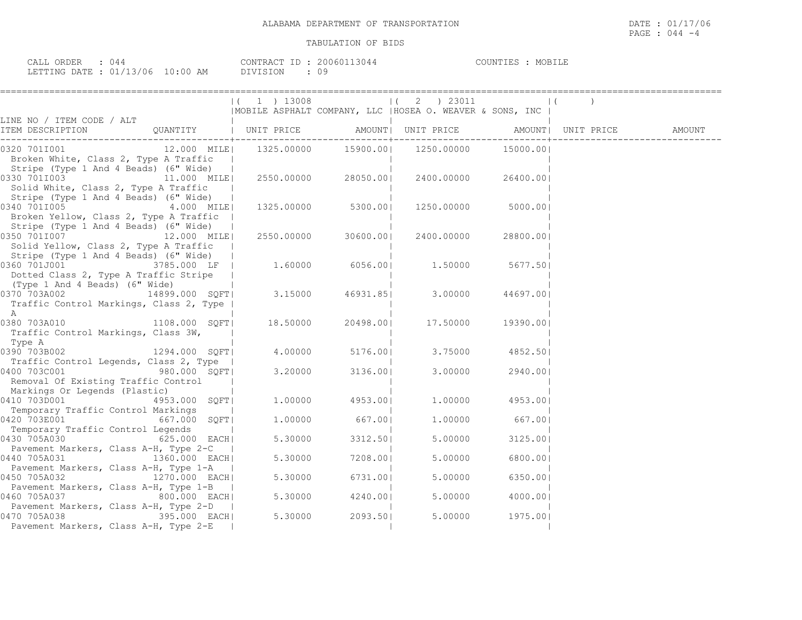| ORDER<br>CALL  |                      |               | $\bigcap_{\alpha\in\mathbb{N}}$ $\bigcap_{\alpha\in\mathbb{N}}$ $\bigcap_{\alpha\in\mathbb{N}}$ $\bigcap_{\alpha\in\mathbb{N}}$ | 3044<br>200601 | COUNTIES | <b>MORT</b> |
|----------------|----------------------|---------------|---------------------------------------------------------------------------------------------------------------------------------|----------------|----------|-------------|
| LETTING DATE : | C 1 / 1 1 2<br>13/06 | N : N N<br>AM | <b>DIVISION</b>                                                                                                                 | $\lambda$      |          |             |

|                                                                                                                                                                                     | $(1)$ 13008 |                 | $(2)$ 23011                                               |           | $\vert$ ( |  |
|-------------------------------------------------------------------------------------------------------------------------------------------------------------------------------------|-------------|-----------------|-----------------------------------------------------------|-----------|-----------|--|
|                                                                                                                                                                                     |             |                 | MOBILE ASPHALT COMPANY, LLC   HOSEA O. WEAVER & SONS, INC |           |           |  |
| LINE NO / ITEM CODE / ALT                                                                                                                                                           |             |                 |                                                           |           |           |  |
| 12.000 MILE  1325.00000 15900.00  1250.00000 15000.00 <br>0320 701I001<br>Broken White, Class 2, Type A Traffic<br>Stripe (Type 1 And 4 Beads) (6" Wide)                            |             |                 |                                                           |           |           |  |
| 0330 7011003 11.000 MILE<br>Solid White, Class 2, Type A Traffic<br>Stripe (Type 1 And 4 Beads) (6" Wide)                                                                           |             |                 | 2550.00000 28050.00  2400.00000                           | 26400.001 |           |  |
| 0340 7011005 4.000 MILE<br>Broken Yellow, Class 2, Type A Traffic  <br>Stripe (Type 1 And 4 Beads) (6" Wide)                                                                        |             |                 | 1325.00000 5300.00  1250.00000                            | 5000.001  |           |  |
| 0350 7011007 12.000 MILE<br>Solid Yellow, Class 2, Type A Traffic<br>Stripe (Type 1 And 4 Beads) (6" Wide)                                                                          |             |                 | 2550.00000 30600.00  2400.00000                           | 28800.001 |           |  |
| $\frac{1}{10360}$ (1990) Tand 4 Beaus) (0 Wide)  <br>0360 701J001 1.50000 IF   1.60000 6056.00 1.50000<br>Dotted Class 2, Type A Traffic Stripe  <br>(Type 1 And 4 Beads) (6" Wide) |             |                 |                                                           | 5677.501  |           |  |
| $\overline{0370}$ 703A002 14899.000 SQFT 3.15000 46931.85 3.00000<br>Traffic Control Markings, Class 2, Type  <br>Α                                                                 |             |                 |                                                           | 44697.001 |           |  |
| Traffic Control Markings, Class 3W,<br>Type A                                                                                                                                       |             |                 | 20498.00 17.50000                                         | 19390.001 |           |  |
| $0390703B002$ 1294.000 SQFT<br>Traffic Control Legends, Class 2, Type                                                                                                               |             |                 | 4.00000 5176.00  3.75000 4852.50                          |           |           |  |
| 0400 703C001 980.000 SQFT<br>Removal Of Existing Traffic Control<br>Markings Or Legends (Plastic)                                                                                   |             | 3.20000 3136.00 | 3.00000                                                   | 2940.00   |           |  |
| 4953.000 SQFT<br>0410 703D001<br>Temporary Traffic Control Markings                                                                                                                 |             | 1.00000 4953.00 | 1.00000                                                   | 4953.001  |           |  |
| 0420 703E001 667.000 SQFT<br>Temporary Traffic Control Legends                                                                                                                      |             | 1.00000 667.00  | 1.00000                                                   | 667.00    |           |  |
| 0430 705A030<br>625.000 EACH <br>Pavement Markers, Class A-H, Type 2-C                                                                                                              | 5.30000     | 3312.501        | 5.00000                                                   | 3125.001  |           |  |
| 1360.000 EACH<br>0440 705A031                                                                                                                                                       | 5.30000     | 7208.001        | 5.00000                                                   | 6800.001  |           |  |
| Pavement Markers, Class A-H, Type 1-A<br>0450 705A032 1270.000 EACH                                                                                                                 | 5.30000     | 6731.00         | 5.00000                                                   | 6350.001  |           |  |
| Pavement Markers, Class A-H, Type 1-B  <br>0460 705A037<br>800.000 EACH                                                                                                             |             | 5.30000 4240.00 | 5.00000                                                   | 4000.001  |           |  |
| Pavement Markers, Class A-H, Type 2-D<br>395.000 EACH<br>0470 705A038<br>Pavement Markers, Class A-H, Type 2-E                                                                      | 5.30000     | 2093.501        | 5.00000                                                   | 1975.001  |           |  |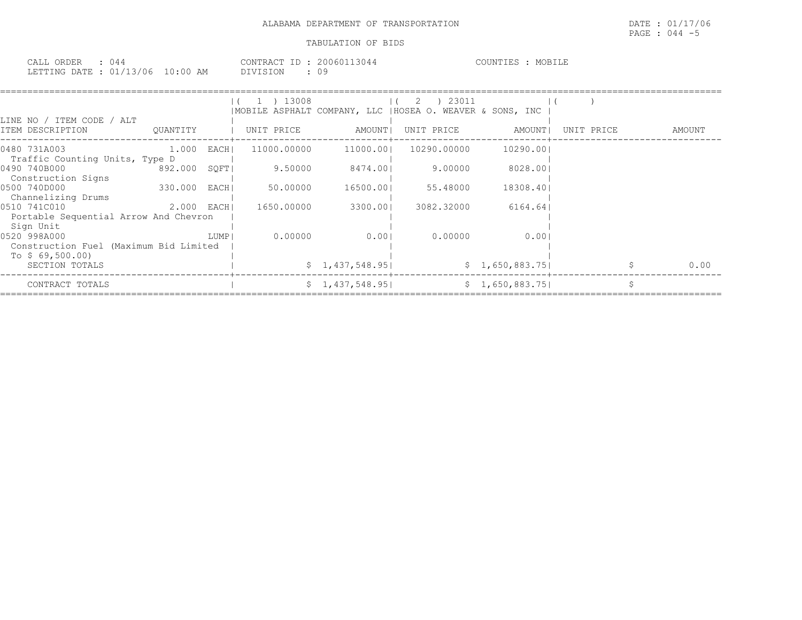| CALL ORDER : 044                 |  |          | CONTRACT ID: 20060113044 | COUNTIES : MOBILE |  |
|----------------------------------|--|----------|--------------------------|-------------------|--|
| LETTING DATE : 01/13/06 10:00 AM |  | DIVISION |                          |                   |  |

|                                                                            |              |      | ) 13008     |                 | ) 23011<br>-2<br> MOBILE ASPHALT COMPANY, LLC  HOSEA O. WEAVER & SONS, INC |                 |            |        |
|----------------------------------------------------------------------------|--------------|------|-------------|-----------------|----------------------------------------------------------------------------|-----------------|------------|--------|
| LINE NO / ITEM CODE / ALT<br>ITEM DESCRIPTION                              | QUANTITY     |      | UNIT PRICE  | AMOUNT          | UNIT PRICE                                                                 | AMOUNT          | UNIT PRICE | AMOUNT |
| 0480 731A003<br>Traffic Counting Units, Type D                             | 1.000 EACH   |      | 11000.00000 | 11000.001       | 10290.00000                                                                | 10290.001       |            |        |
| 0490 740B000<br>Construction Signs                                         | 892.000 SQFT |      | 9.50000     | 8474.001        | 9.00000                                                                    | 8028.001        |            |        |
| 0500 740D000<br>Channelizing Drums                                         | 330.000 EACH |      | 50.00000    | 16500.001       | 55.48000                                                                   | 18308.401       |            |        |
| 0510 741C010<br>Portable Sequential Arrow And Chevron<br>Sign Unit         | 2.000 EACH   |      | 1650.00000  | 3300.001        | 3082.32000                                                                 | 6164.641        |            |        |
| 0520 998A000<br>Construction Fuel (Maximum Bid Limited<br>To $$69,500.00)$ |              | LUMP | 0.00000     | 0.001           | 0.00000                                                                    | 0.001           |            |        |
| SECTION TOTALS                                                             |              |      |             | \$1,437,548.95] |                                                                            | \$1,650,883.75  |            | 0.00   |
| CONTRACT TOTALS                                                            |              |      |             | \$1,437,548.95] |                                                                            | \$1,650,883.75] |            |        |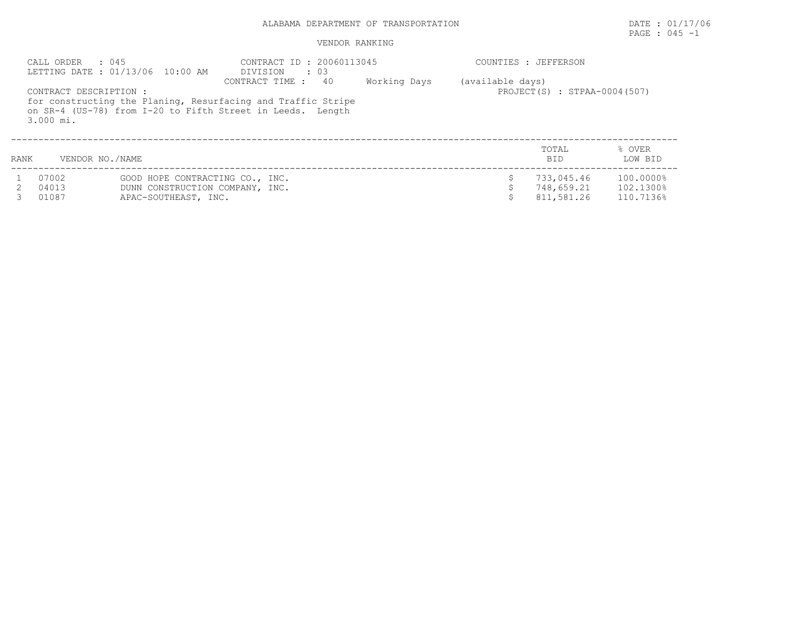## ALABAMA DEPARTMENT OF TRANSPORTATION DATE : 01/17/06

# PAGE : 045 -1

### VENDOR RANKING

|      | CALL ORDER : 045                    | LETTING DATE: 01/13/06 10:00 AM | CONTRACT ID: 20060113045<br>DIVISION<br>$\cdot\quad03$                                                                                           |              |                  | COUNTIES : JEFFERSON         |                   |
|------|-------------------------------------|---------------------------------|--------------------------------------------------------------------------------------------------------------------------------------------------|--------------|------------------|------------------------------|-------------------|
|      | CONTRACT DESCRIPTION :<br>3.000 mi. |                                 | CONTRACT TIME : 40<br>for constructing the Planing, Resurfacing and Traffic Stripe<br>on SR-4 (US-78) from I-20 to Fifth Street in Leeds. Length | Working Days | (available days) | PROJECT(S) : STPAA-0004(507) |                   |
| RANK | VENDOR NO./NAME                     |                                 |                                                                                                                                                  |              |                  | TOTAL<br>BID.                | % OVER<br>LOW BID |
|      | 07002                               | GOOD HOPE CONTRACTING CO., INC. |                                                                                                                                                  |              |                  | 733,045.46                   | 100.0000%         |
|      | 04013                               | DUNN CONSTRUCTION COMPANY, INC. |                                                                                                                                                  |              |                  | 748,659.21                   | 102.1300%         |
|      | 01087                               | APAC-SOUTHEAST, INC.            |                                                                                                                                                  |              |                  | 811,581.26                   | 110.7136%         |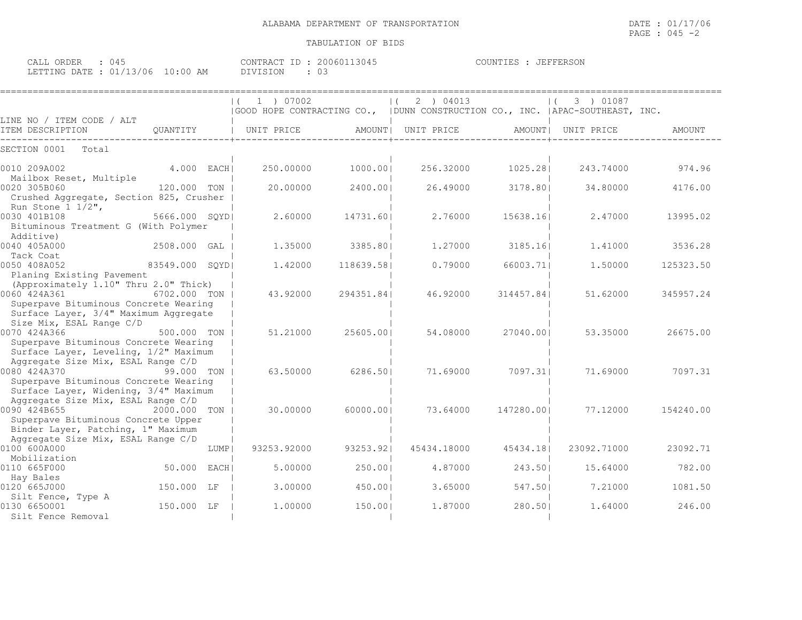| : 045<br>CALL ORDER             | CONTRACT ID: 20060113045 | COUNTIES : JEFFERSON |
|---------------------------------|--------------------------|----------------------|
| LETTING DATE: 01/13/06 10:00 AM | DIVISION                 |                      |

|                                                                                                                                         |                 |        | 1 ) 07002   |            | 2 ) 04013                                                                       |            | 3 ) 01087<br>$\left  \right $ |           |
|-----------------------------------------------------------------------------------------------------------------------------------------|-----------------|--------|-------------|------------|---------------------------------------------------------------------------------|------------|-------------------------------|-----------|
|                                                                                                                                         |                 |        |             |            | GOOD HOPE CONTRACTING CO.,   DUNN CONSTRUCTION CO., INC.   APAC-SOUTHEAST, INC. |            |                               |           |
| LINE NO / ITEM CODE / ALT<br>ITEM DESCRIPTION                                                                                           | OUANTITY        |        | UNIT PRICE  |            | AMOUNT   UNIT PRICE                                                             | AMOUNT     | UNIT PRICE                    | AMOUNT    |
| SECTION 0001<br>Total                                                                                                                   |                 |        |             |            |                                                                                 |            |                               |           |
| 0010 209A002<br>Mailbox Reset, Multiple                                                                                                 | 4.000 EACHI     |        | 250.00000   | 1000.001   | 256.32000                                                                       | 1025.281   | 243.74000                     | 974.96    |
| 0020 305B060<br>Crushed Aggregate, Section 825, Crusher<br>Run Stone $1 \frac{1}{2}$ ,                                                  | 120.000 TON     |        | 20,00000    | 2400.001   | 26.49000                                                                        | 3178.801   | 34,80000                      | 4176.00   |
| 0030 401B108<br>Bituminous Treatment G (With Polymer<br>Additive)                                                                       | 5666.000 SOYDI  |        | 2.60000     | 14731.601  | 2.76000                                                                         | 15638.161  | 2.47000                       | 13995.02  |
| 0040 405A000<br>Tack Coat                                                                                                               | 2508.000 GAL    |        | 1,35000     | 3385.801   | 1,27000                                                                         | 3185.161   | 1,41000                       | 3536.28   |
| 0050 408A052<br>Planing Existing Pavement                                                                                               | 83549.000 SQYDI |        | 1.42000     | 118639.581 | 0.79000                                                                         | 66003.71   | 1,50000                       | 125323.50 |
| (Approximately 1.10" Thru 2.0" Thick)<br>0060 424A361<br>Superpave Bituminous Concrete Wearing<br>Surface Layer, 3/4" Maximum Aggregate | 6702.000 TON    |        | 43.92000    | 294351.841 | 46.92000                                                                        | 314457.841 | 51.62000                      | 345957.24 |
| Size Mix, ESAL Range C/D<br>0070 424A366<br>Superpave Bituminous Concrete Wearing                                                       | 500.000 TON     |        | 51,21000    | 25605.001  | 54.08000                                                                        | 27040.001  | 53.35000                      | 26675.00  |
| Surface Layer, Leveling, 1/2" Maximum<br>Aggregate Size Mix, ESAL Range C/D<br>0080 424A370<br>Superpave Bituminous Concrete Wearing    | 99.000 TON      |        | 63.50000    | 6286.501   | 71,69000                                                                        | 7097.311   | 71.69000                      | 7097.31   |
| Surface Layer, Widening, 3/4" Maximum<br>Aggregate Size Mix, ESAL Range C/D<br>0090 424B655                                             | 2000.000 TON    |        | 30.00000    | 60000.001  | 73.64000                                                                        | 147280.001 | 77.12000                      | 154240.00 |
| Superpave Bituminous Concrete Upper<br>Binder Layer, Patching, 1" Maximum<br>Aggregate Size Mix, ESAL Range C/D                         |                 |        |             |            |                                                                                 |            |                               |           |
| 0100 600A000<br>Mobilization                                                                                                            |                 | LUMP   | 93253.92000 | 93253.921  | 45434.18000                                                                     | 45434.181  | 23092.71000                   | 23092.71  |
| 0110 665F000<br>Hay Bales                                                                                                               | 50.000          | EACH I | 5.00000     | 250.001    | 4.87000                                                                         | 243.501    | 15.64000                      | 782.00    |
| 0120 665J000<br>Silt Fence, Type A                                                                                                      | 150.000 LF      |        | 3,00000     | 450.001    | 3.65000                                                                         | 547.501    | 7.21000                       | 1081.50   |
| 0130 6650001<br>Silt Fence Removal                                                                                                      | 150.000 LF      |        | 1,00000     | 150.001    | 1,87000                                                                         | 280.501    | 1,64000                       | 246.00    |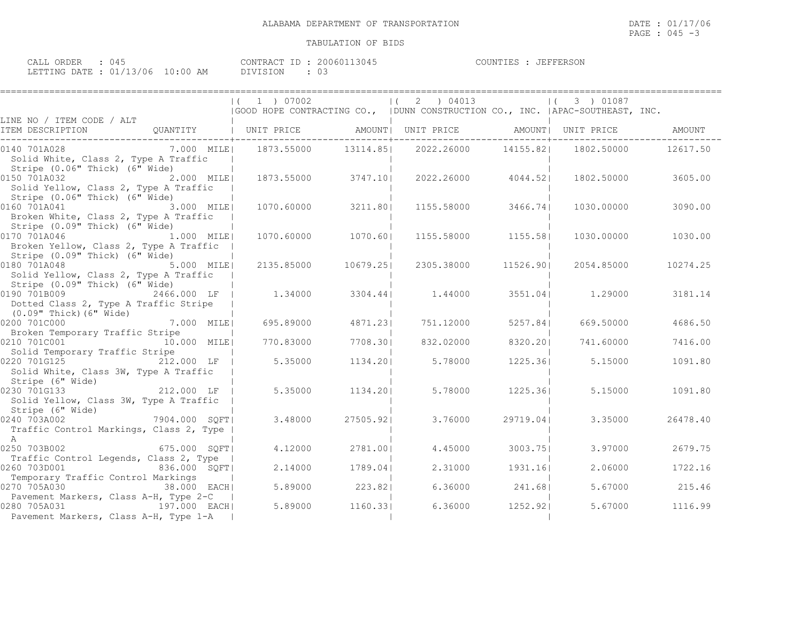| ORDER<br>$\sim$ $\sim$ $\sim$ $\sim$<br>14<br>- بلطانات |                                  | TD.<br><b>CONTRAL</b><br>304<br>۱۱n۱۰ | $T$ $T$ $T$ $T$ $T$ $T$ $T$ $T$ $T$ $T$ $T$ $T$ $T$<br>COUNTIF^<br>. н.<br>'FERSON |
|---------------------------------------------------------|----------------------------------|---------------------------------------|------------------------------------------------------------------------------------|
| $\sim$<br>LETTING DATE<br><u>_</u>                      | '06<br>:00<br>AM<br>$\mathbf{r}$ | <b>DTVT</b><br>$\backsim$             |                                                                                    |

|                                                                                                                |               | $(1)$ 07002                                                      |           | (2) 04013<br>(GOOD HOPE CONTRACTING CO., (DUNN CONSTRUCTION CO., INC. (APAC-SOUTHEAST, INC. |                        | $(3)$ 01087 |          |
|----------------------------------------------------------------------------------------------------------------|---------------|------------------------------------------------------------------|-----------|---------------------------------------------------------------------------------------------|------------------------|-------------|----------|
| LINE NO / ITEM CODE / ALT                                                                                      |               |                                                                  |           |                                                                                             |                        |             |          |
|                                                                                                                |               | -----------------------+-----------                              |           | -------------+--------------                                                                | --------------+------- |             |          |
| 0140 701A028<br>Solid White, Class 2, Type A Traffic                                                           |               | 7.000 MILE  1873.55000 13114.85  2022.26000 14155.82  1802.50000 |           |                                                                                             |                        |             | 12617.50 |
| Stripe (0.06" Thick) (6" Wide)<br>0150 701A032<br>Solid Yellow, Class 2, Type A Traffic                        | 2.000 MILE    | 1873.55000 3747.10                                               |           | 2022.26000                                                                                  | 4044.521               | 1802.50000  | 3605.00  |
| Stripe (0.06" Thick) (6" Wide)<br>0160 701A041 3.000 MILE<br>Broken White, Class 2, Type A Traffic             |               | 1070.60000                                                       | 3211.80   | 1155.58000                                                                                  | 3466.74                | 1030.00000  | 3090.00  |
| Stripe (0.09" Thick) (6" Wide)<br>0170 701A046<br>Broken Yellow, Class 2, Type A Traffic                       | 1.000 MILE    | 1070.60000 1070.60                                               |           | 1155.58000                                                                                  | 1155.581               | 1030.00000  | 1030.00  |
| Stripe (0.09" Thick) (6" Wide)<br>0180 701A048 5.000 MILE<br>Solid Yellow, Class 2, Type A Traffic             |               | 2135.85000                                                       | 10679.25  | 2305.38000                                                                                  | 11526.901              | 2054.85000  | 10274.25 |
| Stripe (0.09" Thick) (6" Wide)<br>Dotted Class 2, Type A Traffic Stripe                                        | 2466.000 LF   | 1.34000                                                          | 3304.441  | 1.44000                                                                                     | 3551.04                | 1.29000     | 3181.14  |
| $(0.09"$ Thick) $(6"$ Wide)<br>0200 701C000 7.000 MILE                                                         |               | 695.89000                                                        | 4871.23   | 751.12000                                                                                   | 5257.84                | 669.50000   | 4686.50  |
| Broken Temporary Traffic Stripe<br>0210 701C001                                                                | 10.000 MILE   | 770.83000                                                        | 7708.301  | 832.02000                                                                                   | 8320.201               | 741,60000   | 7416.00  |
| Solid Temporary Traffic Stripe<br>0220 701G125<br>Solid White, Class 3W, Type A Traffic                        | 212.000 LF    | 5.35000                                                          | 1134.201  | 5.78000                                                                                     | 1225.361               | 5.15000     | 1091.80  |
| Stripe (6" Wide)<br>0230 701G133 212.000 LF  <br>Solid Yellow, Class 3W, Type A Traffic                        |               | 5.35000                                                          | 1134.201  | 5.78000                                                                                     | 1225.361               | 5.15000     | 1091.80  |
| Stripe (6" Wide)<br>0240 703A002<br>Traffic Control Markings, Class 2, Type                                    | 7904.000 SQFT | 3.48000                                                          | 27505.921 | 3.76000                                                                                     | 29719.041              | 3.35000     | 26478.40 |
| A<br>0250 703B002 675.000 SQFT                                                                                 |               | 4.12000                                                          | 2781.001  | 4.45000                                                                                     | 3003.751               | 3.97000     | 2679.75  |
| Traffic Control Legends, Class 2, Type  <br>0260 703D001                                                       | 836.000 SQFT  | 2.14000                                                          | 1789.04   | 2.31000                                                                                     | 1931.16                | 2.06000     | 1722.16  |
| Temporary Traffic Control Markings<br>0270 705A030                                                             | 38.000 EACH   | 5.89000                                                          | 223.821   | 6.36000                                                                                     | 241.681                | 5.67000     | 215.46   |
| Pavement Markers, Class A-H, Type 2-C<br>197.000 EACH<br>0280 705A031<br>Pavement Markers, Class A-H, Type 1-A |               | 5.89000                                                          | 1160.33   | 6.36000                                                                                     | 1252.921               | 5.67000     | 1116.99  |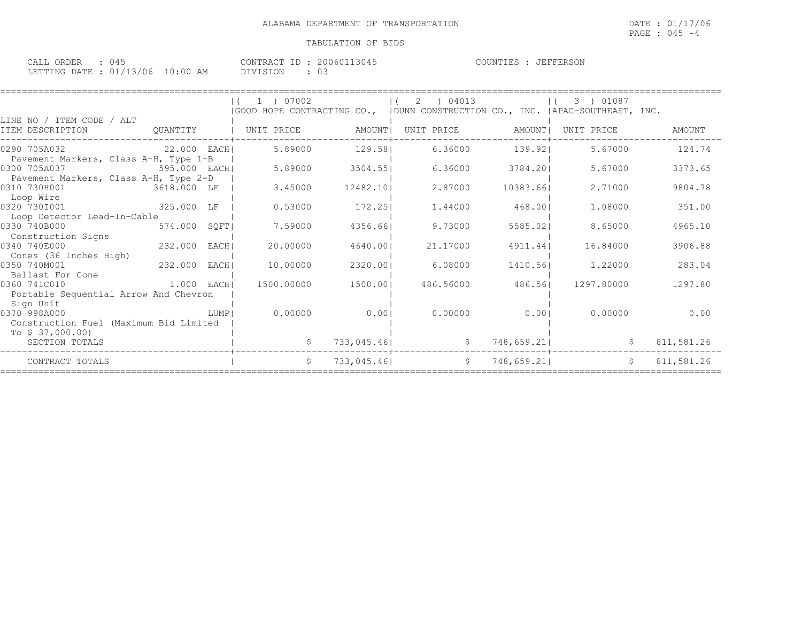| ORDER<br>CALL<br>14.1                         |             | 200601<br>$T$ D<br>304.<br><b>CONTRAL</b> | JEFFERSON<br>COUNTIES |
|-----------------------------------------------|-------------|-------------------------------------------|-----------------------|
| 13/06<br>$\cdot$ 01/13,<br>LETTING DATE<br>∸∸ | 10:00<br>AM | DIVISION<br>$\backsim$                    |                       |

|                                                                       |              |        | $(1)$ 07002           |             | ) 04013<br>2<br>(GOOD HOPE CONTRACTING CO., (DUNN CONSTRUCTION CO., INC. (APAC-SOUTHEAST, INC. |            | 3 ) 01087         |            |
|-----------------------------------------------------------------------|--------------|--------|-----------------------|-------------|------------------------------------------------------------------------------------------------|------------|-------------------|------------|
| LINE NO / ITEM CODE / ALT<br>ITEM DESCRIPTION                         |              |        | QUANTITY   UNIT PRICE | AMOUNT      | UNIT PRICE                                                                                     | AMOUNT I   | UNIT PRICE        | AMOUNT     |
| 0290 705A032 22.000 EACH<br>Pavement Markers, Class A-H, Type 1-B     |              |        | 5.89000               | 129.581     | 6.36000                                                                                        | 139.921    | 5.67000           | 124.74     |
| 0300 705A037<br>Pavement Markers, Class A-H, Type 2-D                 | 595.000 EACH |        | 5.89000               | 3504.55     | 6.36000                                                                                        | 3784.201   | 5.67000           | 3373.65    |
| 0310 730H001<br>ли в том 3618.000 LF                                  |              |        | 3.45000               | 12482.101   | 2.87000                                                                                        | 10383.66   | 2.71000           | 9804.78    |
| Loop Wire<br>0320 7301001                                             | 325.000 LF   |        | 0.53000               | 172.251     | 1.44000                                                                                        | 468.001    | 1,08000           | 351.00     |
| Loop Detector Lead-In-Cable<br>0330 740B000                           | 574.000      | SOFT   | 7.59000               | 4356.66     | 9.73000                                                                                        | 5585.021   | 8.65000           | 4965.10    |
| Construction Signs<br>0340 740E000                                    | 232.000 EACH |        | 20,00000              | 4640.001    | 21.17000                                                                                       | 4911.44    | 16.84000          | 3906.88    |
| Cones (36 Inches High)<br>0350 740M001<br>Ballast For Cone            | 232.000      | EACH   | 10,00000              | 2320.001    | 6.08000                                                                                        | 1410.561   | 1,22000           | 283.04     |
| $1.000$ EACH<br>0360 741C010<br>Portable Sequential Arrow And Chevron |              |        | 1500.00000            | 1500.001    | 486.56000                                                                                      |            | 486.56 1297.80000 | 1297.80    |
| Sign Unit<br>0370 998A000<br>Construction Fuel (Maximum Bid Limited   |              | LUMP I | 0.00000               | 0.001       | 0.00000                                                                                        | 0.001      | 0.00000           | 0.00       |
| To $$37,000.00)$<br>SECTION TOTALS                                    |              |        |                       |             | 733,045.46<br>$\mathsf{S}$                                                                     |            | 748,659.21        | 811,581.26 |
| CONTRACT TOTALS                                                       |              |        | S                     | 733,045,461 | S                                                                                              | 748,659.21 | $\mathsf{S}$      | 811,581.26 |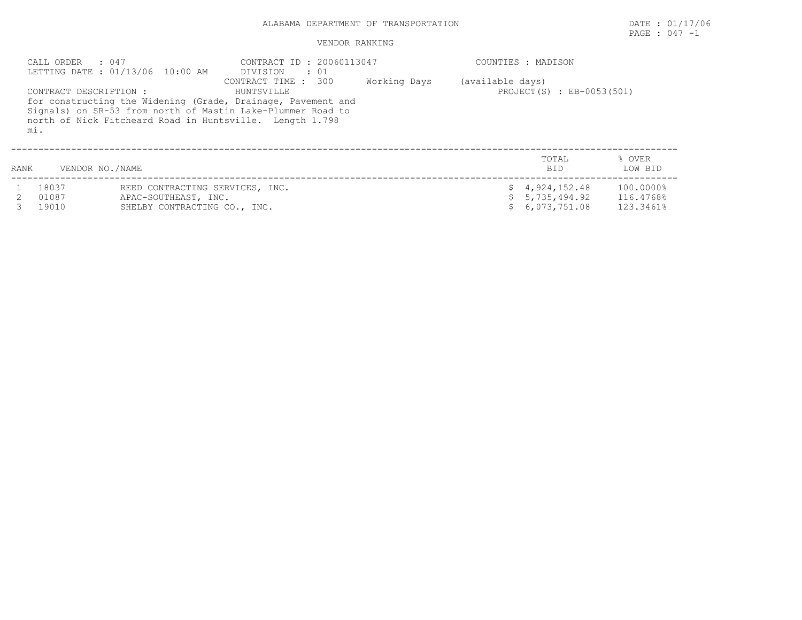## ALABAMA DEPARTMENT OF TRANSPORTATION DATE : 01/17/06

## VENDOR RANKING

| CALL ORDER     | .047<br>LETTING DATE: 01/13/06 10:00 AM                                                                                                                                                                           | CONTRACT ID: 20060113047<br>DIVISION : 01 |              |                  | COUNTIES : MADISON               |                        |
|----------------|-------------------------------------------------------------------------------------------------------------------------------------------------------------------------------------------------------------------|-------------------------------------------|--------------|------------------|----------------------------------|------------------------|
| mi.            | CONTRACT DESCRIPTION :<br>for constructing the Widening (Grade, Drainage, Pavement and<br>Signals) on SR-53 from north of Mastin Lake-Plummer Road to<br>north of Nick Fitcheard Road in Huntsville. Length 1.798 | CONTRACT TIME : 300<br>HUNTSVILLE         | Working Days | (available days) | PROJECT(S) : EB-0053(501)        |                        |
| RANK           | VENDOR NO./NAME                                                                                                                                                                                                   |                                           |              |                  | TOTAL<br><b>BID</b>              | % OVER<br>LOW BID      |
| 18037<br>01087 | REED CONTRACTING SERVICES, INC.<br>APAC-SOUTHEAST, INC.                                                                                                                                                           |                                           |              |                  | \$4,924,152.48<br>\$5,735,494.92 | 100.0000%<br>116.4768% |

| UIU OI | APAC-SOUTHEAST, INC.         | -> J,/JJ,494.92 | LI0.4/08% |
|--------|------------------------------|-----------------|-----------|
| 19010  | SHELBY CONTRACTING CO., INC. | \$6,073,751.08  | 123.3461% |

PAGE : 047 -1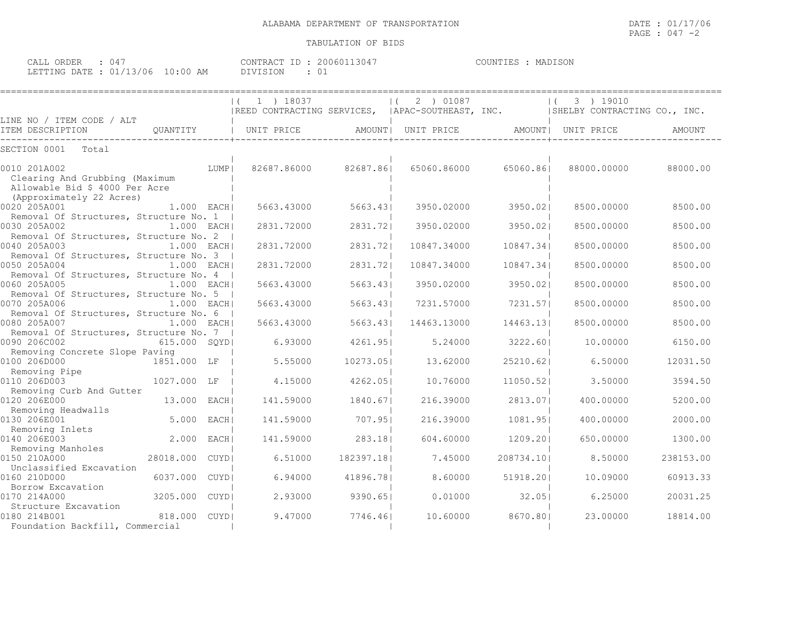| CALL (<br>ORDER                  |  |          | CONTRACT ID: 20060113047 | MADISON<br>COUNTIES |
|----------------------------------|--|----------|--------------------------|---------------------|
| LETTING DATE : 01/13/06 10:00 AM |  | DIVISION | - 0 ⊥                    |                     |

|                                                                                                    |               |             | 1 ) 18037                                        |            | 2 ) 01087<br>$\left  \right $ ( |            | 3 ) 19010<br>$\left  \right $ |           |
|----------------------------------------------------------------------------------------------------|---------------|-------------|--------------------------------------------------|------------|---------------------------------|------------|-------------------------------|-----------|
| LINE NO / ITEM CODE / ALT                                                                          |               |             | REED CONTRACTING SERVICES,  APAC-SOUTHEAST, INC. |            |                                 |            | SHELBY CONTRACTING CO., INC.  |           |
| ITEM DESCRIPTION                                                                                   | QUANTITY      |             | UNIT PRICE                                       |            | AMOUNT  UNIT PRICE              |            | AMOUNT  UNIT PRICE            | AMOUNT    |
| SECTION 0001<br>Total                                                                              |               |             |                                                  |            |                                 |            |                               |           |
| 0010 201A002<br>Clearing And Grubbing (Maximum<br>Allowable Bid \$ 4000 Per Acre                   |               | LUMP        | 82687.86000                                      | 82687.861  | 65060.86000                     | 65060.861  | 88000.00000                   | 88000.00  |
| (Approximately 22 Acres)<br>0020 205A001                                                           | 1.000 EACH    |             | 5663.43000                                       | 5663.43    | 3950.02000                      | 3950.021   | 8500.00000                    | 8500.00   |
| Removal Of Structures, Structure No. 1  <br>0030 205A002<br>Removal Of Structures, Structure No. 2 | $1.000$ EACH  |             | 2831.72000                                       | 2831.721   | 3950.02000                      | 3950.021   | 8500.00000                    | 8500.00   |
| 0040 205A003<br>Removal Of Structures, Structure No. 3                                             | $1.000$ EACH  |             | 2831.72000                                       | 2831.721   | 10847.34000                     | 10847.34   | 8500.00000                    | 8500.00   |
| 0050 205A004<br>Removal Of Structures, Structure No. 4                                             | 1.000 EACHI   |             | 2831.72000                                       | 2831.721   | 10847.34000                     | 10847.34   | 8500.00000                    | 8500.00   |
| 0060 205A005<br>Removal Of Structures, Structure No. 5                                             | 1.000 EACH    |             | 5663.43000                                       | 5663.431   | 3950.02000                      | 3950.021   | 8500.00000                    | 8500.00   |
| 0070 205A006<br>Removal Of Structures, Structure No. 6                                             | 1.000 EACH    |             | 5663.43000                                       | 5663.43    | 7231.57000                      | 7231.571   | 8500.00000                    | 8500.00   |
| 0080 205A007<br>Removal Of Structures, Structure No. 7                                             | $1.000$ EACHI |             | 5663.43000                                       | 5663.43    | 14463.13000                     | 14463.13   | 8500.00000                    | 8500.00   |
| 0090 206C002<br>Removing Concrete Slope Paving                                                     | 615.000 SOYDI |             | 6.93000                                          | 4261.951   | 5.24000                         | 3222.601   | 10,00000                      | 6150.00   |
| 0100 206D000<br>Removing Pipe                                                                      | 1851.000 LF   |             | 5.55000                                          | 10273.051  | 13.62000                        | 25210.621  | 6.50000                       | 12031.50  |
| 0110 206D003<br>Removing Curb And Gutter                                                           | 1027.000 LF   |             | 4.15000                                          | 4262.051   | 10.76000                        | 11050.521  | 3.50000                       | 3594.50   |
| 0120 206E000<br>Removing Headwalls                                                                 | 13.000 EACHI  |             | 141.59000                                        | 1840.671   | 216.39000                       | 2813.071   | 400,00000                     | 5200.00   |
| 0130 206E001<br>Removing Inlets                                                                    | 5.000         | EACH        | 141.59000                                        | 707.951    | 216.39000                       | 1081.951   | 400.00000                     | 2000.00   |
| 0140 206E003<br>Removing Manholes                                                                  | 2,000         | EACH        | 141.59000                                        | 283.181    | 604,60000                       | 1209.201   | 650,00000                     | 1300.00   |
| 0150 210A000<br>Unclassified Excavation                                                            | 28018.000     | <b>CUYD</b> | 6.51000                                          | 182397.181 | 7.45000                         | 208734.101 | 8.50000                       | 238153.00 |
| 0160 210D000<br>Borrow Excavation                                                                  | 6037.000      | CUYD        | 6.94000                                          | 41896.781  | 8.60000                         | 51918.201  | 10.09000                      | 60913.33  |
| 0170 214A000<br>Structure Excavation                                                               | 3205.000 CUYD |             | 2.93000                                          | 9390.651   | 0.01000                         | 32.051     | 6.25000                       | 20031.25  |
| 0180 214B001<br>Foundation Backfill, Commercial                                                    | 818,000 CUYDI |             | 9.47000                                          | 7746.461   | 10.60000                        | 8670.801   | 23.00000                      | 18814.00  |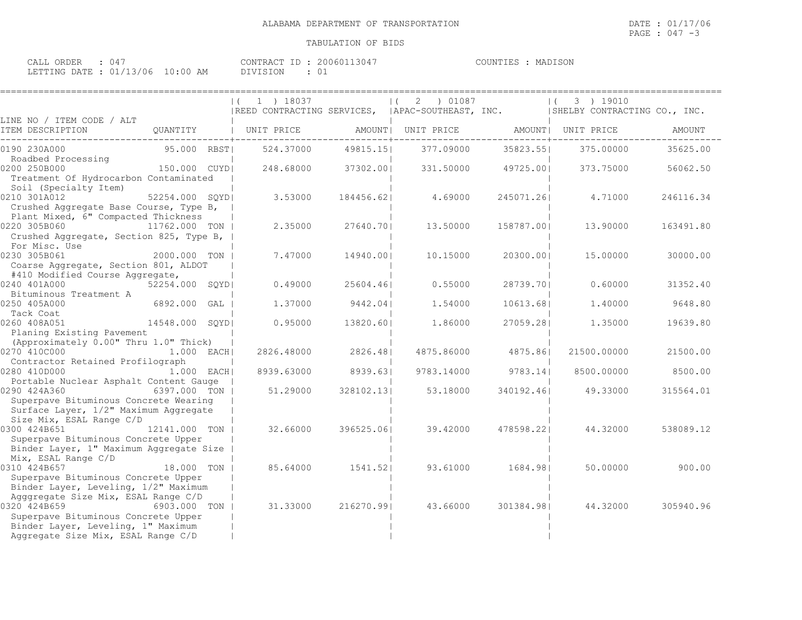| CALL<br>ORDER |                  |             | CONTRACT<br>TD. | 13047.<br>200601 | COUNTIES<br>. TER | MADISON |
|---------------|------------------|-------------|-----------------|------------------|-------------------|---------|
| LETTING DATE  | $\cdot$ 01/13/06 | 10:00<br>AM | DIVISION        | -01              |                   |         |

|                                                                               |                | $ (1)$ 18037<br> REED CONTRACTING SERVICES,  APAC-SOUTHEAST, INC.  SHELBY CONTRACTING CO., INC. |                          | 2 ) 01087<br>$\vert$ ( |            | 3 ) 19010<br>$\left  \right $ |           |
|-------------------------------------------------------------------------------|----------------|-------------------------------------------------------------------------------------------------|--------------------------|------------------------|------------|-------------------------------|-----------|
| LINE NO / ITEM CODE / ALT                                                     |                |                                                                                                 |                          |                        |            |                               |           |
| ITEM DESCRIPTION                                                              | QUANTITY       | UNIT PRICE                                                                                      | ----------------+------- | AMOUNT  UNIT PRICE     |            | AMOUNT  UNIT PRICE            | AMOUNT    |
| 0190 230A000                                                                  | 95.000 RBST    | 524.37000                                                                                       | 49815.15                 | 377.09000              | 35823.551  | 375.00000                     | 35625.00  |
| Roadbed Processing<br>0200 250B000                                            | 150.000 CUYDI  | 248.68000                                                                                       | 37302.001                | 331,50000              | 49725.001  | 373.75000                     | 56062.50  |
| Treatment Of Hydrocarbon Contaminated<br>Soil (Specialty Item)                |                |                                                                                                 |                          |                        |            |                               |           |
| 0210 301A012                                                                  | 52254.000 SQYD | 3.53000                                                                                         | 184456.621               | 4.69000                | 245071.261 | 4.71000                       | 246116.34 |
| Crushed Aggregate Base Course, Type B,<br>Plant Mixed, 6" Compacted Thickness |                |                                                                                                 |                          |                        |            |                               |           |
| 0220 305B060<br>11762.000 TON                                                 |                | 2.35000                                                                                         | 27640.701                | 13,50000               | 158787.001 | 13,90000                      | 163491.80 |
| Crushed Aggregate, Section 825, Type B,<br>For Misc. Use                      |                |                                                                                                 |                          |                        |            |                               |           |
| 0230 305B061                                                                  | 2000.000 TON   | 7.47000                                                                                         | 14940.001                | 10.15000               | 20300.001  | 15,00000                      | 30000.00  |
| Coarse Aggregate, Section 801, ALDOT<br>#410 Modified Course Aggregate,       |                |                                                                                                 |                          |                        |            |                               |           |
| 0240 401A000                                                                  | 52254.000 SQYD | 0.49000                                                                                         | 25604.461                | 0.55000                | 28739.701  | 0.60000                       | 31352.40  |
| Bituminous Treatment A<br>0250 405A000                                        | 6892.000 GAL   | 1,37000                                                                                         | 9442.04                  | 1,54000                | 10613.68   | 1.40000                       | 9648.80   |
| Tack Coat<br>0260 408A051<br>14548.000 SOYDI                                  |                | 0.95000                                                                                         | 13820.601                | 1,86000                | 27059.281  | 1,35000                       | 19639.80  |
| Planing Existing Pavement                                                     |                |                                                                                                 |                          |                        |            |                               |           |
| (Approximately 0.00" Thru 1.0" Thick)                                         |                |                                                                                                 |                          |                        |            |                               |           |
| 0270 410C000                                                                  | $1.000$ EACH   | 2826.48000                                                                                      | 2826.481                 | 4875.86000             | 4875.861   | 21500.00000                   | 21500.00  |
| Contractor Retained Profilograph                                              |                |                                                                                                 |                          |                        |            |                               |           |
| 0280 410D000                                                                  | $1.000$ EACH   | 8939.63000                                                                                      | 8939.631                 | 9783.14000             | 9783.14    | 8500.00000                    | 8500.00   |
| Portable Nuclear Asphalt Content Gauge<br>0290 424A360<br>6397.000 TON        |                | 51,29000                                                                                        | 328102.131               | 53.18000               | 340192.461 | 49.33000                      | 315564.01 |
| Superpave Bituminous Concrete Wearing                                         |                |                                                                                                 |                          |                        |            |                               |           |
| Surface Layer, 1/2" Maximum Aggregate                                         |                |                                                                                                 |                          |                        |            |                               |           |
| Size Mix, ESAL Range C/D<br>0300 424B651                                      |                |                                                                                                 |                          |                        |            |                               |           |
| 12141.000 TON<br>Superpave Bituminous Concrete Upper                          |                | 32.66000                                                                                        | 396525.061               | 39.42000               | 478598.221 | 44.32000                      | 538089.12 |
| Binder Layer, 1" Maximum Aggregate Size                                       |                |                                                                                                 |                          |                        |            |                               |           |
| Mix, ESAL Range C/D                                                           |                |                                                                                                 |                          |                        |            |                               |           |
| 0310 424B657                                                                  | 18.000 TON     | 85.64000                                                                                        | 1541.521                 | 93.61000               | 1684.981   | 50.00000                      | 900.00    |
| Superpave Bituminous Concrete Upper                                           |                |                                                                                                 |                          |                        |            |                               |           |
| Binder Layer, Leveling, 1/2" Maximum                                          |                |                                                                                                 |                          |                        |            |                               |           |
| Agggregate Size Mix, ESAL Range C/D                                           |                |                                                                                                 |                          |                        |            |                               |           |
| 0320 424B659<br>Superpave Bituminous Concrete Upper                           | 6903.000 TON   | 31.33000                                                                                        | 216270.991               | 43.66000               | 301384.981 | 44.32000                      | 305940.96 |
|                                                                               |                |                                                                                                 |                          |                        |            |                               |           |
| Binder Layer, Leveling, 1" Maximum<br>Aggregate Size Mix, ESAL Range C/D      |                |                                                                                                 |                          |                        |            |                               |           |
|                                                                               |                |                                                                                                 |                          |                        |            |                               |           |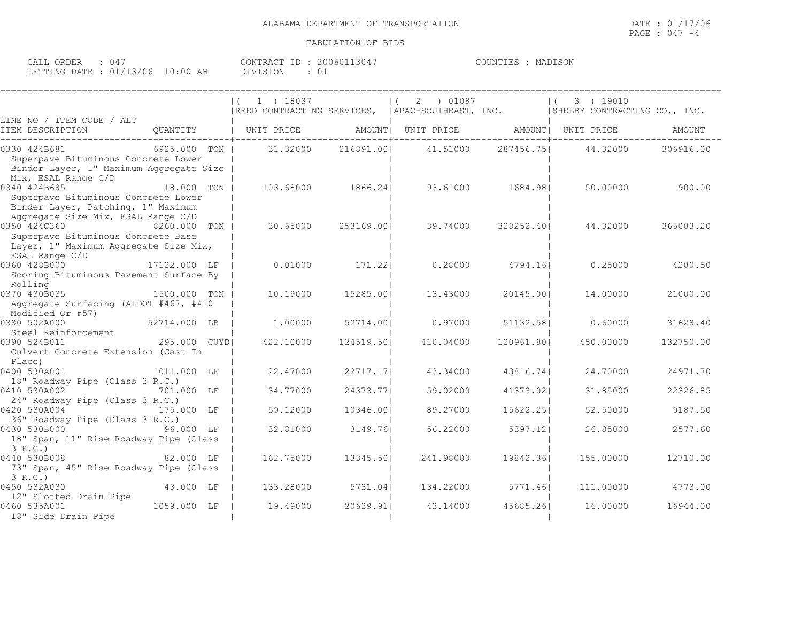| CALL ORDER : 047                 | CONTRACT ID: 20060113047 | COUNTIES : MADISON |  |
|----------------------------------|--------------------------|--------------------|--|
| LETTING DATE : 01/13/06 10:00 AM | DIVISION                 |                    |  |

|                                                                                                                                 |                | 1 ) 18037<br> REED CONTRACTING SERVICES,  APAC-SOUTHEAST, INC. |            | 01087<br>2         |            | 3 ) 19010<br>ISHELBY CONTRACTING CO., INC. |           |
|---------------------------------------------------------------------------------------------------------------------------------|----------------|----------------------------------------------------------------|------------|--------------------|------------|--------------------------------------------|-----------|
| LINE NO / ITEM CODE / ALT                                                                                                       |                |                                                                |            |                    |            |                                            |           |
| ITEM DESCRIPTION                                                                                                                | OUANTITY       | UNIT PRICE                                                     |            | AMOUNT  UNIT PRICE |            | AMOUNT  UNIT PRICE                         | AMOUNT    |
| 0330 424B681<br>Superpave Bituminous Concrete Lower<br>Binder Layer, 1" Maximum Aggregate Size<br>Mix, ESAL Range C/D           | 6925.000 TON I | 31,32000                                                       | 216891.001 | 41.51000           | 287456.751 | 44.32000                                   | 306916.00 |
| 0340 424B685<br>Superpave Bituminous Concrete Lower<br>Binder Layer, Patching, 1" Maximum<br>Aggregate Size Mix, ESAL Range C/D | 18.000 TON     | 103.68000                                                      | 1866.24    | 93.61000           | 1684.981   | 50.00000                                   | 900.00    |
| 0350 424C360<br>Superpave Bituminous Concrete Base<br>Layer, 1" Maximum Aggregate Size Mix,<br>ESAL Range C/D                   | 8260.000 TON   | 30.65000                                                       | 253169.001 | 39.74000           | 328252.401 | 44.32000                                   | 366083.20 |
| 0360 428B000<br>Scoring Bituminous Pavement Surface By<br>Rolling                                                               | 17122.000 LF   | 0.01000                                                        | 171.221    | 0.28000            | 4794.161   | 0.25000                                    | 4280.50   |
| 0370 430B035<br>Aggregate Surfacing (ALDOT #467, #410<br>Modified Or #57)                                                       | 1500.000 TON   | 10.19000                                                       | 15285.001  | 13,43000           | 20145.001  | 14,00000                                   | 21000.00  |
| 0380 502A000                                                                                                                    | 52714.000 LB   | 1,00000                                                        | 52714.001  | 0.97000            | 51132.581  | 0.60000                                    | 31628.40  |
| Steel Reinforcement<br>0390 524B011<br>Culvert Concrete Extension (Cast In<br>Place)                                            | 295,000 CUYDI  | 422.10000                                                      | 124519.501 | 410.04000          | 120961.801 | 450.00000                                  | 132750.00 |
| 0400 530A001<br>18" Roadway Pipe (Class 3 R.C.)                                                                                 | 1011.000 LF    | 22.47000                                                       | 22717.171  | 43.34000           | 43816.741  | 24.70000                                   | 24971.70  |
| 0410 530A002<br>24" Roadway Pipe (Class 3 R.C.)                                                                                 | 701.000 LF     | 34.77000                                                       | 24373.771  | 59.02000           | 41373.02   | 31.85000                                   | 22326.85  |
| 0420 530A004<br>36" Roadway Pipe (Class 3 R.C.)                                                                                 | 175.000 LF     | 59.12000                                                       | 10346.001  | 89.27000           | 15622.251  | 52.50000                                   | 9187.50   |
| 0430 530B000<br>18" Span, 11" Rise Roadway Pipe (Class<br>3 R.C.                                                                | 96.000 LF      | 32.81000                                                       | 3149.761   | 56.22000           | 5397.121   | 26.85000                                   | 2577.60   |
| 0440 530B008<br>73" Span, 45" Rise Roadway Pipe (Class<br>3 R.C.                                                                | 82.000 LF      | 162.75000                                                      | 13345.501  | 241.98000          | 19842.361  | 155,00000                                  | 12710.00  |
| 0450 532A030<br>12" Slotted Drain Pipe                                                                                          | 43.000 LF      | 133.28000                                                      | 5731.041   | 134.22000          | 5771.461   | 111,00000                                  | 4773.00   |
| 0460 535A001<br>18" Side Drain Pipe                                                                                             | 1059.000 LF    | 19.49000                                                       | 20639.911  | 43.14000           | 45685.261  | 16.00000                                   | 16944.00  |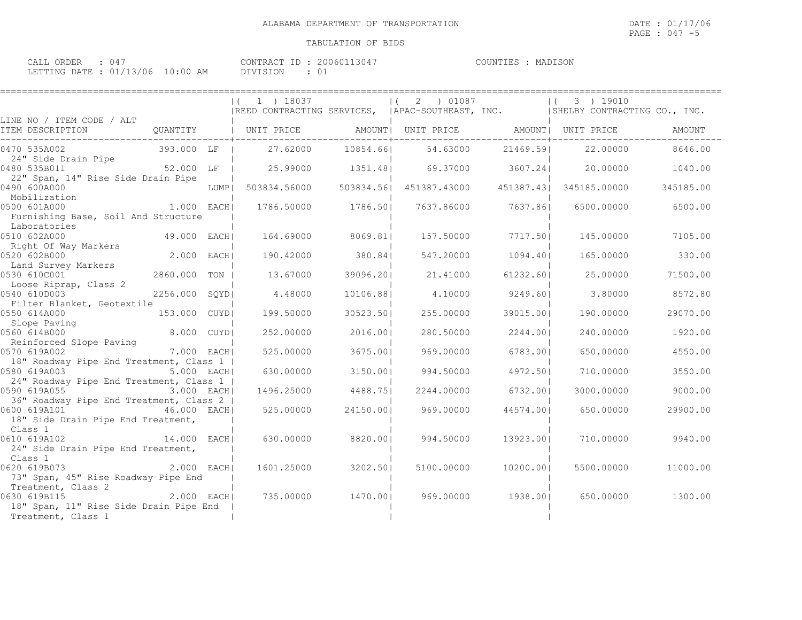| CALL ORDER : 047                 | CONTRACT ID: 20060113047 | COUNTIES : MADISON |  |
|----------------------------------|--------------------------|--------------------|--|
| LETTING DATE : 01/13/06 10:00 AM | DIVISION                 |                    |  |

|                                                                                                                           |               | 1 ) 18037<br> REED CONTRACTING SERVICES,  APAC-SOUTHEAST, INC.  SHELBY CONTRACTING CO., INC. |                   | $ (2)$ 01087 |           | 3 ) 19010<br>$\left  \right $ |           |
|---------------------------------------------------------------------------------------------------------------------------|---------------|----------------------------------------------------------------------------------------------|-------------------|--------------|-----------|-------------------------------|-----------|
| LINE NO / ITEM CODE / ALT                                                                                                 |               |                                                                                              |                   |              |           |                               |           |
| ITEM DESCRIPTION                                                                                                          |               | QUANTITY   UNIT PRICE               AMOUNT   UNIT PRICE                AMOUNT   UNIT PRICE   |                   |              |           |                               | AMOUNT    |
| 0470 535A002                                                                                                              | 393.000 LF    |                                                                                              | 27.62000 10854.66 | 54.63000     | 21469.591 | 22.00000                      | 8646.00   |
| 24" Side Drain Pipe<br>0480 535B011                                                                                       | 52.000 LF     | 25.99000 1351.48 69.37000 3607.24                                                            |                   |              |           | 20.00000                      | 1040.00   |
| 22" Span, 14" Rise Side Drain Pipe<br>0490 600A000                                                                        |               | LUMP  503834.56000 503834.56  451387.43000 451387.43  345185.00000                           |                   |              |           |                               | 345185.00 |
| Mobilization<br>0500 601A000<br>1.000 EACH                                                                                |               | 1786.50000                                                                                   | 1786.501          | 7637.86000   | 7637.861  | 6500.00000                    | 6500.00   |
| Furnishing Base, Soil And Structure<br>Laboratories                                                                       |               |                                                                                              |                   |              |           |                               |           |
| 0510 602A000<br>Right Of Way Markers                                                                                      | 49.000 EACH   | 164.69000                                                                                    | 8069.811          | 157.50000    | 7717.501  | 145.00000                     | 7105.00   |
| 0520 602B000<br>Land Survey Markers                                                                                       | 2.000 EACH    | 190.42000                                                                                    | 380.841           | 547.20000    | 1094.401  | 165.00000                     | 330.00    |
| 0530 610C001<br>Loose Riprap, Class 2                                                                                     | 2860.000 TON  | 13.67000                                                                                     | 39096.201         | 21,41000     | 61232.601 | 25.00000                      | 71500.00  |
| 0540 610D003                                                                                                              | 2256.000 SQYD | 4.48000                                                                                      | 10106.881         | 4.10000      | 9249.601  | 3.80000                       | 8572.80   |
| Filter Blanket, Geotextile<br>0550 614A000                                                                                | 153.000 CUYDI | 199.50000                                                                                    | 30523.501         | 255.00000    | 39015.001 | 190.00000                     | 29070.00  |
| Slope Paving<br>0560 614B000                                                                                              | 8.000 CUYDI   | 252,00000                                                                                    | 2016.001          | 280.50000    | 2244.001  | 240.00000                     | 1920.00   |
| Reinforced Slope Paving<br>0570 619A002                                                                                   | 7.000 EACH    | 525.00000                                                                                    | 3675.001          | 969,00000    | 6783.001  | 650.00000                     | 4550.00   |
| 18" Roadway Pipe End Treatment, Class 1  <br>0580 619A003                                                                 | 5.000 EACH    | 630.00000                                                                                    | 3150.001          | 994.50000    | 4972.501  | 710.00000                     | 3550.00   |
| 24" Roadway Pipe End Treatment, Class 1  <br>0590 619A055 3.000 EACH                                                      |               | 1496.25000                                                                                   | 4488.751          | 2244.00000   | 6732.001  | 3000.00000                    | 9000.00   |
| 36" Roadway Pipe End Treatment, Class 2                                                                                   | 46.000 EACHI  | 525.00000                                                                                    | 24150.001         | 969.00000    | 44574.001 | 650.00000                     | 29900.00  |
| 18" Side Drain Pipe End Treatment,<br>Class 1                                                                             |               |                                                                                              |                   |              |           |                               |           |
| 14.000 EACH<br>0610 619A102<br>24" Side Drain Pipe End Treatment,                                                         |               | 630.00000                                                                                    | 8820.001          | 994.50000    | 13923.001 | 710.00000                     | 9940.00   |
| Class 1<br>0620 619B073<br>73" Span, 45" Rise Roadway Pipe End                                                            | $2.000$ EACH  | 1601.25000                                                                                   | 3202.501          | 5100.00000   | 10200.001 | 5500.00000                    | 11000.00  |
| Treatment, Class 2<br>ass 2<br>2.000 EACH<br>0630 619B115<br>18" Span, 11" Rise Side Drain Pipe End<br>Treatment, Class 1 |               | 735.00000                                                                                    | 1470.00           | 969.00000    | 1938.001  | 650.00000                     | 1300.00   |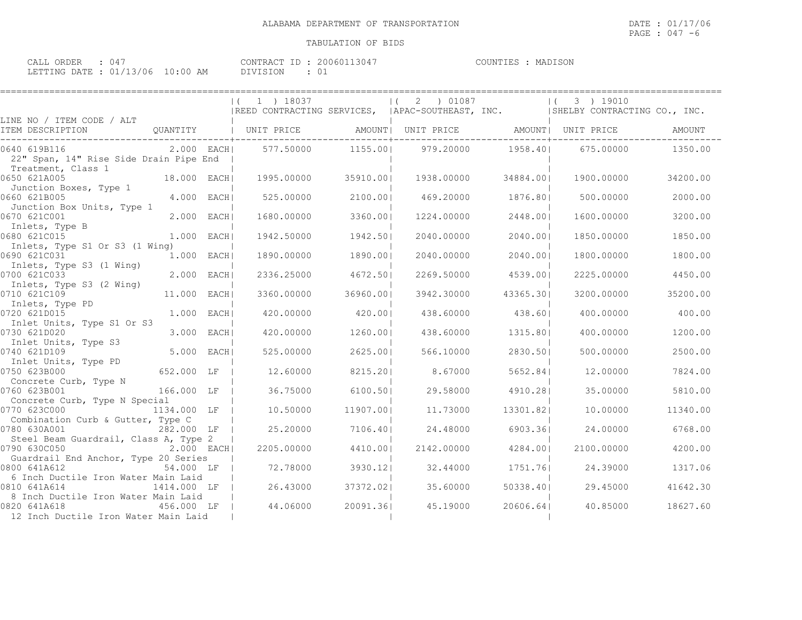| CALL ORDER : 047                 |  |          | CONTRACT ID: 20060113047 | COUNTIES : MADISON |  |
|----------------------------------|--|----------|--------------------------|--------------------|--|
| LETTING DATE : 01/13/06 10:00 AM |  | DIVISION |                          |                    |  |

|                                                                                |              | $(1)$ 18037<br>IREED CONTRACTING SERVICES, IAPAC-SOUTHEAST, INC. ISHELBY CONTRACTING CO., INC. |           | (2) 01087                             |           | $(3)$ 19010 |          |
|--------------------------------------------------------------------------------|--------------|------------------------------------------------------------------------------------------------|-----------|---------------------------------------|-----------|-------------|----------|
| LINE NO / ITEM CODE / ALT<br>ITEM DESCRIPTION                                  |              | QUANTITY   UNIT PRICE                                                                          |           | AMOUNT  UNIT PRICE AMOUNT  UNIT PRICE |           |             | AMOUNT   |
| 0640 619B116<br>22" Span, 14" Rise Side Drain Pipe End  <br>Treatment, Class 1 |              | 2.000 EACH  577.50000                                                                          | 1155.001  | 979.20000                             | 1958.401  | 675.00000   | 1350.00  |
| 0650 621A005<br>Junction Boxes, Type 1                                         | 18.000 EACH  | 1995.00000                                                                                     | 35910.001 | 1938.00000                            | 34884.001 | 1900.00000  | 34200.00 |
| 0660 621B005<br>Junction Box Units, Type 1                                     | 4.000 EACHI  | 525.00000                                                                                      | 2100.001  | 469.20000                             | 1876.801  | 500,00000   | 2000.00  |
| 0670 621C001<br>Inlets, Type B                                                 | 2.000 EACH   | 1680.00000                                                                                     | 3360.001  | 1224.00000                            | 2448.001  | 1600.00000  | 3200.00  |
| 0680 621C015<br>Inlets, Type S1 Or S3 (1 Wing)                                 | 1.000 EACH   | 1942.50000                                                                                     | 1942.501  | 2040.00000                            | 2040.001  | 1850.00000  | 1850.00  |
| 0690 621C031<br>Inlets, Type S3 (1 Wing)                                       | 1.000 EACH   | 1890,00000                                                                                     | 1890.001  | 2040.00000                            | 2040.001  | 1800,00000  | 1800.00  |
| 0700 621C033<br>Inlets, Type S3 (2 Wing)                                       | 2.000 EACH   | 2336.25000                                                                                     | 4672.501  | 2269.50000                            | 4539.001  | 2225,00000  | 4450.00  |
| 0710 621C109<br>Inlets, Type PD                                                | 11,000 EACHI | 3360,00000                                                                                     | 36960.001 | 3942,30000                            | 43365.301 | 3200,00000  | 35200.00 |
| 0720 621D015<br>Inlet Units, Type S1 Or S3                                     | $1.000$ EACH | 420.00000                                                                                      | 420.001   | 438.60000                             | 438.601   | 400,00000   | 400.00   |
| 0730 621D020<br>Inlet Units, Type S3                                           | 3.000 EACH   | 420,00000                                                                                      | 1260.001  | 438.60000                             | 1315.801  | 400,00000   | 1200.00  |
| 0740 621D109<br>Inlet Units, Type PD                                           | 5.000 EACH   | 525.00000                                                                                      | 2625.001  | 566.10000                             | 2830.501  | 500.00000   | 2500.00  |
| 0750 623B000<br>Concrete Curb, Type N                                          | 652.000 LF   | 12,60000                                                                                       | 8215.201  | 8.67000                               | 5652.84   | 12,00000    | 7824.00  |
| 0760 623B001<br>Concrete Curb, Type N Special                                  | 166.000 LF   | 36.75000                                                                                       | 6100.50   | 29.58000                              | 4910.281  | 35,00000    | 5810.00  |
| 0770 623C000<br>Combination Curb & Gutter, Type C                              | 1134.000 LF  | 10.50000                                                                                       | 11907.001 | 11,73000                              | 13301.821 | 10,00000    | 11340.00 |
| 0780 630A001<br>Steel Beam Guardrail, Class A, Type 2                          | 282.000 LF   | 25,20000                                                                                       | 7106.401  | 24.48000                              | 6903.361  | 24.00000    | 6768.00  |
| 0790 630C050<br>2.000 EACH<br>Guardrail End Anchor, Type 20 Series             |              | 2205,00000                                                                                     | 4410.001  | 2142.00000                            | 4284.001  | 2100.00000  | 4200.00  |
| 0800 641A612<br>6 Inch Ductile Iron Water Main Laid                            | 54.000 LF    | 72.78000                                                                                       | 3930.121  | 32.44000                              | 1751.761  | 24.39000    | 1317.06  |
| 0810 641A614<br>8 Inch Ductile Iron Water Main Laid                            | 1414.000 LF  | 26.43000                                                                                       | 37372.021 | 35.60000                              | 50338.401 | 29.45000    | 41642.30 |
| 0820 641A618<br>12 Inch Ductile Iron Water Main Laid                           | 456.000 LF   | 44.06000                                                                                       | 20091.36  | 45.19000                              | 20606.641 | 40.85000    | 18627.60 |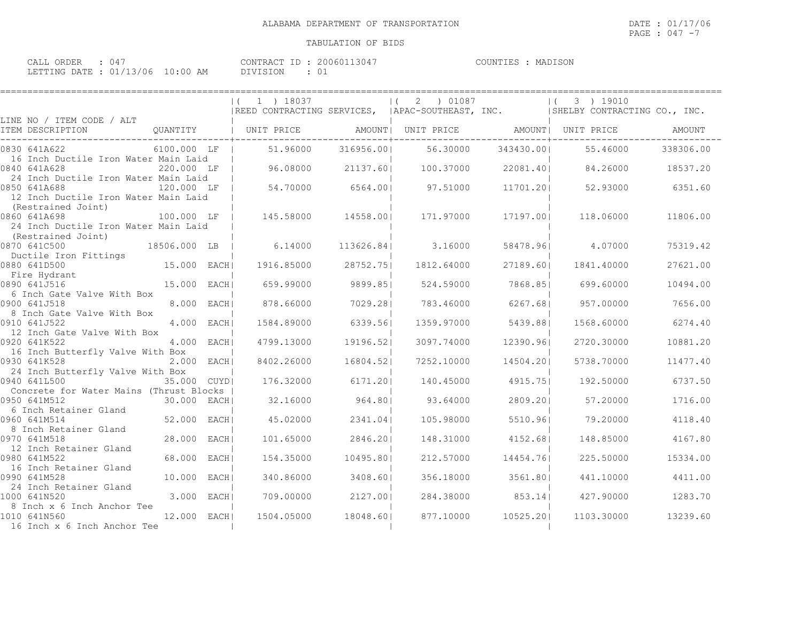====================================================================================================================================

## TABULATION OF BIDS

| CALL<br>ORDER             |            | CONTRACT ID | 20060113047 | MADISON<br>COUNTIES |
|---------------------------|------------|-------------|-------------|---------------------|
| LETTING DATE : $01/13/06$ | , 10:00 AM | DIVISION    | -01         |                     |

|                                                                                                                                                                    | $\begin{array}{lllllll}   & ( & 1 & ) & 18037 & &   & ( & 2 & ) & 01087 & &   & ( & 3 & ) & 19010 \\ \textcolor{red}{ \text{REED CONTRACTING SERVICES,} &   \text{APAC-SOUTHEAST, INC.} &   \text{SHELBY CONTRACTING CO., INC.} & \end{array}$ |                       |                                                   |                                |                             |                     |
|--------------------------------------------------------------------------------------------------------------------------------------------------------------------|------------------------------------------------------------------------------------------------------------------------------------------------------------------------------------------------------------------------------------------------|-----------------------|---------------------------------------------------|--------------------------------|-----------------------------|---------------------|
| LINE NO / ITEM CODE / ALT<br>ITEM DESCRIPTION                                                                                                                      |                                                                                                                                                                                                                                                |                       |                                                   |                                |                             | AMOUNT              |
| 0830 641A622         6100.000 LF      51.96000   316956.00     56.30000   343430.00     55.46000    338306.00<br>16 Inch Ductile Iron Water Main Laid 1            |                                                                                                                                                                                                                                                |                       |                                                   |                                |                             |                     |
| $220.000$ LF   96.08000 21137.60  100.37000 22081.40  84.26000 18537.20<br>0840 641A628                                                                            |                                                                                                                                                                                                                                                |                       |                                                   |                                |                             |                     |
| 24 Inch Ductile Iron Water Main Laid<br>120.000 LF   54.70000 6564.00  97.51000 11701.20  52.93000 6351.60<br>0850 641A688<br>12 Inch Ductile Iron Water Main Laid |                                                                                                                                                                                                                                                |                       |                                                   |                                |                             |                     |
| (Restrained Joint)<br>100.000 LF   145.58000 14558.00  171.97000<br>0860 641A698<br>24 Inch Ductile Iron Water Main Laid                                           |                                                                                                                                                                                                                                                |                       |                                                   | 17197.001                      | 118.06000                   | 11806.00            |
| (Restrained Joint)<br>$18506.000$ LB $\vert$ 6.14000 113626.84 $\vert$ 3.16000<br>0870 641C500                                                                     |                                                                                                                                                                                                                                                |                       |                                                   |                                | 58478.96 4.07000            | 75319.42            |
| Ductile Iron Fittings                                                                                                                                              |                                                                                                                                                                                                                                                |                       |                                                   |                                | 1841.40000                  | 27621.00            |
|                                                                                                                                                                    |                                                                                                                                                                                                                                                |                       | 659.99000 9899.85  524.59000 7868.85  699.60000   |                                |                             | 10494.00            |
| 6 Inch Gate Valve With Box<br>0900 641J518<br>8.000 EACH <br>8 Inch Gate Valve With Box                                                                            | 878.66000                                                                                                                                                                                                                                      |                       | 7029.28  783.46000 6267.68  957.00000             |                                |                             | 7656.00             |
| 0910 641J522<br>$4.000$ EACH<br>12 Inch Gate Valve With Box                                                                                                        | 1584.89000 6339.56                                                                                                                                                                                                                             |                       | 1359.97000 5439.88                                |                                | 1568.60000                  | 6274.40             |
| 0920 641K522<br>4.000 EACH <br>16 Inch Butterfly Valve With Box                                                                                                    | 4799.13000 19196.52                                                                                                                                                                                                                            |                       |                                                   | 3097.74000 12390.96            | 2720.30000                  | 10881.20            |
| 0930 641K528<br>$2.000$ EACH<br>24 Inch Butterfly Valve With Box                                                                                                   |                                                                                                                                                                                                                                                |                       | 8402.26000  16804.52   7252.10000                 | 14504.201                      | 5738.70000                  | 11477.40            |
| 0940 641L500<br>35.000 CUYDI<br>Concrete for Water Mains (Thrust Blocks                                                                                            |                                                                                                                                                                                                                                                |                       | $176.32000$ 6171.20  140.45000 4915.75  192.50000 |                                |                             | 6737.50             |
| 0950 641M512<br>30.000 EACH <br>6 Inch Retainer Gland                                                                                                              |                                                                                                                                                                                                                                                |                       | 32.16000 964.80 93.64000                          |                                | 2809.201 57.20000           | 1716.00             |
| 52.000 EACH <br>0960 641M514<br>8 Inch Retainer Gland                                                                                                              | 45.02000                                                                                                                                                                                                                                       | 2341.04               |                                                   |                                | 105.98000 5510.96 79.20000  | 4118.40             |
| 28.000 EACH <br>0970 641M518<br>12 Inch Retainer Gland<br>68.000 EACH <br>0980 641M522                                                                             | 101.65000<br>154.35000                                                                                                                                                                                                                         | 2846.201<br>10495.801 | 212.57000                                         | 148.31000 4152.68<br>14454.761 | 148.85000<br>225.50000      | 4167.80<br>15334.00 |
| 16 Inch Retainer Gland<br>10.000 EACHI<br>0990 641M528                                                                                                             | 340.86000 3408.60                                                                                                                                                                                                                              |                       |                                                   |                                | 356.18000 3561.80 441.10000 | 4411.00             |
| 24 Inch Retainer Gland<br>1000 641N520<br>3.000 EACH                                                                                                               | 709.00000 2127.001                                                                                                                                                                                                                             |                       |                                                   |                                | 284.38000 853.14  427.90000 | 1283.70             |
| 8 Inch x 6 Inch Anchor Tee<br>1010 641N560<br>12.000 EACH<br>16 Inch x 6 Inch Anchor Tee                                                                           |                                                                                                                                                                                                                                                | 1504.05000 18048.60   |                                                   | 877.10000 10525.201            | 1103.30000                  | 13239.60            |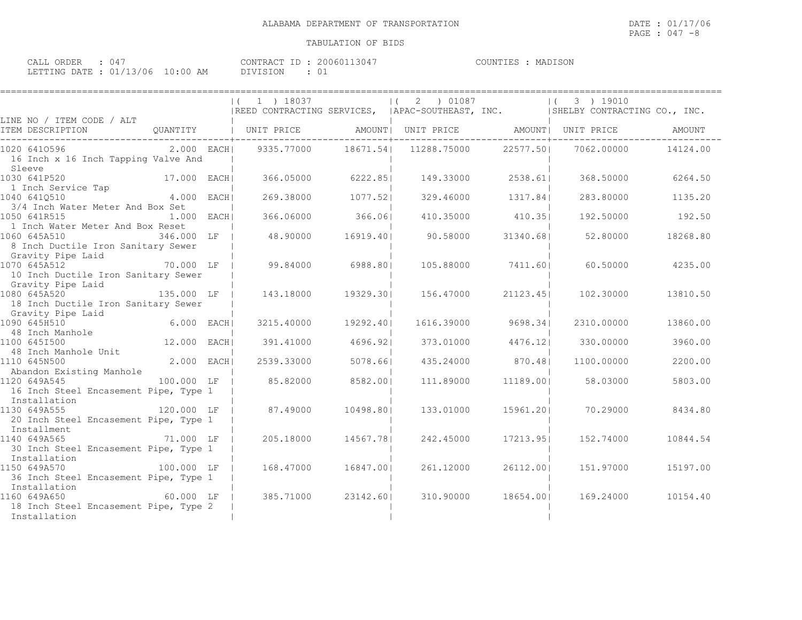| CALL ORDER : 047                 | CONTRACT ID: 20060113047 | COUNTIES : MADISON |  |
|----------------------------------|--------------------------|--------------------|--|
| LETTING DATE : 01/13/06 10:00 AM | DIVISION                 |                    |  |

|                                                                            |               | $(1)$ 1 $)$ 18037                                                            |           | (2) 01087                            |                    | $(3)$ 19010        |                     |
|----------------------------------------------------------------------------|---------------|------------------------------------------------------------------------------|-----------|--------------------------------------|--------------------|--------------------|---------------------|
|                                                                            |               | REED CONTRACTING SERVICES, APAC-SOUTHEAST, INC. ARELEY CONTRACTING CO., INC. |           |                                      |                    |                    |                     |
| LINE NO / ITEM CODE / ALT                                                  |               |                                                                              |           |                                      |                    |                    |                     |
|                                                                            |               |                                                                              |           |                                      |                    |                    |                     |
| 1020 6410596                                                               |               | 2.000 EACH  9335.77000 18671.54  11288.75000 22577.50                        |           |                                      |                    |                    | 7062.00000 14124.00 |
| 16 Inch x 16 Inch Tapping Valve And                                        |               |                                                                              |           |                                      |                    |                    |                     |
| Sleeve                                                                     |               |                                                                              |           |                                      |                    |                    |                     |
| 17.000 EACH<br>1030 641P520                                                |               |                                                                              |           | 366.05000 6222.85  149.33000 2538.61 |                    | 368.50000          | 6264.50             |
|                                                                            |               |                                                                              |           |                                      |                    |                    |                     |
| 1 Inch Service Tap (1994)<br>040 641Q510 (1994) 4.000 EACH<br>1040 6410510 |               | 269.38000 1077.52                                                            |           |                                      | 329.46000 1317.84  | 283.80000          | 1135.20             |
| 3/4 Inch Water Meter And Box Set                                           |               |                                                                              |           |                                      |                    |                    |                     |
| 1050 641R515                                                               | $1.000$ EACHI | 366.06000                                                                    | 366.06    |                                      | 410.35000 410.35   |                    | 192.50000 192.50    |
| 1 Inch Water Meter And Box Reset                                           |               |                                                                              |           |                                      |                    |                    |                     |
| 1060 645A510                                                               | 346.000 LF    | 48.90000 16919.40                                                            |           | 90.58000 31340.681                   |                    | 52.80000           | 18268.80            |
| 8 Inch Ductile Iron Sanitary Sewer<br>8 Inch Duccase<br>Gravity Pipe Laid  |               |                                                                              |           |                                      |                    |                    |                     |
|                                                                            |               |                                                                              |           |                                      |                    |                    |                     |
| 70.000 LF<br>1070 645A512                                                  |               | 99.84000                                                                     | 6988.80   |                                      | 105.88000 7411.60  |                    | 60.50000 4235.00    |
| 10 Inch Ductile Iron Sanitary Sewer                                        |               |                                                                              |           |                                      |                    |                    |                     |
| Gravity Pipe Laid                                                          |               |                                                                              |           |                                      |                    |                    |                     |
| 1080 645A520                                                               |               | 135.000 LF   143.18000 19329.30  156.47000                                   |           |                                      | 21123.451          | 102.30000          | 13810.50            |
| 18 Inch Ductile Iron Sanitary Sewer                                        |               |                                                                              |           |                                      |                    |                    |                     |
| Gravity Pipe Laid<br> <br> 1090 645H510 6.000 EACH<br> 100 645T500 646T500 |               |                                                                              |           |                                      |                    |                    |                     |
|                                                                            |               | 3215.40000                                                                   | 19292.401 |                                      | 1616.39000 9698.34 | 2310.00000         | 13860.00            |
|                                                                            |               |                                                                              |           |                                      |                    |                    |                     |
| 1100 645I500                                                               | 12.000 EACH   | 391.41000                                                                    | 4696.92   |                                      | 373.01000 4476.12  | 330.00000          | 3960.00             |
| 100 01010000<br>48 Inch Manhole Unit                                       |               |                                                                              |           |                                      |                    |                    |                     |
| 1110 645N500                                                               | $2.000$ EACH  | 2539.33000                                                                   | 5078.661  |                                      | 435.24000 870.48   | 1100.00000         | 2200.00             |
| Abandon Existing Manhole                                                   |               |                                                                              |           |                                      |                    |                    |                     |
| 100.000 LF<br>1120 649A545                                                 |               | 85.82000                                                                     | 8582.001  | 111.89000                            | 11189.001          | 58.03000           | 5803.00             |
| 16 Inch Steel Encasement Pipe, Type 1                                      |               |                                                                              |           |                                      |                    |                    |                     |
| Installation                                                               | 120.000 LF    |                                                                              | 10498.801 | 133.01000                            |                    |                    | 8434.80             |
| 1130 649A555                                                               |               | 87.49000                                                                     |           |                                      |                    | 15961.201 70.29000 |                     |
| 20 Inch Steel Encasement Pipe, Type 1<br>20 Inch Stee<br>Installment       |               |                                                                              |           |                                      |                    |                    |                     |
| 1140 649A565<br>71.000 LF                                                  |               | 205.18000                                                                    | 14567.781 | 242.45000                            | 17213.951          | 152.74000          | 10844.54            |
| 30 Inch Steel Encasement Pipe, Type 1                                      |               |                                                                              |           |                                      |                    |                    |                     |
| Installation                                                               |               |                                                                              |           |                                      |                    |                    |                     |
| 1150 649A570                                                               | 100.000 LF    | 168.47000 16847.001                                                          |           | 261.12000                            | 26112.001          | 151.97000          | 15197.00            |
| 36 Inch Steel Encasement Pipe, Type 1                                      |               |                                                                              |           |                                      |                    |                    |                     |
| Installation                                                               |               |                                                                              |           |                                      |                    |                    |                     |
| $60.000$ LF<br>1160 649A650                                                |               | 385.71000                                                                    | 23142.601 | 310.90000                            | 18654.001          | 169.24000          | 10154.40            |
| 18 Inch Steel Encasement Pipe, Type 2                                      |               |                                                                              |           |                                      |                    |                    |                     |
| Installation                                                               |               |                                                                              |           |                                      |                    |                    |                     |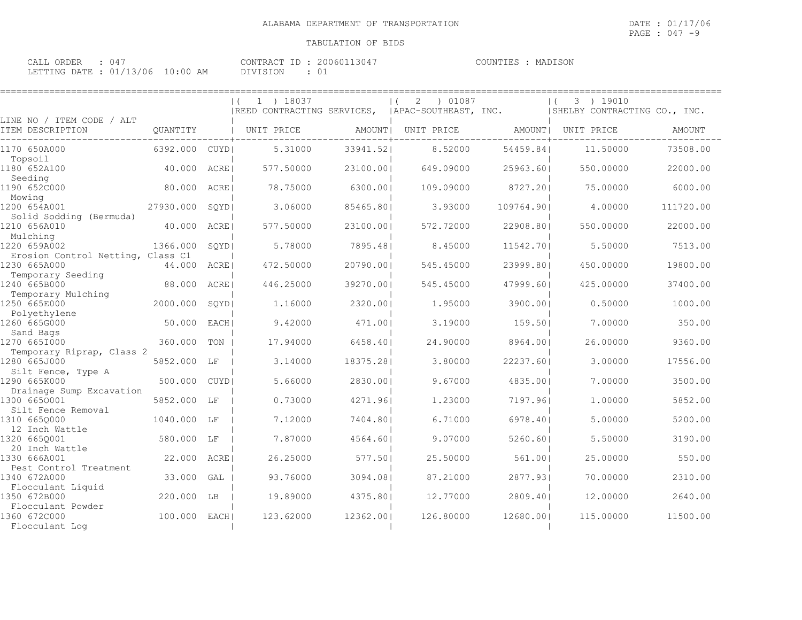| CALL ORDER : 047                 | CONTRACT ID: 20060113047 | COUNTIES : MADISON |  |
|----------------------------------|--------------------------|--------------------|--|
| LETTING DATE : 01/13/06 10:00 AM | DIVISION                 |                    |  |

|                                                      |             |             | 1 ) 18037<br>$\left  \right $<br>  REED CONTRACTING SERVICES, |           | ) 01087<br>2<br>  APAC-SOUTHEAST, INC. |            | 3 ) 19010<br>ISHELBY CONTRACTING CO., INC. |               |
|------------------------------------------------------|-------------|-------------|---------------------------------------------------------------|-----------|----------------------------------------|------------|--------------------------------------------|---------------|
| LINE NO / ITEM CODE / ALT<br>ITEM DESCRIPTION        | OUANTITY    |             | UNIT PRICE                                                    | AMOUNT    | UNIT PRICE                             | AMOUNT     | UNIT PRICE                                 | <b>AMOUNT</b> |
| 1170 650A000<br>Topsoil                              | 6392.000    | CUYD        | 5.31000                                                       | 33941.52  | 8.52000                                | 54459.84   | 11,50000                                   | 73508.00      |
| 1180 652A100<br>Seeding                              | 40.000      | ACRE        | 577.50000                                                     | 23100.001 | 649.09000                              | 25963.601  | 550.00000                                  | 22000.00      |
| 1190 652C000<br>Mowing                               | 80.000      | ACRE        | 78.75000                                                      | 6300.001  | 109.09000                              | 8727.201   | 75.00000                                   | 6000.00       |
| 1200 654A001<br>Solid Sodding (Bermuda)              | 27930.000   | SQYD        | 3.06000                                                       | 85465.801 | 3.93000                                | 109764.901 | 4.00000                                    | 111720.00     |
| 1210 656A010<br>Mulching                             | 40.000      | ACRE        | 577.50000                                                     | 23100.001 | 572.72000                              | 22908.801  | 550.00000                                  | 22000.00      |
| 1220 659A002<br>Erosion Control Netting, Class C1    | 1366.000    | SOYD        | 5.78000                                                       | 7895.481  | 8.45000                                | 11542.701  | 5.50000                                    | 7513.00       |
| 1230 665A000<br>Temporary Seeding                    | 44.000 ACRE |             | 472.50000                                                     | 20790.001 | 545.45000                              | 23999.801  | 450.00000                                  | 19800.00      |
| 1240 665B000<br>Temporary Mulching                   | 88.000      | ACRE        | 446.25000                                                     | 39270.001 | 545.45000                              | 47999.601  | 425.00000                                  | 37400.00      |
| 1250 665E000<br>Polyethylene                         | 2000.000    | SQYD        | 1,16000                                                       | 2320.001  | 1.95000                                | 3900.001   | 0.50000                                    | 1000.00       |
| 1260 665G000<br>Sand Bags                            | 50.000      | EACH I      | 9.42000                                                       | 471.001   | 3.19000                                | 159.501    | 7.00000                                    | 350.00        |
| 1270 665I000<br>Temporary Riprap, Class 2            | 360,000     | TON         | 17.94000                                                      | 6458.40   | 24.90000                               | 8964.001   | 26.00000                                   | 9360.00       |
| 1280 665J000<br>Silt Fence, Type A                   | 5852.000    | LF          | 3.14000                                                       | 18375.281 | 3.80000                                | 22237.601  | 3.00000                                    | 17556.00      |
| 1290 665K000<br>Drainage Sump Excavation             | 500,000     | <b>CUYD</b> | 5.66000                                                       | 2830.001  | 9.67000                                | 4835.001   | 7.00000                                    | 3500.00       |
| 1300 6650001                                         | 5852.000    | LF          | 0.73000                                                       | 4271.961  | 1.23000                                | 7197.961   | 1,00000                                    | 5852.00       |
| Silt Fence Removal<br>1310 6650000<br>12 Inch Wattle | 1040.000    | LF          | 7.12000                                                       | 7404.801  | 6.71000                                | 6978.401   | 5.00000                                    | 5200.00       |
| 1320 665Q001                                         | 580.000 LF  |             | 7.87000                                                       | 4564.601  | 9.07000                                | 5260.601   | 5.50000                                    | 3190.00       |
| 20 Inch Wattle<br>1330 666A001                       | 22,000      | ACRE        | 26.25000                                                      | 577.501   | 25.50000                               | 561.001    | 25.00000                                   | 550.00        |
| Pest Control Treatment<br>1340 672A000               | 33.000      | GAL         | 93.76000                                                      | 3094.081  | 87.21000                               | 2877.931   | 70,00000                                   | 2310.00       |
| Flocculant Liquid<br>1350 672B000                    | 220.000     | LB          | 19.89000                                                      | 4375.801  | 12.77000                               | 2809.401   | 12,00000                                   | 2640.00       |
| Flocculant Powder<br>1360 672C000<br>Flocculant Log  | 100.000     | EACH        | 123.62000                                                     | 12362.001 | 126.80000                              | 12680.001  | 115.00000                                  | 11500.00      |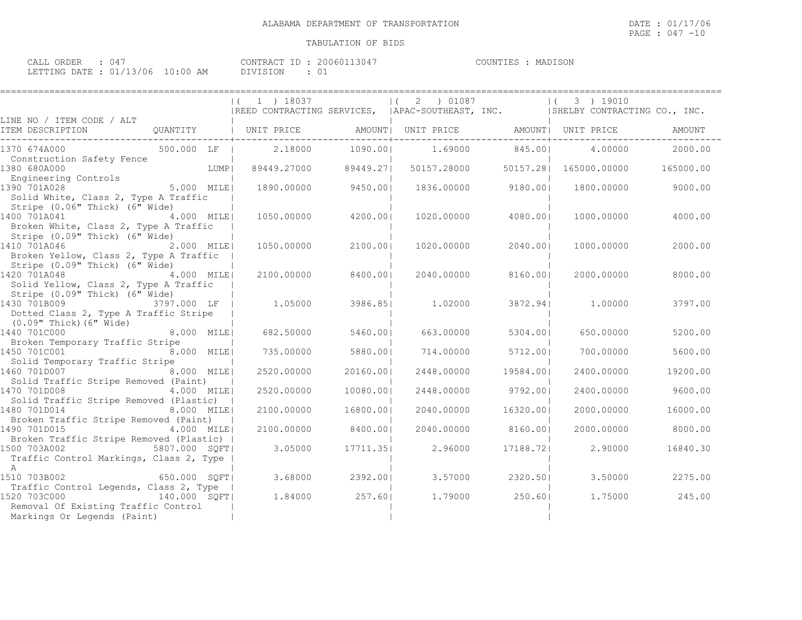| CALL ORDER                      |  |          | CONTRACT ID: 20060113047 | COUNTIES : MADISON |  |
|---------------------------------|--|----------|--------------------------|--------------------|--|
| LETTING DATE: 01/13/06 10:00 AM |  | DIVISION | 01                       |                    |  |

| =======================                                                                                                                         |                                                                                                |           |                |           |                        |           |
|-------------------------------------------------------------------------------------------------------------------------------------------------|------------------------------------------------------------------------------------------------|-----------|----------------|-----------|------------------------|-----------|
|                                                                                                                                                 | (1 1) 18037<br> REED CONTRACTING SERVICES,  APAC-SOUTHEAST, INC.  SHELBY CONTRACTING CO., INC. |           | (2) 01087      |           | 3 ) 19010<br>$\vert$ ( |           |
| LINE NO / ITEM CODE / ALT                                                                                                                       |                                                                                                |           |                |           |                        |           |
| QUANTITY   UNIT PRICE   AMOUNT  UNIT PRICE   AMOUNT  UNIT PRICE<br>ITEM DESCRIPTION                                                             |                                                                                                |           |                |           |                        | AMOUNT    |
| 1370 674A000 500.000 LF I                                                                                                                       | 2.18000                                                                                        | 1090.001  | 1.69000 845.00 |           | 4.00000                | 2000.00   |
| Construction Safety Fence<br>LUMP  <br>1380 680A000<br>380 680A000<br>Engineering Controls                                                      | 89449.27000                                                                                    | 89449.27  | 50157.28000    |           |                        | 165000.00 |
| 5.000 MILE<br>1390 701A028<br>Solid White, Class 2, Type A Traffic                                                                              | 1890.00000 9450.00                                                                             |           | 1836.00000     | 9180.001  | 1800.00000             | 9000.00   |
| Stripe (0.06" Thick) (6" Wide)<br>1400 701A041 4.000 MILE<br>Broken White, Class 2, Type A Traffic                                              | 1050.00000                                                                                     | 4200.001  | 1020,00000     | 4080.001  | 1000.00000             | 4000.00   |
| Stripe (0.09" Thick) (6" Wide)<br>1410 701A046<br>2.000 MILE <br>Broken Yellow, Class 2, Type A Traffic                                         | 1050.00000                                                                                     | 2100.001  | 1020.00000     | 2040.001  | 1000.00000             | 2000.00   |
| Stripe (0.09" Thick) (6" Wide)<br>1420 701A048 4.000 MILE<br>Solid Yellow, Class 2, Type A Traffic                                              | 2100.00000                                                                                     | 8400.001  | 2040.00000     | 8160.001  | 2000.00000             | 8000.00   |
| Stripe (0.09" Thick) (6" Wide)<br>3797.000 LF  <br>1430 701B009<br>Dotted Class 2, Type A Traffic Stripe                                        | 1.05000                                                                                        | 3986.85   | 1.02000        |           | 3872.941 1.00000       | 3797.00   |
| (0.09" Thick) (6" Wide)<br>1440 701C000<br>8.000 MILE<br>Broken Temporary Traffic Stripe                                                        | 682.50000                                                                                      | 5460.001  | 663,00000      | 5304.001  | 650,00000              | 5200.00   |
| 1450 701C001 8.000 MILE<br>Solid Temporary Traffic Stripe                                                                                       | 735.00000                                                                                      | 5880.001  | 714.00000      | 5712.00   | 700.00000              | 5600.00   |
| 1460 701D007<br>8.000 MILE!<br>Solid Traffic Stripe Removed (Paint)                                                                             | 2520.00000                                                                                     | 20160.001 | 2448.00000     | 19584.001 | 2400.00000             | 19200.00  |
| 1470 701D008<br>4.000 MILE<br>Solid Traffic Stripe Removed (Plastic)                                                                            | 2520.00000                                                                                     | 10080.001 | 2448.00000     | 9792.00   | 2400.00000             | 9600.00   |
| 1480 701D014 8.000 MILE                                                                                                                         | 2100.00000                                                                                     | 16800.001 | 2040.00000     | 16320.001 | 2000.00000             | 16000.00  |
| Broken Traffic Stripe Removed (Paint)<br>4.000 MILE<br>1490 701D015                                                                             | 2100.00000                                                                                     | 8400.001  | 2040.00000     | 8160.001  | 2000.00000             | 8000.00   |
| Broken Traffic Stripe Removed (Plastic)  <br>1500 703A002<br>5807.000 SOFT <br>Traffic Control Markings, Class 2, Type                          | 3.05000                                                                                        | 17711.351 | 2.96000        | 17188.721 | 2.90000                | 16840.30  |
| <b>A</b><br>1510 703B002<br>650.000 SOFT                                                                                                        | 3.68000                                                                                        | 2392.001  | 3.57000        | 2320.501  | 3.50000                | 2275.00   |
| Traffic Control Legends, Class 2, Type  <br>1520 703C000<br>140.000 SQFT <br>Removal Of Existing Traffic Control<br>Markings Or Legends (Paint) | 1.84000                                                                                        | 257.60    | 1,79000        | 250.60    | 1.75000                | 245.00    |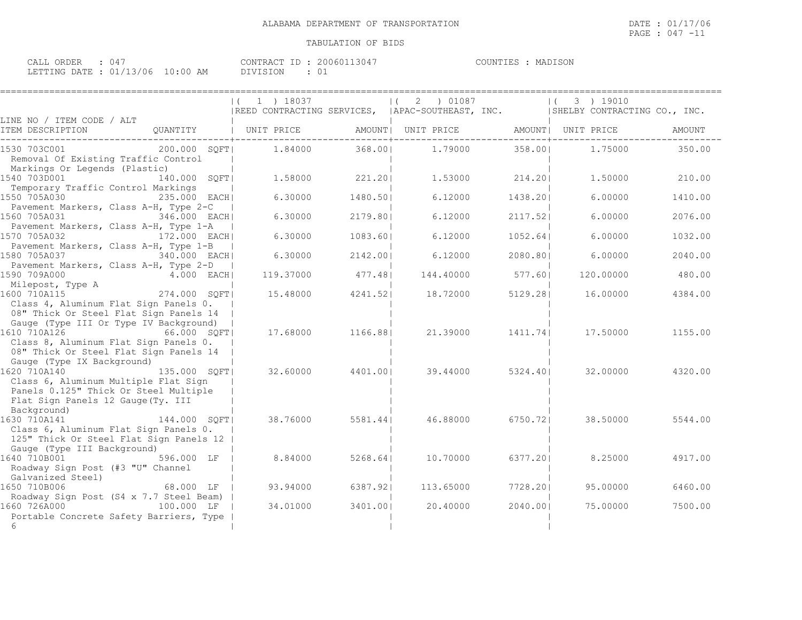====================================================================================================================================

| CALL ORDER                      |  |          | CONTRACT ID: 20060113047 | COUNTIES : MADISON |  |
|---------------------------------|--|----------|--------------------------|--------------------|--|
| LETTING DATE: 01/13/06 10:00 AM |  | DIVISION | 01                       |                    |  |

|                                                                                 | $ (1) 18037$ $ (2) 01087$<br> REED CONTRACTING SERVICES,  APAC-SOUTHEAST, INC.  SHELBY CONTRACTING CO., INC. |                  |                                 |                  | $(3)$ 19010 |         |
|---------------------------------------------------------------------------------|--------------------------------------------------------------------------------------------------------------|------------------|---------------------------------|------------------|-------------|---------|
| LINE NO / ITEM CODE / ALT                                                       |                                                                                                              |                  |                                 |                  |             |         |
|                                                                                 |                                                                                                              |                  |                                 |                  |             | AMOUNT  |
| $200.000$ $SQFT$ $1.84000$ $368.00$ $1.79000$ $358.00$<br>1530 703C001          |                                                                                                              |                  |                                 |                  | 1.75000     | 350.00  |
| Removal Of Existing Traffic Control<br>Markings Or Legends (Plastic)            |                                                                                                              |                  |                                 |                  |             |         |
| 140.000 SQFT <br>1540 703D001<br>Temporary Traffic Control Markings             |                                                                                                              |                  | $1.58000$ 221.20 1.53000 214.20 |                  | 1,50000     | 210.00  |
| 1550 705A030<br>235.000 EACH                                                    | 6.30000                                                                                                      | 1480.501         | 6.12000                         | 1438.201         | 6.00000     | 1410.00 |
| Pavement Markers, Class A-H, Type 2-C<br>1560 705A031<br>346.000 EACH           | 6.30000                                                                                                      | 2179.801         | 6.12000                         | 2117.52          | 6.00000     | 2076.00 |
| Pavement Markers, Class A-H, Type 1-A<br>1570 705A032<br>172.000 EACH           | 6.30000                                                                                                      | 1083.60          | 6.12000                         | 1052.64          | 6,00000     | 1032.00 |
| Pavement Markers, Class A-H, Type 1-B<br>1580 705A037 340.000 EACH              | 6.30000                                                                                                      | 2142.00          | 6.12000                         | 2080.801         | 6,00000     | 2040.00 |
| Pavement Markers, Class A-H, Type 2-D                                           |                                                                                                              |                  |                                 |                  |             |         |
| 1590 709A000<br>4.000 EACH                                                      |                                                                                                              | 119.37000 477.48 | 144.40000                       | 577.601          | 120.00000   | 480.00  |
| Milepost, Type A (1994)<br>600 710A115 (274.000 SQFT)<br>1600 710A115           |                                                                                                              | 15.48000 4241.52 | 18.72000                        | 5129.281         | 16.00000    | 4384.00 |
| Class 4, Aluminum Flat Sign Panels 0.<br>08" Thick Or Steel Flat Sign Panels 14 |                                                                                                              |                  |                                 |                  |             |         |
| Gauge (Type III Or Type IV Background)                                          |                                                                                                              |                  |                                 |                  |             |         |
| 1610 710A126<br>66.000 SOFT<br>Class 8, Aluminum Flat Sign Panels 0.            |                                                                                                              | 17.68000 1166.88 |                                 | 21.39000 1411.74 | 17.50000    | 1155.00 |
| 08" Thick Or Steel Flat Sign Panels 14                                          |                                                                                                              |                  |                                 |                  |             |         |
| Gauge (Type IX Background)                                                      |                                                                                                              |                  |                                 |                  |             |         |
| 1620 710A140 135.000 SQFT                                                       |                                                                                                              | 32.60000 4401.00 |                                 | 39.44000 5324.40 | 32.00000    | 4320.00 |
| Class 6, Aluminum Multiple Flat Sign<br>Panels 0.125" Thick Or Steel Multiple   |                                                                                                              |                  |                                 |                  |             |         |
| Flat Sign Panels 12 Gauge (Ty. III                                              |                                                                                                              |                  |                                 |                  |             |         |
| Background)                                                                     |                                                                                                              |                  |                                 |                  |             |         |
| 1630 710A141<br>144.000 SOFT                                                    |                                                                                                              | 38.76000 5581.44 | 46.88000                        | 6750.721         | 38.50000    | 5544.00 |
| Class 6, Aluminum Flat Sign Panels 0.                                           |                                                                                                              |                  |                                 |                  |             |         |
| 125" Thick Or Steel Flat Sign Panels 12                                         |                                                                                                              |                  |                                 |                  |             |         |
| Gauge (Type III Background)<br>1640 710B001 596.000 LF                          | 8.84000                                                                                                      | 5268.641         | 10.70000                        |                  | 8.25000     | 4917.00 |
| Roadway Sign Post (#3 "U" Channel                                               |                                                                                                              |                  |                                 | 6377.201         |             |         |
| Galvanized Steel)                                                               |                                                                                                              |                  |                                 |                  |             |         |
| 68.000 LF  <br>1650 710B006                                                     | 93.94000                                                                                                     | 6387.921         | 113.65000                       | 7728.201         | 95.00000    | 6460.00 |
| Roadway Sign Post (S4 x 7.7 Steel Beam)                                         |                                                                                                              |                  |                                 |                  |             |         |
| 1660 726A000<br>100.000 LF                                                      | 34.01000                                                                                                     | 3401.001         | 20,40000                        | 2040.001         | 75.00000    | 7500.00 |
| Portable Concrete Safety Barriers, Type                                         |                                                                                                              |                  |                                 |                  |             |         |
| 6                                                                               |                                                                                                              |                  |                                 |                  |             |         |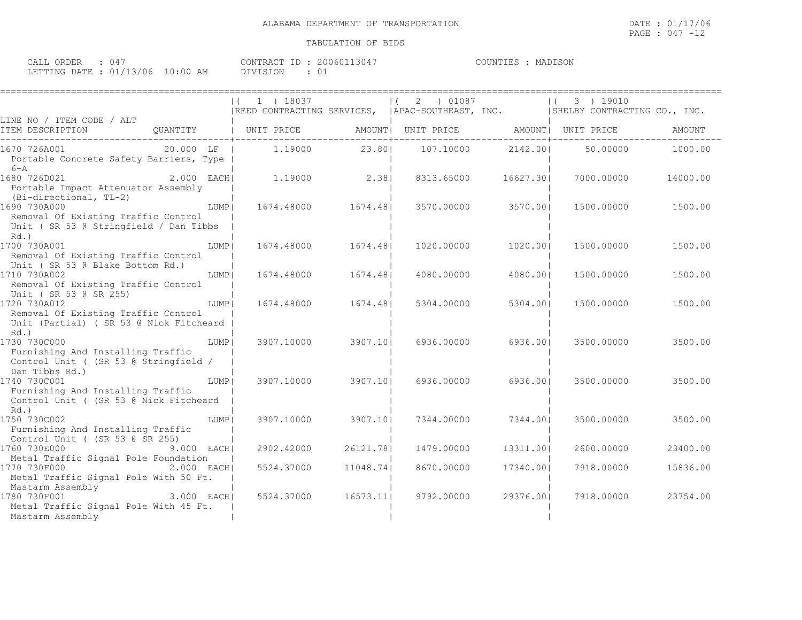| CALL ORDER : 047                 | CONTRACT ID: 20060113047 | COUNTIES : MADISON |  |
|----------------------------------|--------------------------|--------------------|--|
| LETTING DATE : 01/13/06 10:00 AM | DIVISION                 |                    |  |

|                                                                                                                                                            | 1 ) 18037<br> REED CONTRACTING SERVICES,  APAC-SOUTHEAST, INC.  SHELBY CONTRACTING CO., INC. |                                   | 2 ) 01087<br>$\Box$                   |           | 3 ) 19010<br>$\left  \right $ |          |
|------------------------------------------------------------------------------------------------------------------------------------------------------------|----------------------------------------------------------------------------------------------|-----------------------------------|---------------------------------------|-----------|-------------------------------|----------|
| LINE NO / ITEM CODE / ALT<br>ITEM DESCRIPTION<br>QUANTITY   UNIT PRICE                                                                                     |                                                                                              | . _ _ _ _ _ _ _ _ _ _ _ _ _ _ _ _ | AMOUNT  UNIT PRICE AMOUNT  UNIT PRICE |           |                               | AMOUNT   |
| $20.000$ LF  <br>1670 726A001<br>Portable Concrete Safety Barriers, Type  <br>$6 - A$                                                                      |                                                                                              | 1.19000 23.80                     | 107.10000                             | 2142.001  | 50,00000                      | 1000.00  |
| 2.000 EACH<br>1680 726D021<br>Portable Impact Attenuator Assembly<br>(Bi-directional, TL-2)                                                                | $1.19000$ 2.38                                                                               |                                   | 8313.65000                            | 16627.301 | 7000.00000                    | 14000.00 |
| 1690 730A000<br>LUMP  <br>Removal Of Existing Traffic Control<br>Unit ( SR 53 @ Stringfield / Dan Tibbs<br>Rd.)                                            | 1674.48000                                                                                   | 1674.481                          | 3570.00000                            | 3570.00   | 1500.00000                    | 1500.00  |
| 1700 730A001<br>LUMP  <br>Removal Of Existing Traffic Control<br>Unit (SR 53 @ Blake Bottom Rd.)                                                           | 1674.48000                                                                                   | 1674.481                          | 1020.00000                            | 1020.001  | 1500.00000                    | 1500.00  |
| 1710 730A002<br>LUMP  <br>Removal Of Existing Traffic Control<br>Unit (SR 53 @ SR 255)                                                                     | 1674.48000                                                                                   | 1674.481                          | 4080.00000                            | 4080.001  | 1500.00000                    | 1500.00  |
| 1720 730A012<br>LUMP  <br>Removal Of Existing Traffic Control<br>Unit (Partial) ( SR 53 @ Nick Fitcheard<br>Rd.)                                           | 1674.48000                                                                                   | 1674.481                          | 5304.00000                            | 5304.001  | 1500.00000                    | 1500.00  |
| 1730 730C000<br>LUMP  <br>Furnishing And Installing Traffic<br>Control Unit ( (SR 53 @ Stringfield /<br>Dan Tibbs Rd.)                                     | 3907.10000                                                                                   | 3907.101                          | 6936.00000                            | 6936.001  | 3500.00000                    | 3500.00  |
| 1740 730C001<br>LUMP  <br>Furnishing And Installing Traffic<br>Control Unit ( (SR 53 @ Nick Fitcheard<br>$Rd.$ )                                           | 3907.10000                                                                                   | 3907.101                          | 6936.00000                            | 6936.001  | 3500.00000                    | 3500.00  |
| 1750 730C002<br>LUMP  <br>Furnishing And Installing Traffic<br>Control Unit ( (SR 53 @ SR 255)                                                             | 3907.10000                                                                                   | 3907.101                          | 7344.00000                            | 7344.001  | 3500.00000                    | 3500.00  |
| 1760 730E000<br>$9.000$ EACH                                                                                                                               | 2902.42000                                                                                   | 26121.781                         | 1479.00000                            | 13311.001 | 2600.00000                    | 23400.00 |
| Metal Traffic Signal Pole Foundation<br>1770 730F000<br>2.000 EACH <br>Metal Traffic Signal Pole With 50 Ft.<br>Mastarm Assembly<br>TAN 730F001 3.000 EACH | 5524.37000                                                                                   | 11048.741                         | 8670.00000                            | 17340.001 | 7918.00000                    | 15836.00 |
| 1780 730F001<br>Metal Traffic Signal Pole With 45 Ft.<br>Mastarm Assembly                                                                                  | 5524.37000                                                                                   | 16573.11                          | 9792.00000                            | 29376.001 | 7918.00000                    | 23754.00 |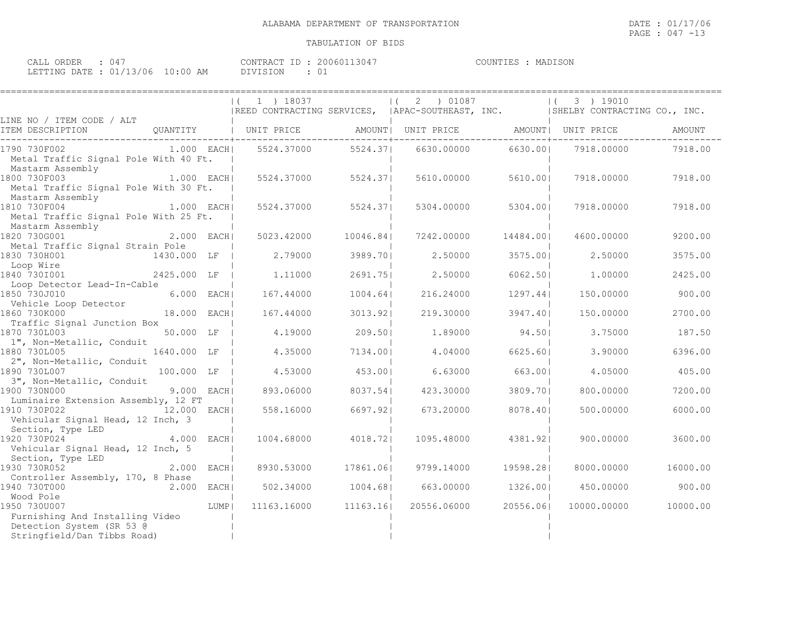| CALL ORDER : 047                 |  |          | CONTRACT ID: 20060113047 | COUNTIES : MADISON |  |
|----------------------------------|--|----------|--------------------------|--------------------|--|
| LETTING DATE : 01/13/06 10:00 AM |  | DIVISION |                          |                    |  |

|                                                                                                               |               |        | 1 ) 18037<br> REED CONTRACTING SERVICES,  APAC-SOUTHEAST, INC.  SHELBY CONTRACTING CO., INC. |           | 2 ) 01087                                            |           | 3 ) 19010   |          |
|---------------------------------------------------------------------------------------------------------------|---------------|--------|----------------------------------------------------------------------------------------------|-----------|------------------------------------------------------|-----------|-------------|----------|
| LINE NO / ITEM CODE / ALT<br>ITEM DESCRIPTION                                                                 | OUANTITY      |        | UNIT PRICE                                                                                   |           | AMOUNT  UNIT PRICE               AMOUNT   UNIT PRICE |           |             | AMOUNT   |
| 1790 730F002<br>Metal Traffic Signal Pole With 40 Ft.<br>Mastarm Assembly                                     | $1.000$ EACH  |        | 5524.37000                                                                                   | 5524.371  | 6630.00000                                           | 6630.001  | 7918.00000  | 7918.00  |
| 1800 730F003<br>1.000 EACH<br>Metal Traffic Signal Pole With 30 Ft.<br>Mastarm Assembly                       |               |        | 5524.37000                                                                                   | 5524.371  | 5610.00000                                           | 5610.001  | 7918.00000  | 7918.00  |
| 1810 730F004<br>Metal Traffic Signal Pole With 25 Ft.<br>Mastarm Assembly                                     | 1.000 EACHI   |        | 5524.37000                                                                                   | 5524.371  | 5304.00000                                           | 5304.00   | 7918.00000  | 7918.00  |
| 1820 730G001<br>Metal Traffic Signal Strain Pole                                                              | $2.000$ EACH  |        | 5023.42000                                                                                   | 10046.84  | 7242.00000                                           | 14484.001 | 4600.00000  | 9200.00  |
| 1830 730H001<br>Loop Wire                                                                                     | 1430.000 LF   |        | 2.79000                                                                                      | 3989.701  | 2,50000                                              | 3575.00   | 2.50000     | 3575.00  |
| $2425.000$ LF<br>1840 7301001<br>Loop Detector Lead-In-Cable                                                  |               |        | 1,11000                                                                                      | 2691.751  | 2,50000                                              | 6062.501  | 1,00000     | 2425.00  |
| 1850 730J010                                                                                                  | $6.000$ EACH  |        | 167.44000                                                                                    | 1004.64   | 216.24000                                            | 1297.441  | 150.00000   | 900.00   |
| Vehicle Loop Detector<br>1860 730K000                                                                         | 18.000 EACH   |        | 167.44000                                                                                    | 3013.921  | 219,30000                                            | 3947.401  | 150.00000   | 2700.00  |
| Traffic Signal Junction Box<br>1870 730L003                                                                   | 50.000 LF     |        | 4.19000                                                                                      | 209.501   | 1,89000                                              | 94.50     | 3.75000     | 187.50   |
| 1", Non-Metallic, Conduit<br>1880 730L005<br>2", Non-Metallic, Conduit                                        | 1640.000 LF   |        | 4.35000                                                                                      | 7134.001  | 4,04000                                              | 6625.601  | 3.90000     | 6396.00  |
| 1890 730L007                                                                                                  | 100.000 LF    |        | 4.53000                                                                                      | 453.001   | 6.63000                                              | 663.001   | 4.05000     | 405.00   |
| 3", Non-Metallic, Conduit<br>1900 730N000                                                                     | 9.000 EACH    |        | 893.06000                                                                                    | 8037.541  | 423.30000                                            | 3809.701  | 800,00000   | 7200.00  |
| Luminaire Extension Assembly, 12 FT<br>1910 730P022<br>Vehicular Signal Head, 12 Inch, 3<br>Section, Type LED | 12.000 EACH   |        | 558.16000                                                                                    | 6697.921  | 673.20000                                            | 8078.401  | 500,00000   | 6000.00  |
| 1920 730P024<br>Vehicular Signal Head, 12 Inch, 5<br>Section, Type LED                                        | 4.000 EACH    |        | 1004.68000                                                                                   | 4018.721  | 1095.48000                                           | 4381.921  | 900,00000   | 3600.00  |
| 1930 730R052<br>Controller Assembly, 170, 8 Phase                                                             | $2.000$ EACHI |        | 8930.53000                                                                                   | 17861.061 | 9799.14000                                           | 19598.281 | 8000,00000  | 16000.00 |
| 1940 730T000<br>2.000 EACH<br>Wood Pole                                                                       |               |        | 502.34000                                                                                    | 1004.68   | 663.00000                                            | 1326.00   | 450.00000   | 900.00   |
| 1950 730U007<br>Furnishing And Installing Video<br>Detection System (SR 53 @<br>Stringfield/Dan Tibbs Road)   |               | LUMP I | 11163.16000 11163.16                                                                         |           | 20556.06000                                          | 20556.061 | 10000.00000 | 10000.00 |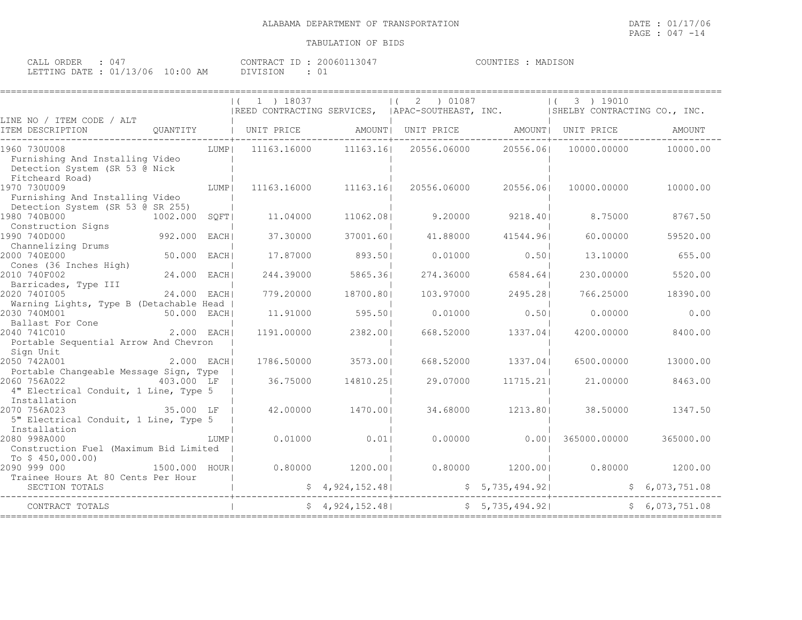| ORDER<br>CALL (<br>4 (ن      |                     | , 3047<br>$ -$<br>CONTRACT<br>200601 | MADISON<br>COUNTIES |
|------------------------------|---------------------|--------------------------------------|---------------------|
| : 01/13/06<br>LETTING DATE · | $10 \cdot 00$<br>AM | ר ⊃־<br>1 V / 1                      |                     |

|                                                                                                         |              |        | $(1)$ 1 $)$ 18037 |                      | (2) 01087                         |                 | 3 ) 19010<br> REED CONTRACTING SERVICES,  APAC-SOUTHEAST, INC.   SHELBY CONTRACTING CO., INC. |                |
|---------------------------------------------------------------------------------------------------------|--------------|--------|-------------------|----------------------|-----------------------------------|-----------------|-----------------------------------------------------------------------------------------------|----------------|
| LINE NO / ITEM CODE / ALT<br>ITEM DESCRIPTION                                                           | QUANTITY     |        |                   |                      |                                   | ------------+-- | UNIT PRICE   AMOUNT  UNIT PRICE   AMOUNT  UNIT PRICE                                          | AMOUNT         |
| 1960 730U008<br>Furnishing And Installing Video<br>Detection System (SR 53 @ Nick                       |              | LUMP   |                   | 11163.16000 11163.16 | 20556.06000                       | 20556.061       | 10000.00000                                                                                   | 10000.00       |
| Fitcheard Road)<br>1970 730U009<br>Furnishing And Installing Video<br>Detection System (SR 53 @ SR 255) |              | LUMP   | 11163.16000       | 11163.16             | 20556.06000                       | 20556.061       | 10000.00000                                                                                   | 10000.00       |
| 1980 740B000<br>Construction Signs                                                                      | 1002.000     | SOFT   | 11,04000          | 11062.081            | 9,20000                           | 9218.401        | 8.75000                                                                                       | 8767.50        |
| 1990 740D000<br>Channelizing Drums                                                                      | 992.000      | EACH I | 37.30000          | 37001.60             | 41,88000                          | 41544.961       | 60,00000                                                                                      | 59520.00       |
| 2000 740E000<br>Cones (36 Inches High)                                                                  | 50.000 EACH  |        | 17.87000          | 893.501              | 0.01000                           | 0.501           | 13,10000                                                                                      | 655.00         |
| 2010 740F002<br>Barricades, Type III                                                                    | 24.000 EACHI |        | 244.39000         | 5865.361             | 274.36000                         | 6584.641        | 230.00000                                                                                     | 5520.00        |
| 2020 7401005<br>Warning Lights, Type B (Detachable Head                                                 | 24.000       | EACH   | 779.20000         | 18700.801            | 103.97000                         | 2495.281        | 766.25000                                                                                     | 18390.00       |
| 2030 740M001<br>50.000 EACH<br>Ballast For Cone                                                         |              |        | 11.91000          | 595.501              | 0.01000                           | 0.501           | 0.00000                                                                                       | 0.00           |
| 2.000 EACH<br>2040 741C010<br>Portable Sequential Arrow And Chevron<br>Sign Unit                        |              |        | 1191.00000        | 2382.001             | 668.52000                         | 1337.041        | 4200.00000                                                                                    | 8400.00        |
| 2050 742A001<br>Portable Changeable Message Sign, Type                                                  | $2.000$ EACH |        | 1786.50000        | 3573.001             | 668.52000                         | 1337.04         | 6500.00000                                                                                    | 13000.00       |
| 2060 756A022<br>4" Electrical Conduit, 1 Line, Type 5<br>Installation                                   | 403.000 LF   |        | 36.75000          | 14810.251            | 29.07000                          | 11715.211       | 21,00000                                                                                      | 8463.00        |
| 2070 756A023<br>5" Electrical Conduit, 1 Line, Type 5<br>Installation                                   | 35.000 LF    |        | 42.00000          | 1470.001             | 34.68000                          | 1213.801        | 38.50000                                                                                      | 1347.50        |
| 2080 998A000<br>Construction Fuel (Maximum Bid Limited<br>To $$450,000.00)$                             |              | LUMP I | 0.01000           | 0.011                | 0.00000                           | 0.001           | 365000.00000                                                                                  | 365000.00      |
| 2090 999 000<br>1500.000 HOUR <br>Trainee Hours At 80 Cents Per Hour                                    |              |        |                   | $0.80000$ 1200.001   |                                   |                 | $0.80000$ $1200.00$ $0.80000$ $1200.00$                                                       |                |
| SECTION TOTALS                                                                                          |              |        |                   |                      | $$ 4,924,152.48$ $$ 5,735,494.92$ |                 |                                                                                               | \$6,073,751.08 |
| CONTRACT TOTALS                                                                                         |              |        |                   | \$4,924,152.48]      |                                   | \$5,735,494.92] |                                                                                               | \$6,073,751.08 |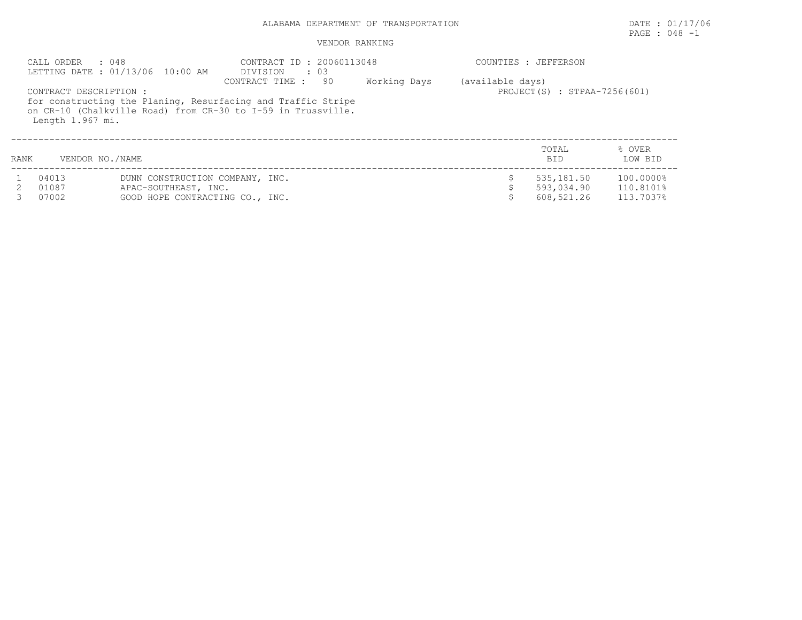## PAGE : 048 -1

|      | : 048<br>CALL ORDER                        | LETTING DATE : 01/13/06 10:00 AM                                                           | CONTRACT ID : 20060113048<br>DIVISION<br>$\cdot$ 03                                                                                                    |              |                  | COUNTIES : JEFFERSON                   |                                     |
|------|--------------------------------------------|--------------------------------------------------------------------------------------------|--------------------------------------------------------------------------------------------------------------------------------------------------------|--------------|------------------|----------------------------------------|-------------------------------------|
|      | CONTRACT DESCRIPTION :<br>Length 1.967 mi. |                                                                                            | CONTRACT TIME :<br>-90<br>for constructing the Planing, Resurfacing and Traffic Stripe<br>on CR-10 (Chalkville Road) from CR-30 to I-59 in Trussville. | Working Days | (available days) | PROJECT(S) : STPAA-7256(601)           |                                     |
| RANK | VENDOR NO./NAME                            |                                                                                            |                                                                                                                                                        |              |                  | TOTAL<br><b>BID</b>                    | % OVER<br>LOW BID                   |
|      | 04013<br>01087<br>07002                    | DUNN CONSTRUCTION COMPANY, INC.<br>APAC-SOUTHEAST, INC.<br>GOOD HOPE CONTRACTING CO., INC. |                                                                                                                                                        |              |                  | 535,181.50<br>593,034.90<br>608,521.26 | 100.0000%<br>110.8101%<br>113.7037% |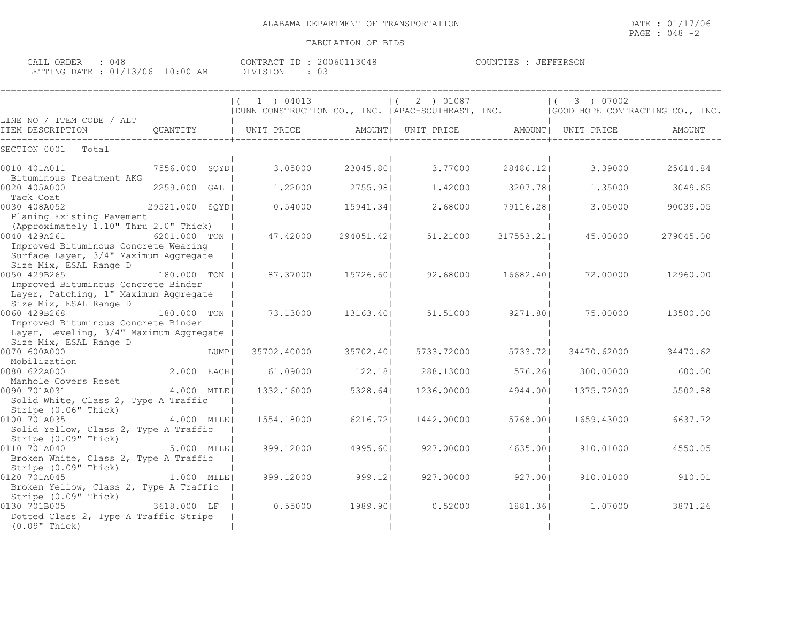| CALL ORDER : 048                 | CONTRACT ID: 20060113048 | COUNTIES : JEFFERSON |
|----------------------------------|--------------------------|----------------------|
| LETTING DATE : 01/13/06 10:00 AM | DIVISION : 03            |                      |

|                                                                                                                                        |                | 1 ) 04013                                                                            |            | 2 ) 01087          |           | 3 ) 07002          |           |
|----------------------------------------------------------------------------------------------------------------------------------------|----------------|--------------------------------------------------------------------------------------|------------|--------------------|-----------|--------------------|-----------|
|                                                                                                                                        |                | DUNN CONSTRUCTION CO., INC.   APAC-SOUTHEAST, INC.   GOOD HOPE CONTRACTING CO., INC. |            |                    |           |                    |           |
| LINE NO / ITEM CODE / ALT<br>ITEM DESCRIPTION                                                                                          | OUANTITY       | UNIT PRICE                                                                           |            | AMOUNT  UNIT PRICE |           | AMOUNT  UNIT PRICE | AMOUNT    |
| SECTION 0001<br>Total                                                                                                                  |                |                                                                                      |            |                    |           |                    |           |
| 0010 401A011<br>Bituminous Treatment AKG                                                                                               | 7556.000 SOYDI | 3.05000                                                                              | 23045.801  | 3.77000            | 28486.121 | 3.39000            | 25614.84  |
| 0020 405A000<br>Tack Coat                                                                                                              | 2259.000 GAL   | 1,22000                                                                              | 2755.981   | 1,42000            | 3207.781  | 1.35000            | 3049.65   |
| 0030 408A052<br>Planing Existing Pavement                                                                                              | 29521.000 SQYD | 0.54000                                                                              | 15941.34   | 2.68000            | 79116.281 | 3.05000            | 90039.05  |
| (Approximately 1.10" Thru 2.0" Thick)<br>0040 429A261<br>Improved Bituminous Concrete Wearing<br>Surface Layer, 3/4" Maximum Aggregate | 6201.000 TON   | 47.42000                                                                             | 294051.421 | 51,21000           | 317553.21 | 45.00000           | 279045.00 |
| Size Mix, ESAL Range D<br>0050 429B265<br>Improved Bituminous Concrete Binder                                                          | 180.000 TON    | 87.37000                                                                             | 15726.601  | 92.68000           | 16682.401 | 72.00000           | 12960.00  |
| Layer, Patching, 1" Maximum Aggregate<br>Size Mix, ESAL Range D                                                                        |                |                                                                                      |            |                    |           |                    |           |
| 0060 429B268<br>Improved Bituminous Concrete Binder<br>Layer, Leveling, 3/4" Maximum Aggregate                                         | 180.000 TON    | 73.13000                                                                             | 13163.401  | 51.51000           | 9271.801  | 75.00000           | 13500.00  |
| Size Mix, ESAL Range D<br>0070 600A000<br>Mobilization                                                                                 | LUMP           | 35702.40000                                                                          | 35702.401  | 5733.72000         | 5733.721  | 34470.62000        | 34470.62  |
| 0080 622A000<br>Manhole Covers Reset                                                                                                   | 2.000 EACH     | 61.09000                                                                             | 122.181    | 288.13000          | 576.26    | 300,00000          | 600.00    |
| 0090 701A031<br>Solid White, Class 2, Type A Traffic<br>Stripe (0.06" Thick)                                                           | 4.000 MILE     | 1332.16000                                                                           | 5328.64    | 1236.00000         | 4944.001  | 1375.72000         | 5502.88   |
| 0100 701A035<br>Solid Yellow, Class 2, Type A Traffic<br>Stripe (0.09" Thick)                                                          | 4.000 MILEI    | 1554.18000                                                                           | 6216.721   | 1442.00000         | 5768.001  | 1659.43000         | 6637.72   |
| 0110 701A040<br>Broken White, Class 2, Type A Traffic<br>Stripe (0.09" Thick)                                                          | 5.000 MILE     | 999.12000                                                                            | 4995.601   | 927.00000          | 4635.001  | 910.01000          | 4550.05   |
| 0120 701A045<br>Broken Yellow, Class 2, Type A Traffic<br>Stripe (0.09" Thick)                                                         | $1.000$ $MILE$ | 999.12000                                                                            | $999.12$   | 927.00000          | 927.00    | 910.01000          | 910.01    |
| 0130 701B005<br>Dotted Class 2, Type A Traffic Stripe<br>$(0.09"$ Thick)                                                               | 3618.000 LF    | 0.55000                                                                              | 1989.901   | 0.52000            | 1881.36   | 1,07000            | 3871.26   |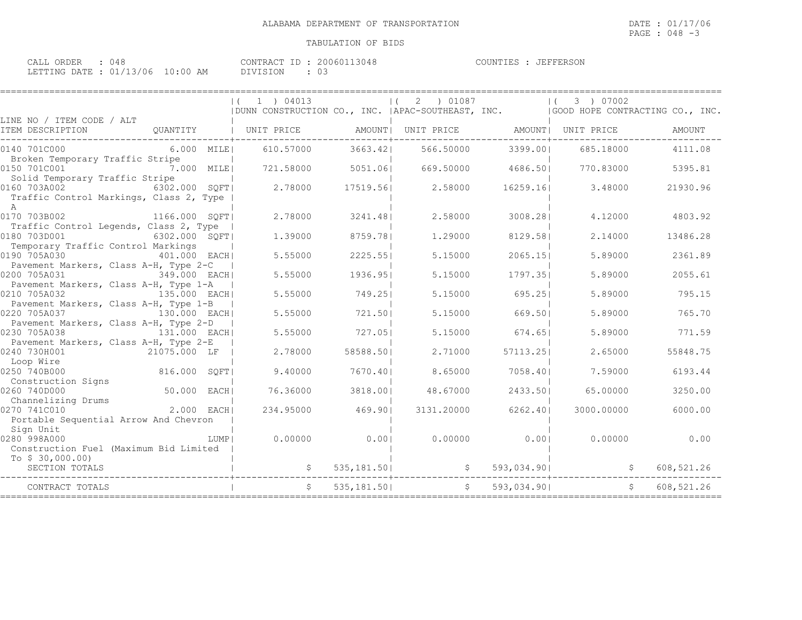====================================================================================================================================

| $\cap$ $\cap$ $\cap$ $\cap$ $\cap$<br>$\sim \pi \tau \tau$<br>.<br>- بلطانات<br>.)RDER<br>IД.<br>. |                                  | TD.<br><b>CONTRAL</b><br>13048<br>ا ۱۵۱۰ | $T$ $T$ $T$ $T$ $T$ $T$ $T$ $T$ $T$ $T$ $T$ $T$ $T$<br>COUNTIF <sub>C</sub><br>. н.<br>''F'ERSON |
|----------------------------------------------------------------------------------------------------|----------------------------------|------------------------------------------|--------------------------------------------------------------------------------------------------|
| $\sim$<br>LETTING DATE<br><u>_</u>                                                                 | '06<br>:00<br>AM<br>$\mathbf{r}$ | <b>DTVT</b><br>$\backsim$                |                                                                                                  |

|                                                                                                                  | $(1)$ 04013<br>  DUNN CONSTRUCTION CO., INC.   APAC-SOUTHEAST, INC.   GOOD HOPE CONTRACTING CO., INC. |             | $(2)$ 01087 |               | (3) 07002                                         |            |
|------------------------------------------------------------------------------------------------------------------|-------------------------------------------------------------------------------------------------------|-------------|-------------|---------------|---------------------------------------------------|------------|
| LINE NO / ITEM CODE / ALT<br>QUANTITY   UNIT PRICE   AMOUNT  UNIT PRICE   AMOUNT  UNIT PRICE<br>ITEM DESCRIPTION |                                                                                                       |             |             |               |                                                   | AMOUNT     |
| 0140 701C000<br>$6.000$ MILE                                                                                     | 610.57000                                                                                             | 3663.421    | 566.50000   | 3399.001      | 685.18000                                         | 4111.08    |
| Broken Temporary Traffic Stripe<br>0150 701C001 7.000 MILE                                                       | 721.58000                                                                                             | 5051.061    | 669.50000   | 4686.501      | 770.83000                                         | 5395.81    |
| Solid Temporary Traffic Stripe<br>0160 703A002 6302.000 SQFT<br>Traffic Control Markings, Class 2, Type          | 2.78000                                                                                               | 17519.561   | 2.58000     | 16259.161     | 3.48000                                           | 21930.96   |
| A<br>0170 703B002 1166.000 SQFT<br>Traffic Control Legends, Class 2, Type                                        | 2,78000                                                                                               | 3241.481    | 2.58000     | 3008.281      | 4.12000                                           | 4803.92    |
| 0180 703D001<br>6302.000 SQFT                                                                                    | 1,39000                                                                                               | 8759.781    | 1,29000     | 8129.581      | 2.14000                                           | 13486.28   |
| Temporary Traffic Control Markings<br>0190 705A030<br>401.000 EACH                                               | 5.55000                                                                                               | 2225.551    | 5.15000     | 2065.15       | 5.89000                                           | 2361.89    |
| Pavement Markers, Class A-H, Type 2-C<br>0200 705A031<br>349.000 EACH                                            | 5.55000                                                                                               | 1936.951    | 5.15000     | 1797.351      | 5.89000                                           | 2055.61    |
| Pavement Markers, Class A-H, Type 1-A<br>0210 705A032<br>135.000 EACHI                                           | 5.55000                                                                                               | 749.251     | 5.15000     | 695.25        | 5.89000                                           | 795.15     |
| Pavement Markers, Class A-H, Type 1-B<br>130.000 EACH<br>0220 705A037                                            | 5.55000                                                                                               | 721.501     | 5.15000     | 669.501       | 5.89000                                           | 765.70     |
| Pavement Markers, Class A-H, Type 2-D<br>0230 705A038<br>131.000 EACH                                            | 5.55000                                                                                               | 727.051     | 5.15000     | 674.651       | 5.89000                                           | 771.59     |
| Pavement Markers, Class A-H, Type 2-E<br>21075.000 LF<br>0240 730H001                                            | 2.78000                                                                                               | 58588.501   | 2.71000     | 57113.251     | 2.65000                                           | 55848.75   |
| Loop Wire<br>816.000 SQFT<br>0250 740B000                                                                        | 9.40000                                                                                               | 7670.40     | 8.65000     | 7058.401      | 7.59000                                           | 6193.44    |
| Construction Signs<br>50.000 EACH<br>0260 740D000                                                                | 76.36000                                                                                              | 3818.001    | 48.67000    | 2433.50       | 65,00000                                          | 3250.00    |
| Channelizing Drums<br>$2.000$ EACH<br>0270 741C010<br>Portable Sequential Arrow And Chevron                      | 234.95000                                                                                             | 469.90      | 3131.20000  | 6262.40       | 3000.00000                                        | 6000.00    |
| Sign Unit<br>0280 998A000<br>LUMP  <br>Construction Fuel (Maximum Bid Limited                                    | 0.00000                                                                                               | 0.001       | 0.00000     | 0.001         | 0.00000                                           | 0.00       |
| To $$30,000.00)$<br>SECTION TOTALS                                                                               |                                                                                                       |             |             |               | $\frac{1}{2}$ 535,181.50 $\frac{1}{2}$ 593,034.90 | 608,521.26 |
| CONTRACT TOTALS                                                                                                  |                                                                                                       | 535,181.501 |             | \$593,034.90] | $\mathsf{S}$                                      | 608,521.26 |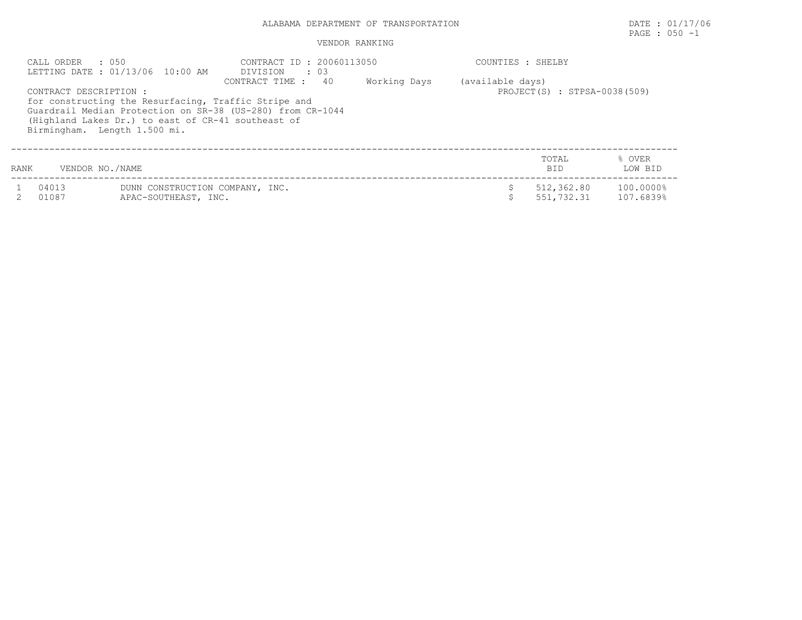## PAGE : 050 -1

|                                                                                                                                                                                                                                                                             | $\cdot$ 0.50<br>CALL ORDER | LETTING DATE: 01/13/06 10:00 AM                         | CONTRACT ID : 20060113050<br>DIVISION : 03 |  | COUNTIES : SHELBY |                                                  |                        |  |  |
|-----------------------------------------------------------------------------------------------------------------------------------------------------------------------------------------------------------------------------------------------------------------------------|----------------------------|---------------------------------------------------------|--------------------------------------------|--|-------------------|--------------------------------------------------|------------------------|--|--|
| 40<br>Working Days<br>CONTRACT TIME :<br>CONTRACT DESCRIPTION :<br>for constructing the Resurfacing, Traffic Stripe and<br>Guardrail Median Protection on SR-38 (US-280) from CR-1044<br>(Highland Lakes Dr.) to east of CR-41 southeast of<br>Birmingham. Length 1.500 mi. |                            |                                                         |                                            |  |                   | (available days)<br>PROJECT(S) : STPSA-0038(509) |                        |  |  |
| RANK                                                                                                                                                                                                                                                                        | VENDOR NO./NAME            |                                                         |                                            |  |                   | TOTAL<br><b>BID</b>                              | % OVER<br>LOW BID      |  |  |
|                                                                                                                                                                                                                                                                             | 04013<br>01087             | DUNN CONSTRUCTION COMPANY, INC.<br>APAC-SOUTHEAST, INC. |                                            |  |                   | 512,362.80<br>551,732.31                         | 100.0000%<br>107.6839% |  |  |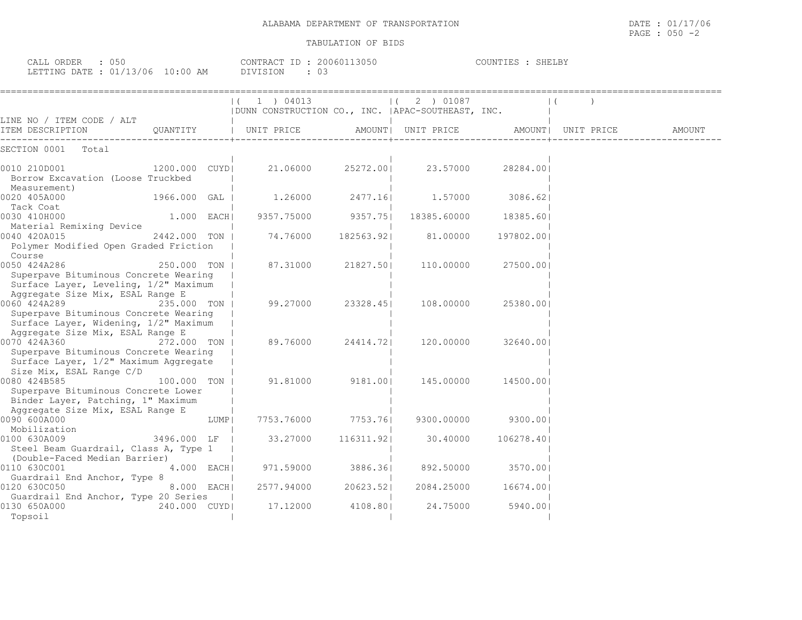| TRANSPORTATION | /17/06                                                                                                          |
|----------------|-----------------------------------------------------------------------------------------------------------------|
| DEPARTMENT OF  | DATE                                                                                                            |
| ALABAMA        | $\cup$ $\perp$ /                                                                                                |
|                | the contract of the contract of the contract of the contract of the contract of the contract of the contract of |
|                | 050<br>PAGE<br>$-$                                                                                              |

|                                                                                                                                    |               |       | (1) 04013<br>  DUNN CONSTRUCTION CO., INC.   APAC-SOUTHEAST, INC. |                   | (2) 01087                             |            |        |
|------------------------------------------------------------------------------------------------------------------------------------|---------------|-------|-------------------------------------------------------------------|-------------------|---------------------------------------|------------|--------|
| LINE NO / ITEM CODE / ALT<br>ITEM DESCRIPTION                                                                                      | QUANTITY      |       | UNIT PRICE                                                        |                   | AMOUNT  UNIT PRICE AMOUNT  UNIT PRICE |            | AMOUNT |
| SECTION 0001 Total                                                                                                                 |               |       |                                                                   |                   |                                       |            |        |
| 0010 210D001<br>1200.000 CUYDI<br>Borrow Excavation (Loose Truckbed<br>Measurement)                                                |               |       |                                                                   | 21.06000 25272.00 | 23.57000                              | 28284.001  |        |
| 0020 405A000<br>Tack Coat                                                                                                          | 1966.000 GAL  |       | 1.26000                                                           | 2477.16           | 1,57000 3086.62                       |            |        |
| 0030 410H000<br>Material Remixing Device                                                                                           | 1.000 EACH    |       |                                                                   |                   | 9357.75000 9357.75  18385.60000       | 18385.601  |        |
| 0040 420A015<br>Polymer Modified Open Graded Friction<br>Course                                                                    | 2442.000 TON  |       | 74.76000                                                          | 182563.921        | 81.00000                              | 197802.001 |        |
| 0050 424A286<br>Superpave Bituminous Concrete Wearing<br>Surface Layer, Leveling, 1/2" Maximum                                     | 250.000 TON   |       | 87.31000                                                          | 21827.50          | 110.00000                             | 27500.00   |        |
| Aggregate Size Mix, ESAL Range E<br>0060 424A289<br>Superpave Bituminous Concrete Wearing<br>Surface Layer, Widening, 1/2" Maximum | 235,000 TON I |       | 99.27000                                                          | 23328.451         | 108.00000                             | 25380.001  |        |
| Aggregate Size Mix, ESAL Range E<br>0070 424A360<br>272.000 TON  <br>Superpave Bituminous Concrete Wearing                         |               |       | 89.76000                                                          | 24414.721         | 120.00000                             | 32640.001  |        |
| Surface Layer, 1/2" Maximum Aggregate<br>Size Mix, ESAL Range C/D<br>0080 424B585<br>Superpave Bituminous Concrete Lower           | 100.000 TON   |       | 91.81000                                                          | 9181.001          | 145.00000                             | 14500.001  |        |
| Binder Layer, Patching, 1" Maximum<br>Aggregate Size Mix, ESAL Range E<br>0090 600A000<br>Mobilization                             |               | LUMPI |                                                                   |                   | 7753.76000 7753.76  9300.00000        | 9300.001   |        |
| 0100 630A009<br>Steel Beam Guardrail, Class A, Type 1                                                                              | 3496.000 LF   |       | 33.27000                                                          | 116311.921        | 30.40000                              | 106278.401 |        |
| (Double-Faced Median Barrier)<br>0110 630C001<br>Guardrail End Anchor, Type 8                                                      | 4.000 EACH    |       | 971.59000                                                         |                   | 3886.36  892.50000                    | 3570.001   |        |
| 0120 630C050<br>Guardrail End Anchor, Type 20 Series                                                                               | 8.000 EACH    |       | 2577.94000                                                        | 20623.521         | 2084.25000                            | 16674.001  |        |
| 0130 650A000<br>Topsoil                                                                                                            | 240.000 CUYD  |       | 17.12000                                                          | 4108.801          | 24.75000                              | 5940.001   |        |

CALL ORDER : 050 CONTRACT ID : 20060113050 COUNTIES : SHELBY LETTING DATE : 01/13/06 10:00 AM DIVISION : 03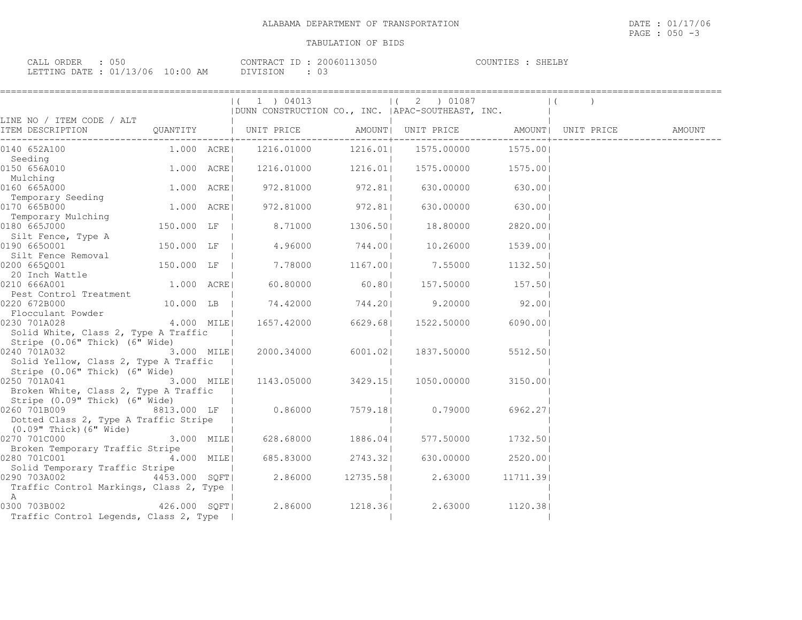| CALL ORDER : 050                 |               | CONTRACT ID: 20060113050 | COUNTIES : SHELBY |  |
|----------------------------------|---------------|--------------------------|-------------------|--|
| LETTING DATE : 01/13/06 10:00 AM | DIVISION : 03 |                          |                   |  |

|                                                |               | $(1)$ 04013                                        |          | $(2)$ 01087                                        |           | $\vert$ ( |  |
|------------------------------------------------|---------------|----------------------------------------------------|----------|----------------------------------------------------|-----------|-----------|--|
|                                                |               | DUNN CONSTRUCTION CO., INC.   APAC-SOUTHEAST, INC. |          |                                                    |           |           |  |
| LINE NO / ITEM CODE / ALT                      |               |                                                    |          |                                                    |           |           |  |
| ITEM DESCRIPTION (                             |               | QUANTITY   UNIT PRICE                              |          | AMOUNT   UNIT PRICE   AMOUNT   UNIT PRICE   AMOUNT |           |           |  |
| 0140 652A100                                   | 1.000 ACRE    | 1216.01000                                         |          | 1216.01  1575.00000  1575.00                       |           |           |  |
| Seeding                                        |               |                                                    |          |                                                    |           |           |  |
| 0150 656A010                                   | $1.000$ ACRE  | $1216.01000$ $1216.01$                             |          | 1575.00000 1575.00                                 |           |           |  |
| Mulching                                       |               |                                                    |          |                                                    |           |           |  |
| 0160 665A000                                   |               | 972.81000 972.81                                   |          | 630.00000                                          | 630.001   |           |  |
| Temporary Seeding                              | 1.000 ACRE    |                                                    |          |                                                    |           |           |  |
| 0170 665B000                                   |               | 972.81000                                          | 972.81   | 630.00000                                          | 630.001   |           |  |
| Temporary Mulching<br>0180 665J000             | 150.000 LF    | 8.71000                                            | 1306.501 | 18.80000                                           | 2820.00   |           |  |
| Silt Fence, Type A                             |               |                                                    |          |                                                    |           |           |  |
| 0190 6650001                                   | 150.000 LF    | 4.96000                                            | 744.001  | 10.26000                                           | 1539.001  |           |  |
| Silt Fence Removal                             |               |                                                    |          |                                                    |           |           |  |
| 0200 6650001                                   | 150.000 LF    | 7.78000                                            | 1167.001 | 7.55000                                            | 1132.501  |           |  |
| 20 Inch Wattle                                 |               |                                                    |          |                                                    |           |           |  |
| 0210 666A001                                   | 1.000 ACRE    | 60.80000                                           | 60.801   | 157.50000 157.50                                   |           |           |  |
| Pest Control Treatment                         |               |                                                    |          |                                                    |           |           |  |
| 0220 672B000                                   | 10.000 LB     | 74.42000 744.20                                    |          | 9.20000                                            | 92.00     |           |  |
| Flocculant Powder                              |               |                                                    |          |                                                    |           |           |  |
| 4.000 MILE<br>0230 701A028                     |               | 1657.42000                                         | 6629.68  | 1522.50000                                         | 6090.001  |           |  |
| Solid White, Class 2, Type A Traffic           |               |                                                    |          |                                                    |           |           |  |
| Stripe (0.06" Thick) (6" Wide)<br>0240 701A032 |               | 2000.34000 6001.021                                |          |                                                    |           |           |  |
| Solid Yellow, Class 2, Type A Traffic          | 3.000 MILE    |                                                    |          | 1837.50000                                         | 5512.501  |           |  |
| Stripe (0.06" Thick) (6" Wide)                 |               |                                                    |          |                                                    |           |           |  |
| 0250 701A041                                   | 3.000 MILE    | 1143.05000                                         | 3429.151 | 1050.00000                                         | 3150.001  |           |  |
| Broken White, Class 2, Type A Traffic          |               |                                                    |          |                                                    |           |           |  |
| Stripe (0.09" Thick) (6" Wide)                 |               |                                                    |          |                                                    |           |           |  |
| 0260 701B009                                   | 8813.000 LF   | 0.86000                                            | 7579.18  | 0.79000                                            | 6962.271  |           |  |
| Dotted Class 2, Type A Traffic Stripe          |               |                                                    |          |                                                    |           |           |  |
| $(0.09"$ Thick) $(6"$ Wide)                    |               |                                                    |          |                                                    |           |           |  |
| 0270 701C000                                   | 3.000 MILE    | 628.68000                                          | 1886.041 | 577.50000                                          | 1732.501  |           |  |
| Broken Temporary Traffic Stripe                |               |                                                    |          |                                                    |           |           |  |
| 0280 701C001                                   | 4.000 MILE    | 685.83000 2743.32                                  |          | 630.00000                                          | 2520.001  |           |  |
| Solid Temporary Traffic Stripe                 |               |                                                    |          |                                                    |           |           |  |
| 0290 703A002                                   | 4453.000 SQFT | 2.86000                                            | 12735.58 | 2.63000                                            | 11711.391 |           |  |
| Traffic Control Markings, Class 2, Type  <br>A |               |                                                    |          |                                                    |           |           |  |
| 0300 703B002 426.000 SOFT                      |               |                                                    |          | 2.86000 1218.36 2.63000                            | 1120.381  |           |  |
| Traffic Control Legends, Class 2, Type         |               |                                                    |          |                                                    |           |           |  |
|                                                |               |                                                    |          |                                                    |           |           |  |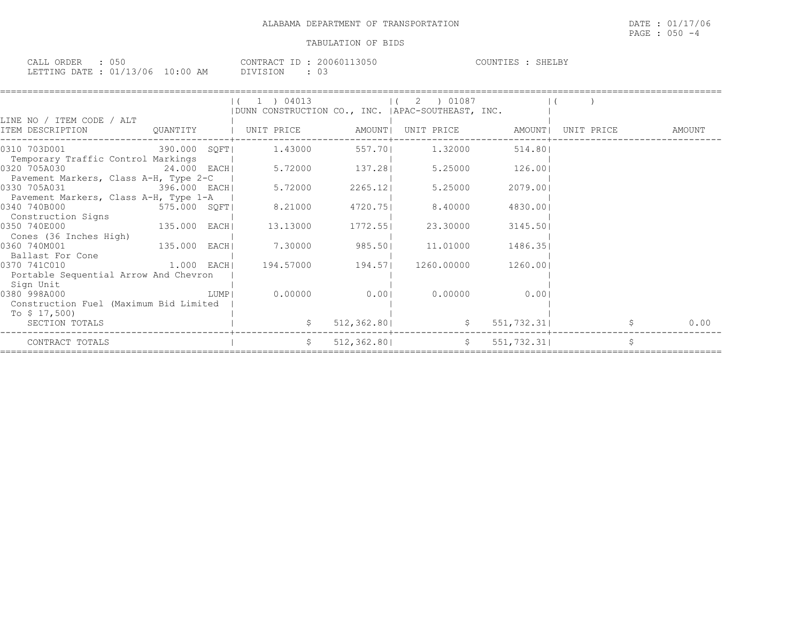| CALL ORDER : 050                 |  |          | CONTRACT ID: 20060113050 | COUNTIES : SHELBY |
|----------------------------------|--|----------|--------------------------|-------------------|
| LETTING DATE : 01/13/06 10:00 AM |  | DIVISION |                          |                   |

|                                                                       |              |        | (1) 04013<br>  DUNN CONSTRUCTION CO., INC.   APAC-SOUTHEAST, INC. |                | 1(2) 01087 |             |               |   |        |
|-----------------------------------------------------------------------|--------------|--------|-------------------------------------------------------------------|----------------|------------|-------------|---------------|---|--------|
| LINE NO / ITEM CODE / ALT<br>ITEM DESCRIPTION                         |              |        |                                                                   |                |            |             | UNIT PRICE    |   | AMOUNT |
| 0310 703D001<br>Temporary Traffic Control Markings                    |              |        | 390.000 SQFT  1.43000                                             | 557.70 1.32000 |            | 514.801     |               |   |        |
| 0320 705A030<br>Pavement Markers, Class A-H, Type 2-C                 |              |        | $24.000$ EACH $5.72000$ 137.28                                    |                | 5.25000    | 126.00      |               |   |        |
| 0330 705A031 396.000 EACH<br>Pavement Markers, Class A-H, Type 1-A    |              |        | 5.72000                                                           | 2265.12        | 5.25000    | 2079.001    |               |   |        |
| 0340 740B000<br>575.000 SQFT<br>Construction Signs                    |              |        | 8.21000                                                           | 4720.75        | 8,40000    | 4830.001    |               |   |        |
| 0350 740E000<br>Cones (36 Inches High)                                | 135.000 EACH |        | 13.13000                                                          | 1772.551       | 23.30000   | 3145.501    |               |   |        |
| 135.000 EACH<br>0360 740M001<br>Ballast For Cone                      |              |        | 7.30000                                                           | 985.50         | 11,01000   | 1486.35     |               |   |        |
| $1.000$ EACH<br>0370 741C010<br>Portable Sequential Arrow And Chevron |              |        | 194.57000 194.57 1260.00000                                       |                |            | 1260.001    |               |   |        |
| Sign Unit<br>0380 998A000<br>Construction Fuel (Maximum Bid Limited   |              | LUMP I | 0.00000                                                           | 0.001          | 0.00000    | 0.001       |               |   |        |
| To $$17,500$<br>SECTION TOTALS                                        |              |        |                                                                   | 512, 362.80    |            |             | \$551,732.31] |   | 0.00   |
| CONTRACT TOTALS                                                       |              |        | S                                                                 | 512,362.801    |            | \$51,732.31 |               | Ŝ |        |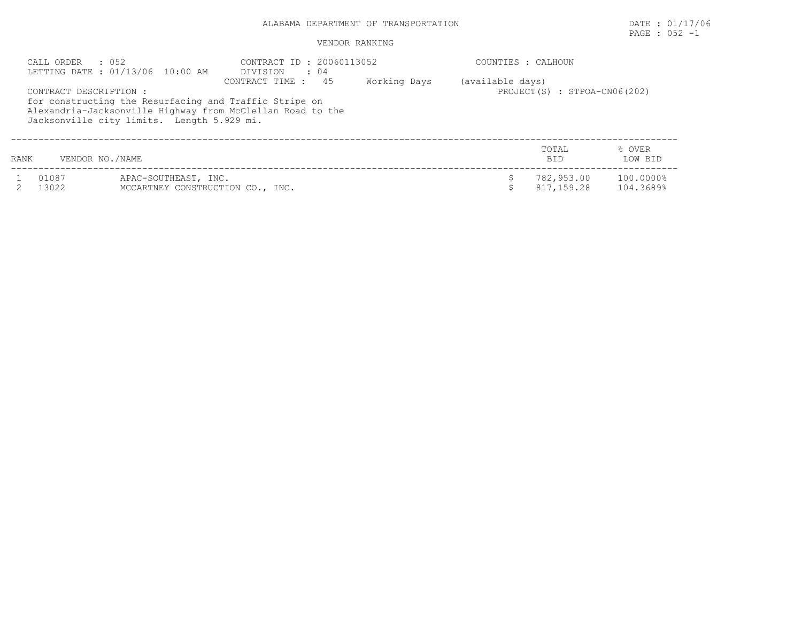## PAGE : 052 -1

|      | CALL ORDER<br>. 052    | LETTING DATE: 01/13/06 10:00 AM                          | CONTRACT ID: 20060113052<br>DIVISION : 04                                                                                                  |              |                  | COUNTIES : CALHOUN           |                        |
|------|------------------------|----------------------------------------------------------|--------------------------------------------------------------------------------------------------------------------------------------------|--------------|------------------|------------------------------|------------------------|
|      | CONTRACT DESCRIPTION : | Jacksonville city limits. Length 5.929 mi.               | CONTRACT TIME : 45<br>for constructing the Resurfacing and Traffic Stripe on<br>Alexandria-Jacksonville Highway from McClellan Road to the | Working Days | (available days) | PROJECT(S) : STPOA-CN06(202) |                        |
| RANK | VENDOR NO./NAME        |                                                          |                                                                                                                                            |              |                  | TOTAL<br>BID.                | % OVER<br>LOW BID      |
|      | 01087<br>13022         | APAC-SOUTHEAST, INC.<br>MCCARTNEY CONSTRUCTION CO., INC. |                                                                                                                                            |              |                  | 782,953.00<br>817,159.28     | 100.0000%<br>104.3689% |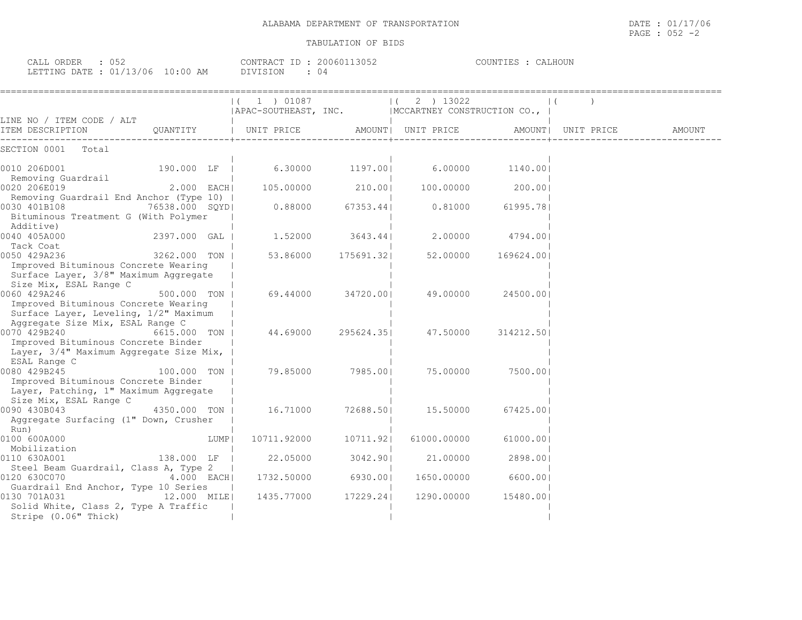| ALABAMA DEPARTMENT OF | 01/17/06                                       |
|-----------------------|------------------------------------------------|
| TRANSPORTATION        | DATE                                           |
|                       |                                                |
|                       | ハドン<br>PAGE<br>$\overline{\phantom{0}}$<br>◡◡▵ |

| CALL ORDER : 052<br>LETTING DATE : 01/13/06 10:00 AM |            | CONTRACT ID: 20060113052<br>DIVISION : 04         |          |                             | COUNTIES : CALHOUN |                    |        |
|------------------------------------------------------|------------|---------------------------------------------------|----------|-----------------------------|--------------------|--------------------|--------|
| LINE NO / ITEM CODE / ALT                            |            | $(1)$ 01087 $(2)$ 13022<br>  APAC-SOUTHEAST, INC. |          | MCCARTNEY CONSTRUCTION CO., |                    |                    |        |
| ITEM DESCRIPTION                                     | OUANTITY   | UNIT PRICE                                        |          | AMOUNT  UNIT PRICE          |                    | AMOUNT  UNIT PRICE | AMOUNT |
| SECTION 0001<br>Total                                |            |                                                   |          |                             |                    |                    |        |
| 0010 206D001<br>Domoving Cuardrail                   | 190.000 LF | 6.30000                                           | 1197.001 | 6.00000                     | 1140.001           |                    |        |

| 2.000 EACH | 105.00000                                                                                                                                                                                                                                                                                                                                                                                                                                                                                                                                                                                                                                                                                                                                                                  | 210.001    | 100.00000   | 200.001    |
|------------|----------------------------------------------------------------------------------------------------------------------------------------------------------------------------------------------------------------------------------------------------------------------------------------------------------------------------------------------------------------------------------------------------------------------------------------------------------------------------------------------------------------------------------------------------------------------------------------------------------------------------------------------------------------------------------------------------------------------------------------------------------------------------|------------|-------------|------------|
|            |                                                                                                                                                                                                                                                                                                                                                                                                                                                                                                                                                                                                                                                                                                                                                                            |            |             |            |
|            | 0.88000                                                                                                                                                                                                                                                                                                                                                                                                                                                                                                                                                                                                                                                                                                                                                                    | 67353.441  | 0.81000     | 61995.781  |
|            |                                                                                                                                                                                                                                                                                                                                                                                                                                                                                                                                                                                                                                                                                                                                                                            |            |             |            |
|            |                                                                                                                                                                                                                                                                                                                                                                                                                                                                                                                                                                                                                                                                                                                                                                            |            |             |            |
|            | 1,52000                                                                                                                                                                                                                                                                                                                                                                                                                                                                                                                                                                                                                                                                                                                                                                    | 3643.44    | 2,00000     | 4794.001   |
|            |                                                                                                                                                                                                                                                                                                                                                                                                                                                                                                                                                                                                                                                                                                                                                                            |            |             |            |
|            | 53.86000                                                                                                                                                                                                                                                                                                                                                                                                                                                                                                                                                                                                                                                                                                                                                                   | 175691.32  | 52.00000    | 169624.001 |
|            |                                                                                                                                                                                                                                                                                                                                                                                                                                                                                                                                                                                                                                                                                                                                                                            |            |             |            |
|            |                                                                                                                                                                                                                                                                                                                                                                                                                                                                                                                                                                                                                                                                                                                                                                            |            |             |            |
|            |                                                                                                                                                                                                                                                                                                                                                                                                                                                                                                                                                                                                                                                                                                                                                                            |            |             |            |
|            | 69.44000                                                                                                                                                                                                                                                                                                                                                                                                                                                                                                                                                                                                                                                                                                                                                                   | 34720.001  | 49.00000    | 24500.001  |
|            |                                                                                                                                                                                                                                                                                                                                                                                                                                                                                                                                                                                                                                                                                                                                                                            |            |             |            |
|            |                                                                                                                                                                                                                                                                                                                                                                                                                                                                                                                                                                                                                                                                                                                                                                            |            |             |            |
|            |                                                                                                                                                                                                                                                                                                                                                                                                                                                                                                                                                                                                                                                                                                                                                                            |            |             |            |
|            | 44.69000                                                                                                                                                                                                                                                                                                                                                                                                                                                                                                                                                                                                                                                                                                                                                                   | 295624.351 | 47.50000    | 314212.501 |
|            |                                                                                                                                                                                                                                                                                                                                                                                                                                                                                                                                                                                                                                                                                                                                                                            |            |             |            |
|            |                                                                                                                                                                                                                                                                                                                                                                                                                                                                                                                                                                                                                                                                                                                                                                            |            |             |            |
|            |                                                                                                                                                                                                                                                                                                                                                                                                                                                                                                                                                                                                                                                                                                                                                                            |            |             |            |
|            | 79.85000                                                                                                                                                                                                                                                                                                                                                                                                                                                                                                                                                                                                                                                                                                                                                                   | 7985.001   | 75.00000    | 7500.001   |
|            |                                                                                                                                                                                                                                                                                                                                                                                                                                                                                                                                                                                                                                                                                                                                                                            |            |             |            |
|            |                                                                                                                                                                                                                                                                                                                                                                                                                                                                                                                                                                                                                                                                                                                                                                            |            |             |            |
|            |                                                                                                                                                                                                                                                                                                                                                                                                                                                                                                                                                                                                                                                                                                                                                                            |            |             |            |
|            | 16.71000                                                                                                                                                                                                                                                                                                                                                                                                                                                                                                                                                                                                                                                                                                                                                                   | 72688.501  | 15.50000    | 67425.001  |
|            |                                                                                                                                                                                                                                                                                                                                                                                                                                                                                                                                                                                                                                                                                                                                                                            |            |             |            |
|            |                                                                                                                                                                                                                                                                                                                                                                                                                                                                                                                                                                                                                                                                                                                                                                            |            |             |            |
| LUMP       | 10711.92000                                                                                                                                                                                                                                                                                                                                                                                                                                                                                                                                                                                                                                                                                                                                                                | 10711.921  | 61000.00000 | 61000.001  |
|            |                                                                                                                                                                                                                                                                                                                                                                                                                                                                                                                                                                                                                                                                                                                                                                            |            |             |            |
|            | 22.05000                                                                                                                                                                                                                                                                                                                                                                                                                                                                                                                                                                                                                                                                                                                                                                   | 3042.901   | 21,00000    | 2898.001   |
|            |                                                                                                                                                                                                                                                                                                                                                                                                                                                                                                                                                                                                                                                                                                                                                                            |            |             |            |
| 4.000 EACH | 1732.50000                                                                                                                                                                                                                                                                                                                                                                                                                                                                                                                                                                                                                                                                                                                                                                 | 6930.001   | 1650.00000  | 6600.001   |
|            |                                                                                                                                                                                                                                                                                                                                                                                                                                                                                                                                                                                                                                                                                                                                                                            |            |             |            |
|            | 1435.77000                                                                                                                                                                                                                                                                                                                                                                                                                                                                                                                                                                                                                                                                                                                                                                 | 17229.241  | 1290.00000  | 15480.001  |
|            |                                                                                                                                                                                                                                                                                                                                                                                                                                                                                                                                                                                                                                                                                                                                                                            |            |             |            |
|            |                                                                                                                                                                                                                                                                                                                                                                                                                                                                                                                                                                                                                                                                                                                                                                            |            |             |            |
|            | Removing Guardrail End Anchor (Type 10)  <br>76538.000 SQYD <br>Bituminous Treatment G (With Polymer<br>2397.000 GAL<br>3262.000 TON<br>Improved Bituminous Concrete Wearing<br>Surface Layer, 3/8" Maximum Aggregate<br>500.000 TON<br>Improved Bituminous Concrete Wearing<br>Surface Layer, Leveling, 1/2" Maximum<br>Aggregate Size Mix, ESAL Range C<br>6615.000 TON<br>Improved Bituminous Concrete Binder<br>Layer, 3/4" Maximum Aggregate Size Mix,<br>100.000 TON<br>Improved Bituminous Concrete Binder<br>Layer, Patching, 1" Maximum Aggregate<br>4350.000 TON<br>Aggregate Surfacing (1" Down, Crusher<br>138.000 LF<br>Steel Beam Guardrail, Class A, Type 2<br>Guardrail End Anchor, Type 10 Series<br>12.000 MILE <br>Solid White, Class 2, Type A Traffic |            |             |            |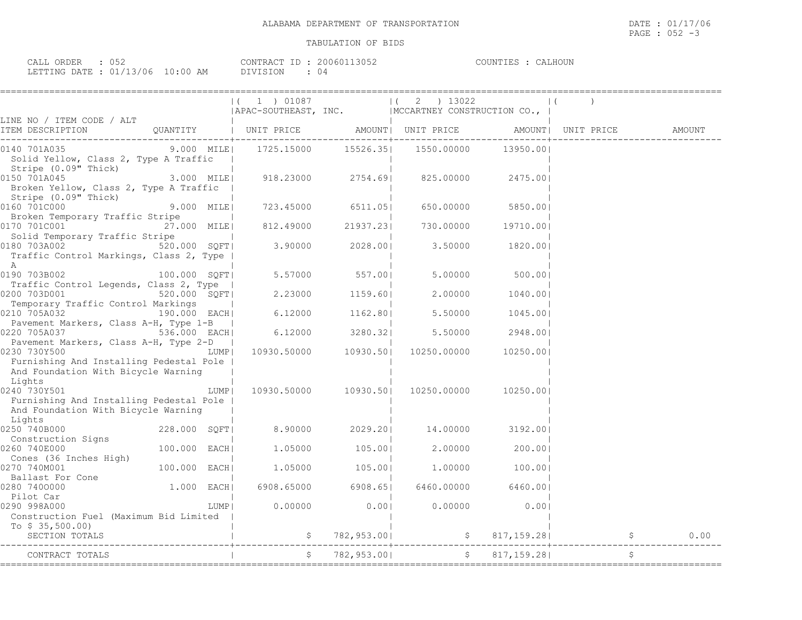| ORDER<br>'A I . I<br>. | . <i>.</i> . |                                       | CONTRA(<br>$\Box$ | 161  | 111N<br>H <sub>1</sub> | $\sqrt{2}$ |
|------------------------|--------------|---------------------------------------|-------------------|------|------------------------|------------|
| TEETING DATE           | 3/06         | $\circ$ $\circ$ $\circ$ $\circ$<br>ΆM |                   | 2 (ب |                        |            |

|                                                                                                            |                                          | $(1)$ 01087<br>$ \,\mathtt{APAC-SOUTHEAST},\;\;\mathtt{INC.}\;\;\phantom{\mathtt{INCCARTNEY}}\; \,\mathtt{MCCARTNEY}\;\;\mathtt{CONSTRUCTION}\;\;\mathtt{CO.}\;,\;\;\; $       |                           | $ (2)$ ) 13022                        |                      |  |
|------------------------------------------------------------------------------------------------------------|------------------------------------------|--------------------------------------------------------------------------------------------------------------------------------------------------------------------------------|---------------------------|---------------------------------------|----------------------|--|
| LINE NO / ITEM CODE / ALT                                                                                  |                                          |                                                                                                                                                                                |                           |                                       |                      |  |
| 0140 701A035<br>Solid Yellow, Class 2, Type A Traffic                                                      |                                          | 9.000 MILE  1725.15000 15526.35  1550.00000 13950.00                                                                                                                           |                           |                                       |                      |  |
| Stripe (0.09" Thick)<br>0150 701A045<br>Broken Yellow, Class 2, Type A Traffic  <br>Stripe (0.09" Thick)   |                                          | $\begin{array}{ccccccc} & & & & & & & & \ & & & & & & & \ & 3.000 & \text{MILE} & & & & & & & & & 2754.69 & & & & & & & & 825.00000 & & & & & & & & & & & & & & & \end{array}$ |                           |                                       | 2475.001             |  |
| 0160 701C000<br>Broken Temporary Traffic Stripe                                                            | 9.000 MILE                               | 723.45000 6511.05                                                                                                                                                              |                           |                                       | 650.00000 5850.00    |  |
| 0170 701C001<br>Solid Temporary Traffic Stripe                                                             | 27.000 MILE <br><b>Contract Contract</b> | <br> 21937.23 812.49000                                                                                                                                                        |                           | 730.00000 19710.00                    |                      |  |
| 0180 703A002<br>Traffic Control Markings, Class 2, Type  <br>A                                             |                                          | $520.000 \quad \text{SQFT}$ 3.90000 2028.00 3.50000 1820.00                                                                                                                    |                           |                                       |                      |  |
| 0190 703B002 100.000 SQFT<br>Traffic Control Legends, Class 2, Type                                        |                                          |                                                                                                                                                                                |                           | 5.57000 557.00  5.00000 500.00        |                      |  |
| 0200 703D001 520.000 SQFT<br>Temporary Traffic Control Markings                                            |                                          |                                                                                                                                                                                | $2.23000$ 1159.60         |                                       | 2.00000 1040.00      |  |
| 0210 705A032<br>Pavement Markers, Class A-H, Type 1-B                                                      | 190.000 EACH                             | $6.12000$ 1162.80                                                                                                                                                              |                           |                                       | 5.50000 1045.00      |  |
| 0220 705A037 536.000 EACH<br>Pavement Markers, Class A-H, Type 2-D                                         |                                          | $6.12000$ $3280.32$                                                                                                                                                            |                           |                                       | $5.50000$ 2948.00    |  |
| 0230 730Y500<br>Furnishing And Installing Pedestal Pole  <br>And Foundation With Bicycle Warning           | LUMPI                                    |                                                                                                                                                                                | $10930.50000$ $10930.501$ |                                       | 10250.00000 10250.00 |  |
| Lights<br>0240 730Y501<br>Furnishing And Installing Pedestal Pole  <br>And Foundation With Bicycle Warning | LUMP                                     |                                                                                                                                                                                | 10930.50000 10930.50      | 10250.00000                           | 10250.001            |  |
| Lights<br>0250 740B000                                                                                     | 228.000 SQFT                             |                                                                                                                                                                                |                           | 8.90000 2029.20 14.00000 3192.00      |                      |  |
| Construction Signs<br>260  740E000<br>0260 740E000<br>Cones (36 Inches High)                               | 100.000 EACH                             |                                                                                                                                                                                |                           | $1.05000$ $105.00$ $2.00000$ $200.00$ |                      |  |
| 0270 740M001                                                                                               | 100.000 EACH                             |                                                                                                                                                                                | $1.05000$ $105.00$        |                                       | $1.00000$ 100.00     |  |
| Ballast For Cone<br>280 7400000<br>0280 7400000<br>Pilot Car                                               | 1.000 EACH                               |                                                                                                                                                                                | 6908.65000 6908.65        |                                       | 6460.00000 6460.00   |  |
| 0290 998A000<br>Construction Fuel (Maximum Bid Limited                                                     |                                          | LUMPI                                                                                                                                                                          | $0.00000$ 0.00            |                                       | $0.00000$ 0.00       |  |
| To $$35,500.00)$<br>SECTION TOTALS                                                                         |                                          |                                                                                                                                                                                |                           |                                       |                      |  |
| CONTRACT TOTALS<br>________________                                                                        |                                          |                                                                                                                                                                                |                           |                                       |                      |  |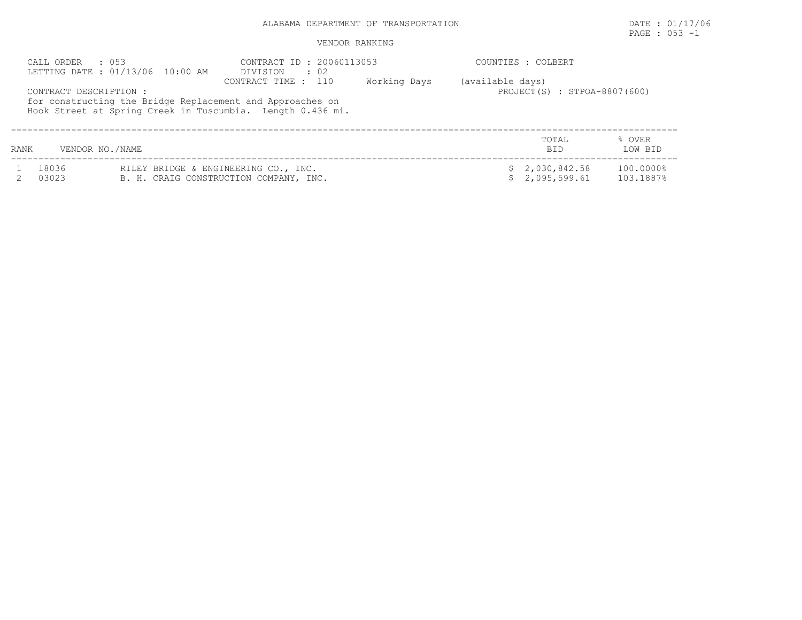PAGE : 053 -1

|      | $\therefore$ 0.53<br>CALL ORDER<br>LETTING DATE: 01/13/06 10:00 AM                                                                               | CONTRACT ID: 20060113053<br>DIVISION<br>$\cdot$ 02 |              | COUNTIES : COLBERT                               |                   |
|------|--------------------------------------------------------------------------------------------------------------------------------------------------|----------------------------------------------------|--------------|--------------------------------------------------|-------------------|
|      | CONTRACT DESCRIPTION:<br>for constructing the Bridge Replacement and Approaches on<br>Hook Street at Spring Creek in Tuscumbia. Length 0.436 mi. | CONTRACT TIME : 110                                | Working Days | (available days)<br>PROJECT(S) : STPOA-8807(600) |                   |
| RANK | VENDOR NO./NAME                                                                                                                                  |                                                    |              | TOTAL<br><b>BID</b>                              | % OVER<br>LOW BID |

| 18036 | RILEY BRIDGE & ENGINEERING CO., INC.   | \$2,030,842.58 | 100.0000% |
|-------|----------------------------------------|----------------|-----------|
| 03023 | B. H. CRAIG CONSTRUCTION COMPANY, INC. | \$2,095,599.61 | 103.1887% |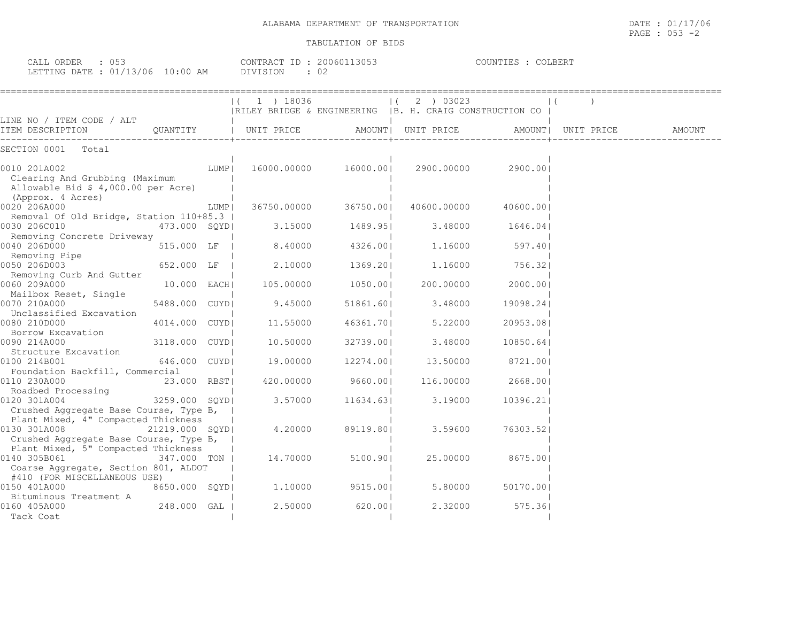| CALL ORDER : 053<br>LETTING DATE : 01/13/06 10:00 AM                                                       |                |      | CONTRACT ID: 20060113053<br>DIVISION | : 02                 |                                                                          | COUNTIES : COLBERT |                     |        |
|------------------------------------------------------------------------------------------------------------|----------------|------|--------------------------------------|----------------------|--------------------------------------------------------------------------|--------------------|---------------------|--------|
| LINE NO / ITEM CODE / ALT                                                                                  |                |      | ( 1 ) 18036                          |                      | $(2)$ 03023<br> RILEY BRIDGE & ENGINEERING   B. H. CRAIG CONSTRUCTION CO |                    |                     |        |
| ITEM DESCRIPTION<br>-----------------                                                                      |                |      |                                      |                      | QUANTITY   UNIT PRICE AMOUNT  UNIT PRICE                                 |                    | AMOUNT   UNIT PRICE | AMOUNT |
| SECTION 0001 Total                                                                                         |                |      |                                      |                      |                                                                          |                    |                     |        |
| 0010 201A002<br>Clearing And Grubbing (Maximum<br>Allowable Bid \$ 4,000.00 per Acre)<br>(Approx. 4 Acres) |                | LUMP |                                      | 16000.00000 16000.00 | 2900.00000 2900.001                                                      |                    |                     |        |
| 0020 206A000                                                                                               |                | LUMP | 36750.00000                          | 36750.001            | 40600.00000                                                              | 40600.001          |                     |        |
| Removal Of Old Bridge, Station 110+85.3                                                                    |                |      |                                      |                      |                                                                          |                    |                     |        |
| 0030 206C010<br>Removing Concrete Driveway                                                                 | 473.000 SOYDI  |      | 3.15000                              | 1489.951             | 3.48000                                                                  | 1646.041           |                     |        |
| 0040 206D000                                                                                               | 515.000 LF     |      | 8.40000                              | 4326.001             | 1,16000                                                                  | 597.401            |                     |        |
| Removing Pipe                                                                                              |                |      |                                      |                      |                                                                          |                    |                     |        |
| 0050 206D003                                                                                               | 652.000 LF     |      | 2.10000                              | 1369.201             | 1,16000                                                                  | 756.321            |                     |        |
| Removing Curb And Gutter<br>0060 209A000<br>Mailbox Reset, Single                                          | 10.000 EACH    |      | 105.00000                            | 1050.001             | 200,00000                                                                | 2000.001           |                     |        |
| 0070 210A000                                                                                               | 5488.000 CUYDI |      | 9.45000                              | 51861.60             | 3.48000                                                                  | 19098.241          |                     |        |
| Unclassified Excavation                                                                                    |                |      |                                      |                      |                                                                          |                    |                     |        |
| 0080 210D000                                                                                               | 4014.000 CUYDI |      | 11.55000                             | 46361.701            | 5,22000                                                                  | 20953.08           |                     |        |
| Borrow Excavation<br>0090 214A000                                                                          | 3118.000 CUYDI |      | 10.50000                             | 32739.001            | 3.48000                                                                  | 10850.641          |                     |        |
| Structure Excavation                                                                                       |                |      |                                      |                      |                                                                          |                    |                     |        |
| 0100 214B001                                                                                               | 646.000 CUYDI  |      | 19.00000                             | 12274.001            | 13.50000                                                                 | 8721.001           |                     |        |
| Foundation Backfill, Commercial                                                                            |                |      |                                      |                      |                                                                          |                    |                     |        |
| 0110 230A000                                                                                               | 23.000 RBST    |      | 420.00000                            | 9660.001             | 116.00000                                                                | 2668.001           |                     |        |
| Roadbed Processing                                                                                         |                |      |                                      |                      |                                                                          |                    |                     |        |
| 0120 301A004<br>Crushed Aggregate Base Course, Type B,                                                     | 3259.000 SQYD  |      | 3.57000                              | 11634.63             | 3.19000                                                                  | 10396.21           |                     |        |
| Plant Mixed, 4" Compacted Thickness                                                                        |                |      |                                      |                      |                                                                          |                    |                     |        |
| 0130 301A008 21219.000 SQYD                                                                                |                |      | 4,20000                              | 89119.80             | 3.59600                                                                  | 76303.521          |                     |        |
| Crushed Aggregate Base Course, Type B,                                                                     |                |      |                                      |                      |                                                                          |                    |                     |        |
| Plant Mixed, 5" Compacted Thickness                                                                        |                |      |                                      |                      |                                                                          |                    |                     |        |
| 0140 305B061                                                                                               | 347.000 TON    |      | 14.70000                             | 5100.901             | 25.00000                                                                 | 8675.00            |                     |        |
| Coarse Aggregate, Section 801, ALDOT                                                                       |                |      |                                      |                      |                                                                          |                    |                     |        |
| #410 (FOR MISCELLANEOUS USE)                                                                               |                |      |                                      |                      |                                                                          |                    |                     |        |
| 0150 401A000                                                                                               | 8650.000 SQYDI |      | 1,10000                              | 9515.00              | 5.80000                                                                  | 50170.001          |                     |        |
| Bituminous Treatment A<br>0160 405A000                                                                     | 248.000 GAL    |      | 2,50000                              | 620.00               | 2,32000                                                                  | 575.361            |                     |        |
| Tack Coat                                                                                                  |                |      |                                      |                      |                                                                          |                    |                     |        |
|                                                                                                            |                |      |                                      |                      |                                                                          |                    |                     |        |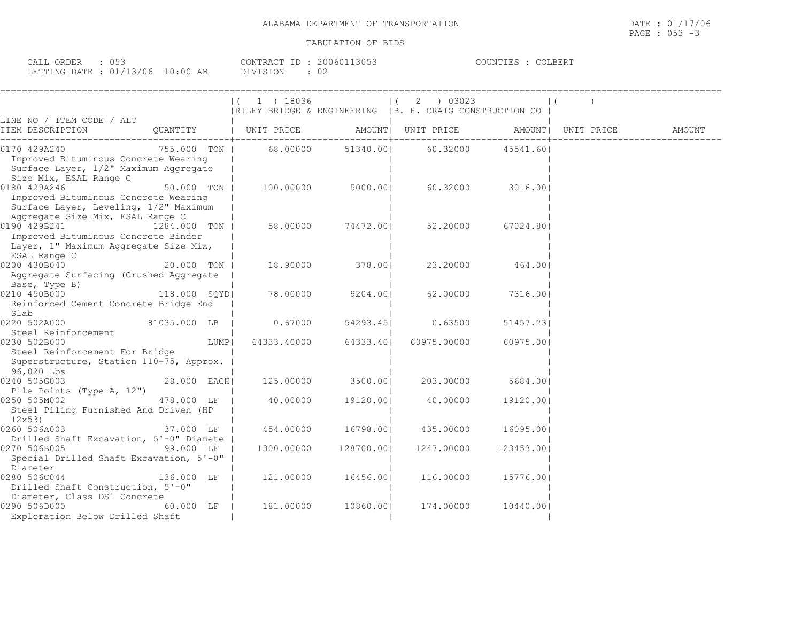| ORDER<br>$\sim$ $\sim$ $\sim$ $\sim$<br>UA⊥⊥<br>. J J |          | 13053<br>$2006011$<br>CONTRACT | $C0$ $C1$ $C1$ $C2$ $C3$ $C4$<br>COUNTIES<br>'JLBER'I |
|-------------------------------------------------------|----------|--------------------------------|-------------------------------------------------------|
| LETTING DATE: 01/13/06<br><b>+ - 1</b>                | 10:00 AM | <b>DIVISION</b><br>◡∠          |                                                       |

|                                                                                                                                   |               |      | $(1)$ 1 $)$ 18036                                       |                   | 2 ) 03023         |                  | $\mathbf{1}$ |  |
|-----------------------------------------------------------------------------------------------------------------------------------|---------------|------|---------------------------------------------------------|-------------------|-------------------|------------------|--------------|--|
|                                                                                                                                   |               |      | RILEY BRIDGE & ENGINEERING  B. H. CRAIG CONSTRUCTION CO |                   |                   |                  |              |  |
| LINE NO / ITEM CODE / ALT                                                                                                         |               |      |                                                         |                   |                   |                  |              |  |
| 0170 429A240<br>Improved Bituminous Concrete Wearing<br>Surface Layer, 1/2" Maximum Aggregate<br>Size Mix, ESAL Range C           | 755.000 TON I |      | 68.00000                                                |                   | 51340.00 60.32000 | 45541.601        |              |  |
| 0180 429A246<br>Improved Bituminous Concrete Wearing<br>Surface Layer, Leveling, 1/2" Maximum<br>Aggregate Size Mix, ESAL Range C | 50.000 TON    |      |                                                         | 100.00000 5000.00 |                   | 60.32000 3016.00 |              |  |
| 0190 429B241<br>Improved Bituminous Concrete Binder<br>Layer, 1" Maximum Aggregate Size Mix,<br>ESAL Range C                      | 1284.000 TON  |      |                                                         | 58.00000 74472.00 | 52.20000          | 67024.801        |              |  |
| 0200 430B040<br>20.000 TON I<br>Aggregate Surfacing (Crushed Aggregate<br>Base, Type B)                                           |               |      | 18.90000                                                | 378.001           |                   | 23.20000 464.001 |              |  |
| 0210 450B000<br>Reinforced Cement Concrete Bridge End<br>Slab                                                                     | 118.000 SOYDI |      |                                                         | 78.00000 9204.001 | 62.00000          | 7316.001         |              |  |
| 0220 502A000<br>81035.000 LB  <br>Steel Reinforcement                                                                             |               |      | 0.67000                                                 | 54293.451         | 0.63500           | 51457.231        |              |  |
| 0230 502B000<br>Steel Reinforcement For Bridge<br>Superstructure, Station 110+75, Approx.<br>96,020 Lbs                           |               | LUMP | 64333.40000                                             | 64333.401         | 60975.00000       | 60975.001        |              |  |
| 0240 505G003<br>Pile Points (Type A, 12")                                                                                         | 28.000 EACH   |      | 125.00000                                               | 3500.00           | 203.00000         | 5684.00          |              |  |
| 0250 505M002<br>Steel Piling Furnished And Driven (HP<br>12x53)                                                                   | 478.000 LF    |      | 40.00000                                                | 19120.00          | 40.00000          | 19120.00         |              |  |
| 0260506A003<br>Drilled Shaft Excavation, 5'-0" Diamete                                                                            |               |      | 37.000 LF   454.00000 16798.00                          |                   | 435.00000         | 16095.001        |              |  |
| 99.000 LF  <br>0270 506B005<br>Special Drilled Shaft Excavation, 5'-0"<br>Diameter                                                |               |      | 1300.00000                                              | 128700.00         | 1247.00000        | 123453.001       |              |  |
| 0280 506C044<br>Drilled Shaft Construction, 5'-0"<br>Diameter, Class DS1 Concrete                                                 | 136.000 LF    |      | 121.00000                                               | 16456.001         | 116.00000         | 15776.001        |              |  |
| 0290 506D000<br>Exploration Below Drilled Shaft                                                                                   | 60.000 LF     |      | 181,00000                                               | 10860.001         | 174.00000         | 10440.001        |              |  |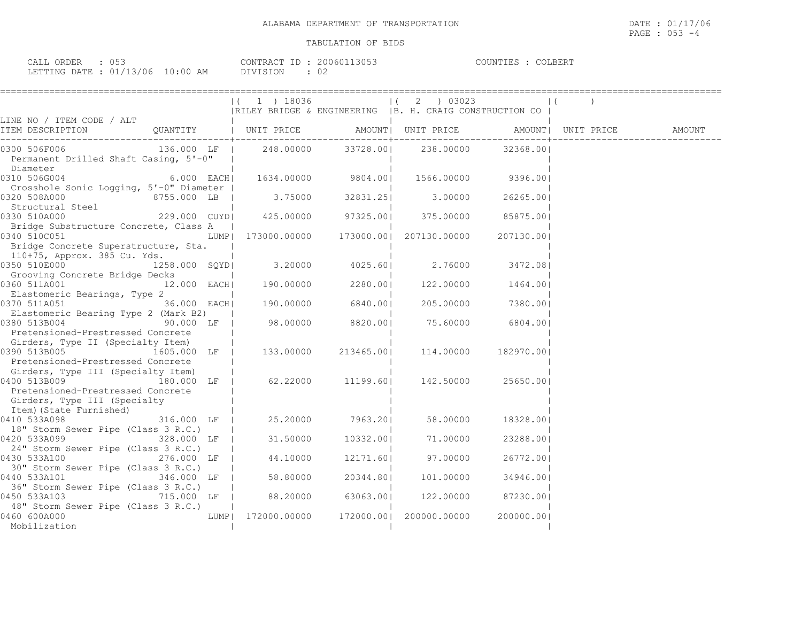| : 053<br>CALL ORDER              |          | CONTRACT ID: 20060113053 | COUNTIES : C<br>COLBERT |
|----------------------------------|----------|--------------------------|-------------------------|
| LETTING DATE : 01/13/06 10:00 AM | DIVISION | - 02                     |                         |

|                                                                                                                                                                       | $ (1)$ 18036<br>  RILEY BRIDGE & ENGINEERING   B. H. CRAIG CONSTRUCTION CO |                                         | $(2)$ 03023         |           |                    | $\mathbf{1}$ |                              |
|-----------------------------------------------------------------------------------------------------------------------------------------------------------------------|----------------------------------------------------------------------------|-----------------------------------------|---------------------|-----------|--------------------|--------------|------------------------------|
| LINE NO / ITEM CODE / ALT                                                                                                                                             |                                                                            |                                         |                     |           |                    |              |                              |
| TTEM DESCRIPTION QUANTITY   UNIT PRICE                                                                                                                                |                                                                            |                                         | AMOUNT  UNIT PRICE  |           |                    |              | AMOUNT   UNIT PRICE   AMOUNT |
| 0300 506F006 136.000 LF   248.00000<br>Permanent Drilled Shaft Casing, 5'-0"  <br>Diameter                                                                            |                                                                            |                                         | 33728.00  238.00000 |           | 32368.001          |              |                              |
| 6.000 $\overline{EACH}$ 1634.00000 9804.00 1566.00000 9396.00<br>0310 506G004<br>Crosshole Sonic Logging, 5'-0" Diameter                                              |                                                                            |                                         |                     |           |                    |              |                              |
| 0320 508A000<br>) 320 508A000<br>  Structural Steel                     8755.000 LB                                                                                   |                                                                            | 3.75000 32831.25                        |                     | 3.00000   | 26265.001          |              |                              |
| $229.000$ CUYD $425.00000$ 97325.00 375.00000<br>0330 510A000<br>Bridge Substructure Concrete, Class A                                                                |                                                                            |                                         |                     |           | 85875.00           |              |                              |
| 0340 510C051                                                                                                                                                          |                                                                            |                                         |                     |           | 207130.001         |              |                              |
| Bridge Concrete Superstructure, Sta.<br>110+75, Approx. 385 Cu. Yds.                                                                                                  |                                                                            |                                         |                     |           |                    |              |                              |
| 0350 510E000 1258.000 SQYD<br>Grooving Concrete Bridge Decks                                                                                                          |                                                                            | $3.20000$ $4025.60$ $2.76000$ $3472.08$ |                     |           |                    |              |                              |
| 0360 511A001<br>12.000 EACH<br>Elastomeric Bearings, Type 2                                                                                                           |                                                                            | $190.00000$ $2280.00 $                  |                     |           | 122.00000 1464.00  |              |                              |
| 36.000 EACH<br>0370 511A051<br>Elastomeric Bearing Type 2 (Mark B2)                                                                                                   | 190.00000 6840.00                                                          |                                         |                     |           | 205.00000 7380.001 |              |                              |
| 0380 513B004<br>Pretensioned-Prestressed Concrete                                                                                                                     |                                                                            |                                         |                     |           | 75.60000 6804.00   |              |                              |
| Girders, Type II (Specialty Item)<br>1605.000 LF  <br>0390 513B005                                                                                                    | 133.00000                                                                  | 213465.00                               |                     | 114.00000 | 182970.001         |              |                              |
| Pretensioned-Prestressed Concrete<br>Girders, Type III (Specialty Item)                                                                                               |                                                                            |                                         |                     |           |                    |              |                              |
| 0400 513B009<br>Pretensioned-Prestressed Concrete                                                                                                                     | $\overline{1}80.000$ LF   62.22000 11199.60  142.50000 25650.00            |                                         |                     |           |                    |              |                              |
| Girders, Type III (Specialty<br>Item) (State Furnished)                                                                                                               |                                                                            |                                         |                     |           |                    |              |                              |
| 316.000 LF  <br>0410 533A098<br>18" Storm Sewer Pipe (Class 3 R.C.)                                                                                                   |                                                                            | 25.20000 7963.201                       |                     | 58.00000  | 18328.001          |              |                              |
| 0420 533A099 and the state of the state of the state of the state of the state of the state of the state of th<br>328.000 LF  <br>24" Storm Sewer Pipe (Class 3 R.C.) |                                                                            | 31.50000 10332.00                       |                     | 71.00000  | 23288.001          |              |                              |
| 0430 533A100<br>276.000 LF  <br>30" Storm Sewer Pipe (Class 3 R.C.)                                                                                                   | 44.10000                                                                   |                                         | 12171.60  97.00000  |           | 26772.001          |              |                              |
| 0440 533A101 346.000 LF                                                                                                                                               | 58.80000                                                                   | 20344.801                               |                     | 101.00000 | 34946.001          |              |                              |
| 36" Storm Sewer Pipe (Class 3 R.C.)<br>0450 533A103<br>715.000 LF                                                                                                     |                                                                            | 88.20000 63063.00                       |                     | 122.00000 | 87230.001          |              |                              |
| 48" Storm Sewer Pipe (Class 3 R.C.)<br>0460 600A000<br>Mobilization                                                                                                   | LUMP  172000.00000 172000.00  200000.00000                                 |                                         |                     |           | 200000.001         |              |                              |
|                                                                                                                                                                       |                                                                            |                                         |                     |           |                    |              |                              |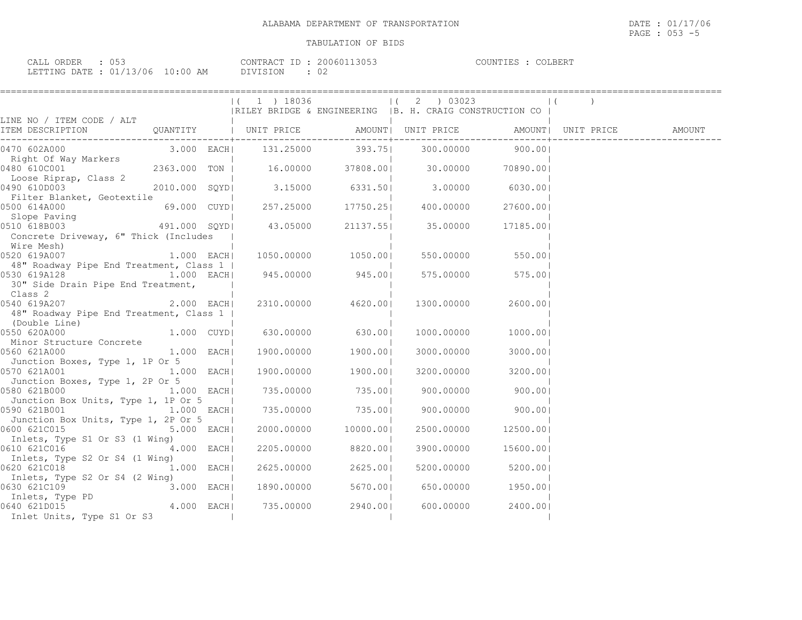| ORDER<br>$\sim$ $\sim$ $\sim$ $\sim$<br>تىلى <i>لى</i><br>Uコン |            | .20E <sub>1</sub><br>2006011<br>CONTRACT ID<br>1.3U.D.3 | COLBERT<br>COUNTIES |
|---------------------------------------------------------------|------------|---------------------------------------------------------|---------------------|
| : 01/13/06<br>LETTING DATE :                                  | $10:00$ AM | $\cap$<br>DIVISION<br>ັ∪∠                               |                     |

|                                                                                  |              | $(1)$ 19036        |                     | (2) 03023<br> RILEY BRIDGE & ENGINEERING   B. H. CRAIG CONSTRUCTION CO |                      |  |
|----------------------------------------------------------------------------------|--------------|--------------------|---------------------|------------------------------------------------------------------------|----------------------|--|
| LINE NO / ITEM CODE / ALT                                                        |              |                    |                     |                                                                        |                      |  |
|                                                                                  |              |                    |                     |                                                                        |                      |  |
|                                                                                  |              |                    |                     |                                                                        |                      |  |
| Loose Riprap, Class 2<br>)490 610D003<br>0490 610D003                            |              |                    |                     | 2010.000 SQYD  3.15000 6331.50  3.00000 6030.00                        |                      |  |
| Filter Blanket, Geotextile<br>0500 614A000                                       |              |                    |                     | 69.000 CUYD  257.25000 17750.25  400.00000                             | 27600.00             |  |
| Slope Paving<br>Concrete Driveway, 6" Thick (Includes                            |              |                    |                     |                                                                        | 17185.00             |  |
| Wire Mesh)<br>0520 619A007 1.000 EACH<br>48" Roadway Pipe End Treatment, Class 1 |              |                    | 1050.00000 1050.00  |                                                                        | 550.00000 550.00     |  |
| 0530 619A128 1.000 EACH<br>30" Side Drain Pipe End Treatment,                    |              | $945.00000$ 945.00 |                     |                                                                        | 575.00000 575.00     |  |
| Class 2<br>48" Roadway Pipe End Treatment, Class 1                               |              |                    | 2310.00000 4620.00  | 1300.00000                                                             | 2600.001             |  |
| (Double Line)<br>0550 620A000<br>Minor Structure Concrete                        | 1.000 CUYD   | 630.00000          | 630.00              | 1000.00000                                                             | 1000.001             |  |
| 0560 621A000<br>Junction Boxes, Type 1, 1P Or 5                                  | $1.000$ EACH |                    | 1900.00000 1900.00  | 3000.00000                                                             | 3000.00              |  |
| $1.000$ EACH<br>0570 621A001<br>Junction Boxes, Type 1, 2P Or 5                  |              |                    | 1900.00000 1900.00  | 3200.00000                                                             | 3200.001             |  |
| 0580 621B000 <sup>--</sup> 1.000 EACH<br>Junction Box Units, Type 1, 1P Or 5     |              |                    | 735.00000 735.00    | 900.00000                                                              | 900.00               |  |
| 0590 621B001<br>Junction Box Units, Type 1, 2P Or 5                              | $1.000$ EACH |                    | 735.00000 735.00    |                                                                        | 900.00000 900.00     |  |
| 0600 621C015<br>Inlets, Type S1 Or S3 (1 Wing)                                   | 5.000 EACH   |                    | 2000.00000 10000.00 |                                                                        | 2500.00000 12500.001 |  |
| 0610 621C016 4.000 EACH<br>Inlets, Type S2 Or S4 (1 Wing)                        |              |                    | 2205.00000 8820.00  | 3900.00000                                                             | 15600.00             |  |
| 0620 621C018<br>Inlets, Type S2 Or S4 (2 Wing)                                   | $1.000$ EACH |                    | 2625.00000 2625.00  |                                                                        | 5200.00000 5200.00   |  |
| 0630 621C109                                                                     | $3.000$ EACH | 1890.00000         | 5670.001            | 650.00000                                                              | 1950.001             |  |
| Inlet Units, Type S1 Or S3                                                       |              |                    | 735.00000 2940.00   | 600.00000                                                              | 2400.00              |  |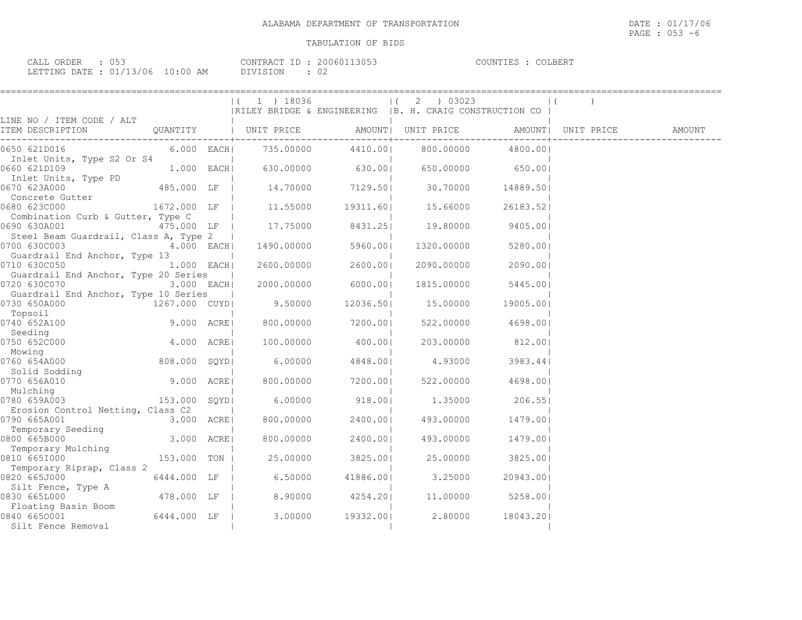| ORDER<br>CALL ( | . <i>.</i> |                            | $ -$<br>CONTRACT | 3053<br>200601 | COUNTIES | COLBERT |
|-----------------|------------|----------------------------|------------------|----------------|----------|---------|
| LETTING DATE ·  | : 01/13/06 | $10 \cdot 00$ $\sim$<br>AM | ר ⊃־<br>1111     | ◡∠             |          |         |

|                                                                        |                           | $(1)$ 1 $18036$                 |                  | 2 ) 03023                                                |                  |                                              |  |
|------------------------------------------------------------------------|---------------------------|---------------------------------|------------------|----------------------------------------------------------|------------------|----------------------------------------------|--|
|                                                                        |                           |                                 |                  | RILEY BRIDGE & ENGINEERING   B. H. CRAIG CONSTRUCTION CO |                  |                                              |  |
| LINE NO / ITEM CODE / ALT<br>ITEM DESCRIPTION QUANTITY   UNIT PRICE    |                           |                                 |                  | ---------+------------                                   |                  | AMOUNT  UNIT PRICE AMOUNT  UNIT PRICE AMOUNT |  |
| 0650 621D016<br>Inlet Units, Type S2 Or S4                             |                           |                                 |                  | 800.00000                                                | 4800.00          |                                              |  |
| 0660 621D109                                                           | 1.000 EACH                |                                 | 630.00000 630.00 |                                                          | 650.00000 650.00 |                                              |  |
| Inlet Units, Type PD<br>0670 623A000                                   | 485.000 LF                | 14.70000 7129.50                |                  | 30.70000                                                 | 14889.50         |                                              |  |
| Concrete Gutter<br>0680 623C000                                        |                           | 1672.000 LF   11.55000 19311.60 |                  | 15.66000                                                 | 26183.521        |                                              |  |
| Combination Curb & Gutter, Type C<br>0690 630A001                      | 475.000 LF                | 17.75000 8431.25                |                  | 19.80000                                                 | 9405.001         |                                              |  |
| Steel Beam Guardrail, Class A, Type 2  <br>0700 630C003                | 4.000 EACH                | 1490.00000                      | 5960.001         | 1320.00000                                               | 5280.001         |                                              |  |
| Guardrail End Anchor, Type 13<br>0710 630C050                          | $1.000$ EACH              | 2600.00000                      | 2600.001         | 2090.00000                                               | 2090.00          |                                              |  |
| Guardrail End Anchor, Type 20 Series<br>0720 630C070                   | $3.000$ EACH              | 2000.00000                      | 6000.00          | 1815.00000                                               | 5445.001         |                                              |  |
| Guardrail End Anchor, Type 10 Series<br>0730 650A000                   | 1267.000 CUYD             | 9.50000                         | 12036.501        | 15.00000                                                 | 19005.00         |                                              |  |
| Topsoil<br>0740 652A100 9.000 ACRE                                     |                           | 800.00000                       | 7200.00          | 522.00000                                                | 4698.001         |                                              |  |
| Seeding<br>0750 652C000                                                | $4.000$ ACRE              | 100.00000                       | 400.001          | 203.00000                                                | 812.00           |                                              |  |
| Mowing<br>0760 654A000<br>760 654A000<br>Solid Sodding                 | 808.000 SQYD              | 6.00000                         | 4848.00          | 4.93000                                                  | 3983.441         |                                              |  |
| 0770 656A010                                                           | $9.000 \quad \text{ACRE}$ | 800.00000                       | 7200.001         | 522.00000                                                | 4698.00          |                                              |  |
| Mulching<br>0780 659A003                                               | 153.000 SQYD              | 6.00000                         | 918.001          | 1.35000                                                  | 206.55           |                                              |  |
| Erosion Control Netting, Class C2<br>0790 665A001<br>Temporary Seeding | 3.000 ACRE                | 800.00000                       | 2400.001         | 493.00000                                                | 1479.001         |                                              |  |
| 0800 665B000                                                           | 3.000 ACRE                | 800.00000                       | 2400.00          | 493.00000                                                | 1479.001         |                                              |  |
| Temporary Mulching<br>0810 6651000                                     | 153.000 TON               | 25.00000                        | 3825.001         | 25.00000                                                 | 3825.001         |                                              |  |
| Temporary Riprap, Class 2<br>0820 665J000 0820 0830                    | 6444.000 LF               | 6.50000                         | 41886.001        | 3.25000                                                  | 20943.001        |                                              |  |
| Silt Fence, Type A<br>0830 665L000                                     | 478.000 LF                | 8.90000                         | 4254.201         | 11.00000                                                 | 5258.00          |                                              |  |
| Floating Basin Boom<br>0840 6650001<br>Silt Fence Removal              | 6444.000 LF               |                                 | 3.00000 19332.00 | 2.80000                                                  | 18043.201        |                                              |  |
|                                                                        |                           |                                 |                  |                                                          |                  |                                              |  |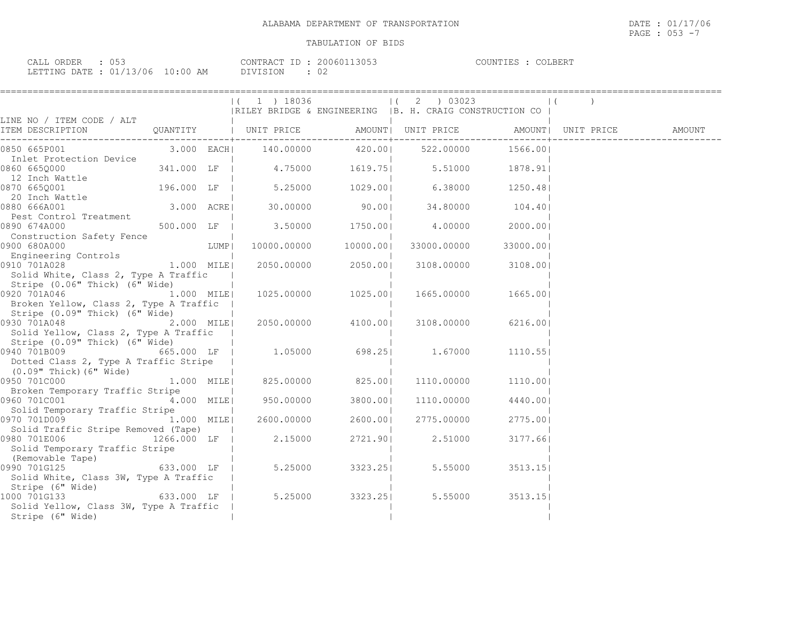| : 0.53<br>CALL ORDER             |          | CONTRACT ID: 20060113053 | COLBERT<br>COUNTIES |
|----------------------------------|----------|--------------------------|---------------------|
| LETTING DATE : 01/13/06 10:00 AM | DIVISION | - 02                     |                     |

|                                                                                                                                                  |            |                              |                    | $(1)$ 18036 $(2)$ 03023<br> RILEY BRIDGE & ENGINEERING   B. H. CRAIG CONSTRUCTION CO                 |                    | $\vert$ ( |  |
|--------------------------------------------------------------------------------------------------------------------------------------------------|------------|------------------------------|--------------------|------------------------------------------------------------------------------------------------------|--------------------|-----------|--|
|                                                                                                                                                  |            |                              |                    |                                                                                                      |                    |           |  |
|                                                                                                                                                  |            |                              |                    |                                                                                                      |                    |           |  |
| Inlet Protection Device<br>0860 6650000                                                                                                          |            |                              |                    | 341.000 LF $\begin{vmatrix} 4.75000 & 1619.75 \end{vmatrix}$ 5.51000 1878.91                         |                    |           |  |
| 12 Inch Wattle<br>0870 665Q001<br>0870 6650001                                                                                                   |            |                              |                    | 196.000 LF   5.25000 1029.00   6.38000 1250.48                                                       |                    |           |  |
| 20 Inch Wattle<br>0880 666A001                                                                                                                   |            |                              |                    |                                                                                                      |                    |           |  |
| Pest Control Treatment<br>0890 674A000                                                                                                           |            | 500.000 LF   3.50000 1750.00 |                    | $4.00000$ 2000.00                                                                                    |                    |           |  |
| Construction Safety Fence<br>0900 680A000                                                                                                        |            |                              |                    | $LUMP \n\begin{bmatrix} 10000.00000 & 10000.000 \\ 10000.0000 & 10000.000 \end{bmatrix}$ 33000.00000 | 33000.001          |           |  |
| Engineering Controls<br>0910 701A028 1.000 MILE<br>Solid White, Class 2, Type A Traffic                                                          |            |                              |                    | 2050.00000 2050.00  3108.00000 3108.00                                                               |                    |           |  |
| Stripe (0.06" Thick) (6" Wide)<br>1.000 MILE<br>0920 701A046<br>Broken Yellow, Class 2, Type A Traffic                                           |            |                              | 1025.00000 1025.00 | 1665.00000 1665.00                                                                                   |                    |           |  |
| Stripe (0.09" Thick) (6" Wide)<br>0930 701A048 2.000 MILE                                                                                        |            |                              |                    | 2050.00000 4100.00  3108.00000 6216.00                                                               |                    |           |  |
| Solid Yellow, Class 2, Type A Traffic<br>Stripe (0.09" Thick) (6" Wide)                                                                          |            |                              |                    |                                                                                                      |                    |           |  |
| 0940 701B009<br>Dotted Class 2, Type A Traffic Stripe                                                                                            |            |                              |                    | 665.000 LF   1.05000 698.25  1.67000 1110.55                                                         |                    |           |  |
| (0.09" Thick) (6" Wide)<br>0950 701C000 1.000 MILE                                                                                               |            | 825.00000 825.00             |                    |                                                                                                      | 1110.00000 1110.00 |           |  |
| Broken Temporary Traffic Stripe                                                                                                                  |            |                              |                    |                                                                                                      |                    |           |  |
| Solid Temporary Traffic Stripe<br>0970 701D009                                                                                                   | 1.000 MILE |                              |                    | 2600.00000 2600.00 2775.00000                                                                        | 2775.001           |           |  |
| Solid Traffic Stripe Removed (Tape)<br>0980 701E006                                                                                              |            |                              |                    | $1266.000$ LF $\vert$ 2.15000 2721.90 $\vert$ 2.51000                                                | 3177.661           |           |  |
| Solid Temporary Traffic Stripe<br>(Removable Tape)<br>0990 701G125                                                                               |            |                              |                    | 633.000 LF   5.25000 3323.25  5.55000 3513.15                                                        |                    |           |  |
| Solid White, Class 3W, Type A Traffic<br>Stripe (6" Wide)                                                                                        |            |                              |                    |                                                                                                      |                    |           |  |
| $\frac{1000}{7016133}$ 633.000 LF $\frac{1}{1000}$ 5.25000 3323.25 5.55000 3513.15<br>Solid Yellow, Class 3W, Type A Traffic<br>Stripe (6" Wide) |            |                              |                    |                                                                                                      |                    |           |  |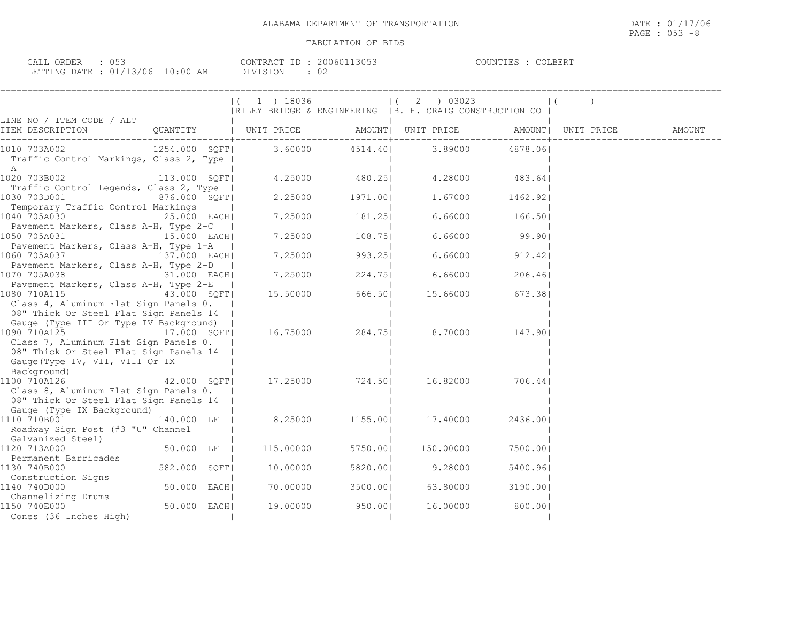| $\sim$ $\sim$ $\sim$ $\sim$<br>ORDER<br>لللطا<br>UJJ |               | CONTRACT ID | 13053<br>200601     | COLBERT<br>COUNTIES |
|------------------------------------------------------|---------------|-------------|---------------------|---------------------|
| LETTING DATE: 01/13/06                               | 10:00 .<br>ΔM | PIVISION    | $\sim$ $\sim$<br>◡∠ |                     |

| $ (1)$ 18036<br>$(2)$ 03023<br>$\vert$ (<br> RILEY BRIDGE & ENGINEERING   B. H. CRAIG CONSTRUCTION CO<br>LINE NO / ITEM CODE / ALT<br>ITEM DESCRIPTION<br>QUANTITY   UNIT PRICE      AMOUNT  UNIT PRICE     AMOUNT  UNIT PRICE     AMOUNT<br>1254.000 SQFT <br>3.60000<br>4514.40 3.89000 4878.06<br>1010 703A002<br>Traffic Control Markings, Class 2, Type  <br>A<br>1020 703B002<br>4.25000 480.25<br>4.28000 483.64<br>113.000 SQFT <br>Traffic Control Legends, Class 2, Type  <br>2.25000 1971.001<br>1030 703D001<br>876.000 SQFT<br>1.67000 1462.92<br>Temporary Traffic Control Markings<br>1040 705A030<br>25.000 EACH <br>7.25000<br>181.25<br>6.66000<br>166.501<br>Pavement Markers, Class A-H, Type 2-C  <br>7.25000 108.75<br>$6.66000$ 99.90<br>1050 705A031<br>15.000 EACH <br>Pavement Markers, Class A-H, Type 1-A<br>6.66000<br>137.000 EACH<br>7.25000 993.25<br>912.42<br>1060 705A037<br>Pavement Markers, Class A-H, Type 2-D<br>1070 705A038<br>31.000 EACH<br>7.25000<br>224.75<br>6.66000<br>206.46<br>Pavement Markers, Class A-H, Type 2-E<br>15.50000 666.50<br>1080 710A115<br>43.000 SQFT <br>15.66000<br>673.381<br>Class 4, Aluminum Flat Sign Panels 0.<br>08" Thick Or Steel Flat Sign Panels 14<br>Gauge (Type III Or Type IV Background)<br>1090 710A125<br>16.75000<br>284.751<br>17.000 SOFT<br>8.70000<br>147.901<br>Class 7, Aluminum Flat Sign Panels 0.<br>08" Thick Or Steel Flat Sign Panels 14<br>Gauge (Type IV, VII, VIII Or IX<br>Background)<br>42.000 SQFT<br>17.25000 724.50 16.82000<br>706.44<br>1100 710A126<br>Class 8, Aluminum Flat Sign Panels 0.<br>08" Thick Or Steel Flat Sign Panels 14<br>Gauge (Type IX Background)<br>8.25000<br>1110 710B001<br>140.000 LF  <br>1155.001<br>17.40000<br>2436.001<br>Roadway Sign Post (#3 "U" Channel<br>Galvanized Steel)<br>50.000 LF<br>115.00000<br>5750.001<br>150.00000<br>7500.001<br>1120 713A000<br>Permanent Barricades<br>10.00000<br>582.000 SQFT <br>9.28000<br>1130 740B000<br>5820.00<br>5400.961<br>Construction Signs |  |  |  |  |
|--------------------------------------------------------------------------------------------------------------------------------------------------------------------------------------------------------------------------------------------------------------------------------------------------------------------------------------------------------------------------------------------------------------------------------------------------------------------------------------------------------------------------------------------------------------------------------------------------------------------------------------------------------------------------------------------------------------------------------------------------------------------------------------------------------------------------------------------------------------------------------------------------------------------------------------------------------------------------------------------------------------------------------------------------------------------------------------------------------------------------------------------------------------------------------------------------------------------------------------------------------------------------------------------------------------------------------------------------------------------------------------------------------------------------------------------------------------------------------------------------------------------------------------------------------------------------------------------------------------------------------------------------------------------------------------------------------------------------------------------------------------------------------------------------------------------------------------------------------------------------------------------------------------------------------------------------------------------------------------------------------------------------------------------|--|--|--|--|
|                                                                                                                                                                                                                                                                                                                                                                                                                                                                                                                                                                                                                                                                                                                                                                                                                                                                                                                                                                                                                                                                                                                                                                                                                                                                                                                                                                                                                                                                                                                                                                                                                                                                                                                                                                                                                                                                                                                                                                                                                                            |  |  |  |  |
|                                                                                                                                                                                                                                                                                                                                                                                                                                                                                                                                                                                                                                                                                                                                                                                                                                                                                                                                                                                                                                                                                                                                                                                                                                                                                                                                                                                                                                                                                                                                                                                                                                                                                                                                                                                                                                                                                                                                                                                                                                            |  |  |  |  |
|                                                                                                                                                                                                                                                                                                                                                                                                                                                                                                                                                                                                                                                                                                                                                                                                                                                                                                                                                                                                                                                                                                                                                                                                                                                                                                                                                                                                                                                                                                                                                                                                                                                                                                                                                                                                                                                                                                                                                                                                                                            |  |  |  |  |
|                                                                                                                                                                                                                                                                                                                                                                                                                                                                                                                                                                                                                                                                                                                                                                                                                                                                                                                                                                                                                                                                                                                                                                                                                                                                                                                                                                                                                                                                                                                                                                                                                                                                                                                                                                                                                                                                                                                                                                                                                                            |  |  |  |  |
|                                                                                                                                                                                                                                                                                                                                                                                                                                                                                                                                                                                                                                                                                                                                                                                                                                                                                                                                                                                                                                                                                                                                                                                                                                                                                                                                                                                                                                                                                                                                                                                                                                                                                                                                                                                                                                                                                                                                                                                                                                            |  |  |  |  |
|                                                                                                                                                                                                                                                                                                                                                                                                                                                                                                                                                                                                                                                                                                                                                                                                                                                                                                                                                                                                                                                                                                                                                                                                                                                                                                                                                                                                                                                                                                                                                                                                                                                                                                                                                                                                                                                                                                                                                                                                                                            |  |  |  |  |
|                                                                                                                                                                                                                                                                                                                                                                                                                                                                                                                                                                                                                                                                                                                                                                                                                                                                                                                                                                                                                                                                                                                                                                                                                                                                                                                                                                                                                                                                                                                                                                                                                                                                                                                                                                                                                                                                                                                                                                                                                                            |  |  |  |  |
|                                                                                                                                                                                                                                                                                                                                                                                                                                                                                                                                                                                                                                                                                                                                                                                                                                                                                                                                                                                                                                                                                                                                                                                                                                                                                                                                                                                                                                                                                                                                                                                                                                                                                                                                                                                                                                                                                                                                                                                                                                            |  |  |  |  |
|                                                                                                                                                                                                                                                                                                                                                                                                                                                                                                                                                                                                                                                                                                                                                                                                                                                                                                                                                                                                                                                                                                                                                                                                                                                                                                                                                                                                                                                                                                                                                                                                                                                                                                                                                                                                                                                                                                                                                                                                                                            |  |  |  |  |
|                                                                                                                                                                                                                                                                                                                                                                                                                                                                                                                                                                                                                                                                                                                                                                                                                                                                                                                                                                                                                                                                                                                                                                                                                                                                                                                                                                                                                                                                                                                                                                                                                                                                                                                                                                                                                                                                                                                                                                                                                                            |  |  |  |  |
|                                                                                                                                                                                                                                                                                                                                                                                                                                                                                                                                                                                                                                                                                                                                                                                                                                                                                                                                                                                                                                                                                                                                                                                                                                                                                                                                                                                                                                                                                                                                                                                                                                                                                                                                                                                                                                                                                                                                                                                                                                            |  |  |  |  |
|                                                                                                                                                                                                                                                                                                                                                                                                                                                                                                                                                                                                                                                                                                                                                                                                                                                                                                                                                                                                                                                                                                                                                                                                                                                                                                                                                                                                                                                                                                                                                                                                                                                                                                                                                                                                                                                                                                                                                                                                                                            |  |  |  |  |
|                                                                                                                                                                                                                                                                                                                                                                                                                                                                                                                                                                                                                                                                                                                                                                                                                                                                                                                                                                                                                                                                                                                                                                                                                                                                                                                                                                                                                                                                                                                                                                                                                                                                                                                                                                                                                                                                                                                                                                                                                                            |  |  |  |  |
|                                                                                                                                                                                                                                                                                                                                                                                                                                                                                                                                                                                                                                                                                                                                                                                                                                                                                                                                                                                                                                                                                                                                                                                                                                                                                                                                                                                                                                                                                                                                                                                                                                                                                                                                                                                                                                                                                                                                                                                                                                            |  |  |  |  |
|                                                                                                                                                                                                                                                                                                                                                                                                                                                                                                                                                                                                                                                                                                                                                                                                                                                                                                                                                                                                                                                                                                                                                                                                                                                                                                                                                                                                                                                                                                                                                                                                                                                                                                                                                                                                                                                                                                                                                                                                                                            |  |  |  |  |
|                                                                                                                                                                                                                                                                                                                                                                                                                                                                                                                                                                                                                                                                                                                                                                                                                                                                                                                                                                                                                                                                                                                                                                                                                                                                                                                                                                                                                                                                                                                                                                                                                                                                                                                                                                                                                                                                                                                                                                                                                                            |  |  |  |  |
|                                                                                                                                                                                                                                                                                                                                                                                                                                                                                                                                                                                                                                                                                                                                                                                                                                                                                                                                                                                                                                                                                                                                                                                                                                                                                                                                                                                                                                                                                                                                                                                                                                                                                                                                                                                                                                                                                                                                                                                                                                            |  |  |  |  |
|                                                                                                                                                                                                                                                                                                                                                                                                                                                                                                                                                                                                                                                                                                                                                                                                                                                                                                                                                                                                                                                                                                                                                                                                                                                                                                                                                                                                                                                                                                                                                                                                                                                                                                                                                                                                                                                                                                                                                                                                                                            |  |  |  |  |
|                                                                                                                                                                                                                                                                                                                                                                                                                                                                                                                                                                                                                                                                                                                                                                                                                                                                                                                                                                                                                                                                                                                                                                                                                                                                                                                                                                                                                                                                                                                                                                                                                                                                                                                                                                                                                                                                                                                                                                                                                                            |  |  |  |  |
|                                                                                                                                                                                                                                                                                                                                                                                                                                                                                                                                                                                                                                                                                                                                                                                                                                                                                                                                                                                                                                                                                                                                                                                                                                                                                                                                                                                                                                                                                                                                                                                                                                                                                                                                                                                                                                                                                                                                                                                                                                            |  |  |  |  |
|                                                                                                                                                                                                                                                                                                                                                                                                                                                                                                                                                                                                                                                                                                                                                                                                                                                                                                                                                                                                                                                                                                                                                                                                                                                                                                                                                                                                                                                                                                                                                                                                                                                                                                                                                                                                                                                                                                                                                                                                                                            |  |  |  |  |
|                                                                                                                                                                                                                                                                                                                                                                                                                                                                                                                                                                                                                                                                                                                                                                                                                                                                                                                                                                                                                                                                                                                                                                                                                                                                                                                                                                                                                                                                                                                                                                                                                                                                                                                                                                                                                                                                                                                                                                                                                                            |  |  |  |  |
|                                                                                                                                                                                                                                                                                                                                                                                                                                                                                                                                                                                                                                                                                                                                                                                                                                                                                                                                                                                                                                                                                                                                                                                                                                                                                                                                                                                                                                                                                                                                                                                                                                                                                                                                                                                                                                                                                                                                                                                                                                            |  |  |  |  |
|                                                                                                                                                                                                                                                                                                                                                                                                                                                                                                                                                                                                                                                                                                                                                                                                                                                                                                                                                                                                                                                                                                                                                                                                                                                                                                                                                                                                                                                                                                                                                                                                                                                                                                                                                                                                                                                                                                                                                                                                                                            |  |  |  |  |
|                                                                                                                                                                                                                                                                                                                                                                                                                                                                                                                                                                                                                                                                                                                                                                                                                                                                                                                                                                                                                                                                                                                                                                                                                                                                                                                                                                                                                                                                                                                                                                                                                                                                                                                                                                                                                                                                                                                                                                                                                                            |  |  |  |  |
|                                                                                                                                                                                                                                                                                                                                                                                                                                                                                                                                                                                                                                                                                                                                                                                                                                                                                                                                                                                                                                                                                                                                                                                                                                                                                                                                                                                                                                                                                                                                                                                                                                                                                                                                                                                                                                                                                                                                                                                                                                            |  |  |  |  |
|                                                                                                                                                                                                                                                                                                                                                                                                                                                                                                                                                                                                                                                                                                                                                                                                                                                                                                                                                                                                                                                                                                                                                                                                                                                                                                                                                                                                                                                                                                                                                                                                                                                                                                                                                                                                                                                                                                                                                                                                                                            |  |  |  |  |
|                                                                                                                                                                                                                                                                                                                                                                                                                                                                                                                                                                                                                                                                                                                                                                                                                                                                                                                                                                                                                                                                                                                                                                                                                                                                                                                                                                                                                                                                                                                                                                                                                                                                                                                                                                                                                                                                                                                                                                                                                                            |  |  |  |  |
|                                                                                                                                                                                                                                                                                                                                                                                                                                                                                                                                                                                                                                                                                                                                                                                                                                                                                                                                                                                                                                                                                                                                                                                                                                                                                                                                                                                                                                                                                                                                                                                                                                                                                                                                                                                                                                                                                                                                                                                                                                            |  |  |  |  |
|                                                                                                                                                                                                                                                                                                                                                                                                                                                                                                                                                                                                                                                                                                                                                                                                                                                                                                                                                                                                                                                                                                                                                                                                                                                                                                                                                                                                                                                                                                                                                                                                                                                                                                                                                                                                                                                                                                                                                                                                                                            |  |  |  |  |
|                                                                                                                                                                                                                                                                                                                                                                                                                                                                                                                                                                                                                                                                                                                                                                                                                                                                                                                                                                                                                                                                                                                                                                                                                                                                                                                                                                                                                                                                                                                                                                                                                                                                                                                                                                                                                                                                                                                                                                                                                                            |  |  |  |  |
|                                                                                                                                                                                                                                                                                                                                                                                                                                                                                                                                                                                                                                                                                                                                                                                                                                                                                                                                                                                                                                                                                                                                                                                                                                                                                                                                                                                                                                                                                                                                                                                                                                                                                                                                                                                                                                                                                                                                                                                                                                            |  |  |  |  |
|                                                                                                                                                                                                                                                                                                                                                                                                                                                                                                                                                                                                                                                                                                                                                                                                                                                                                                                                                                                                                                                                                                                                                                                                                                                                                                                                                                                                                                                                                                                                                                                                                                                                                                                                                                                                                                                                                                                                                                                                                                            |  |  |  |  |
|                                                                                                                                                                                                                                                                                                                                                                                                                                                                                                                                                                                                                                                                                                                                                                                                                                                                                                                                                                                                                                                                                                                                                                                                                                                                                                                                                                                                                                                                                                                                                                                                                                                                                                                                                                                                                                                                                                                                                                                                                                            |  |  |  |  |
|                                                                                                                                                                                                                                                                                                                                                                                                                                                                                                                                                                                                                                                                                                                                                                                                                                                                                                                                                                                                                                                                                                                                                                                                                                                                                                                                                                                                                                                                                                                                                                                                                                                                                                                                                                                                                                                                                                                                                                                                                                            |  |  |  |  |
|                                                                                                                                                                                                                                                                                                                                                                                                                                                                                                                                                                                                                                                                                                                                                                                                                                                                                                                                                                                                                                                                                                                                                                                                                                                                                                                                                                                                                                                                                                                                                                                                                                                                                                                                                                                                                                                                                                                                                                                                                                            |  |  |  |  |
|                                                                                                                                                                                                                                                                                                                                                                                                                                                                                                                                                                                                                                                                                                                                                                                                                                                                                                                                                                                                                                                                                                                                                                                                                                                                                                                                                                                                                                                                                                                                                                                                                                                                                                                                                                                                                                                                                                                                                                                                                                            |  |  |  |  |
| 50.000 EACH <br>1140 740D000<br>70.00000<br>3500.001<br>63.80000<br>3190.001                                                                                                                                                                                                                                                                                                                                                                                                                                                                                                                                                                                                                                                                                                                                                                                                                                                                                                                                                                                                                                                                                                                                                                                                                                                                                                                                                                                                                                                                                                                                                                                                                                                                                                                                                                                                                                                                                                                                                               |  |  |  |  |
| Channelizing Drums                                                                                                                                                                                                                                                                                                                                                                                                                                                                                                                                                                                                                                                                                                                                                                                                                                                                                                                                                                                                                                                                                                                                                                                                                                                                                                                                                                                                                                                                                                                                                                                                                                                                                                                                                                                                                                                                                                                                                                                                                         |  |  |  |  |
| 50.000 EACH<br>19.00000<br>950.001<br>16.00000<br>1150 740E000<br>800.001                                                                                                                                                                                                                                                                                                                                                                                                                                                                                                                                                                                                                                                                                                                                                                                                                                                                                                                                                                                                                                                                                                                                                                                                                                                                                                                                                                                                                                                                                                                                                                                                                                                                                                                                                                                                                                                                                                                                                                  |  |  |  |  |
| Cones (36 Inches High)                                                                                                                                                                                                                                                                                                                                                                                                                                                                                                                                                                                                                                                                                                                                                                                                                                                                                                                                                                                                                                                                                                                                                                                                                                                                                                                                                                                                                                                                                                                                                                                                                                                                                                                                                                                                                                                                                                                                                                                                                     |  |  |  |  |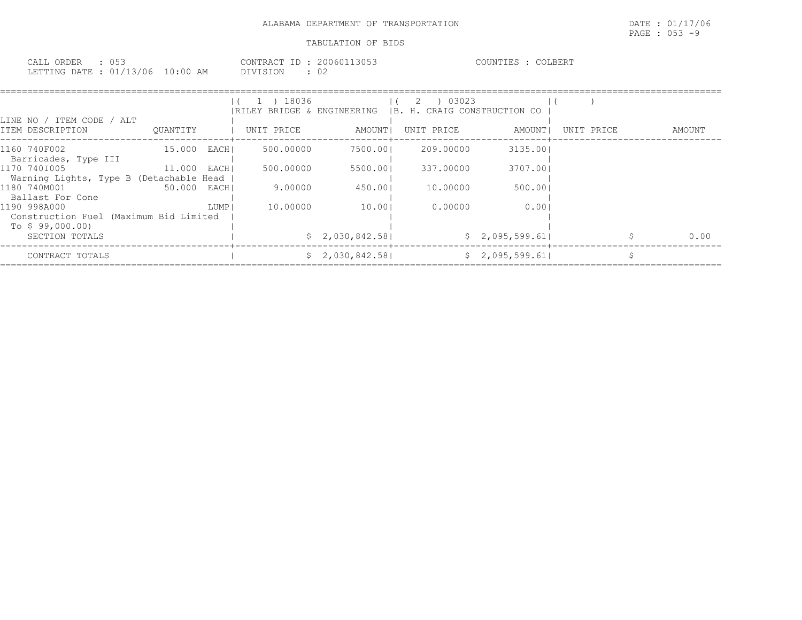| 053<br>CALL ORDER               |          | CONTRACT ID: 20060113053 | COUNTIES :<br>COLBERT |
|---------------------------------|----------|--------------------------|-----------------------|
| LETTING DATE: 01/13/06 10:00 AM | DIVISION | ∩∩                       |                       |

| LINE NO / ITEM CODE / ALT                                                 |              |      | 1 ) 18036<br> RILEY BRIDGE & ENGINEERING  B. H. CRAIG CONSTRUCTION CO |                 | $1(2)$ 03023 |                |            |        |
|---------------------------------------------------------------------------|--------------|------|-----------------------------------------------------------------------|-----------------|--------------|----------------|------------|--------|
| ITEM DESCRIPTION                                                          | OUANTITY     |      | UNIT PRICE                                                            | AMOUNT          | UNIT PRICE   | AMOUNT         | UNIT PRICE | AMOUNT |
| 1160 740F002<br>Barricades, Type III                                      | 15.000 EACHI |      | 500,00000                                                             | 7500.001        | 209.00000    | 3135.001       |            |        |
| 1170 7401005<br>Warning Lights, Type B (Detachable Head                   | 11.000 EACH  |      | 500,00000                                                             | 5500.001        | 337.00000    | 3707.001       |            |        |
| 1180 740M001<br>Ballast For Cone                                          | 50.000 EACHI |      | 9.00000                                                               | 450.001         | 10,00000     | 500.001        |            |        |
| 1190 998A000<br>Construction Fuel (Maximum Bid Limited<br>To \$99,000.00) |              | LUMP | 10.00000                                                              | 10.001          | 0.00000      | 0.001          |            |        |
| SECTION TOTALS                                                            |              |      |                                                                       | \$2,030,842.58] |              | \$2,095,599.61 |            | 0.00   |
| CONTRACT TOTALS                                                           |              |      |                                                                       | \$2,030,842.58] |              | \$2,095,599.61 |            |        |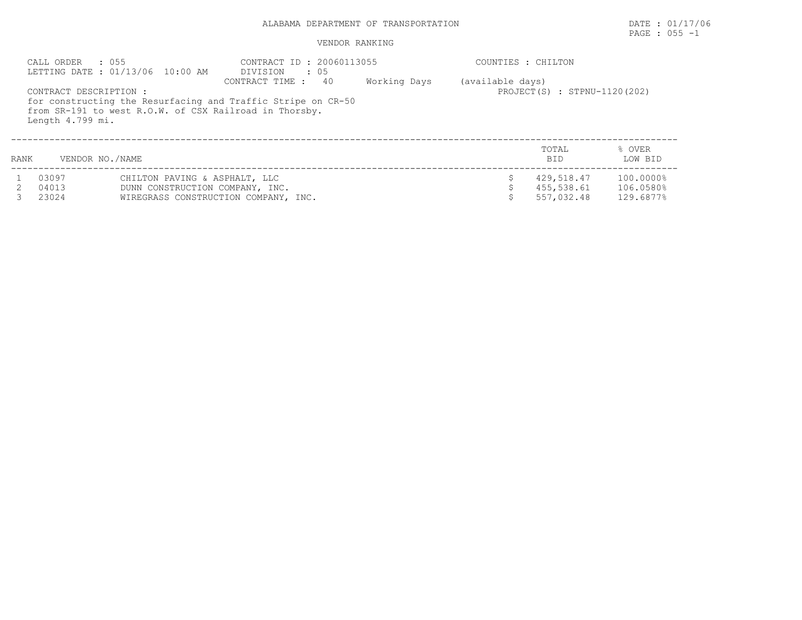## $\texttt{PAGE}$  : 055 -1

|      | $\therefore$ 055<br>CALL ORDER             | LETTING DATE: 01/13/06 10:00 AM                                  | CONTRACT ID: 20060113055<br>DIVISION<br>: 05                                                                                                    |              | COUNTIES : CHILTON |                                        |                                     |
|------|--------------------------------------------|------------------------------------------------------------------|-------------------------------------------------------------------------------------------------------------------------------------------------|--------------|--------------------|----------------------------------------|-------------------------------------|
|      | CONTRACT DESCRIPTION :<br>Length 4.799 mi. |                                                                  | 40<br>CONTRACT TIME :<br>for constructing the Resurfacing and Traffic Stripe on CR-50<br>from SR-191 to west R.O.W. of CSX Railroad in Thorsby. | Working Days | (available days)   | PROJECT(S) : STPNU-1120(202)           |                                     |
| RANK | VENDOR NO./NAME                            |                                                                  |                                                                                                                                                 |              |                    | TOTAL<br><b>BID</b>                    | % OVER<br>LOW BID                   |
|      | 03097<br>04013<br>23024                    | CHILTON PAVING & ASPHALT, LLC<br>DUNN CONSTRUCTION COMPANY, INC. | WIREGRASS CONSTRUCTION COMPANY, INC.                                                                                                            |              |                    | 429,518.47<br>455,538.61<br>557,032.48 | 100.0000%<br>106.0580%<br>129.6877% |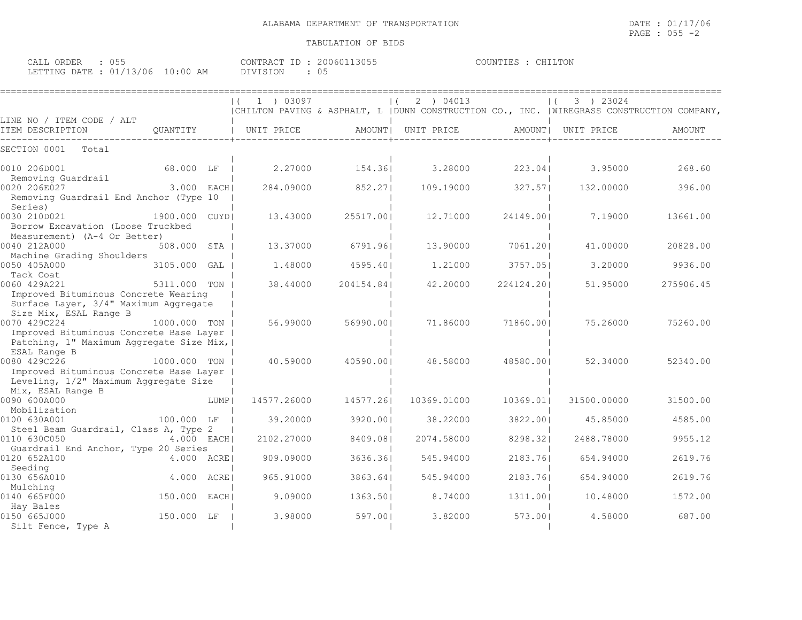| CALL ORDER                      | <b>11.1.1</b> |          | CONTRACT ID: 20060113055 | COUNTIES : CHILTON |  |
|---------------------------------|---------------|----------|--------------------------|--------------------|--|
| LETTING DATE: 01/13/06 10:00 AM |               | DIVISION |                          |                    |  |

|                                                                                                                                                 |                |       | 1 ) 03097   |            | 2 ) 04013                                                                                   |            | 3 ) 23024          |           |
|-------------------------------------------------------------------------------------------------------------------------------------------------|----------------|-------|-------------|------------|---------------------------------------------------------------------------------------------|------------|--------------------|-----------|
|                                                                                                                                                 |                |       |             |            | CHILTON PAVING & ASPHALT, L   DUNN CONSTRUCTION CO., INC.   WIREGRASS CONSTRUCTION COMPANY, |            |                    |           |
| LINE NO / ITEM CODE / ALT<br>ITEM DESCRIPTION                                                                                                   | QUANTITY       |       | UNIT PRICE  |            | AMOUNT   UNIT PRICE                                                                         |            | AMOUNT  UNIT PRICE | AMOUNT    |
| SECTION 0001<br>Total                                                                                                                           |                |       |             |            |                                                                                             |            |                    |           |
| 0010 206D001<br>Removing Guardrail                                                                                                              | 68.000 LF      |       | 2,27000     | 154.361    | 3.28000                                                                                     | 223.041    | 3.95000            | 268.60    |
| 0020 206E027<br>Removing Guardrail End Anchor (Type 10<br>Series)                                                                               | 3.000 EACH     |       | 284.09000   | 852.271    | 109.19000                                                                                   | 327.57     | 132.00000          | 396.00    |
| 0030 210D021<br>Borrow Excavation (Loose Truckbed<br>Measurement) (A-4 Or Better)                                                               | 1900.000 CUYDI |       | 13.43000    | 25517.001  | 12,71000                                                                                    | 24149.001  | 7.19000            | 13661.00  |
| 0040 212A000<br>Machine Grading Shoulders                                                                                                       | 508.000 STA    |       | 13.37000    | 6791.961   | 13.90000                                                                                    | 7061.201   | 41,00000           | 20828.00  |
| 0050 405A000<br>Tack Coat                                                                                                                       | 3105.000       | GAL   | 1,48000     | 4595.401   | 1,21000                                                                                     | 3757.051   | 3,20000            | 9936.00   |
| 0060 429A221<br>Improved Bituminous Concrete Wearing<br>Surface Layer, 3/4" Maximum Aggregate                                                   | 5311,000 TON   |       | 38.44000    | 204154.841 | 42,20000                                                                                    | 224124.201 | 51,95000           | 275906.45 |
| Size Mix, ESAL Range B<br>0070 429C224<br>Improved Bituminous Concrete Base Layer<br>Patching, 1" Maximum Aggregate Size Mix,  <br>ESAL Range B | 1000.000 TON   |       | 56.99000    | 56990.001  | 71.86000                                                                                    | 71860.001  | 75.26000           | 75260.00  |
| 0080 429C226<br>Improved Bituminous Concrete Base Layer<br>Leveling, 1/2" Maximum Aggregate Size<br>Mix, ESAL Range B                           | 1000.000 TON   |       | 40.59000    | 40590.001  | 48.58000                                                                                    | 48580.001  | 52.34000           | 52340.00  |
| 0090 600A000<br>Mobilization                                                                                                                    |                | LUMP  | 14577.26000 | 14577.261  | 10369.01000                                                                                 | 10369.011  | 31500.00000        | 31500.00  |
| 0100 630A001<br>Steel Beam Guardrail, Class A, Type 2                                                                                           | 100.000 LF     |       | 39.20000    | 3920.001   | 38,22000                                                                                    | 3822.001   | 45.85000           | 4585.00   |
| 0110 630C050<br>Guardrail End Anchor, Type 20 Series                                                                                            | 4.000 EACHI    |       | 2102.27000  | 8409.081   | 2074.58000                                                                                  | 8298.321   | 2488.78000         | 9955.12   |
| 0120 652A100<br>Seeding                                                                                                                         | 4.000 ACRE     |       | 909,09000   | 3636.361   | 545.94000                                                                                   | 2183.761   | 654.94000          | 2619.76   |
| 0130 656A010<br>Mulching                                                                                                                        | 4.000 ACRE     |       | 965.91000   | 3863.641   | 545.94000                                                                                   | 2183.761   | 654.94000          | 2619.76   |
| 0140 665F000<br>Hay Bales                                                                                                                       | 150.000        | EACHI | 9.09000     | 1363.501   | 8,74000                                                                                     | 1311.001   | 10.48000           | 1572.00   |
| 0150 665J000<br>Silt Fence, Type A                                                                                                              | 150.000 LF     |       | 3.98000     | 597.001    | 3.82000                                                                                     | 573.001    | 4.58000            | 687.00    |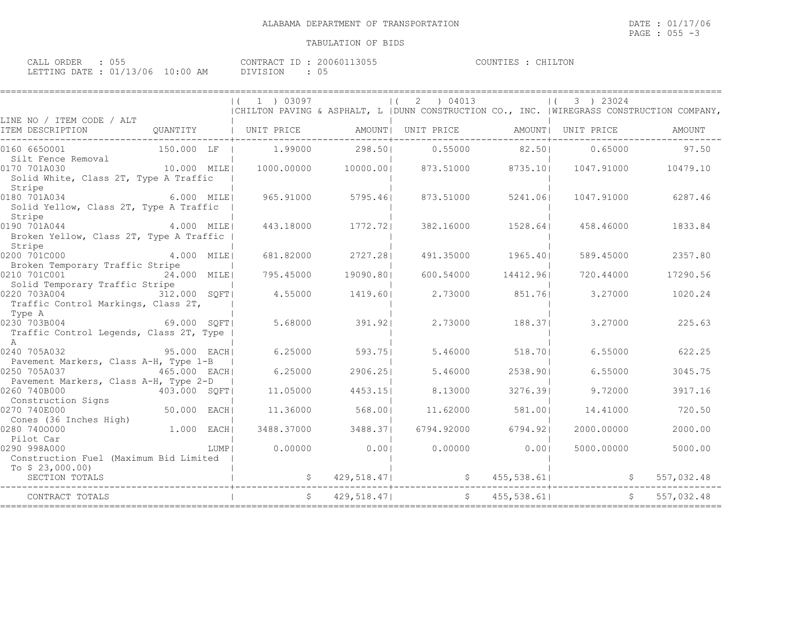| $\sim$ $ -$<br>CALL<br>ORDER<br>∪ ∪ ∪ |                                 | CONTRACT        | 13055<br>200601 | COUNTIES | LTON |
|---------------------------------------|---------------------------------|-----------------|-----------------|----------|------|
| LETTING DATE :                        | 10:00<br>$\cdot$ 01/13/06<br>AM | <b>DIVISION</b> | ◡ ◡             |          |      |

|                                                                                                       | 1 ) 03097             |             | 2 ) 04013<br>$\Box$<br>  CHILTON PAVING & ASPHALT, L   DUNN CONSTRUCTION CO., INC.   WIREGRASS CONSTRUCTION COMPANY, |            | 3 ) 23024  |            |
|-------------------------------------------------------------------------------------------------------|-----------------------|-------------|----------------------------------------------------------------------------------------------------------------------|------------|------------|------------|
| LINE NO / ITEM CODE / ALT<br>ITEM DESCRIPTION                                                         | OUANTITY   UNIT PRICE |             | AMOUNT  UNIT PRICE AMOUNT  UNIT PRICE                                                                                |            |            | AMOUNT     |
| 0160 6650001<br>150.000 LF                                                                            |                       |             | $1.99000$ 298.50 0.55000 82.50                                                                                       |            | 0.65000    | 97.50      |
| Silt Fence Removal<br>10.000 MILE <br>0170 701A030<br>Solid White, Class 2T, Type A Traffic<br>Stripe | 1000.00000            |             | 10000.001 873.51000 8735.101 1047.91000 10479.10                                                                     |            |            |            |
| 0180 701A034 6.000 MILE<br>Solid Yellow, Class 2T, Type A Traffic<br>Stripe                           | 965.91000             | 5795.461    | 873.51000                                                                                                            | 5241.061   | 1047.91000 | 6287.46    |
| 0190 701A044<br>4.000 MILEI<br>Broken Yellow, Class 2T, Type A Traffic<br>Stripe                      | 443.18000             | 1772.721    | 382.16000                                                                                                            | 1528.641   | 458.46000  | 1833.84    |
| 4.000 MILE<br>0200 701C000                                                                            | 681.82000             | 2727.281    | 491.35000                                                                                                            | 1965.401   | 589.45000  | 2357.80    |
| Broken Temporary Traffic Stripe<br>0210 701C001<br>24.000 MILE                                        | 795.45000             | 19090.801   | 600.54000                                                                                                            | 14412.961  | 720.44000  | 17290.56   |
| Solid Temporary Traffic Stripe<br>0220 703A004 312.000 SQFT<br>Traffic Control Markings, Class 2T,    | 4.55000               | 1419.601    | 2.73000                                                                                                              | 851.761    | 3.27000    | 1020.24    |
| Type A<br>69.000 SQFT<br>0230 703B004<br>Traffic Control Legends, Class 2T, Type<br>$\mathsf{A}$      | 5.68000               | 391.921     | 2.73000                                                                                                              | 188.371    | 3.27000    | 225.63     |
| 0240 705A032<br>95.000 EACH<br>Pavement Markers, Class A-H, Type 1-B                                  | 6.25000               | 593.751     | 5.46000                                                                                                              | 518.701    | 6.55000    | 622.25     |
| 0250 705A037<br>465.000 EACH<br>Pavement Markers, Class A-H, Type 2-D                                 | 6.25000               | 2906.251    | 5.46000                                                                                                              | 2538.901   | 6.55000    | 3045.75    |
| 0260 740B000<br>403.000 SQFT                                                                          | 11,05000              | 4453.151    | 8.13000                                                                                                              | 3276.39    | 9,72000    | 3917.16    |
| Construction Signs<br>50.000 EACH <br>0270 740E000                                                    | 11.36000              | 568.001     | 11.62000                                                                                                             | 581.00     | 14,41000   | 720.50     |
| Cones (36 Inches High)<br>0280 7400000<br>1.000<br><b>EACH</b>                                        | 3488.37000            | 3488.371    | 6794.92000                                                                                                           | 6794.921   | 2000.00000 | 2000.00    |
| Pilot Car<br>0290 998A000<br>Construction Fuel (Maximum Bid Limited                                   | LUMP   0.00000        | $0.00$      | 0.00000                                                                                                              | 0.001      | 5000.00000 | 5000.00    |
| To $$23,000.00)$<br>SECTION TOTALS                                                                    |                       |             |                                                                                                                      |            |            | 557,032.48 |
| CONTRACT TOTALS                                                                                       |                       | 429, 518.47 |                                                                                                                      | 455,538.61 |            | 557,032.48 |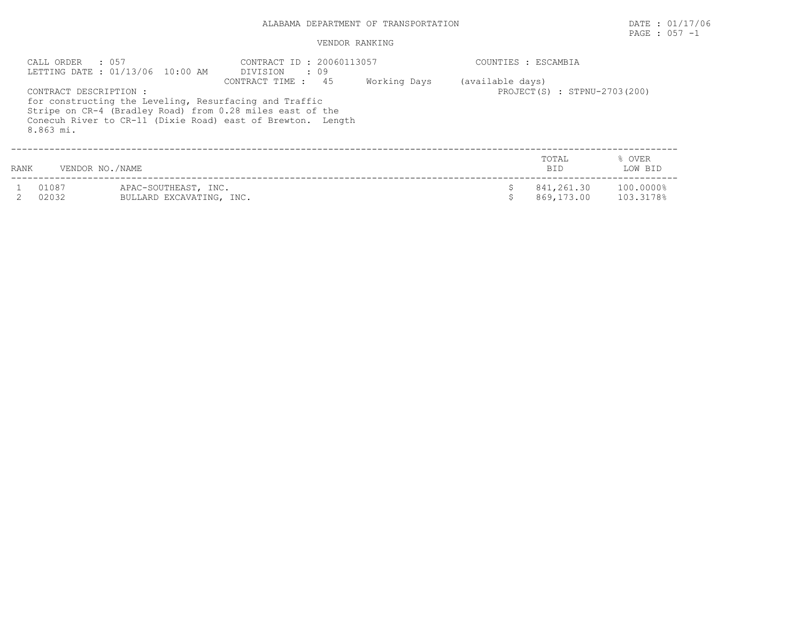# PAGE : 057 -1

|      | CALL ORDER : 057                    | LETTING DATE : 01/13/06 10:00 AM                                                                                                                                                   | CONTRACT ID: 20060113057<br>DIVISION<br>$\cdot$ 09 |              |                  | COUNTIES : ESCAMBIA          |                        |
|------|-------------------------------------|------------------------------------------------------------------------------------------------------------------------------------------------------------------------------------|----------------------------------------------------|--------------|------------------|------------------------------|------------------------|
|      | CONTRACT DESCRIPTION :<br>8.863 mi. | for constructing the Leveling, Resurfacing and Traffic<br>Stripe on CR-4 (Bradley Road) from 0.28 miles east of the<br>Conecuh River to CR-11 (Dixie Road) east of Brewton. Length | CONTRACT TIME : 45                                 | Working Days | (available days) | PROJECT(S) : STPNU-2703(200) |                        |
| RANK | VENDOR NO./NAME                     |                                                                                                                                                                                    |                                                    |              |                  | TOTAL<br>BID.                | % OVER<br>LOW BID      |
|      | 01087<br>02032                      | APAC-SOUTHEAST, INC.<br>BULLARD EXCAVATING, INC.                                                                                                                                   |                                                    |              | \$.              | 841,261.30<br>869,173.00     | 100,0000%<br>103.3178% |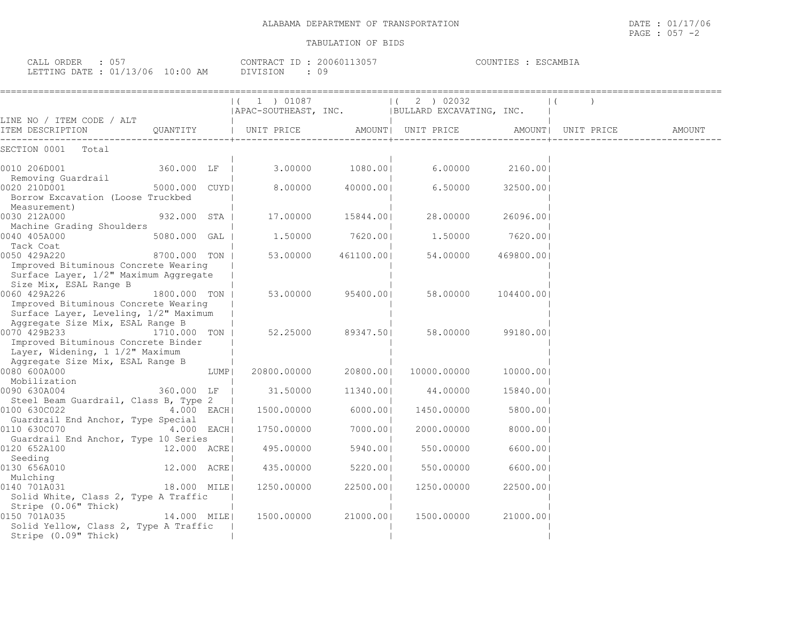| TRANSPORTATION<br>DEPARTMENT<br>OF<br>273D213<br>ALABAMA | 1.1717102<br>DATE<br>7 U O<br>the contract of the contract of the contract of the contract of the contract of the contract of the contract of |
|----------------------------------------------------------|-----------------------------------------------------------------------------------------------------------------------------------------------|
|                                                          | 057<br>PAGE<br>$\sim$                                                                                                                         |

|                                                                                                                   |                |      | 1) 01087<br>$\left  \right $<br>  APAC-SOUTHEAST, INC.   BULLARD EXCAVATING, INC. |                 | 2 ) 02032<br>$\Box$ |           |            |  |  |
|-------------------------------------------------------------------------------------------------------------------|----------------|------|-----------------------------------------------------------------------------------|-----------------|---------------------|-----------|------------|--|--|
| LINE NO / ITEM CODE / ALT<br>ITEM DESCRIPTION                                                                     |                |      |                                                                                   |                 |                     |           |            |  |  |
|                                                                                                                   |                |      |                                                                                   |                 |                     |           |            |  |  |
| SECTION 0001 Total                                                                                                |                |      |                                                                                   |                 |                     |           |            |  |  |
| 0010 206D001                                                                                                      | 360.000 LF     |      |                                                                                   | 3.00000 1080.00 |                     | 6.00000   | 2160.001   |  |  |
| Removing Guardrail<br>0020 210D001<br>Borrow Excavation (Loose Truckbed                                           | 5000.000 CUYDI |      | 8.00000                                                                           | 40000.001       |                     | 6.50000   | 32500.001  |  |  |
| Measurement)<br>0030 212A000<br>Machine Grading Shoulders                                                         | 932.000 STA    |      | 17.00000                                                                          | 15844.001       |                     | 28.00000  | 26096.001  |  |  |
| 0040 405A000<br>Tack Coat                                                                                         | 5080.000 GAL   |      | 1.50000                                                                           | 7620.001        |                     | 1.50000   | 7620.001   |  |  |
| 0050 429A220<br>8700.000 TON<br>Improved Bituminous Concrete Wearing                                              |                |      | 53.00000                                                                          | 461100.001      |                     | 54.00000  | 469800.001 |  |  |
| Surface Layer, 1/2" Maximum Aggregate<br>Size Mix, ESAL Range B                                                   |                |      |                                                                                   |                 |                     |           |            |  |  |
| 0060 429A226                                                                                                      | 1800.000 TON   |      | 53.00000                                                                          | 95400.001       |                     | 58.00000  | 104400.001 |  |  |
| Improved Bituminous Concrete Wearing<br>Surface Layer, Leveling, 1/2" Maximum<br>Aggregate Size Mix, ESAL Range B |                |      |                                                                                   |                 |                     |           |            |  |  |
| 0070 429B233<br>Improved Bituminous Concrete Binder                                                               | 1710.000 TON   |      | 52.25000                                                                          | 89347.501       |                     | 58.00000  | 99180.001  |  |  |
| Layer, Widening, 1 1/2" Maximum<br>Aggregate Size Mix, ESAL Range B                                               |                |      |                                                                                   |                 |                     |           |            |  |  |
| 0080 600A000<br>Mobilization                                                                                      |                | LUMP | 20800.00000                                                                       | 20800.001       | 10000.00000         |           | 10000.001  |  |  |
| 0090 630A004                                                                                                      | 360.000 LF     |      | 31.50000                                                                          | 11340.001       |                     | 44.00000  | 15840.001  |  |  |
| Steel Beam Guardrail, Class B, Type 2<br>0100 630C022                                                             | 4.000 EACH     |      | 1500.00000                                                                        | 6000.001        | 1450.00000          |           | 5800.001   |  |  |
| Guardrail End Anchor, Type Special<br>0110 630C070                                                                | $4.000$ EACH   |      | 1750.00000                                                                        | 7000.001        | 2000.00000          |           | 8000.001   |  |  |
| Guardrail End Anchor, Type 10 Series<br>0120 652A100                                                              | 12.000 ACRE    |      | 495.00000                                                                         | 5940.001        |                     | 550.00000 | 6600.001   |  |  |
| Seeding<br>0130 656A010                                                                                           | 12.000 ACRE    |      | 435.00000                                                                         | 5220.001        |                     | 550.00000 | 6600.001   |  |  |
| Mulching<br>0140 701A031                                                                                          | 18.000 MILE    |      | 1250.00000                                                                        | 22500.001       | 1250.00000          |           | 22500.00   |  |  |
| Solid White, Class 2, Type A Traffic<br>Stripe (0.06" Thick)                                                      |                |      |                                                                                   |                 |                     |           |            |  |  |
| 0150 701A035<br>Solid Yellow, Class 2, Type A Traffic                                                             | 14.000 MILEI   |      | 1500.00000                                                                        | 21000.001       | 1500.00000          |           | 21000.001  |  |  |

Stripe (0.09" Thick) | | |

CALL ORDER : 057 CONTRACT ID : 20060113057 COUNTIES : ESCAMBIA LETTING DATE : 01/13/06 10:00 AM DIVISION : 09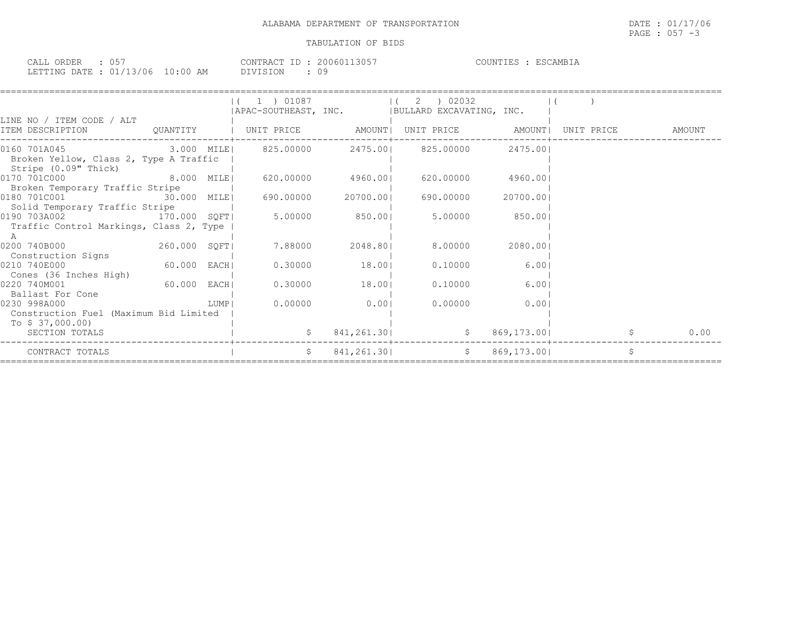| CALL ORDER                      | : 057 |          | CONTRACT ID: 20060113057 | COUNTIES : ESCAMBIA |
|---------------------------------|-------|----------|--------------------------|---------------------|
| LETTING DATE: 01/13/06 10:00 AM |       | DIVISION | 09                       |                     |

|                                                                                                                                                      |      | 1 ) 01087    |                 | 2 ) 02032<br>  APAC-SOUTHEAST, INC.   BULLARD EXCAVATING, INC. |           |                   |      |
|------------------------------------------------------------------------------------------------------------------------------------------------------|------|--------------|-----------------|----------------------------------------------------------------|-----------|-------------------|------|
| LINE NO / ITEM CODE / ALT<br>ITEM DESCRIPTION CUANTITY   UNIT PRICE AMOUNT  UNIT PRICE AMOUNT  UNIT PRICE AMOUNT  UNIT PRICE                         |      |              |                 |                                                                |           |                   |      |
| $[0160 701A045$ 2475.00 $00 10160 3475.0000$ 2475.00 2475.00 2475.00<br>Broken Yellow, Class 2, Type A Traffic<br>Stripe (0.09" Thick)               |      |              |                 |                                                                |           |                   |      |
| 0170 701C000 8.000 MILE<br>Broken Temporary Traffic Stripe                                                                                           |      |              |                 | 620.00000 4960.00  620.00000                                   | 4960.001  |                   |      |
| Solid Temporary Traffic Stripe                                                                                                                       |      |              |                 |                                                                | 20700.001 |                   |      |
| $\begin{bmatrix} 0190 & 703A002 & 1000 & 170.000 & 50F \end{bmatrix}$ 5.00000 850.00 650.00 850.00<br>Traffic Control Markings, Class 2, Type  <br>A |      |              |                 |                                                                |           |                   |      |
| 260.000 SQFT<br>0200 740B000<br>Construction Signs                                                                                                   |      | 7.88000      | 2048.801        | 8.00000                                                        | 2080.001  |                   |      |
| 5<br>0210 740E000<br>Cones (36 Inches High)                                                                                                          |      |              | $0.30000$ 18.00 | 0.10000                                                        | 6.001     |                   |      |
| 60.000 EACH<br>0220 740M001<br>Ballast For Cone                                                                                                      |      |              | $0.30000$ 18.00 | 0.10000                                                        | 6.001     |                   |      |
| 0230 998A000<br>Construction Fuel (Maximum Bid Limited<br>To \$ 37,000.00)                                                                           | LUMP | 0.00000      | 0.001           | 0.00000                                                        | 0.001     |                   |      |
| SECTION TOTALS                                                                                                                                       |      | $\mathsf{S}$ |                 | 841, 261.30<br>$\mathsf{S}$                                    |           | 869,173.00   2001 | 0.00 |
| CONTRACT TOTALS                                                                                                                                      |      | S            |                 | 841,261.30   \$ 869,173.00                                     |           |                   | Ś    |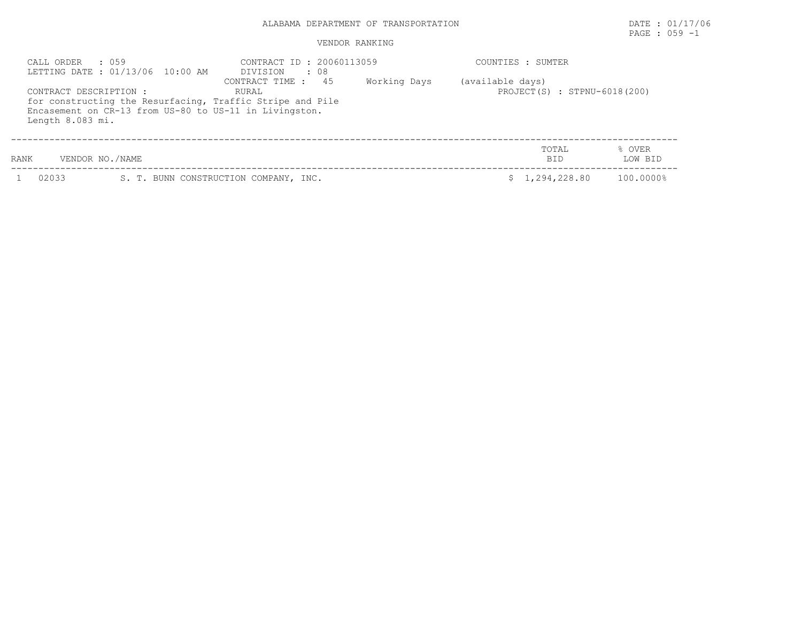#### VENDOR RANKING

| CALL ORDER : 059<br>CONTRACT DESCRIPTION :<br>Length 8.083 mi. | LETTING DATE: 01/13/06 10:00 AM<br>Encasement on CR-13 from US-80 to US-11 in Livingston. | CONTRACT ID: 20060113059<br>DIVISION<br>. 08<br>CONTRACT TIME : 45<br>RURAL<br>for constructing the Resurfacing, Traffic Stripe and Pile | Working Days | COUNTIES : SUMTER<br>(available days)<br>PROJECT(S) : STPNU-6018(200) |                     |                   |
|----------------------------------------------------------------|-------------------------------------------------------------------------------------------|------------------------------------------------------------------------------------------------------------------------------------------|--------------|-----------------------------------------------------------------------|---------------------|-------------------|
| RANK                                                           | VENDOR NO./NAME                                                                           |                                                                                                                                          |              |                                                                       | TOTAL<br><b>BID</b> | % OVER<br>LOW BID |
| 02033                                                          |                                                                                           | S. T. BUNN CONSTRUCTION COMPANY, INC.                                                                                                    |              |                                                                       | \$1,294,228.80      | 100.0000%         |

PAGE : 059 -1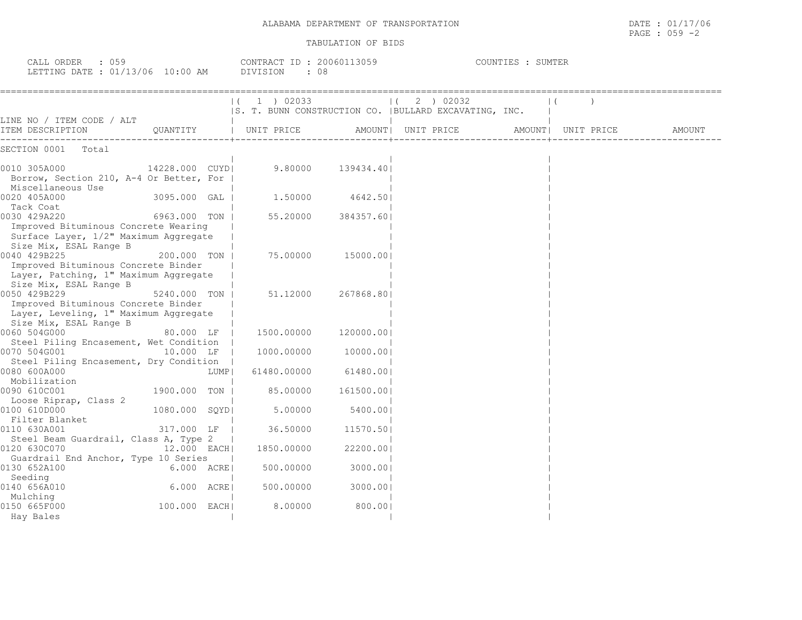| CALL ORDER : 059<br>LETTING DATE: 01/13/06 10:00 AM DIVISION : 08                                                       |                |       | CONTRACT ID: 20060113059 |            | COUNTIES : SUMTER                                                   |  |  |        |  |
|-------------------------------------------------------------------------------------------------------------------------|----------------|-------|--------------------------|------------|---------------------------------------------------------------------|--|--|--------|--|
|                                                                                                                         |                |       | $(1)$ 02033              |            | (2) 02032<br> S. T. BUNN CONSTRUCTION CO.  BULLARD EXCAVATING, INC. |  |  |        |  |
| LINE NO / ITEM CODE / ALT<br>ITEM DESCRIPTION                                                                           |                |       | QUANTITY   UNIT PRICE    |            |                                                                     |  |  | AMOUNT |  |
| SECTION 0001 Total                                                                                                      |                |       |                          |            |                                                                     |  |  |        |  |
| 14228.000 CUYD<br>0010 305A000<br>Borrow, Section 210, A-4 Or Better, For  <br>Miscellaneous Use                        |                |       | $9.80000$ $139434.401$   |            |                                                                     |  |  |        |  |
| 0020 405A000<br>Tack Coat                                                                                               | 3095.000 GAL   |       | 1,50000                  | 4642.501   |                                                                     |  |  |        |  |
| 0030 429A220<br>Improved Bituminous Concrete Wearing<br>Surface Layer, 1/2" Maximum Aggregate<br>Size Mix, ESAL Range B | 6963.000 TON   |       | 55.20000                 | 384357.601 |                                                                     |  |  |        |  |
| 0040 429B225<br>Improved Bituminous Concrete Binder<br>Layer, Patching, 1" Maximum Aggregate<br>Size Mix, ESAL Range B  | 200.000 TON    |       | 75.00000                 | 15000.001  |                                                                     |  |  |        |  |
| 0050 429B229<br>Improved Bituminous Concrete Binder<br>Layer, Leveling, 1" Maximum Aggregate<br>Size Mix, ESAL Range B  | 5240.000 TON   |       | 51,12000                 | 267868.801 |                                                                     |  |  |        |  |
| 0060 504G000<br>Steel Piling Encasement, Wet Condition                                                                  | 80.000 LF      |       | 1500.00000               | 120000.001 |                                                                     |  |  |        |  |
| 0070 504G001<br>Steel Piling Encasement, Dry Condition                                                                  | 10.000 LF      |       | 1000.00000               | 10000.00   |                                                                     |  |  |        |  |
| 0080 600A000<br>Mobilization                                                                                            |                | LUMPI | 61480.00000              | 61480.001  |                                                                     |  |  |        |  |
| 0090 610C001<br>Loose Riprap, Class 2                                                                                   | 1900.000 TON   |       | 85.00000                 | 161500.00  |                                                                     |  |  |        |  |
| 0100 610D000<br>Filter Blanket                                                                                          | 1080.000 SOYDI |       | 5.00000                  | 5400.001   |                                                                     |  |  |        |  |
| 0110 630A001<br>Steel Beam Guardrail, Class A, Type 2                                                                   | 317.000 LF     |       | 36.50000                 | 11570.501  |                                                                     |  |  |        |  |
| 0120 630C070<br>Guardrail End Anchor, Type 10 Series                                                                    | 12.000 EACH    |       | 1850.00000               | 22200.001  |                                                                     |  |  |        |  |
| 6.000 ACRE<br>0130 652A100<br>Seeding                                                                                   |                |       | 500.00000                | 3000.001   |                                                                     |  |  |        |  |
| 0140 656A010<br>Mulching                                                                                                | $6.000$ $ACRE$ |       | 500.00000                | 3000.001   |                                                                     |  |  |        |  |
| 0150 665F000<br>Hay Bales                                                                                               | 100.000 EACH   |       | 8.00000                  | 800.001    |                                                                     |  |  |        |  |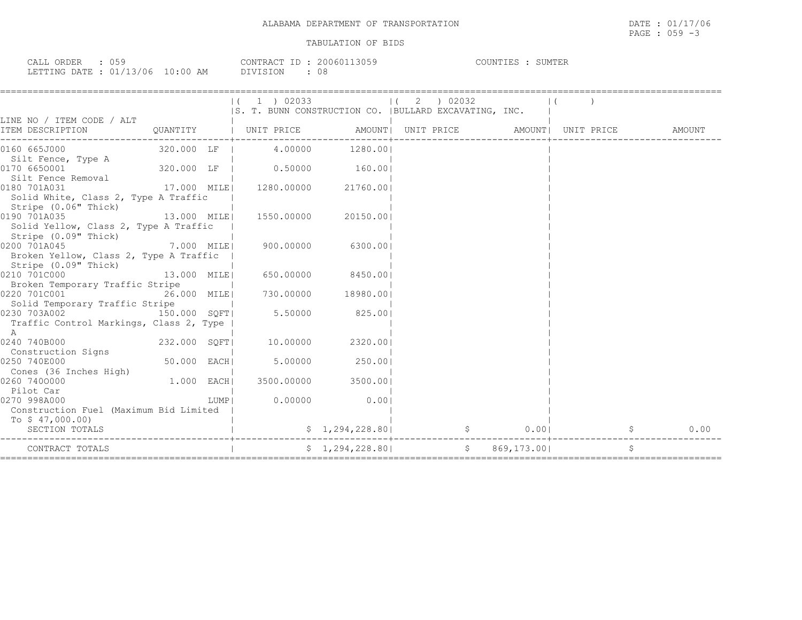| 059<br>CALL ORDER                | CONTRACT ID: 20060113059 |     | COUNTIES : SUMTER |
|----------------------------------|--------------------------|-----|-------------------|
| LETTING DATE : 01/13/06 10:00 AM | DIVISION                 | -08 |                   |

|                                                                                |               |      | $(1)$ 1 $)$ 02033<br>IS. T. BUNN CONSTRUCTION CO.   BULLARD EXCAVATING, INC. | $(2)$ 02032         |  |  |  |
|--------------------------------------------------------------------------------|---------------|------|------------------------------------------------------------------------------|---------------------|--|--|--|
| LINE NO / ITEM CODE / ALT                                                      |               |      |                                                                              |                     |  |  |  |
| ITEM DESCRIPTION                                                               |               |      |                                                                              |                     |  |  |  |
| 0160 665J000                                                                   |               |      | 320.000 LF   4.00000 1280.00                                                 |                     |  |  |  |
| Silt Fence, Type A<br>0170 6650001                                             |               |      | $320.000$ LF $\vert$ 0.50000 160.00                                          |                     |  |  |  |
| Silt Fence Removal<br>0180 701A031                                             |               |      | 17.000 MILE  1280.00000 21760.00                                             |                     |  |  |  |
| Solid White, Class 2, Type A Traffic<br>Stripe (0.06" Thick)                   |               |      |                                                                              |                     |  |  |  |
| 0190 701A035<br>Solid Yellow, Class 2, Type A Traffic                          |               |      |                                                                              |                     |  |  |  |
| Stripe (0.09" Thick)<br>0200 701A045<br>Broken Yellow, Class 2, Type A Traffic |               |      | 7.000 MILE  900.00000 6300.00                                                |                     |  |  |  |
| Stripe (0.09" Thick)<br>0210 701C000                                           | 13.000 MILE   |      | 650.00000 8450.00                                                            |                     |  |  |  |
| Broken Temporary Traffic Stripe                                                |               |      |                                                                              |                     |  |  |  |
| 0220 701C001                                                                   | 26.000 MILE   |      | $730.00000$ 18980.00                                                         |                     |  |  |  |
| Solid Temporary Traffic Stripe                                                 |               |      |                                                                              |                     |  |  |  |
| 0230 703A002                                                                   | 150.000 SQFT  |      | $5.50000$ 825.00                                                             |                     |  |  |  |
| Traffic Control Markings, Class 2, Type  <br>A                                 |               |      |                                                                              |                     |  |  |  |
| 232.000 SQFT<br>0240 740B000                                                   |               |      | 10.00000                                                                     | 2320.001            |  |  |  |
| Construction Signs                                                             |               |      |                                                                              |                     |  |  |  |
| 0250 740E000                                                                   | $50.000$ EACH |      | 5.00000 250.00                                                               |                     |  |  |  |
| Cones (36 Inches High)                                                         |               |      |                                                                              |                     |  |  |  |
| 0260 7400000                                                                   | 1.000 EACH    |      |                                                                              | 3500.00000 3500.001 |  |  |  |
| Pilot Car                                                                      |               |      |                                                                              |                     |  |  |  |
| 0270 998A000                                                                   |               | LUMP | 0.00000                                                                      | 0.001               |  |  |  |
| Construction Fuel (Maximum Bid Limited                                         |               |      |                                                                              |                     |  |  |  |
| To $$47,000.00)$                                                               |               |      |                                                                              |                     |  |  |  |
| SECTION TOTALS                                                                 |               |      |                                                                              |                     |  |  |  |
| CONTRACT TOTALS                                                                |               |      |                                                                              |                     |  |  |  |
|                                                                                |               |      |                                                                              |                     |  |  |  |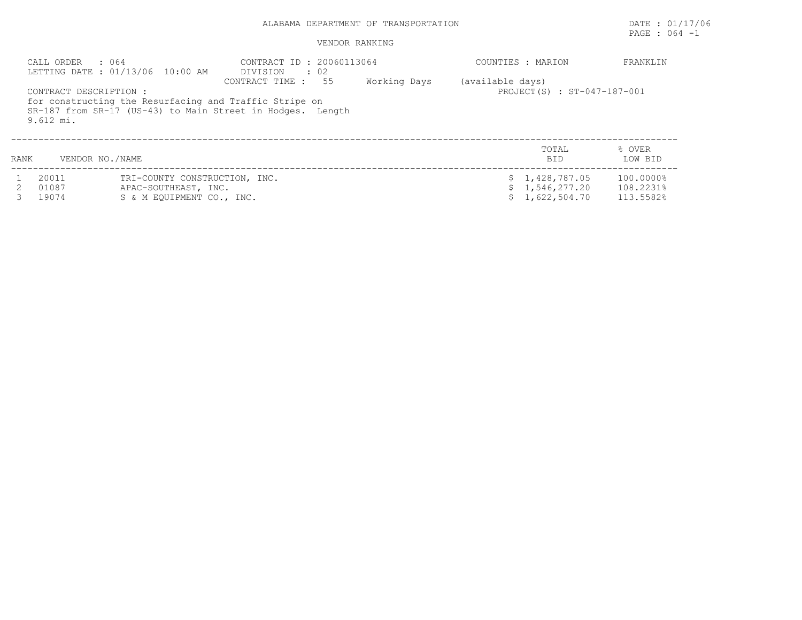## PAGE : 064 -1

## VENDOR RANKING

|      | CALL ORDER<br>: 064                   | LETTING DATE: 01/13/06 10:00 AM                       | CONTRACT ID: 20060113064<br>DIVISION : 02                                                                                                  |              | COUNTIES : MARION |                                  | FRANKLIN               |
|------|---------------------------------------|-------------------------------------------------------|--------------------------------------------------------------------------------------------------------------------------------------------|--------------|-------------------|----------------------------------|------------------------|
|      | CONTRACT DESCRIPTION :<br>$9.612$ mi. |                                                       | CONTRACT TIME : 55<br>for constructing the Resurfacing and Traffic Stripe on<br>SR-187 from SR-17 (US-43) to Main Street in Hodges. Length | Working Days | (available days)  | PROJECT(S) : ST-047-187-001      |                        |
| RANK | VENDOR NO./NAME                       |                                                       |                                                                                                                                            |              |                   | TOTAL<br>BID.                    | % OVER<br>LOW BID      |
|      | 20011<br>01087                        | TRI-COUNTY CONSTRUCTION, INC.<br>APAC-SOUTHEAST, INC. |                                                                                                                                            |              |                   | \$1,428,787.05<br>\$1,546,277.20 | 100.0000%<br>108.2231% |

3 19074 S & M EQUIPMENT CO., INC. \$ 1,622,504.70 113.5582%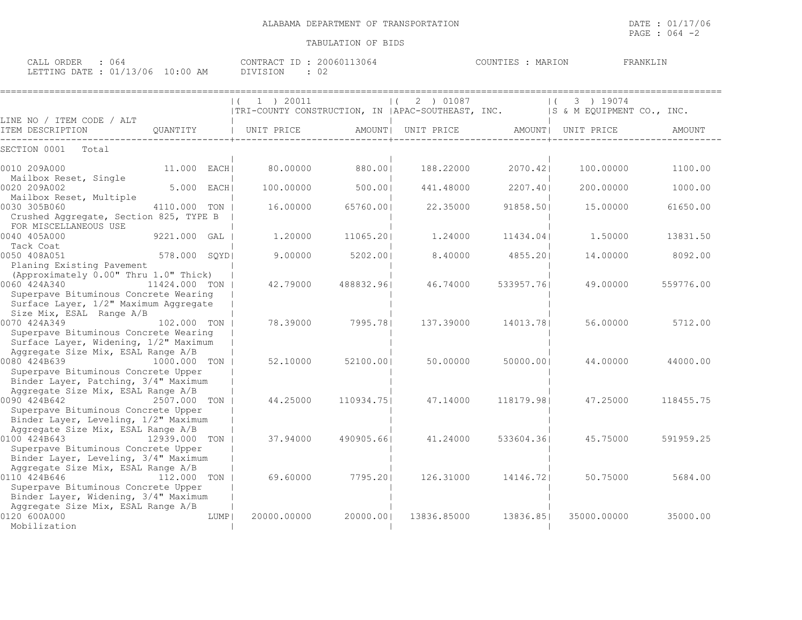PAGE : 064 -2

| CALL ORDER : 064                 | CONTRACT ID: 20060113064 | COUNTIES : MARION | FRANKLIN |
|----------------------------------|--------------------------|-------------------|----------|
| LETTING DATE : 01/13/06 10:00 AM | DIVISION                 |                   |          |

|                                                                                                           |               |        | $1$ ) 20011<br>$\left  \right $<br> TRI-COUNTY CONSTRUCTION, IN   APAC-SOUTHEAST, INC.           & M EOUIPMENT CO., INC. |            | 2 ) 01087          |            | 3 ) 19074          |           |
|-----------------------------------------------------------------------------------------------------------|---------------|--------|--------------------------------------------------------------------------------------------------------------------------|------------|--------------------|------------|--------------------|-----------|
| LINE NO / ITEM CODE / ALT                                                                                 |               |        |                                                                                                                          |            |                    |            |                    |           |
| ITEM DESCRIPTION                                                                                          | QUANTITY      |        | UNIT PRICE                                                                                                               |            | AMOUNT  UNIT PRICE |            | AMOUNT  UNIT PRICE | AMOUNT    |
| SECTION 0001<br>Total                                                                                     |               |        |                                                                                                                          |            |                    |            |                    |           |
| 0010 209A000<br>Mailbox Reset, Single                                                                     | 11.000 EACHI  |        | 80,00000                                                                                                                 | 880.001    | 188.22000          | 2070.421   | 100,00000          | 1100.00   |
| 0020 209A002<br>Mailbox Reset, Multiple                                                                   | 5.000 EACH    |        | 100,00000                                                                                                                | 500.001    | 441.48000          | 2207.401   | 200,00000          | 1000.00   |
| 0030 305B060<br>Crushed Aggregate, Section 825, TYPE B                                                    | 4110.000 TON  |        | 16.00000                                                                                                                 | 65760.001  | 22.35000           | 91858.501  | 15.00000           | 61650.00  |
| FOR MISCELLANEOUS USE<br>0040 405A000                                                                     | 9221.000 GAL  |        | 1,20000                                                                                                                  | 11065.201  | 1,24000            | 11434.041  | 1,50000            | 13831.50  |
| Tack Coat<br>0050 408A051<br>Planing Existing Pavement                                                    | 578.000 SQYD  |        | 9.00000                                                                                                                  | 5202.00    | 8.40000            | 4855.20    | 14,00000           | 8092.00   |
| (Approximately 0.00" Thru 1.0" Thick)<br>0060 424A340<br>Superpave Bituminous Concrete Wearing            | 11424.000 TON |        | 42.79000                                                                                                                 | 488832.961 | 46.74000           | 533957.761 | 49.00000           | 559776.00 |
| Surface Layer, 1/2" Maximum Aggregate<br>Size Mix, ESAL Range A/B<br>0070 424A349                         | 102,000 TON 1 |        | 78.39000                                                                                                                 | 7995.781   | 137.39000          | 14013.781  | 56.00000           | 5712.00   |
| Superpave Bituminous Concrete Wearing<br>Surface Layer, Widening, 1/2" Maximum                            |               |        |                                                                                                                          |            |                    |            |                    |           |
| Aggregate Size Mix, ESAL Range A/B<br>0080 424B639<br>1000.000 TON<br>Superpave Bituminous Concrete Upper |               |        | 52.10000                                                                                                                 | 52100.001  | 50.00000           | 50000.001  | 44,00000           | 44000.00  |
| Binder Layer, Patching, 3/4" Maximum<br>Aggregate Size Mix, ESAL Range A/B                                |               |        |                                                                                                                          |            |                    |            |                    |           |
| 0090 424B642<br>Superpave Bituminous Concrete Upper                                                       | 2507.000 TON  |        | 44.25000                                                                                                                 | 110934.751 | 47.14000           | 118179.981 | 47.25000           | 118455.75 |
| Binder Layer, Leveling, 1/2" Maximum<br>Aggregate Size Mix, ESAL Range A/B<br>0100 424B643                | 12939.000 TON |        | 37.94000                                                                                                                 | 490905.661 | 41.24000           | 533604.361 | 45.75000           | 591959.25 |
| Superpave Bituminous Concrete Upper<br>Binder Layer, Leveling, 3/4" Maximum                               |               |        |                                                                                                                          |            |                    |            |                    |           |
| Aggregate Size Mix, ESAL Range A/B<br>0110 424B646<br>Superpave Bituminous Concrete Upper                 | 112.000 TON   |        | 69.60000                                                                                                                 | 7795.201   | 126.31000          | 14146.721  | 50.75000           | 5684.00   |
| Binder Layer, Widening, 3/4" Maximum<br>Aggregate Size Mix, ESAL Range A/B                                |               |        |                                                                                                                          |            |                    |            |                    |           |
| 0120 600A000<br>Mobilization                                                                              |               | LUMP I | 20000.00000                                                                                                              | 20000.001  | 13836.85000        | 13836.851  | 35000.00000        | 35000.00  |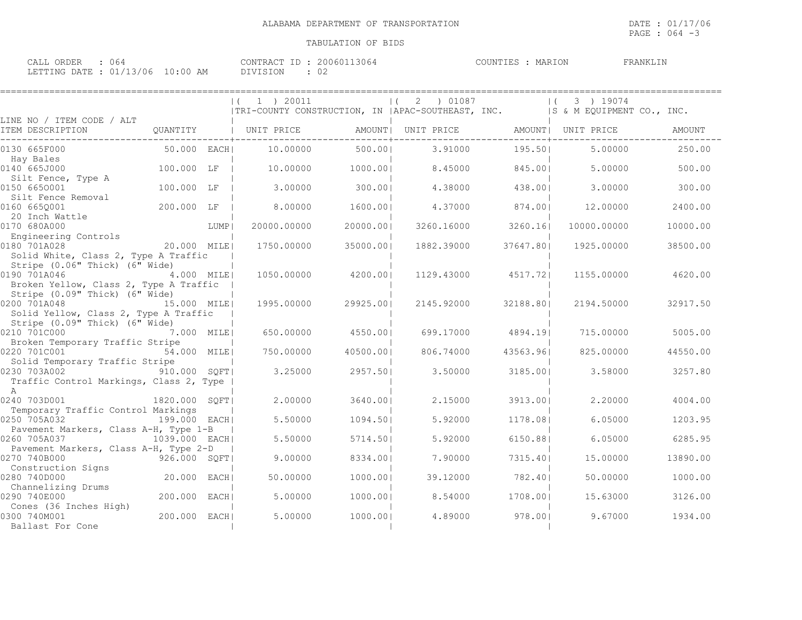PAGE : 064 -3

| ORDEF<br>$\cap$ $\Delta$ T.<br>J64<br>◡▱╜╜                                                                                                                    | 3064<br>$C$ $\wedge$ M $\Box$ $\Box$ $\wedge$ $\Box$ $\Box$<br>20060<br>'R 41 | MARION<br>COUNTIES | FRANKLI' |
|---------------------------------------------------------------------------------------------------------------------------------------------------------------|-------------------------------------------------------------------------------|--------------------|----------|
| DATE.<br>01/13/06<br>ETTING<br>10:00<br>ΔM<br>the contract of the contract of the contract of the contract of the contract of the contract of the contract of | VISION<br>◡∠<br>ᆂᇦᆂᇦᅒ                                                         |                    |          |

|                                                                                           |               |        | 1 ) 20011<br> TRI-COUNTY CONSTRUCTION, IN   APAC-SOUTHEAST, INC. |           | 2 ) 01087<br>$\vert$ ( |           | 3 ) 19074<br>IS & M EQUIPMENT CO., INC. |               |
|-------------------------------------------------------------------------------------------|---------------|--------|------------------------------------------------------------------|-----------|------------------------|-----------|-----------------------------------------|---------------|
| LINE NO / ITEM CODE / ALT<br>ITEM DESCRIPTION                                             | QUANTITY      |        | UNIT PRICE                                                       |           | AMOUNT  UNIT PRICE     |           | AMOUNT   UNIT PRICE                     | <b>AMOUNT</b> |
| 0130 665F000                                                                              | 50.000 EACH   |        | 10.00000                                                         | 500.00    | 3.91000                | 195.501   | 5.00000                                 | 250.00        |
| Hay Bales<br>0140 665J000                                                                 | 100.000 LF    |        | 10,00000                                                         | 1000.001  | 8.45000                | 845.001   | 5.00000                                 | 500.00        |
| Silt Fence, Type A<br>0150 6650001                                                        | 100.000 LF    |        | 3,00000                                                          | 300.001   | 4.38000                | 438.001   | 3,00000                                 | 300.00        |
| Silt Fence Removal<br>0160 665Q001                                                        | 200.000 LF    |        | 8.00000                                                          | 1600.001  | 4.37000                | 874.001   | 12,00000                                | 2400.00       |
| 20 Inch Wattle<br>0170 680A000<br>Engineering Controls                                    |               | LUMP   | 20000.00000                                                      | 20000.00  | 3260.16000             | 3260.161  | 10000.00000                             | 10000.00      |
| 0180 701A028<br>Solid White, Class 2, Type A Traffic                                      | 20.000 MILEI  |        | 1750.00000                                                       | 35000.001 | 1882.39000             | 37647.801 | 1925,00000                              | 38500.00      |
| Stripe (0.06" Thick) (6" Wide)<br>0190 701A046<br>Broken Yellow, Class 2, Type A Traffic  | 4.000 MILE    |        | 1050.00000                                                       | 4200.001  | 1129.43000             | 4517.721  | 1155.00000                              | 4620.00       |
| Stripe (0.09" Thick) (6" Wide)<br>0200 701A048<br>Solid Yellow, Class 2, Type A Traffic   | 15.000 MILE   |        | 1995.00000                                                       | 29925.001 | 2145.92000             | 32188.801 | 2194.50000                              | 32917.50      |
| Stripe (0.09" Thick) (6" Wide)<br>0210 701C000                                            | 7.000 MILEI   |        | 650.00000                                                        | 4550.001  | 699.17000              | 4894.191  | 715.00000                               | 5005.00       |
| Broken Temporary Traffic Stripe<br>0220 701C001                                           | 54.000 MILE   |        | 750,00000                                                        | 40500.001 | 806.74000              | 43563.961 | 825,00000                               | 44550.00      |
| Solid Temporary Traffic Stripe<br>0230 703A002<br>Traffic Control Markings, Class 2, Type | 910.000 SQFT  |        | 3.25000                                                          | 2957.50   | 3.50000                | 3185.001  | 3.58000                                 | 3257.80       |
| A<br>0240 703D001<br>Temporary Traffic Control Markings                                   | 1820.000 SOFT |        | 2.00000                                                          | 3640.001  | 2.15000                | 3913.001  | 2,20000                                 | 4004.00       |
| 0250 705A032                                                                              | 199.000 EACHI |        | 5.50000                                                          | 1094.501  | 5.92000                | 1178.08   | 6.05000                                 | 1203.95       |
| Pavement Markers, Class A-H, Type 1-B<br>0260 705A037                                     | 1039.000 EACH |        | 5.50000                                                          | 5714.501  | 5.92000                | 6150.881  | 6.05000                                 | 6285.95       |
| Pavement Markers, Class A-H, Type 2-D<br>0270 740B000                                     | 926.000 SOFT  |        | 9.00000                                                          | 8334.001  | 7.90000                | 7315.401  | 15.00000                                | 13890.00      |
| Construction Signs<br>0280 740D000                                                        | 20.000        | EACH   | 50.00000                                                         | 1000.001  | 39.12000               | 782.401   | 50.00000                                | 1000.00       |
| Channelizing Drums<br>0290 740E000                                                        | 200.000       | EACH I | 5.00000                                                          | 1000.001  | 8.54000                | 1708.001  | 15.63000                                | 3126.00       |
| Cones (36 Inches High)<br>0300 740M001<br>Ballast For Cone                                | 200.000       | EACH   | 5.00000                                                          | 1000.001  | 4.89000                | 978.001   | 9.67000                                 | 1934.00       |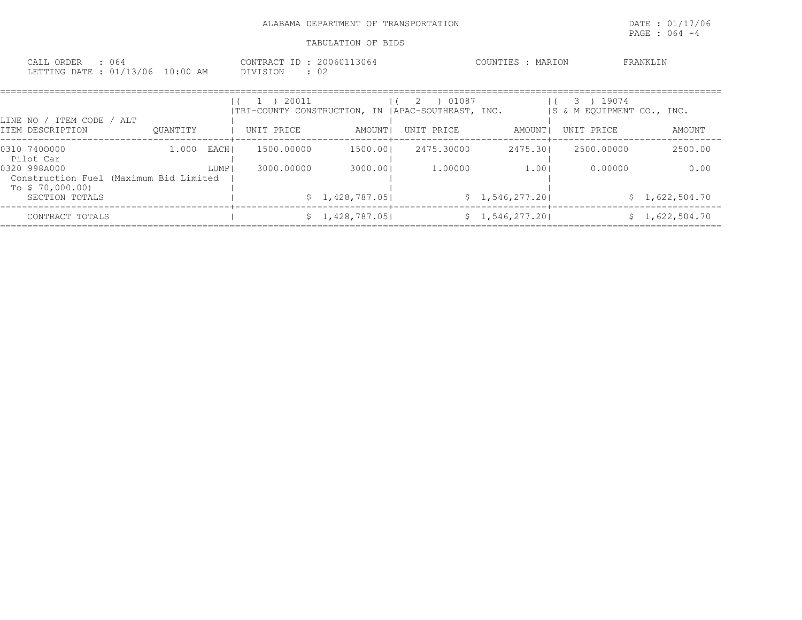| : 064<br>CALL ORDER<br>LETTING DATE : 01/13/06 10:00 AM |               |      | CONTRACT ID: 20060113064<br>DIVISION<br>: 02                                                                  |          |                                               | COUNTIES : MARION            |                                        | FRANKLIN |
|---------------------------------------------------------|---------------|------|---------------------------------------------------------------------------------------------------------------|----------|-----------------------------------------------|------------------------------|----------------------------------------|----------|
| LINE NO / ITEM CODE / ALT                               |               |      | 20011<br>$\begin{pmatrix} 1 & 1 \\ 1 & 1 \end{pmatrix}$<br>ITRI-COUNTY CONSTRUCTION, IN IAPAC-SOUTHEAST, INC. |          | 01087<br>$\begin{array}{ccc} & 2 \end{array}$ |                              | 3) 19074<br>IS & M EQUIPMENT CO., INC. |          |
| ITEM DESCRIPTION                                        | OUANTITY      |      | UNIT PRICE                                                                                                    | AMOUNT I | UNIT PRICE<br>--------+-------------          | AMOUNT  <br>--------+------- | UNIT PRICE                             | AMOUNT   |
| 0310 7400000<br>Pilot Car                               | $1.000$ EACHI |      | -----------+---------------<br>1500.00000                                                                     | 1500.001 | 2475.30000                                    | 2475.301                     | 2500.00000                             | 2500.00  |
| 0320 998A000                                            |               | LUMP | 3000.00000                                                                                                    | 3000.001 | 1,00000                                       | 1.001                        | 0.00000                                | 0.00     |

| .                                      | ----- | ---------- | ------          | - • • • • • • | - - - - -       | . | .              |
|----------------------------------------|-------|------------|-----------------|---------------|-----------------|---|----------------|
| Construction Fuel (Maximum Bid Limited |       |            |                 |               |                 |   |                |
| To \$70,000.00)                        |       |            |                 |               |                 |   |                |
| SECTION TOTALS                         |       |            | \$1,428,787.05  |               | \$1,546,277,20  |   | \$1,622,504.70 |
|                                        |       |            |                 |               |                 |   |                |
| CONTRACT TOTALS                        |       |            | \$1,428,787.05] |               | \$1,546,277.20] |   | \$1,622,504.70 |

====================================================================================================================================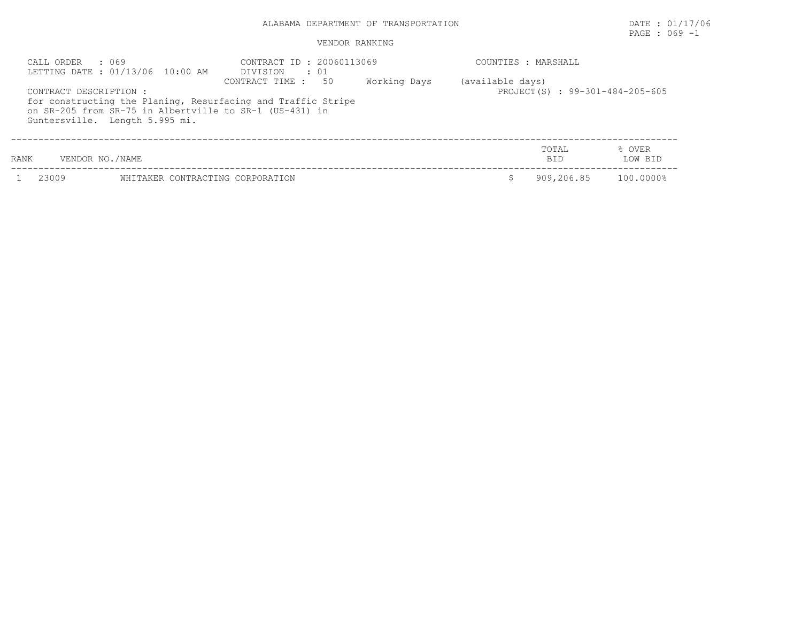# PAGE : 069 -1

| CALL ORDER             | . 069<br>LETTING DATE : 01/13/06 10:00 AM                                                 | CONTRACT ID: 20060113069<br>DIVISION<br>$\cdot$ 01                                    |              | COUNTIES : MARSHALL |                                 |                   |  |
|------------------------|-------------------------------------------------------------------------------------------|---------------------------------------------------------------------------------------|--------------|---------------------|---------------------------------|-------------------|--|
| CONTRACT DESCRIPTION : | on SR-205 from SR-75 in Albertville to SR-1 (US-431) in<br>Guntersville. Length 5.995 mi. | 50<br>CONTRACT TIME :<br>for constructing the Planing, Resurfacing and Traffic Stripe | Working Days | (available days)    | PROJECT(S) : 99-301-484-205-605 |                   |  |
| RANK                   | VENDOR NO./NAME                                                                           |                                                                                       |              |                     | TOTAL<br><b>BID</b>             | % OVER<br>LOW BID |  |
| 23009                  | WHITAKER CONTRACTING CORPORATION                                                          |                                                                                       |              |                     | 909,206.85                      | 100.0000%         |  |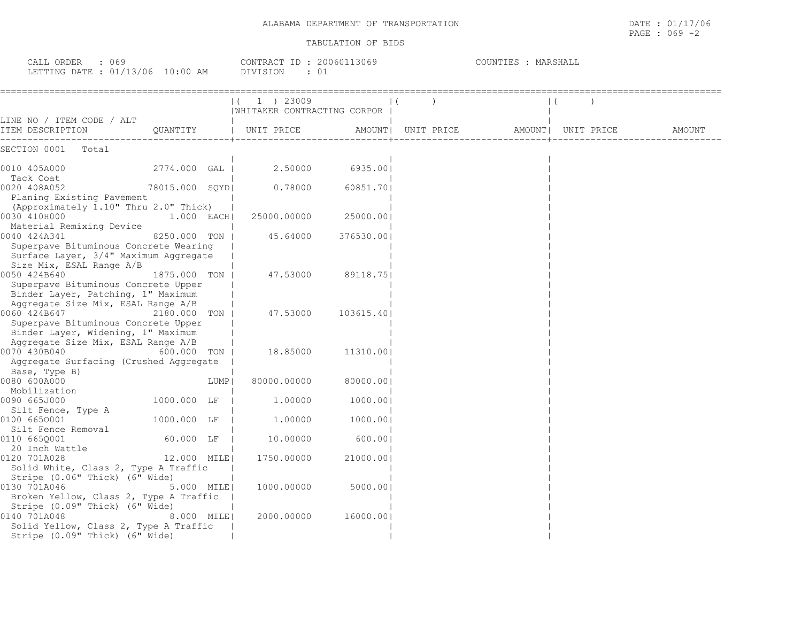| CALL ORDER<br>$\therefore$ 069<br>LETTING DATE : 01/13/06 10:00 AM                                                                                |                 |  | CONTRACT ID : 20060113069<br>DIVISION<br>$\cdot$ 01 |                 |  | COUNTIES : MARSHALL |  |        |  |
|---------------------------------------------------------------------------------------------------------------------------------------------------|-----------------|--|-----------------------------------------------------|-----------------|--|---------------------|--|--------|--|
|                                                                                                                                                   |                 |  | 1 ) 23009<br>  WHITAKER CONTRACTING CORPOR          |                 |  |                     |  |        |  |
| LINE NO / ITEM CODE / ALT<br>ITEM DESCRIPTION 600ANTITY   UNIT PRICE AMOUNT  UNIT PRICE AMOUNT  UNIT PRICE                                        |                 |  |                                                     |                 |  |                     |  | AMOUNT |  |
| SECTION 0001 Total                                                                                                                                |                 |  |                                                     |                 |  |                     |  |        |  |
| 0010 405A000<br>Tack Coat                                                                                                                         | 2774.000 GAL    |  |                                                     | 2.50000 6935.00 |  |                     |  |        |  |
| 0020 408A052<br>Planing Existing Pavement<br>(Approximately 1.10" Thru 2.0" Thick)                                                                | 78015.000 SOYDI |  | 0.78000                                             | 60851.701       |  |                     |  |        |  |
| 0030 410H000<br>Material Remixing Device                                                                                                          | $1.000$ EACHI   |  | 25000.00000                                         | 25000.001       |  |                     |  |        |  |
| 0040 424A341<br>Superpave Bituminous Concrete Wearing<br>Surface Layer, 3/4" Maximum Aggregate<br>Size Mix, ESAL Range A/B                        | 8250.000 TON H  |  | 45.64000                                            | 376530.001      |  |                     |  |        |  |
| 0050 424B640<br>1875.000 TON I<br>Superpave Bituminous Concrete Upper<br>Binder Layer, Patching, 1" Maximum<br>Aggregate Size Mix, ESAL Range A/B |                 |  | 47.53000                                            | 89118.751       |  |                     |  |        |  |
| 0060 424B647<br>2180.000 TON I<br>Superpave Bituminous Concrete Upper<br>Binder Layer, Widening, 1" Maximum<br>Aggregate Size Mix, ESAL Range A/B |                 |  | 47.53000                                            | 103615.401      |  |                     |  |        |  |

0070 430B040 600.000 TON | 18.85000 11310.00| |

0080 600A000 LUMP| 80000.00000 80000.00| |

0090 665J000 1000.000 1.00000 1000.00

0100 665O001 1000.000 LF | 1.00000 1000.00| |

0110 665Q001 60.000 LF | 10.00000 600.00| | 20 Inch Wattle | | |

Stripe (0.06" Thick) (6" Wide) |<br>0130 701A046 5.000 MILE| 1000.00000 5000.00 5.000 MILE|

0140 701A048 8.000 MILE| 2000.00000 16000.00| |

12.000 MILE| 1750.00000

Aggregate Surfacing (Crushed Aggregate |

Solid White, Class 2, Type A Traffic |

Broken Yellow, Class 2, Type A Traffic |

Solid Yellow, Class 2, Type A Traffic | Stripe  $(0.09"$  Thick)  $(6"$  Wide) |

Stripe (0.09" Thick) (6" Wide)

Base, Type B)

Mobilization | | |

Silt Fence, Type A

Silt Fence Removal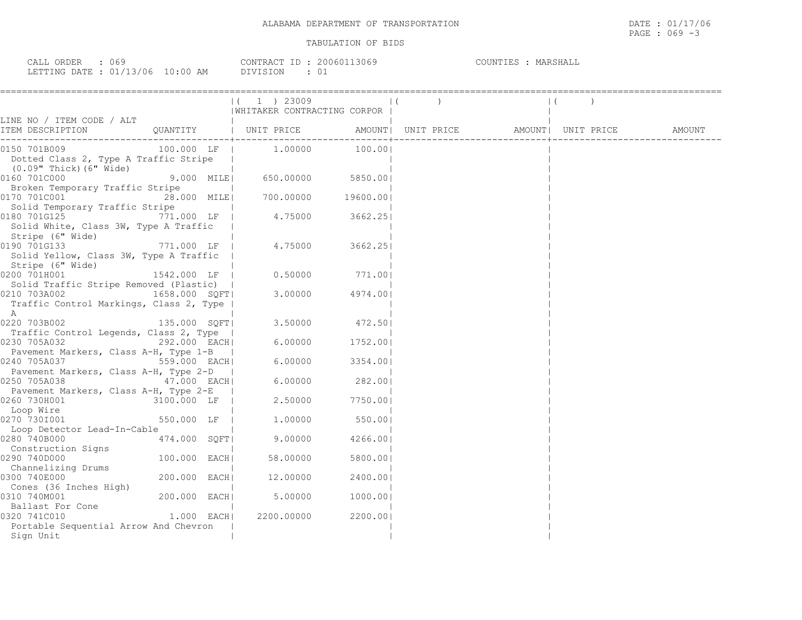| CALL ORDER : 069                 |                 | CONTRACT ID: 20060113069 | COUNTIES : MARSHALL |
|----------------------------------|-----------------|--------------------------|---------------------|
| LETTING DATE : 01/13/06 10:00 AM | <b>DIVISION</b> |                          |                     |

|                                                                                                                                     |                                                                       | $(1)$ 23009 |                                | $\vert$ ( |  | $\vert$ ( |        |
|-------------------------------------------------------------------------------------------------------------------------------------|-----------------------------------------------------------------------|-------------|--------------------------------|-----------|--|-----------|--------|
|                                                                                                                                     |                                                                       |             | WHITAKER CONTRACTING CORPOR    |           |  |           |        |
|                                                                                                                                     |                                                                       |             |                                |           |  |           | AMOUNT |
| 0150 701B009<br>Dotted Class 2, Type A Traffic Stripe  <br>(0.09" Thick) (6" Wide)                                                  |                                                                       |             |                                |           |  |           |        |
| 0160 701C000<br>Broken Temporary Traffic Stripe                                                                                     |                                                                       |             | $9.000$ MILE 650.00000 5850.00 |           |  |           |        |
| 0170 701C001<br>Solid Temporary Traffic Stripe                                                                                      | $\frac{1}{28.000}$ MILE 700.00000 19600.00                            |             |                                |           |  |           |        |
| 0180 701G125<br>Solid White, Class 3W, Type A Traffic  <br>Stripe (6" Wide)                                                         | $\frac{1}{2}$ 1111110 331 pm $\frac{1}{2}$ 1.000 LF   4.75000 3662.25 |             |                                |           |  |           |        |
| 0190 701G133<br>Solid Yellow, Class 3W, Type A Traffic  <br>Stripe (6" Wide)                                                        | $771.000$ LF $\vert$ 4.75000 3662.25                                  |             |                                |           |  |           |        |
| 0200 701H001<br>Solid Traffic Stripe Removed (Plastic)                                                                              | $1542.000$ LF $\vert$ 0.50000                                         |             | 771.001                        |           |  |           |        |
| Traffic Control Markings, Class 2, Type  <br>A                                                                                      |                                                                       |             |                                |           |  |           |        |
| 0220 703B002 135.000 SQFT<br>Traffic Control Legends, Class 2, Type                                                                 |                                                                       |             | $3.50000$ 472.50               |           |  |           |        |
| 0230 705A032                                                                                                                        | 292.000 EACH                                                          |             | $6.00000$ 1752.00              |           |  |           |        |
| Pavement Markers, Class A-H, Type 1-B  <br>0240 705A037 559.000 EACH                                                                |                                                                       |             | $6.00000$ 3354.00              |           |  |           |        |
| Pavement Markers, Class A-H, Type 2-D  <br>0250 705A038                                                                             | 47.000 EACH                                                           |             | $6.00000$ 282.00               |           |  |           |        |
| Pavement Markers, Class A-H, Type 2-E  <br>0260 730H001                                                                             | 1   rkers, Class A-H, Type 2-E<br>  3100.000 LF   2.50000   7750.00   |             |                                |           |  |           |        |
| Loop Wire<br>0270 7301001<br>Loop Detector Lead-In-Cable                                                                            | 550.000 LF                                                            |             | $1.00000$ 550.00               |           |  |           |        |
| 0280 740B000<br>Construction Signs                                                                                                  | 474.000 SQFT                                                          |             | $9.00000$ 4266.00              |           |  |           |        |
| 0290 740D000                                                                                                                        | 100.000 EACH                                                          | 58.00000    | 5800.001                       |           |  |           |        |
| Channelizing Drums<br>0300 740E000                                                                                                  | $200.000$ EACH                                                        | 12.00000    | 2400.001                       |           |  |           |        |
| Cones (36 Inches High)  <br>310 740M001   200.000 EACH<br>0310 740M001                                                              |                                                                       |             | $5.00000$ 1000.00              |           |  |           |        |
| Ballast For Cone<br>220 7410010<br>220 7410010<br>220 7410010<br>0320 741C010<br>Portable Sequential Arrow And Chevron<br>Sign Unit |                                                                       | 2200.00000  | 2200.001                       |           |  |           |        |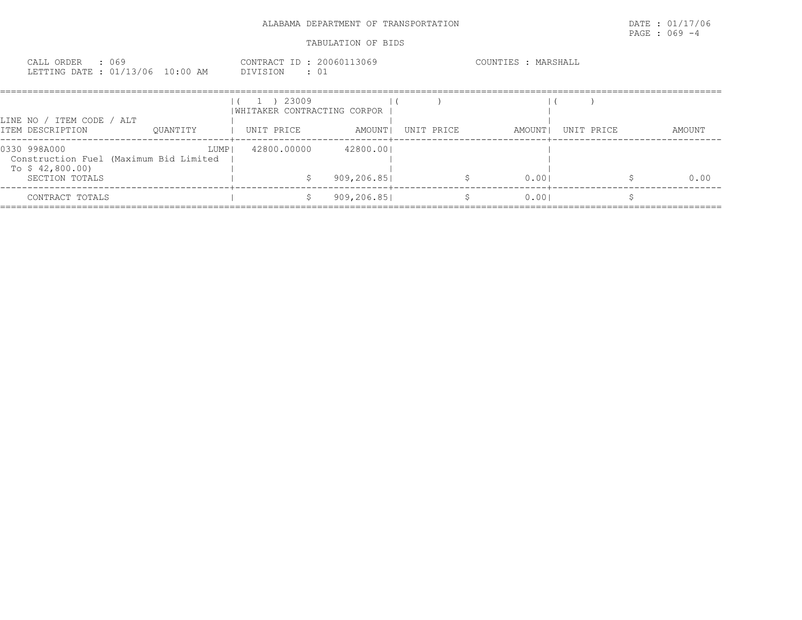| CALL ORDER : 069<br>LETTING DATE : 01/13/06 10:00 AM | CONTRACT ID: 20060113069<br>DIVISION : 01    | COUNTIES : MARSHALL |
|------------------------------------------------------|----------------------------------------------|---------------------|
|                                                      | $(1)$ 23009<br>  WHITAKER CONTRACTING CORPOR |                     |

| LINE NO /<br>ITEM DESCRIPTION    | ITEM CODE       | ALT<br>OUANTITY                                | UNIT PRICE  | AMOUNT                   | UNIT PRICE | AMOUNT | UNIT PRICE | AMOUNT |
|----------------------------------|-----------------|------------------------------------------------|-------------|--------------------------|------------|--------|------------|--------|
| 0330 998A000<br>To $$42,800.00)$ | SECTION TOTALS  | LUMP<br>Construction Fuel (Maximum Bid Limited | 42800.00000 | 42800.001<br>909,206.851 |            | 0.001  |            | 0.00   |
|                                  | CONTRACT TOTALS |                                                |             | 909,206.851              |            | 0.001  |            |        |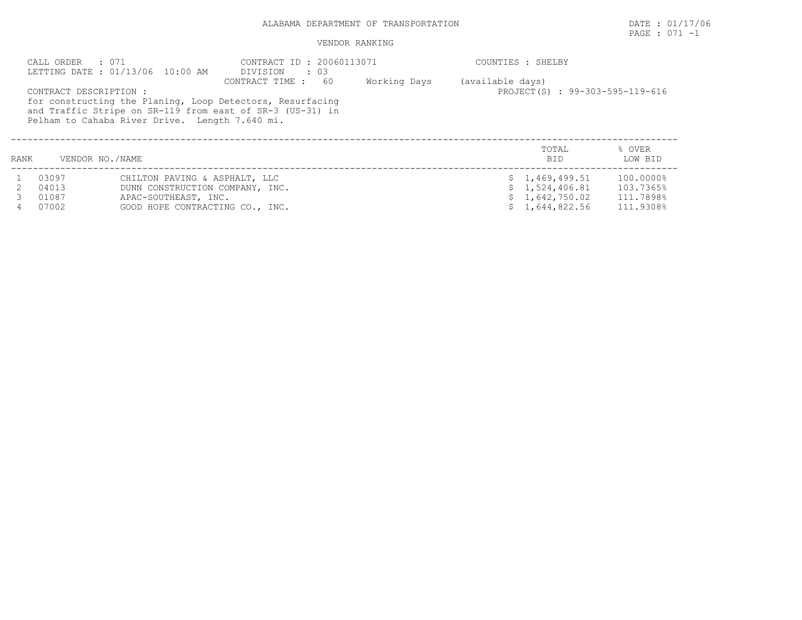# PAGE : 071 -1

### VENDOR RANKING

|      | CALL ORDER : 071<br>CONTRACT DESCRIPTION : | LETTING DATE: 01/13/06 10:00 AM<br>Pelham to Cahaba River Drive. Length 7.640 mi.                                           | CONTRACT ID : 20060113071<br>DIVISION<br>$\cdot$ 03<br>-60<br>CONTRACT TIME :<br>for constructing the Planing, Loop Detectors, Resurfacing<br>and Traffic Stripe on SR-119 from east of SR-3 (US-31) in | Working Days | (available days) | COUNTIES : SHELBY<br>PROJECT(S) : 99-303-595-119-616                 |                                                  |
|------|--------------------------------------------|-----------------------------------------------------------------------------------------------------------------------------|---------------------------------------------------------------------------------------------------------------------------------------------------------------------------------------------------------|--------------|------------------|----------------------------------------------------------------------|--------------------------------------------------|
| RANK | VENDOR NO./NAME                            |                                                                                                                             |                                                                                                                                                                                                         |              |                  | TOTAL<br><b>BID</b>                                                  | % OVER<br>LOW BID                                |
|      | 03097<br>04013<br>01087<br>07002           | CHILTON PAVING & ASPHALT, LLC<br>DUNN CONSTRUCTION COMPANY, INC.<br>APAC-SOUTHEAST, INC.<br>GOOD HOPE CONTRACTING CO., INC. |                                                                                                                                                                                                         |              |                  | \$1,469,499.51<br>\$1,524,406.81<br>\$1,642,750.02<br>\$1,644,822.56 | 100.0000%<br>103.7365%<br>111.7898%<br>111.9308% |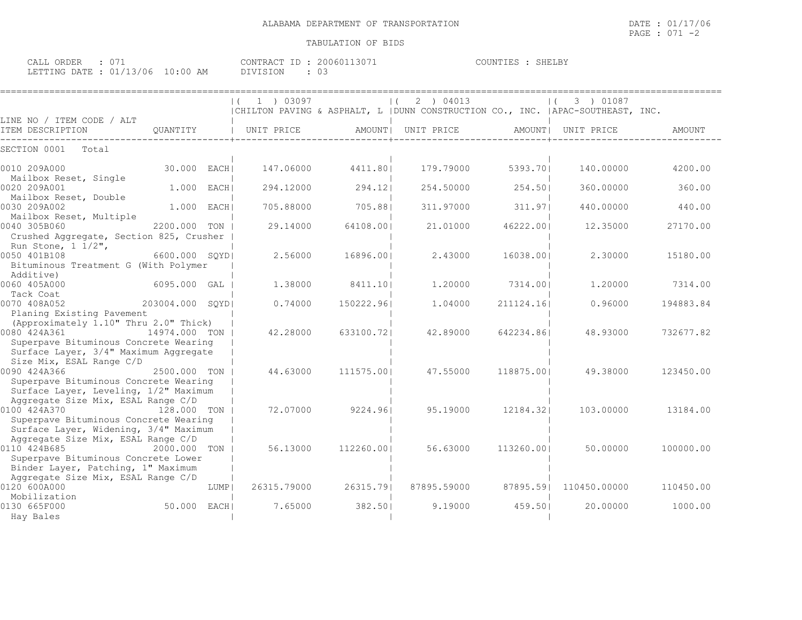| CALL ORDER                       |  |          | CONTRACT ID: 20060113071 | COUNTIES : SHELBY |  |
|----------------------------------|--|----------|--------------------------|-------------------|--|
| LETTING DATE : 01/13/06 10:00 AM |  | DIVISION | UJ.                      |                   |  |

|                                                                                |                  |        | 1 ) 03097   |            | 2 ) 04013<br>$\Box$                                                              |            | 3 ) 01087    |           |
|--------------------------------------------------------------------------------|------------------|--------|-------------|------------|----------------------------------------------------------------------------------|------------|--------------|-----------|
|                                                                                |                  |        |             |            | CHILTON PAVING & ASPHALT, L   DUNN CONSTRUCTION CO., INC.   APAC-SOUTHEAST, INC. |            |              |           |
| LINE NO / ITEM CODE / ALT<br>ITEM DESCRIPTION                                  | OUANTITY         |        | UNIT PRICE  |            | AMOUNT  UNIT PRICE                                                               | AMOUNT     | UNIT PRICE   | AMOUNT    |
|                                                                                |                  |        |             |            |                                                                                  |            |              |           |
| SECTION 0001<br>Total                                                          |                  |        |             |            |                                                                                  |            |              |           |
| 0010 209A000                                                                   | 30.000           | EACH I | 147.06000   | 4411.801   | 179.79000                                                                        | 5393.701   | 140.00000    | 4200.00   |
| Mailbox Reset, Single<br>0020 209A001                                          | 1,000            | EACH   | 294.12000   | 294.12     | 254.50000                                                                        | 254.501    | 360.00000    | 360.00    |
| Mailbox Reset, Double<br>0030 209A002                                          | 1,000            | EACH   | 705.88000   | 705.881    | 311.97000                                                                        | 311.97     | 440.00000    | 440.00    |
| Mailbox Reset, Multiple<br>0040 305B060                                        | 2200.000         | TON    | 29.14000    | 64108.001  | 21,01000                                                                         | 46222.001  | 12.35000     | 27170.00  |
| Crushed Aggregate, Section 825, Crusher<br>Run Stone, $1 \frac{1}{2}$ ,        |                  |        |             |            |                                                                                  |            |              |           |
| 0050 401B108<br>Bituminous Treatment G (With Polymer                           | 6600.000 SQYD    |        | 2.56000     | 16896.001  | 2.43000                                                                          | 16038.001  | 2.30000      | 15180.00  |
| Additive)<br>0060 405A000                                                      | 6095.000 GAL     |        | 1,38000     | 8411.10    | 1,20000                                                                          | 7314.001   | 1,20000      | 7314.00   |
| Tack Coat                                                                      |                  |        |             |            |                                                                                  |            |              |           |
| 0070 408A052                                                                   | 203004.000 SOYDI |        | 0.74000     | 150222.961 | 1,04000                                                                          | 211124.16  | 0.96000      | 194883.84 |
| Planing Existing Pavement<br>(Approximately 1.10" Thru 2.0" Thick)             |                  |        |             |            |                                                                                  |            |              |           |
| 0080 424A361                                                                   | 14974.000 TON    |        | 42.28000    | 633100.721 | 42.89000                                                                         | 642234.861 | 48.93000     | 732677.82 |
| Superpave Bituminous Concrete Wearing<br>Surface Layer, 3/4" Maximum Aggregate |                  |        |             |            |                                                                                  |            |              |           |
| Size Mix, ESAL Range C/D                                                       |                  |        |             |            |                                                                                  |            |              |           |
| 0090 424A366<br>Superpave Bituminous Concrete Wearing                          | 2500.000 TON I   |        | 44.63000    | 111575.001 | 47.55000                                                                         | 118875.001 | 49.38000     | 123450.00 |
| Surface Layer, Leveling, 1/2" Maximum                                          |                  |        |             |            |                                                                                  |            |              |           |
| Aggregate Size Mix, ESAL Range C/D<br>0100 424A370                             | 128.000 TON      |        | 72.07000    | 9224.961   | 95.19000                                                                         | 12184.321  | 103,00000    | 13184.00  |
| Superpave Bituminous Concrete Wearing                                          |                  |        |             |            |                                                                                  |            |              |           |
| Surface Layer, Widening, 3/4" Maximum<br>Aggregate Size Mix, ESAL Range C/D    |                  |        |             |            |                                                                                  |            |              |           |
| 0110 424B685                                                                   | 2000.000 TON     |        | 56.13000    | 112260.001 | 56.63000                                                                         | 113260.001 | 50.00000     | 100000.00 |
| Superpave Bituminous Concrete Lower<br>Binder Layer, Patching, 1" Maximum      |                  |        |             |            |                                                                                  |            |              |           |
| Aggregate Size Mix, ESAL Range C/D<br>0120 600A000                             |                  | LUMP   | 26315.79000 | 26315.791  | 87895.59000                                                                      | 87895.591  | 110450.00000 | 110450.00 |
| Mobilization<br>0130 665F000                                                   | 50.000           | EACH I | 7.65000     | 382.501    | 9.19000                                                                          | 459.501    | 20,00000     | 1000.00   |
| Hay Bales                                                                      |                  |        |             |            |                                                                                  |            |              |           |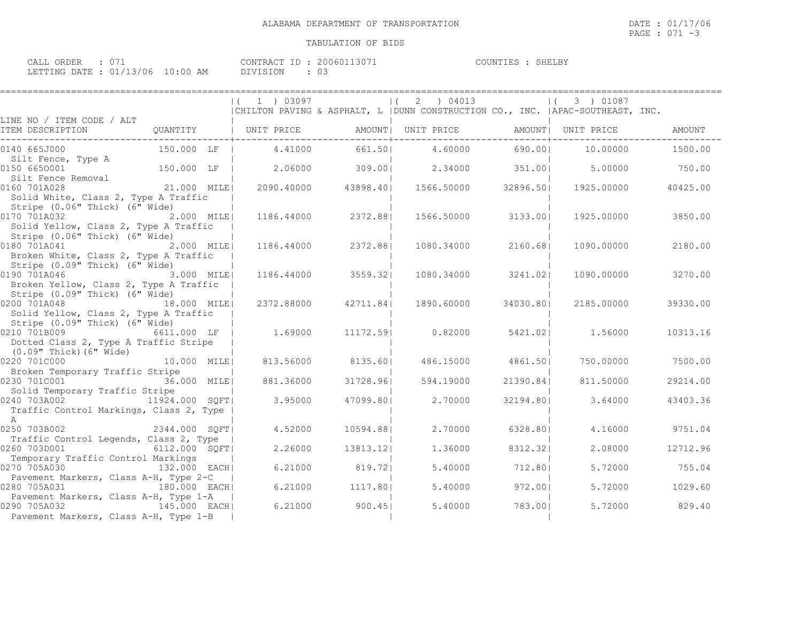| CALL ORDER : 071                 | CONTRACT ID: 20060113071 | COUNTIES : SHELBY |  |
|----------------------------------|--------------------------|-------------------|--|
| LETTING DATE : 01/13/06 10:00 AM | DIVISION : 03            |                   |  |

|                                                |                | $(1)$ 03097 |           | (2) 04013                                                                        |           | $(3)$ 01087 |          |
|------------------------------------------------|----------------|-------------|-----------|----------------------------------------------------------------------------------|-----------|-------------|----------|
| LINE NO / ITEM CODE / ALT                      |                |             |           | CHILTON PAVING & ASPHALT, L   DUNN CONSTRUCTION CO., INC.   APAC-SOUTHEAST, INC. |           |             |          |
| ITEM DESCRIPTION                               | QUANTITY       | UNIT PRICE  |           | AMOUNT   UNIT PRICE   AMOUNT   UNIT PRICE                                        |           |             | AMOUNT   |
|                                                |                |             |           |                                                                                  |           |             |          |
| 0140 665J000                                   | 150.000 LF     | 4.41000     | 661.50    | 4.60000                                                                          | 690.00    | 10.00000    | 1500.00  |
| Silt Fence, Type A                             |                |             |           |                                                                                  |           |             |          |
| 0150 6650001                                   | 150.000 LF     | 2.06000     | 309.00    | 2.34000                                                                          | 351.00    | 5.00000     | 750.00   |
| Silt Fence Removal                             |                |             |           |                                                                                  |           |             |          |
| 0160 701A028                                   | 21.000 MILE    | 2090.40000  |           | 43898.40  1566.50000                                                             | 32896.501 | 1925.00000  | 40425.00 |
| Solid White, Class 2, Type A Traffic           |                |             |           |                                                                                  |           |             |          |
| Stripe (0.06" Thick) (6" Wide)                 |                |             |           |                                                                                  |           |             |          |
| 0170 701A032                                   | 2.000 MILE     | 1186.44000  | 2372.881  | 1566.50000                                                                       | 3133.001  | 1925.00000  | 3850.00  |
| Solid Yellow, Class 2, Type A Traffic          |                |             |           |                                                                                  |           |             |          |
| Stripe (0.06" Thick) (6" Wide)                 |                |             |           |                                                                                  |           |             |          |
| 0180 701A041                                   | 2.000 MILEI    | 1186.44000  | 2372.881  | 1080.34000                                                                       | 2160.681  | 1090.00000  | 2180.00  |
| Broken White, Class 2, Type A Traffic          |                |             |           |                                                                                  |           |             |          |
| Stripe (0.09" Thick) (6" Wide)                 |                |             |           |                                                                                  |           |             |          |
| 0190 701A046<br>3.000 MILE                     |                | 1186.44000  | 3559.32   | 1080.34000                                                                       | 3241.021  | 1090.00000  | 3270.00  |
| Broken Yellow, Class 2, Type A Traffic         |                |             |           |                                                                                  |           |             |          |
| Stripe (0.09" Thick) (6" Wide)                 |                |             |           |                                                                                  |           |             |          |
| 0200 701A048                                   | 18.000 MILEI   | 2372.88000  | 42711.841 | 1890.60000                                                                       | 34030.801 | 2185.00000  | 39330.00 |
| Solid Yellow, Class 2, Type A Traffic          |                |             |           |                                                                                  |           |             |          |
| Stripe (0.09" Thick) (6" Wide)<br>0210 701B009 | 6611.000 LF    | 1.69000     | 11172.591 | 0.82000                                                                          | 5421.021  | 1,56000     | 10313.16 |
| Dotted Class 2, Type A Traffic Stripe          |                |             |           |                                                                                  |           |             |          |
| (0.09" Thick) (6" Wide)                        |                |             |           |                                                                                  |           |             |          |
| 0220 701C000                                   | 10.000 MILE    | 813.56000   | 8135.60   | 486.15000                                                                        | 4861.50   | 750.00000   | 7500.00  |
| Broken Temporary Traffic Stripe                |                |             |           |                                                                                  |           |             |          |
| 0230 701C001<br>36.000 MILE                    |                | 881,36000   | 31728.961 | 594.19000                                                                        | 21390.841 | 811,50000   | 29214.00 |
| Solid Temporary Traffic Stripe                 |                |             |           |                                                                                  |           |             |          |
| 0240 703A002                                   | 11924.000 SOFT | 3.95000     | 47099.801 | 2,70000                                                                          | 32194.80  | 3.64000     | 43403.36 |
| Traffic Control Markings, Class 2, Type        |                |             |           |                                                                                  |           |             |          |
| $\mathsf{A}$                                   |                |             |           |                                                                                  |           |             |          |
| 2344.000 SQFT<br>0250 703B002                  |                | 4.52000     | 10594.881 | 2,70000                                                                          | 6328.801  | 4.16000     | 9751.04  |
| Traffic Control Legends, Class 2, Type         |                |             |           |                                                                                  |           |             |          |
| 0260 703D001                                   | 6112.000 SQFT  | 2.26000     | 13813.121 | 1,36000                                                                          | 8312.321  | 2,08000     | 12712.96 |
| Temporary Traffic Control Markings             |                |             |           |                                                                                  |           |             |          |
| 0270 705A030                                   | 132.000 EACHI  | 6.21000     | 819.721   | 5.40000                                                                          | 712.801   | 5.72000     | 755.04   |
| Pavement Markers, Class A-H, Type 2-C          |                |             |           |                                                                                  |           |             |          |
| 0280 705A031                                   | 180.000 EACH   | 6.21000     | 1117.801  | 5.40000                                                                          | 972.00    | 5.72000     | 1029.60  |
| Pavement Markers, Class A-H, Type 1-A          |                |             |           |                                                                                  |           |             |          |
| 0290 705A032<br>145.000 EACH                   |                | 6.21000     | 900.451   | 5.40000                                                                          | 783.001   | 5.72000     | 829.40   |
| Pavement Markers, Class A-H, Type 1-B          |                |             |           |                                                                                  |           |             |          |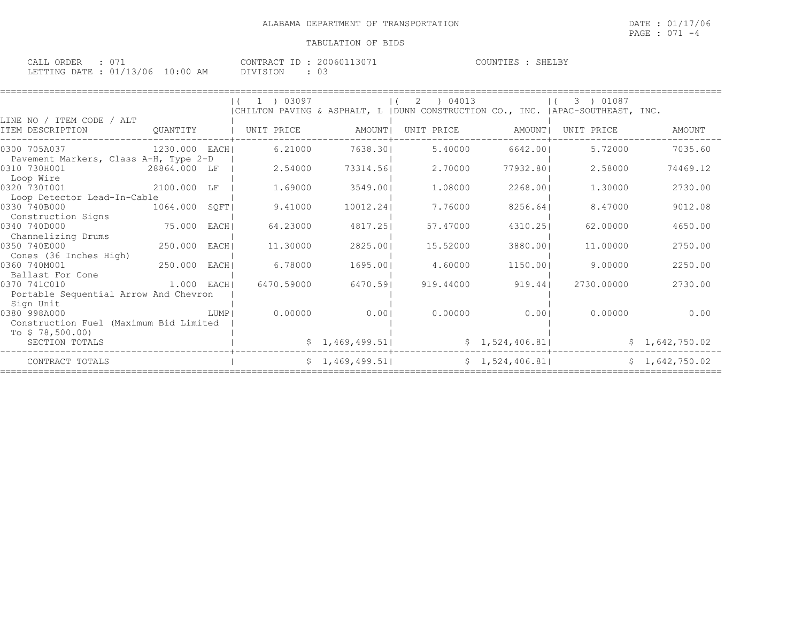| CALL ORDER : 071                 |  |          | CONTRACT ID: 20060113071 | COUNTIES : SHELBY |  |
|----------------------------------|--|----------|--------------------------|-------------------|--|
| LETTING DATE : 01/13/06 10:00 AM |  | DIVISION |                          |                   |  |

|                                                            |                |        | $(1)$ 1 $)$ 03097 |                 | 2 ) 04013<br>$\left  \right $ ( |                | 3 ) 01087<br>  CHILTON PAVING & ASPHALT, L   DUNN CONSTRUCTION CO., INC.   APAC-SOUTHEAST, INC. |                |
|------------------------------------------------------------|----------------|--------|-------------------|-----------------|---------------------------------|----------------|-------------------------------------------------------------------------------------------------|----------------|
| LINE NO / ITEM CODE / ALT<br>ITEM DESCRIPTION              | OUANTITY       |        | UNIT PRICE        | AMOUNT          | UNIT PRICE                      | AMOUNT I       | UNIT PRICE                                                                                      | AMOUNT         |
| 0300 705A037                                               | 1230.000 EACHI |        | 6.21000           | 7638.301        | 5.40000                         | 6642.00        | 5.72000                                                                                         | 7035.60        |
| Pavement Markers, Class A-H, Type 2-D<br>0310 730H001      | 28864.000 LF   |        | 2.54000           | 73314.561       | 2,70000                         | 77932.801      | 2.58000                                                                                         | 74469.12       |
| Loop Wire<br>0320 7301001                                  | 2100.000 LF    |        | 1,69000           | 3549.001        | 1,08000                         | 2268.001       | 1,30000                                                                                         | 2730.00        |
| Loop Detector Lead-In-Cable<br>0330 740B000                | 1064.000       | SQFT   | 9.41000           | 10012.24        | 7.76000                         | 8256.641       | 8.47000                                                                                         | 9012.08        |
| Construction Signs<br>0340 740D000                         | 75.000         | EACH   | 64.23000          | 4817.251        | 57.47000                        | 4310.251       | 62,00000                                                                                        | 4650.00        |
| Channelizing Drums<br>0350 740E000                         | 250.000        | EACH I | 11,30000          | 2825.00         | 15.52000                        | 3880.001       | 11,00000                                                                                        | 2750.00        |
| Cones (36 Inches High)                                     |                |        |                   |                 |                                 |                |                                                                                                 |                |
| 0360 740M001<br>Ballast For Cone                           | 250.000        | EACH   | 6.78000           | 1695.001        | 4.60000                         | 1150.001       | 9,00000                                                                                         | 2250.00        |
| 0370 741C010<br>Portable Sequential Arrow And Chevron      | 1.000 EACH     |        | 6470.59000        | 6470.591        | 919.44000                       | 919.44         | 2730,00000                                                                                      | 2730.00        |
| Sign Unit<br>0380 998A000                                  |                | LUMP   | 0.00000           | 0.001           | 0.00000                         | 0.001          | 0.00000                                                                                         | 0.00           |
| Construction Fuel (Maximum Bid Limited<br>To $$78,500.00)$ |                |        |                   |                 |                                 |                |                                                                                                 |                |
| SECTION TOTALS                                             |                |        |                   | \$1,469,499.51] |                                 | \$1,524,406.81 |                                                                                                 | \$1,642,750.02 |
| CONTRACT TOTALS                                            |                |        |                   | \$1,469,499.51] |                                 | \$1,524,406.81 |                                                                                                 | \$1,642,750.02 |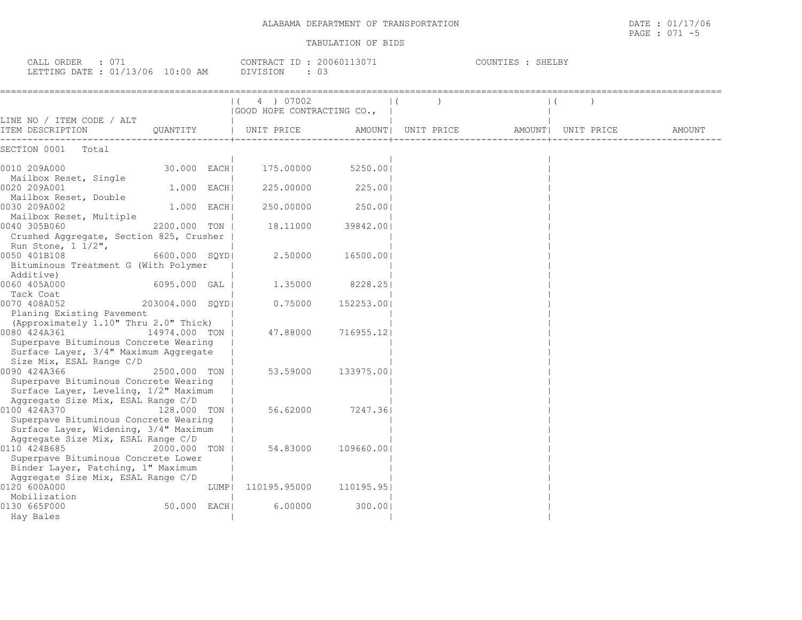| $\therefore$ 071<br>CALL ORDER<br>LETTING DATE : 01/13/06 10:00 AM        |                |       | CONTRACT ID: 20060113071<br>: 03<br>DIVISION |            |                               | COUNTIES : SHELBY |  |        |
|---------------------------------------------------------------------------|----------------|-------|----------------------------------------------|------------|-------------------------------|-------------------|--|--------|
|                                                                           |                |       | 4 ) 07002                                    |            |                               |                   |  |        |
|                                                                           |                |       | (GOOD HOPE CONTRACTING CO.,                  |            |                               |                   |  |        |
| LINE NO / ITEM CODE / ALT<br>ITEM DESCRIPTION                             | QUANTITY       |       | UNIT PRICE AMOUNT                            |            | UNIT PRICE AMOUNT  UNIT PRICE |                   |  | AMOUNT |
| SECTION 0001 Total                                                        |                |       |                                              |            |                               |                   |  |        |
| 0010 209A000                                                              | 30.000 EACH    |       | 175.00000                                    | 5250.001   |                               |                   |  |        |
| Mailbox Reset, Single<br>0020 209A001<br>Mailbox Reset, Double            | 1.000 EACH     |       | 225.00000                                    | 225.001    |                               |                   |  |        |
| 0030 209A002<br>Mailbox Reset, Multiple                                   | $1.000$ EACHI  |       | 250.00000                                    | 250.001    |                               |                   |  |        |
| 0040 305B060<br>2200.000 TON I<br>Crushed Aggregate, Section 825, Crusher |                |       | 18.11000                                     | 39842.001  |                               |                   |  |        |
| Run Stone, 1 1/2",<br>0050 401B108                                        | 6600.000 SOYDI |       | 2.50000                                      | 16500.001  |                               |                   |  |        |
| Bituminous Treatment G (With Polymer<br>Additive)                         |                |       |                                              |            |                               |                   |  |        |
| 0060 405A000<br>Tack Coat                                                 | 6095.000 GAL   |       | 1,35000                                      | 8228.251   |                               |                   |  |        |
| 0070 408A052 203004.000                                                   |                | SOYDI | 0.75000                                      | 152253.001 |                               |                   |  |        |
| Planing Existing Pavement                                                 |                |       |                                              |            |                               |                   |  |        |

| Planing Existing Pavement<br>(Approximately 1.10" Thru 2.0" Thick) |      |              |                    |
|--------------------------------------------------------------------|------|--------------|--------------------|
| 0080 424A361 20080<br>14974.000 TON H                              |      |              | 47.88000 716955.12 |
| Superpave Bituminous Concrete Wearing                              |      |              |                    |
| Surface Layer, 3/4" Maximum Aggregate                              |      |              |                    |
| Size Mix, ESAL Range C/D                                           |      |              |                    |
| 0090 424A366<br>2500.000 TON I                                     |      | 53.59000     | 133975.001         |
| Superpave Bituminous Concrete Wearing                              |      |              |                    |
| Surface Layer, Leveling, 1/2" Maximum                              |      |              |                    |
| Aggregate Size Mix, ESAL Range C/D                                 |      |              |                    |
| 0100 424A370<br>128.000 TON                                        |      | 56.62000     | 7247.361           |
| Superpave Bituminous Concrete Wearing                              |      |              |                    |
| Surface Layer, Widening, 3/4" Maximum                              |      |              |                    |
| Aggregate Size Mix, ESAL Range C/D                                 |      |              |                    |
| 0110 424B685<br>2000.000 TON I                                     |      | 54.83000     | 109660.001         |
| Superpave Bituminous Concrete Lower                                |      |              |                    |
| Binder Layer, Patching, 1" Maximum                                 |      |              |                    |
| Aggregate Size Mix, ESAL Range C/D                                 |      |              |                    |
| 0120 600A000                                                       | LUMP | 110195.95000 | 110195.951         |
| Mobilization                                                       |      |              |                    |
| 0130 665F000<br>50.000 EACH                                        |      | 6,00000      | 300.001            |
| Hay Bales                                                          |      |              |                    |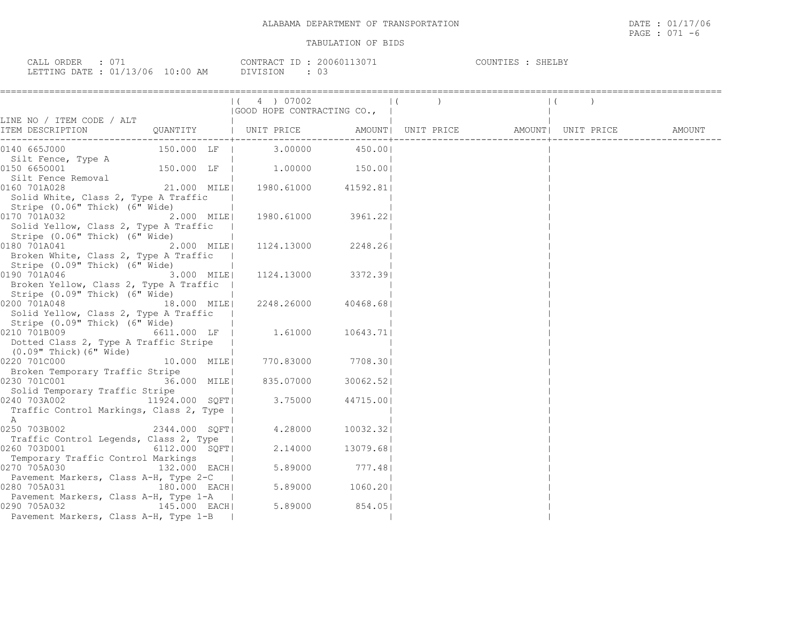| ORDER<br>CALL  |                   | T D<br>CONTRACT | . 13071<br>2006011 | COUNTIES | <b>SHELBY</b> |
|----------------|-------------------|-----------------|--------------------|----------|---------------|
| LETTING DATE : | 01/13/06 10:00 AM |                 |                    |          |               |

|                                                                                                        |               |                          | (4) 07002<br>  GOOD HOPE CONTRACTING CO.,                                                                                                                                                                                                |           | $\begin{array}{ccc} \hline \end{array}$ |  | $\vert$ ( |  |
|--------------------------------------------------------------------------------------------------------|---------------|--------------------------|------------------------------------------------------------------------------------------------------------------------------------------------------------------------------------------------------------------------------------------|-----------|-----------------------------------------|--|-----------|--|
| LINE NO / ITEM CODE / ALT                                                                              |               |                          |                                                                                                                                                                                                                                          |           |                                         |  |           |  |
|                                                                                                        |               |                          |                                                                                                                                                                                                                                          |           |                                         |  |           |  |
| 0140 665J000                                                                                           |               |                          | $150.000$ LF   3.00000 450.00                                                                                                                                                                                                            |           |                                         |  |           |  |
| Silt Fence, Type A<br>0150 6650001                                                                     |               |                          | $150.000$ LF $\begin{array}{c}  100000 150.00 150.00 150.00 150.00 150.00 150.00 150.00 150.00 150.00 150.00 150.00 150.00 150.00 150.00 150.00 150.00 150.00 150.00 150.00 150.00 150.00 150.00 150.00 150.00 150.00 150.00 150.00 150$ |           |                                         |  |           |  |
| Silt Fence Removal<br>0160 701A028                                                                     |               |                          | 21.000 MILE  1980.61000 41592.81                                                                                                                                                                                                         |           |                                         |  |           |  |
| Solid White, Class 2, Type A Traffic<br>Stripe (0.06" Thick) (6" Wide)                                 |               |                          |                                                                                                                                                                                                                                          |           |                                         |  |           |  |
| 0170 701A032<br>Solid Yellow, Class 2, Type A Traffic<br>Stripe (0.06" Thick) (6" Wide)                | $2.000$ MILE  |                          | 1980.61000 3961.22                                                                                                                                                                                                                       |           |                                         |  |           |  |
| 0180 701A041<br>Broken White, Class 2, Type A Traffic                                                  | 2.000 MILE    |                          | 1124.13000 2248.26                                                                                                                                                                                                                       |           |                                         |  |           |  |
| Stripe (0.09" Thick) (6" Wide)<br>0190 701A046<br>3.000 MILE                                           |               |                          | 1124.13000 3372.39                                                                                                                                                                                                                       |           |                                         |  |           |  |
| Broken Yellow, Class 2, Type A Traffic  <br>Stripe (0.09" Thick) (6" Wide)                             |               |                          |                                                                                                                                                                                                                                          |           |                                         |  |           |  |
| 0200 701A048<br>18.000 MILE<br>Solid Yellow, Class 2, Type A Traffic<br>Stripe (0.09" Thick) (6" Wide) |               |                          | 2248.26000 40468.681                                                                                                                                                                                                                     |           |                                         |  |           |  |
| Dotted Class 2, Type A Traffic Stripe<br>(0.09" Thick) (6" Wide)                                       |               |                          | 6611.000 LF   1.61000                                                                                                                                                                                                                    | 10643.711 |                                         |  |           |  |
| 0220 701C000<br>Broken Temporary Traffic Stripe                                                        | 10.000 MILE   |                          | 770.83000 7708.30                                                                                                                                                                                                                        |           |                                         |  |           |  |
| 0230 701C001<br>Solid Temporary Traffic Stripe                                                         | 36.000 MILE   | <b>Contract Contract</b> | 835.07000                                                                                                                                                                                                                                | 30062.52  |                                         |  |           |  |
| 0240 703A002 11924.000 SQFT <br>Traffic Control Markings, Class 2, Type  <br>A                         |               |                          | 3.75000                                                                                                                                                                                                                                  | 44715.00  |                                         |  |           |  |
| 0250 703B002                                                                                           | 2344.000 SOFT |                          | 4.28000                                                                                                                                                                                                                                  | 10032.321 |                                         |  |           |  |
| Traffic Control Legends, Class 2, Type  <br>0260 703D001                                               | 6112.000 SOFT |                          | 2.14000                                                                                                                                                                                                                                  | 13079.68  |                                         |  |           |  |
| Temporary Traffic Control Markings<br>0270 705A030<br>Pavement Markers, Class A-H, Type 2-C            | 132.000 EACH  |                          | 5.89000                                                                                                                                                                                                                                  | 777.48    |                                         |  |           |  |
| 0280 705A031<br>Pavement Markers, Class A-H, Type 1-A                                                  | 180.000 EACH  |                          | 5.89000 1060.20                                                                                                                                                                                                                          |           |                                         |  |           |  |
| 0290 705A032<br>145.000 EACH<br>Pavement Markers, Class A-H, Type 1-B                                  |               |                          | 5.89000                                                                                                                                                                                                                                  | 854.05    |                                         |  |           |  |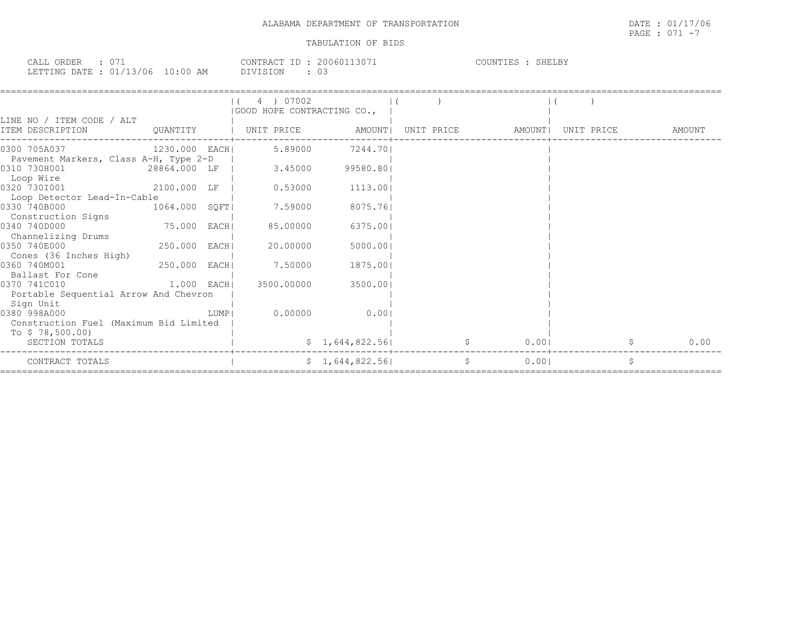| $\sim$ $-$<br>$\sim$ $\sim$ $\sim$ $\sim$<br>ORDER<br>ىلىلىك | 3071<br>20060.<br>CONTRACT.<br>1611   | COUNTIES<br>SHELBY |
|--------------------------------------------------------------|---------------------------------------|--------------------|
| 01/13/06<br>LETTING DATE                                     | 10.00.<br>03<br>AΜ<br><b>DIVISION</b> |                    |

|                                                           |               |      | 4 ) 07002<br>(GOOD HOPE CONTRACTING CO., |                 |            |        |            |   |        |
|-----------------------------------------------------------|---------------|------|------------------------------------------|-----------------|------------|--------|------------|---|--------|
| LINE NO / ITEM CODE / ALT<br>ITEM DESCRIPTION             | OUANTITY      |      | UNIT PRICE                               | AMOUNT          | UNIT PRICE | AMOUNT | UNIT PRICE |   | AMOUNT |
| 0300 705A037                                              | 1230.000 EACH |      | 5.89000                                  | 7244.701        |            |        |            |   |        |
| Pavement Markers, Class A-H, Type 2-D<br>0310 730H001     | 28864.000 LF  |      | 3.45000                                  | 99580.801       |            |        |            |   |        |
| Loop Wire<br>0320 7301001                                 | 2100.000 LF   |      | 0.53000                                  | 1113.00         |            |        |            |   |        |
| Loop Detector Lead-In-Cable<br>0330 740B000               | 1064.000 SQFT |      | 7.59000                                  | 8075.761        |            |        |            |   |        |
| Construction Signs<br>0340 740D000                        | 75.000 EACH   |      | 85.00000                                 | 6375.001        |            |        |            |   |        |
| Channelizing Drums<br>0350 740E000                        | 250.000 EACH  |      | 20.00000                                 | 5000.00         |            |        |            |   |        |
| Cones (36 Inches High)<br>0360 740M001                    | 250.000 EACH  |      | 7.50000                                  | 1875.00         |            |        |            |   |        |
| Ballast For Cone<br>0370 741C010                          | 1.000 EACHI   |      | 3500.00000                               | 3500.001        |            |        |            |   |        |
| Portable Sequential Arrow And Chevron                     |               |      |                                          |                 |            |        |            |   |        |
| Sign Unit<br>0380 998A000                                 |               | LUMP | 0.00000                                  | 0.001           |            |        |            |   |        |
| Construction Fuel (Maximum Bid Limited<br>To \$78,500.00) |               |      |                                          |                 |            |        |            |   |        |
| SECTION TOTALS                                            |               |      |                                          | \$1,644,822.56] |            | 0.001  |            |   | 0.00   |
| CONTRACT TOTALS                                           |               |      |                                          | \$1,644,822.56] | \$         | 0.001  |            | Ŝ |        |

PAGE : 071 -7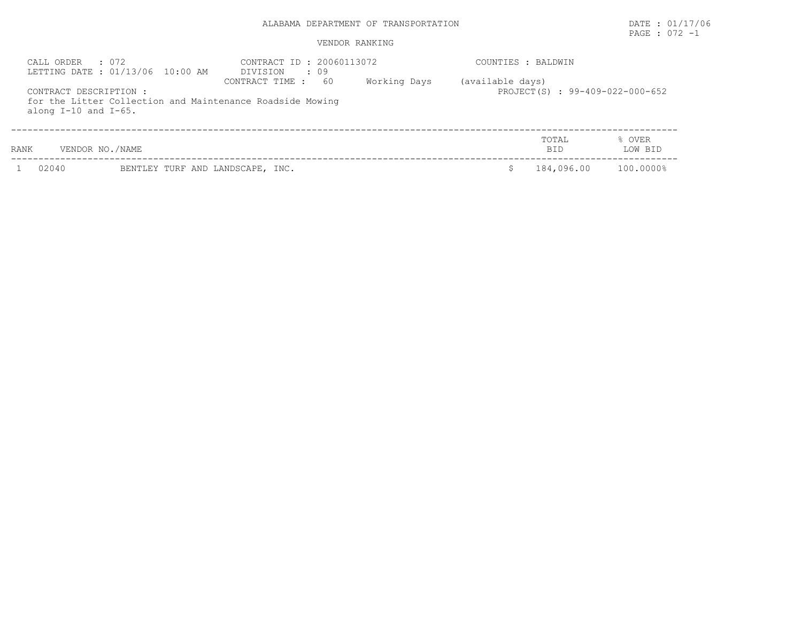### VENDOR RANKING

| CALL ORDER : 072<br>LETTING DATE: 01/13/06 10:00 AM |                 | CONTRACT ID: 20060113072<br>DIVISION<br>$\cdot$ 09                                 |              |                  | COUNTIES : BALDWIN              |                   |  |  |
|-----------------------------------------------------|-----------------|------------------------------------------------------------------------------------|--------------|------------------|---------------------------------|-------------------|--|--|
| CONTRACT DESCRIPTION :<br>along $I-10$ and $I-65$ . |                 | 60<br>CONTRACT TIME :<br>for the Litter Collection and Maintenance Roadside Mowing | Working Days | (available days) | PROJECT(S) : 99-409-022-000-652 |                   |  |  |
| RANK                                                | VENDOR NO./NAME |                                                                                    |              |                  | <b>TOTAL</b><br><b>BID</b>      | % OVER<br>LOW BID |  |  |
|                                                     |                 |                                                                                    |              |                  |                                 |                   |  |  |

PAGE : 072 -1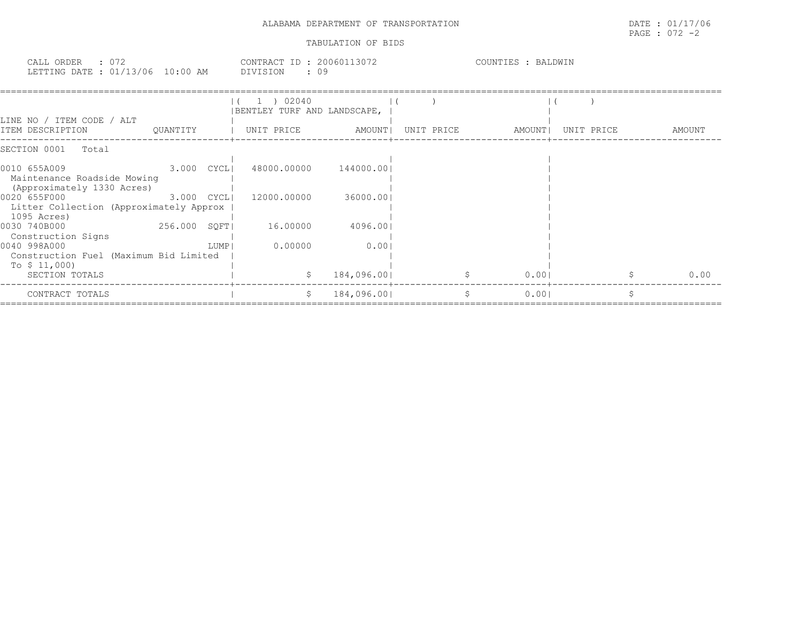| ALABAMA DEPARTMENT OF<br>TRANSPORTATION | 1.17100<br>DATE<br>7 U O<br>the contract of the contract of the contract of the contract of the contract of the contract of the contract of |
|-----------------------------------------|---------------------------------------------------------------------------------------------------------------------------------------------|
|                                         | 072<br>PAGE<br>◡ / ∠                                                                                                                        |

| CALL ORDER                       | CONTRACT ID: 20060113072 | COUNTIES : | BALDWIN |
|----------------------------------|--------------------------|------------|---------|
| LETTING DATE : 01/13/06 10:00 AM | DIVISION<br>ν.           |            |         |

|                                                                           |                |      | 02040<br>BENTLEY TURF AND LANDSCAPE, |             |            |        |            |        |
|---------------------------------------------------------------------------|----------------|------|--------------------------------------|-------------|------------|--------|------------|--------|
| LINE NO / ITEM CODE / ALT<br>ITEM DESCRIPTION                             | OUANTITY       |      | UNIT PRICE                           | AMOUNT      | UNIT PRICE | AMOUNT | UNIT PRICE | AMOUNT |
| SECTION 0001<br>Total                                                     |                |      |                                      |             |            |        |            |        |
| 0010 655A009<br>Maintenance Roadside Mowing<br>(Approximately 1330 Acres) | $3.000$ $CYCH$ |      | 48000.00000                          | 144000.001  |            |        |            |        |
| 0020 655F000<br>Litter Collection (Approximately Approx<br>1095 Acres)    | $3.000$ $CYCL$ |      | 12000.00000                          | 36000.00    |            |        |            |        |
| 0030 740B000<br>Construction Signs                                        | 256.000 SOFT   |      | 16.00000                             | 4096.00     |            |        |            |        |
| 0040 998A000<br>Construction Fuel (Maximum Bid Limited<br>To \$ 11,000)   |                | LUMP | 0.00000                              | 0.001       |            |        |            |        |
| SECTION TOTALS                                                            |                |      | S.                                   | 184,096.00  |            | 0.001  |            | 0.00   |
| CONTRACT TOTALS                                                           |                |      |                                      | 184,096.001 |            | 0.001  |            |        |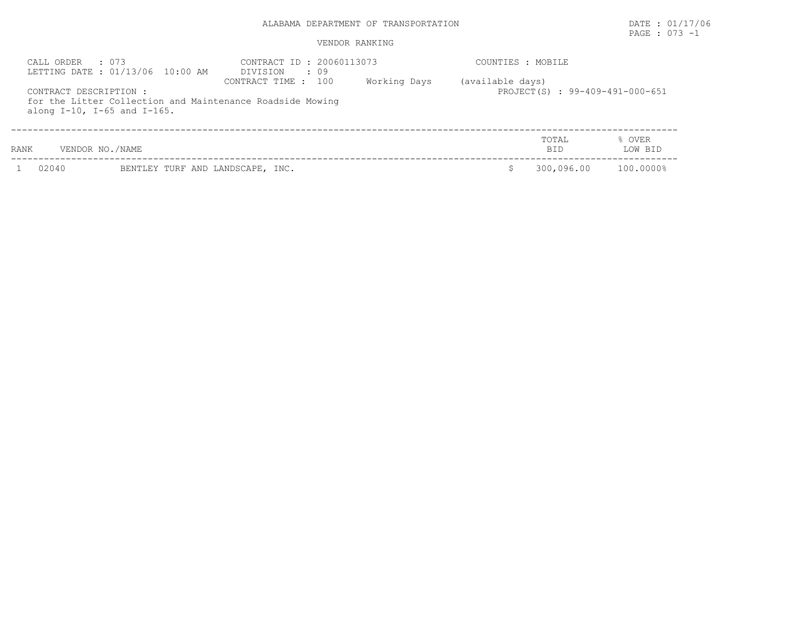### VENDOR RANKING

| CALL ORDER : 073<br>LETTING DATE: 01/13/06 10:00 AM |                                     | CONTRACT ID: 20060113073<br>DIVISION<br>$\cdot$ 09                               |              |                  | COUNTIES : MOBILE               |                   |  |  |
|-----------------------------------------------------|-------------------------------------|----------------------------------------------------------------------------------|--------------|------------------|---------------------------------|-------------------|--|--|
| CONTRACT DESCRIPTION :                              | along $I-10$ , $I-65$ and $I-165$ . | CONTRACT TIME : 100<br>for the Litter Collection and Maintenance Roadside Mowing | Working Days | (available days) | PROJECT(S) : 99-409-491-000-651 |                   |  |  |
| RANK                                                | VENDOR NO./NAME                     |                                                                                  |              |                  | <b>TOTAL</b><br><b>BID</b>      | % OVER<br>LOW BID |  |  |
| 02040                                               | BENTLEY TURF AND LANDSCAPE, INC.    |                                                                                  |              |                  |                                 |                   |  |  |

PAGE : 073 -1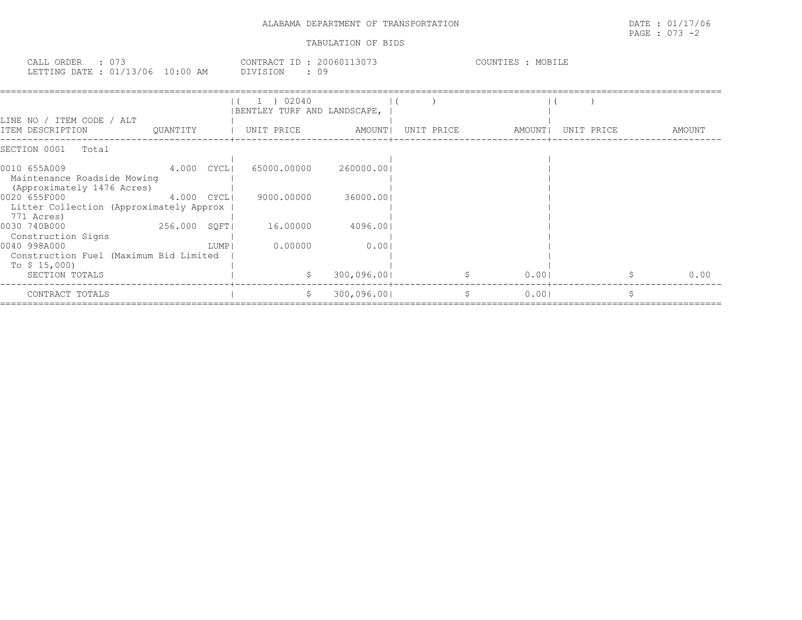| CALL ORDER                       |  | CONTRACT ID:    | 20060113073 | COUNTIES | MOBILE |
|----------------------------------|--|-----------------|-------------|----------|--------|
| LETTING DATE : 01/13/06 10:00 AM |  | <b>DIVISION</b> | 09          |          |        |

|                                                                           |              |      | 02040<br>BENTLEY TURF AND LANDSCAPE, |             |            |        |            |        |
|---------------------------------------------------------------------------|--------------|------|--------------------------------------|-------------|------------|--------|------------|--------|
| LINE NO / ITEM CODE / ALT<br>ITEM DESCRIPTION                             | OUANTITY     |      | UNIT PRICE                           | AMOUNT      | UNIT PRICE | AMOUNT | UNIT PRICE | AMOUNT |
| SECTION 0001<br>Total                                                     |              |      |                                      |             |            |        |            |        |
| 0010 655A009<br>Maintenance Roadside Mowing<br>(Approximately 1476 Acres) | $4.000$ CYCL |      | 65000.00000                          | 260000.001  |            |        |            |        |
| 0020 655F000<br>Litter Collection (Approximately Approx<br>771 Acres)     | 4.000 CYCLI  |      | 9000.00000                           | 36000.001   |            |        |            |        |
| 0030 740B000<br>Construction Signs                                        | 256.000 SOFT |      | 16.00000                             | 4096.001    |            |        |            |        |
| 0040 998A000<br>Construction Fuel (Maximum Bid Limited<br>To \$ 15,000)   |              | LUMP | 0.00000                              | 0.001       |            |        |            |        |
| SECTION TOTALS                                                            |              |      | S.                                   | 300,096.001 |            | 0.001  |            | 0.00   |
| CONTRACT TOTALS                                                           |              |      |                                      | 300,096.001 |            | 0.001  |            |        |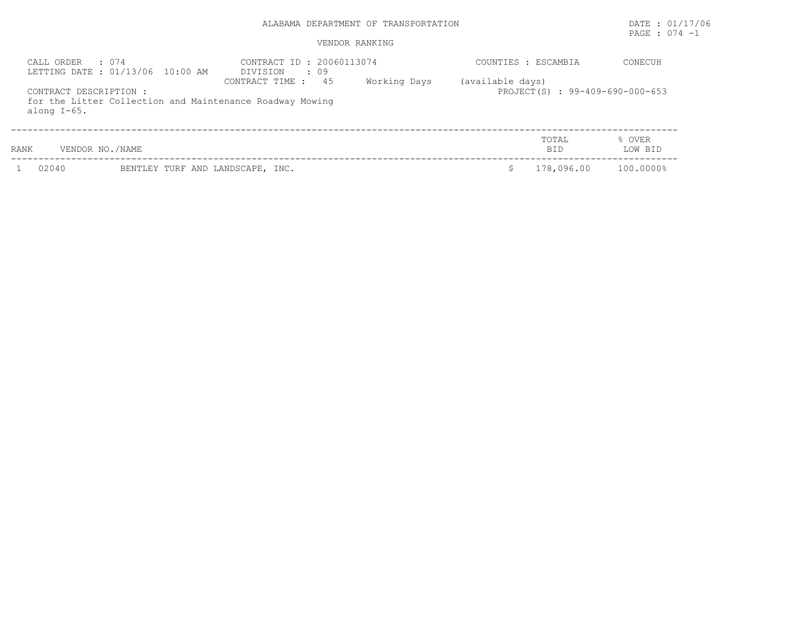# PAGE : 074 -1

## VENDOR RANKING

| . 074<br>CALL ORDER                      | LETTING DATE : 01/13/06 10:00 AM | CONTRACT ID: 20060113074<br>DIVISION<br>: 09                                      |              | COUNTIES : ESCAMBIA |                                | CONECUH           |
|------------------------------------------|----------------------------------|-----------------------------------------------------------------------------------|--------------|---------------------|--------------------------------|-------------------|
| CONTRACT DESCRIPTION :<br>along $I-65$ . |                                  | 45<br>CONTRACT TIME :<br>for the Litter Collection and Maintenance Roadway Mowing | Working Days | (available days)    | PROJECT(S): 99-409-690-000-653 |                   |
| VENDOR NO./NAME<br>RANK                  |                                  |                                                                                   |              |                     | TOTAL<br><b>BID</b>            | % OVER<br>LOW BID |
| 02040                                    | BENTLEY TURF AND LANDSCAPE, INC. |                                                                                   |              |                     | 178,096.00                     | 100.0000%         |